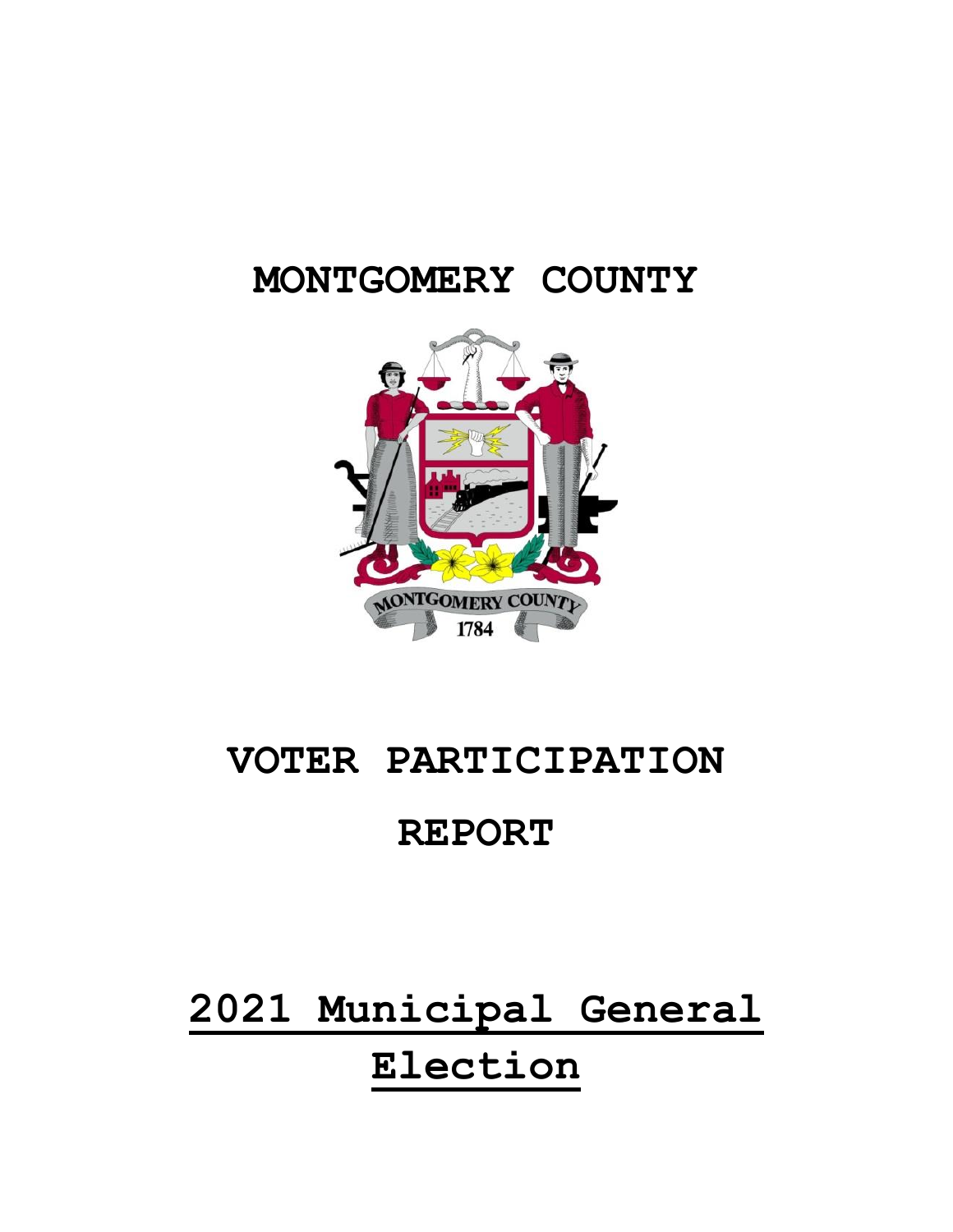### **MONTGOMERY COUNTY**



### **VOTER PARTICIPATION**

### **REPORT**

## **2021 Municipal General Election**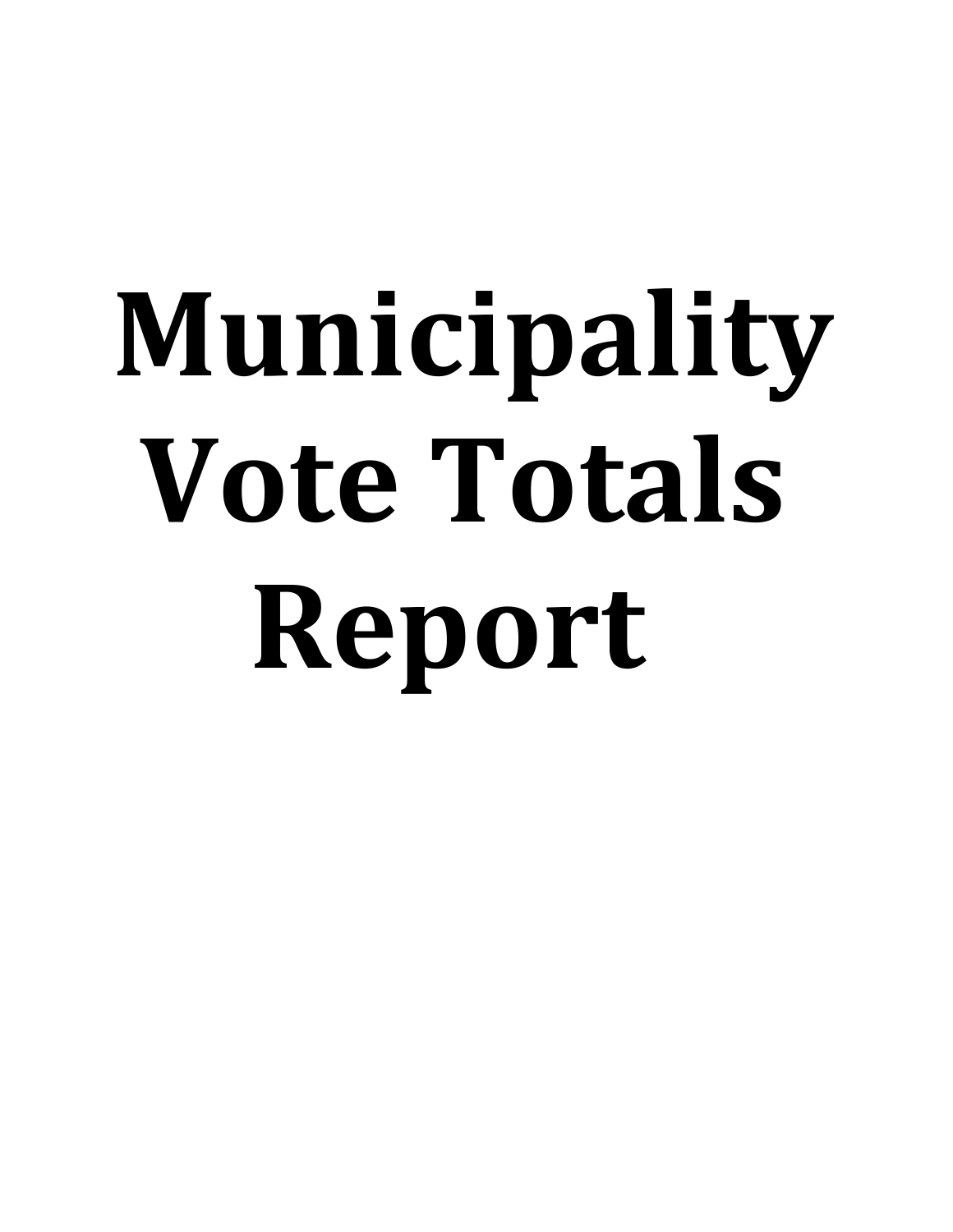# **Municipality Vote Totals Report**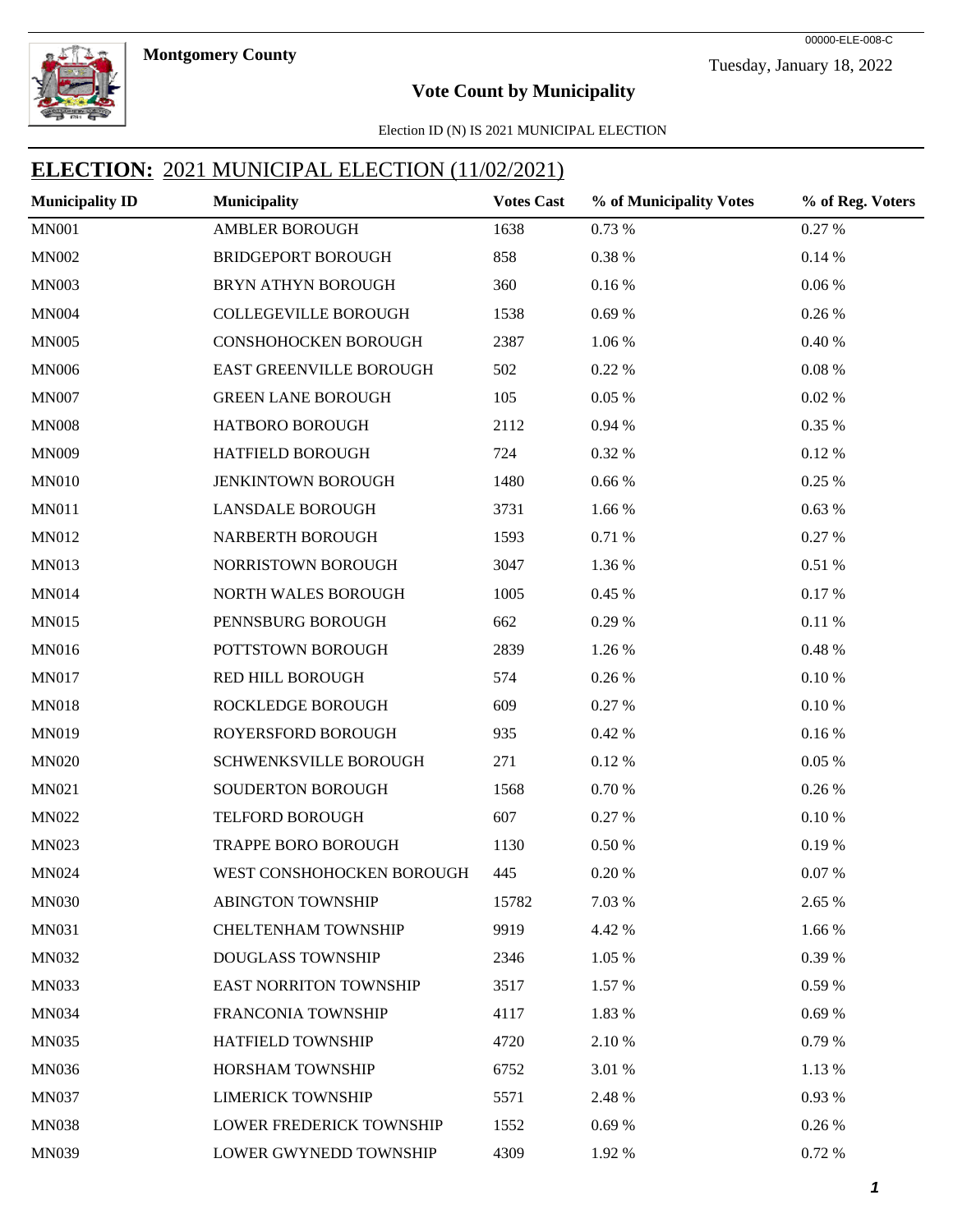**Montgomery County** 



Tuesday, January 18, 2022 00000-ELE-008-C

#### **Vote Count by Municipality**

Election ID (N) IS 2021 MUNICIPAL ELECTION

| <b>Municipality ID</b> | <b>Municipality</b>             | <b>Votes Cast</b> | % of Municipality Votes | % of Reg. Voters |
|------------------------|---------------------------------|-------------------|-------------------------|------------------|
| <b>MN001</b>           | <b>AMBLER BOROUGH</b>           | 1638              | 0.73 %                  | 0.27 %           |
| <b>MN002</b>           | <b>BRIDGEPORT BOROUGH</b>       | 858               | 0.38 %                  | 0.14%            |
| <b>MN003</b>           | BRYN ATHYN BOROUGH              | 360               | 0.16%                   | $0.06\,\%$       |
| <b>MN004</b>           | <b>COLLEGEVILLE BOROUGH</b>     | 1538              | 0.69%                   | 0.26 %           |
| <b>MN005</b>           | CONSHOHOCKEN BOROUGH            | 2387              | 1.06 %                  | 0.40%            |
| <b>MN006</b>           | EAST GREENVILLE BOROUGH         | 502               | 0.22 %                  | $0.08~\%$        |
| <b>MN007</b>           | <b>GREEN LANE BOROUGH</b>       | 105               | 0.05%                   | 0.02 %           |
| <b>MN008</b>           | HATBORO BOROUGH                 | 2112              | 0.94 %                  | 0.35 %           |
| <b>MN009</b>           | HATFIELD BOROUGH                | 724               | 0.32 %                  | 0.12%            |
| <b>MN010</b>           | <b>JENKINTOWN BOROUGH</b>       | 1480              | $0.66\,\%$              | 0.25 %           |
| <b>MN011</b>           | <b>LANSDALE BOROUGH</b>         | 3731              | 1.66 %                  | 0.63%            |
| MN012                  | NARBERTH BOROUGH                | 1593              | 0.71 %                  | 0.27 %           |
| MN013                  | NORRISTOWN BOROUGH              | 3047              | 1.36 %                  | 0.51 %           |
| <b>MN014</b>           | NORTH WALES BOROUGH             | 1005              | 0.45 %                  | 0.17%            |
| <b>MN015</b>           | PENNSBURG BOROUGH               | 662               | 0.29 %                  | 0.11%            |
| MN016                  | POTTSTOWN BOROUGH               | 2839              | 1.26 %                  | 0.48%            |
| <b>MN017</b>           | RED HILL BOROUGH                | 574               | 0.26 %                  | 0.10%            |
| <b>MN018</b>           | ROCKLEDGE BOROUGH               | 609               | 0.27 %                  | 0.10%            |
| MN019                  | ROYERSFORD BOROUGH              | 935               | 0.42 %                  | 0.16%            |
| <b>MN020</b>           | SCHWENKSVILLE BOROUGH           | 271               | 0.12 %                  | 0.05%            |
| MN021                  | SOUDERTON BOROUGH               | 1568              | 0.70%                   | 0.26 %           |
| <b>MN022</b>           | TELFORD BOROUGH                 | 607               | 0.27 %                  | 0.10%            |
| MN023                  | TRAPPE BORO BOROUGH             | 1130              | $0.50\;\%$              | 0.19%            |
| <b>MN024</b>           | WEST CONSHOHOCKEN BOROUGH       | 445               | 0.20%                   | 0.07%            |
| <b>MN030</b>           | <b>ABINGTON TOWNSHIP</b>        | 15782             | 7.03 %                  | 2.65 %           |
| <b>MN031</b>           | CHELTENHAM TOWNSHIP             | 9919              | 4.42 %                  | 1.66 %           |
| <b>MN032</b>           | <b>DOUGLASS TOWNSHIP</b>        | 2346              | 1.05 %                  | 0.39 %           |
| <b>MN033</b>           | <b>EAST NORRITON TOWNSHIP</b>   | 3517              | 1.57 %                  | 0.59 %           |
| <b>MN034</b>           | <b>FRANCONIA TOWNSHIP</b>       | 4117              | 1.83 %                  | 0.69%            |
| <b>MN035</b>           | <b>HATFIELD TOWNSHIP</b>        | 4720              | 2.10 %                  | 0.79%            |
| <b>MN036</b>           | HORSHAM TOWNSHIP                | 6752              | 3.01 %                  | 1.13 %           |
| <b>MN037</b>           | <b>LIMERICK TOWNSHIP</b>        | 5571              | 2.48 %                  | 0.93 %           |
| <b>MN038</b>           | <b>LOWER FREDERICK TOWNSHIP</b> | 1552              | 0.69%                   | 0.26 %           |
| <b>MN039</b>           | LOWER GWYNEDD TOWNSHIP          | 4309              | 1.92 %                  | 0.72 %           |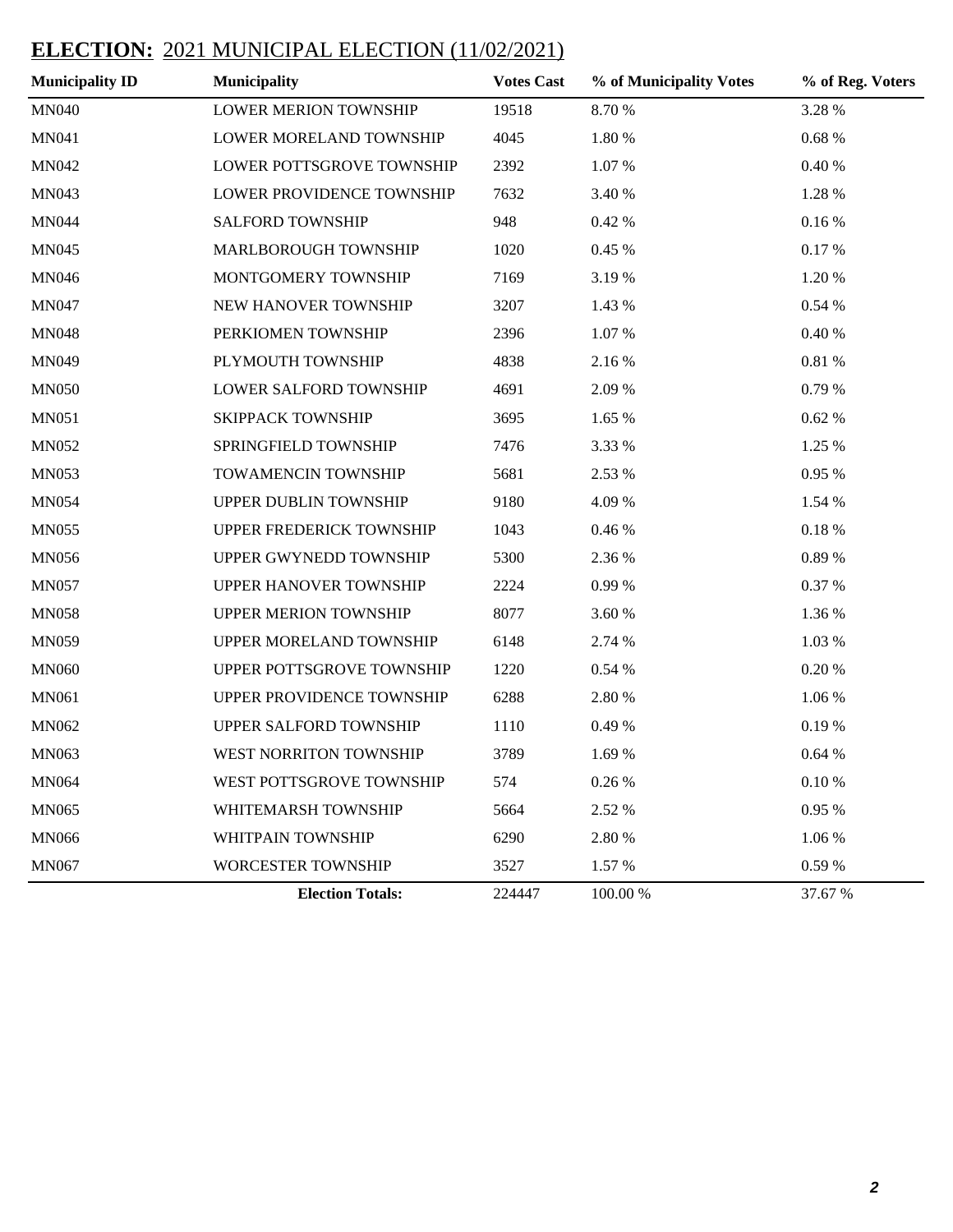| <b>Municipality ID</b> | <b>Municipality</b>           | <b>Votes Cast</b> | % of Municipality Votes | % of Reg. Voters |
|------------------------|-------------------------------|-------------------|-------------------------|------------------|
| <b>MN040</b>           | LOWER MERION TOWNSHIP         | 19518             | 8.70 %                  | 3.28 %           |
| MN041                  | LOWER MORELAND TOWNSHIP       | 4045              | 1.80 %                  | $0.68~\%$        |
| <b>MN042</b>           | LOWER POTTSGROVE TOWNSHIP     | 2392              | 1.07%                   | $0.40\ \%$       |
| MN043                  | LOWER PROVIDENCE TOWNSHIP     | 7632              | 3.40 %                  | 1.28 %           |
| <b>MN044</b>           | SALFORD TOWNSHIP              | 948               | 0.42 %                  | $0.16\,\%$       |
| <b>MN045</b>           | MARLBOROUGH TOWNSHIP          | 1020              | 0.45 %                  | 0.17%            |
| <b>MN046</b>           | MONTGOMERY TOWNSHIP           | 7169              | 3.19%                   | 1.20 %           |
| <b>MN047</b>           | NEW HANOVER TOWNSHIP          | 3207              | 1.43 %                  | 0.54 %           |
| <b>MN048</b>           | PERKIOMEN TOWNSHIP            | 2396              | 1.07%                   | $0.40\ \%$       |
| MN049                  | PLYMOUTH TOWNSHIP             | 4838              | 2.16%                   | $0.81\ \%$       |
| <b>MN050</b>           | LOWER SALFORD TOWNSHIP        | 4691              | 2.09 %                  | 0.79%            |
| MN051                  | <b>SKIPPACK TOWNSHIP</b>      | 3695              | 1.65 %                  | 0.62%            |
| <b>MN052</b>           | SPRINGFIELD TOWNSHIP          | 7476              | 3.33 %                  | 1.25 %           |
| <b>MN053</b>           | TOWAMENCIN TOWNSHIP           | 5681              | 2.53 %                  | 0.95 %           |
| <b>MN054</b>           | UPPER DUBLIN TOWNSHIP         | 9180              | 4.09 %                  | 1.54 %           |
| <b>MN055</b>           | UPPER FREDERICK TOWNSHIP      | 1043              | 0.46 %                  | $0.18~\%$        |
| <b>MN056</b>           | UPPER GWYNEDD TOWNSHIP        | 5300              | 2.36 %                  | 0.89%            |
| <b>MN057</b>           | <b>UPPER HANOVER TOWNSHIP</b> | 2224              | 0.99%                   | 0.37 %           |
| <b>MN058</b>           | <b>UPPER MERION TOWNSHIP</b>  | 8077              | 3.60 %                  | 1.36 %           |
| <b>MN059</b>           | UPPER MORELAND TOWNSHIP       | 6148              | 2.74 %                  | 1.03 %           |
| <b>MN060</b>           | UPPER POTTSGROVE TOWNSHIP     | 1220              | 0.54 %                  | 0.20%            |
| MN061                  | UPPER PROVIDENCE TOWNSHIP     | 6288              | 2.80 %                  | 1.06 %           |
| MN062                  | UPPER SALFORD TOWNSHIP        | 1110              | 0.49 %                  | 0.19%            |
| MN063                  | WEST NORRITON TOWNSHIP        | 3789              | 1.69 %                  | 0.64%            |
| <b>MN064</b>           | WEST POTTSGROVE TOWNSHIP      | 574               | 0.26 %                  | $0.10\ \%$       |
| <b>MN065</b>           | WHITEMARSH TOWNSHIP           | 5664              | 2.52 %                  | 0.95 %           |
| <b>MN066</b>           | WHITPAIN TOWNSHIP             | 6290              | 2.80 %                  | 1.06 %           |
| <b>MN067</b>           | <b>WORCESTER TOWNSHIP</b>     | 3527              | 1.57 %                  | 0.59 %           |
|                        | <b>Election Totals:</b>       | 224447            | 100.00 %                | 37.67 %          |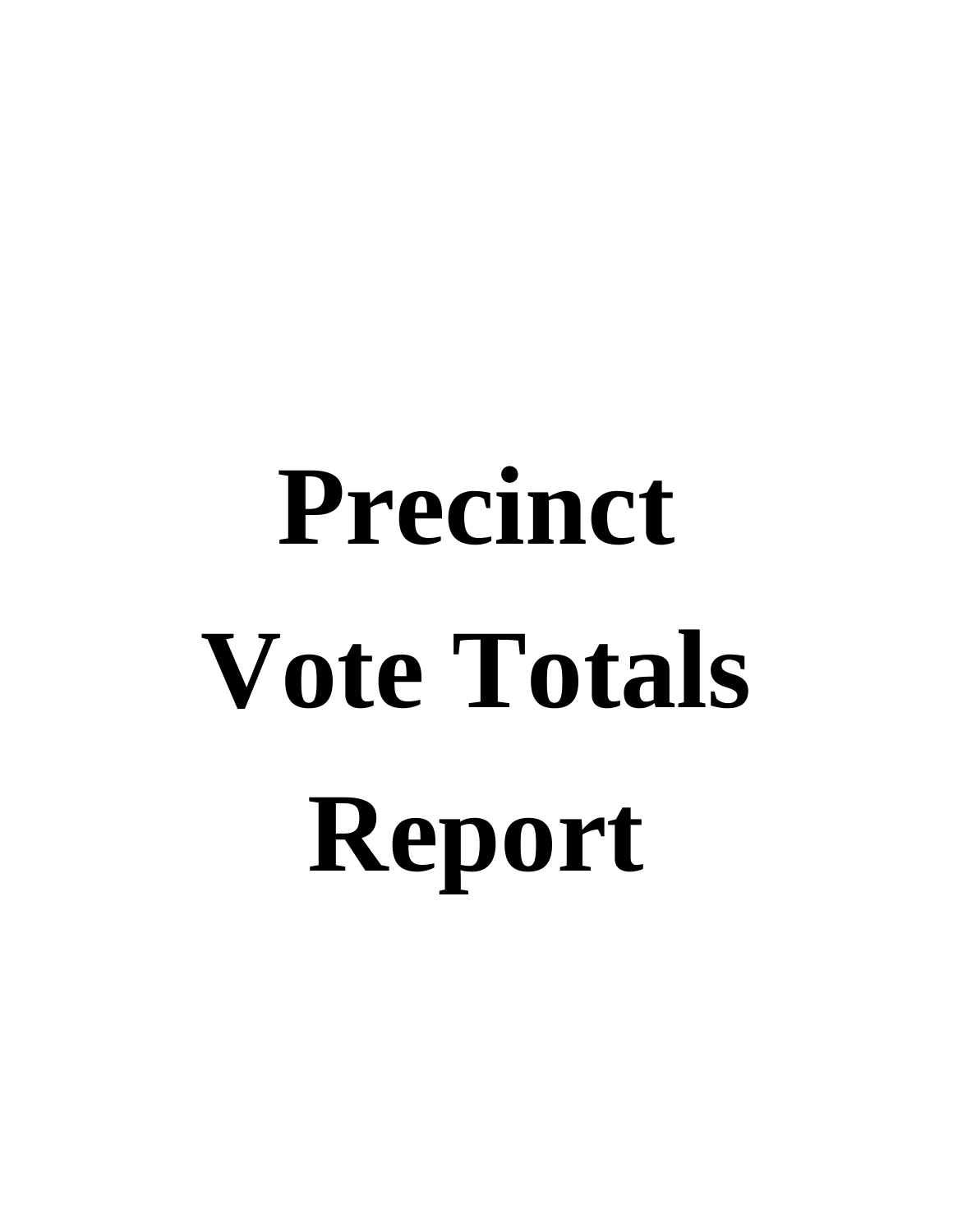# **Precinct Vote Totals Report**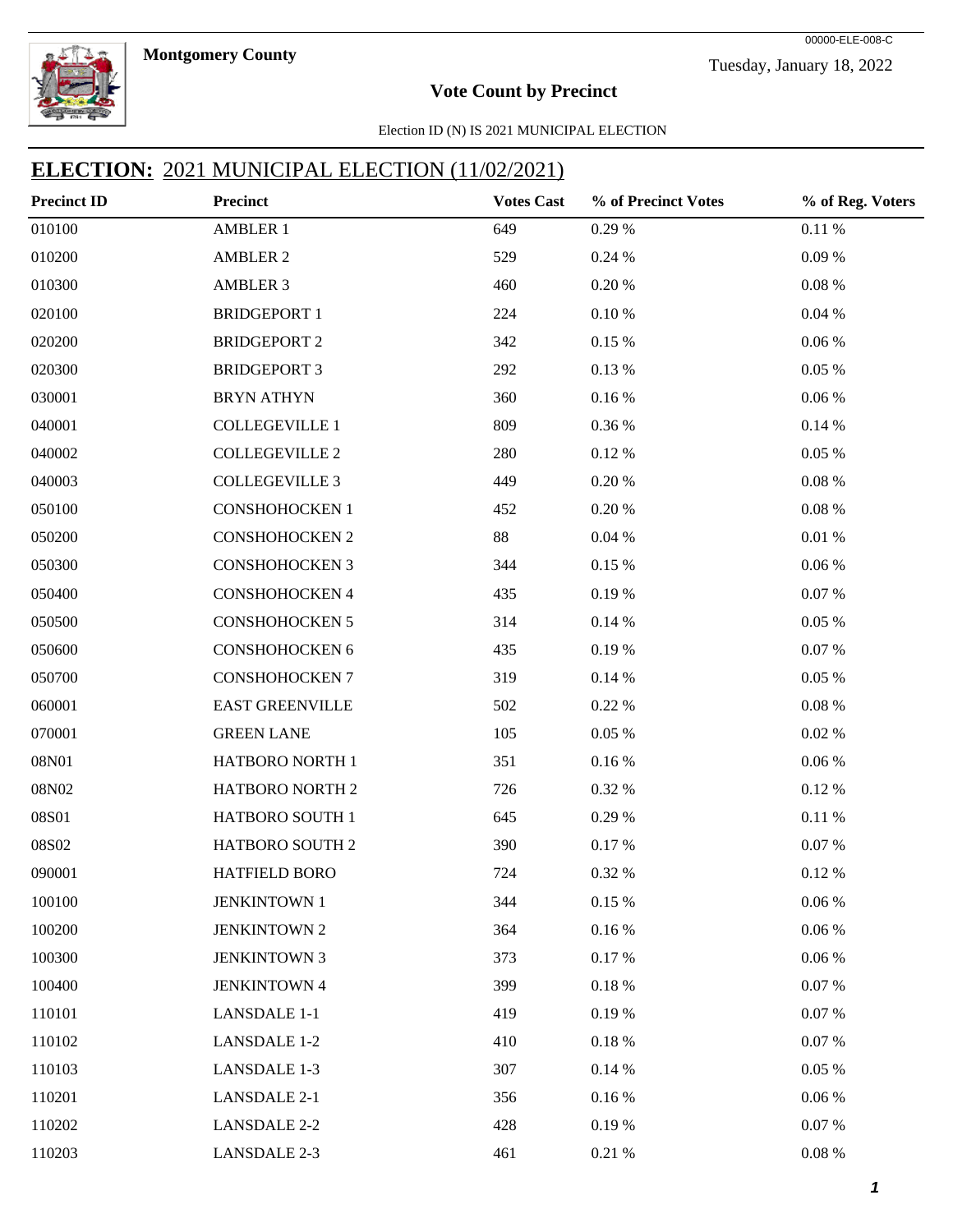



#### **Vote Count by Precinct**

Election ID (N) IS 2021 MUNICIPAL ELECTION

| <b>Precinct ID</b> | Precinct               | <b>Votes Cast</b> | % of Precinct Votes | % of Reg. Voters |
|--------------------|------------------------|-------------------|---------------------|------------------|
| 010100             | <b>AMBLER 1</b>        | 649               | 0.29 %              | 0.11 %           |
| 010200             | <b>AMBLER 2</b>        | 529               | 0.24%               | $0.09\ \%$       |
| 010300             | <b>AMBLER 3</b>        | 460               | 0.20%               | 0.08%            |
| 020100             | <b>BRIDGEPORT 1</b>    | 224               | $0.10\ \%$          | 0.04%            |
| 020200             | <b>BRIDGEPORT 2</b>    | 342               | 0.15 %              | $0.06~\%$        |
| 020300             | <b>BRIDGEPORT 3</b>    | 292               | 0.13 %              | $0.05~\%$        |
| 030001             | <b>BRYN ATHYN</b>      | 360               | 0.16%               | $0.06~\%$        |
| 040001             | <b>COLLEGEVILLE 1</b>  | 809               | 0.36 %              | 0.14%            |
| 040002             | <b>COLLEGEVILLE 2</b>  | 280               | 0.12%               | 0.05%            |
| 040003             | <b>COLLEGEVILLE 3</b>  | 449               | 0.20%               | 0.08%            |
| 050100             | <b>CONSHOHOCKEN 1</b>  | 452               | 0.20%               | $0.08~\%$        |
| 050200             | <b>CONSHOHOCKEN 2</b>  | 88                | 0.04%               | $0.01\ \%$       |
| 050300             | <b>CONSHOHOCKEN 3</b>  | 344               | 0.15 %              | $0.06\,\%$       |
| 050400             | CONSHOHOCKEN 4         | 435               | 0.19%               | $0.07~\%$        |
| 050500             | <b>CONSHOHOCKEN 5</b>  | 314               | 0.14%               | 0.05%            |
| 050600             | CONSHOHOCKEN 6         | 435               | 0.19%               | $0.07~\%$        |
| 050700             | <b>CONSHOHOCKEN 7</b>  | 319               | 0.14%               | 0.05%            |
| 060001             | <b>EAST GREENVILLE</b> | 502               | 0.22%               | 0.08%            |
| 070001             | <b>GREEN LANE</b>      | 105               | 0.05%               | $0.02~\%$        |
| 08N01              | HATBORO NORTH 1        | 351               | $0.16\:\%$          | $0.06~\%$        |
| 08N02              | HATBORO NORTH 2        | 726               | 0.32 %              | 0.12%            |
| 08S01              | HATBORO SOUTH 1        | 645               | 0.29 %              | 0.11%            |
| 08S02              | HATBORO SOUTH 2        | 390               | 0.17 %              | $0.07~\%$        |
| 090001             | HATFIELD BORO          | 724               | 0.32 %              | 0.12%            |
| 100100             | <b>JENKINTOWN 1</b>    | 344               | 0.15%               | 0.06%            |
| 100200             | <b>JENKINTOWN 2</b>    | 364               | 0.16%               | 0.06%            |
| 100300             | <b>JENKINTOWN 3</b>    | 373               | 0.17 %              | $0.06~\%$        |
| 100400             | <b>JENKINTOWN 4</b>    | 399               | $0.18~\%$           | 0.07%            |
| 110101             | <b>LANSDALE 1-1</b>    | 419               | 0.19%               | 0.07%            |
| 110102             | <b>LANSDALE 1-2</b>    | 410               | $0.18~\%$           | 0.07%            |
| 110103             | <b>LANSDALE 1-3</b>    | 307               | 0.14%               | 0.05%            |
| 110201             | <b>LANSDALE 2-1</b>    | 356               | 0.16%               | $0.06\,\%$       |
| 110202             | <b>LANSDALE 2-2</b>    | 428               | 0.19%               | $0.07~\%$        |
| 110203             | <b>LANSDALE 2-3</b>    | 461               | 0.21%               | $0.08~\%$        |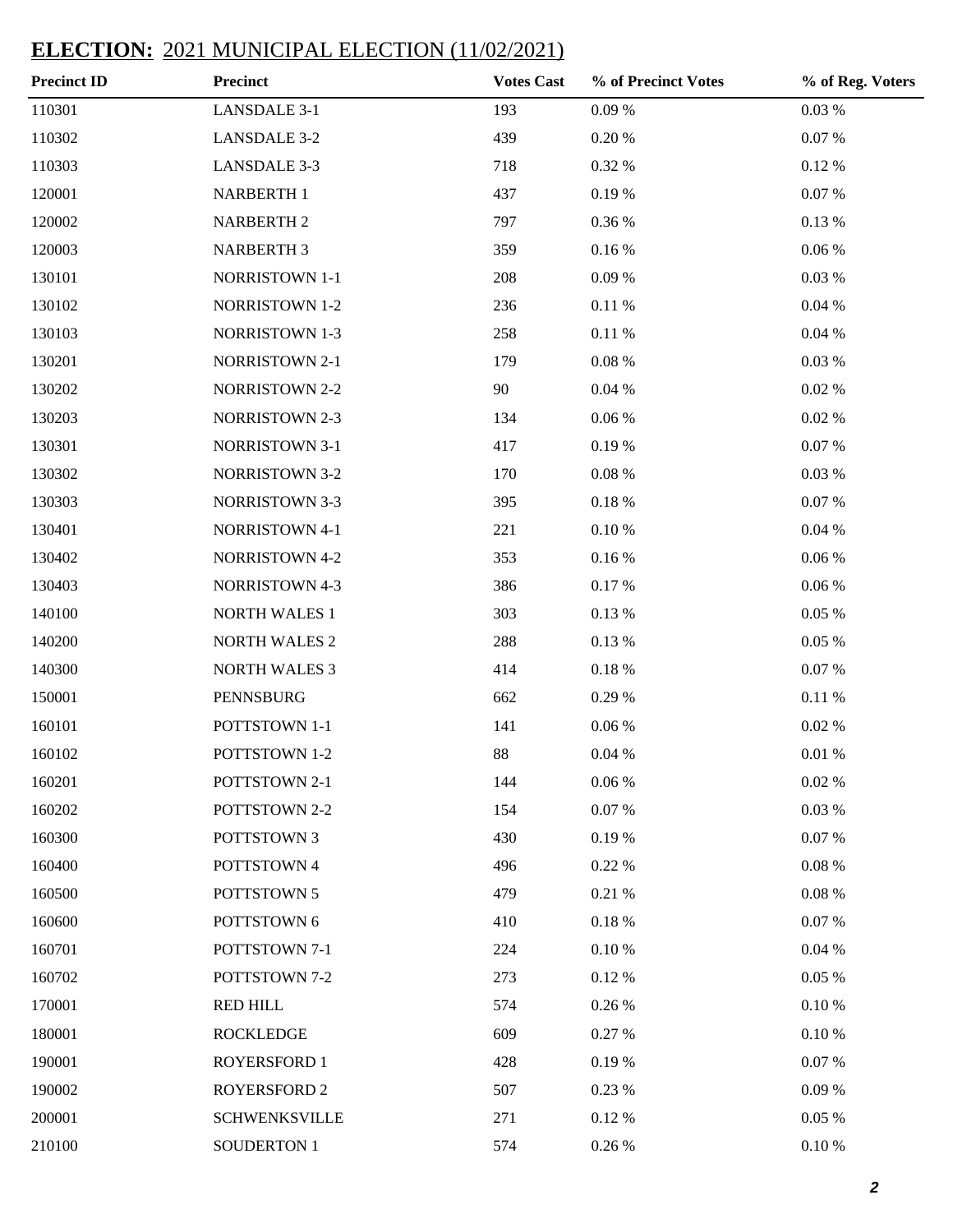| <b>Precinct ID</b> | <b>Precinct</b>       | <b>Votes Cast</b> | % of Precinct Votes | % of Reg. Voters |
|--------------------|-----------------------|-------------------|---------------------|------------------|
| 110301             | <b>LANSDALE 3-1</b>   | 193               | $0.09\ \%$          | $0.03~\%$        |
| 110302             | <b>LANSDALE 3-2</b>   | 439               | $0.20~\%$           | $0.07~\%$        |
| 110303             | <b>LANSDALE 3-3</b>   | 718               | 0.32 %              | $0.12~\%$        |
| 120001             | NARBERTH 1            | 437               | 0.19%               | $0.07~\%$        |
| 120002             | <b>NARBERTH 2</b>     | 797               | 0.36 %              | $0.13~\%$        |
| 120003             | <b>NARBERTH 3</b>     | 359               | 0.16%               | $0.06~\%$        |
| 130101             | NORRISTOWN 1-1        | 208               | 0.09%               | $0.03~\%$        |
| 130102             | <b>NORRISTOWN 1-2</b> | 236               | 0.11%               | $0.04~\%$        |
| 130103             | <b>NORRISTOWN 1-3</b> | 258               | $0.11\ \%$          | $0.04~\%$        |
| 130201             | <b>NORRISTOWN 2-1</b> | 179               | $0.08~\%$           | $0.03~\%$        |
| 130202             | <b>NORRISTOWN 2-2</b> | 90                | 0.04%               | $0.02~\%$        |
| 130203             | <b>NORRISTOWN 2-3</b> | 134               | $0.06\;\%$          | $0.02~\%$        |
| 130301             | <b>NORRISTOWN 3-1</b> | 417               | 0.19%               | $0.07~\%$        |
| 130302             | <b>NORRISTOWN 3-2</b> | 170               | $0.08~\%$           | $0.03~\%$        |
| 130303             | <b>NORRISTOWN 3-3</b> | 395               | $0.18~\%$           | 0.07 %           |
| 130401             | <b>NORRISTOWN 4-1</b> | 221               | $0.10\ \%$          | $0.04~\%$        |
| 130402             | <b>NORRISTOWN 4-2</b> | 353               | 0.16%               | $0.06~\%$        |
| 130403             | <b>NORRISTOWN 4-3</b> | 386               | 0.17%               | $0.06~\%$        |
| 140100             | <b>NORTH WALES 1</b>  | 303               | $0.13~\%$           | $0.05~\%$        |
| 140200             | <b>NORTH WALES 2</b>  | 288               | 0.13 %              | $0.05~\%$        |
| 140300             | <b>NORTH WALES 3</b>  | 414               | $0.18~\%$           | 0.07 %           |
| 150001             | PENNSBURG             | 662               | 0.29%               | $0.11\ \%$       |
| 160101             | POTTSTOWN 1-1         | 141               | $0.06\;\%$          | $0.02~\%$        |
| 160102             | POTTSTOWN 1-2         | 88                | 0.04%               | $0.01~\%$        |
| 160201             | POTTSTOWN 2-1         | 144               | $0.06\;\%$          | $0.02~\%$        |
| 160202             | POTTSTOWN 2-2         | 154               | 0.07 %              | $0.03~\%$        |
| 160300             | POTTSTOWN 3           | 430               | 0.19%               | 0.07 %           |
| 160400             | POTTSTOWN 4           | 496               | 0.22%               | $0.08~\%$        |
| 160500             | POTTSTOWN 5           | 479               | $0.21~\%$           | $0.08~\%$        |
| 160600             | POTTSTOWN 6           | 410               | $0.18~\%$           | 0.07 %           |
| 160701             | POTTSTOWN 7-1         | 224               | 0.10%               | $0.04~\%$        |
| 160702             | POTTSTOWN 7-2         | 273               | 0.12%               | 0.05%            |
| 170001             | <b>RED HILL</b>       | 574               | 0.26 %              | 0.10%            |
| 180001             | <b>ROCKLEDGE</b>      | 609               | 0.27 %              | 0.10%            |
| 190001             | <b>ROYERSFORD 1</b>   | 428               | 0.19%               | 0.07 %           |
| 190002             | <b>ROYERSFORD 2</b>   | 507               | 0.23 %              | 0.09%            |
| 200001             | <b>SCHWENKSVILLE</b>  | 271               | 0.12%               | $0.05~\%$        |
| 210100             | <b>SOUDERTON 1</b>    | 574               | $0.26~\%$           | $0.10\ \%$       |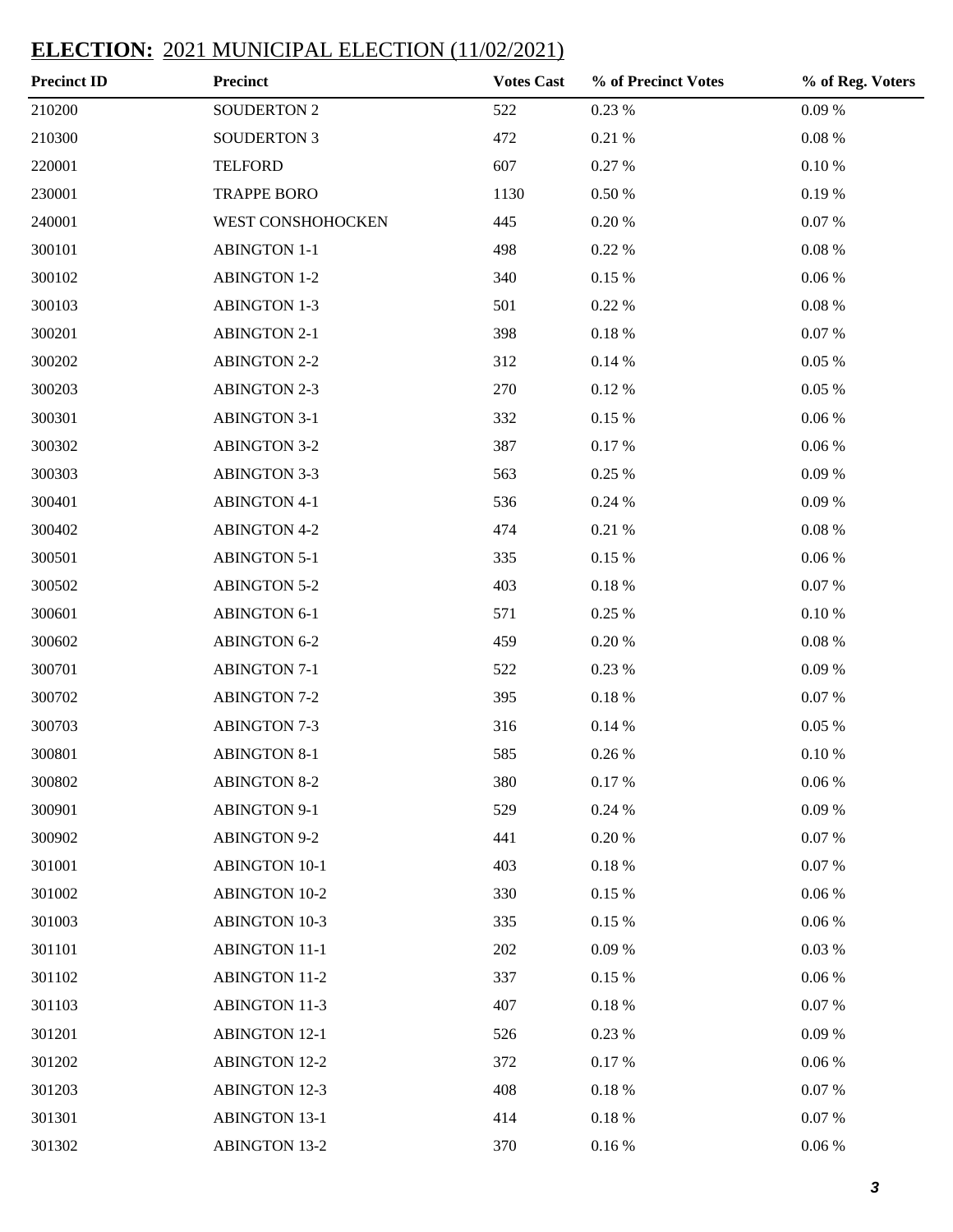| <b>Precinct ID</b> | <b>Precinct</b>      | <b>Votes Cast</b> | % of Precinct Votes | % of Reg. Voters |
|--------------------|----------------------|-------------------|---------------------|------------------|
| 210200             | <b>SOUDERTON 2</b>   | 522               | $0.23~\%$           | 0.09%            |
| 210300             | <b>SOUDERTON 3</b>   | 472               | 0.21%               | $0.08~\%$        |
| 220001             | <b>TELFORD</b>       | 607               | 0.27 %              | $0.10\ \%$       |
| 230001             | <b>TRAPPE BORO</b>   | 1130              | $0.50\;\%$          | 0.19%            |
| 240001             | WEST CONSHOHOCKEN    | 445               | $0.20~\%$           | 0.07 %           |
| 300101             | <b>ABINGTON 1-1</b>  | 498               | 0.22 %              | $0.08\ \%$       |
| 300102             | <b>ABINGTON 1-2</b>  | 340               | 0.15%               | $0.06~\%$        |
| 300103             | <b>ABINGTON 1-3</b>  | 501               | 0.22 %              | $0.08\ \%$       |
| 300201             | <b>ABINGTON 2-1</b>  | 398               | $0.18~\%$           | 0.07 %           |
| 300202             | <b>ABINGTON 2-2</b>  | 312               | 0.14%               | $0.05~\%$        |
| 300203             | <b>ABINGTON 2-3</b>  | 270               | 0.12%               | $0.05~\%$        |
| 300301             | <b>ABINGTON 3-1</b>  | 332               | 0.15%               | $0.06~\%$        |
| 300302             | <b>ABINGTON 3-2</b>  | 387               | 0.17%               | $0.06~\%$        |
| 300303             | <b>ABINGTON 3-3</b>  | 563               | 0.25 %              | 0.09%            |
| 300401             | <b>ABINGTON 4-1</b>  | 536               | 0.24%               | 0.09%            |
| 300402             | <b>ABINGTON 4-2</b>  | 474               | 0.21%               | $0.08\ \%$       |
| 300501             | <b>ABINGTON 5-1</b>  | 335               | 0.15%               | $0.06~\%$        |
| 300502             | <b>ABINGTON 5-2</b>  | 403               | $0.18~\%$           | $0.07~\%$        |
| 300601             | <b>ABINGTON 6-1</b>  | 571               | 0.25 %              | $0.10\ \%$       |
| 300602             | <b>ABINGTON 6-2</b>  | 459               | $0.20~\%$           | $0.08\ \%$       |
| 300701             | <b>ABINGTON 7-1</b>  | 522               | 0.23 %              | 0.09%            |
| 300702             | <b>ABINGTON 7-2</b>  | 395               | $0.18~\%$           | $0.07~\%$        |
| 300703             | <b>ABINGTON 7-3</b>  | 316               | 0.14%               | $0.05~\%$        |
| 300801             | <b>ABINGTON 8-1</b>  | 585               | 0.26 %              | $0.10\ \%$       |
| 300802             | <b>ABINGTON 8-2</b>  | 380               | 0.17%               | $0.06\;\%$       |
| 300901             | <b>ABINGTON 9-1</b>  | 529               | 0.24%               | 0.09%            |
| 300902             | <b>ABINGTON 9-2</b>  | 441               | 0.20%               | 0.07 %           |
| 301001             | <b>ABINGTON 10-1</b> | 403               | $0.18~\%$           | 0.07 %           |
| 301002             | <b>ABINGTON 10-2</b> | 330               | 0.15%               | $0.06~\%$        |
| 301003             | <b>ABINGTON 10-3</b> | 335               | 0.15%               | 0.06%            |
| 301101             | <b>ABINGTON 11-1</b> | 202               | 0.09%               | $0.03\ \%$       |
| 301102             | <b>ABINGTON 11-2</b> | 337               | 0.15%               | 0.06%            |
| 301103             | <b>ABINGTON 11-3</b> | 407               | $0.18~\%$           | 0.07 %           |
| 301201             | <b>ABINGTON 12-1</b> | 526               | 0.23 %              | 0.09%            |
| 301202             | <b>ABINGTON 12-2</b> | 372               | 0.17%               | $0.06~\%$        |
| 301203             | <b>ABINGTON 12-3</b> | 408               | $0.18~\%$           | 0.07 %           |
| 301301             | <b>ABINGTON 13-1</b> | 414               | $0.18~\%$           | 0.07 %           |
| 301302             | <b>ABINGTON 13-2</b> | 370               | $0.16\,\%$          | $0.06~\%$        |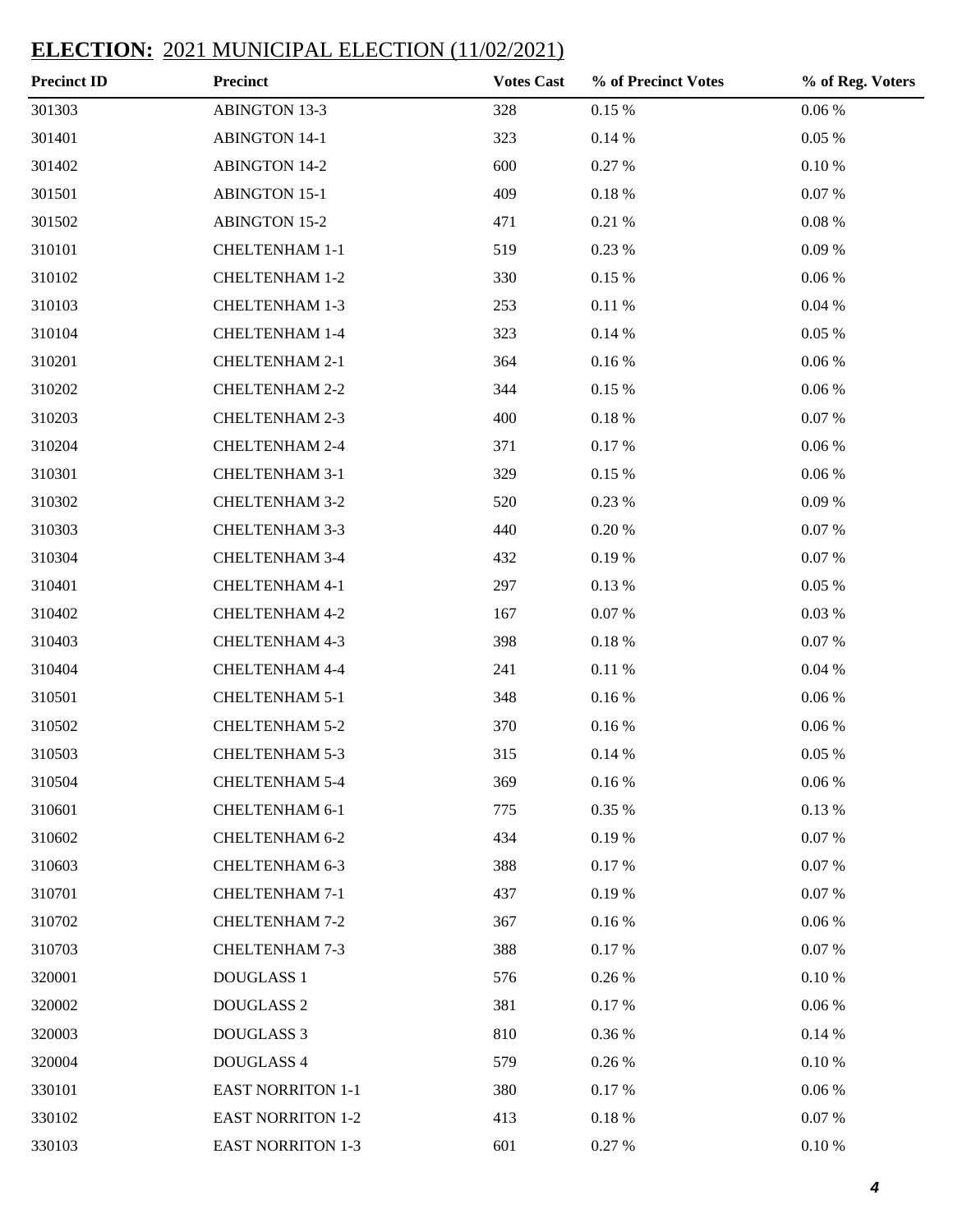| <b>Precinct ID</b> | <b>Precinct</b>          | <b>Votes Cast</b> | % of Precinct Votes | % of Reg. Voters |
|--------------------|--------------------------|-------------------|---------------------|------------------|
| 301303             | <b>ABINGTON 13-3</b>     | 328               | $0.15~\%$           | $0.06~\%$        |
| 301401             | <b>ABINGTON 14-1</b>     | 323               | 0.14%               | 0.05%            |
| 301402             | <b>ABINGTON 14-2</b>     | 600               | 0.27 %              | $0.10\ \%$       |
| 301501             | <b>ABINGTON 15-1</b>     | 409               | 0.18%               | $0.07~\%$        |
| 301502             | <b>ABINGTON 15-2</b>     | 471               | 0.21%               | $0.08~\%$        |
| 310101             | <b>CHELTENHAM 1-1</b>    | 519               | 0.23 %              | 0.09%            |
| 310102             | <b>CHELTENHAM 1-2</b>    | 330               | 0.15 %              | $0.06~\%$        |
| 310103             | <b>CHELTENHAM 1-3</b>    | 253               | 0.11%               | $0.04~\%$        |
| 310104             | <b>CHELTENHAM 1-4</b>    | 323               | 0.14%               | 0.05%            |
| 310201             | CHELTENHAM 2-1           | 364               | $0.16\,\%$          | $0.06~\%$        |
| 310202             | <b>CHELTENHAM 2-2</b>    | 344               | 0.15 %              | $0.06~\%$        |
| 310203             | <b>CHELTENHAM 2-3</b>    | 400               | $0.18~\%$           | $0.07~\%$        |
| 310204             | <b>CHELTENHAM 2-4</b>    | 371               | 0.17%               | $0.06~\%$        |
| 310301             | <b>CHELTENHAM 3-1</b>    | 329               | 0.15 %              | $0.06~\%$        |
| 310302             | <b>CHELTENHAM 3-2</b>    | 520               | 0.23 %              | 0.09%            |
| 310303             | <b>CHELTENHAM 3-3</b>    | 440               | 0.20%               | $0.07~\%$        |
| 310304             | <b>CHELTENHAM 3-4</b>    | 432               | 0.19%               | $0.07~\%$        |
| 310401             | <b>CHELTENHAM 4-1</b>    | 297               | 0.13 %              | 0.05%            |
| 310402             | <b>CHELTENHAM 4-2</b>    | 167               | $0.07~\%$           | 0.03%            |
| 310403             | <b>CHELTENHAM 4-3</b>    | 398               | $0.18~\%$           | $0.07~\%$        |
| 310404             | <b>CHELTENHAM 4-4</b>    | 241               | 0.11%               | $0.04~\%$        |
| 310501             | CHELTENHAM 5-1           | 348               | $0.16\,\%$          | $0.06~\%$        |
| 310502             | <b>CHELTENHAM 5-2</b>    | 370               | 0.16%               | $0.06~\%$        |
| 310503             | <b>CHELTENHAM 5-3</b>    | 315               | 0.14%               | $0.05~\%$        |
| 310504             | <b>CHELTENHAM 5-4</b>    | 369               | $0.16\:\%$          | $0.06\;\%$       |
| 310601             | <b>CHELTENHAM 6-1</b>    | 775               | 0.35 %              | $0.13\ \%$       |
| 310602             | <b>CHELTENHAM 6-2</b>    | 434               | 0.19%               | $0.07~\%$        |
| 310603             | <b>CHELTENHAM 6-3</b>    | 388               | 0.17 %              | 0.07 %           |
| 310701             | <b>CHELTENHAM 7-1</b>    | 437               | 0.19%               | $0.07~\%$        |
| 310702             | <b>CHELTENHAM 7-2</b>    | 367               | 0.16%               | $0.06~\%$        |
| 310703             | CHELTENHAM 7-3           | 388               | 0.17 %              | $0.07~\%$        |
| 320001             | <b>DOUGLASS 1</b>        | 576               | 0.26 %              | $0.10\ \%$       |
| 320002             | DOUGLASS <sub>2</sub>    | 381               | 0.17 %              | $0.06~\%$        |
| 320003             | DOUGLASS 3               | 810               | 0.36 %              | 0.14%            |
| 320004             | DOUGLASS 4               | 579               | 0.26 %              | $0.10\ \%$       |
| 330101             | <b>EAST NORRITON 1-1</b> | 380               | 0.17%               | $0.06~\%$        |
| 330102             | <b>EAST NORRITON 1-2</b> | 413               | 0.18%               | 0.07 %           |
| 330103             | <b>EAST NORRITON 1-3</b> | 601               | 0.27 %              | $0.10\ \%$       |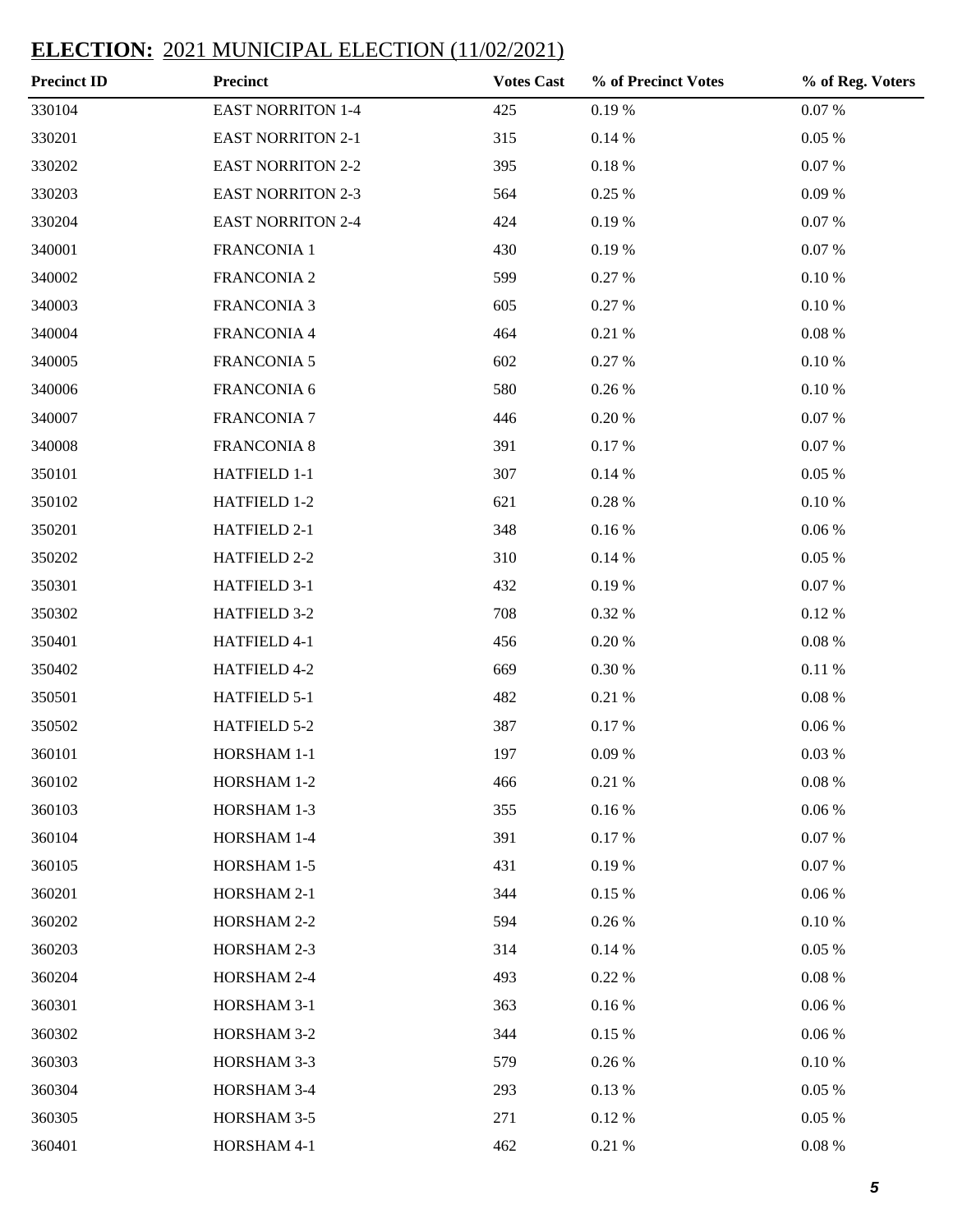| <b>Precinct ID</b> | <b>Precinct</b>          | <b>Votes Cast</b> | % of Precinct Votes | % of Reg. Voters |
|--------------------|--------------------------|-------------------|---------------------|------------------|
| 330104             | <b>EAST NORRITON 1-4</b> | 425               | 0.19%               | $0.07~\%$        |
| 330201             | <b>EAST NORRITON 2-1</b> | 315               | 0.14%               | 0.05%            |
| 330202             | <b>EAST NORRITON 2-2</b> | 395               | $0.18~\%$           | 0.07 %           |
| 330203             | <b>EAST NORRITON 2-3</b> | 564               | 0.25 %              | 0.09%            |
| 330204             | <b>EAST NORRITON 2-4</b> | 424               | 0.19%               | 0.07 %           |
| 340001             | FRANCONIA 1              | 430               | 0.19%               | $0.07~\%$        |
| 340002             | <b>FRANCONIA 2</b>       | 599               | 0.27 %              | $0.10\ \%$       |
| 340003             | <b>FRANCONIA 3</b>       | 605               | 0.27 %              | $0.10\ \%$       |
| 340004             | FRANCONIA 4              | 464               | 0.21%               | $0.08\ \%$       |
| 340005             | <b>FRANCONIA 5</b>       | 602               | 0.27 %              | $0.10\ \%$       |
| 340006             | FRANCONIA 6              | 580               | $0.26~\%$           | $0.10\ \%$       |
| 340007             | <b>FRANCONIA 7</b>       | 446               | $0.20~\%$           | $0.07~\%$        |
| 340008             | <b>FRANCONIA 8</b>       | 391               | 0.17%               | 0.07 %           |
| 350101             | HATFIELD 1-1             | 307               | 0.14%               | $0.05~\%$        |
| 350102             | HATFIELD 1-2             | 621               | $0.28~\%$           | $0.10\ \%$       |
| 350201             | HATFIELD 2-1             | 348               | $0.16\:\%$          | $0.06~\%$        |
| 350202             | HATFIELD 2-2             | 310               | 0.14%               | 0.05%            |
| 350301             | HATFIELD 3-1             | 432               | 0.19%               | 0.07 %           |
| 350302             | HATFIELD 3-2             | 708               | 0.32 %              | 0.12%            |
| 350401             | HATFIELD 4-1             | 456               | 0.20%               | $0.08\ \%$       |
| 350402             | HATFIELD 4-2             | 669               | $0.30~\%$           | 0.11%            |
| 350501             | HATFIELD 5-1             | 482               | 0.21%               | $0.08\ \%$       |
| 350502             | HATFIELD 5-2             | 387               | 0.17%               | $0.06~\%$        |
| 360101             | HORSHAM 1-1              | 197               | 0.09%               | 0.03%            |
| 360102             | HORSHAM 1-2              | 466               | 0.21%               | $0.08\ \%$       |
| 360103             | HORSHAM 1-3              | 355               | $0.16\:\%$          | $0.06\;\%$       |
| 360104             | HORSHAM 1-4              | 391               | 0.17%               | 0.07 %           |
| 360105             | HORSHAM 1-5              | 431               | $0.19\ \%$          | 0.07 %           |
| 360201             | HORSHAM 2-1              | 344               | 0.15%               | $0.06~\%$        |
| 360202             | HORSHAM 2-2              | 594               | $0.26~\%$           | 0.10%            |
| 360203             | HORSHAM 2-3              | 314               | 0.14%               | 0.05%            |
| 360204             | HORSHAM 2-4              | 493               | 0.22 %              | $0.08~\%$        |
| 360301             | HORSHAM 3-1              | 363               | $0.16\:\%$          | $0.06~\%$        |
| 360302             | HORSHAM 3-2              | 344               | 0.15 %              | $0.06\;\%$       |
| 360303             | HORSHAM 3-3              | 579               | $0.26~\%$           | $0.10\ \%$       |
| 360304             | HORSHAM 3-4              | 293               | 0.13 %              | 0.05%            |
| 360305             | HORSHAM 3-5              | 271               | 0.12%               | 0.05 %           |
| 360401             | HORSHAM 4-1              | 462               | 0.21 %              | $0.08~\%$        |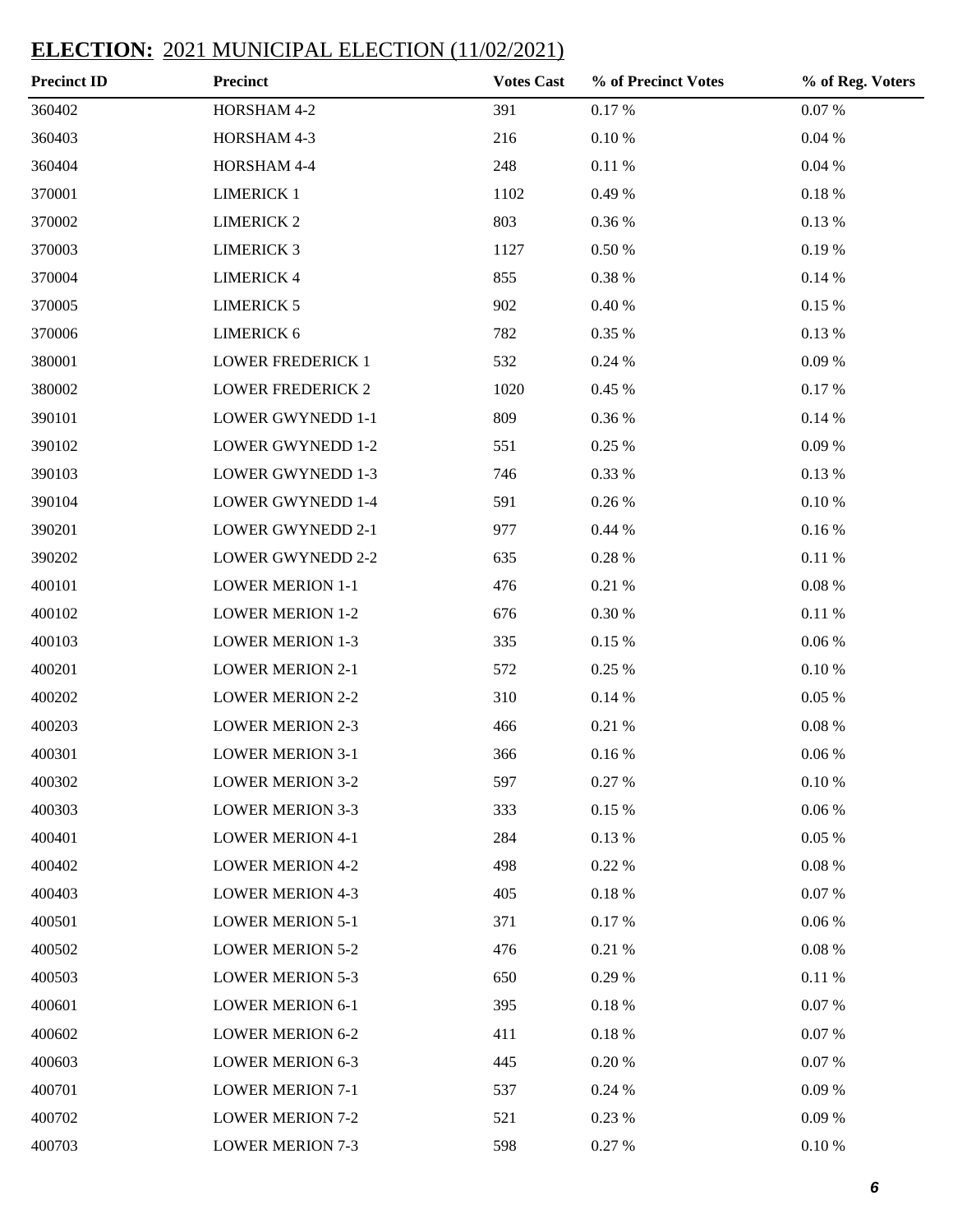| <b>Precinct ID</b> | <b>Precinct</b>          | <b>Votes Cast</b> | % of Precinct Votes | % of Reg. Voters |
|--------------------|--------------------------|-------------------|---------------------|------------------|
| 360402             | HORSHAM 4-2              | 391               | 0.17%               | $0.07~\%$        |
| 360403             | HORSHAM 4-3              | 216               | $0.10\:\%$          | $0.04~\%$        |
| 360404             | HORSHAM 4-4              | 248               | 0.11%               | $0.04~\%$        |
| 370001             | <b>LIMERICK 1</b>        | 1102              | 0.49 %              | $0.18\ \%$       |
| 370002             | <b>LIMERICK 2</b>        | 803               | 0.36 %              | 0.13 %           |
| 370003             | <b>LIMERICK 3</b>        | 1127              | $0.50\;\%$          | 0.19%            |
| 370004             | <b>LIMERICK 4</b>        | 855               | $0.38~\%$           | 0.14%            |
| 370005             | <b>LIMERICK 5</b>        | 902               | 0.40%               | 0.15 %           |
| 370006             | <b>LIMERICK 6</b>        | 782               | 0.35 %              | 0.13 %           |
| 380001             | <b>LOWER FREDERICK 1</b> | 532               | 0.24 %              | 0.09%            |
| 380002             | <b>LOWER FREDERICK 2</b> | 1020              | 0.45 %              | 0.17%            |
| 390101             | <b>LOWER GWYNEDD 1-1</b> | 809               | 0.36 %              | $0.14~\%$        |
| 390102             | <b>LOWER GWYNEDD 1-2</b> | 551               | 0.25 %              | 0.09%            |
| 390103             | <b>LOWER GWYNEDD 1-3</b> | 746               | 0.33 %              | 0.13 %           |
| 390104             | <b>LOWER GWYNEDD 1-4</b> | 591               | $0.26~\%$           | $0.10\ \%$       |
| 390201             | <b>LOWER GWYNEDD 2-1</b> | 977               | 0.44%               | $0.16\:\%$       |
| 390202             | <b>LOWER GWYNEDD 2-2</b> | 635               | $0.28~\%$           | 0.11%            |
| 400101             | <b>LOWER MERION 1-1</b>  | 476               | 0.21%               | $0.08\ \%$       |
| 400102             | <b>LOWER MERION 1-2</b>  | 676               | $0.30~\%$           | 0.11%            |
| 400103             | <b>LOWER MERION 1-3</b>  | 335               | 0.15%               | $0.06~\%$        |
| 400201             | <b>LOWER MERION 2-1</b>  | 572               | 0.25 %              | 0.10%            |
| 400202             | <b>LOWER MERION 2-2</b>  | 310               | 0.14%               | $0.05~\%$        |
| 400203             | <b>LOWER MERION 2-3</b>  | 466               | 0.21%               | $0.08~\%$        |
| 400301             | <b>LOWER MERION 3-1</b>  | 366               | 0.16%               | $0.06~\%$        |
| 400302             | <b>LOWER MERION 3-2</b>  | 597               | 0.27 %              | 0.10%            |
| 400303             | <b>LOWER MERION 3-3</b>  | 333               | 0.15%               | $0.06\;\%$       |
| 400401             | <b>LOWER MERION 4-1</b>  | 284               | 0.13 %              | 0.05%            |
| 400402             | <b>LOWER MERION 4-2</b>  | 498               | 0.22 %              | $0.08~\%$        |
| 400403             | <b>LOWER MERION 4-3</b>  | 405               | $0.18~\%$           | 0.07 %           |
| 400501             | <b>LOWER MERION 5-1</b>  | 371               | 0.17%               | $0.06\;\%$       |
| 400502             | <b>LOWER MERION 5-2</b>  | 476               | 0.21%               | $0.08~\%$        |
| 400503             | <b>LOWER MERION 5-3</b>  | 650               | 0.29 %              | 0.11%            |
| 400601             | <b>LOWER MERION 6-1</b>  | 395               | $0.18~\%$           | 0.07 %           |
| 400602             | <b>LOWER MERION 6-2</b>  | 411               | $0.18~\%$           | 0.07 %           |
| 400603             | <b>LOWER MERION 6-3</b>  | 445               | 0.20%               | 0.07 %           |
| 400701             | <b>LOWER MERION 7-1</b>  | 537               | 0.24 %              | 0.09%            |
| 400702             | <b>LOWER MERION 7-2</b>  | 521               | 0.23 %              | 0.09%            |
| 400703             | <b>LOWER MERION 7-3</b>  | 598               | 0.27 %              | $0.10\ \%$       |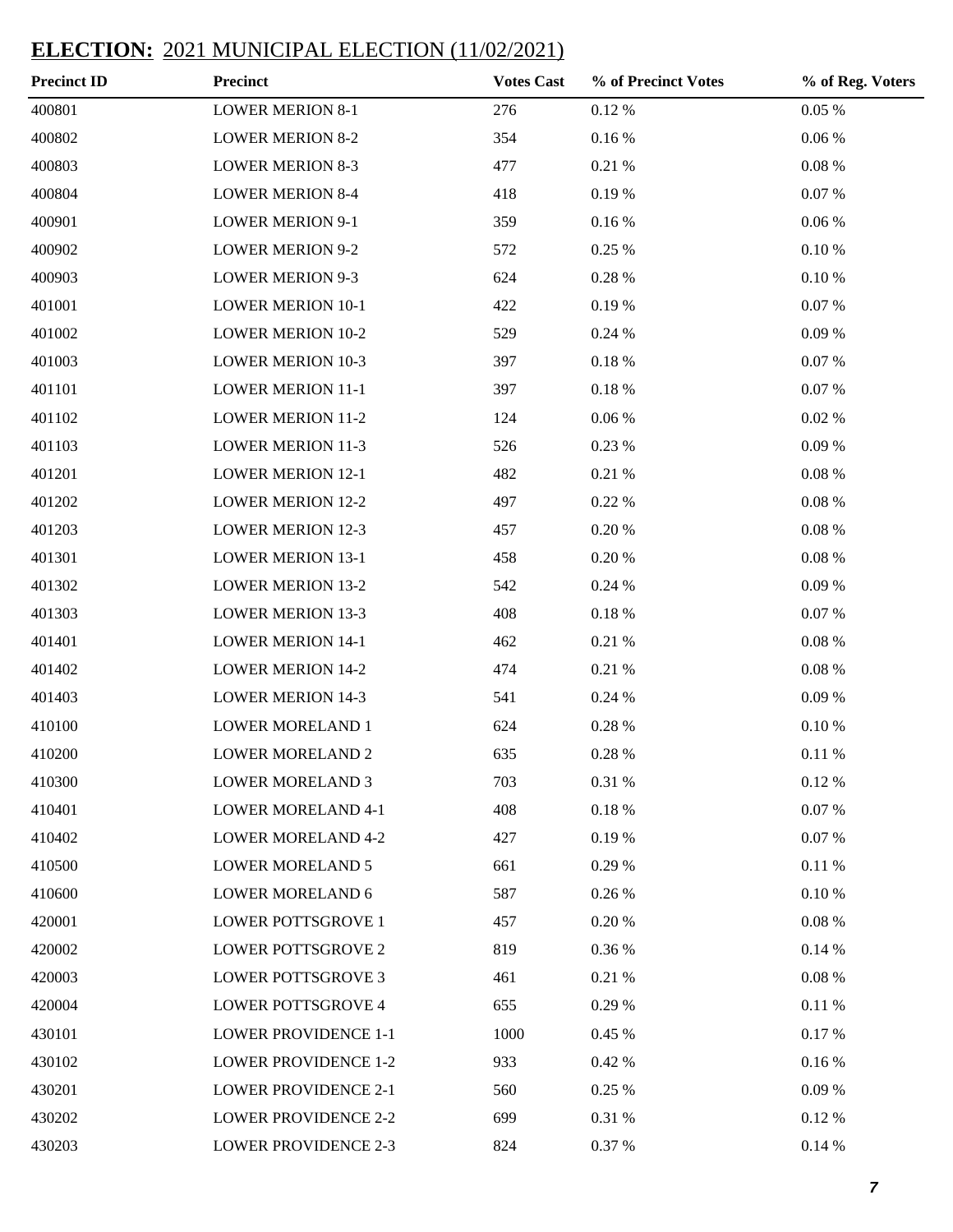| <b>Precinct ID</b> | <b>Precinct</b>             | <b>Votes Cast</b> | % of Precinct Votes | % of Reg. Voters |
|--------------------|-----------------------------|-------------------|---------------------|------------------|
| 400801             | <b>LOWER MERION 8-1</b>     | 276               | $0.12~\%$           | $0.05~\%$        |
| 400802             | <b>LOWER MERION 8-2</b>     | 354               | 0.16%               | $0.06~\%$        |
| 400803             | <b>LOWER MERION 8-3</b>     | 477               | 0.21%               | $0.08~\%$        |
| 400804             | <b>LOWER MERION 8-4</b>     | 418               | 0.19%               | $0.07~\%$        |
| 400901             | <b>LOWER MERION 9-1</b>     | 359               | 0.16%               | $0.06~\%$        |
| 400902             | <b>LOWER MERION 9-2</b>     | 572               | 0.25%               | $0.10\ \%$       |
| 400903             | <b>LOWER MERION 9-3</b>     | 624               | $0.28~\%$           | $0.10\ \%$       |
| 401001             | <b>LOWER MERION 10-1</b>    | 422               | 0.19%               | $0.07~\%$        |
| 401002             | <b>LOWER MERION 10-2</b>    | 529               | 0.24%               | $0.09\ \%$       |
| 401003             | <b>LOWER MERION 10-3</b>    | 397               | $0.18~\%$           | 0.07 %           |
| 401101             | <b>LOWER MERION 11-1</b>    | 397               | $0.18~\%$           | 0.07 %           |
| 401102             | <b>LOWER MERION 11-2</b>    | 124               | 0.06%               | $0.02~\%$        |
| 401103             | <b>LOWER MERION 11-3</b>    | 526               | 0.23 %              | $0.09\ \%$       |
| 401201             | <b>LOWER MERION 12-1</b>    | 482               | 0.21%               | $0.08~\%$        |
| 401202             | <b>LOWER MERION 12-2</b>    | 497               | 0.22%               | $0.08~\%$        |
| 401203             | <b>LOWER MERION 12-3</b>    | 457               | 0.20%               | $0.08~\%$        |
| 401301             | <b>LOWER MERION 13-1</b>    | 458               | 0.20%               | $0.08~\%$        |
| 401302             | <b>LOWER MERION 13-2</b>    | 542               | 0.24%               | 0.09%            |
| 401303             | <b>LOWER MERION 13-3</b>    | 408               | $0.18~\%$           | 0.07 %           |
| 401401             | <b>LOWER MERION 14-1</b>    | 462               | 0.21%               | $0.08~\%$        |
| 401402             | <b>LOWER MERION 14-2</b>    | 474               | 0.21%               | $0.08~\%$        |
| 401403             | <b>LOWER MERION 14-3</b>    | 541               | 0.24%               | 0.09%            |
| 410100             | <b>LOWER MORELAND 1</b>     | 624               | $0.28~\%$           | $0.10\ \%$       |
| 410200             | <b>LOWER MORELAND 2</b>     | 635               | 0.28 %              | 0.11%            |
| 410300             | <b>LOWER MORELAND 3</b>     | 703               | 0.31 %              | 0.12%            |
| 410401             | <b>LOWER MORELAND 4-1</b>   | 408               | 0.18%               | $0.07~\%$        |
| 410402             | <b>LOWER MORELAND 4-2</b>   | 427               | 0.19%               | 0.07 %           |
| 410500             | <b>LOWER MORELAND 5</b>     | 661               | 0.29 %              | 0.11%            |
| 410600             | <b>LOWER MORELAND 6</b>     | 587               | 0.26 %              | $0.10\ \%$       |
| 420001             | <b>LOWER POTTSGROVE 1</b>   | 457               | 0.20%               | $0.08~\%$        |
| 420002             | <b>LOWER POTTSGROVE 2</b>   | 819               | 0.36 %              | 0.14%            |
| 420003             | <b>LOWER POTTSGROVE 3</b>   | 461               | 0.21%               | $0.08~\%$        |
| 420004             | <b>LOWER POTTSGROVE 4</b>   | 655               | 0.29 %              | 0.11%            |
| 430101             | <b>LOWER PROVIDENCE 1-1</b> | 1000              | 0.45 %              | 0.17%            |
| 430102             | <b>LOWER PROVIDENCE 1-2</b> | 933               | 0.42 %              | $0.16\,\%$       |
| 430201             | <b>LOWER PROVIDENCE 2-1</b> | 560               | 0.25 %              | 0.09%            |
| 430202             | <b>LOWER PROVIDENCE 2-2</b> | 699               | 0.31 %              | 0.12%            |
| 430203             | <b>LOWER PROVIDENCE 2-3</b> | 824               | 0.37 %              | 0.14%            |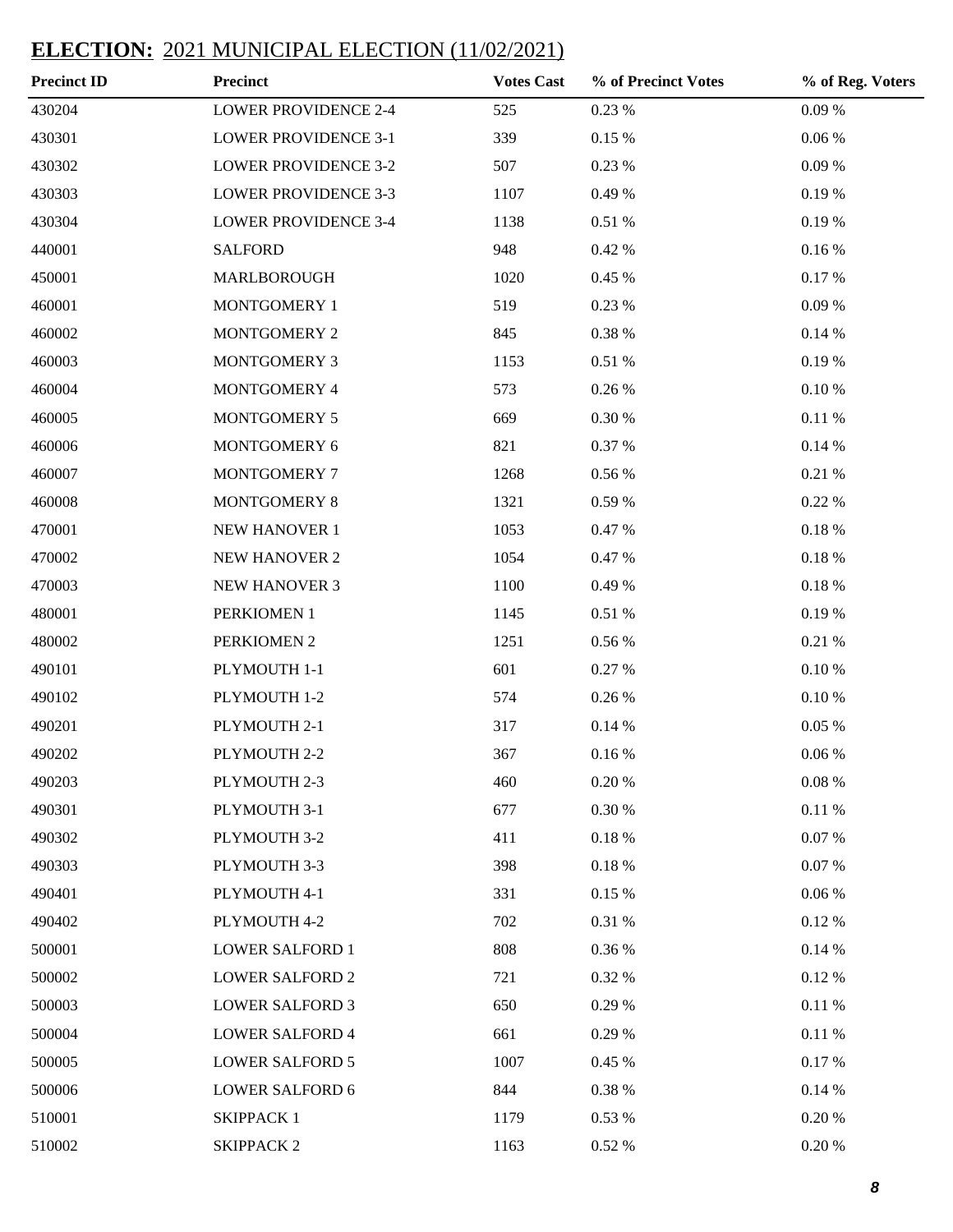| <b>Precinct ID</b> | <b>Precinct</b>             | <b>Votes Cast</b> | % of Precinct Votes | % of Reg. Voters |
|--------------------|-----------------------------|-------------------|---------------------|------------------|
| 430204             | <b>LOWER PROVIDENCE 2-4</b> | 525               | 0.23%               | $0.09\ \%$       |
| 430301             | <b>LOWER PROVIDENCE 3-1</b> | 339               | $0.15~\%$           | $0.06~\%$        |
| 430302             | <b>LOWER PROVIDENCE 3-2</b> | 507               | 0.23 %              | $0.09\ \%$       |
| 430303             | <b>LOWER PROVIDENCE 3-3</b> | 1107              | 0.49 %              | 0.19%            |
| 430304             | <b>LOWER PROVIDENCE 3-4</b> | 1138              | $0.51\ \%$          | 0.19%            |
| 440001             | <b>SALFORD</b>              | 948               | $0.42~\%$           | $0.16\:\%$       |
| 450001             | MARLBOROUGH                 | 1020              | 0.45 %              | 0.17%            |
| 460001             | MONTGOMERY 1                | 519               | 0.23 %              | 0.09%            |
| 460002             | MONTGOMERY 2                | 845               | $0.38~\%$           | $0.14~\%$        |
| 460003             | MONTGOMERY 3                | 1153              | $0.51\ \%$          | $0.19\ \%$       |
| 460004             | MONTGOMERY 4                | 573               | 0.26 %              | $0.10\ \%$       |
| 460005             | MONTGOMERY 5                | 669               | 0.30 %              | $0.11\ \%$       |
| 460006             | MONTGOMERY 6                | 821               | 0.37 %              | $0.14~\%$        |
| 460007             | MONTGOMERY 7                | 1268              | 0.56 %              | $0.21~\%$        |
| 460008             | <b>MONTGOMERY 8</b>         | 1321              | 0.59%               | 0.22 %           |
| 470001             | NEW HANOVER 1               | 1053              | 0.47 %              | $0.18~\%$        |
| 470002             | NEW HANOVER 2               | 1054              | 0.47 %              | $0.18~\%$        |
| 470003             | NEW HANOVER 3               | 1100              | 0.49 %              | $0.18~\%$        |
| 480001             | PERKIOMEN 1                 | 1145              | 0.51%               | $0.19\ \%$       |
| 480002             | PERKIOMEN 2                 | 1251              | $0.56~\%$           | $0.21~\%$        |
| 490101             | PLYMOUTH 1-1                | 601               | 0.27%               | $0.10\ \%$       |
| 490102             | PLYMOUTH 1-2                | 574               | 0.26%               | $0.10\ \%$       |
| 490201             | PLYMOUTH 2-1                | 317               | 0.14%               | $0.05~\%$        |
| 490202             | PLYMOUTH 2-2                | 367               | 0.16%               | 0.06%            |
| 490203             | PLYMOUTH 2-3                | 460               | $0.20~\%$           | $0.08~\%$        |
| 490301             | PLYMOUTH 3-1                | 677               | 0.30 %              | $0.11\ \%$       |
| 490302             | PLYMOUTH 3-2                | 411               | $0.18~\%$           | $0.07~\%$        |
| 490303             | PLYMOUTH 3-3                | 398               | $0.18~\%$           | 0.07 %           |
| 490401             | PLYMOUTH 4-1                | 331               | 0.15%               | $0.06~\%$        |
| 490402             | PLYMOUTH 4-2                | 702               | $0.31\ \%$          | 0.12%            |
| 500001             | <b>LOWER SALFORD 1</b>      | 808               | 0.36 %              | $0.14~\%$        |
| 500002             | <b>LOWER SALFORD 2</b>      | 721               | 0.32 %              | 0.12%            |
| 500003             | <b>LOWER SALFORD 3</b>      | 650               | 0.29%               | $0.11\ \%$       |
| 500004             | <b>LOWER SALFORD 4</b>      | 661               | 0.29%               | 0.11 %           |
| 500005             | <b>LOWER SALFORD 5</b>      | 1007              | 0.45 %              | 0.17%            |
| 500006             | <b>LOWER SALFORD 6</b>      | 844               | $0.38~\%$           | 0.14%            |
| 510001             | <b>SKIPPACK1</b>            | 1179              | 0.53 %              | 0.20%            |
| 510002             | <b>SKIPPACK 2</b>           | 1163              | 0.52%               | 0.20%            |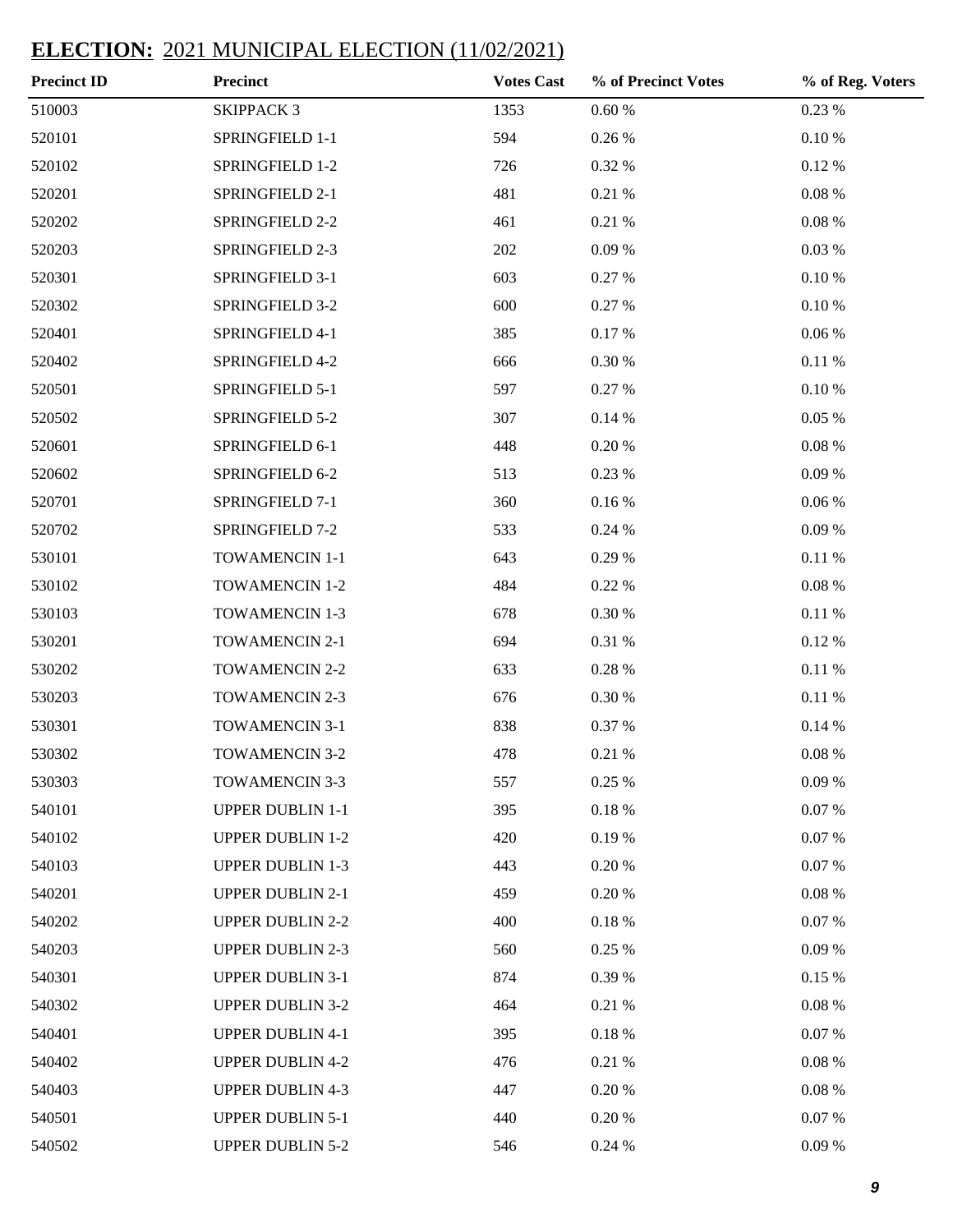| <b>Precinct ID</b> | <b>Precinct</b>         | <b>Votes Cast</b> | % of Precinct Votes | % of Reg. Voters |
|--------------------|-------------------------|-------------------|---------------------|------------------|
| 510003             | <b>SKIPPACK 3</b>       | 1353              | $0.60\ \%$          | 0.23 %           |
| 520101             | SPRINGFIELD 1-1         | 594               | $0.26~\%$           | $0.10\ \%$       |
| 520102             | SPRINGFIELD 1-2         | 726               | 0.32 %              | 0.12 %           |
| 520201             | SPRINGFIELD 2-1         | 481               | 0.21%               | $0.08~\%$        |
| 520202             | SPRINGFIELD 2-2         | 461               | 0.21%               | $0.08~\%$        |
| 520203             | SPRINGFIELD 2-3         | 202               | 0.09%               | 0.03 %           |
| 520301             | SPRINGFIELD 3-1         | 603               | 0.27 %              | 0.10%            |
| 520302             | SPRINGFIELD 3-2         | 600               | 0.27 %              | 0.10%            |
| 520401             | SPRINGFIELD 4-1         | 385               | 0.17%               | $0.06~\%$        |
| 520402             | SPRINGFIELD 4-2         | 666               | $0.30~\%$           | 0.11%            |
| 520501             | SPRINGFIELD 5-1         | 597               | 0.27 %              | 0.10%            |
| 520502             | SPRINGFIELD 5-2         | 307               | 0.14%               | 0.05%            |
| 520601             | SPRINGFIELD 6-1         | 448               | $0.20~\%$           | $0.08~\%$        |
| 520602             | SPRINGFIELD 6-2         | 513               | 0.23 %              | 0.09%            |
| 520701             | SPRINGFIELD 7-1         | 360               | $0.16\:\%$          | 0.06%            |
| 520702             | SPRINGFIELD 7-2         | 533               | 0.24%               | 0.09%            |
| 530101             | TOWAMENCIN 1-1          | 643               | 0.29 %              | 0.11 %           |
| 530102             | TOWAMENCIN 1-2          | 484               | 0.22 %              | $0.08~\%$        |
| 530103             | <b>TOWAMENCIN 1-3</b>   | 678               | 0.30%               | 0.11 %           |
| 530201             | TOWAMENCIN 2-1          | 694               | 0.31 %              | 0.12 %           |
| 530202             | <b>TOWAMENCIN 2-2</b>   | 633               | $0.28~\%$           | 0.11%            |
| 530203             | <b>TOWAMENCIN 2-3</b>   | 676               | $0.30~\%$           | 0.11%            |
| 530301             | TOWAMENCIN 3-1          | 838               | 0.37 %              | 0.14%            |
| 530302             | <b>TOWAMENCIN 3-2</b>   | 478               | 0.21%               | $0.08~\%$        |
| 530303             | <b>TOWAMENCIN 3-3</b>   | 557               | 0.25%               | 0.09%            |
| 540101             | <b>UPPER DUBLIN 1-1</b> | 395               | $0.18~\%$           | $0.07~\%$        |
| 540102             | <b>UPPER DUBLIN 1-2</b> | 420               | 0.19%               | 0.07 %           |
| 540103             | <b>UPPER DUBLIN 1-3</b> | 443               | 0.20 %              | 0.07 %           |
| 540201             | <b>UPPER DUBLIN 2-1</b> | 459               | 0.20%               | $0.08~\%$        |
| 540202             | <b>UPPER DUBLIN 2-2</b> | 400               | $0.18~\%$           | 0.07 %           |
| 540203             | <b>UPPER DUBLIN 2-3</b> | 560               | 0.25 %              | 0.09%            |
| 540301             | <b>UPPER DUBLIN 3-1</b> | 874               | 0.39 %              | 0.15%            |
| 540302             | <b>UPPER DUBLIN 3-2</b> | 464               | 0.21%               | $0.08~\%$        |
| 540401             | <b>UPPER DUBLIN 4-1</b> | 395               | $0.18~\%$           | 0.07 %           |
| 540402             | <b>UPPER DUBLIN 4-2</b> | 476               | 0.21%               | $0.08~\%$        |
| 540403             | <b>UPPER DUBLIN 4-3</b> | 447               | 0.20%               | $0.08~\%$        |
| 540501             | <b>UPPER DUBLIN 5-1</b> | 440               | 0.20 %              | 0.07 %           |
| 540502             | <b>UPPER DUBLIN 5-2</b> | 546               | 0.24 %              | 0.09%            |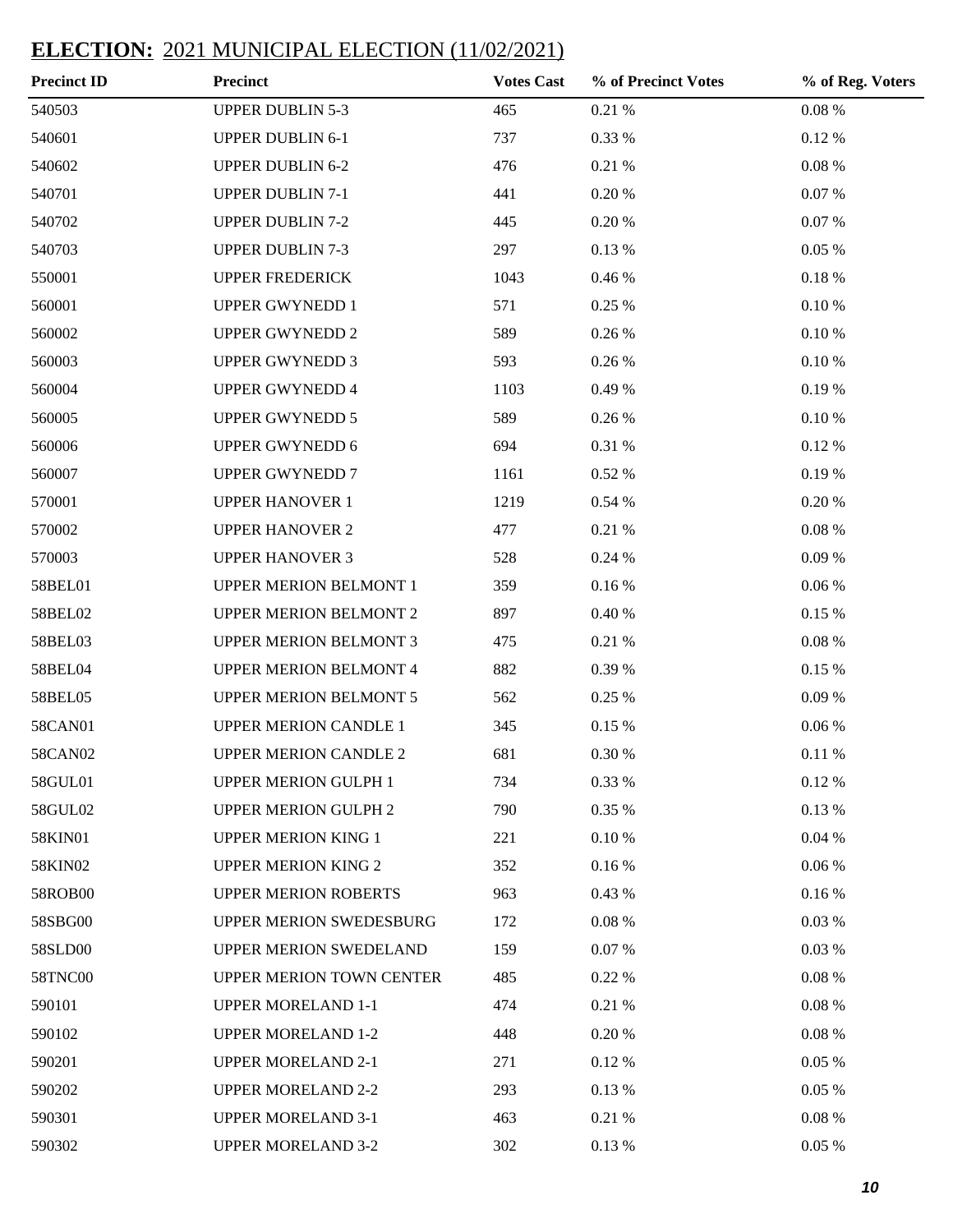| <b>Precinct ID</b> | <b>Precinct</b>                | <b>Votes Cast</b> | % of Precinct Votes | % of Reg. Voters |
|--------------------|--------------------------------|-------------------|---------------------|------------------|
| 540503             | <b>UPPER DUBLIN 5-3</b>        | 465               | $0.21~\%$           | $0.08~\%$        |
| 540601             | <b>UPPER DUBLIN 6-1</b>        | 737               | 0.33 %              | 0.12%            |
| 540602             | <b>UPPER DUBLIN 6-2</b>        | 476               | 0.21 %              | $0.08~\%$        |
| 540701             | <b>UPPER DUBLIN 7-1</b>        | 441               | 0.20%               | 0.07 %           |
| 540702             | <b>UPPER DUBLIN 7-2</b>        | 445               | 0.20%               | 0.07 %           |
| 540703             | <b>UPPER DUBLIN 7-3</b>        | 297               | 0.13 %              | 0.05%            |
| 550001             | <b>UPPER FREDERICK</b>         | 1043              | 0.46 %              | 0.18%            |
| 560001             | <b>UPPER GWYNEDD 1</b>         | 571               | 0.25 %              | $0.10\ \%$       |
| 560002             | <b>UPPER GWYNEDD 2</b>         | 589               | 0.26 %              | $0.10\ \%$       |
| 560003             | <b>UPPER GWYNEDD 3</b>         | 593               | 0.26 %              | 0.10%            |
| 560004             | <b>UPPER GWYNEDD 4</b>         | 1103              | 0.49 %              | 0.19%            |
| 560005             | <b>UPPER GWYNEDD 5</b>         | 589               | 0.26 %              | 0.10%            |
| 560006             | <b>UPPER GWYNEDD 6</b>         | 694               | 0.31 %              | 0.12%            |
| 560007             | <b>UPPER GWYNEDD 7</b>         | 1161              | 0.52 %              | 0.19%            |
| 570001             | <b>UPPER HANOVER 1</b>         | 1219              | 0.54 %              | 0.20%            |
| 570002             | <b>UPPER HANOVER 2</b>         | 477               | 0.21 %              | $0.08~\%$        |
| 570003             | <b>UPPER HANOVER 3</b>         | 528               | 0.24 %              | 0.09%            |
| 58BEL01            | <b>UPPER MERION BELMONT 1</b>  | 359               | 0.16%               | $0.06\,\%$       |
| 58BEL02            | <b>UPPER MERION BELMONT 2</b>  | 897               | 0.40%               | 0.15 %           |
| 58BEL03            | <b>UPPER MERION BELMONT 3</b>  | 475               | 0.21 %              | $0.08~\%$        |
| 58BEL04            | <b>UPPER MERION BELMONT 4</b>  | 882               | 0.39 %              | 0.15 %           |
| 58BEL05            | <b>UPPER MERION BELMONT 5</b>  | 562               | 0.25 %              | 0.09%            |
| 58CAN01            | <b>UPPER MERION CANDLE 1</b>   | 345               | 0.15%               | $0.06\,\%$       |
| 58CAN02            | <b>UPPER MERION CANDLE 2</b>   | 681               | 0.30%               | 0.11%            |
| 58GUL01            | <b>UPPER MERION GULPH 1</b>    | 734               | 0.33 %              | 0.12%            |
| 58GUL02            | <b>UPPER MERION GULPH 2</b>    | 790               | 0.35 %              | 0.13 %           |
| 58KIN01            | <b>UPPER MERION KING 1</b>     | 221               | $0.10\ \%$          | 0.04%            |
| 58KIN02            | <b>UPPER MERION KING 2</b>     | 352               | 0.16%               | 0.06%            |
| 58ROB00            | <b>UPPER MERION ROBERTS</b>    | 963               | 0.43 %              | 0.16%            |
| 58SBG00            | <b>UPPER MERION SWEDESBURG</b> | 172               | 0.08%               | 0.03%            |
| 58SLD00            | UPPER MERION SWEDELAND         | 159               | 0.07 %              | 0.03%            |
| 58TNC00            | UPPER MERION TOWN CENTER       | 485               | 0.22 %              | $0.08~\%$        |
| 590101             | <b>UPPER MORELAND 1-1</b>      | 474               | 0.21 %              | $0.08~\%$        |
| 590102             | <b>UPPER MORELAND 1-2</b>      | 448               | 0.20 %              | $0.08~\%$        |
| 590201             | <b>UPPER MORELAND 2-1</b>      | 271               | 0.12 %              | 0.05%            |
| 590202             | <b>UPPER MORELAND 2-2</b>      | 293               | 0.13 %              | 0.05%            |
| 590301             | <b>UPPER MORELAND 3-1</b>      | 463               | 0.21 %              | $0.08~\%$        |
| 590302             | <b>UPPER MORELAND 3-2</b>      | 302               | 0.13 %              | 0.05%            |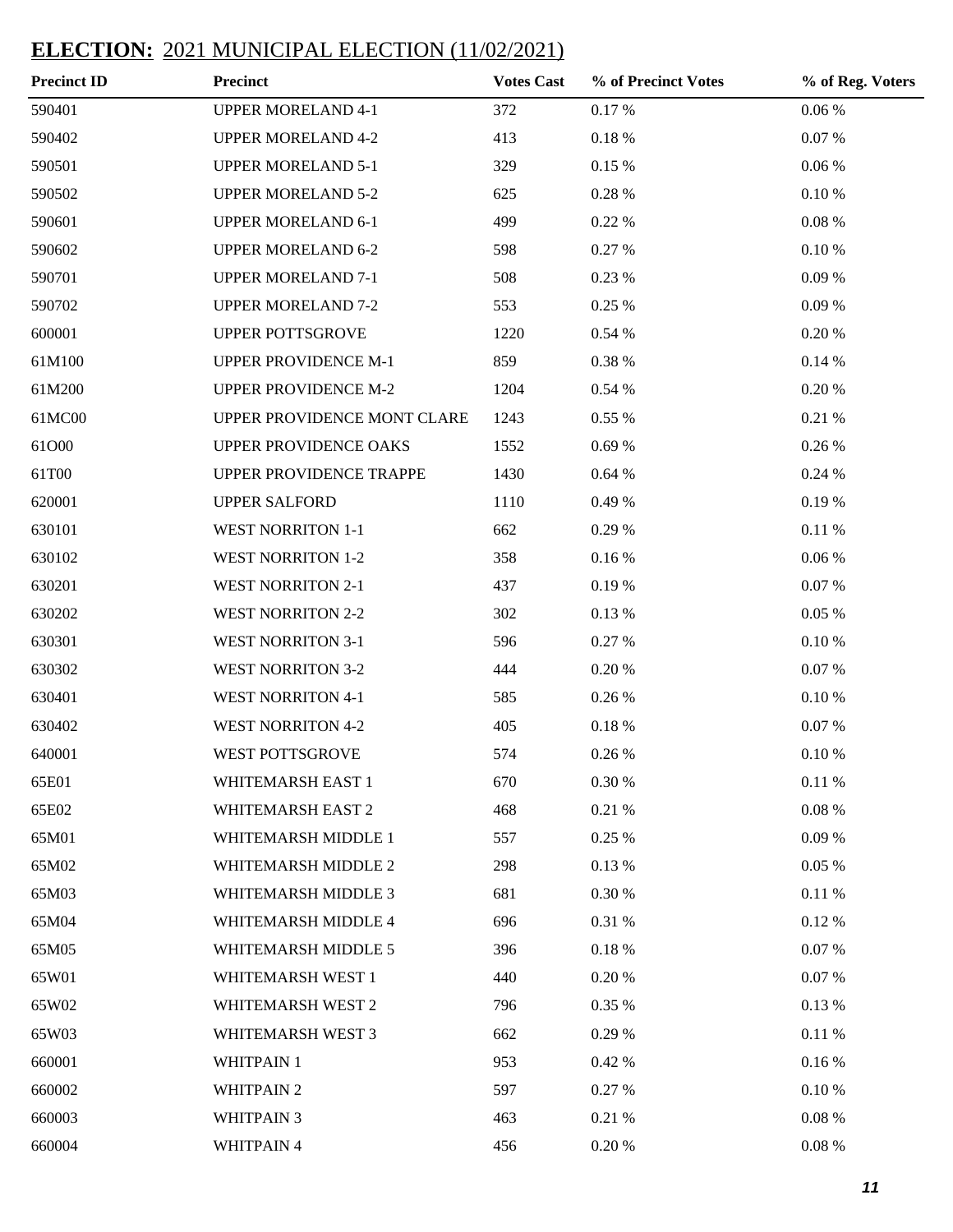| <b>Precinct ID</b> | <b>Precinct</b>              | <b>Votes Cast</b> | % of Precinct Votes | % of Reg. Voters |
|--------------------|------------------------------|-------------------|---------------------|------------------|
| 590401             | <b>UPPER MORELAND 4-1</b>    | 372               | 0.17%               | 0.06%            |
| 590402             | <b>UPPER MORELAND 4-2</b>    | 413               | $0.18~\%$           | $0.07~\%$        |
| 590501             | <b>UPPER MORELAND 5-1</b>    | 329               | 0.15 %              | 0.06%            |
| 590502             | <b>UPPER MORELAND 5-2</b>    | 625               | 0.28 %              | $0.10\ \%$       |
| 590601             | <b>UPPER MORELAND 6-1</b>    | 499               | 0.22 %              | $0.08~\%$        |
| 590602             | <b>UPPER MORELAND 6-2</b>    | 598               | 0.27 %              | 0.10%            |
| 590701             | <b>UPPER MORELAND 7-1</b>    | 508               | 0.23 %              | 0.09%            |
| 590702             | <b>UPPER MORELAND 7-2</b>    | 553               | 0.25 %              | 0.09%            |
| 600001             | UPPER POTTSGROVE             | 1220              | 0.54 %              | 0.20%            |
| 61M100             | <b>UPPER PROVIDENCE M-1</b>  | 859               | 0.38 %              | 0.14%            |
| 61M200             | UPPER PROVIDENCE M-2         | 1204              | 0.54 %              | 0.20%            |
| 61MC00             | UPPER PROVIDENCE MONT CLARE  | 1243              | 0.55 %              | 0.21 %           |
| 61O00              | <b>UPPER PROVIDENCE OAKS</b> | 1552              | 0.69%               | 0.26 %           |
| 61T00              | UPPER PROVIDENCE TRAPPE      | 1430              | 0.64%               | 0.24 %           |
| 620001             | <b>UPPER SALFORD</b>         | 1110              | 0.49 %              | 0.19%            |
| 630101             | <b>WEST NORRITON 1-1</b>     | 662               | 0.29 %              | 0.11 %           |
| 630102             | <b>WEST NORRITON 1-2</b>     | 358               | 0.16%               | 0.06%            |
| 630201             | <b>WEST NORRITON 2-1</b>     | 437               | 0.19%               | 0.07 %           |
| 630202             | <b>WEST NORRITON 2-2</b>     | 302               | 0.13 %              | 0.05%            |
| 630301             | <b>WEST NORRITON 3-1</b>     | 596               | 0.27 %              | 0.10%            |
| 630302             | <b>WEST NORRITON 3-2</b>     | 444               | 0.20%               | 0.07 %           |
| 630401             | <b>WEST NORRITON 4-1</b>     | 585               | 0.26 %              | 0.10%            |
| 630402             | <b>WEST NORRITON 4-2</b>     | 405               | 0.18%               | 0.07 %           |
| 640001             | WEST POTTSGROVE              | 574               | 0.26 %              | 0.10%            |
| 65E01              | WHITEMARSH EAST 1            | 670               | $0.30~\%$           | 0.11%            |
| 65E02              | WHITEMARSH EAST 2            | 468               | 0.21%               | $0.08~\%$        |
| 65M01              | WHITEMARSH MIDDLE 1          | 557               | 0.25 %              | 0.09%            |
| 65M02              | WHITEMARSH MIDDLE 2          | 298               | 0.13 %              | 0.05%            |
| 65M03              | WHITEMARSH MIDDLE 3          | 681               | 0.30%               | 0.11%            |
| 65M04              | WHITEMARSH MIDDLE 4          | 696               | 0.31 %              | 0.12%            |
| 65M05              | WHITEMARSH MIDDLE 5          | 396               | 0.18%               | 0.07 %           |
| 65W01              | WHITEMARSH WEST 1            | 440               | 0.20 %              | 0.07 %           |
| 65W02              | WHITEMARSH WEST 2            | 796               | 0.35 %              | 0.13 %           |
| 65W03              | WHITEMARSH WEST 3            | 662               | 0.29 %              | 0.11 %           |
| 660001             | <b>WHITPAIN 1</b>            | 953               | 0.42 %              | 0.16%            |
| 660002             | <b>WHITPAIN 2</b>            | 597               | 0.27 %              | 0.10%            |
| 660003             | <b>WHITPAIN 3</b>            | 463               | 0.21 %              | $0.08~\%$        |
| 660004             | WHITPAIN 4                   | 456               | 0.20 %              | $0.08~\%$        |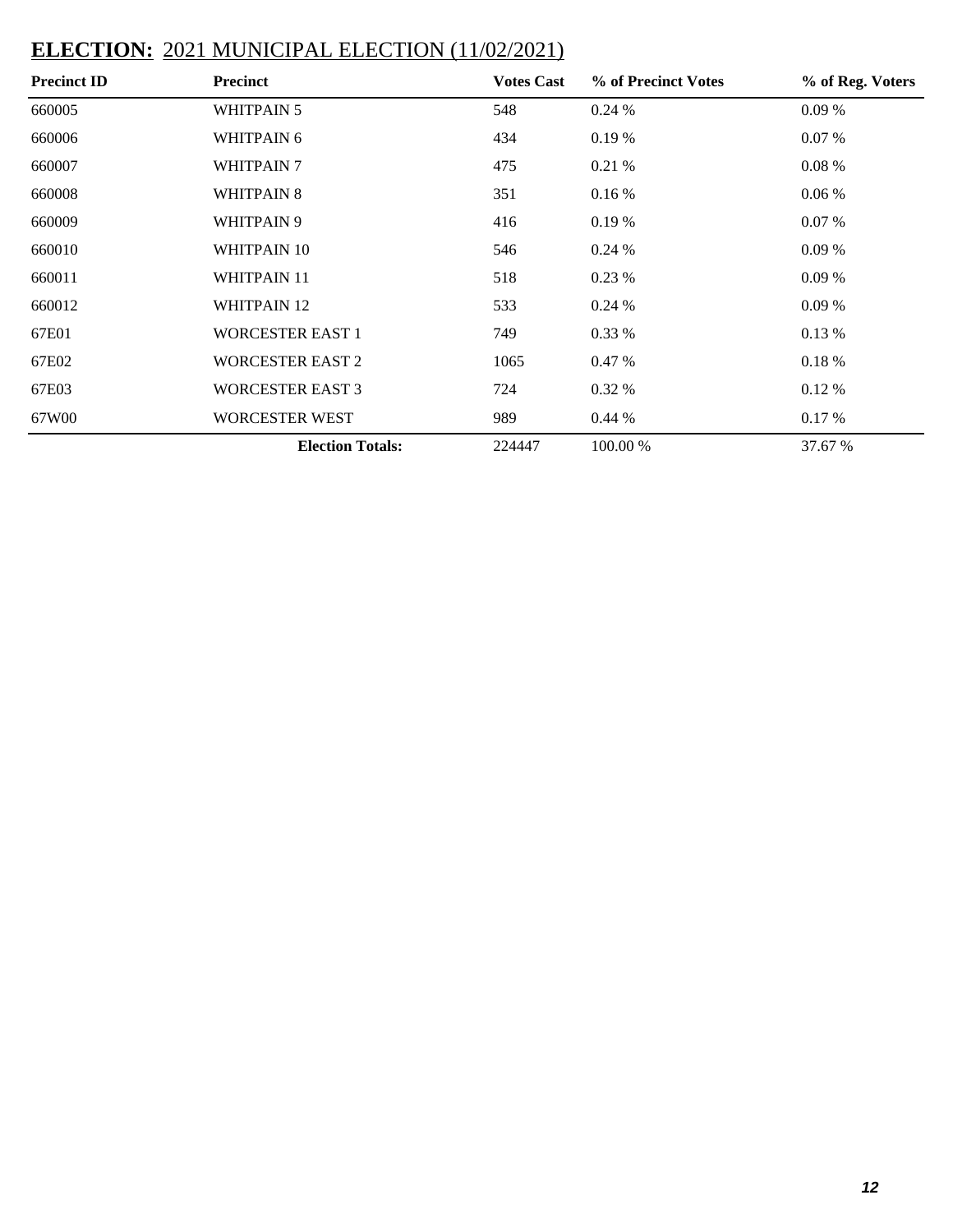| <b>Precinct ID</b> | <b>Precinct</b>         | <b>Votes Cast</b> | % of Precinct Votes | % of Reg. Voters |
|--------------------|-------------------------|-------------------|---------------------|------------------|
| 660005             | <b>WHITPAIN 5</b>       | 548               | 0.24%               | 0.09%            |
| 660006             | WHITPAIN 6              | 434               | 0.19%               | $0.07\%$         |
| 660007             | <b>WHITPAIN 7</b>       | 475               | 0.21%               | 0.08 %           |
| 660008             | <b>WHITPAIN 8</b>       | 351               | 0.16%               | $0.06\%$         |
| 660009             | WHITPAIN 9              | 416               | 0.19%               | 0.07 %           |
| 660010             | WHITPAIN 10             | 546               | 0.24%               | 0.09%            |
| 660011             | <b>WHITPAIN 11</b>      | 518               | 0.23%               | 0.09%            |
| 660012             | <b>WHITPAIN 12</b>      | 533               | 0.24%               | 0.09%            |
| 67E01              | <b>WORCESTER EAST 1</b> | 749               | $0.33\%$            | 0.13%            |
| 67E02              | <b>WORCESTER EAST 2</b> | 1065              | 0.47%               | 0.18%            |
| 67E03              | <b>WORCESTER EAST 3</b> | 724               | $0.32\%$            | 0.12%            |
| 67W00              | <b>WORCESTER WEST</b>   | 989               | 0.44%               | 0.17%            |
|                    | <b>Election Totals:</b> | 224447            | 100.00 %            | 37.67 %          |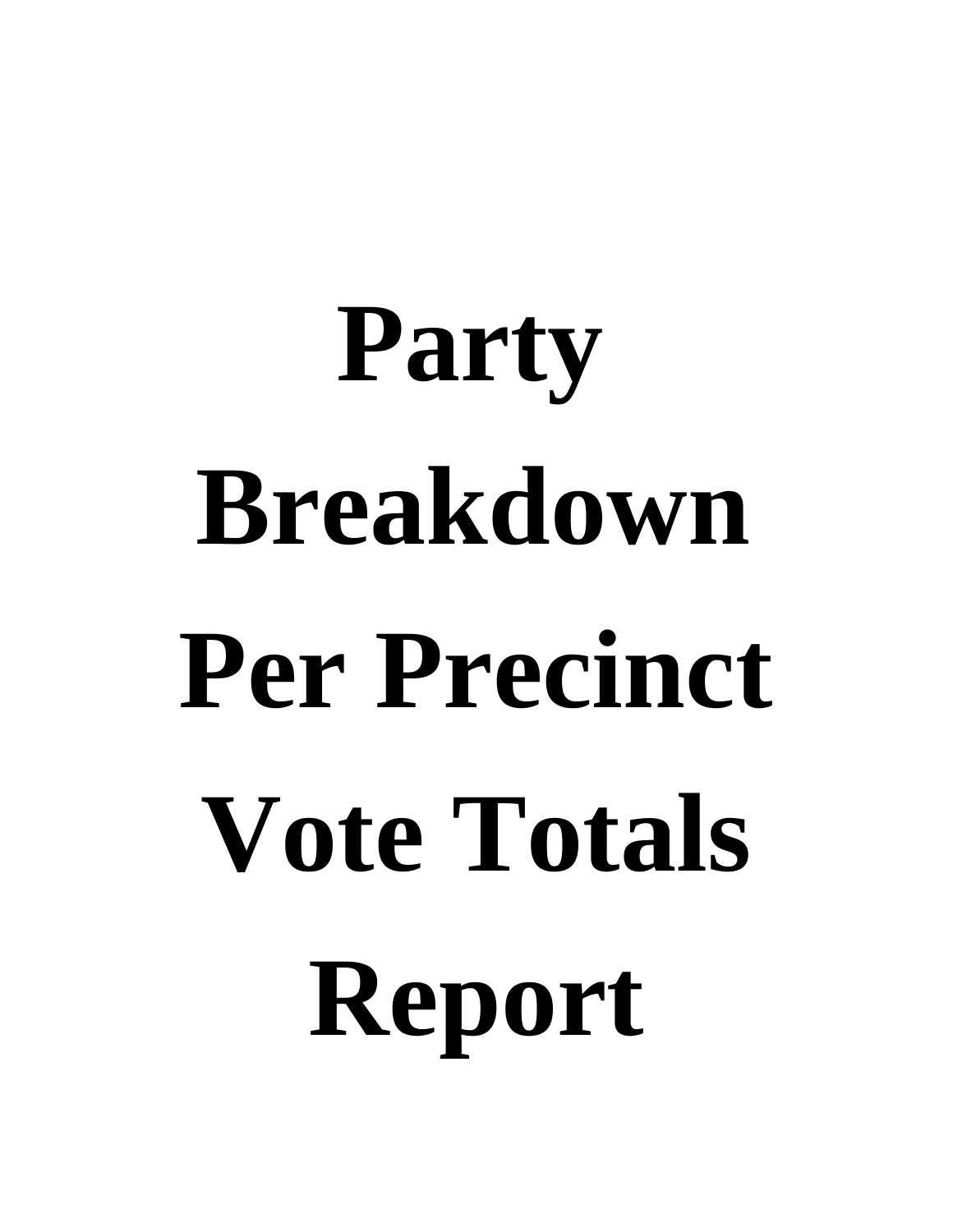# **Party Breakdown Per Precinct Vote Totals Report**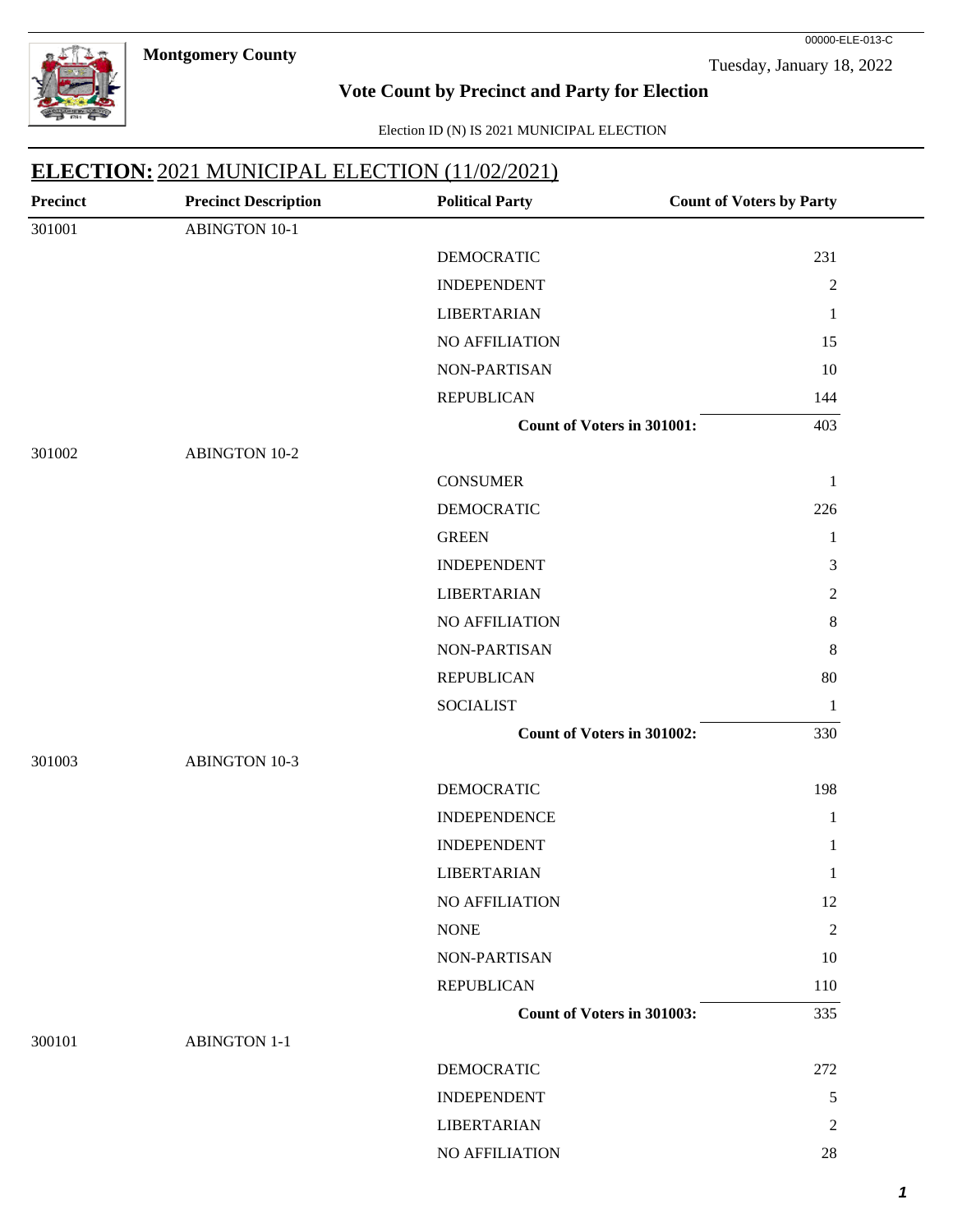**Montgomery County** 



Tuesday, January 18, 2022

00000-ELE-013-C

#### **Vote Count by Precinct and Party for Election**

Election ID (N) IS 2021 MUNICIPAL ELECTION

| <b>Precinct</b> | <b>Precinct Description</b> | <b>Political Party</b>            | <b>Count of Voters by Party</b> |
|-----------------|-----------------------------|-----------------------------------|---------------------------------|
| 301001          | <b>ABINGTON 10-1</b>        |                                   |                                 |
|                 |                             | <b>DEMOCRATIC</b>                 | 231                             |
|                 |                             | <b>INDEPENDENT</b>                | $\overline{2}$                  |
|                 |                             | <b>LIBERTARIAN</b>                | 1                               |
|                 |                             | NO AFFILIATION                    | 15                              |
|                 |                             | NON-PARTISAN                      | 10                              |
|                 |                             | <b>REPUBLICAN</b>                 | 144                             |
|                 |                             | <b>Count of Voters in 301001:</b> | 403                             |
| 301002          | <b>ABINGTON 10-2</b>        |                                   |                                 |
|                 |                             | <b>CONSUMER</b>                   | 1                               |
|                 |                             | <b>DEMOCRATIC</b>                 | 226                             |
|                 |                             | <b>GREEN</b>                      | $\mathbf{1}$                    |
|                 |                             | <b>INDEPENDENT</b>                | 3                               |
|                 |                             | <b>LIBERTARIAN</b>                | $\overline{2}$                  |
|                 |                             | NO AFFILIATION                    | $8\,$                           |
|                 |                             | NON-PARTISAN                      | 8                               |
|                 |                             | <b>REPUBLICAN</b>                 | 80                              |
|                 |                             | <b>SOCIALIST</b>                  | $\mathbf{1}$                    |
|                 |                             | Count of Voters in 301002:        | 330                             |
| 301003          | <b>ABINGTON 10-3</b>        |                                   |                                 |
|                 |                             | <b>DEMOCRATIC</b>                 | 198                             |
|                 |                             | <b>INDEPENDENCE</b>               | $\mathbf{1}$                    |
|                 |                             | <b>INDEPENDENT</b>                | $\mathbf{1}$                    |
|                 |                             | <b>LIBERTARIAN</b>                | $\mathbf{1}$                    |
|                 |                             | NO AFFILIATION                    | 12                              |
|                 |                             | <b>NONE</b>                       | 2                               |
|                 |                             | NON-PARTISAN                      | 10                              |
|                 |                             | <b>REPUBLICAN</b>                 | 110                             |
|                 |                             | <b>Count of Voters in 301003:</b> | 335                             |
| 300101          | <b>ABINGTON 1-1</b>         |                                   |                                 |
|                 |                             | <b>DEMOCRATIC</b>                 | 272                             |
|                 |                             | <b>INDEPENDENT</b>                | 5                               |
|                 |                             | <b>LIBERTARIAN</b>                | 2                               |
|                 |                             | NO AFFILIATION                    | $28\,$                          |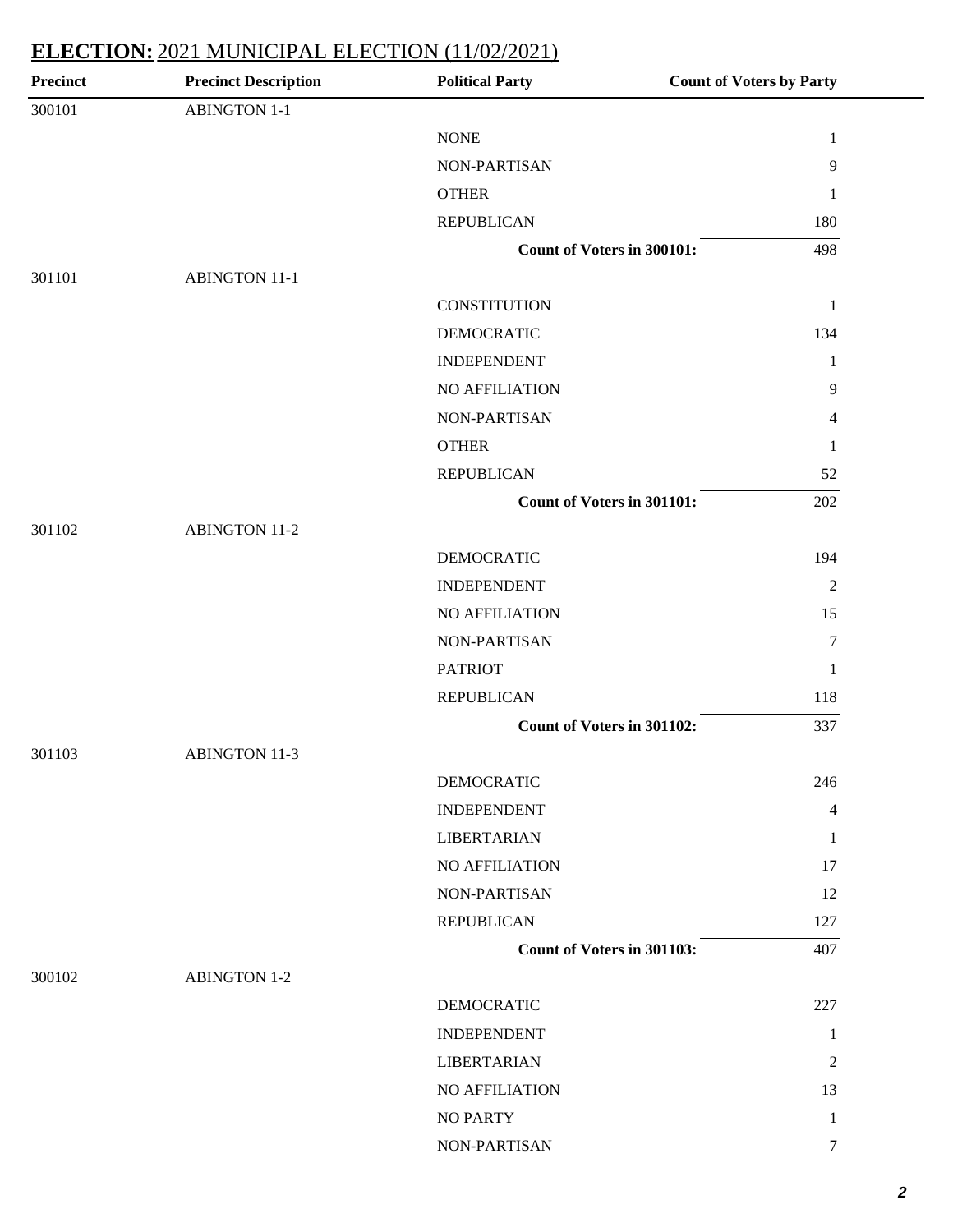| <b>Precinct</b> | <b>Precinct Description</b> | <b>Political Party</b>            | <b>Count of Voters by Party</b> |
|-----------------|-----------------------------|-----------------------------------|---------------------------------|
| 300101          | <b>ABINGTON 1-1</b>         |                                   |                                 |
|                 |                             | <b>NONE</b>                       | $\mathbf{1}$                    |
|                 |                             | NON-PARTISAN                      | 9                               |
|                 |                             | <b>OTHER</b>                      | 1                               |
|                 |                             | <b>REPUBLICAN</b>                 | 180                             |
|                 |                             | Count of Voters in 300101:        | 498                             |
| 301101          | <b>ABINGTON 11-1</b>        |                                   |                                 |
|                 |                             | <b>CONSTITUTION</b>               | $\mathbf{1}$                    |
|                 |                             | <b>DEMOCRATIC</b>                 | 134                             |
|                 |                             | <b>INDEPENDENT</b>                | $\mathbf{1}$                    |
|                 |                             | NO AFFILIATION                    | 9                               |
|                 |                             | NON-PARTISAN                      | 4                               |
|                 |                             | <b>OTHER</b>                      | 1                               |
|                 |                             | <b>REPUBLICAN</b>                 | 52                              |
|                 |                             | Count of Voters in 301101:        | 202                             |
| 301102          | <b>ABINGTON 11-2</b>        |                                   |                                 |
|                 |                             | <b>DEMOCRATIC</b>                 | 194                             |
|                 |                             | <b>INDEPENDENT</b>                | $\overline{2}$                  |
|                 |                             | <b>NO AFFILIATION</b>             | 15                              |
|                 |                             | NON-PARTISAN                      | $\boldsymbol{7}$                |
|                 |                             | <b>PATRIOT</b>                    | 1                               |
|                 |                             | <b>REPUBLICAN</b>                 | 118                             |
|                 |                             | Count of Voters in 301102:        | 337                             |
| 301103          | <b>ABINGTON 11-3</b>        |                                   |                                 |
|                 |                             | <b>DEMOCRATIC</b>                 | 246                             |
|                 |                             | <b>INDEPENDENT</b>                | 4                               |
|                 |                             | <b>LIBERTARIAN</b>                | 1                               |
|                 |                             | NO AFFILIATION                    | 17                              |
|                 |                             | NON-PARTISAN                      | 12                              |
|                 |                             | <b>REPUBLICAN</b>                 | 127                             |
|                 |                             | <b>Count of Voters in 301103:</b> | 407                             |
| 300102          | <b>ABINGTON 1-2</b>         |                                   |                                 |
|                 |                             | <b>DEMOCRATIC</b>                 | 227                             |
|                 |                             | <b>INDEPENDENT</b>                | 1                               |
|                 |                             | <b>LIBERTARIAN</b>                | 2                               |
|                 |                             | NO AFFILIATION                    | 13                              |
|                 |                             | <b>NO PARTY</b>                   | $\mathbf{1}$                    |
|                 |                             |                                   |                                 |
|                 |                             | NON-PARTISAN                      | $\tau$                          |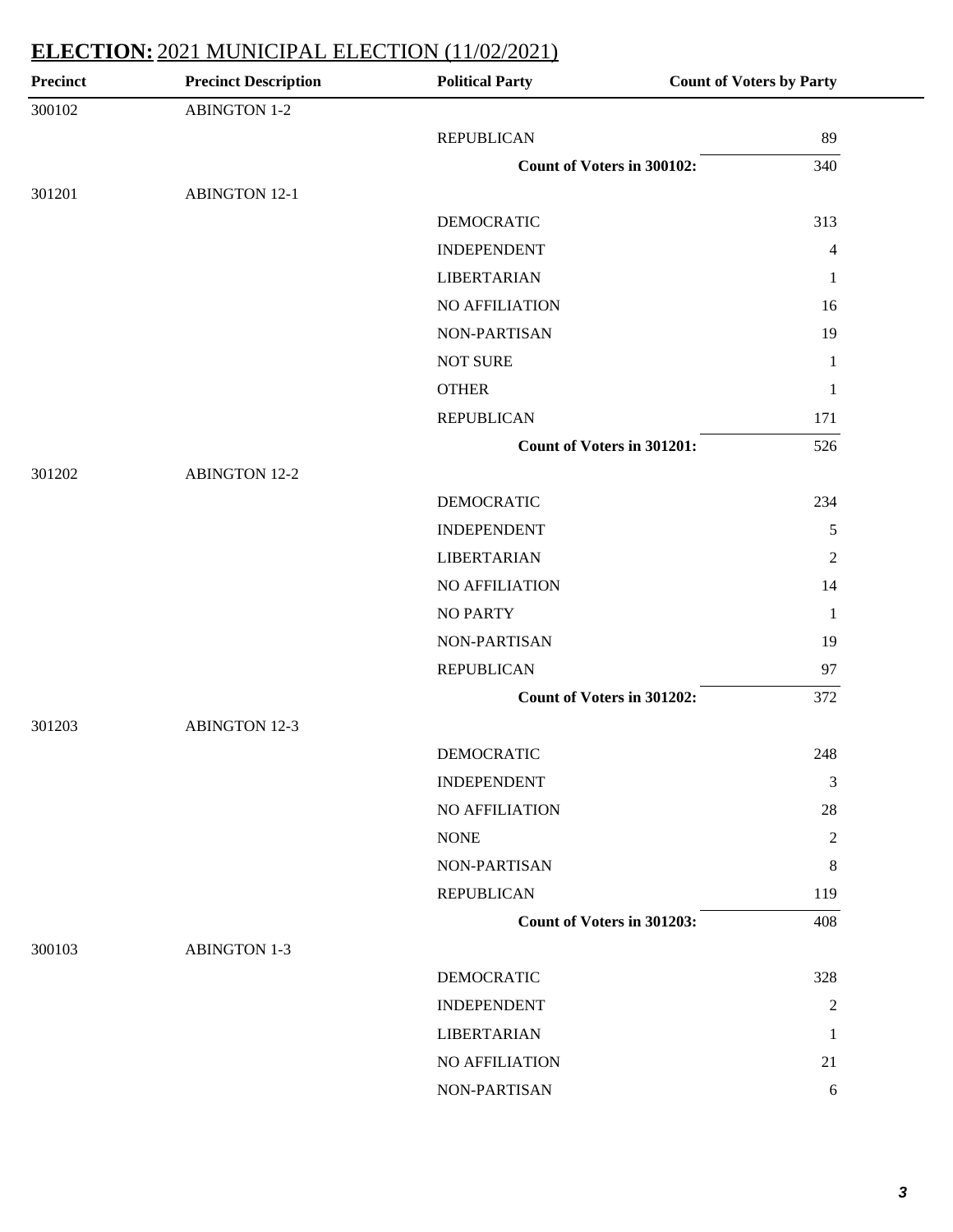| <b>Precinct</b> | <b>Precinct Description</b> | <b>Political Party</b>     | <b>Count of Voters by Party</b> |
|-----------------|-----------------------------|----------------------------|---------------------------------|
| 300102          | <b>ABINGTON 1-2</b>         |                            |                                 |
|                 |                             | <b>REPUBLICAN</b>          | 89                              |
|                 |                             | Count of Voters in 300102: | 340                             |
| 301201          | <b>ABINGTON 12-1</b>        |                            |                                 |
|                 |                             | <b>DEMOCRATIC</b>          | 313                             |
|                 |                             | <b>INDEPENDENT</b>         | $\overline{4}$                  |
|                 |                             | <b>LIBERTARIAN</b>         | 1                               |
|                 |                             | NO AFFILIATION             | 16                              |
|                 |                             | NON-PARTISAN               | 19                              |
|                 |                             | <b>NOT SURE</b>            | $\mathbf{1}$                    |
|                 |                             | <b>OTHER</b>               | 1                               |
|                 |                             | <b>REPUBLICAN</b>          | 171                             |
|                 |                             | Count of Voters in 301201: | 526                             |
| 301202          | <b>ABINGTON 12-2</b>        |                            |                                 |
|                 |                             | <b>DEMOCRATIC</b>          | 234                             |
|                 |                             | <b>INDEPENDENT</b>         | $\sqrt{5}$                      |
|                 |                             | <b>LIBERTARIAN</b>         | $\overline{2}$                  |
|                 |                             | NO AFFILIATION             | 14                              |
|                 |                             | <b>NO PARTY</b>            | $\mathbf{1}$                    |
|                 |                             | NON-PARTISAN               | 19                              |
|                 |                             | <b>REPUBLICAN</b>          | 97                              |
|                 |                             | Count of Voters in 301202: | 372                             |
| 301203          | <b>ABINGTON 12-3</b>        |                            |                                 |
|                 |                             | <b>DEMOCRATIC</b>          | 248                             |
|                 |                             | <b>INDEPENDENT</b>         | 3                               |
|                 |                             | NO AFFILIATION             | 28                              |
|                 |                             | <b>NONE</b>                | 2                               |
|                 |                             | <b>NON-PARTISAN</b>        | 8                               |
|                 |                             | <b>REPUBLICAN</b>          | 119                             |
|                 |                             | Count of Voters in 301203: | 408                             |
| 300103          | <b>ABINGTON 1-3</b>         |                            |                                 |
|                 |                             | <b>DEMOCRATIC</b>          | 328                             |
|                 |                             | <b>INDEPENDENT</b>         | $\overline{2}$                  |
|                 |                             | <b>LIBERTARIAN</b>         | 1                               |
|                 |                             | NO AFFILIATION             | 21                              |
|                 |                             | NON-PARTISAN               | 6                               |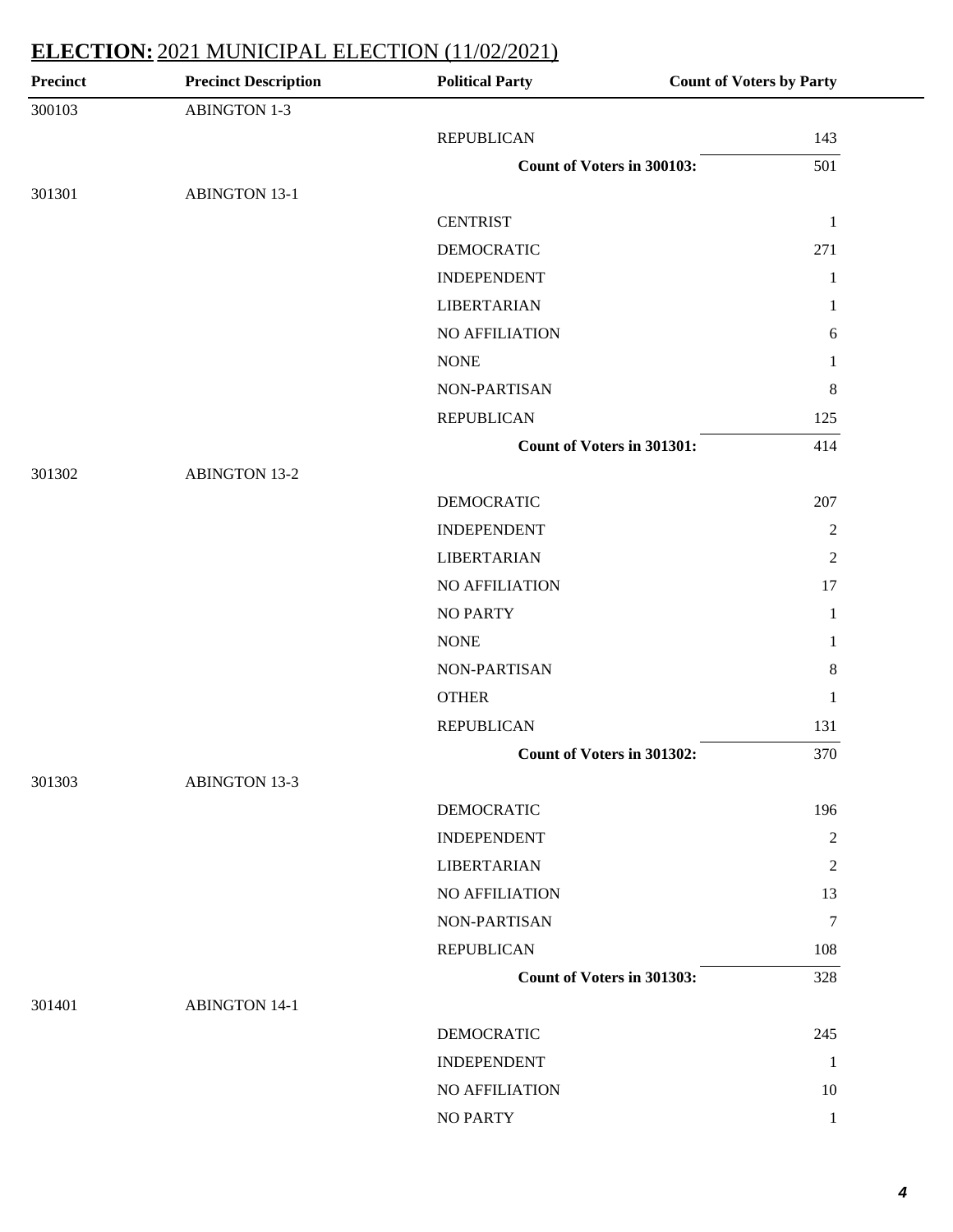| <b>Precinct</b> | <b>Precinct Description</b> | <b>Political Party</b>     | <b>Count of Voters by Party</b> |
|-----------------|-----------------------------|----------------------------|---------------------------------|
| 300103          | <b>ABINGTON 1-3</b>         |                            |                                 |
|                 |                             | <b>REPUBLICAN</b>          | 143                             |
|                 |                             | Count of Voters in 300103: | 501                             |
| 301301          | <b>ABINGTON 13-1</b>        |                            |                                 |
|                 |                             | <b>CENTRIST</b>            | $\mathbf{1}$                    |
|                 |                             | <b>DEMOCRATIC</b>          | 271                             |
|                 |                             | <b>INDEPENDENT</b>         | 1                               |
|                 |                             | <b>LIBERTARIAN</b>         | 1                               |
|                 |                             | NO AFFILIATION             | 6                               |
|                 |                             | <b>NONE</b>                | 1                               |
|                 |                             | NON-PARTISAN               | $8\phantom{.0}$                 |
|                 |                             | <b>REPUBLICAN</b>          | 125                             |
|                 |                             | Count of Voters in 301301: | 414                             |
| 301302          | <b>ABINGTON 13-2</b>        |                            |                                 |
|                 |                             | <b>DEMOCRATIC</b>          | 207                             |
|                 |                             | <b>INDEPENDENT</b>         | $\sqrt{2}$                      |
|                 |                             | <b>LIBERTARIAN</b>         | $\overline{2}$                  |
|                 |                             | NO AFFILIATION             | 17                              |
|                 |                             | <b>NO PARTY</b>            | 1                               |
|                 |                             | <b>NONE</b>                | 1                               |
|                 |                             | NON-PARTISAN               | $8\phantom{.0}$                 |
|                 |                             | <b>OTHER</b>               | 1                               |
|                 |                             | <b>REPUBLICAN</b>          | 131                             |
|                 |                             | Count of Voters in 301302: | 370                             |
| 301303          | <b>ABINGTON 13-3</b>        |                            |                                 |
|                 |                             | <b>DEMOCRATIC</b>          | 196                             |
|                 |                             | <b>INDEPENDENT</b>         | $\overline{2}$                  |
|                 |                             | <b>LIBERTARIAN</b>         | $\overline{c}$                  |
|                 |                             | NO AFFILIATION             | 13                              |
|                 |                             | NON-PARTISAN               | 7                               |
|                 |                             | <b>REPUBLICAN</b>          | 108                             |
|                 |                             | Count of Voters in 301303: | 328                             |
| 301401          | <b>ABINGTON 14-1</b>        |                            |                                 |
|                 |                             | <b>DEMOCRATIC</b>          | 245                             |
|                 |                             | <b>INDEPENDENT</b>         | 1                               |
|                 |                             | NO AFFILIATION             | 10                              |
|                 |                             | <b>NO PARTY</b>            | $\mathbf{1}$                    |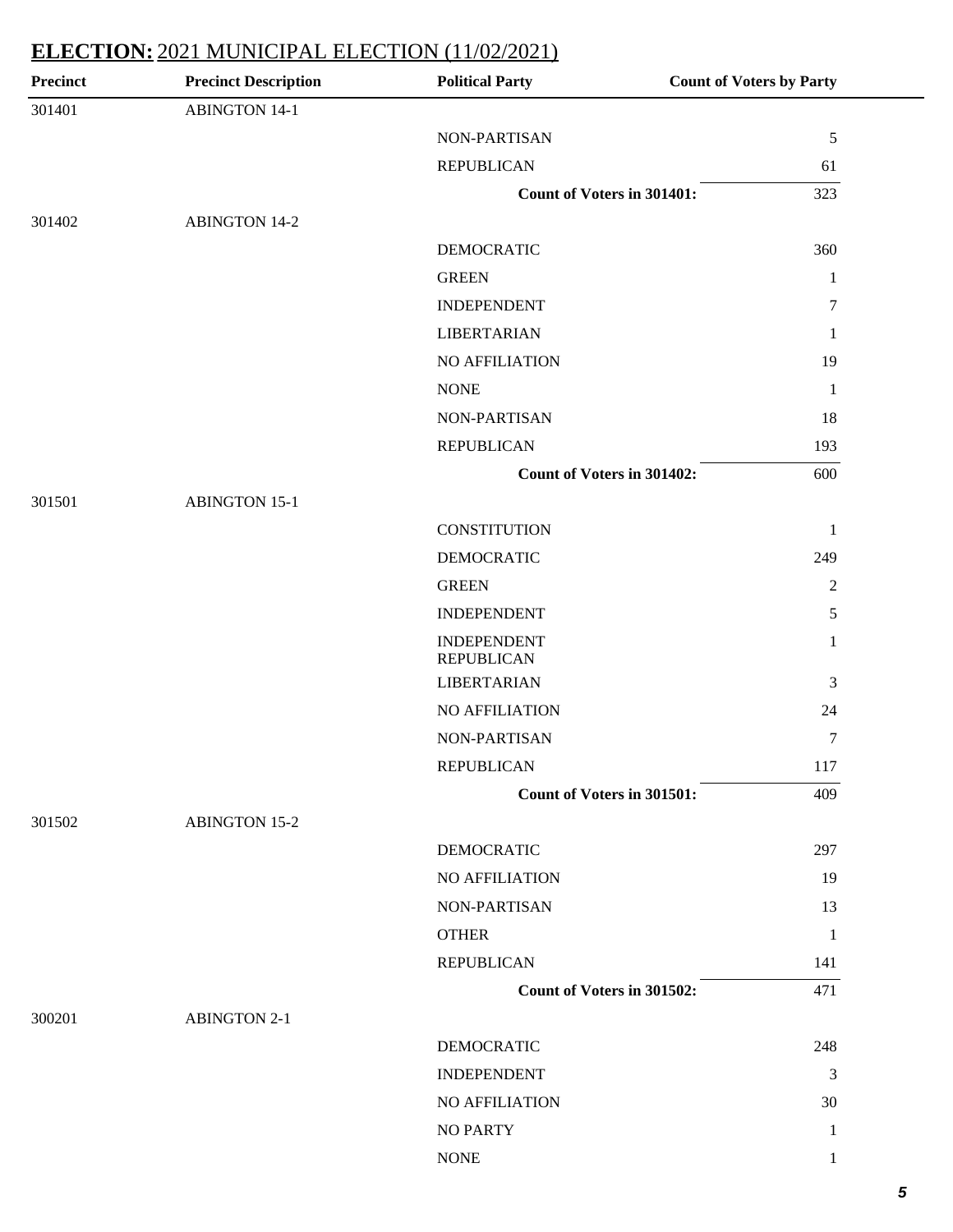| <b>Precinct</b> | <b>Precinct Description</b> | <b>Political Party</b>                  | <b>Count of Voters by Party</b> |
|-----------------|-----------------------------|-----------------------------------------|---------------------------------|
| 301401          | <b>ABINGTON 14-1</b>        |                                         |                                 |
|                 |                             | NON-PARTISAN                            | $\sqrt{5}$                      |
|                 |                             | <b>REPUBLICAN</b>                       | 61                              |
|                 |                             | Count of Voters in 301401:              | 323                             |
| 301402          | <b>ABINGTON 14-2</b>        |                                         |                                 |
|                 |                             | <b>DEMOCRATIC</b>                       | 360                             |
|                 |                             | <b>GREEN</b>                            | $\mathbf{1}$                    |
|                 |                             | <b>INDEPENDENT</b>                      | $\tau$                          |
|                 |                             | <b>LIBERTARIAN</b>                      | 1                               |
|                 |                             | NO AFFILIATION                          | 19                              |
|                 |                             | <b>NONE</b>                             | $\mathbf{1}$                    |
|                 |                             | NON-PARTISAN                            | 18                              |
|                 |                             | <b>REPUBLICAN</b>                       | 193                             |
|                 |                             | <b>Count of Voters in 301402:</b>       | 600                             |
| 301501          | <b>ABINGTON 15-1</b>        |                                         |                                 |
|                 |                             | <b>CONSTITUTION</b>                     | $\mathbf{1}$                    |
|                 |                             | <b>DEMOCRATIC</b>                       | 249                             |
|                 |                             | <b>GREEN</b>                            | $\overline{2}$                  |
|                 |                             | <b>INDEPENDENT</b>                      | 5                               |
|                 |                             | <b>INDEPENDENT</b><br><b>REPUBLICAN</b> | $\mathbf{1}$                    |
|                 |                             | <b>LIBERTARIAN</b>                      | 3                               |
|                 |                             | <b>NO AFFILIATION</b>                   | 24                              |
|                 |                             | NON-PARTISAN                            | 7                               |
|                 |                             | <b>REPUBLICAN</b>                       | 117                             |
|                 |                             | Count of Voters in 301501:              | 409                             |
| 301502          | <b>ABINGTON 15-2</b>        |                                         |                                 |
|                 |                             | <b>DEMOCRATIC</b>                       | 297                             |
|                 |                             | <b>NO AFFILIATION</b>                   | 19                              |
|                 |                             | <b>NON-PARTISAN</b>                     | 13                              |
|                 |                             | <b>OTHER</b>                            | 1                               |
|                 |                             | <b>REPUBLICAN</b>                       | 141                             |
|                 |                             | Count of Voters in 301502:              | 471                             |
| 300201          | <b>ABINGTON 2-1</b>         |                                         |                                 |
|                 |                             | <b>DEMOCRATIC</b>                       | 248                             |
|                 |                             | <b>INDEPENDENT</b>                      | 3                               |
|                 |                             | NO AFFILIATION                          | 30                              |
|                 |                             | <b>NO PARTY</b>                         | 1                               |
|                 |                             | <b>NONE</b>                             | 1                               |
|                 |                             |                                         |                                 |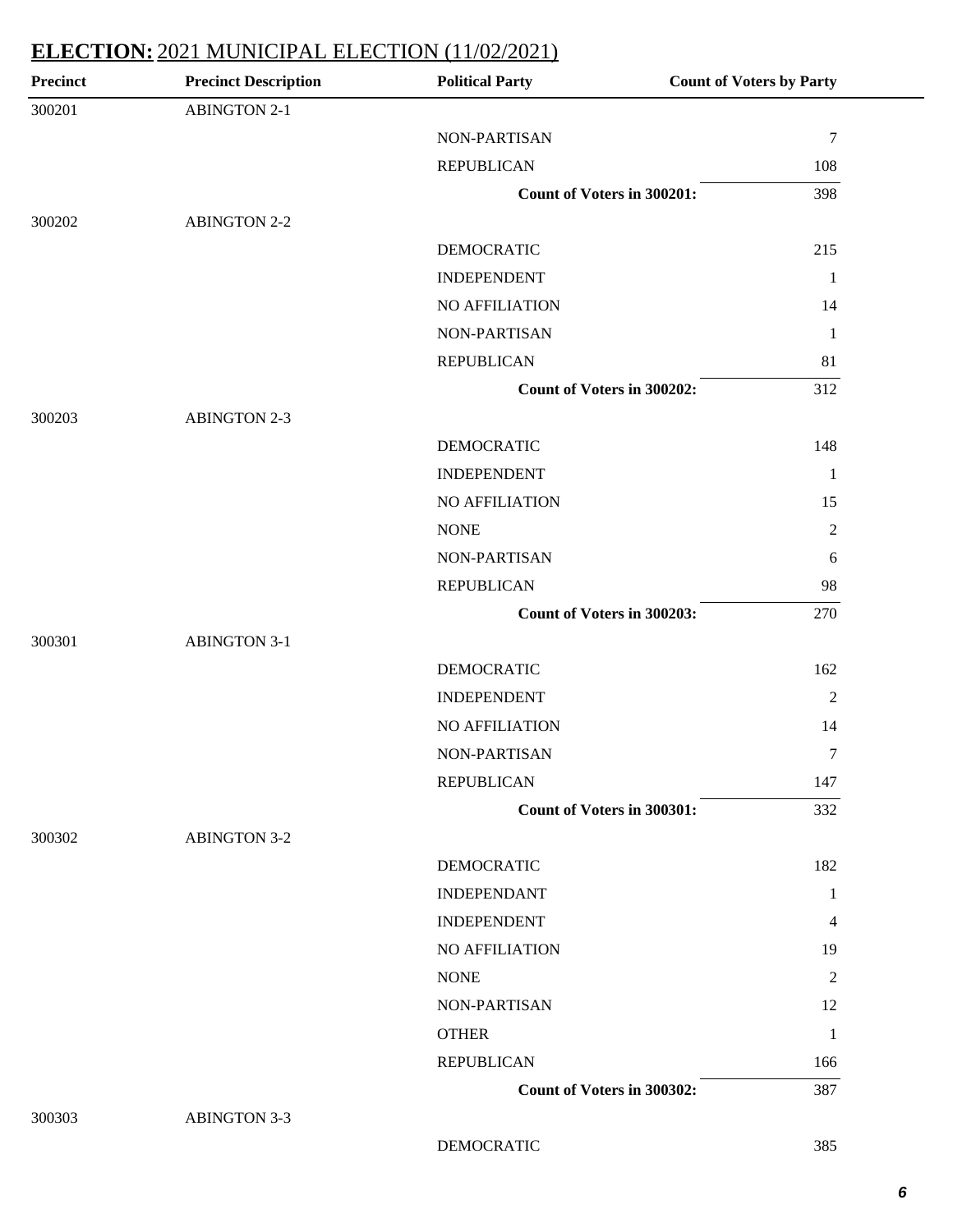| <b>Precinct</b> | <b>Precinct Description</b> | <b>Political Party</b>     | <b>Count of Voters by Party</b> |
|-----------------|-----------------------------|----------------------------|---------------------------------|
| 300201          | <b>ABINGTON 2-1</b>         |                            |                                 |
|                 |                             | NON-PARTISAN               | $\tau$                          |
|                 |                             | <b>REPUBLICAN</b>          | 108                             |
|                 |                             | Count of Voters in 300201: | 398                             |
| 300202          | <b>ABINGTON 2-2</b>         |                            |                                 |
|                 |                             | <b>DEMOCRATIC</b>          | 215                             |
|                 |                             | <b>INDEPENDENT</b>         | 1                               |
|                 |                             | NO AFFILIATION             | 14                              |
|                 |                             | NON-PARTISAN               | -1                              |
|                 |                             | <b>REPUBLICAN</b>          | 81                              |
|                 |                             | Count of Voters in 300202: | 312                             |
| 300203          | <b>ABINGTON 2-3</b>         |                            |                                 |
|                 |                             | <b>DEMOCRATIC</b>          | 148                             |
|                 |                             | <b>INDEPENDENT</b>         | $\mathbf{1}$                    |
|                 |                             | NO AFFILIATION             | 15                              |
|                 |                             | <b>NONE</b>                | $\overline{2}$                  |
|                 |                             | NON-PARTISAN               | 6                               |
|                 |                             | <b>REPUBLICAN</b>          | 98                              |
|                 |                             | Count of Voters in 300203: | 270                             |
| 300301          | <b>ABINGTON 3-1</b>         |                            |                                 |
|                 |                             | <b>DEMOCRATIC</b>          | 162                             |
|                 |                             | <b>INDEPENDENT</b>         | $\overline{2}$                  |
|                 |                             | NO AFFILIATION             | 14                              |
|                 |                             | NON-PARTISAN               | 7                               |
|                 |                             | <b>REPUBLICAN</b>          | 147                             |
|                 |                             | Count of Voters in 300301: | 332                             |
| 300302          | <b>ABINGTON 3-2</b>         |                            |                                 |
|                 |                             | <b>DEMOCRATIC</b>          | 182                             |
|                 |                             | <b>INDEPENDANT</b>         | 1                               |
|                 |                             | <b>INDEPENDENT</b>         | 4                               |
|                 |                             | <b>NO AFFILIATION</b>      | 19                              |
|                 |                             | <b>NONE</b>                | 2                               |
|                 |                             | NON-PARTISAN               | 12                              |
|                 |                             | <b>OTHER</b>               | 1                               |
|                 |                             | <b>REPUBLICAN</b>          | 166                             |
|                 |                             | Count of Voters in 300302: | 387                             |
| 300303          | <b>ABINGTON 3-3</b>         |                            |                                 |

DEMOCRATIC 385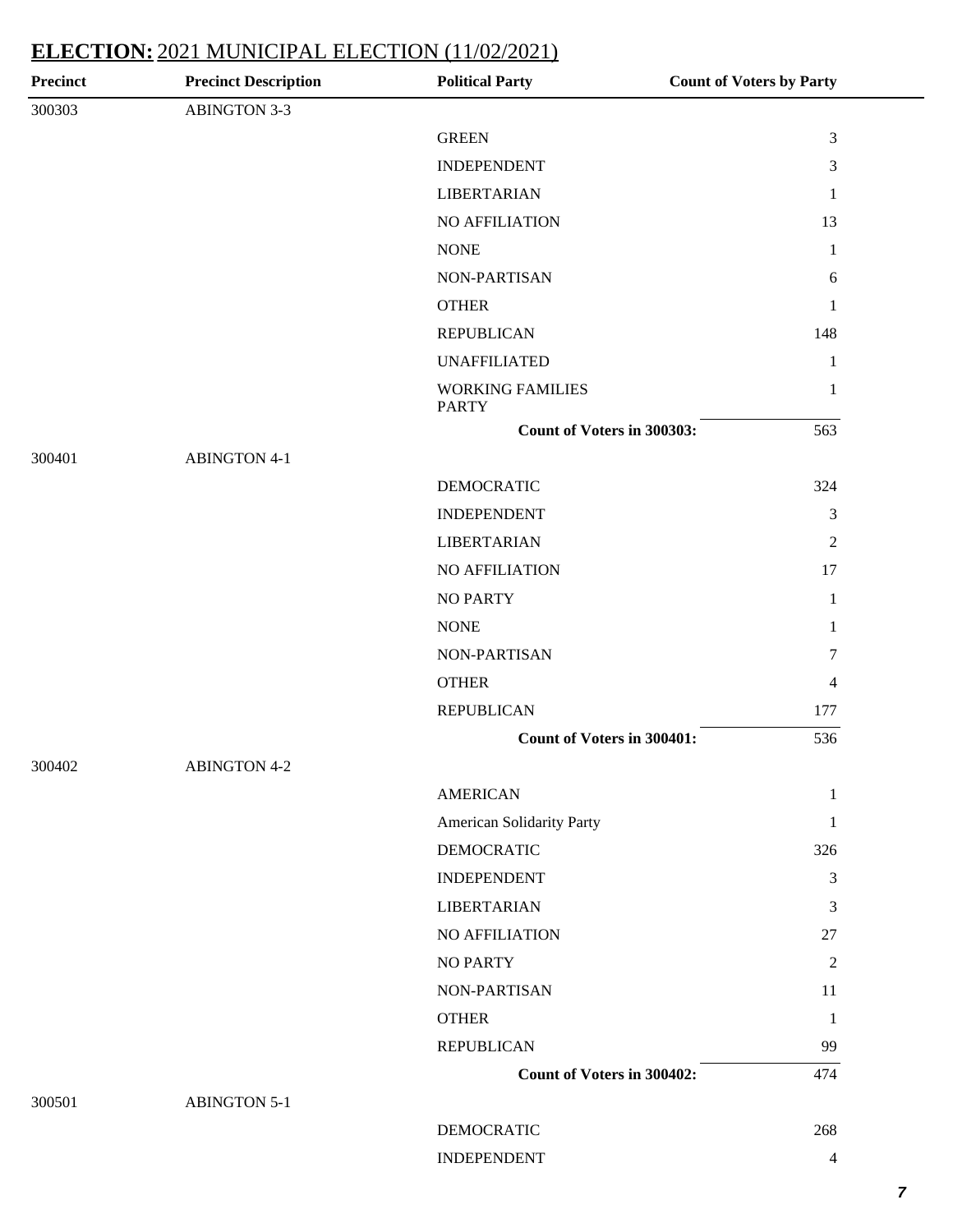| <b>Precinct</b> | <b>Precinct Description</b> | <b>Political Party</b>                  | <b>Count of Voters by Party</b> |
|-----------------|-----------------------------|-----------------------------------------|---------------------------------|
| 300303          | <b>ABINGTON 3-3</b>         |                                         |                                 |
|                 |                             | <b>GREEN</b>                            | $\mathfrak{Z}$                  |
|                 |                             | <b>INDEPENDENT</b>                      | 3                               |
|                 |                             | <b>LIBERTARIAN</b>                      | 1                               |
|                 |                             | <b>NO AFFILIATION</b>                   | 13                              |
|                 |                             | <b>NONE</b>                             | 1                               |
|                 |                             | NON-PARTISAN                            | 6                               |
|                 |                             | <b>OTHER</b>                            | 1                               |
|                 |                             | <b>REPUBLICAN</b>                       | 148                             |
|                 |                             | <b>UNAFFILIATED</b>                     | $\mathbf{1}$                    |
|                 |                             | <b>WORKING FAMILIES</b><br><b>PARTY</b> | $\mathbf{1}$                    |
|                 |                             | Count of Voters in 300303:              | 563                             |
| 300401          | <b>ABINGTON 4-1</b>         |                                         |                                 |
|                 |                             | <b>DEMOCRATIC</b>                       | 324                             |
|                 |                             | <b>INDEPENDENT</b>                      | $\mathfrak{Z}$                  |
|                 |                             | <b>LIBERTARIAN</b>                      | $\overline{2}$                  |
|                 |                             | NO AFFILIATION                          | 17                              |
|                 |                             | <b>NO PARTY</b>                         | $\mathbf{1}$                    |
|                 |                             | <b>NONE</b>                             | 1                               |
|                 |                             | NON-PARTISAN                            | 7                               |
|                 |                             | <b>OTHER</b>                            | 4                               |
|                 |                             | <b>REPUBLICAN</b>                       | 177                             |
|                 |                             | Count of Voters in 300401:              | 536                             |
| 300402          | <b>ABINGTON 4-2</b>         |                                         |                                 |
|                 |                             | <b>AMERICAN</b>                         | 1                               |
|                 |                             | American Solidarity Party               | 1                               |
|                 |                             | <b>DEMOCRATIC</b>                       | 326                             |
|                 |                             | <b>INDEPENDENT</b>                      | $\mathfrak{Z}$                  |
|                 |                             | <b>LIBERTARIAN</b>                      | $\mathfrak{Z}$                  |
|                 |                             | NO AFFILIATION                          | 27                              |
|                 |                             | <b>NO PARTY</b>                         | $\overline{2}$                  |
|                 |                             | NON-PARTISAN                            | 11                              |
|                 |                             | <b>OTHER</b>                            | $\mathbf{1}$                    |
|                 |                             | <b>REPUBLICAN</b>                       | 99                              |
|                 |                             | Count of Voters in 300402:              | 474                             |
| 300501          | <b>ABINGTON 5-1</b>         |                                         |                                 |
|                 |                             | <b>DEMOCRATIC</b>                       | 268                             |
|                 |                             | <b>INDEPENDENT</b>                      | 4                               |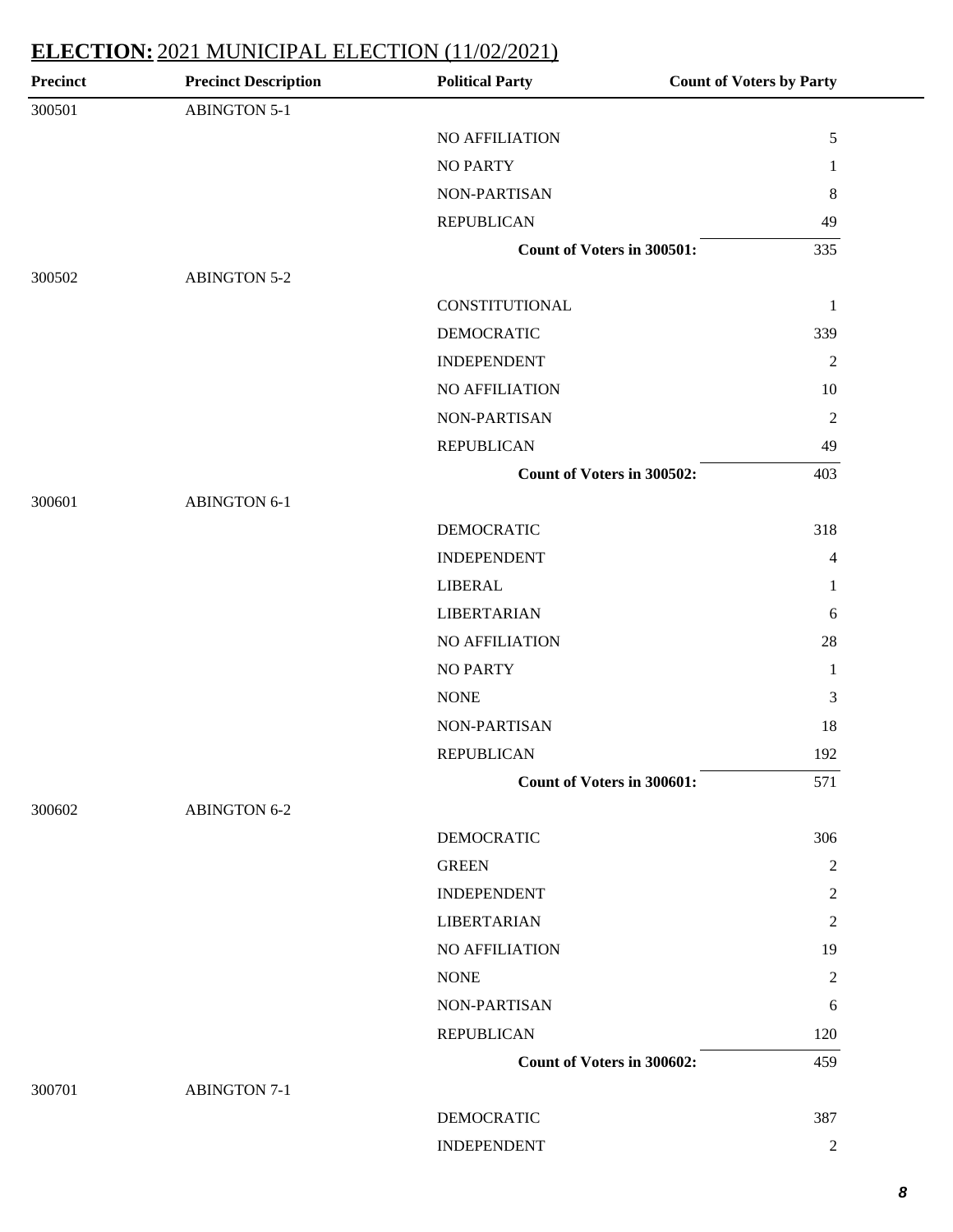| <b>Precinct</b> | <b>Precinct Description</b> | <b>Political Party</b>            | <b>Count of Voters by Party</b> |
|-----------------|-----------------------------|-----------------------------------|---------------------------------|
| 300501          | <b>ABINGTON 5-1</b>         |                                   |                                 |
|                 |                             | NO AFFILIATION                    | $\mathfrak s$                   |
|                 |                             | <b>NO PARTY</b>                   | 1                               |
|                 |                             | NON-PARTISAN                      | 8                               |
|                 |                             | <b>REPUBLICAN</b>                 | 49                              |
|                 |                             | Count of Voters in 300501:        | 335                             |
| 300502          | <b>ABINGTON 5-2</b>         |                                   |                                 |
|                 |                             | CONSTITUTIONAL                    | $\mathbf{1}$                    |
|                 |                             | <b>DEMOCRATIC</b>                 | 339                             |
|                 |                             | <b>INDEPENDENT</b>                | $\mathbf{2}$                    |
|                 |                             | NO AFFILIATION                    | 10                              |
|                 |                             | NON-PARTISAN                      | $\overline{2}$                  |
|                 |                             | <b>REPUBLICAN</b>                 | 49                              |
|                 |                             | <b>Count of Voters in 300502:</b> | 403                             |
| 300601          | <b>ABINGTON 6-1</b>         |                                   |                                 |
|                 |                             | <b>DEMOCRATIC</b>                 | 318                             |
|                 |                             | <b>INDEPENDENT</b>                | 4                               |
|                 |                             | <b>LIBERAL</b>                    | 1                               |
|                 |                             | <b>LIBERTARIAN</b>                | 6                               |
|                 |                             | NO AFFILIATION                    | 28                              |
|                 |                             | <b>NO PARTY</b>                   | 1                               |
|                 |                             | <b>NONE</b>                       | 3                               |
|                 |                             | NON-PARTISAN                      | 18                              |
|                 |                             | <b>REPUBLICAN</b>                 | 192                             |
|                 |                             | <b>Count of Voters in 300601:</b> | 571                             |
| 300602          | <b>ABINGTON 6-2</b>         |                                   |                                 |
|                 |                             | <b>DEMOCRATIC</b>                 | 306                             |
|                 |                             | <b>GREEN</b>                      | $\overline{c}$                  |
|                 |                             | <b>INDEPENDENT</b>                | $\overline{c}$                  |
|                 |                             | <b>LIBERTARIAN</b>                | $\overline{2}$                  |
|                 |                             | <b>NO AFFILIATION</b>             | 19                              |
|                 |                             | <b>NONE</b>                       | $\overline{c}$                  |
|                 |                             | NON-PARTISAN                      | 6                               |
|                 |                             | <b>REPUBLICAN</b>                 | 120                             |
|                 |                             | Count of Voters in 300602:        | 459                             |
| 300701          | <b>ABINGTON 7-1</b>         |                                   |                                 |
|                 |                             | <b>DEMOCRATIC</b>                 | 387                             |
|                 |                             | <b>INDEPENDENT</b>                | $\overline{2}$                  |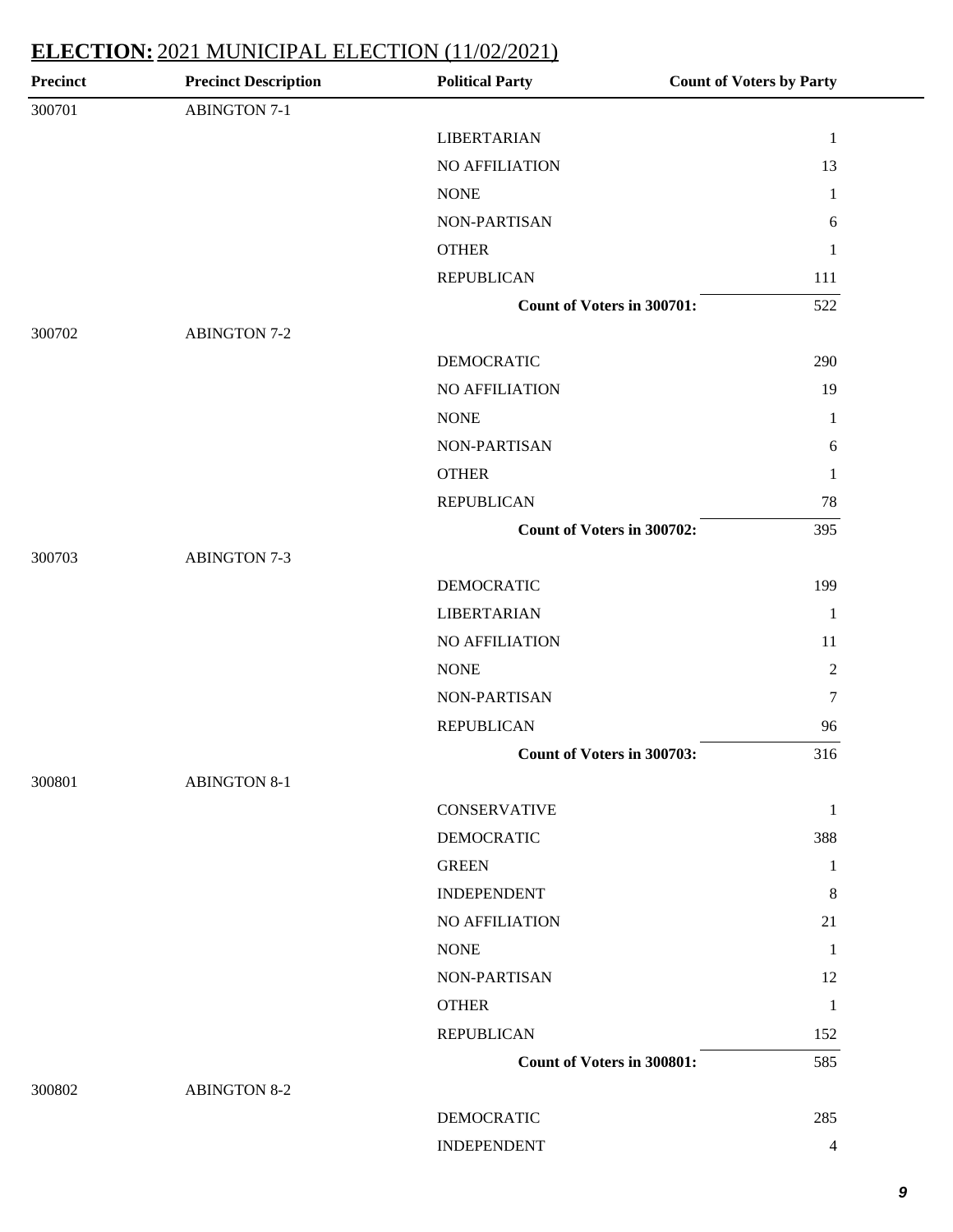| <b>Precinct</b> | <b>Precinct Description</b> | <b>Political Party</b>            | <b>Count of Voters by Party</b> |
|-----------------|-----------------------------|-----------------------------------|---------------------------------|
| 300701          | <b>ABINGTON 7-1</b>         |                                   |                                 |
|                 |                             | <b>LIBERTARIAN</b>                | $\mathbf{1}$                    |
|                 |                             | <b>NO AFFILIATION</b>             | 13                              |
|                 |                             | <b>NONE</b>                       | $\mathbf{1}$                    |
|                 |                             | NON-PARTISAN                      | $\sqrt{6}$                      |
|                 |                             | <b>OTHER</b>                      | $\mathbf{1}$                    |
|                 |                             | <b>REPUBLICAN</b>                 | 111                             |
|                 |                             | <b>Count of Voters in 300701:</b> | 522                             |
| 300702          | <b>ABINGTON 7-2</b>         |                                   |                                 |
|                 |                             | <b>DEMOCRATIC</b>                 | 290                             |
|                 |                             | NO AFFILIATION                    | 19                              |
|                 |                             | <b>NONE</b>                       | $\mathbf{1}$                    |
|                 |                             | NON-PARTISAN                      | $\sqrt{6}$                      |
|                 |                             | <b>OTHER</b>                      | $\mathbf{1}$                    |
|                 |                             | <b>REPUBLICAN</b>                 | 78                              |
|                 |                             | Count of Voters in 300702:        | 395                             |
| 300703          | <b>ABINGTON 7-3</b>         |                                   |                                 |
|                 |                             | <b>DEMOCRATIC</b>                 | 199                             |
|                 |                             | <b>LIBERTARIAN</b>                | $\mathbf{1}$                    |
|                 |                             | NO AFFILIATION                    | 11                              |
|                 |                             | <b>NONE</b>                       | $\sqrt{2}$                      |
|                 |                             | NON-PARTISAN                      | $\boldsymbol{7}$                |
|                 |                             | <b>REPUBLICAN</b>                 | 96                              |
|                 |                             | Count of Voters in 300703:        | 316                             |
| 300801          | <b>ABINGTON 8-1</b>         |                                   |                                 |
|                 |                             | <b>CONSERVATIVE</b>               | $\mathbf{1}$                    |
|                 |                             | <b>DEMOCRATIC</b>                 | 388                             |
|                 |                             | <b>GREEN</b>                      | $\mathbf{1}$                    |
|                 |                             | <b>INDEPENDENT</b>                | 8                               |
|                 |                             | NO AFFILIATION                    | 21                              |
|                 |                             | <b>NONE</b>                       | $\mathbf{1}$                    |
|                 |                             | NON-PARTISAN                      | 12                              |
|                 |                             | <b>OTHER</b>                      | $\mathbf{1}$                    |
|                 |                             | <b>REPUBLICAN</b>                 | 152                             |
|                 |                             | <b>Count of Voters in 300801:</b> | 585                             |
| 300802          | <b>ABINGTON 8-2</b>         |                                   |                                 |
|                 |                             | <b>DEMOCRATIC</b>                 | 285                             |
|                 |                             | <b>INDEPENDENT</b>                | $\overline{4}$                  |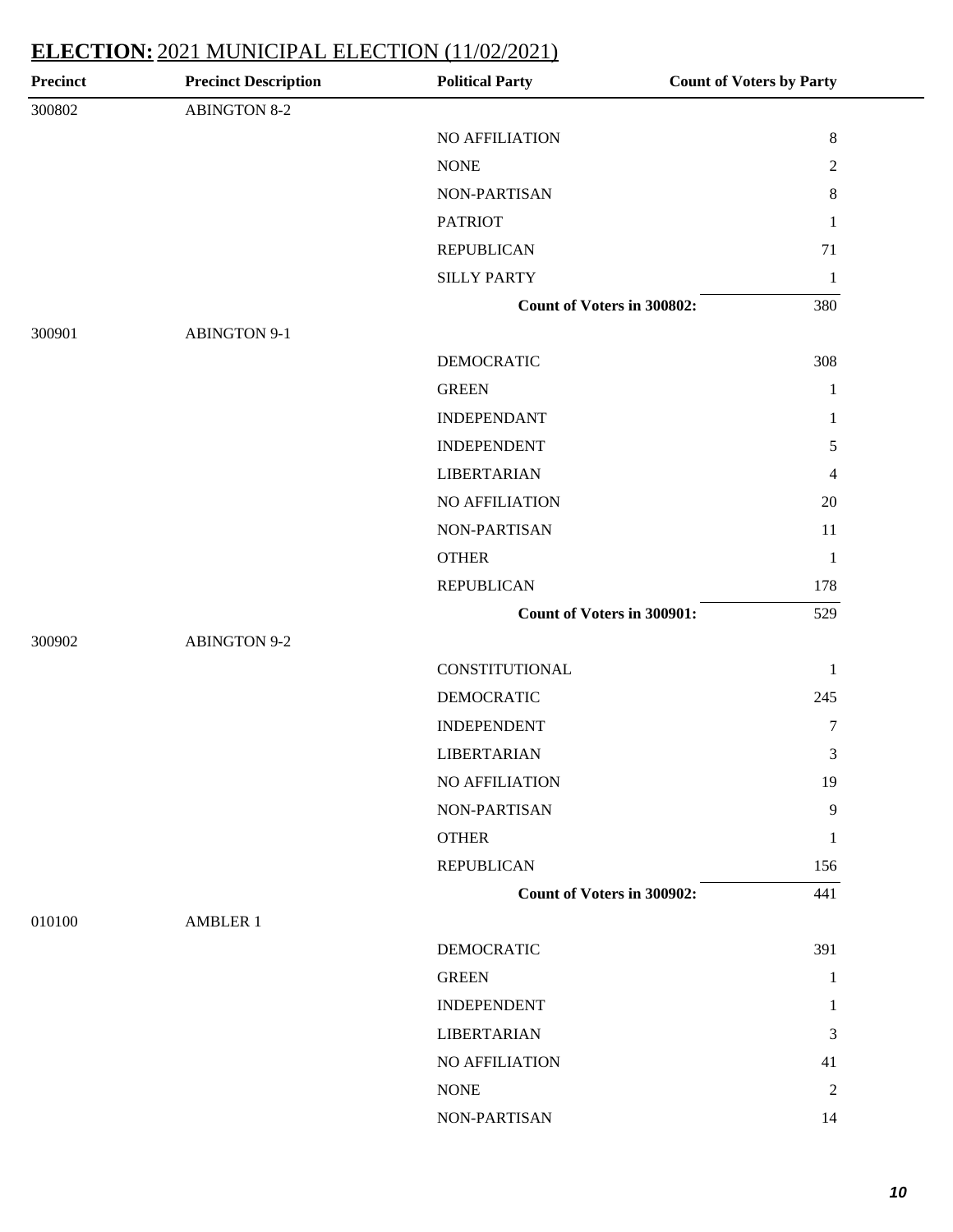| <b>Precinct</b> | <b>Precinct Description</b> | <b>Political Party</b>            | <b>Count of Voters by Party</b> |
|-----------------|-----------------------------|-----------------------------------|---------------------------------|
| 300802          | <b>ABINGTON 8-2</b>         |                                   |                                 |
|                 |                             | NO AFFILIATION                    | $\,8\,$                         |
|                 |                             | <b>NONE</b>                       | $\mathbf{2}$                    |
|                 |                             | NON-PARTISAN                      | $\,8\,$                         |
|                 |                             | <b>PATRIOT</b>                    | $\mathbf{1}$                    |
|                 |                             | <b>REPUBLICAN</b>                 | 71                              |
|                 |                             | <b>SILLY PARTY</b>                | $\mathbf{1}$                    |
|                 |                             | <b>Count of Voters in 300802:</b> | 380                             |
| 300901          | <b>ABINGTON 9-1</b>         |                                   |                                 |
|                 |                             | <b>DEMOCRATIC</b>                 | 308                             |
|                 |                             | <b>GREEN</b>                      | $\mathbf{1}$                    |
|                 |                             | <b>INDEPENDANT</b>                | $\mathbf{1}$                    |
|                 |                             | <b>INDEPENDENT</b>                | 5                               |
|                 |                             | <b>LIBERTARIAN</b>                | $\overline{4}$                  |
|                 |                             | NO AFFILIATION                    | 20                              |
|                 |                             | NON-PARTISAN                      | 11                              |
|                 |                             | <b>OTHER</b>                      | $\mathbf{1}$                    |
|                 |                             | <b>REPUBLICAN</b>                 | 178                             |
|                 |                             | Count of Voters in 300901:        | 529                             |
| 300902          | <b>ABINGTON 9-2</b>         |                                   |                                 |
|                 |                             | CONSTITUTIONAL                    | $\mathbf{1}$                    |
|                 |                             | <b>DEMOCRATIC</b>                 | 245                             |
|                 |                             | <b>INDEPENDENT</b>                | 7                               |
|                 |                             | <b>LIBERTARIAN</b>                | 3                               |
|                 |                             | NO AFFILIATION                    | 19                              |
|                 |                             | NON-PARTISAN                      | 9                               |
|                 |                             | <b>OTHER</b>                      | $\mathbf{1}$                    |
|                 |                             | <b>REPUBLICAN</b>                 | 156                             |
|                 |                             | <b>Count of Voters in 300902:</b> | 441                             |
| 010100          | <b>AMBLER 1</b>             |                                   |                                 |
|                 |                             | <b>DEMOCRATIC</b>                 | 391                             |
|                 |                             | <b>GREEN</b>                      | $\mathbf{1}$                    |
|                 |                             | <b>INDEPENDENT</b>                | 1                               |
|                 |                             | <b>LIBERTARIAN</b>                | 3                               |
|                 |                             | NO AFFILIATION                    | 41                              |
|                 |                             | <b>NONE</b>                       | $\overline{c}$                  |
|                 |                             | NON-PARTISAN                      | 14                              |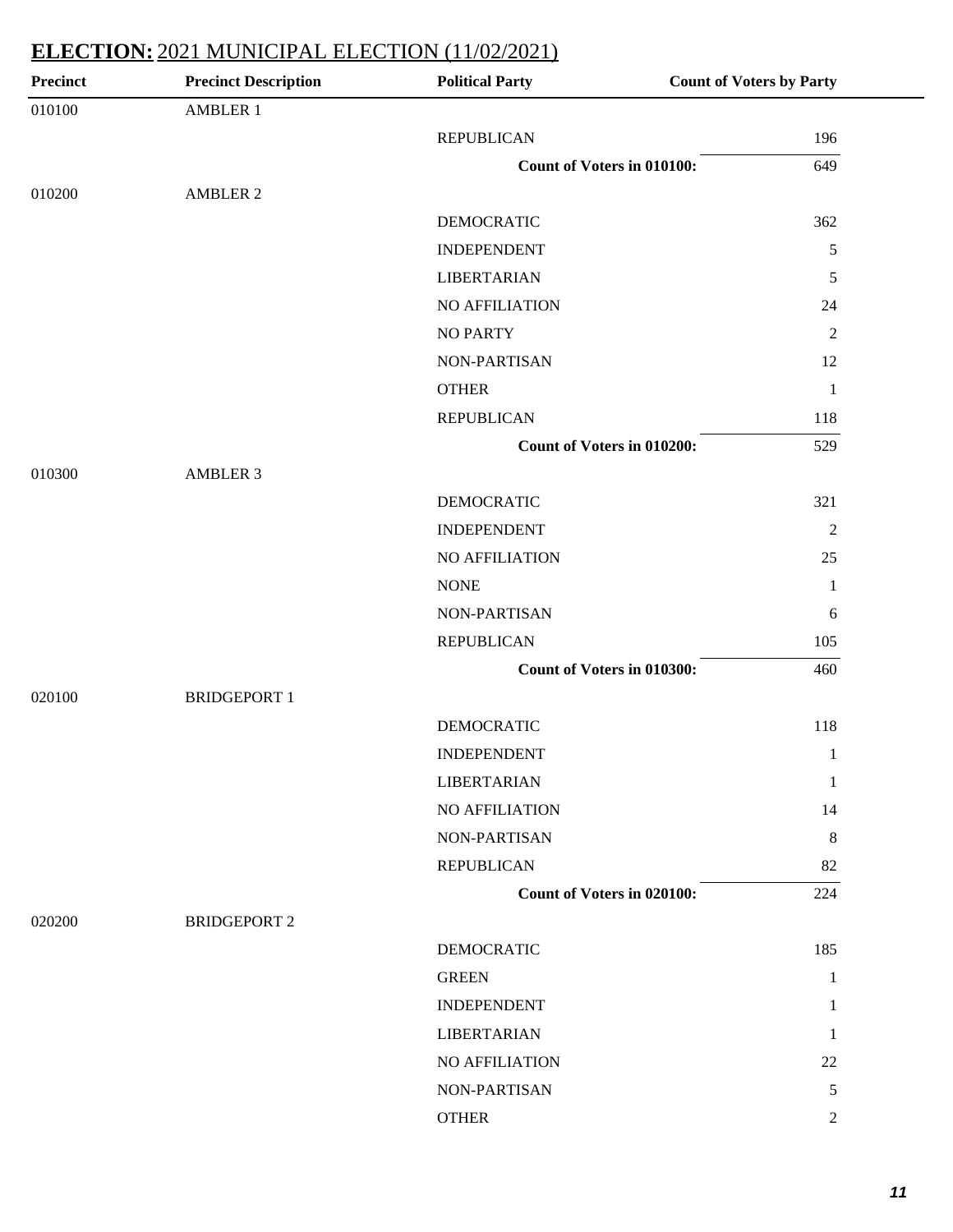| <b>Precinct</b> | <b>Precinct Description</b> | <b>Political Party</b>            | <b>Count of Voters by Party</b> |
|-----------------|-----------------------------|-----------------------------------|---------------------------------|
| 010100          | <b>AMBLER 1</b>             |                                   |                                 |
|                 |                             | <b>REPUBLICAN</b>                 | 196                             |
|                 |                             | <b>Count of Voters in 010100:</b> | 649                             |
| 010200          | <b>AMBLER 2</b>             |                                   |                                 |
|                 |                             | <b>DEMOCRATIC</b>                 | 362                             |
|                 |                             | <b>INDEPENDENT</b>                | $\sqrt{5}$                      |
|                 |                             | <b>LIBERTARIAN</b>                | 5                               |
|                 |                             | NO AFFILIATION                    | 24                              |
|                 |                             | <b>NO PARTY</b>                   | $\sqrt{2}$                      |
|                 |                             | NON-PARTISAN                      | 12                              |
|                 |                             | <b>OTHER</b>                      | $\mathbf{1}$                    |
|                 |                             | <b>REPUBLICAN</b>                 | 118                             |
|                 |                             | Count of Voters in 010200:        | 529                             |
| 010300          | <b>AMBLER 3</b>             |                                   |                                 |
|                 |                             | <b>DEMOCRATIC</b>                 | 321                             |
|                 |                             | <b>INDEPENDENT</b>                | $\overline{2}$                  |
|                 |                             | NO AFFILIATION                    | 25                              |
|                 |                             | <b>NONE</b>                       | $\mathbf{1}$                    |
|                 |                             | NON-PARTISAN                      | 6                               |
|                 |                             | <b>REPUBLICAN</b>                 | 105                             |
|                 |                             | Count of Voters in 010300:        | 460                             |
| 020100          | <b>BRIDGEPORT 1</b>         |                                   |                                 |
|                 |                             | <b>DEMOCRATIC</b>                 | 118                             |
|                 |                             | <b>INDEPENDENT</b>                | $\mathbf{1}$                    |
|                 |                             | <b>LIBERTARIAN</b>                | $\mathbf{1}$                    |
|                 |                             | NO AFFILIATION                    | 14                              |
|                 |                             | NON-PARTISAN                      | $\,8\,$                         |
|                 |                             | <b>REPUBLICAN</b>                 | 82                              |
|                 |                             | Count of Voters in 020100:        | 224                             |
| 020200          | <b>BRIDGEPORT 2</b>         |                                   |                                 |
|                 |                             | <b>DEMOCRATIC</b>                 | 185                             |
|                 |                             | <b>GREEN</b>                      | $\mathbf{1}$                    |
|                 |                             | <b>INDEPENDENT</b>                | 1                               |
|                 |                             | <b>LIBERTARIAN</b>                | 1                               |
|                 |                             | NO AFFILIATION                    | 22                              |
|                 |                             | NON-PARTISAN                      | 5                               |
|                 |                             | <b>OTHER</b>                      | $\overline{2}$                  |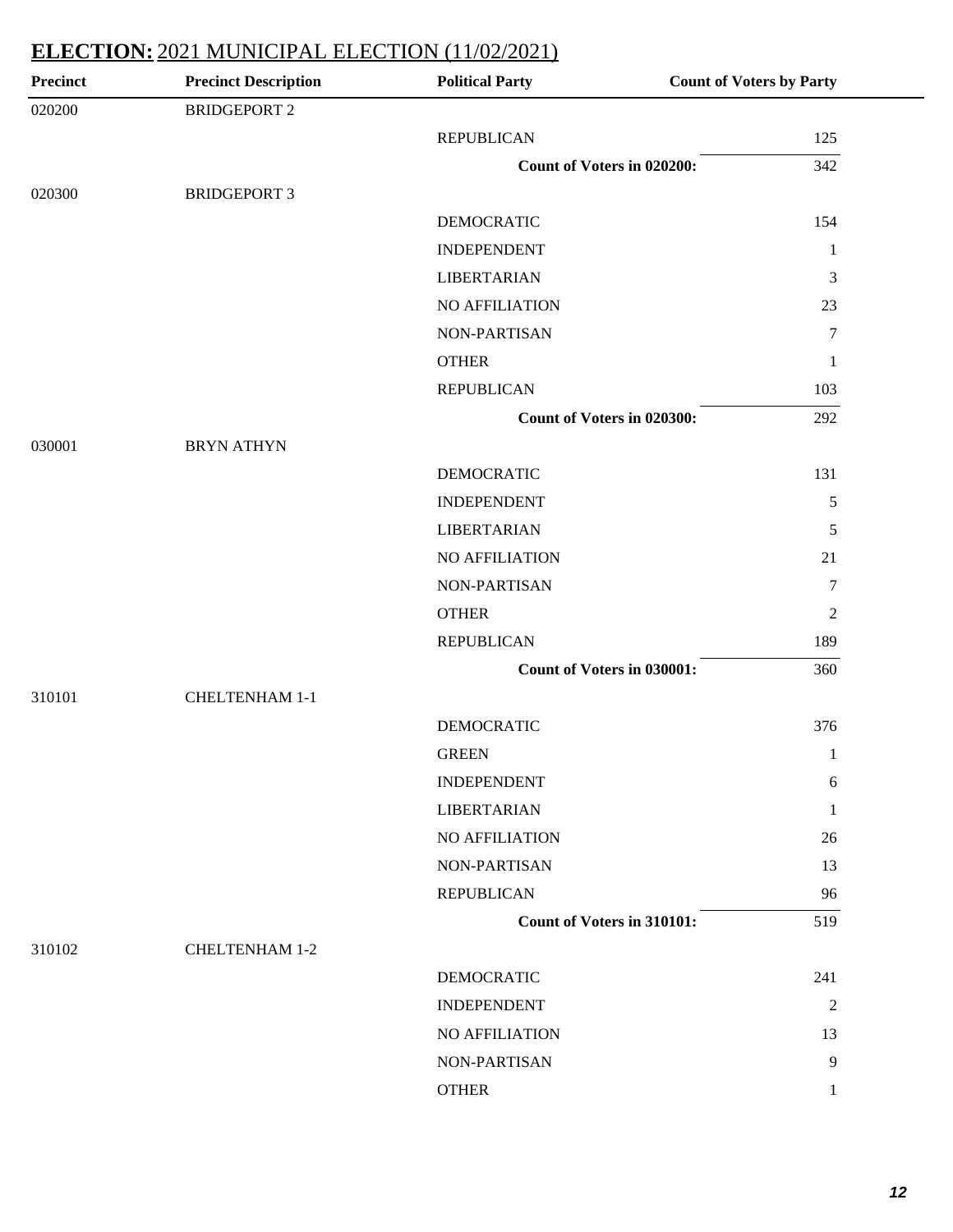| <b>Precinct</b> | <b>Precinct Description</b> | <b>Political Party</b>            | <b>Count of Voters by Party</b> |
|-----------------|-----------------------------|-----------------------------------|---------------------------------|
| 020200          | <b>BRIDGEPORT 2</b>         |                                   |                                 |
|                 |                             | <b>REPUBLICAN</b>                 | 125                             |
|                 |                             | <b>Count of Voters in 020200:</b> | 342                             |
| 020300          | <b>BRIDGEPORT 3</b>         |                                   |                                 |
|                 |                             | <b>DEMOCRATIC</b>                 | 154                             |
|                 |                             | <b>INDEPENDENT</b>                | 1                               |
|                 |                             | <b>LIBERTARIAN</b>                | 3                               |
|                 |                             | NO AFFILIATION                    | 23                              |
|                 |                             | NON-PARTISAN                      | $\overline{7}$                  |
|                 |                             | <b>OTHER</b>                      | $\mathbf{1}$                    |
|                 |                             | <b>REPUBLICAN</b>                 | 103                             |
|                 |                             | Count of Voters in 020300:        | 292                             |
| 030001          | <b>BRYN ATHYN</b>           |                                   |                                 |
|                 |                             | <b>DEMOCRATIC</b>                 | 131                             |
|                 |                             | <b>INDEPENDENT</b>                | 5                               |
|                 |                             | <b>LIBERTARIAN</b>                | 5                               |
|                 |                             | NO AFFILIATION                    | 21                              |
|                 |                             | NON-PARTISAN                      | $\tau$                          |
|                 |                             | <b>OTHER</b>                      | $\overline{2}$                  |
|                 |                             | <b>REPUBLICAN</b>                 | 189                             |
|                 |                             | <b>Count of Voters in 030001:</b> | 360                             |
| 310101          | CHELTENHAM 1-1              |                                   |                                 |
|                 |                             | <b>DEMOCRATIC</b>                 | 376                             |
|                 |                             | <b>GREEN</b>                      | $\mathbf{1}$                    |
|                 |                             | <b>INDEPENDENT</b>                | 6                               |
|                 |                             | <b>LIBERTARIAN</b>                | 1                               |
|                 |                             | NO AFFILIATION                    | 26                              |
|                 |                             | NON-PARTISAN                      | 13                              |
|                 |                             | <b>REPUBLICAN</b>                 | 96                              |
|                 |                             | <b>Count of Voters in 310101:</b> | 519                             |
| 310102          | <b>CHELTENHAM 1-2</b>       |                                   |                                 |
|                 |                             | <b>DEMOCRATIC</b>                 | 241                             |
|                 |                             | <b>INDEPENDENT</b>                | $\overline{2}$                  |
|                 |                             | NO AFFILIATION                    | 13                              |
|                 |                             | NON-PARTISAN                      | 9                               |
|                 |                             | <b>OTHER</b>                      | 1                               |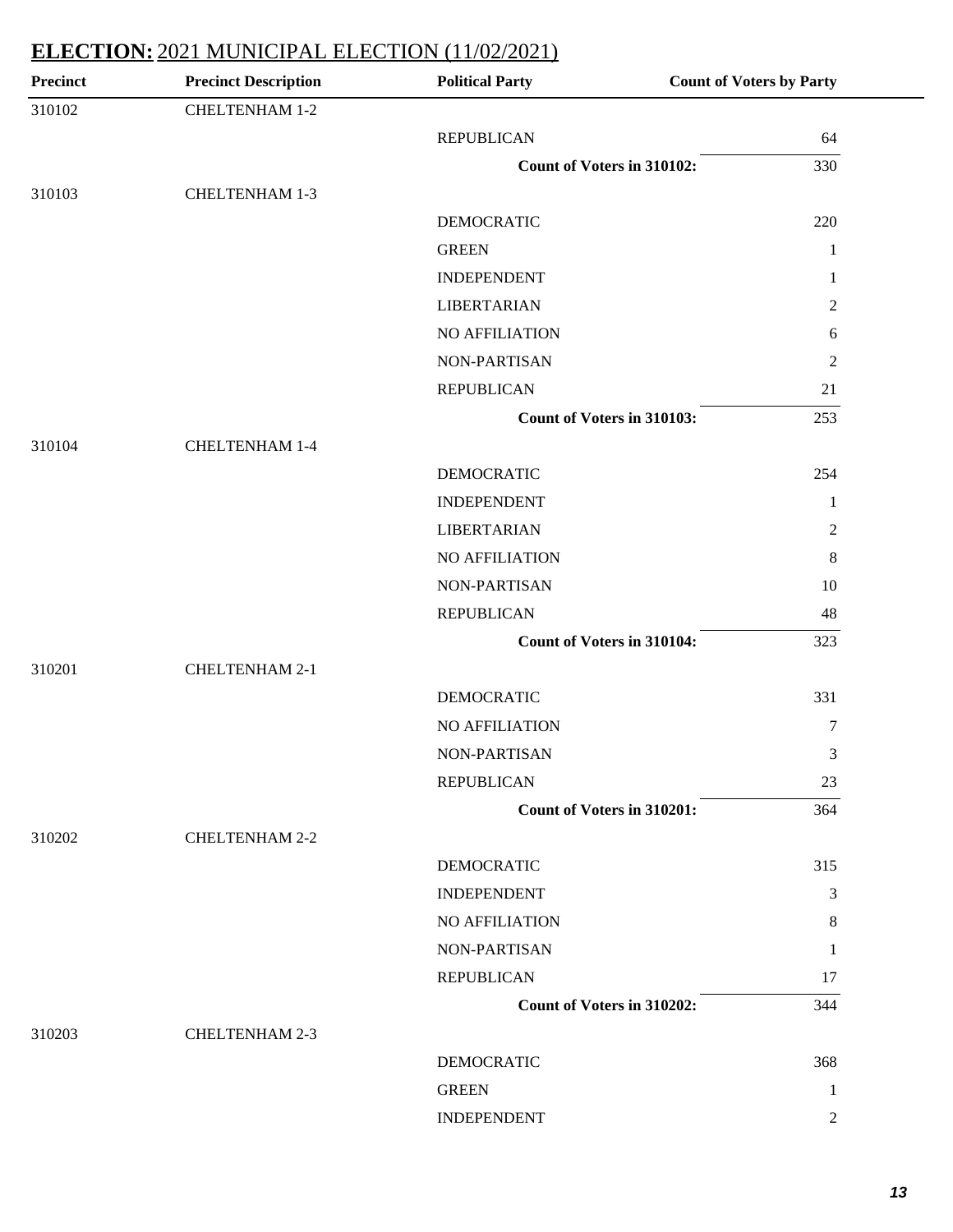| <b>Precinct Description</b> | <b>Political Party</b> | <b>Count of Voters by Party</b>                                                                                                                                         |
|-----------------------------|------------------------|-------------------------------------------------------------------------------------------------------------------------------------------------------------------------|
| CHELTENHAM 1-2              |                        |                                                                                                                                                                         |
|                             | <b>REPUBLICAN</b>      | 64                                                                                                                                                                      |
|                             |                        | 330                                                                                                                                                                     |
| <b>CHELTENHAM 1-3</b>       |                        |                                                                                                                                                                         |
|                             | <b>DEMOCRATIC</b>      | 220                                                                                                                                                                     |
|                             | <b>GREEN</b>           | $\mathbf{1}$                                                                                                                                                            |
|                             | <b>INDEPENDENT</b>     | 1                                                                                                                                                                       |
|                             | <b>LIBERTARIAN</b>     | $\overline{2}$                                                                                                                                                          |
|                             | NO AFFILIATION         | 6                                                                                                                                                                       |
|                             | NON-PARTISAN           | $\overline{2}$                                                                                                                                                          |
|                             | <b>REPUBLICAN</b>      | 21                                                                                                                                                                      |
|                             |                        | 253                                                                                                                                                                     |
| <b>CHELTENHAM 1-4</b>       |                        |                                                                                                                                                                         |
|                             | <b>DEMOCRATIC</b>      | 254                                                                                                                                                                     |
|                             | <b>INDEPENDENT</b>     | $\mathbf{1}$                                                                                                                                                            |
|                             | <b>LIBERTARIAN</b>     | $\overline{2}$                                                                                                                                                          |
|                             | NO AFFILIATION         | $\,8\,$                                                                                                                                                                 |
|                             | NON-PARTISAN           | 10                                                                                                                                                                      |
|                             | <b>REPUBLICAN</b>      | 48                                                                                                                                                                      |
|                             |                        | 323                                                                                                                                                                     |
| <b>CHELTENHAM 2-1</b>       |                        |                                                                                                                                                                         |
|                             | <b>DEMOCRATIC</b>      | 331                                                                                                                                                                     |
|                             | NO AFFILIATION         | 7                                                                                                                                                                       |
|                             | NON-PARTISAN           | 3                                                                                                                                                                       |
|                             | <b>REPUBLICAN</b>      | 23                                                                                                                                                                      |
|                             |                        | 364                                                                                                                                                                     |
| <b>CHELTENHAM 2-2</b>       |                        |                                                                                                                                                                         |
|                             | <b>DEMOCRATIC</b>      | 315                                                                                                                                                                     |
|                             | <b>INDEPENDENT</b>     | 3                                                                                                                                                                       |
|                             | NO AFFILIATION         | 8                                                                                                                                                                       |
|                             | NON-PARTISAN           | 1                                                                                                                                                                       |
|                             | <b>REPUBLICAN</b>      | 17                                                                                                                                                                      |
|                             |                        | 344                                                                                                                                                                     |
| <b>CHELTENHAM 2-3</b>       |                        |                                                                                                                                                                         |
|                             | <b>DEMOCRATIC</b>      | 368                                                                                                                                                                     |
|                             | <b>GREEN</b>           | 1                                                                                                                                                                       |
|                             | <b>INDEPENDENT</b>     | 2                                                                                                                                                                       |
|                             |                        | <b>Count of Voters in 310102:</b><br>Count of Voters in 310103:<br><b>Count of Voters in 310104:</b><br><b>Count of Voters in 310201:</b><br>Count of Voters in 310202: |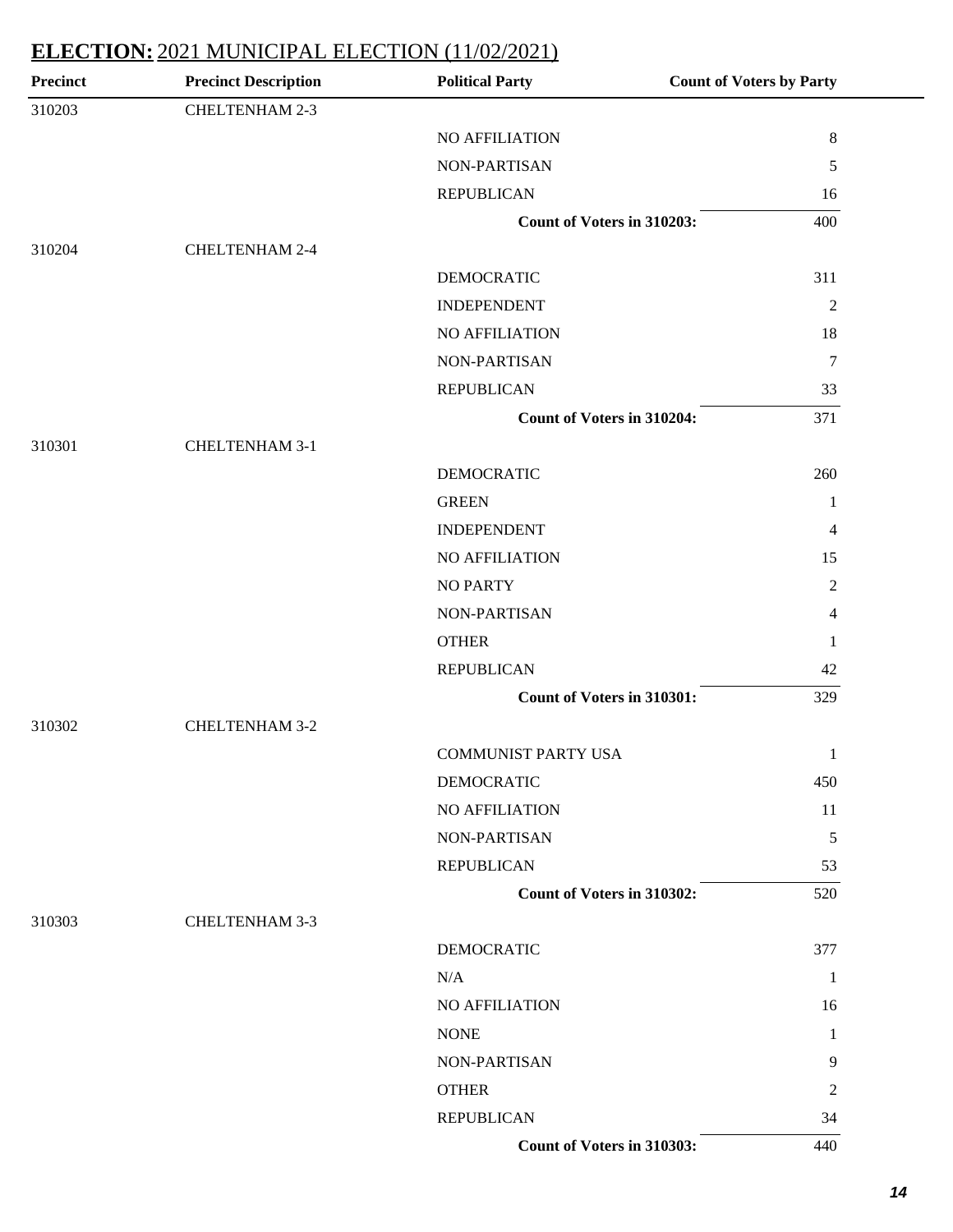| <b>Precinct</b> | <b>Precinct Description</b> | <b>Political Party</b>     | <b>Count of Voters by Party</b> |
|-----------------|-----------------------------|----------------------------|---------------------------------|
| 310203          | CHELTENHAM 2-3              |                            |                                 |
|                 |                             | NO AFFILIATION             | $\,8$                           |
|                 |                             | NON-PARTISAN               | 5                               |
|                 |                             | <b>REPUBLICAN</b>          | 16                              |
|                 |                             | Count of Voters in 310203: | 400                             |
| 310204          | <b>CHELTENHAM 2-4</b>       |                            |                                 |
|                 |                             | <b>DEMOCRATIC</b>          | 311                             |
|                 |                             | <b>INDEPENDENT</b>         | $\overline{c}$                  |
|                 |                             | NO AFFILIATION             | 18                              |
|                 |                             | NON-PARTISAN               | $7\phantom{.0}$                 |
|                 |                             | <b>REPUBLICAN</b>          | 33                              |
|                 |                             | Count of Voters in 310204: | 371                             |
| 310301          | <b>CHELTENHAM 3-1</b>       |                            |                                 |
|                 |                             | <b>DEMOCRATIC</b>          | 260                             |
|                 |                             | <b>GREEN</b>               | $\mathbf{1}$                    |
|                 |                             | <b>INDEPENDENT</b>         | 4                               |
|                 |                             | NO AFFILIATION             | 15                              |
|                 |                             | <b>NO PARTY</b>            | $\mathfrak{2}$                  |
|                 |                             | NON-PARTISAN               | $\overline{4}$                  |
|                 |                             | <b>OTHER</b>               | $\mathbf{1}$                    |
|                 |                             | <b>REPUBLICAN</b>          | $42\,$                          |
|                 |                             | Count of Voters in 310301: | 329                             |
| 310302          | <b>CHELTENHAM 3-2</b>       |                            |                                 |
|                 |                             | <b>COMMUNIST PARTY USA</b> | $\mathbf{1}$                    |
|                 |                             | <b>DEMOCRATIC</b>          | 450                             |
|                 |                             | NO AFFILIATION             | 11                              |
|                 |                             | NON-PARTISAN               | 5                               |
|                 |                             | <b>REPUBLICAN</b>          | 53                              |
|                 |                             | Count of Voters in 310302: | 520                             |
| 310303          | CHELTENHAM 3-3              |                            |                                 |
|                 |                             | <b>DEMOCRATIC</b>          | 377                             |
|                 |                             | N/A                        | 1                               |
|                 |                             | NO AFFILIATION             | 16                              |
|                 |                             | <b>NONE</b>                | 1                               |
|                 |                             | NON-PARTISAN               | 9                               |
|                 |                             | <b>OTHER</b>               | 2                               |
|                 |                             | <b>REPUBLICAN</b>          | 34                              |
|                 |                             | Count of Voters in 310303: | 440                             |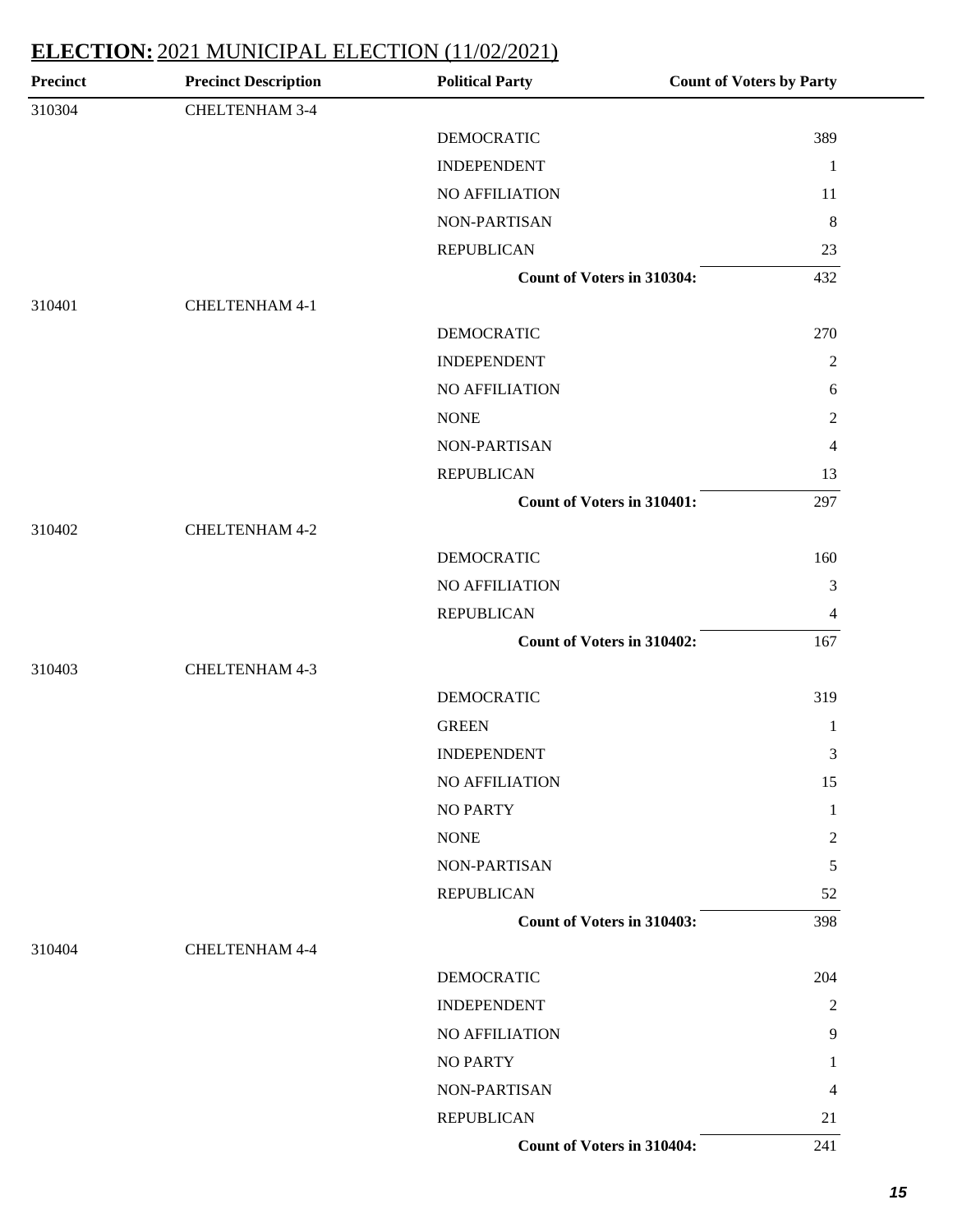| <b>Precinct</b> | <b>Precinct Description</b> | <b>Political Party</b>            | <b>Count of Voters by Party</b> |
|-----------------|-----------------------------|-----------------------------------|---------------------------------|
| 310304          | CHELTENHAM 3-4              |                                   |                                 |
|                 |                             | <b>DEMOCRATIC</b>                 | 389                             |
|                 |                             | <b>INDEPENDENT</b>                | $\mathbf{1}$                    |
|                 |                             | NO AFFILIATION                    | 11                              |
|                 |                             | NON-PARTISAN                      | $8\phantom{.0}$                 |
|                 |                             | <b>REPUBLICAN</b>                 | 23                              |
|                 |                             | <b>Count of Voters in 310304:</b> | 432                             |
| 310401          | <b>CHELTENHAM 4-1</b>       |                                   |                                 |
|                 |                             | <b>DEMOCRATIC</b>                 | 270                             |
|                 |                             | <b>INDEPENDENT</b>                | $\overline{2}$                  |
|                 |                             | <b>NO AFFILIATION</b>             | 6                               |
|                 |                             | <b>NONE</b>                       | $\overline{c}$                  |
|                 |                             | NON-PARTISAN                      | 4                               |
|                 |                             | <b>REPUBLICAN</b>                 | 13                              |
|                 |                             | Count of Voters in 310401:        | 297                             |
| 310402          | CHELTENHAM 4-2              |                                   |                                 |
|                 |                             | <b>DEMOCRATIC</b>                 | 160                             |
|                 |                             | NO AFFILIATION                    | 3                               |
|                 |                             | <b>REPUBLICAN</b>                 | $\overline{\mathcal{A}}$        |
|                 |                             | Count of Voters in 310402:        | 167                             |
| 310403          | CHELTENHAM 4-3              |                                   |                                 |
|                 |                             | <b>DEMOCRATIC</b>                 | 319                             |
|                 |                             | <b>GREEN</b>                      | 1                               |
|                 |                             | <b>INDEPENDENT</b>                | 3                               |
|                 |                             | NO AFFILIATION                    | 15                              |
|                 |                             | <b>NO PARTY</b>                   | 1                               |
|                 |                             | <b>NONE</b>                       | $\overline{c}$                  |
|                 |                             | NON-PARTISAN                      | 5                               |
|                 |                             | <b>REPUBLICAN</b>                 | 52                              |
|                 |                             | Count of Voters in 310403:        | 398                             |
| 310404          | <b>CHELTENHAM 4-4</b>       |                                   |                                 |
|                 |                             | DEMOCRATIC                        | 204                             |
|                 |                             | <b>INDEPENDENT</b>                | $\overline{2}$                  |
|                 |                             | NO AFFILIATION                    | 9                               |
|                 |                             | <b>NO PARTY</b>                   | 1                               |
|                 |                             | NON-PARTISAN                      | 4                               |
|                 |                             | <b>REPUBLICAN</b>                 | 21                              |
|                 |                             | Count of Voters in 310404:        | 241                             |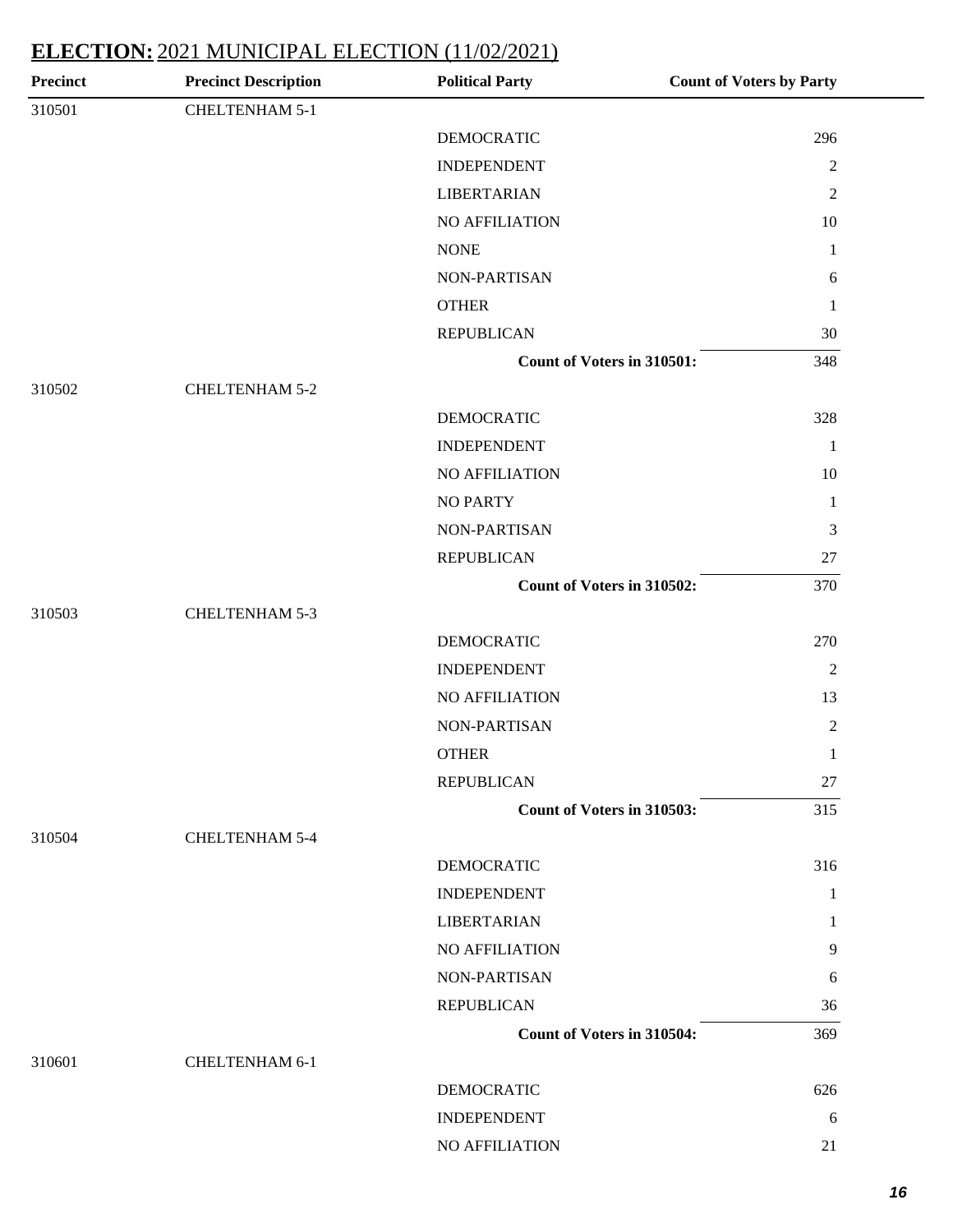| <b>Precinct</b> | <b>Precinct Description</b> | <b>Political Party</b>     | <b>Count of Voters by Party</b> |
|-----------------|-----------------------------|----------------------------|---------------------------------|
| 310501          | CHELTENHAM 5-1              |                            |                                 |
|                 |                             | <b>DEMOCRATIC</b>          | 296                             |
|                 |                             | <b>INDEPENDENT</b>         | $\sqrt{2}$                      |
|                 |                             | <b>LIBERTARIAN</b>         | $\mathfrak{2}$                  |
|                 |                             | NO AFFILIATION             | 10                              |
|                 |                             | <b>NONE</b>                | $\mathbf{1}$                    |
|                 |                             | NON-PARTISAN               | 6                               |
|                 |                             | <b>OTHER</b>               | $\mathbf{1}$                    |
|                 |                             | <b>REPUBLICAN</b>          | 30                              |
|                 |                             | Count of Voters in 310501: | 348                             |
| 310502          | <b>CHELTENHAM 5-2</b>       |                            |                                 |
|                 |                             | <b>DEMOCRATIC</b>          | 328                             |
|                 |                             | <b>INDEPENDENT</b>         | $\mathbf{1}$                    |
|                 |                             | NO AFFILIATION             | 10                              |
|                 |                             | <b>NO PARTY</b>            | $\mathbf{1}$                    |
|                 |                             | NON-PARTISAN               | $\mathfrak 3$                   |
|                 |                             | <b>REPUBLICAN</b>          | 27                              |
|                 |                             | Count of Voters in 310502: | 370                             |
| 310503          | CHELTENHAM 5-3              |                            |                                 |
|                 |                             | <b>DEMOCRATIC</b>          | 270                             |
|                 |                             | <b>INDEPENDENT</b>         | $\overline{2}$                  |
|                 |                             | NO AFFILIATION             | 13                              |
|                 |                             | NON-PARTISAN               | $\mathfrak{2}$                  |
|                 |                             | <b>OTHER</b>               | $\mathbf{1}$                    |
|                 |                             | <b>REPUBLICAN</b>          | 27                              |
|                 |                             | Count of Voters in 310503: | 315                             |
| 310504          | <b>CHELTENHAM 5-4</b>       |                            |                                 |
|                 |                             | <b>DEMOCRATIC</b>          | 316                             |
|                 |                             | <b>INDEPENDENT</b>         | 1                               |
|                 |                             | <b>LIBERTARIAN</b>         | 1                               |
|                 |                             | <b>NO AFFILIATION</b>      | 9                               |
|                 |                             | NON-PARTISAN               | 6                               |
|                 |                             | <b>REPUBLICAN</b>          | 36                              |
|                 |                             | Count of Voters in 310504: | 369                             |
| 310601          | <b>CHELTENHAM 6-1</b>       |                            |                                 |
|                 |                             | <b>DEMOCRATIC</b>          | 626                             |
|                 |                             | <b>INDEPENDENT</b>         | 6                               |
|                 |                             | NO AFFILIATION             | 21                              |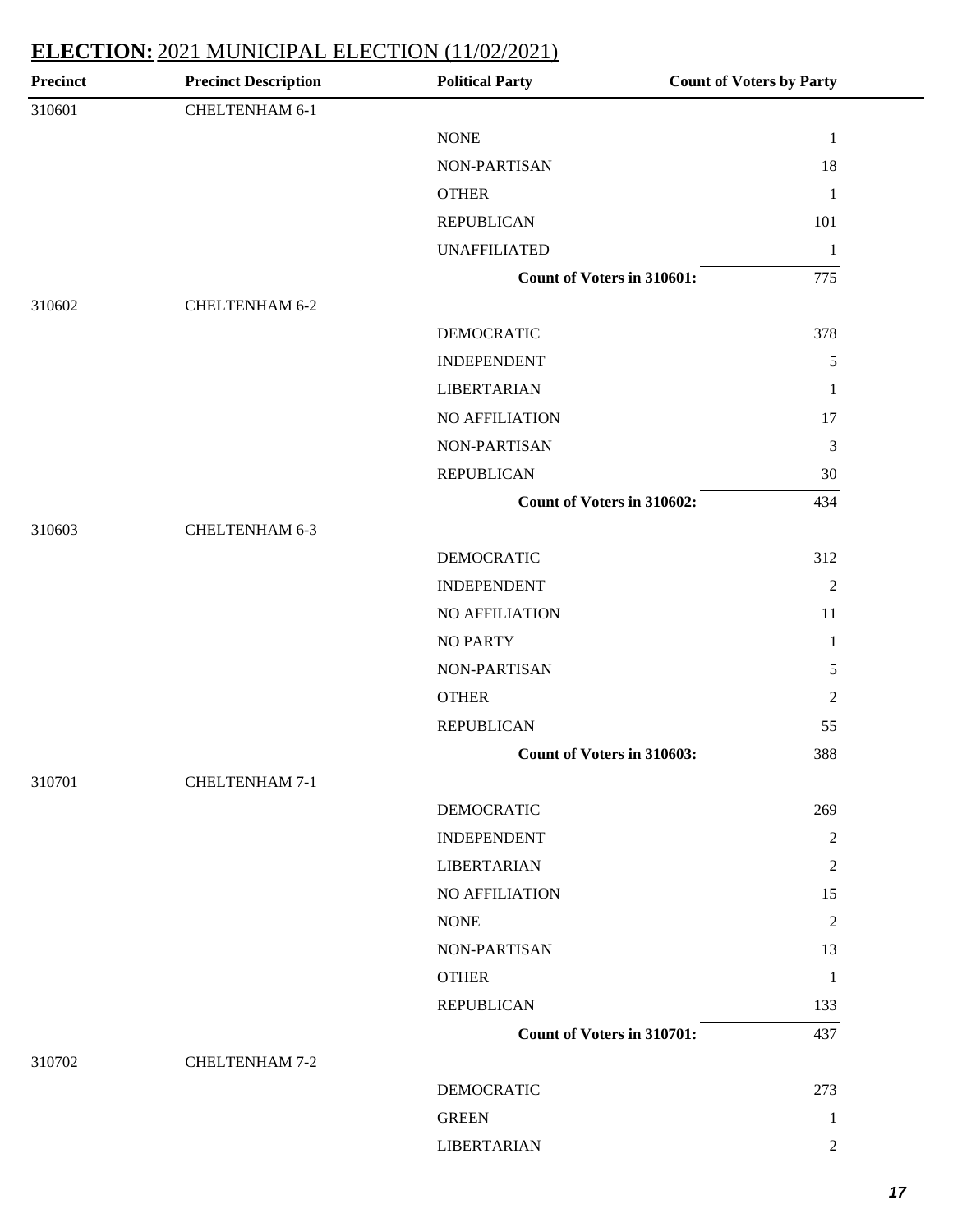| <b>Precinct</b> | <b>Precinct Description</b> | <b>Political Party</b>            | <b>Count of Voters by Party</b> |
|-----------------|-----------------------------|-----------------------------------|---------------------------------|
| 310601          | CHELTENHAM 6-1              |                                   |                                 |
|                 |                             | <b>NONE</b>                       | $\mathbf{1}$                    |
|                 |                             | NON-PARTISAN                      | 18                              |
|                 |                             | <b>OTHER</b>                      | $\mathbf{1}$                    |
|                 |                             | <b>REPUBLICAN</b>                 | 101                             |
|                 |                             | <b>UNAFFILIATED</b>               | $\mathbf{1}$                    |
|                 |                             | <b>Count of Voters in 310601:</b> | 775                             |
| 310602          | <b>CHELTENHAM 6-2</b>       |                                   |                                 |
|                 |                             | <b>DEMOCRATIC</b>                 | 378                             |
|                 |                             | <b>INDEPENDENT</b>                | $\sqrt{5}$                      |
|                 |                             | <b>LIBERTARIAN</b>                | $\mathbf{1}$                    |
|                 |                             | NO AFFILIATION                    | 17                              |
|                 |                             | NON-PARTISAN                      | $\mathfrak{Z}$                  |
|                 |                             | <b>REPUBLICAN</b>                 | 30                              |
|                 |                             | Count of Voters in 310602:        | 434                             |
| 310603          | CHELTENHAM 6-3              |                                   |                                 |
|                 |                             | <b>DEMOCRATIC</b>                 | 312                             |
|                 |                             | <b>INDEPENDENT</b>                | 2                               |
|                 |                             | NO AFFILIATION                    | 11                              |
|                 |                             | NO PARTY                          | $\mathbf{1}$                    |
|                 |                             | NON-PARTISAN                      | 5                               |
|                 |                             | <b>OTHER</b>                      | $\overline{2}$                  |
|                 |                             | <b>REPUBLICAN</b>                 | 55                              |
|                 |                             | Count of Voters in 310603:        | 388                             |
| 310701          | <b>CHELTENHAM 7-1</b>       |                                   |                                 |
|                 |                             | <b>DEMOCRATIC</b>                 | 269                             |
|                 |                             | <b>INDEPENDENT</b>                | 2                               |
|                 |                             | <b>LIBERTARIAN</b>                | $\sqrt{2}$                      |
|                 |                             | NO AFFILIATION                    | 15                              |
|                 |                             | <b>NONE</b>                       | $\overline{2}$                  |
|                 |                             | NON-PARTISAN                      | 13                              |
|                 |                             | <b>OTHER</b>                      | $\mathbf{1}$                    |
|                 |                             | <b>REPUBLICAN</b>                 | 133                             |
|                 |                             | Count of Voters in 310701:        | 437                             |
| 310702          | <b>CHELTENHAM 7-2</b>       |                                   |                                 |
|                 |                             | <b>DEMOCRATIC</b>                 | 273                             |
|                 |                             | <b>GREEN</b>                      | 1                               |
|                 |                             | <b>LIBERTARIAN</b>                | $\overline{2}$                  |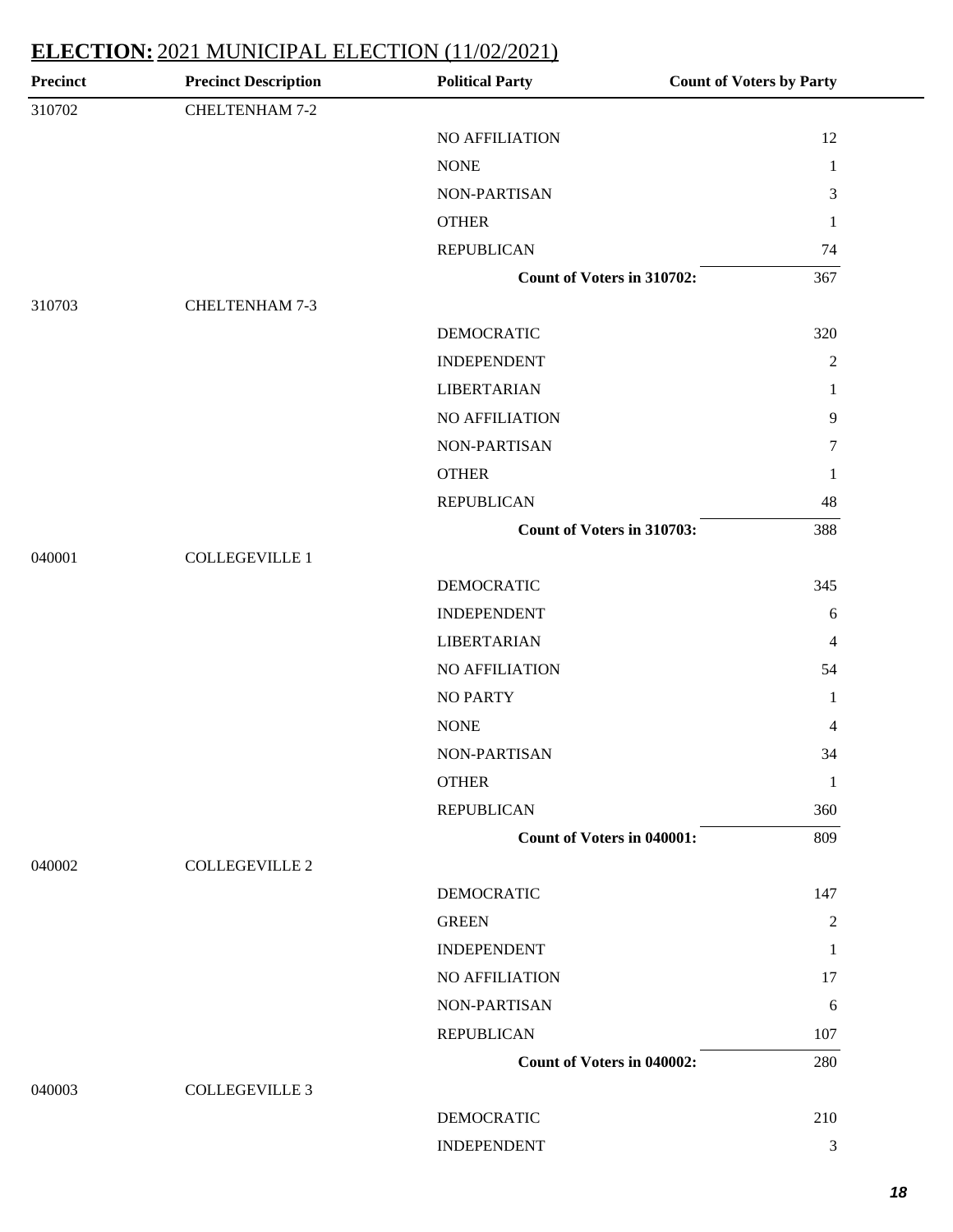| <b>Precinct</b> | <b>Precinct Description</b> | <b>Political Party</b>            | <b>Count of Voters by Party</b> |
|-----------------|-----------------------------|-----------------------------------|---------------------------------|
| 310702          | <b>CHELTENHAM 7-2</b>       |                                   |                                 |
|                 |                             | NO AFFILIATION                    | 12                              |
|                 |                             | <b>NONE</b>                       | -1                              |
|                 |                             | NON-PARTISAN                      | 3                               |
|                 |                             | <b>OTHER</b>                      | 1                               |
|                 |                             | <b>REPUBLICAN</b>                 | 74                              |
|                 |                             | Count of Voters in 310702:        | 367                             |
| 310703          | CHELTENHAM 7-3              |                                   |                                 |
|                 |                             | <b>DEMOCRATIC</b>                 | 320                             |
|                 |                             | <b>INDEPENDENT</b>                | 2                               |
|                 |                             | <b>LIBERTARIAN</b>                | 1                               |
|                 |                             | NO AFFILIATION                    | $\overline{9}$                  |
|                 |                             | NON-PARTISAN                      | $\boldsymbol{7}$                |
|                 |                             | <b>OTHER</b>                      | 1                               |
|                 |                             | <b>REPUBLICAN</b>                 | 48                              |
|                 |                             | Count of Voters in 310703:        | 388                             |
| 040001          | <b>COLLEGEVILLE 1</b>       |                                   |                                 |
|                 |                             | <b>DEMOCRATIC</b>                 | 345                             |
|                 |                             | <b>INDEPENDENT</b>                | 6                               |
|                 |                             | <b>LIBERTARIAN</b>                | $\overline{4}$                  |
|                 |                             | NO AFFILIATION                    | 54                              |
|                 |                             | <b>NO PARTY</b>                   | 1                               |
|                 |                             | <b>NONE</b>                       | 4                               |
|                 |                             | <b>NON-PARTISAN</b>               | 34                              |
|                 |                             | <b>OTHER</b>                      | 1                               |
|                 |                             | <b>REPUBLICAN</b>                 | 360                             |
|                 |                             | <b>Count of Voters in 040001:</b> | 809                             |
| 040002          | <b>COLLEGEVILLE 2</b>       |                                   |                                 |
|                 |                             | <b>DEMOCRATIC</b>                 | 147                             |
|                 |                             | <b>GREEN</b>                      | $\overline{2}$                  |
|                 |                             | <b>INDEPENDENT</b>                | 1                               |
|                 |                             | NO AFFILIATION                    | 17                              |
|                 |                             | NON-PARTISAN                      | 6                               |
|                 |                             | <b>REPUBLICAN</b>                 | 107                             |
|                 |                             | <b>Count of Voters in 040002:</b> | 280                             |
| 040003          | <b>COLLEGEVILLE 3</b>       |                                   |                                 |
|                 |                             | <b>DEMOCRATIC</b>                 | 210                             |
|                 |                             | <b>INDEPENDENT</b>                | 3                               |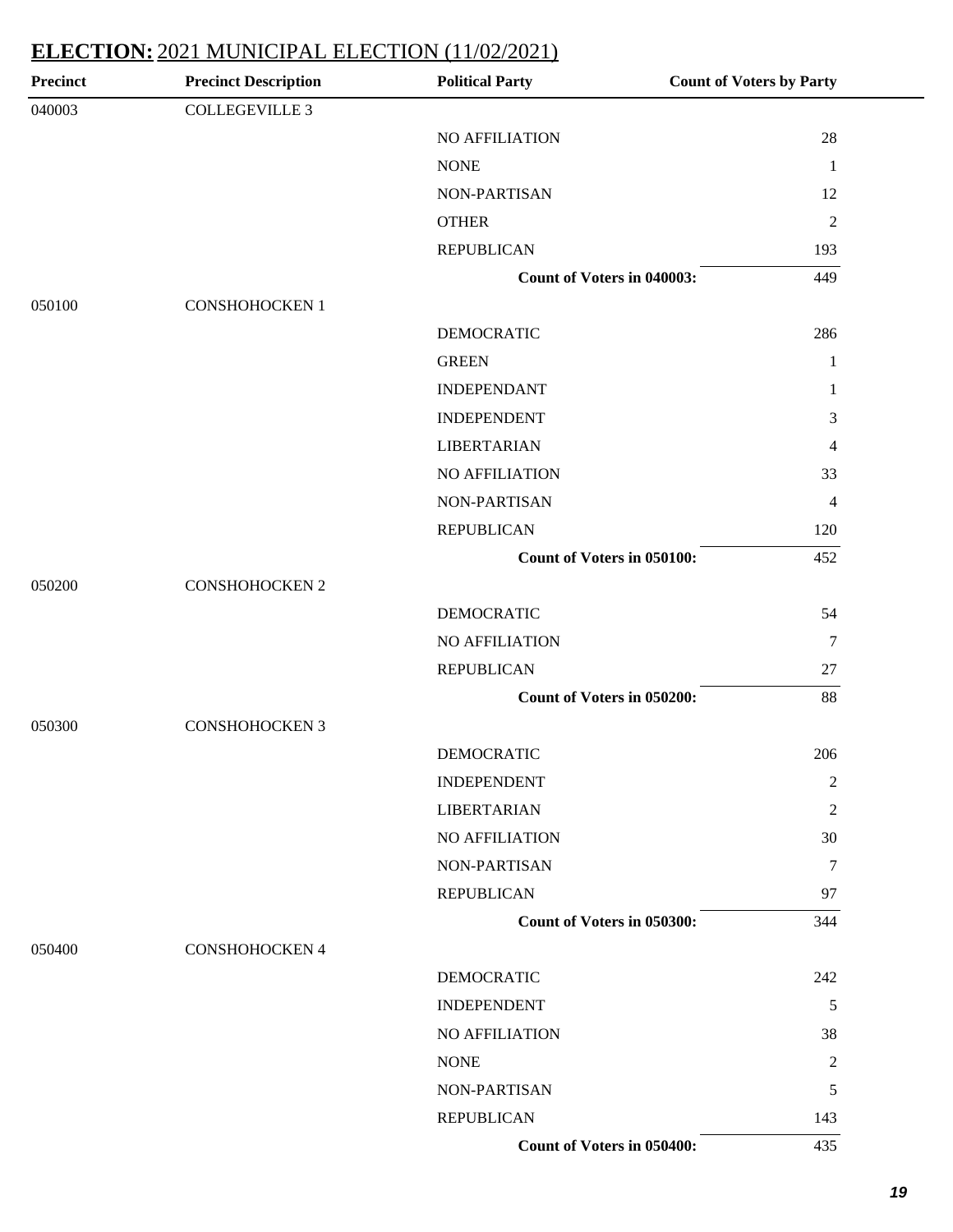| <b>Precinct</b> | <b>Precinct Description</b> | <b>Political Party</b>            | <b>Count of Voters by Party</b> |
|-----------------|-----------------------------|-----------------------------------|---------------------------------|
| 040003          | <b>COLLEGEVILLE 3</b>       |                                   |                                 |
|                 |                             | NO AFFILIATION                    | 28                              |
|                 |                             | <b>NONE</b>                       | $\mathbf{1}$                    |
|                 |                             | NON-PARTISAN                      | 12                              |
|                 |                             | <b>OTHER</b>                      | $\overline{2}$                  |
|                 |                             | <b>REPUBLICAN</b>                 | 193                             |
|                 |                             | <b>Count of Voters in 040003:</b> | 449                             |
| 050100          | <b>CONSHOHOCKEN 1</b>       |                                   |                                 |
|                 |                             | <b>DEMOCRATIC</b>                 | 286                             |
|                 |                             | <b>GREEN</b>                      | 1                               |
|                 |                             | <b>INDEPENDANT</b>                | $\mathbf{1}$                    |
|                 |                             | <b>INDEPENDENT</b>                | 3                               |
|                 |                             | <b>LIBERTARIAN</b>                | 4                               |
|                 |                             | <b>NO AFFILIATION</b>             | 33                              |
|                 |                             | NON-PARTISAN                      | $\overline{4}$                  |
|                 |                             | <b>REPUBLICAN</b>                 | 120                             |
|                 |                             | Count of Voters in 050100:        | 452                             |
| 050200          | <b>CONSHOHOCKEN 2</b>       |                                   |                                 |
|                 |                             | <b>DEMOCRATIC</b>                 | 54                              |
|                 |                             | <b>NO AFFILIATION</b>             | $\overline{7}$                  |
|                 |                             | <b>REPUBLICAN</b>                 | 27                              |
|                 |                             | Count of Voters in 050200:        | 88                              |
| 050300          | <b>CONSHOHOCKEN 3</b>       |                                   |                                 |
|                 |                             | <b>DEMOCRATIC</b>                 | 206                             |
|                 |                             | <b>INDEPENDENT</b>                | $\overline{c}$                  |
|                 |                             | <b>LIBERTARIAN</b>                | 2                               |
|                 |                             | NO AFFILIATION                    | 30                              |
|                 |                             | NON-PARTISAN                      | 7                               |
|                 |                             | <b>REPUBLICAN</b>                 | 97                              |
|                 |                             | Count of Voters in 050300:        | 344                             |
| 050400          | <b>CONSHOHOCKEN 4</b>       |                                   |                                 |
|                 |                             | <b>DEMOCRATIC</b>                 | 242                             |
|                 |                             | <b>INDEPENDENT</b>                | 5                               |
|                 |                             | NO AFFILIATION                    | 38                              |
|                 |                             | <b>NONE</b>                       | 2                               |
|                 |                             | NON-PARTISAN                      | 5                               |
|                 |                             | <b>REPUBLICAN</b>                 | 143                             |
|                 |                             | Count of Voters in 050400:        | 435                             |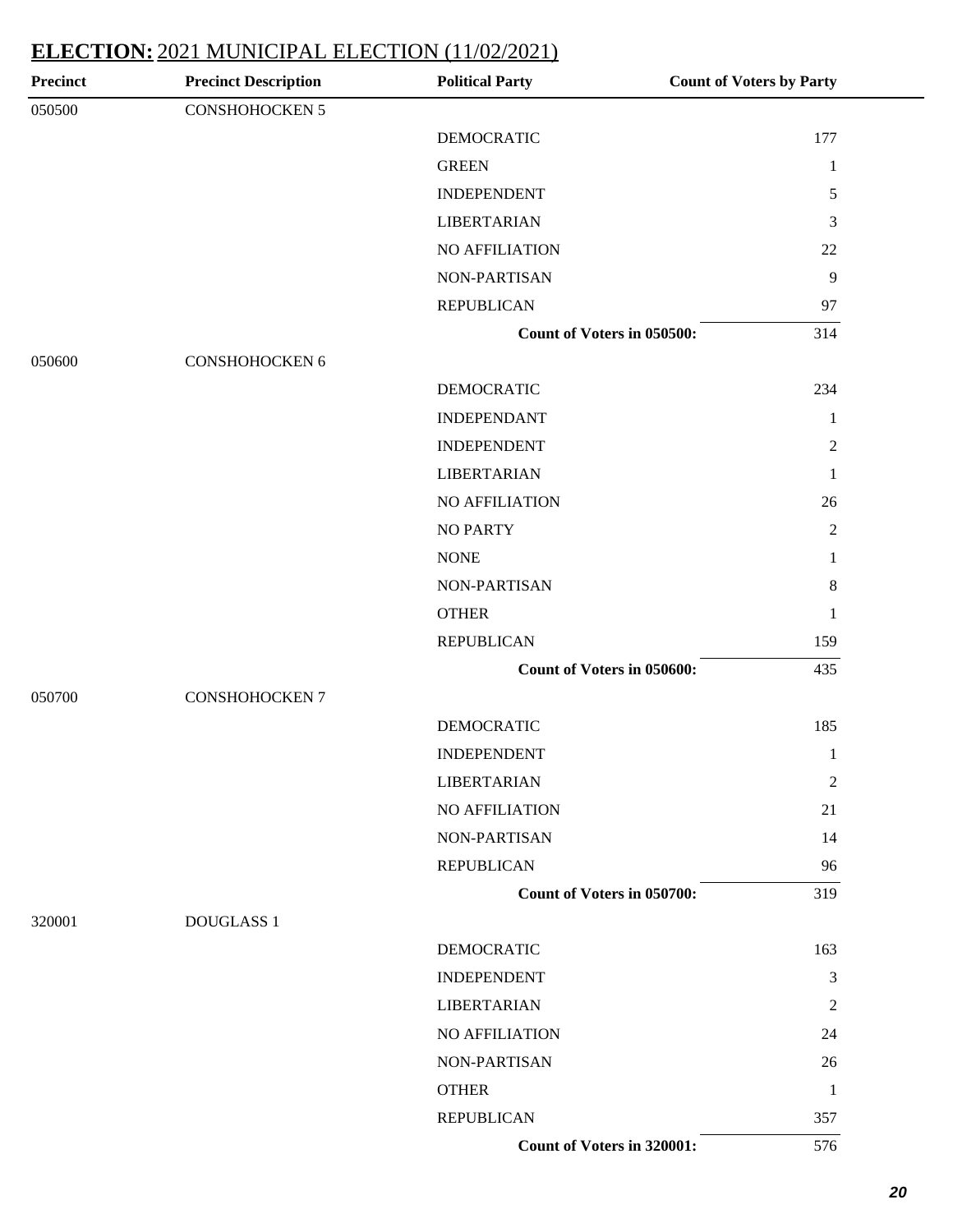| Precinct | <b>Precinct Description</b> | <b>Political Party</b>     | <b>Count of Voters by Party</b> |
|----------|-----------------------------|----------------------------|---------------------------------|
| 050500   | CONSHOHOCKEN 5              |                            |                                 |
|          |                             | <b>DEMOCRATIC</b>          | 177                             |
|          |                             | <b>GREEN</b>               | $\mathbf{1}$                    |
|          |                             | <b>INDEPENDENT</b>         | $\sqrt{5}$                      |
|          |                             | <b>LIBERTARIAN</b>         | 3                               |
|          |                             | NO AFFILIATION             | 22                              |
|          |                             | NON-PARTISAN               | 9                               |
|          |                             | <b>REPUBLICAN</b>          | 97                              |
|          |                             | Count of Voters in 050500: | 314                             |
| 050600   | CONSHOHOCKEN 6              |                            |                                 |
|          |                             | <b>DEMOCRATIC</b>          | 234                             |
|          |                             | <b>INDEPENDANT</b>         | $\mathbf{1}$                    |
|          |                             | <b>INDEPENDENT</b>         | $\overline{2}$                  |
|          |                             | <b>LIBERTARIAN</b>         | 1                               |
|          |                             | <b>NO AFFILIATION</b>      | 26                              |
|          |                             | <b>NO PARTY</b>            | $\overline{2}$                  |
|          |                             | <b>NONE</b>                | 1                               |
|          |                             | NON-PARTISAN               | $\,8\,$                         |
|          |                             | <b>OTHER</b>               | 1                               |
|          |                             | <b>REPUBLICAN</b>          | 159                             |
|          |                             | Count of Voters in 050600: | 435                             |
| 050700   | <b>CONSHOHOCKEN 7</b>       |                            |                                 |
|          |                             | <b>DEMOCRATIC</b>          | 185                             |
|          |                             | <b>INDEPENDENT</b>         | 1                               |
|          |                             | <b>LIBERTARIAN</b>         | $\overline{2}$                  |
|          |                             | NO AFFILIATION             | 21                              |
|          |                             | <b>NON-PARTISAN</b>        | 14                              |
|          |                             | <b>REPUBLICAN</b>          | 96                              |
|          |                             | Count of Voters in 050700: | 319                             |
| 320001   | <b>DOUGLASS 1</b>           |                            |                                 |
|          |                             | <b>DEMOCRATIC</b>          | 163                             |
|          |                             | <b>INDEPENDENT</b>         | $\mathfrak{Z}$                  |
|          |                             | <b>LIBERTARIAN</b>         | $\overline{2}$                  |
|          |                             | NO AFFILIATION             | 24                              |
|          |                             | <b>NON-PARTISAN</b>        | 26                              |
|          |                             | <b>OTHER</b>               | 1                               |
|          |                             | <b>REPUBLICAN</b>          | 357                             |
|          |                             | Count of Voters in 320001: | 576                             |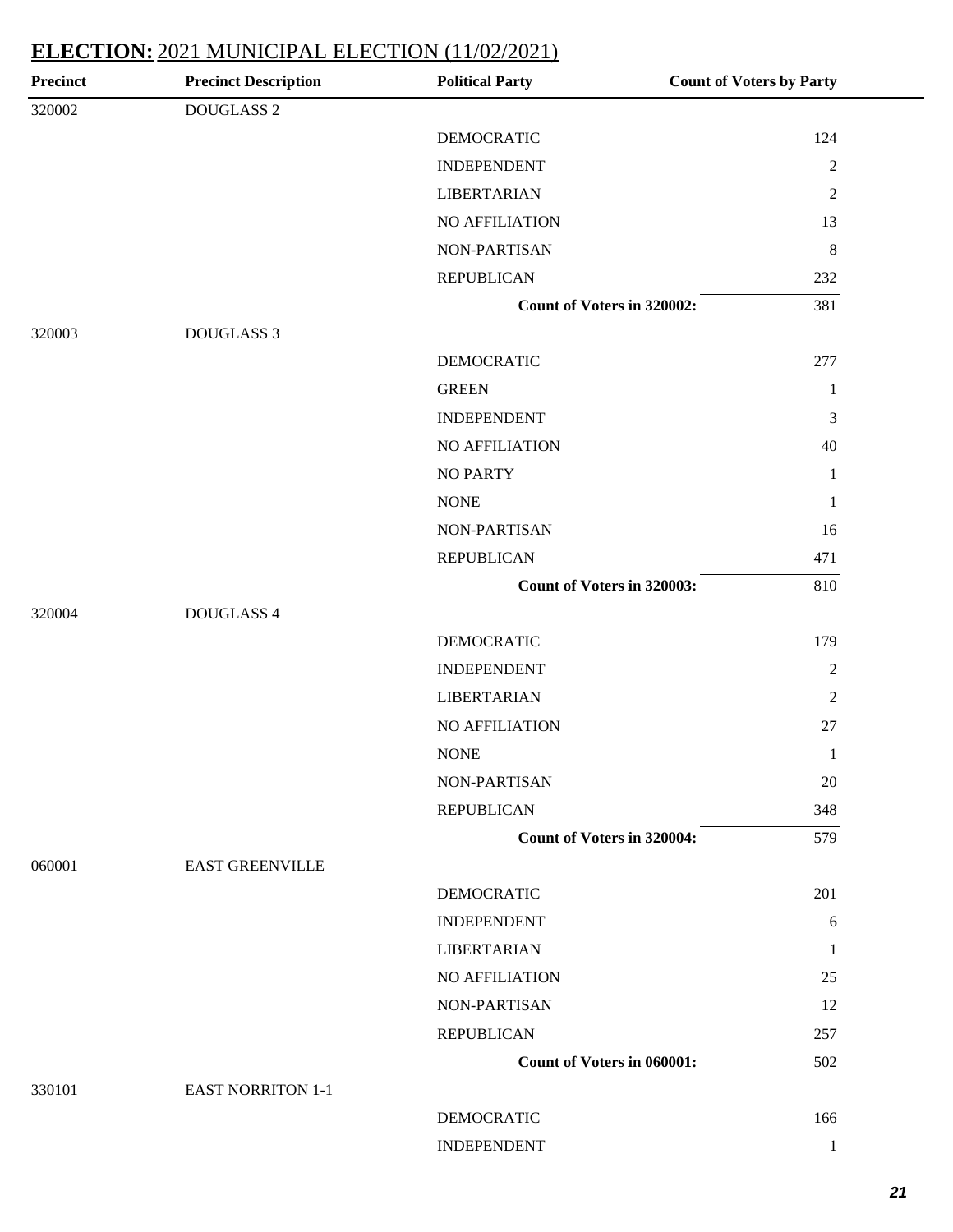| <b>Precinct Description</b> | <b>Political Party</b>            | <b>Count of Voters by Party</b> |
|-----------------------------|-----------------------------------|---------------------------------|
| DOUGLASS 2                  |                                   |                                 |
|                             | <b>DEMOCRATIC</b>                 | 124                             |
|                             | <b>INDEPENDENT</b>                | $\overline{2}$                  |
|                             | <b>LIBERTARIAN</b>                | $\overline{2}$                  |
|                             | NO AFFILIATION                    | 13                              |
|                             | NON-PARTISAN                      | $\,8\,$                         |
|                             | <b>REPUBLICAN</b>                 | 232                             |
|                             | Count of Voters in 320002:        | 381                             |
| <b>DOUGLASS 3</b>           |                                   |                                 |
|                             | <b>DEMOCRATIC</b>                 | 277                             |
|                             | <b>GREEN</b>                      | 1                               |
|                             | <b>INDEPENDENT</b>                | 3                               |
|                             | <b>NO AFFILIATION</b>             | 40                              |
|                             | <b>NO PARTY</b>                   | 1                               |
|                             | <b>NONE</b>                       | 1                               |
|                             | NON-PARTISAN                      | 16                              |
|                             | <b>REPUBLICAN</b>                 | 471                             |
|                             | Count of Voters in 320003:        | 810                             |
| DOUGLASS 4                  |                                   |                                 |
|                             | <b>DEMOCRATIC</b>                 | 179                             |
|                             | <b>INDEPENDENT</b>                | $\overline{2}$                  |
|                             | <b>LIBERTARIAN</b>                | $\sqrt{2}$                      |
|                             | NO AFFILIATION                    | 27                              |
|                             | <b>NONE</b>                       | $\mathbf{1}$                    |
|                             | NON-PARTISAN                      | 20                              |
|                             | <b>REPUBLICAN</b>                 | 348                             |
|                             | <b>Count of Voters in 320004:</b> | 579                             |
| <b>EAST GREENVILLE</b>      |                                   |                                 |
|                             | <b>DEMOCRATIC</b>                 | 201                             |
|                             | <b>INDEPENDENT</b>                | 6                               |
|                             | <b>LIBERTARIAN</b>                | 1                               |
|                             | <b>NO AFFILIATION</b>             | 25                              |
|                             | NON-PARTISAN                      | 12                              |
|                             | <b>REPUBLICAN</b>                 | 257                             |
|                             | Count of Voters in 060001:        | 502                             |
| <b>EAST NORRITON 1-1</b>    |                                   |                                 |
|                             | <b>DEMOCRATIC</b>                 | 166                             |
|                             | <b>INDEPENDENT</b>                | $\mathbf{1}$                    |
|                             |                                   |                                 |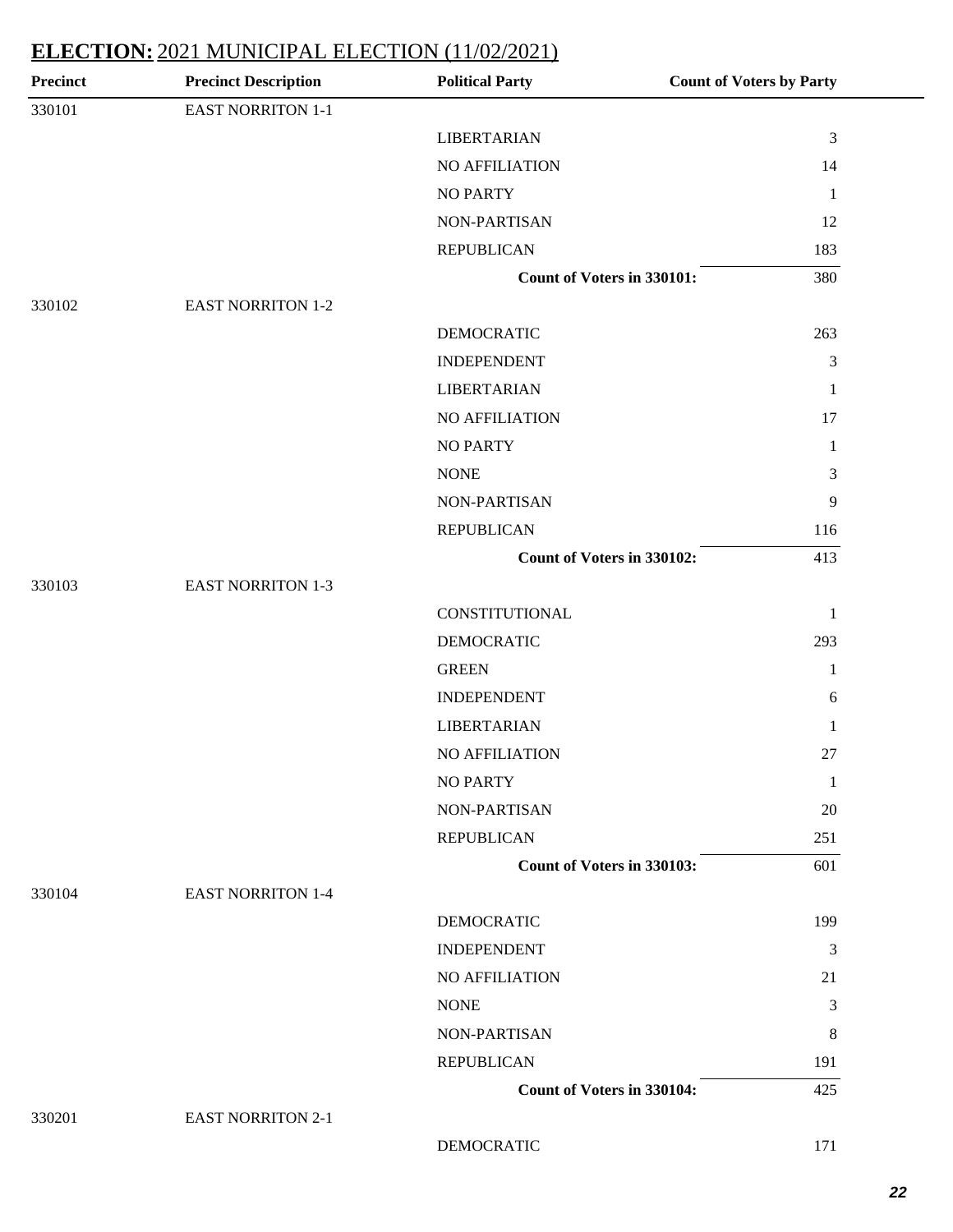| <b>Precinct</b> | <b>Precinct Description</b> | <b>Political Party</b>            | <b>Count of Voters by Party</b> |
|-----------------|-----------------------------|-----------------------------------|---------------------------------|
| 330101          | EAST NORRITON 1-1           |                                   |                                 |
|                 |                             | <b>LIBERTARIAN</b>                | $\mathfrak{Z}$                  |
|                 |                             | NO AFFILIATION                    | 14                              |
|                 |                             | <b>NO PARTY</b>                   | $\mathbf{1}$                    |
|                 |                             | NON-PARTISAN                      | 12                              |
|                 |                             | <b>REPUBLICAN</b>                 | 183                             |
|                 |                             | Count of Voters in 330101:        | 380                             |
| 330102          | <b>EAST NORRITON 1-2</b>    |                                   |                                 |
|                 |                             | <b>DEMOCRATIC</b>                 | 263                             |
|                 |                             | <b>INDEPENDENT</b>                | $\mathfrak{Z}$                  |
|                 |                             | <b>LIBERTARIAN</b>                | $\mathbf{1}$                    |
|                 |                             | <b>NO AFFILIATION</b>             | 17                              |
|                 |                             | <b>NO PARTY</b>                   | $\mathbf{1}$                    |
|                 |                             | <b>NONE</b>                       | $\mathfrak{Z}$                  |
|                 |                             | NON-PARTISAN                      | $\overline{9}$                  |
|                 |                             | <b>REPUBLICAN</b>                 | 116                             |
|                 |                             | Count of Voters in 330102:        | 413                             |
| 330103          | <b>EAST NORRITON 1-3</b>    |                                   |                                 |
|                 |                             | CONSTITUTIONAL                    | $\mathbf{1}$                    |
|                 |                             | <b>DEMOCRATIC</b>                 | 293                             |
|                 |                             | <b>GREEN</b>                      | $\mathbf{1}$                    |
|                 |                             | <b>INDEPENDENT</b>                | $\boldsymbol{6}$                |
|                 |                             | <b>LIBERTARIAN</b>                | $\mathbf{1}$                    |
|                 |                             | NO AFFILIATION                    | 27                              |
|                 |                             | <b>NO PARTY</b>                   | $\mathbf{1}$                    |
|                 |                             | <b>NON-PARTISAN</b>               | 20                              |
|                 |                             | <b>REPUBLICAN</b>                 | 251                             |
|                 |                             | Count of Voters in 330103:        | 601                             |
| 330104          | <b>EAST NORRITON 1-4</b>    |                                   |                                 |
|                 |                             | <b>DEMOCRATIC</b>                 | 199                             |
|                 |                             | <b>INDEPENDENT</b>                | $\mathfrak{Z}$                  |
|                 |                             | NO AFFILIATION                    | 21                              |
|                 |                             | <b>NONE</b>                       | 3                               |
|                 |                             | NON-PARTISAN                      | 8                               |
|                 |                             | <b>REPUBLICAN</b>                 | 191                             |
|                 |                             | <b>Count of Voters in 330104:</b> | 425                             |
| 330201          | <b>EAST NORRITON 2-1</b>    |                                   |                                 |
|                 |                             | <b>DEMOCRATIC</b>                 | 171                             |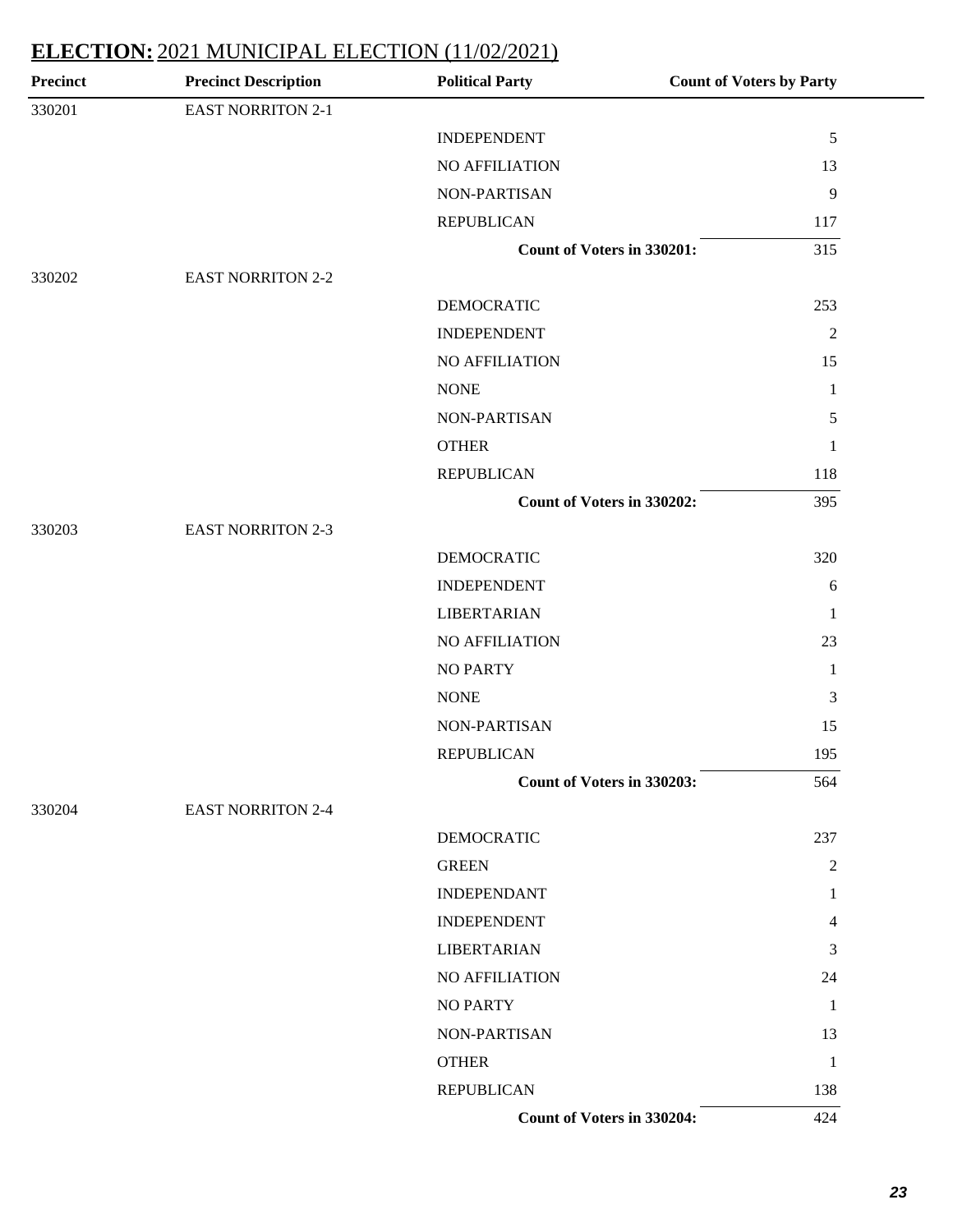| <b>Precinct</b> | <b>Precinct Description</b> | <b>Political Party</b>     | <b>Count of Voters by Party</b> |
|-----------------|-----------------------------|----------------------------|---------------------------------|
| 330201          | <b>EAST NORRITON 2-1</b>    |                            |                                 |
|                 |                             | <b>INDEPENDENT</b>         | $\sqrt{5}$                      |
|                 |                             | NO AFFILIATION             | 13                              |
|                 |                             | NON-PARTISAN               | $\overline{9}$                  |
|                 |                             | <b>REPUBLICAN</b>          | 117                             |
|                 |                             | Count of Voters in 330201: | 315                             |
| 330202          | <b>EAST NORRITON 2-2</b>    |                            |                                 |
|                 |                             | <b>DEMOCRATIC</b>          | 253                             |
|                 |                             | <b>INDEPENDENT</b>         | $\overline{2}$                  |
|                 |                             | NO AFFILIATION             | 15                              |
|                 |                             | <b>NONE</b>                | 1                               |
|                 |                             | NON-PARTISAN               | $\sqrt{5}$                      |
|                 |                             | <b>OTHER</b>               | $\mathbf{1}$                    |
|                 |                             | <b>REPUBLICAN</b>          | 118                             |
|                 |                             | Count of Voters in 330202: | 395                             |
| 330203          | <b>EAST NORRITON 2-3</b>    |                            |                                 |
|                 |                             | <b>DEMOCRATIC</b>          | 320                             |
|                 |                             | <b>INDEPENDENT</b>         | 6                               |
|                 |                             | <b>LIBERTARIAN</b>         | -1                              |
|                 |                             | NO AFFILIATION             | 23                              |
|                 |                             | <b>NO PARTY</b>            | 1                               |
|                 |                             | <b>NONE</b>                | $\mathfrak{Z}$                  |
|                 |                             | NON-PARTISAN               | 15                              |
|                 |                             | <b>REPUBLICAN</b>          | 195                             |
|                 |                             | Count of Voters in 330203: | 564                             |
| 330204          | <b>EAST NORRITON 2-4</b>    |                            |                                 |
|                 |                             | <b>DEMOCRATIC</b>          | 237                             |
|                 |                             | <b>GREEN</b>               | 2                               |
|                 |                             | <b>INDEPENDANT</b>         | 1                               |
|                 |                             | <b>INDEPENDENT</b>         | 4                               |
|                 |                             | <b>LIBERTARIAN</b>         | 3                               |
|                 |                             | NO AFFILIATION             | 24                              |
|                 |                             | <b>NO PARTY</b>            | 1                               |
|                 |                             | NON-PARTISAN               | 13                              |
|                 |                             | <b>OTHER</b>               | $\mathbf{1}$                    |
|                 |                             | <b>REPUBLICAN</b>          | 138                             |
|                 |                             | Count of Voters in 330204: | 424                             |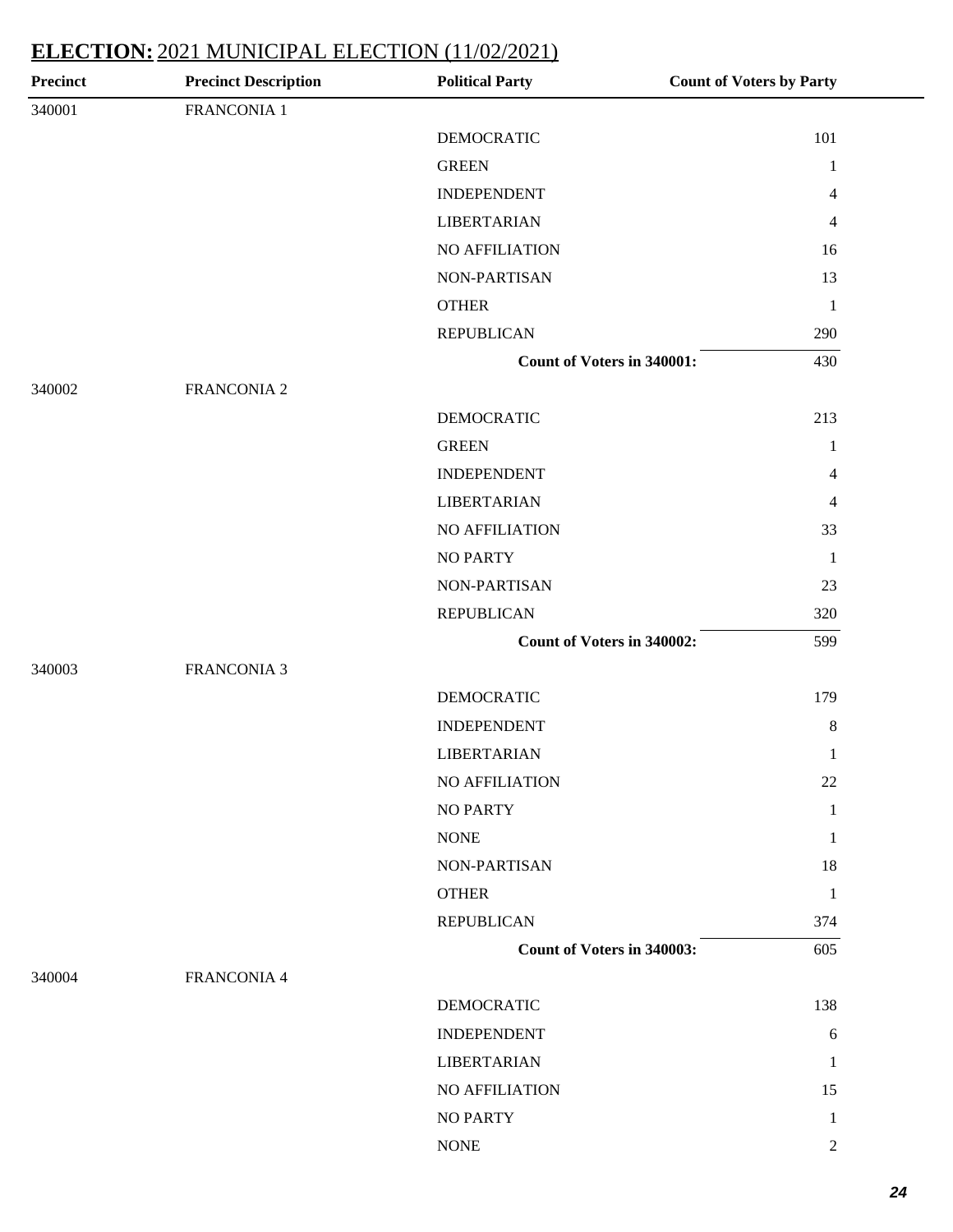| Precinct | <b>Precinct Description</b> | <b>Political Party</b>     | <b>Count of Voters by Party</b> |
|----------|-----------------------------|----------------------------|---------------------------------|
| 340001   | FRANCONIA 1                 |                            |                                 |
|          |                             | <b>DEMOCRATIC</b>          | 101                             |
|          |                             | <b>GREEN</b>               | $\mathbf{1}$                    |
|          |                             | <b>INDEPENDENT</b>         | $\overline{4}$                  |
|          |                             | <b>LIBERTARIAN</b>         | $\overline{4}$                  |
|          |                             | NO AFFILIATION             | 16                              |
|          |                             | NON-PARTISAN               | 13                              |
|          |                             | <b>OTHER</b>               | $\mathbf{1}$                    |
|          |                             | <b>REPUBLICAN</b>          | 290                             |
|          |                             | Count of Voters in 340001: | 430                             |
| 340002   | FRANCONIA 2                 |                            |                                 |
|          |                             | <b>DEMOCRATIC</b>          | 213                             |
|          |                             | <b>GREEN</b>               | $\mathbf{1}$                    |
|          |                             | <b>INDEPENDENT</b>         | $\overline{4}$                  |
|          |                             | <b>LIBERTARIAN</b>         | $\overline{4}$                  |
|          |                             | NO AFFILIATION             | 33                              |
|          |                             | <b>NO PARTY</b>            | $\mathbf{1}$                    |
|          |                             | NON-PARTISAN               | 23                              |
|          |                             | <b>REPUBLICAN</b>          | 320                             |
|          |                             | Count of Voters in 340002: | 599                             |
| 340003   | <b>FRANCONIA 3</b>          |                            |                                 |
|          |                             | <b>DEMOCRATIC</b>          | 179                             |
|          |                             | <b>INDEPENDENT</b>         | $\,8$                           |
|          |                             | <b>LIBERTARIAN</b>         | $\mathbf{1}$                    |
|          |                             | NO AFFILIATION             | 22                              |
|          |                             | <b>NO PARTY</b>            | $\mathbf{1}$                    |
|          |                             | <b>NONE</b>                | $\mathbf{1}$                    |
|          |                             | NON-PARTISAN               | 18                              |
|          |                             | <b>OTHER</b>               | $\mathbf{1}$                    |
|          |                             | <b>REPUBLICAN</b>          | 374                             |
|          |                             | Count of Voters in 340003: | 605                             |
| 340004   | <b>FRANCONIA 4</b>          |                            |                                 |
|          |                             | <b>DEMOCRATIC</b>          | 138                             |
|          |                             | <b>INDEPENDENT</b>         | 6                               |
|          |                             | <b>LIBERTARIAN</b>         | $\mathbf{1}$                    |
|          |                             | NO AFFILIATION             | 15                              |
|          |                             | <b>NO PARTY</b>            | $\mathbf{1}$                    |
|          |                             | <b>NONE</b>                | $\sqrt{2}$                      |
|          |                             |                            |                                 |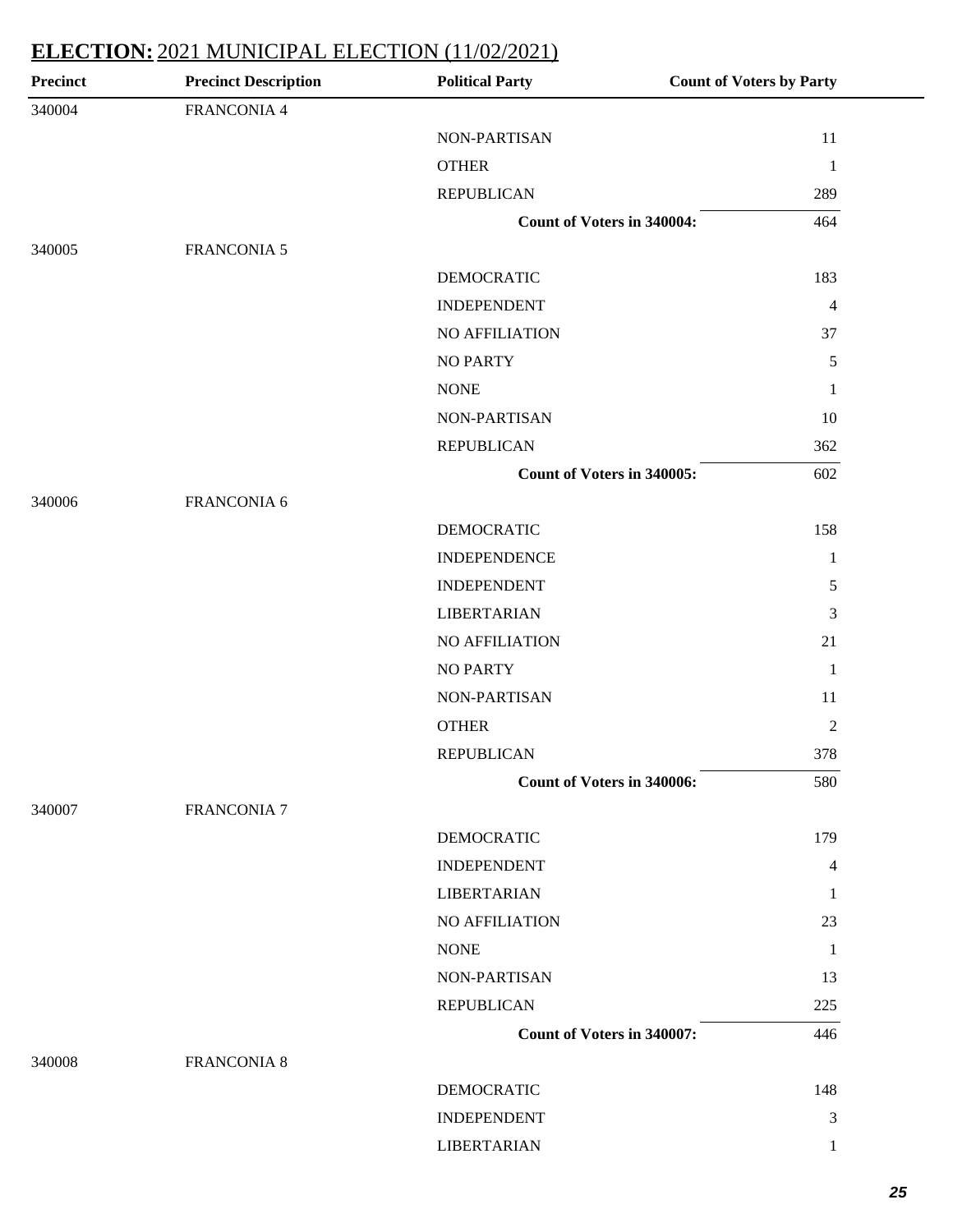| Precinct | <b>Precinct Description</b> | <b>Political Party</b>            | <b>Count of Voters by Party</b> |
|----------|-----------------------------|-----------------------------------|---------------------------------|
| 340004   | FRANCONIA 4                 |                                   |                                 |
|          |                             | NON-PARTISAN                      | 11                              |
|          |                             | <b>OTHER</b>                      | $\mathbf{1}$                    |
|          |                             | <b>REPUBLICAN</b>                 | 289                             |
|          |                             | <b>Count of Voters in 340004:</b> | 464                             |
| 340005   | <b>FRANCONIA 5</b>          |                                   |                                 |
|          |                             | <b>DEMOCRATIC</b>                 | 183                             |
|          |                             | <b>INDEPENDENT</b>                | $\overline{\mathcal{A}}$        |
|          |                             | NO AFFILIATION                    | 37                              |
|          |                             | <b>NO PARTY</b>                   | $\sqrt{5}$                      |
|          |                             | <b>NONE</b>                       | $\mathbf{1}$                    |
|          |                             | NON-PARTISAN                      | 10                              |
|          |                             | <b>REPUBLICAN</b>                 | 362                             |
|          |                             | <b>Count of Voters in 340005:</b> | 602                             |
| 340006   | FRANCONIA 6                 |                                   |                                 |
|          |                             | <b>DEMOCRATIC</b>                 | 158                             |
|          |                             | <b>INDEPENDENCE</b>               | $\mathbf{1}$                    |
|          |                             | <b>INDEPENDENT</b>                | $\mathfrak s$                   |
|          |                             | <b>LIBERTARIAN</b>                | 3                               |
|          |                             | NO AFFILIATION                    | 21                              |
|          |                             | <b>NO PARTY</b>                   | $\mathbf{1}$                    |
|          |                             | NON-PARTISAN                      | 11                              |
|          |                             | <b>OTHER</b>                      | $\overline{c}$                  |
|          |                             | <b>REPUBLICAN</b>                 | 378                             |
|          |                             | Count of Voters in 340006:        | 580                             |
| 340007   | <b>FRANCONIA 7</b>          |                                   |                                 |
|          |                             | <b>DEMOCRATIC</b>                 | 179                             |
|          |                             | <b>INDEPENDENT</b>                | 4                               |
|          |                             | <b>LIBERTARIAN</b>                | 1                               |
|          |                             | NO AFFILIATION                    | 23                              |
|          |                             | <b>NONE</b>                       | $\mathbf{1}$                    |
|          |                             | NON-PARTISAN                      | 13                              |
|          |                             | <b>REPUBLICAN</b>                 | 225                             |
|          |                             | Count of Voters in 340007:        | 446                             |
| 340008   | <b>FRANCONIA 8</b>          |                                   |                                 |
|          |                             | <b>DEMOCRATIC</b>                 | 148                             |
|          |                             | <b>INDEPENDENT</b>                | 3                               |
|          |                             | <b>LIBERTARIAN</b>                | $\mathbf{1}$                    |
|          |                             |                                   |                                 |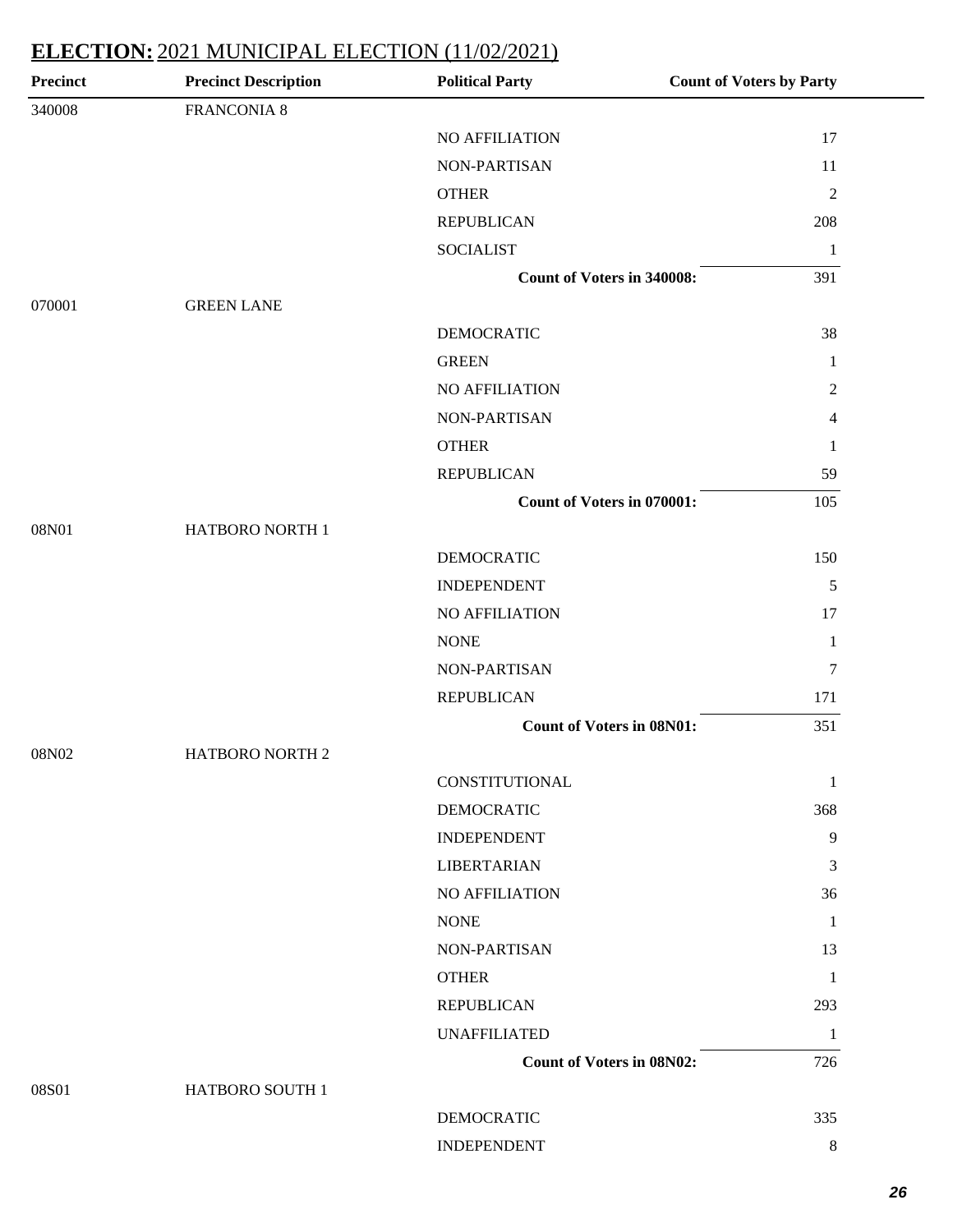| <b>Precinct</b> | <b>Precinct Description</b> | <b>Political Party</b>            | <b>Count of Voters by Party</b> |
|-----------------|-----------------------------|-----------------------------------|---------------------------------|
| 340008          | <b>FRANCONIA 8</b>          |                                   |                                 |
|                 |                             | NO AFFILIATION                    | 17                              |
|                 |                             | NON-PARTISAN                      | 11                              |
|                 |                             | <b>OTHER</b>                      | $\overline{2}$                  |
|                 |                             | <b>REPUBLICAN</b>                 | 208                             |
|                 |                             | <b>SOCIALIST</b>                  | $\mathbf{1}$                    |
|                 |                             | <b>Count of Voters in 340008:</b> | 391                             |
| 070001          | <b>GREEN LANE</b>           |                                   |                                 |
|                 |                             | <b>DEMOCRATIC</b>                 | 38                              |
|                 |                             | <b>GREEN</b>                      | $\mathbf{1}$                    |
|                 |                             | NO AFFILIATION                    | $\sqrt{2}$                      |
|                 |                             | NON-PARTISAN                      | 4                               |
|                 |                             | <b>OTHER</b>                      | 1                               |
|                 |                             | <b>REPUBLICAN</b>                 | 59                              |
|                 |                             | <b>Count of Voters in 070001:</b> | 105                             |
| 08N01           | HATBORO NORTH 1             |                                   |                                 |
|                 |                             | <b>DEMOCRATIC</b>                 | 150                             |
|                 |                             | <b>INDEPENDENT</b>                | $\mathfrak s$                   |
|                 |                             | NO AFFILIATION                    | 17                              |
|                 |                             | <b>NONE</b>                       | $\mathbf{1}$                    |
|                 |                             | NON-PARTISAN                      | $\tau$                          |
|                 |                             | <b>REPUBLICAN</b>                 | 171                             |
|                 |                             | <b>Count of Voters in 08N01:</b>  | 351                             |
| 08N02           | HATBORO NORTH 2             |                                   |                                 |
|                 |                             | CONSTITUTIONAL                    | $\mathbf{1}$                    |
|                 |                             | <b>DEMOCRATIC</b>                 | 368                             |
|                 |                             | <b>INDEPENDENT</b>                | 9                               |
|                 |                             | <b>LIBERTARIAN</b>                | 3                               |
|                 |                             | NO AFFILIATION                    | 36                              |
|                 |                             | <b>NONE</b>                       | 1                               |
|                 |                             | NON-PARTISAN                      | 13                              |
|                 |                             | <b>OTHER</b>                      | $\mathbf{1}$                    |
|                 |                             | <b>REPUBLICAN</b>                 | 293                             |
|                 |                             | <b>UNAFFILIATED</b>               | $\mathbf{1}$                    |
|                 |                             | <b>Count of Voters in 08N02:</b>  | 726                             |
| 08S01           | HATBORO SOUTH 1             |                                   |                                 |
|                 |                             | DEMOCRATIC                        | 335                             |
|                 |                             | <b>INDEPENDENT</b>                | 8                               |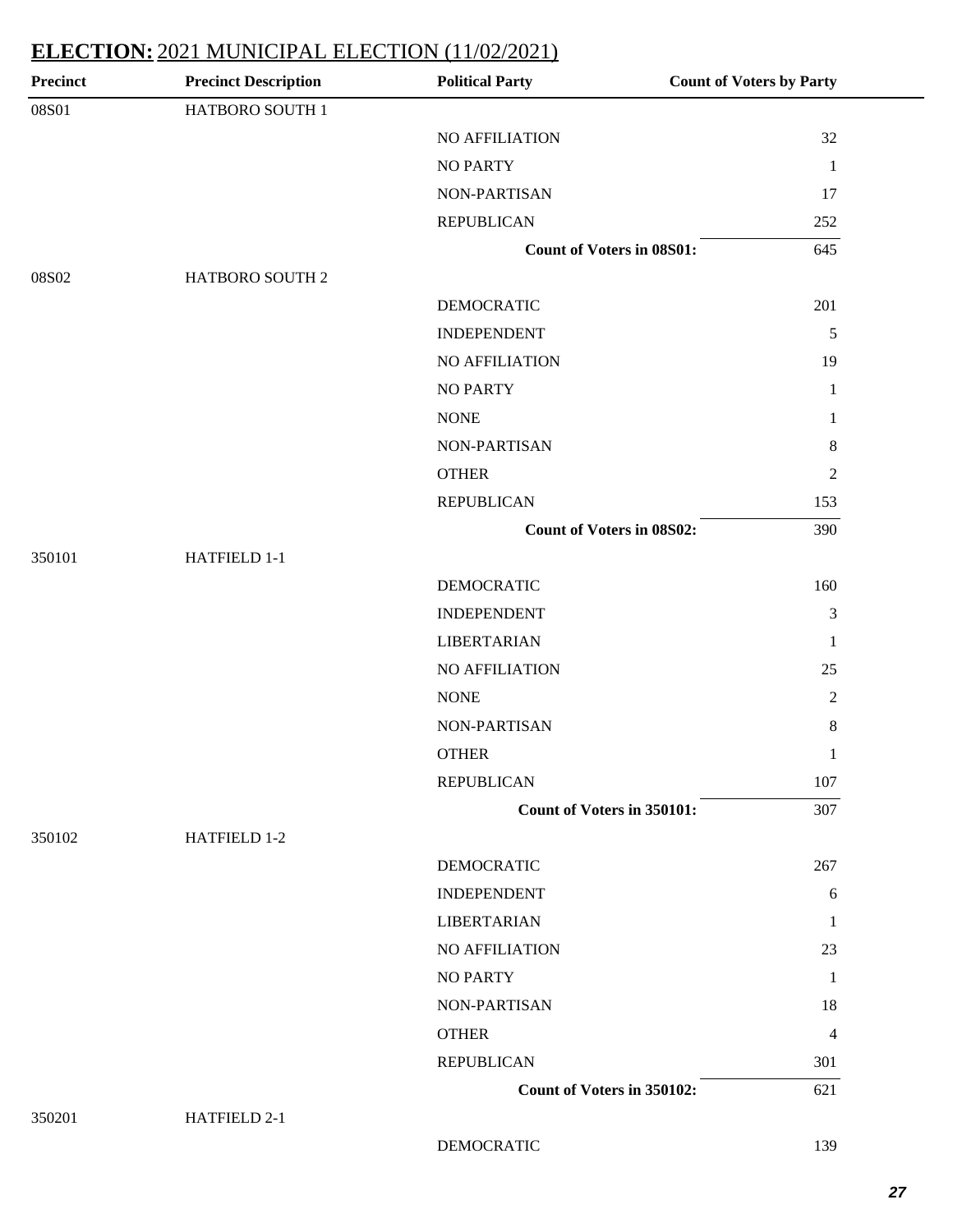| <b>Precinct</b> | <b>Precinct Description</b> | <b>Political Party</b>           | <b>Count of Voters by Party</b> |
|-----------------|-----------------------------|----------------------------------|---------------------------------|
| 08S01           | HATBORO SOUTH 1             |                                  |                                 |
|                 |                             | NO AFFILIATION                   | 32                              |
|                 |                             | <b>NO PARTY</b>                  | $\mathbf{1}$                    |
|                 |                             | NON-PARTISAN                     | 17                              |
|                 |                             | <b>REPUBLICAN</b>                | 252                             |
|                 |                             | <b>Count of Voters in 08S01:</b> | 645                             |
| 08S02           | HATBORO SOUTH 2             |                                  |                                 |
|                 |                             | <b>DEMOCRATIC</b>                | 201                             |
|                 |                             | <b>INDEPENDENT</b>               | 5                               |
|                 |                             | NO AFFILIATION                   | 19                              |
|                 |                             | <b>NO PARTY</b>                  | $\mathbf{1}$                    |
|                 |                             | <b>NONE</b>                      | $\mathbf{1}$                    |
|                 |                             | NON-PARTISAN                     | $8\,$                           |
|                 |                             | <b>OTHER</b>                     | $\sqrt{2}$                      |
|                 |                             | <b>REPUBLICAN</b>                | 153                             |
|                 |                             | <b>Count of Voters in 08S02:</b> | 390                             |
| 350101          | HATFIELD 1-1                |                                  |                                 |
|                 |                             | <b>DEMOCRATIC</b>                | 160                             |
|                 |                             | <b>INDEPENDENT</b>               | 3                               |
|                 |                             | <b>LIBERTARIAN</b>               | $\mathbf 1$                     |
|                 |                             | NO AFFILIATION                   | 25                              |
|                 |                             | <b>NONE</b>                      | $\sqrt{2}$                      |
|                 |                             | NON-PARTISAN                     | $8\,$                           |
|                 |                             | <b>OTHER</b>                     | $\,1$                           |
|                 |                             | <b>REPUBLICAN</b>                | 107                             |
|                 |                             | Count of Voters in 350101:       | 307                             |
| 350102          | HATFIELD 1-2                |                                  |                                 |
|                 |                             | <b>DEMOCRATIC</b>                | 267                             |
|                 |                             | <b>INDEPENDENT</b>               | 6                               |
|                 |                             | <b>LIBERTARIAN</b>               | 1                               |
|                 |                             | NO AFFILIATION                   | 23                              |
|                 |                             | <b>NO PARTY</b>                  | $\mathbf{1}$                    |
|                 |                             | <b>NON-PARTISAN</b>              | 18                              |
|                 |                             | <b>OTHER</b>                     | 4                               |
|                 |                             | <b>REPUBLICAN</b>                | 301                             |
|                 |                             | Count of Voters in 350102:       | 621                             |
| 350201          | HATFIELD 2-1                |                                  |                                 |
|                 |                             | <b>DEMOCRATIC</b>                | 139                             |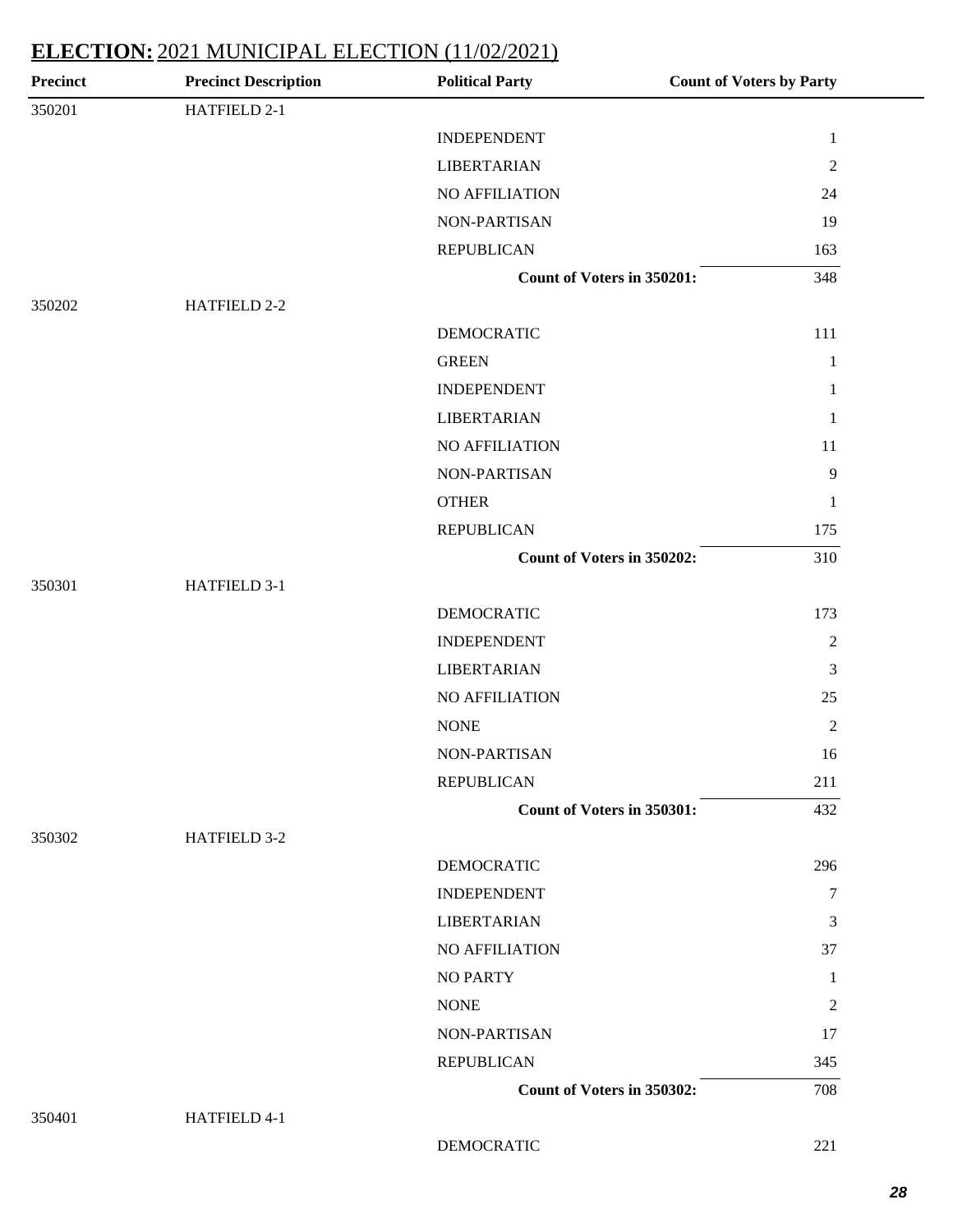| <b>Precinct</b> | <b>Precinct Description</b> | <b>Political Party</b>     | <b>Count of Voters by Party</b> |
|-----------------|-----------------------------|----------------------------|---------------------------------|
| 350201          | HATFIELD 2-1                |                            |                                 |
|                 |                             | <b>INDEPENDENT</b>         | $\mathbf{1}$                    |
|                 |                             | <b>LIBERTARIAN</b>         | $\overline{2}$                  |
|                 |                             | <b>NO AFFILIATION</b>      | 24                              |
|                 |                             | NON-PARTISAN               | 19                              |
|                 |                             | <b>REPUBLICAN</b>          | 163                             |
|                 |                             | Count of Voters in 350201: | 348                             |
| 350202          | HATFIELD 2-2                |                            |                                 |
|                 |                             | <b>DEMOCRATIC</b>          | 111                             |
|                 |                             | <b>GREEN</b>               | $\mathbf{1}$                    |
|                 |                             | <b>INDEPENDENT</b>         | $\mathbf{1}$                    |
|                 |                             | <b>LIBERTARIAN</b>         | $\mathbf{1}$                    |
|                 |                             | <b>NO AFFILIATION</b>      | 11                              |
|                 |                             | NON-PARTISAN               | $\overline{9}$                  |
|                 |                             | <b>OTHER</b>               | 1                               |
|                 |                             | <b>REPUBLICAN</b>          | 175                             |
|                 |                             | Count of Voters in 350202: | 310                             |
| 350301          | HATFIELD 3-1                |                            |                                 |
|                 |                             | <b>DEMOCRATIC</b>          | 173                             |
|                 |                             | <b>INDEPENDENT</b>         | $\overline{2}$                  |
|                 |                             | <b>LIBERTARIAN</b>         | 3                               |
|                 |                             | NO AFFILIATION             | 25                              |
|                 |                             | <b>NONE</b>                | 2                               |
|                 |                             | NON-PARTISAN               | 16                              |
|                 |                             | <b>REPUBLICAN</b>          | 211                             |
|                 |                             | Count of Voters in 350301: | 432                             |
| 350302          | HATFIELD 3-2                |                            |                                 |
|                 |                             | <b>DEMOCRATIC</b>          | 296                             |
|                 |                             | <b>INDEPENDENT</b>         | $\tau$                          |
|                 |                             | <b>LIBERTARIAN</b>         | 3                               |
|                 |                             | NO AFFILIATION             | 37                              |
|                 |                             | <b>NO PARTY</b>            | -1                              |
|                 |                             | <b>NONE</b>                | $\overline{c}$                  |
|                 |                             | NON-PARTISAN               | 17                              |
|                 |                             | <b>REPUBLICAN</b>          | 345                             |
|                 |                             | Count of Voters in 350302: | 708                             |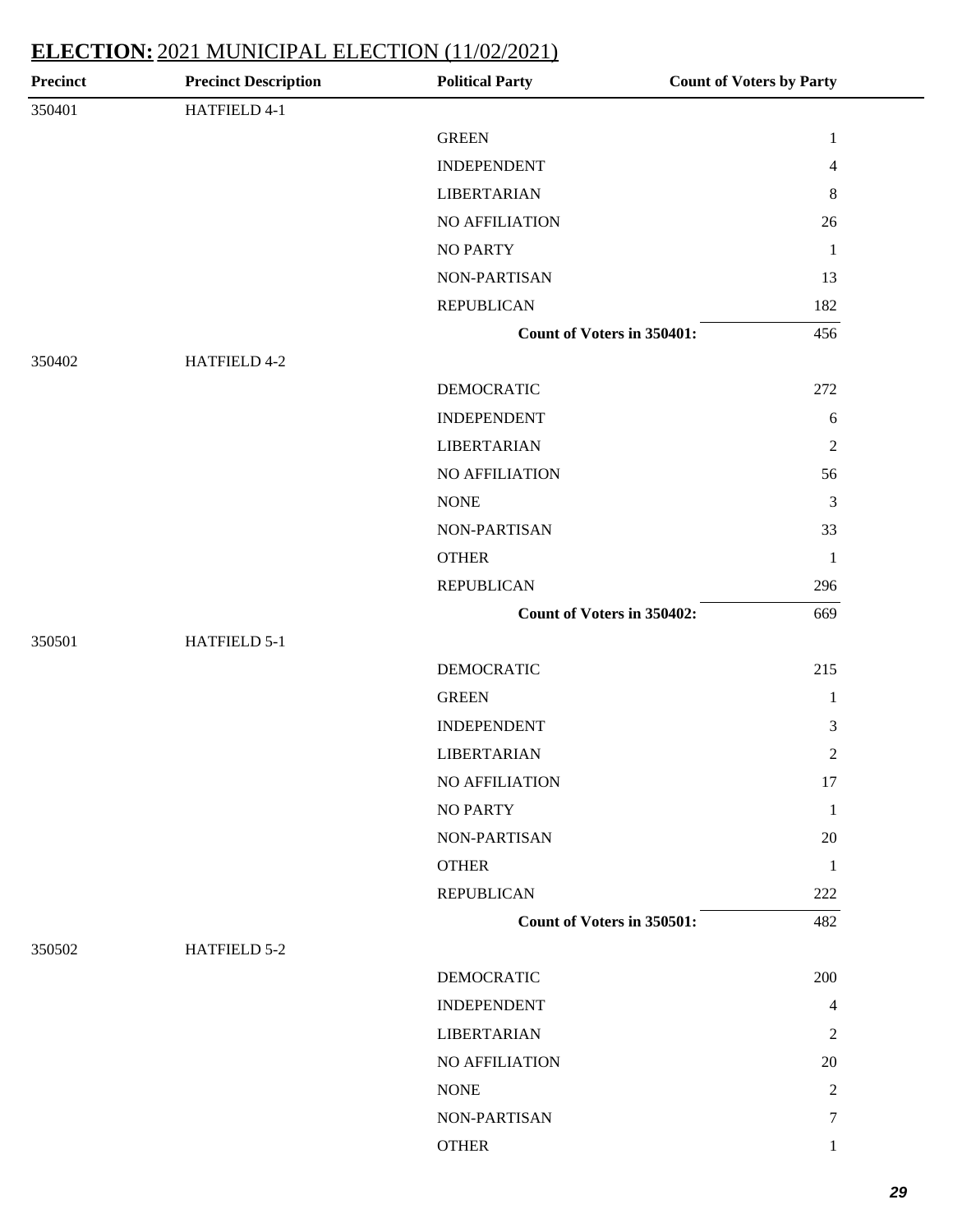| Precinct | <b>Precinct Description</b> | <b>Political Party</b>     | <b>Count of Voters by Party</b> |
|----------|-----------------------------|----------------------------|---------------------------------|
| 350401   | HATFIELD 4-1                |                            |                                 |
|          |                             | <b>GREEN</b>               | $\mathbf{1}$                    |
|          |                             | <b>INDEPENDENT</b>         | 4                               |
|          |                             | <b>LIBERTARIAN</b>         | $8\,$                           |
|          |                             | NO AFFILIATION             | 26                              |
|          |                             | <b>NO PARTY</b>            | $\mathbf{1}$                    |
|          |                             | NON-PARTISAN               | 13                              |
|          |                             | <b>REPUBLICAN</b>          | 182                             |
|          |                             | Count of Voters in 350401: | 456                             |
| 350402   | HATFIELD 4-2                |                            |                                 |
|          |                             | <b>DEMOCRATIC</b>          | 272                             |
|          |                             | <b>INDEPENDENT</b>         | 6                               |
|          |                             | <b>LIBERTARIAN</b>         | $\overline{2}$                  |
|          |                             | NO AFFILIATION             | 56                              |
|          |                             | <b>NONE</b>                | 3                               |
|          |                             | NON-PARTISAN               | 33                              |
|          |                             | <b>OTHER</b>               | $\mathbf{1}$                    |
|          |                             | <b>REPUBLICAN</b>          | 296                             |
|          |                             | Count of Voters in 350402: | 669                             |
| 350501   | HATFIELD 5-1                |                            |                                 |
|          |                             | <b>DEMOCRATIC</b>          | 215                             |
|          |                             | <b>GREEN</b>               | $\mathbf{1}$                    |
|          |                             | <b>INDEPENDENT</b>         | 3                               |
|          |                             | <b>LIBERTARIAN</b>         | $\overline{2}$                  |
|          |                             | NO AFFILIATION             | 17                              |
|          |                             | <b>NO PARTY</b>            | $\mathbf{1}$                    |
|          |                             | NON-PARTISAN               | 20                              |
|          |                             | <b>OTHER</b>               | $\mathbf{1}$                    |
|          |                             | <b>REPUBLICAN</b>          | 222                             |
|          |                             | Count of Voters in 350501: | 482                             |
| 350502   | HATFIELD 5-2                |                            |                                 |
|          |                             | <b>DEMOCRATIC</b>          | 200                             |
|          |                             | <b>INDEPENDENT</b>         | 4                               |
|          |                             | <b>LIBERTARIAN</b>         | 2                               |
|          |                             | NO AFFILIATION             | 20                              |
|          |                             | <b>NONE</b>                | 2                               |
|          |                             | NON-PARTISAN               | $\tau$                          |
|          |                             | <b>OTHER</b>               | $\mathbf{1}$                    |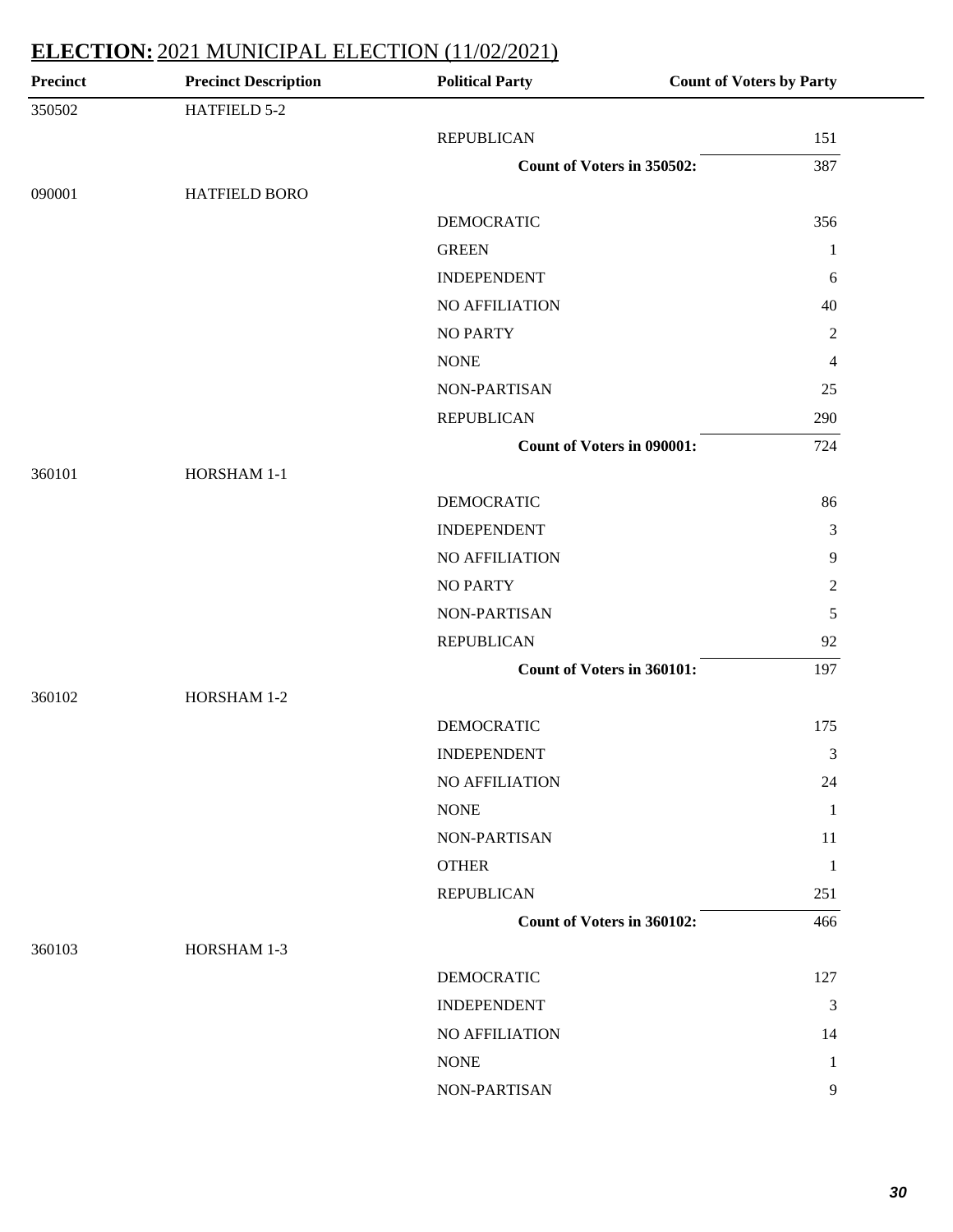| <b>Precinct</b> | <b>Precinct Description</b> | <b>Political Party</b>            | <b>Count of Voters by Party</b> |
|-----------------|-----------------------------|-----------------------------------|---------------------------------|
| 350502          | HATFIELD 5-2                |                                   |                                 |
|                 |                             | <b>REPUBLICAN</b>                 | 151                             |
|                 |                             | Count of Voters in 350502:        | 387                             |
| 090001          | HATFIELD BORO               |                                   |                                 |
|                 |                             | <b>DEMOCRATIC</b>                 | 356                             |
|                 |                             | <b>GREEN</b>                      | 1                               |
|                 |                             | <b>INDEPENDENT</b>                | 6                               |
|                 |                             | NO AFFILIATION                    | 40                              |
|                 |                             | <b>NO PARTY</b>                   | $\overline{2}$                  |
|                 |                             | <b>NONE</b>                       | 4                               |
|                 |                             | NON-PARTISAN                      | 25                              |
|                 |                             | <b>REPUBLICAN</b>                 | 290                             |
|                 |                             | <b>Count of Voters in 090001:</b> | 724                             |
| 360101          | HORSHAM 1-1                 |                                   |                                 |
|                 |                             | <b>DEMOCRATIC</b>                 | 86                              |
|                 |                             | <b>INDEPENDENT</b>                | 3                               |
|                 |                             | NO AFFILIATION                    | $\overline{9}$                  |
|                 |                             | <b>NO PARTY</b>                   | $\sqrt{2}$                      |
|                 |                             | NON-PARTISAN                      | 5                               |
|                 |                             | <b>REPUBLICAN</b>                 | 92                              |
|                 |                             | Count of Voters in 360101:        | 197                             |
| 360102          | HORSHAM 1-2                 |                                   |                                 |
|                 |                             | <b>DEMOCRATIC</b>                 | 175                             |
|                 |                             | <b>INDEPENDENT</b>                | 3                               |
|                 |                             | <b>NO AFFILIATION</b>             | 24                              |
|                 |                             | <b>NONE</b>                       | 1                               |
|                 |                             | NON-PARTISAN                      | 11                              |
|                 |                             | <b>OTHER</b>                      | 1                               |
|                 |                             | <b>REPUBLICAN</b>                 | 251                             |
|                 |                             | Count of Voters in 360102:        | 466                             |
| 360103          | HORSHAM 1-3                 |                                   |                                 |
|                 |                             | <b>DEMOCRATIC</b>                 | 127                             |
|                 |                             | <b>INDEPENDENT</b>                | 3                               |
|                 |                             | NO AFFILIATION                    | 14                              |
|                 |                             | $\rm{NONE}$                       | 1                               |
|                 |                             | NON-PARTISAN                      | 9                               |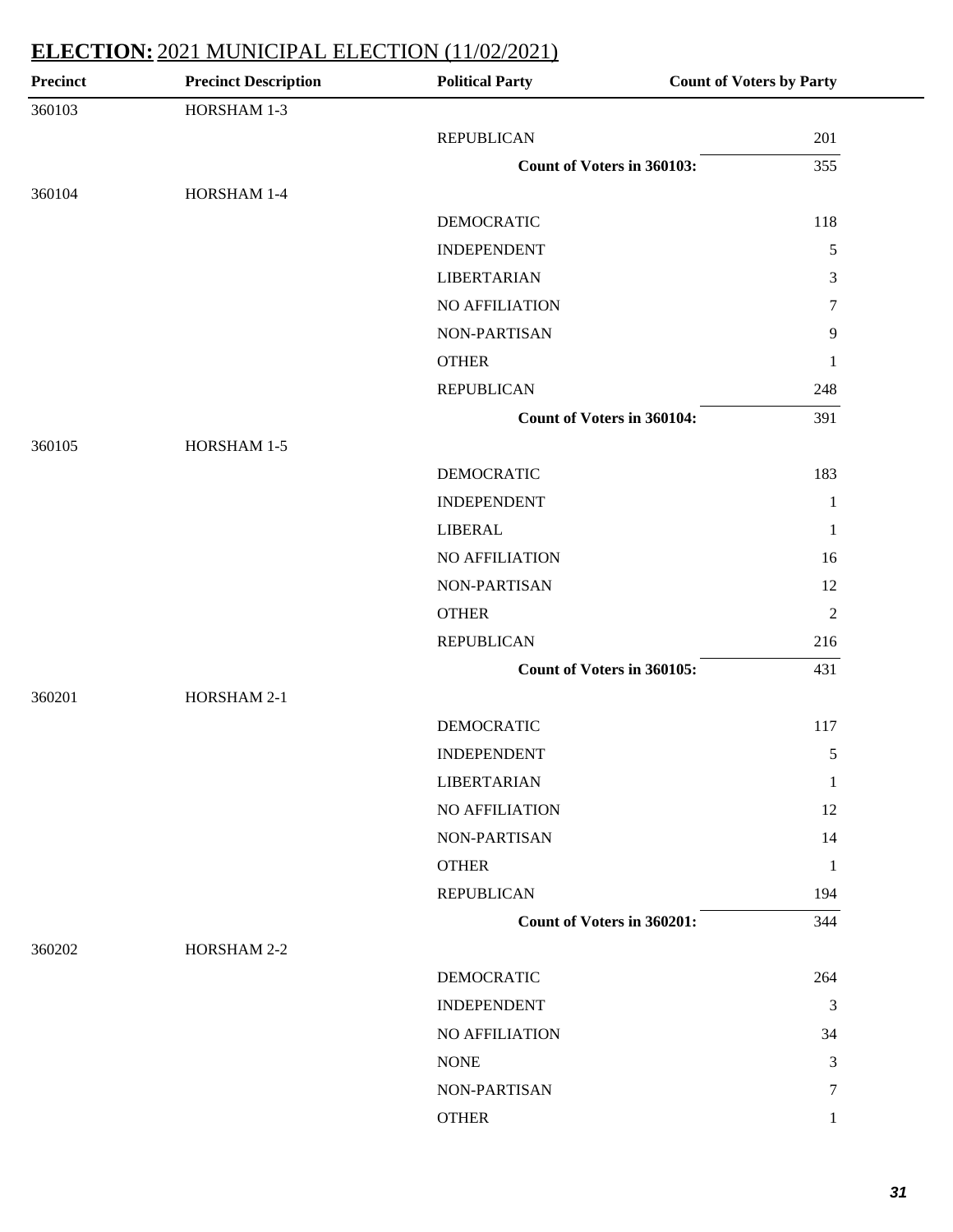| <b>Precinct</b> | <b>Precinct Description</b> | <b>Political Party</b>            | <b>Count of Voters by Party</b> |
|-----------------|-----------------------------|-----------------------------------|---------------------------------|
| 360103          | HORSHAM 1-3                 |                                   |                                 |
|                 |                             | <b>REPUBLICAN</b>                 | 201                             |
|                 |                             | Count of Voters in 360103:        | 355                             |
| 360104          | HORSHAM 1-4                 |                                   |                                 |
|                 |                             | <b>DEMOCRATIC</b>                 | 118                             |
|                 |                             | <b>INDEPENDENT</b>                | $\sqrt{5}$                      |
|                 |                             | <b>LIBERTARIAN</b>                | $\mathfrak{Z}$                  |
|                 |                             | NO AFFILIATION                    | $\tau$                          |
|                 |                             | NON-PARTISAN                      | 9                               |
|                 |                             | <b>OTHER</b>                      | 1                               |
|                 |                             | <b>REPUBLICAN</b>                 | 248                             |
|                 |                             | <b>Count of Voters in 360104:</b> | 391                             |
| 360105          | HORSHAM 1-5                 |                                   |                                 |
|                 |                             | <b>DEMOCRATIC</b>                 | 183                             |
|                 |                             | <b>INDEPENDENT</b>                | $\mathbf{1}$                    |
|                 |                             | <b>LIBERAL</b>                    | 1                               |
|                 |                             | NO AFFILIATION                    | 16                              |
|                 |                             | NON-PARTISAN                      | 12                              |
|                 |                             | <b>OTHER</b>                      | $\overline{2}$                  |
|                 |                             | <b>REPUBLICAN</b>                 | 216                             |
|                 |                             | Count of Voters in 360105:        | 431                             |
| 360201          | HORSHAM 2-1                 |                                   |                                 |
|                 |                             | DEMOCRATIC                        | 117                             |
|                 |                             | <b>INDEPENDENT</b>                | 5                               |
|                 |                             | <b>LIBERTARIAN</b>                | 1                               |
|                 |                             | NO AFFILIATION                    | 12                              |
|                 |                             | NON-PARTISAN                      | 14                              |
|                 |                             | <b>OTHER</b>                      | 1                               |
|                 |                             | <b>REPUBLICAN</b>                 | 194                             |
|                 |                             | Count of Voters in 360201:        | 344                             |
| 360202          | HORSHAM 2-2                 |                                   |                                 |
|                 |                             | DEMOCRATIC                        | 264                             |
|                 |                             | <b>INDEPENDENT</b>                | $\mathfrak{Z}$                  |
|                 |                             | NO AFFILIATION                    | 34                              |
|                 |                             | <b>NONE</b>                       | $\mathfrak{Z}$                  |
|                 |                             | NON-PARTISAN                      | 7                               |
|                 |                             | <b>OTHER</b>                      | 1                               |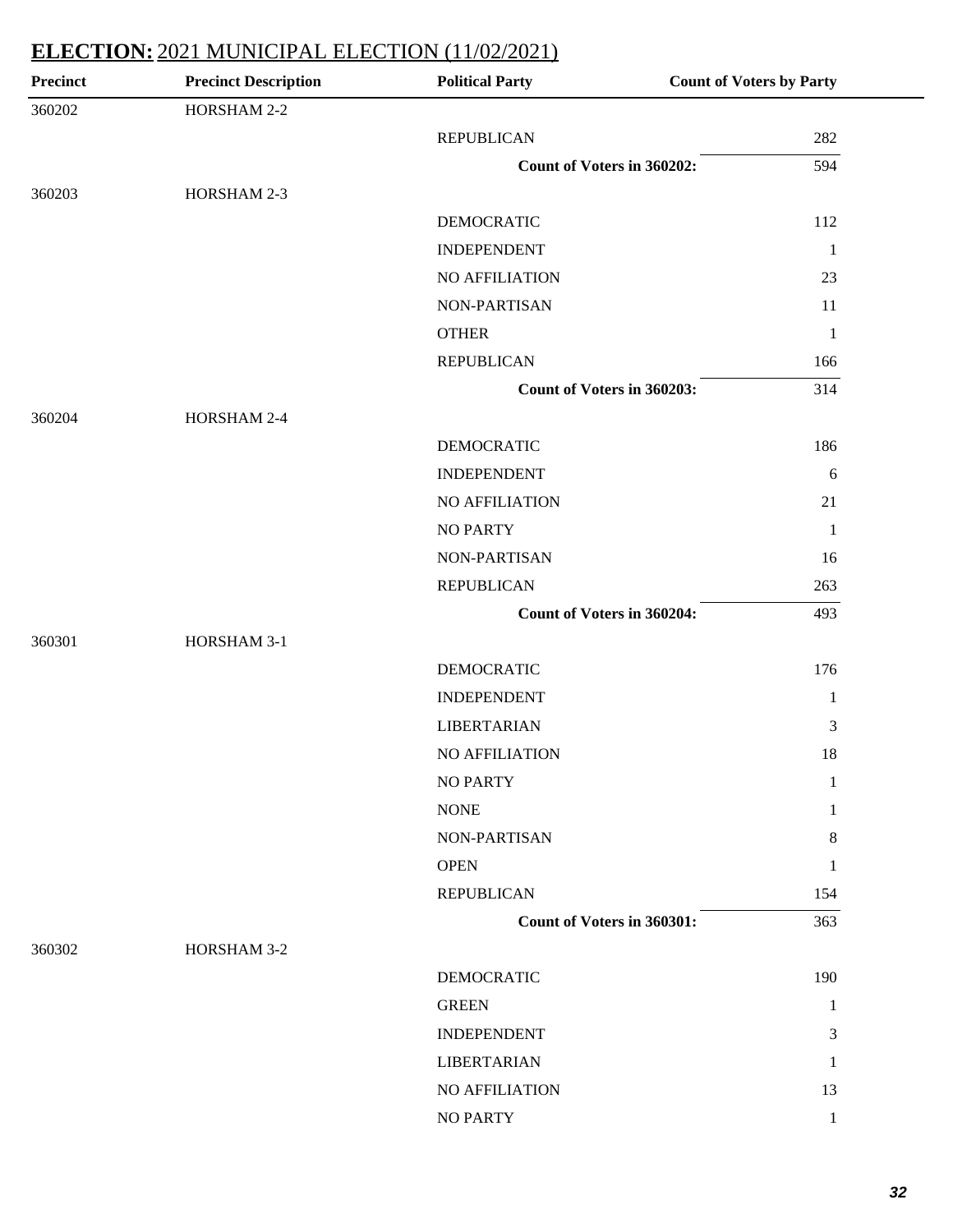| <b>Precinct</b> | <b>Precinct Description</b> | <b>Political Party</b>            | <b>Count of Voters by Party</b> |
|-----------------|-----------------------------|-----------------------------------|---------------------------------|
| 360202          | HORSHAM 2-2                 |                                   |                                 |
|                 |                             | <b>REPUBLICAN</b>                 | 282                             |
|                 |                             | Count of Voters in 360202:        | 594                             |
| 360203          | HORSHAM 2-3                 |                                   |                                 |
|                 |                             | <b>DEMOCRATIC</b>                 | 112                             |
|                 |                             | <b>INDEPENDENT</b>                | $\mathbf{1}$                    |
|                 |                             | NO AFFILIATION                    | 23                              |
|                 |                             | NON-PARTISAN                      | 11                              |
|                 |                             | <b>OTHER</b>                      | $\mathbf{1}$                    |
|                 |                             | <b>REPUBLICAN</b>                 | 166                             |
|                 |                             | Count of Voters in 360203:        | 314                             |
| 360204          | HORSHAM 2-4                 |                                   |                                 |
|                 |                             | <b>DEMOCRATIC</b>                 | 186                             |
|                 |                             | <b>INDEPENDENT</b>                | 6                               |
|                 |                             | <b>NO AFFILIATION</b>             | 21                              |
|                 |                             | <b>NO PARTY</b>                   | $\mathbf{1}$                    |
|                 |                             | NON-PARTISAN                      | 16                              |
|                 |                             | <b>REPUBLICAN</b>                 | 263                             |
|                 |                             | Count of Voters in 360204:        | 493                             |
| 360301          | HORSHAM 3-1                 |                                   |                                 |
|                 |                             | <b>DEMOCRATIC</b>                 | 176                             |
|                 |                             | <b>INDEPENDENT</b>                | $\mathbf{1}$                    |
|                 |                             | <b>LIBERTARIAN</b>                | 3                               |
|                 |                             | <b>NO AFFILIATION</b>             | 18                              |
|                 |                             | <b>NO PARTY</b>                   | 1                               |
|                 |                             | <b>NONE</b>                       | 1                               |
|                 |                             | <b>NON-PARTISAN</b>               | 8                               |
|                 |                             | <b>OPEN</b>                       | 1                               |
|                 |                             | <b>REPUBLICAN</b>                 | 154                             |
|                 |                             | <b>Count of Voters in 360301:</b> | 363                             |
| 360302          | HORSHAM 3-2                 |                                   |                                 |
|                 |                             | <b>DEMOCRATIC</b>                 | 190                             |
|                 |                             | <b>GREEN</b>                      | 1                               |
|                 |                             | <b>INDEPENDENT</b>                | 3                               |
|                 |                             | <b>LIBERTARIAN</b>                | 1                               |
|                 |                             | NO AFFILIATION                    | 13                              |
|                 |                             | NO PARTY                          |                                 |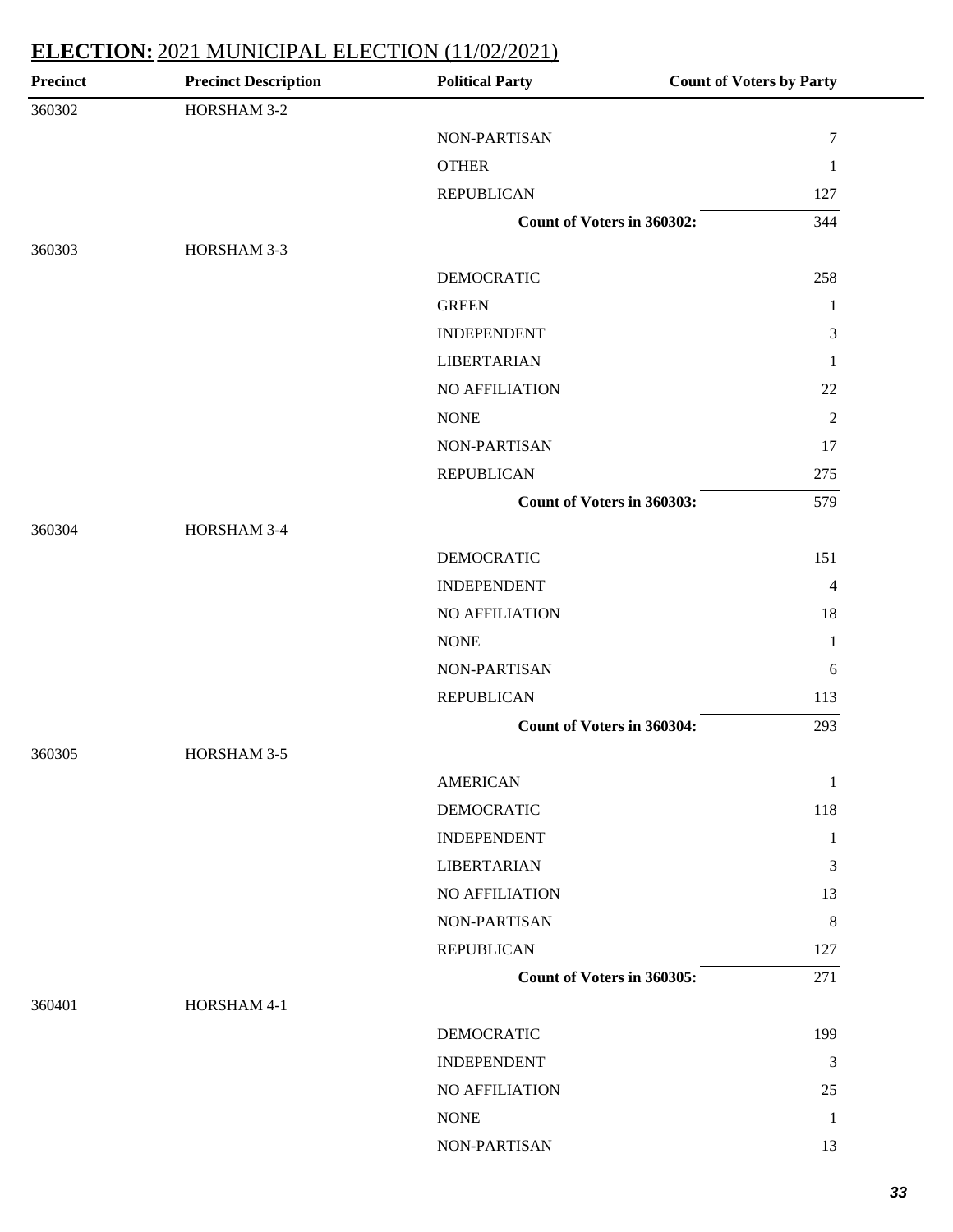| <b>Precinct</b> | <b>Precinct Description</b> | <b>Political Party</b>            | <b>Count of Voters by Party</b> |
|-----------------|-----------------------------|-----------------------------------|---------------------------------|
| 360302          | HORSHAM 3-2                 |                                   |                                 |
|                 |                             | NON-PARTISAN                      | $\tau$                          |
|                 |                             | <b>OTHER</b>                      | $\mathbf{1}$                    |
|                 |                             | <b>REPUBLICAN</b>                 | 127                             |
|                 |                             | Count of Voters in 360302:        | 344                             |
| 360303          | HORSHAM 3-3                 |                                   |                                 |
|                 |                             | <b>DEMOCRATIC</b>                 | 258                             |
|                 |                             | <b>GREEN</b>                      | $\mathbf{1}$                    |
|                 |                             | <b>INDEPENDENT</b>                | $\mathfrak{Z}$                  |
|                 |                             | <b>LIBERTARIAN</b>                | $\mathbf{1}$                    |
|                 |                             | NO AFFILIATION                    | 22                              |
|                 |                             | <b>NONE</b>                       | $\mathfrak{2}$                  |
|                 |                             | NON-PARTISAN                      | 17                              |
|                 |                             | <b>REPUBLICAN</b>                 | 275                             |
|                 |                             | Count of Voters in 360303:        | 579                             |
| 360304          | HORSHAM 3-4                 |                                   |                                 |
|                 |                             | <b>DEMOCRATIC</b>                 | 151                             |
|                 |                             | <b>INDEPENDENT</b>                | 4                               |
|                 |                             | NO AFFILIATION                    | 18                              |
|                 |                             | <b>NONE</b>                       | $\mathbf{1}$                    |
|                 |                             | NON-PARTISAN                      | 6                               |
|                 |                             | <b>REPUBLICAN</b>                 | 113                             |
|                 |                             | <b>Count of Voters in 360304:</b> | 293                             |
| 360305          | HORSHAM 3-5                 |                                   |                                 |
|                 |                             | <b>AMERICAN</b>                   | $\mathbf{1}$                    |
|                 |                             | <b>DEMOCRATIC</b>                 | 118                             |
|                 |                             | <b>INDEPENDENT</b>                | $\mathbf{1}$                    |
|                 |                             | <b>LIBERTARIAN</b>                | $\mathfrak{Z}$                  |
|                 |                             | NO AFFILIATION                    | 13                              |
|                 |                             | NON-PARTISAN                      | 8                               |
|                 |                             | <b>REPUBLICAN</b>                 | 127                             |
|                 |                             | Count of Voters in 360305:        | 271                             |
| 360401          | HORSHAM 4-1                 |                                   |                                 |
|                 |                             | <b>DEMOCRATIC</b>                 | 199                             |
|                 |                             | <b>INDEPENDENT</b>                | 3                               |
|                 |                             | NO AFFILIATION                    | 25                              |
|                 |                             | <b>NONE</b>                       | $\mathbf{1}$                    |
|                 |                             | NON-PARTISAN                      | 13                              |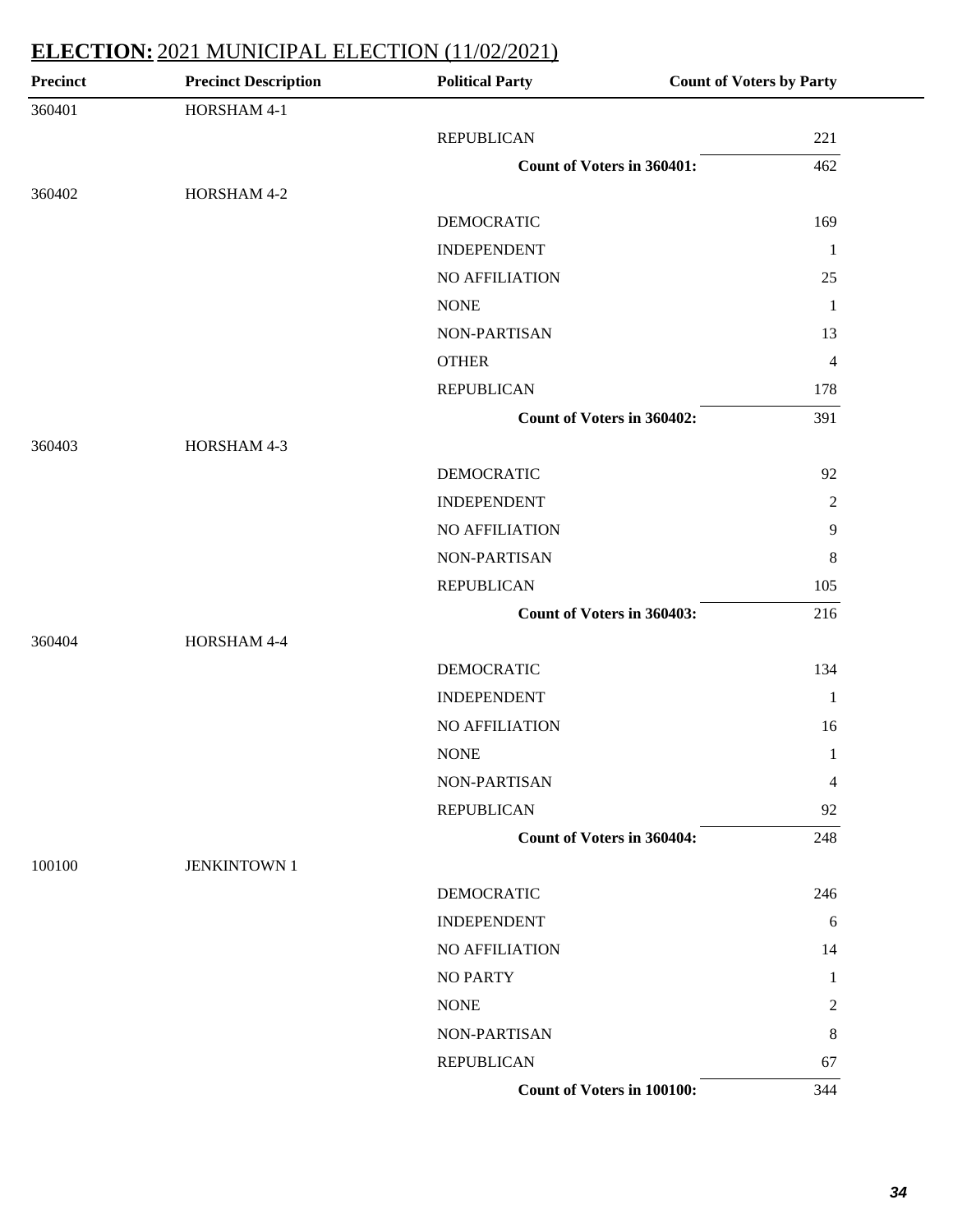| <b>Precinct</b> | <b>Precinct Description</b> | <b>Political Party</b>            | <b>Count of Voters by Party</b> |
|-----------------|-----------------------------|-----------------------------------|---------------------------------|
| 360401          | HORSHAM 4-1                 |                                   |                                 |
|                 |                             | <b>REPUBLICAN</b>                 | 221                             |
|                 |                             | <b>Count of Voters in 360401:</b> | 462                             |
| 360402          | HORSHAM 4-2                 |                                   |                                 |
|                 |                             | <b>DEMOCRATIC</b>                 | 169                             |
|                 |                             | <b>INDEPENDENT</b>                | $\mathbf{1}$                    |
|                 |                             | NO AFFILIATION                    | 25                              |
|                 |                             | <b>NONE</b>                       | $\mathbf{1}$                    |
|                 |                             | NON-PARTISAN                      | 13                              |
|                 |                             | <b>OTHER</b>                      | $\overline{4}$                  |
|                 |                             | <b>REPUBLICAN</b>                 | 178                             |
|                 |                             | Count of Voters in 360402:        | 391                             |
| 360403          | HORSHAM 4-3                 |                                   |                                 |
|                 |                             | <b>DEMOCRATIC</b>                 | 92                              |
|                 |                             | <b>INDEPENDENT</b>                | $\overline{2}$                  |
|                 |                             | NO AFFILIATION                    | 9                               |
|                 |                             | NON-PARTISAN                      | 8                               |
|                 |                             | <b>REPUBLICAN</b>                 | 105                             |
|                 |                             | Count of Voters in 360403:        | 216                             |
| 360404          | HORSHAM 4-4                 |                                   |                                 |
|                 |                             | <b>DEMOCRATIC</b>                 | 134                             |
|                 |                             | <b>INDEPENDENT</b>                | 1                               |
|                 |                             | NO AFFILIATION                    | 16                              |
|                 |                             | <b>NONE</b>                       | $\mathbf{1}$                    |
|                 |                             | NON-PARTISAN                      | 4                               |
|                 |                             | <b>REPUBLICAN</b>                 | 92                              |
|                 |                             | <b>Count of Voters in 360404:</b> | 248                             |
| 100100          | <b>JENKINTOWN 1</b>         |                                   |                                 |
|                 |                             | <b>DEMOCRATIC</b>                 | 246                             |
|                 |                             | <b>INDEPENDENT</b>                | 6                               |
|                 |                             | <b>NO AFFILIATION</b>             | 14                              |
|                 |                             | <b>NO PARTY</b>                   | 1                               |
|                 |                             | <b>NONE</b>                       | $\overline{c}$                  |
|                 |                             | NON-PARTISAN                      | 8                               |
|                 |                             | <b>REPUBLICAN</b>                 | 67                              |
|                 |                             | <b>Count of Voters in 100100:</b> | 344                             |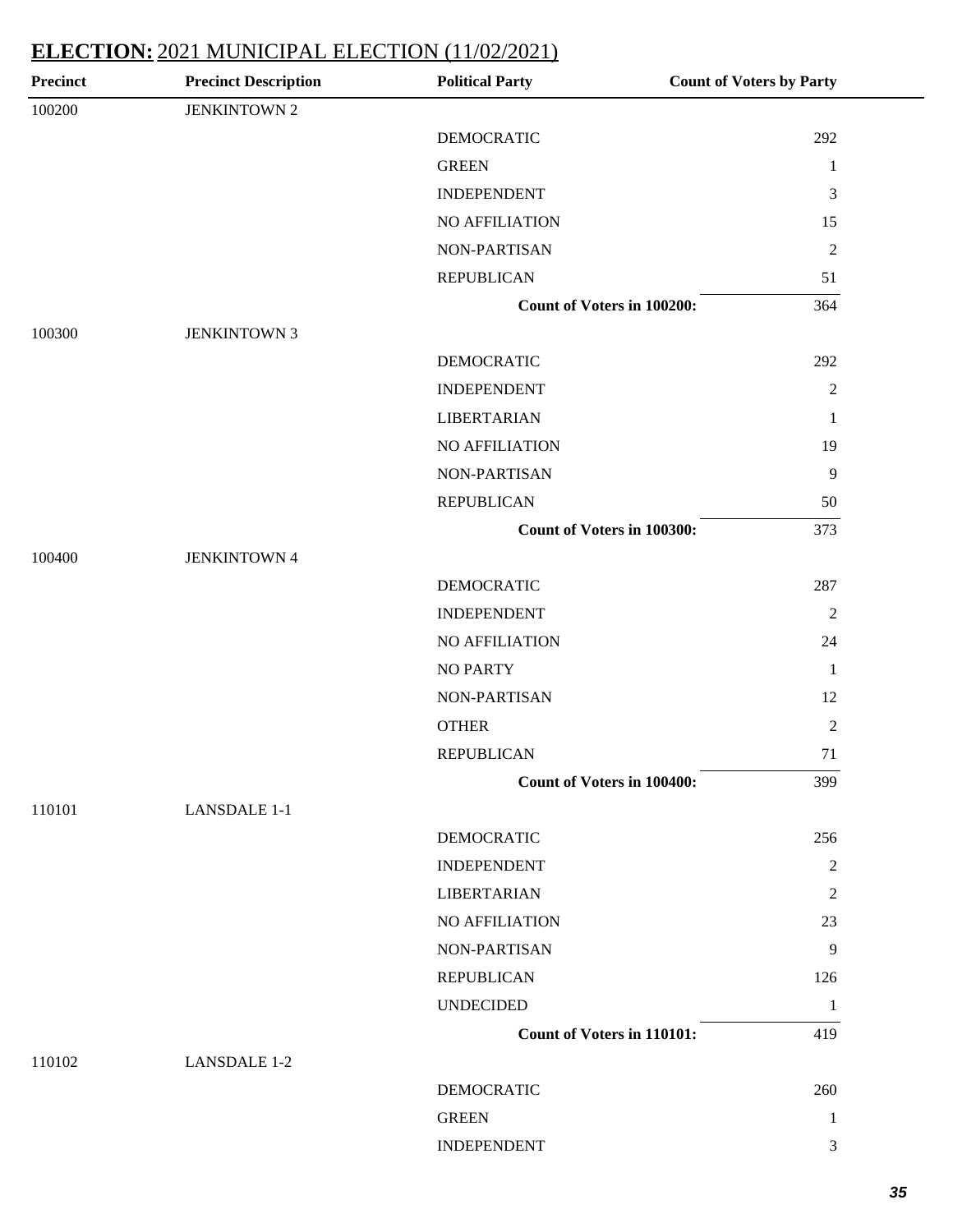| 100200<br><b>JENKINTOWN 2</b><br><b>DEMOCRATIC</b><br>292<br><b>GREEN</b><br>$\mathbf{1}$<br>$\mathfrak{Z}$<br><b>INDEPENDENT</b><br>NO AFFILIATION<br>15<br>$\sqrt{2}$<br>NON-PARTISAN<br><b>REPUBLICAN</b><br>51<br>Count of Voters in 100200:<br>364<br><b>JENKINTOWN 3</b><br>100300<br><b>DEMOCRATIC</b><br>292<br><b>INDEPENDENT</b><br>$\sqrt{2}$<br><b>LIBERTARIAN</b><br>$\mathbf{1}$<br>NO AFFILIATION<br>19<br>$\overline{9}$<br>NON-PARTISAN<br><b>REPUBLICAN</b><br>50<br>Count of Voters in 100300:<br>373<br><b>JENKINTOWN 4</b><br>100400<br><b>DEMOCRATIC</b><br>287<br><b>INDEPENDENT</b><br>$\overline{2}$<br>NO AFFILIATION<br>24<br><b>NO PARTY</b><br>$\mathbf{1}$<br>12<br>NON-PARTISAN<br><b>OTHER</b><br>$\overline{2}$<br><b>REPUBLICAN</b><br>71<br>399<br><b>Count of Voters in 100400:</b><br><b>LANSDALE 1-1</b><br>110101<br>DEMOCRATIC<br>256<br>$\overline{2}$<br><b>INDEPENDENT</b><br><b>LIBERTARIAN</b><br>$\overline{c}$<br>NO AFFILIATION<br>23<br>$\overline{9}$<br><b>NON-PARTISAN</b><br><b>REPUBLICAN</b><br>126<br><b>UNDECIDED</b><br>1<br><b>Count of Voters in 110101:</b><br>419<br>110102<br><b>LANSDALE 1-2</b><br>DEMOCRATIC<br>260<br><b>GREEN</b><br>1 | <b>Precinct</b> | <b>Precinct Description</b> | <b>Political Party</b> | <b>Count of Voters by Party</b> |
|------------------------------------------------------------------------------------------------------------------------------------------------------------------------------------------------------------------------------------------------------------------------------------------------------------------------------------------------------------------------------------------------------------------------------------------------------------------------------------------------------------------------------------------------------------------------------------------------------------------------------------------------------------------------------------------------------------------------------------------------------------------------------------------------------------------------------------------------------------------------------------------------------------------------------------------------------------------------------------------------------------------------------------------------------------------------------------------------------------------------------------------------------------------------------------------------------------|-----------------|-----------------------------|------------------------|---------------------------------|
|                                                                                                                                                                                                                                                                                                                                                                                                                                                                                                                                                                                                                                                                                                                                                                                                                                                                                                                                                                                                                                                                                                                                                                                                            |                 |                             |                        |                                 |
|                                                                                                                                                                                                                                                                                                                                                                                                                                                                                                                                                                                                                                                                                                                                                                                                                                                                                                                                                                                                                                                                                                                                                                                                            |                 |                             |                        |                                 |
|                                                                                                                                                                                                                                                                                                                                                                                                                                                                                                                                                                                                                                                                                                                                                                                                                                                                                                                                                                                                                                                                                                                                                                                                            |                 |                             |                        |                                 |
|                                                                                                                                                                                                                                                                                                                                                                                                                                                                                                                                                                                                                                                                                                                                                                                                                                                                                                                                                                                                                                                                                                                                                                                                            |                 |                             |                        |                                 |
|                                                                                                                                                                                                                                                                                                                                                                                                                                                                                                                                                                                                                                                                                                                                                                                                                                                                                                                                                                                                                                                                                                                                                                                                            |                 |                             |                        |                                 |
|                                                                                                                                                                                                                                                                                                                                                                                                                                                                                                                                                                                                                                                                                                                                                                                                                                                                                                                                                                                                                                                                                                                                                                                                            |                 |                             |                        |                                 |
|                                                                                                                                                                                                                                                                                                                                                                                                                                                                                                                                                                                                                                                                                                                                                                                                                                                                                                                                                                                                                                                                                                                                                                                                            |                 |                             |                        |                                 |
|                                                                                                                                                                                                                                                                                                                                                                                                                                                                                                                                                                                                                                                                                                                                                                                                                                                                                                                                                                                                                                                                                                                                                                                                            |                 |                             |                        |                                 |
|                                                                                                                                                                                                                                                                                                                                                                                                                                                                                                                                                                                                                                                                                                                                                                                                                                                                                                                                                                                                                                                                                                                                                                                                            |                 |                             |                        |                                 |
|                                                                                                                                                                                                                                                                                                                                                                                                                                                                                                                                                                                                                                                                                                                                                                                                                                                                                                                                                                                                                                                                                                                                                                                                            |                 |                             |                        |                                 |
|                                                                                                                                                                                                                                                                                                                                                                                                                                                                                                                                                                                                                                                                                                                                                                                                                                                                                                                                                                                                                                                                                                                                                                                                            |                 |                             |                        |                                 |
|                                                                                                                                                                                                                                                                                                                                                                                                                                                                                                                                                                                                                                                                                                                                                                                                                                                                                                                                                                                                                                                                                                                                                                                                            |                 |                             |                        |                                 |
|                                                                                                                                                                                                                                                                                                                                                                                                                                                                                                                                                                                                                                                                                                                                                                                                                                                                                                                                                                                                                                                                                                                                                                                                            |                 |                             |                        |                                 |
|                                                                                                                                                                                                                                                                                                                                                                                                                                                                                                                                                                                                                                                                                                                                                                                                                                                                                                                                                                                                                                                                                                                                                                                                            |                 |                             |                        |                                 |
|                                                                                                                                                                                                                                                                                                                                                                                                                                                                                                                                                                                                                                                                                                                                                                                                                                                                                                                                                                                                                                                                                                                                                                                                            |                 |                             |                        |                                 |
|                                                                                                                                                                                                                                                                                                                                                                                                                                                                                                                                                                                                                                                                                                                                                                                                                                                                                                                                                                                                                                                                                                                                                                                                            |                 |                             |                        |                                 |
|                                                                                                                                                                                                                                                                                                                                                                                                                                                                                                                                                                                                                                                                                                                                                                                                                                                                                                                                                                                                                                                                                                                                                                                                            |                 |                             |                        |                                 |
|                                                                                                                                                                                                                                                                                                                                                                                                                                                                                                                                                                                                                                                                                                                                                                                                                                                                                                                                                                                                                                                                                                                                                                                                            |                 |                             |                        |                                 |
|                                                                                                                                                                                                                                                                                                                                                                                                                                                                                                                                                                                                                                                                                                                                                                                                                                                                                                                                                                                                                                                                                                                                                                                                            |                 |                             |                        |                                 |
|                                                                                                                                                                                                                                                                                                                                                                                                                                                                                                                                                                                                                                                                                                                                                                                                                                                                                                                                                                                                                                                                                                                                                                                                            |                 |                             |                        |                                 |
|                                                                                                                                                                                                                                                                                                                                                                                                                                                                                                                                                                                                                                                                                                                                                                                                                                                                                                                                                                                                                                                                                                                                                                                                            |                 |                             |                        |                                 |
|                                                                                                                                                                                                                                                                                                                                                                                                                                                                                                                                                                                                                                                                                                                                                                                                                                                                                                                                                                                                                                                                                                                                                                                                            |                 |                             |                        |                                 |
|                                                                                                                                                                                                                                                                                                                                                                                                                                                                                                                                                                                                                                                                                                                                                                                                                                                                                                                                                                                                                                                                                                                                                                                                            |                 |                             |                        |                                 |
|                                                                                                                                                                                                                                                                                                                                                                                                                                                                                                                                                                                                                                                                                                                                                                                                                                                                                                                                                                                                                                                                                                                                                                                                            |                 |                             |                        |                                 |
|                                                                                                                                                                                                                                                                                                                                                                                                                                                                                                                                                                                                                                                                                                                                                                                                                                                                                                                                                                                                                                                                                                                                                                                                            |                 |                             |                        |                                 |
|                                                                                                                                                                                                                                                                                                                                                                                                                                                                                                                                                                                                                                                                                                                                                                                                                                                                                                                                                                                                                                                                                                                                                                                                            |                 |                             |                        |                                 |
|                                                                                                                                                                                                                                                                                                                                                                                                                                                                                                                                                                                                                                                                                                                                                                                                                                                                                                                                                                                                                                                                                                                                                                                                            |                 |                             |                        |                                 |
|                                                                                                                                                                                                                                                                                                                                                                                                                                                                                                                                                                                                                                                                                                                                                                                                                                                                                                                                                                                                                                                                                                                                                                                                            |                 |                             |                        |                                 |
|                                                                                                                                                                                                                                                                                                                                                                                                                                                                                                                                                                                                                                                                                                                                                                                                                                                                                                                                                                                                                                                                                                                                                                                                            |                 |                             |                        |                                 |
|                                                                                                                                                                                                                                                                                                                                                                                                                                                                                                                                                                                                                                                                                                                                                                                                                                                                                                                                                                                                                                                                                                                                                                                                            |                 |                             |                        |                                 |
|                                                                                                                                                                                                                                                                                                                                                                                                                                                                                                                                                                                                                                                                                                                                                                                                                                                                                                                                                                                                                                                                                                                                                                                                            |                 |                             |                        |                                 |
|                                                                                                                                                                                                                                                                                                                                                                                                                                                                                                                                                                                                                                                                                                                                                                                                                                                                                                                                                                                                                                                                                                                                                                                                            |                 |                             |                        |                                 |
|                                                                                                                                                                                                                                                                                                                                                                                                                                                                                                                                                                                                                                                                                                                                                                                                                                                                                                                                                                                                                                                                                                                                                                                                            |                 |                             |                        |                                 |
|                                                                                                                                                                                                                                                                                                                                                                                                                                                                                                                                                                                                                                                                                                                                                                                                                                                                                                                                                                                                                                                                                                                                                                                                            |                 |                             |                        |                                 |
|                                                                                                                                                                                                                                                                                                                                                                                                                                                                                                                                                                                                                                                                                                                                                                                                                                                                                                                                                                                                                                                                                                                                                                                                            |                 |                             |                        |                                 |
|                                                                                                                                                                                                                                                                                                                                                                                                                                                                                                                                                                                                                                                                                                                                                                                                                                                                                                                                                                                                                                                                                                                                                                                                            |                 |                             |                        |                                 |
|                                                                                                                                                                                                                                                                                                                                                                                                                                                                                                                                                                                                                                                                                                                                                                                                                                                                                                                                                                                                                                                                                                                                                                                                            |                 |                             |                        |                                 |
| <b>INDEPENDENT</b><br>3                                                                                                                                                                                                                                                                                                                                                                                                                                                                                                                                                                                                                                                                                                                                                                                                                                                                                                                                                                                                                                                                                                                                                                                    |                 |                             |                        |                                 |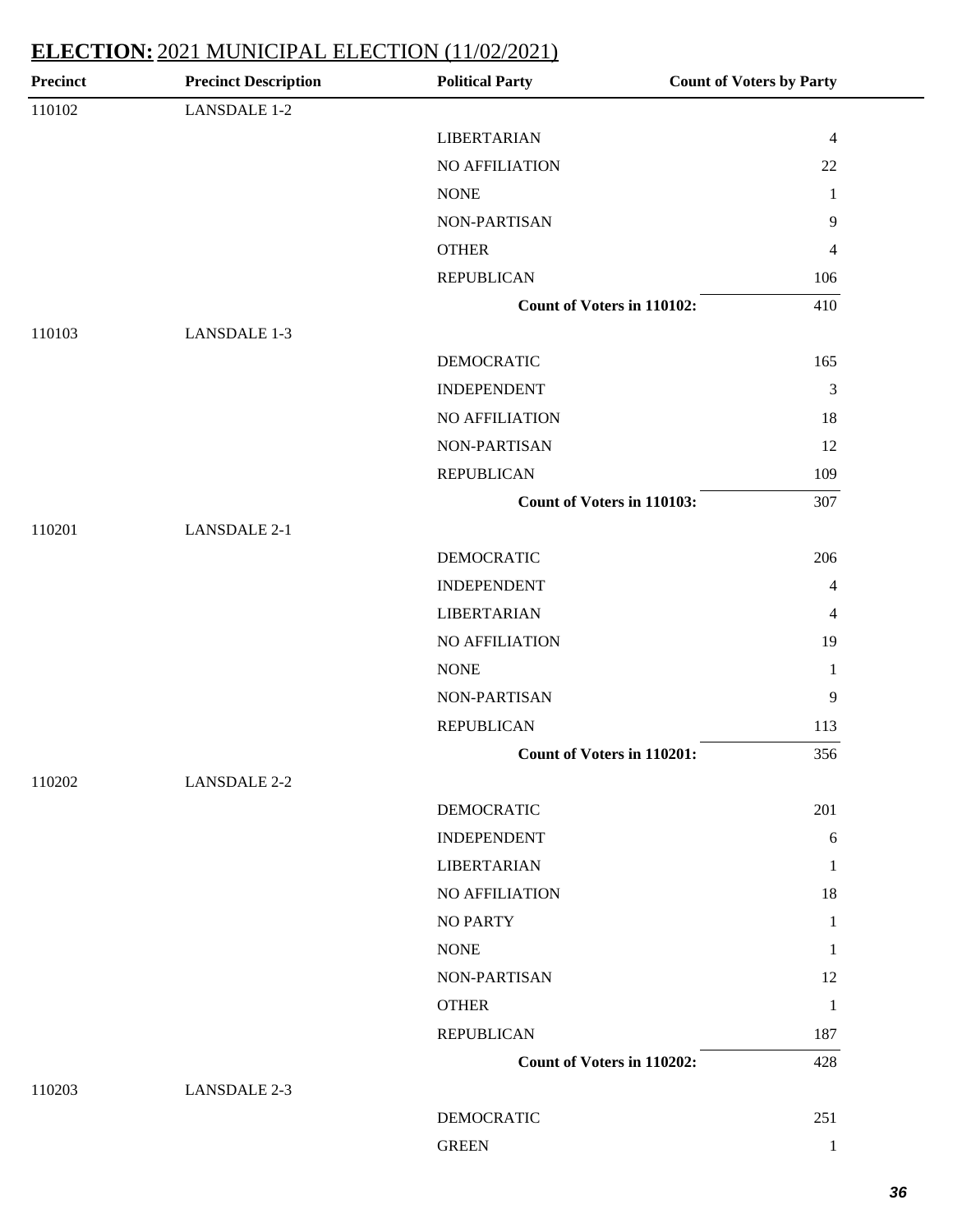| <b>Precinct</b> | <b>Precinct Description</b> | <b>Political Party</b>            | <b>Count of Voters by Party</b> |
|-----------------|-----------------------------|-----------------------------------|---------------------------------|
| 110102          | <b>LANSDALE 1-2</b>         |                                   |                                 |
|                 |                             | <b>LIBERTARIAN</b>                | $\overline{4}$                  |
|                 |                             | NO AFFILIATION                    | 22                              |
|                 |                             | <b>NONE</b>                       | $\mathbf{1}$                    |
|                 |                             | NON-PARTISAN                      | $\overline{9}$                  |
|                 |                             | <b>OTHER</b>                      | $\overline{4}$                  |
|                 |                             | <b>REPUBLICAN</b>                 | 106                             |
|                 |                             | <b>Count of Voters in 110102:</b> | 410                             |
| 110103          | <b>LANSDALE 1-3</b>         |                                   |                                 |
|                 |                             | <b>DEMOCRATIC</b>                 | 165                             |
|                 |                             | <b>INDEPENDENT</b>                | $\mathfrak{Z}$                  |
|                 |                             | NO AFFILIATION                    | 18                              |
|                 |                             | NON-PARTISAN                      | 12                              |
|                 |                             | <b>REPUBLICAN</b>                 | 109                             |
|                 |                             | <b>Count of Voters in 110103:</b> | 307                             |
| 110201          | <b>LANSDALE 2-1</b>         |                                   |                                 |
|                 |                             | <b>DEMOCRATIC</b>                 | 206                             |
|                 |                             | <b>INDEPENDENT</b>                | 4                               |
|                 |                             | <b>LIBERTARIAN</b>                | $\overline{4}$                  |
|                 |                             | NO AFFILIATION                    | 19                              |
|                 |                             | <b>NONE</b>                       | $\mathbf{1}$                    |
|                 |                             | NON-PARTISAN                      | $\overline{9}$                  |
|                 |                             | <b>REPUBLICAN</b>                 | 113                             |
|                 |                             | Count of Voters in 110201:        | 356                             |
| 110202          | <b>LANSDALE 2-2</b>         |                                   |                                 |
|                 |                             | DEMOCRATIC                        | 201                             |
|                 |                             | <b>INDEPENDENT</b>                | $\sqrt{6}$                      |
|                 |                             | <b>LIBERTARIAN</b>                | 1                               |
|                 |                             | NO AFFILIATION                    | 18                              |
|                 |                             | <b>NO PARTY</b>                   | $\mathbf{1}$                    |
|                 |                             | <b>NONE</b>                       | 1                               |
|                 |                             | NON-PARTISAN                      | 12                              |
|                 |                             | <b>OTHER</b>                      | $\mathbf{1}$                    |
|                 |                             | <b>REPUBLICAN</b>                 | 187                             |
|                 |                             | Count of Voters in 110202:        | 428                             |
| 110203          | <b>LANSDALE 2-3</b>         |                                   |                                 |
|                 |                             | <b>DEMOCRATIC</b>                 | 251                             |
|                 |                             | <b>GREEN</b>                      | $\mathbf{1}$                    |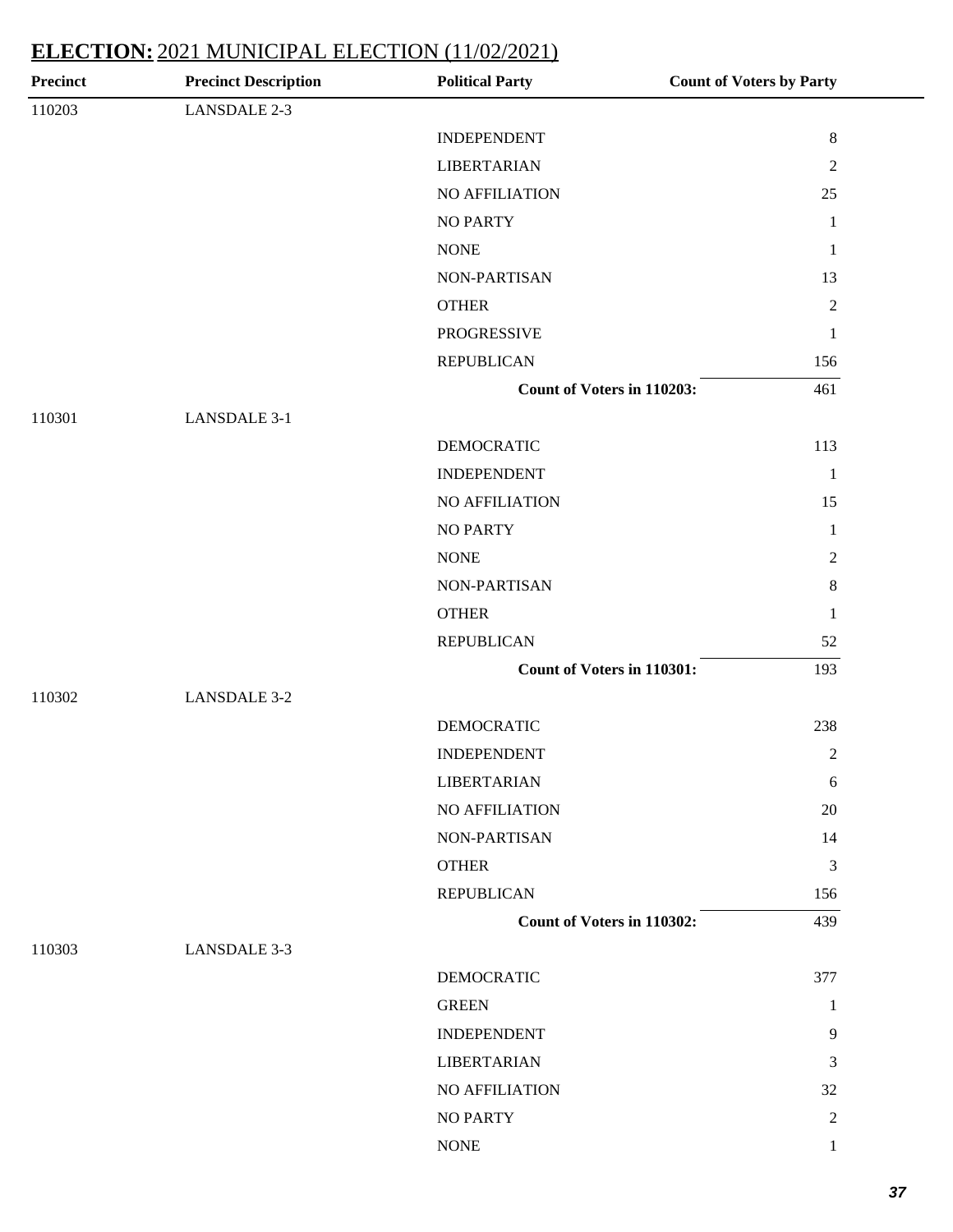| <b>Precinct</b> | <b>Precinct Description</b> | <b>Political Party</b>     | <b>Count of Voters by Party</b> |
|-----------------|-----------------------------|----------------------------|---------------------------------|
| 110203          | LANSDALE 2-3                |                            |                                 |
|                 |                             | <b>INDEPENDENT</b>         | $8\,$                           |
|                 |                             | <b>LIBERTARIAN</b>         | $\boldsymbol{2}$                |
|                 |                             | NO AFFILIATION             | 25                              |
|                 |                             | <b>NO PARTY</b>            | $\mathbf{1}$                    |
|                 |                             | <b>NONE</b>                | $\mathbf{1}$                    |
|                 |                             | NON-PARTISAN               | 13                              |
|                 |                             | <b>OTHER</b>               | $\overline{2}$                  |
|                 |                             | PROGRESSIVE                | $\mathbf{1}$                    |
|                 |                             | <b>REPUBLICAN</b>          | 156                             |
|                 |                             | Count of Voters in 110203: | 461                             |
| 110301          | <b>LANSDALE 3-1</b>         |                            |                                 |
|                 |                             | <b>DEMOCRATIC</b>          | 113                             |
|                 |                             | <b>INDEPENDENT</b>         | $\mathbf{1}$                    |
|                 |                             | NO AFFILIATION             | 15                              |
|                 |                             | <b>NO PARTY</b>            | $\mathbf{1}$                    |
|                 |                             | <b>NONE</b>                | $\overline{c}$                  |
|                 |                             | NON-PARTISAN               | $8\,$                           |
|                 |                             | <b>OTHER</b>               | $\mathbf{1}$                    |
|                 |                             | <b>REPUBLICAN</b>          | 52                              |
|                 |                             | Count of Voters in 110301: | 193                             |
| 110302          | <b>LANSDALE 3-2</b>         |                            |                                 |
|                 |                             | <b>DEMOCRATIC</b>          | 238                             |
|                 |                             | <b>INDEPENDENT</b>         | $\boldsymbol{2}$                |
|                 |                             | <b>LIBERTARIAN</b>         | 6                               |
|                 |                             | NO AFFILIATION             | $20\,$                          |
|                 |                             | NON-PARTISAN               | 14                              |
|                 |                             | <b>OTHER</b>               | 3                               |
|                 |                             | <b>REPUBLICAN</b>          | 156                             |
|                 |                             | Count of Voters in 110302: | 439                             |
| 110303          | LANSDALE 3-3                |                            |                                 |
|                 |                             | <b>DEMOCRATIC</b>          | 377                             |
|                 |                             | <b>GREEN</b>               | $\mathbf{1}$                    |
|                 |                             | <b>INDEPENDENT</b>         | 9                               |
|                 |                             | <b>LIBERTARIAN</b>         | 3                               |
|                 |                             | NO AFFILIATION             | 32                              |
|                 |                             | <b>NO PARTY</b>            | $\mathbf{2}$                    |
|                 |                             | $\rm{NONE}$                | $\mathbf{1}$                    |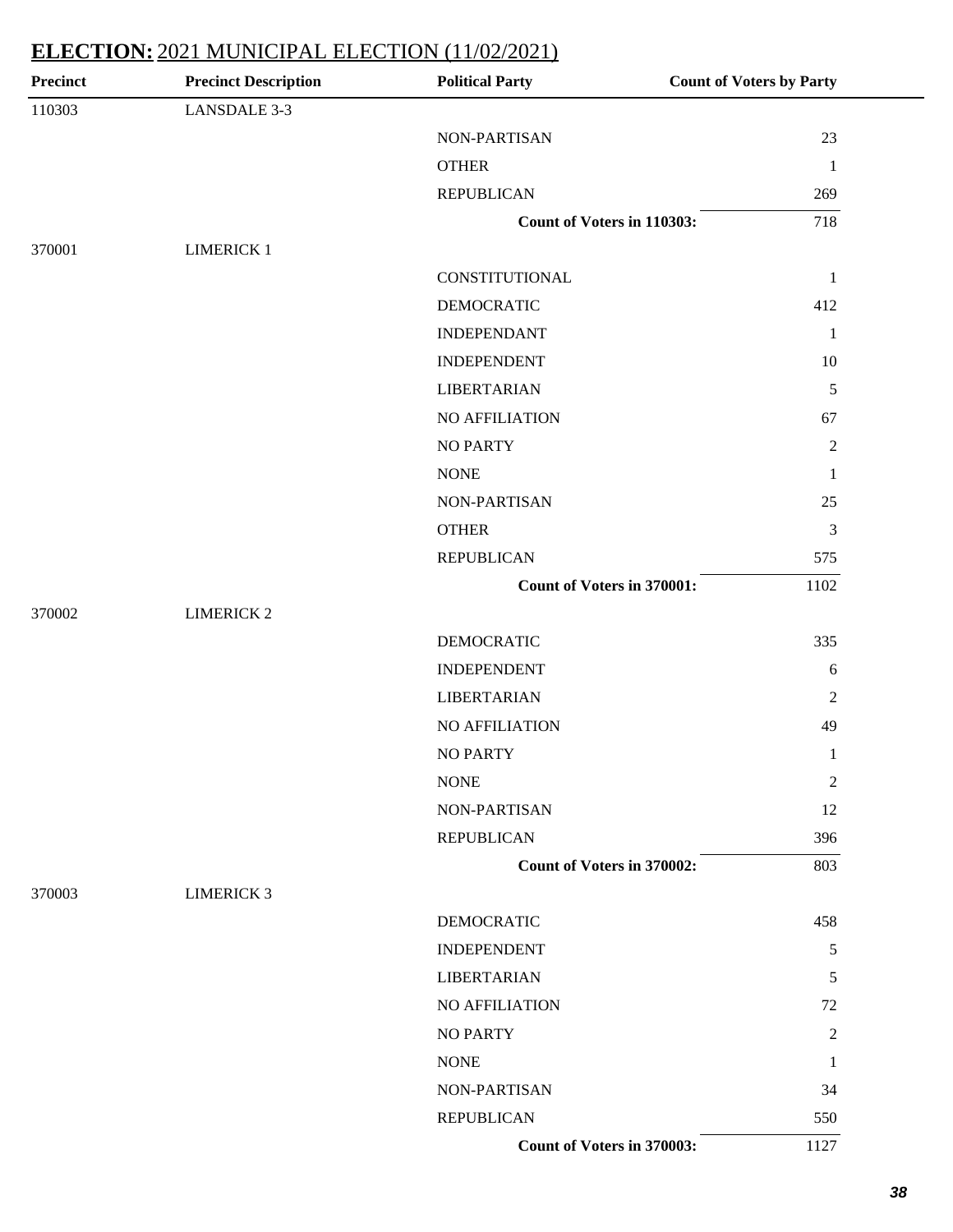| <b>Precinct</b> | <b>Precinct Description</b> | <b>Political Party</b>     | <b>Count of Voters by Party</b> |
|-----------------|-----------------------------|----------------------------|---------------------------------|
| 110303          | <b>LANSDALE 3-3</b>         |                            |                                 |
|                 |                             | NON-PARTISAN               | 23                              |
|                 |                             | <b>OTHER</b>               | $\mathbf{1}$                    |
|                 |                             | <b>REPUBLICAN</b>          | 269                             |
|                 |                             | Count of Voters in 110303: | 718                             |
| 370001          | <b>LIMERICK 1</b>           |                            |                                 |
|                 |                             | CONSTITUTIONAL             | $\mathbf{1}$                    |
|                 |                             | <b>DEMOCRATIC</b>          | 412                             |
|                 |                             | <b>INDEPENDANT</b>         | $\mathbf{1}$                    |
|                 |                             | <b>INDEPENDENT</b>         | 10                              |
|                 |                             | <b>LIBERTARIAN</b>         | $\sqrt{5}$                      |
|                 |                             | NO AFFILIATION             | 67                              |
|                 |                             | <b>NO PARTY</b>            | $\sqrt{2}$                      |
|                 |                             | <b>NONE</b>                | $\mathbf{1}$                    |
|                 |                             | NON-PARTISAN               | 25                              |
|                 |                             | <b>OTHER</b>               | 3                               |
|                 |                             | <b>REPUBLICAN</b>          | 575                             |
|                 |                             | Count of Voters in 370001: | 1102                            |
| 370002          | <b>LIMERICK 2</b>           |                            |                                 |
|                 |                             | <b>DEMOCRATIC</b>          | 335                             |
|                 |                             | <b>INDEPENDENT</b>         | 6                               |
|                 |                             | <b>LIBERTARIAN</b>         | $\sqrt{2}$                      |
|                 |                             | NO AFFILIATION             | 49                              |
|                 |                             | <b>NO PARTY</b>            | $\mathbf{1}$                    |
|                 |                             | <b>NONE</b>                | $\sqrt{2}$                      |
|                 |                             | NON-PARTISAN               | 12                              |
|                 |                             | <b>REPUBLICAN</b>          | 396                             |
|                 |                             | Count of Voters in 370002: | 803                             |
| 370003          | <b>LIMERICK 3</b>           |                            |                                 |
|                 |                             | <b>DEMOCRATIC</b>          | 458                             |
|                 |                             | <b>INDEPENDENT</b>         | 5                               |
|                 |                             | <b>LIBERTARIAN</b>         | 5                               |
|                 |                             | NO AFFILIATION             | 72                              |
|                 |                             | <b>NO PARTY</b>            | $\overline{c}$                  |
|                 |                             | <b>NONE</b>                | $\mathbf{1}$                    |
|                 |                             | NON-PARTISAN               | 34                              |
|                 |                             | <b>REPUBLICAN</b>          | 550                             |
|                 |                             | Count of Voters in 370003: | 1127                            |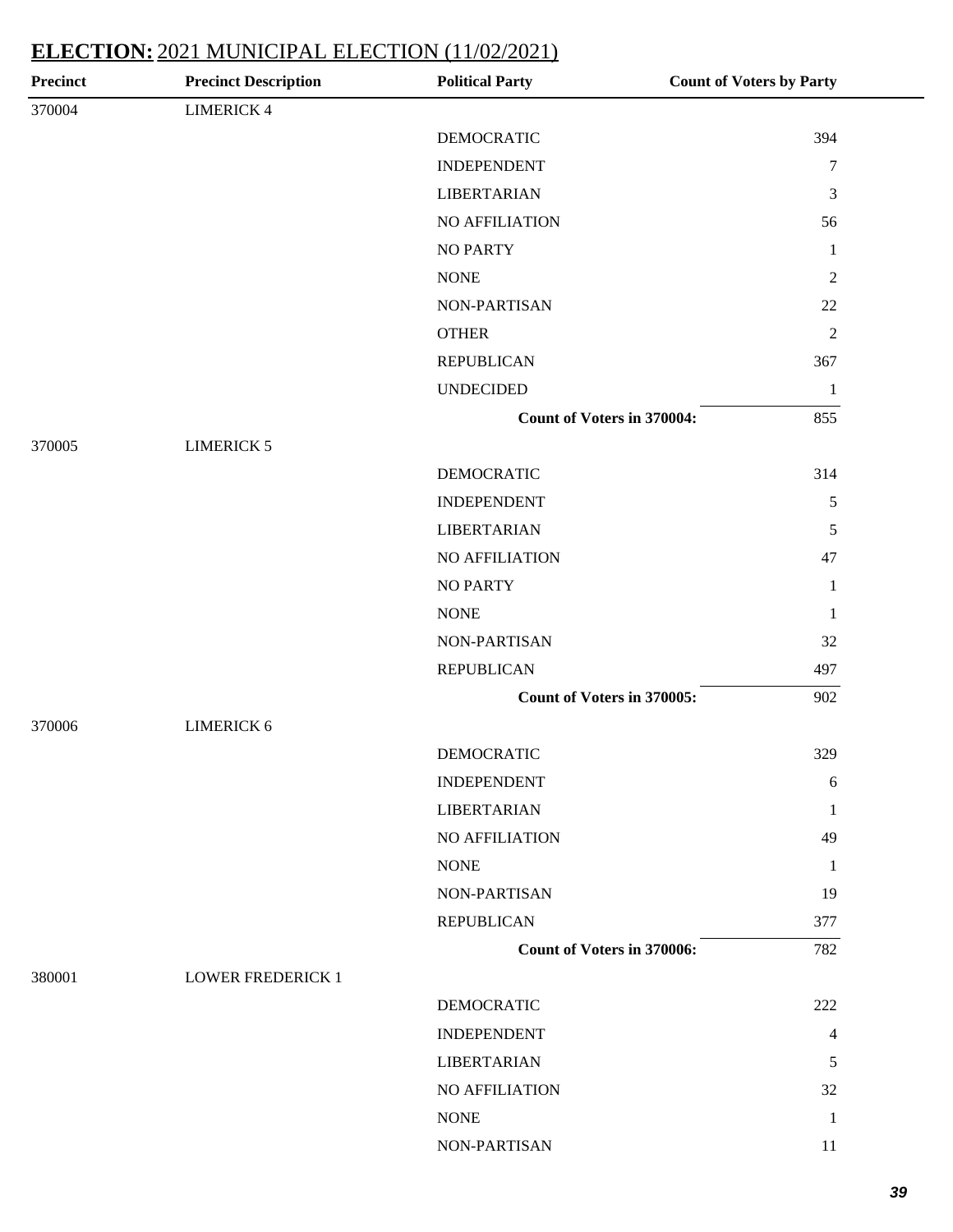| <b>DEMOCRATIC</b><br>394                 |
|------------------------------------------|
| <b>INDEPENDENT</b><br>$\tau$             |
| <b>LIBERTARIAN</b><br>$\mathfrak{Z}$     |
| NO AFFILIATION<br>56                     |
| $\mathbf{1}$                             |
| $\mathfrak{2}$                           |
| 22<br>NON-PARTISAN                       |
| $\mathfrak{2}$                           |
| <b>REPUBLICAN</b><br>367                 |
| <b>UNDECIDED</b><br>$\mathbf{1}$         |
| <b>Count of Voters in 370004:</b><br>855 |
|                                          |
| <b>DEMOCRATIC</b><br>314                 |
| <b>INDEPENDENT</b><br>$\sqrt{5}$         |
| <b>LIBERTARIAN</b><br>$\sqrt{5}$         |
| NO AFFILIATION<br>47                     |
| $\mathbf{1}$                             |
| $\mathbf{1}$                             |
| 32<br>NON-PARTISAN                       |
| <b>REPUBLICAN</b><br>497                 |
| Count of Voters in 370005:<br>902        |
|                                          |
| 329<br><b>DEMOCRATIC</b>                 |
| <b>INDEPENDENT</b><br>$\sqrt{6}$         |
| <b>LIBERTARIAN</b><br>1                  |
| NO AFFILIATION<br>49                     |
| 1                                        |
| NON-PARTISAN<br>19                       |
| <b>REPUBLICAN</b><br>377                 |
| <b>Count of Voters in 370006:</b><br>782 |
|                                          |
| <b>DEMOCRATIC</b><br>222                 |
| <b>INDEPENDENT</b><br>4                  |
| <b>LIBERTARIAN</b><br>5                  |
| NO AFFILIATION<br>32                     |
| $\mathbf{1}$                             |
| NON-PARTISAN<br>11                       |
|                                          |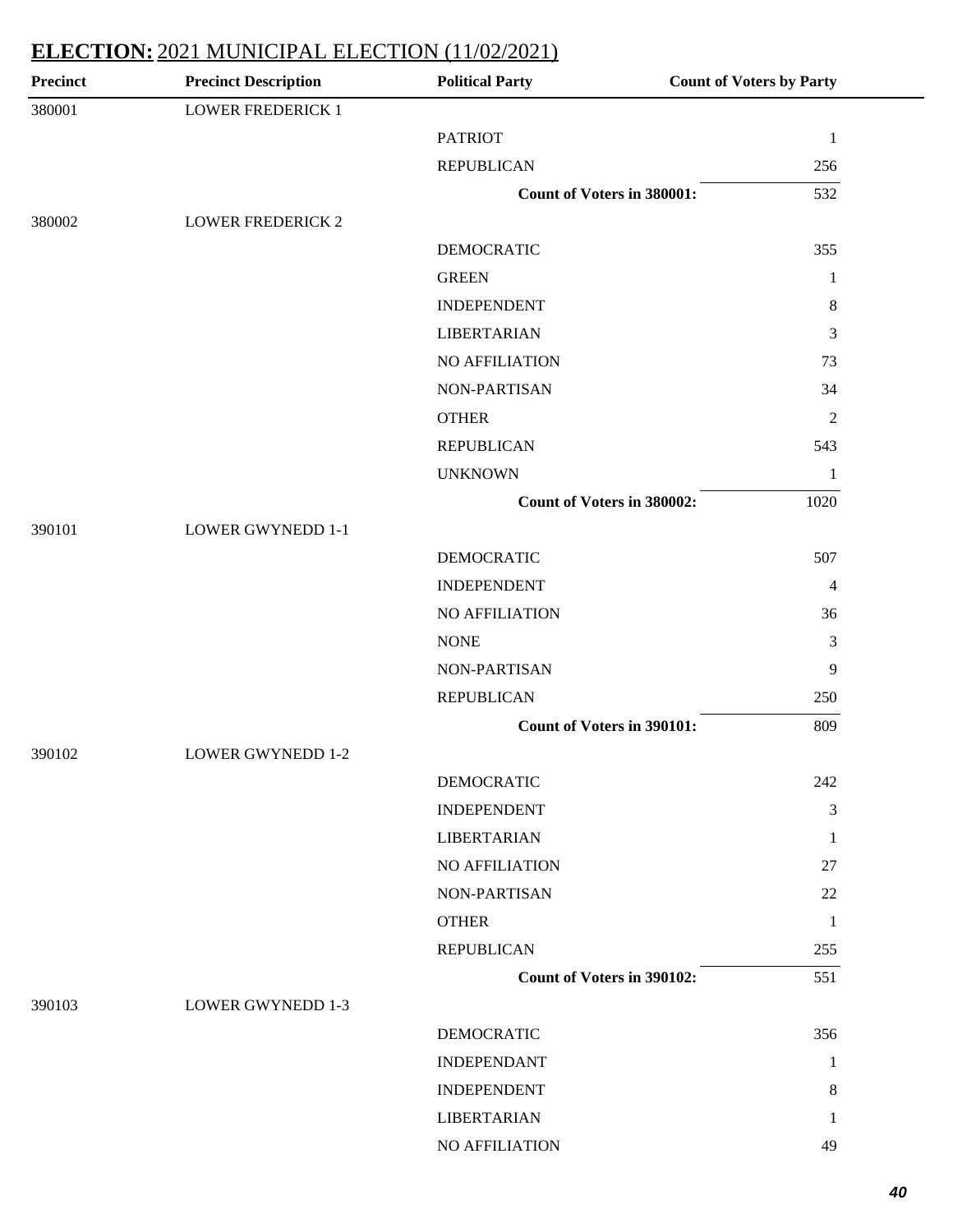| <b>Precinct</b> | <b>Precinct Description</b> | <b>Political Party</b>            | <b>Count of Voters by Party</b> |
|-----------------|-----------------------------|-----------------------------------|---------------------------------|
| 380001          | <b>LOWER FREDERICK 1</b>    |                                   |                                 |
|                 |                             | <b>PATRIOT</b>                    | $\mathbf{1}$                    |
|                 |                             | <b>REPUBLICAN</b>                 | 256                             |
|                 |                             | <b>Count of Voters in 380001:</b> | 532                             |
| 380002          | <b>LOWER FREDERICK 2</b>    |                                   |                                 |
|                 |                             | <b>DEMOCRATIC</b>                 | 355                             |
|                 |                             | <b>GREEN</b>                      | 1                               |
|                 |                             | <b>INDEPENDENT</b>                | $\,8\,$                         |
|                 |                             | <b>LIBERTARIAN</b>                | 3                               |
|                 |                             | NO AFFILIATION                    | 73                              |
|                 |                             | NON-PARTISAN                      | 34                              |
|                 |                             | <b>OTHER</b>                      | $\overline{2}$                  |
|                 |                             | <b>REPUBLICAN</b>                 | 543                             |
|                 |                             | <b>UNKNOWN</b>                    | $\mathbf{1}$                    |
|                 |                             | Count of Voters in 380002:        | 1020                            |
| 390101          | <b>LOWER GWYNEDD 1-1</b>    |                                   |                                 |
|                 |                             | <b>DEMOCRATIC</b>                 | 507                             |
|                 |                             | <b>INDEPENDENT</b>                | 4                               |
|                 |                             | NO AFFILIATION                    | 36                              |
|                 |                             | <b>NONE</b>                       | 3                               |
|                 |                             | NON-PARTISAN                      | 9                               |
|                 |                             | <b>REPUBLICAN</b>                 | 250                             |
|                 |                             | <b>Count of Voters in 390101:</b> | 809                             |
| 390102          | <b>LOWER GWYNEDD 1-2</b>    |                                   |                                 |
|                 |                             | DEMOCRATIC                        | 242                             |
|                 |                             | <b>INDEPENDENT</b>                | 3                               |
|                 |                             | <b>LIBERTARIAN</b>                | $\mathbf{1}$                    |
|                 |                             | NO AFFILIATION                    | 27                              |
|                 |                             | NON-PARTISAN                      | 22                              |
|                 |                             | <b>OTHER</b>                      | $\mathbf{1}$                    |
|                 |                             | <b>REPUBLICAN</b>                 | 255                             |
|                 |                             | Count of Voters in 390102:        | 551                             |
| 390103          | <b>LOWER GWYNEDD 1-3</b>    |                                   |                                 |
|                 |                             | <b>DEMOCRATIC</b>                 | 356                             |
|                 |                             | <b>INDEPENDANT</b>                | 1                               |
|                 |                             | <b>INDEPENDENT</b>                | 8                               |
|                 |                             | <b>LIBERTARIAN</b>                | 1                               |
|                 |                             | NO AFFILIATION                    | 49                              |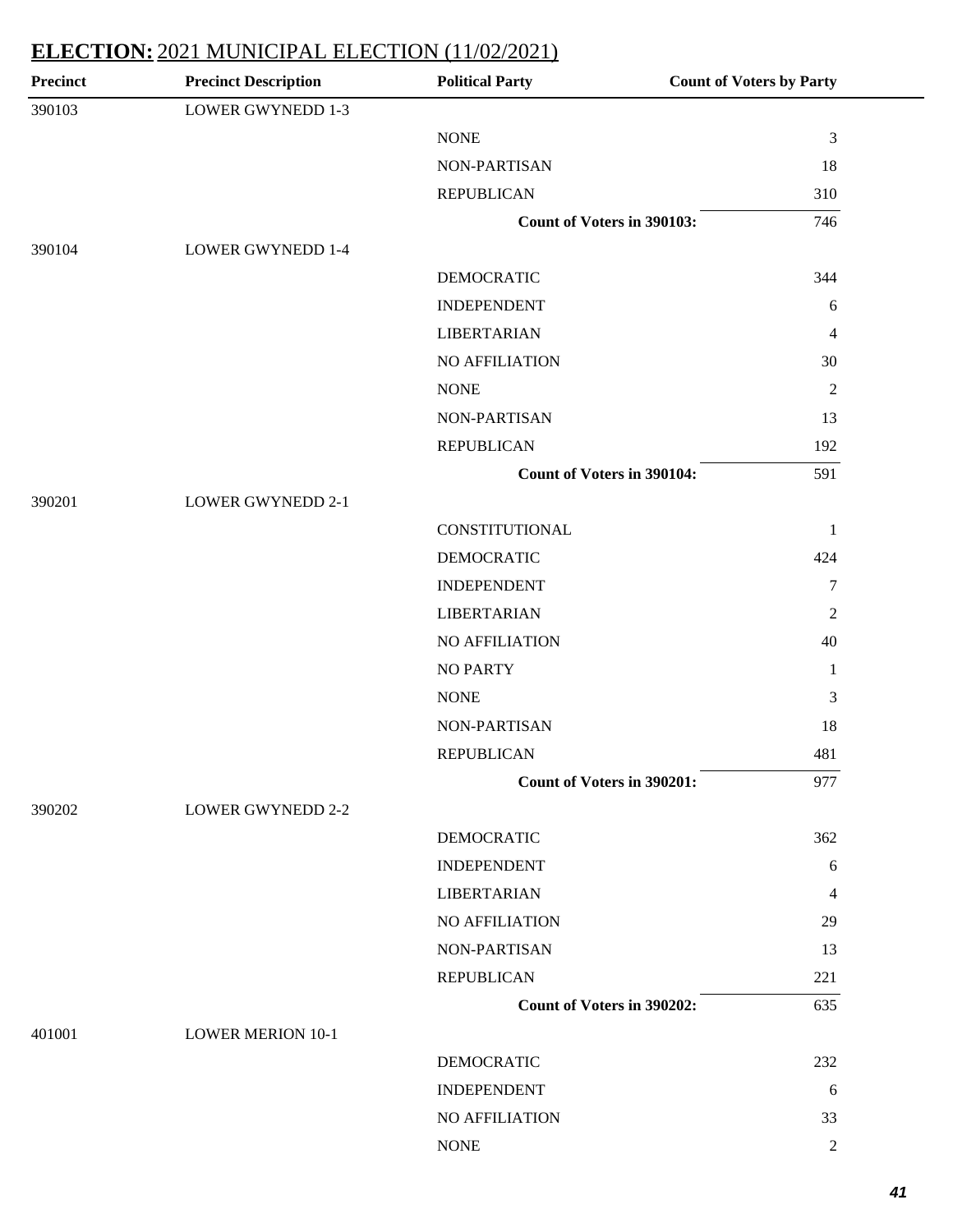| <b>Precinct</b> | <b>Precinct Description</b> | <b>Political Party</b>            | <b>Count of Voters by Party</b> |
|-----------------|-----------------------------|-----------------------------------|---------------------------------|
| 390103          | <b>LOWER GWYNEDD 1-3</b>    |                                   |                                 |
|                 |                             | <b>NONE</b>                       | $\mathfrak{Z}$                  |
|                 |                             | NON-PARTISAN                      | 18                              |
|                 |                             | <b>REPUBLICAN</b>                 | 310                             |
|                 |                             | Count of Voters in 390103:        | 746                             |
| 390104          | <b>LOWER GWYNEDD 1-4</b>    |                                   |                                 |
|                 |                             | <b>DEMOCRATIC</b>                 | 344                             |
|                 |                             | <b>INDEPENDENT</b>                | 6                               |
|                 |                             | <b>LIBERTARIAN</b>                | 4                               |
|                 |                             | NO AFFILIATION                    | 30                              |
|                 |                             | <b>NONE</b>                       | $\mathfrak{2}$                  |
|                 |                             | NON-PARTISAN                      | 13                              |
|                 |                             | <b>REPUBLICAN</b>                 | 192                             |
|                 |                             | <b>Count of Voters in 390104:</b> | 591                             |
| 390201          | <b>LOWER GWYNEDD 2-1</b>    |                                   |                                 |
|                 |                             | CONSTITUTIONAL                    | $\mathbf 1$                     |
|                 |                             | <b>DEMOCRATIC</b>                 | 424                             |
|                 |                             | <b>INDEPENDENT</b>                | $\tau$                          |
|                 |                             | <b>LIBERTARIAN</b>                | $\mathfrak{2}$                  |
|                 |                             | NO AFFILIATION                    | 40                              |
|                 |                             | <b>NO PARTY</b>                   | $\mathbf{1}$                    |
|                 |                             | <b>NONE</b>                       | $\mathfrak{Z}$                  |
|                 |                             | NON-PARTISAN                      | 18                              |
|                 |                             | <b>REPUBLICAN</b>                 | 481                             |
|                 |                             | <b>Count of Voters in 390201:</b> | 977                             |
| 390202          | <b>LOWER GWYNEDD 2-2</b>    |                                   |                                 |
|                 |                             | <b>DEMOCRATIC</b>                 | 362                             |
|                 |                             | <b>INDEPENDENT</b>                | 6                               |
|                 |                             | <b>LIBERTARIAN</b>                | 4                               |
|                 |                             | NO AFFILIATION                    | 29                              |
|                 |                             | <b>NON-PARTISAN</b>               | 13                              |
|                 |                             | <b>REPUBLICAN</b>                 | 221                             |
|                 |                             | Count of Voters in 390202:        | 635                             |
| 401001          | <b>LOWER MERION 10-1</b>    |                                   |                                 |
|                 |                             | <b>DEMOCRATIC</b>                 | 232                             |
|                 |                             | <b>INDEPENDENT</b>                | 6                               |
|                 |                             | NO AFFILIATION                    | 33                              |
|                 |                             | <b>NONE</b>                       | $\overline{2}$                  |
|                 |                             |                                   |                                 |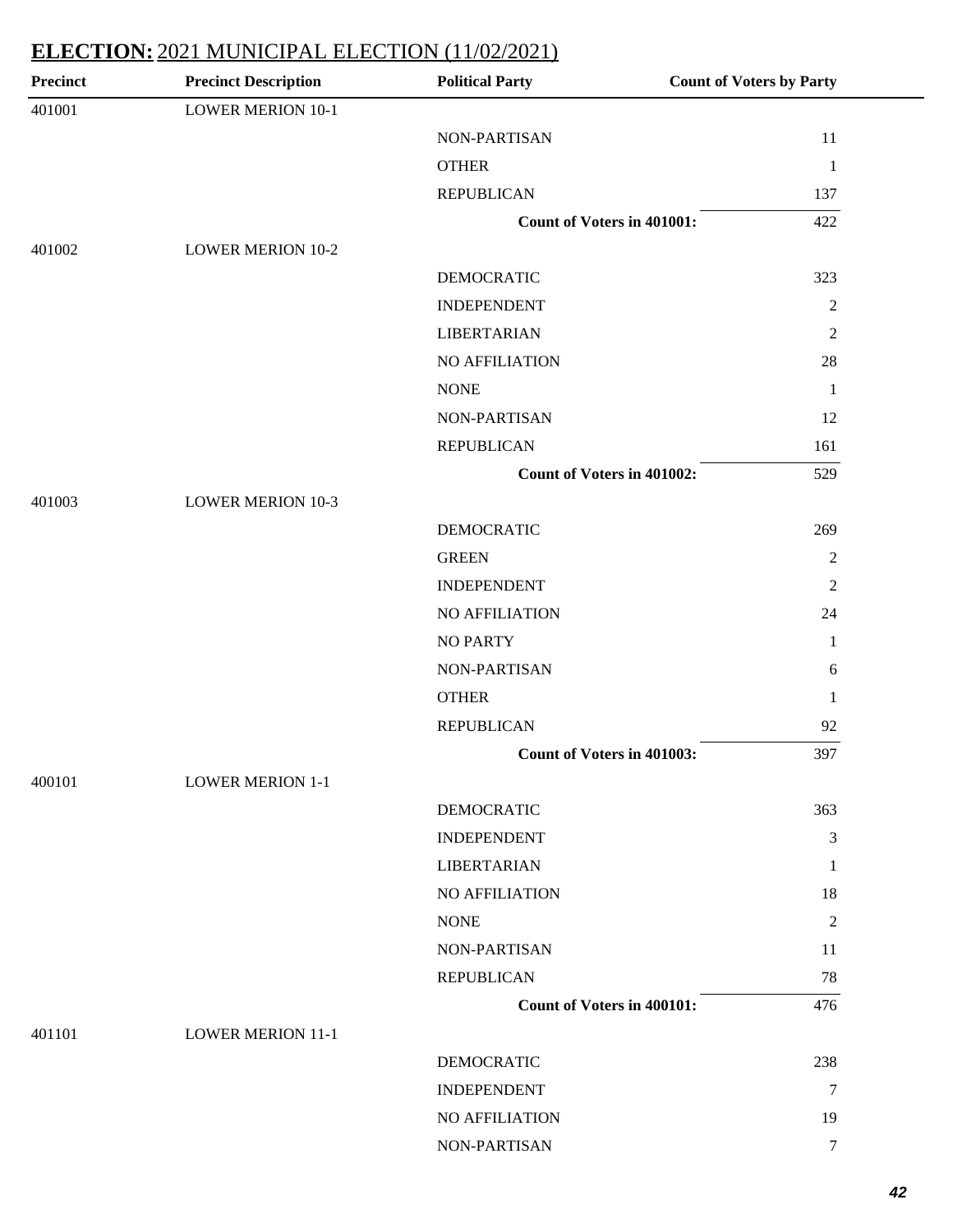| <b>Precinct</b> | <b>Precinct Description</b> | <b>Political Party</b>            | <b>Count of Voters by Party</b> |
|-----------------|-----------------------------|-----------------------------------|---------------------------------|
| 401001          | <b>LOWER MERION 10-1</b>    |                                   |                                 |
|                 |                             | NON-PARTISAN                      | 11                              |
|                 |                             | <b>OTHER</b>                      | $\mathbf{1}$                    |
|                 |                             | <b>REPUBLICAN</b>                 | 137                             |
|                 |                             | <b>Count of Voters in 401001:</b> | 422                             |
| 401002          | <b>LOWER MERION 10-2</b>    |                                   |                                 |
|                 |                             | <b>DEMOCRATIC</b>                 | 323                             |
|                 |                             | <b>INDEPENDENT</b>                | $\boldsymbol{2}$                |
|                 |                             | <b>LIBERTARIAN</b>                | $\overline{2}$                  |
|                 |                             | NO AFFILIATION                    | $28\,$                          |
|                 |                             | <b>NONE</b>                       | $\mathbf{1}$                    |
|                 |                             | NON-PARTISAN                      | 12                              |
|                 |                             | <b>REPUBLICAN</b>                 | 161                             |
|                 |                             | <b>Count of Voters in 401002:</b> | 529                             |
| 401003          | <b>LOWER MERION 10-3</b>    |                                   |                                 |
|                 |                             | <b>DEMOCRATIC</b>                 | 269                             |
|                 |                             | <b>GREEN</b>                      | $\mathfrak{2}$                  |
|                 |                             | <b>INDEPENDENT</b>                | $\overline{2}$                  |
|                 |                             | NO AFFILIATION                    | 24                              |
|                 |                             | <b>NO PARTY</b>                   | $\mathbf{1}$                    |
|                 |                             | NON-PARTISAN                      | 6                               |
|                 |                             | <b>OTHER</b>                      | $\mathbf{1}$                    |
|                 |                             | <b>REPUBLICAN</b>                 | 92                              |
|                 |                             | Count of Voters in 401003:        | 397                             |
| 400101          | <b>LOWER MERION 1-1</b>     |                                   |                                 |
|                 |                             | <b>DEMOCRATIC</b>                 | 363                             |
|                 |                             | <b>INDEPENDENT</b>                | $\mathfrak{Z}$                  |
|                 |                             | <b>LIBERTARIAN</b>                | $\mathbf{1}$                    |
|                 |                             | NO AFFILIATION                    | 18                              |
|                 |                             | <b>NONE</b>                       | $\sqrt{2}$                      |
|                 |                             | NON-PARTISAN                      | 11                              |
|                 |                             | <b>REPUBLICAN</b>                 | 78                              |
|                 |                             | <b>Count of Voters in 400101:</b> | 476                             |
| 401101          | <b>LOWER MERION 11-1</b>    |                                   |                                 |
|                 |                             | <b>DEMOCRATIC</b>                 | 238                             |
|                 |                             | <b>INDEPENDENT</b>                | $\overline{7}$                  |
|                 |                             | NO AFFILIATION                    | 19                              |
|                 |                             | NON-PARTISAN                      | $\boldsymbol{7}$                |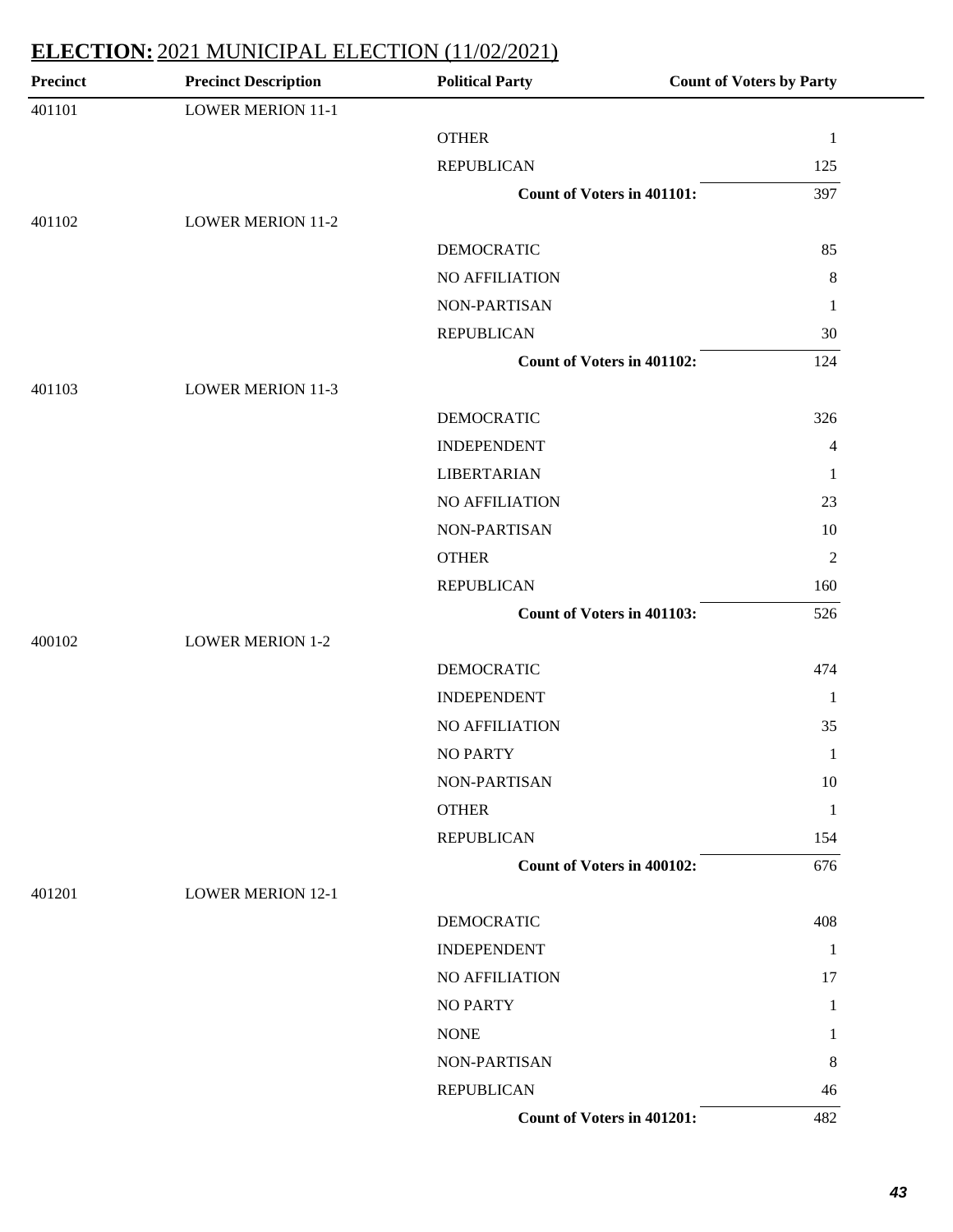| <b>Precinct</b> | <b>Precinct Description</b> | <b>Political Party</b>            | <b>Count of Voters by Party</b> |
|-----------------|-----------------------------|-----------------------------------|---------------------------------|
| 401101          | <b>LOWER MERION 11-1</b>    |                                   |                                 |
|                 |                             | <b>OTHER</b>                      | $\mathbf{1}$                    |
|                 |                             | <b>REPUBLICAN</b>                 | 125                             |
|                 |                             | <b>Count of Voters in 401101:</b> | 397                             |
| 401102          | <b>LOWER MERION 11-2</b>    |                                   |                                 |
|                 |                             | <b>DEMOCRATIC</b>                 | 85                              |
|                 |                             | NO AFFILIATION                    | 8                               |
|                 |                             | NON-PARTISAN                      | $\mathbf{1}$                    |
|                 |                             | <b>REPUBLICAN</b>                 | 30                              |
|                 |                             | Count of Voters in 401102:        | 124                             |
| 401103          | <b>LOWER MERION 11-3</b>    |                                   |                                 |
|                 |                             | <b>DEMOCRATIC</b>                 | 326                             |
|                 |                             | <b>INDEPENDENT</b>                | $\overline{4}$                  |
|                 |                             | <b>LIBERTARIAN</b>                | $\mathbf{1}$                    |
|                 |                             | <b>NO AFFILIATION</b>             | 23                              |
|                 |                             | NON-PARTISAN                      | $10\,$                          |
|                 |                             | <b>OTHER</b>                      | $\overline{2}$                  |
|                 |                             | <b>REPUBLICAN</b>                 | 160                             |
|                 |                             | Count of Voters in 401103:        | 526                             |
| 400102          | <b>LOWER MERION 1-2</b>     |                                   |                                 |
|                 |                             | <b>DEMOCRATIC</b>                 | 474                             |
|                 |                             | <b>INDEPENDENT</b>                | $\mathbf{1}$                    |
|                 |                             | NO AFFILIATION                    | 35                              |
|                 |                             | <b>NO PARTY</b>                   | $\mathbf{1}$                    |
|                 |                             | NON-PARTISAN                      | 10                              |
|                 |                             | <b>OTHER</b>                      | 1                               |
|                 |                             | <b>REPUBLICAN</b>                 | 154                             |
|                 |                             | <b>Count of Voters in 400102:</b> | 676                             |
| 401201          | <b>LOWER MERION 12-1</b>    |                                   |                                 |
|                 |                             | <b>DEMOCRATIC</b>                 | 408                             |
|                 |                             | <b>INDEPENDENT</b>                | 1                               |
|                 |                             | NO AFFILIATION                    | 17                              |
|                 |                             | <b>NO PARTY</b>                   | 1                               |
|                 |                             | <b>NONE</b>                       | 1                               |
|                 |                             | NON-PARTISAN                      | 8                               |
|                 |                             | <b>REPUBLICAN</b>                 | 46                              |
|                 |                             | <b>Count of Voters in 401201:</b> | 482                             |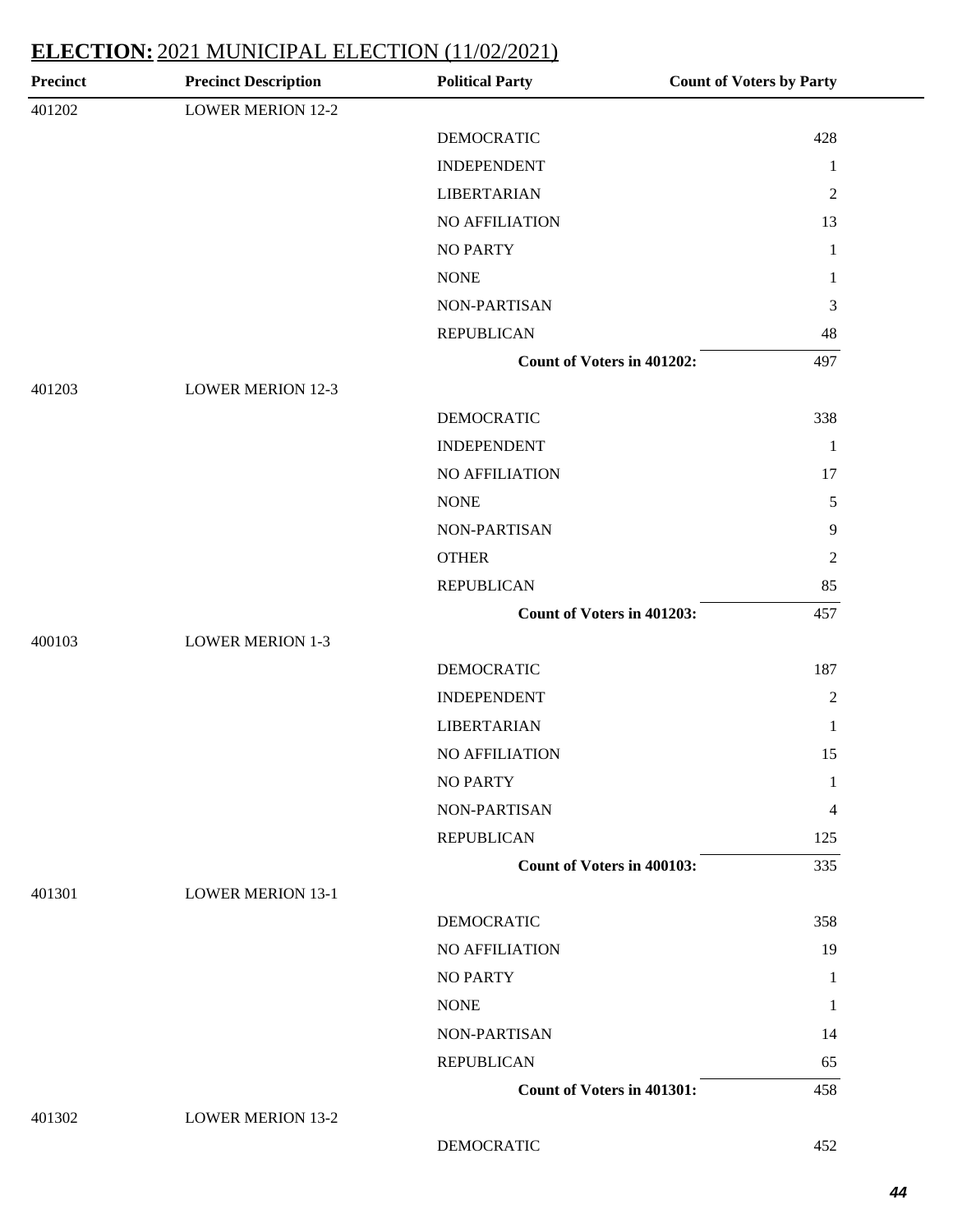| <b>Precinct</b> | <b>Precinct Description</b> | <b>Political Party</b>            | <b>Count of Voters by Party</b> |
|-----------------|-----------------------------|-----------------------------------|---------------------------------|
| 401202          | <b>LOWER MERION 12-2</b>    |                                   |                                 |
|                 |                             | <b>DEMOCRATIC</b>                 | 428                             |
|                 |                             | <b>INDEPENDENT</b>                | $\mathbf{1}$                    |
|                 |                             | <b>LIBERTARIAN</b>                | $\overline{2}$                  |
|                 |                             | NO AFFILIATION                    | 13                              |
|                 |                             | <b>NO PARTY</b>                   | $\mathbf{1}$                    |
|                 |                             | <b>NONE</b>                       | 1                               |
|                 |                             | NON-PARTISAN                      | 3                               |
|                 |                             | <b>REPUBLICAN</b>                 | 48                              |
|                 |                             | Count of Voters in 401202:        | 497                             |
| 401203          | <b>LOWER MERION 12-3</b>    |                                   |                                 |
|                 |                             | <b>DEMOCRATIC</b>                 | 338                             |
|                 |                             | <b>INDEPENDENT</b>                | $\mathbf{1}$                    |
|                 |                             | NO AFFILIATION                    | 17                              |
|                 |                             | <b>NONE</b>                       | 5                               |
|                 |                             | NON-PARTISAN                      | $\overline{9}$                  |
|                 |                             | <b>OTHER</b>                      | $\boldsymbol{2}$                |
|                 |                             | <b>REPUBLICAN</b>                 | 85                              |
|                 |                             | Count of Voters in 401203:        | 457                             |
| 400103          | <b>LOWER MERION 1-3</b>     |                                   |                                 |
|                 |                             | <b>DEMOCRATIC</b>                 | 187                             |
|                 |                             | <b>INDEPENDENT</b>                | $\mathbf{2}$                    |
|                 |                             | <b>LIBERTARIAN</b>                | 1                               |
|                 |                             | NO AFFILIATION                    | 15                              |
|                 |                             | <b>NO PARTY</b>                   | 1                               |
|                 |                             | NON-PARTISAN                      | 4                               |
|                 |                             | <b>REPUBLICAN</b>                 | 125                             |
|                 |                             | <b>Count of Voters in 400103:</b> | 335                             |
| 401301          | <b>LOWER MERION 13-1</b>    |                                   |                                 |
|                 |                             | <b>DEMOCRATIC</b>                 | 358                             |
|                 |                             | NO AFFILIATION                    | 19                              |
|                 |                             | <b>NO PARTY</b>                   | 1                               |
|                 |                             | <b>NONE</b>                       | 1                               |
|                 |                             | NON-PARTISAN                      | 14                              |
|                 |                             |                                   |                                 |
|                 |                             | <b>REPUBLICAN</b>                 | 65                              |

DEMOCRATIC 452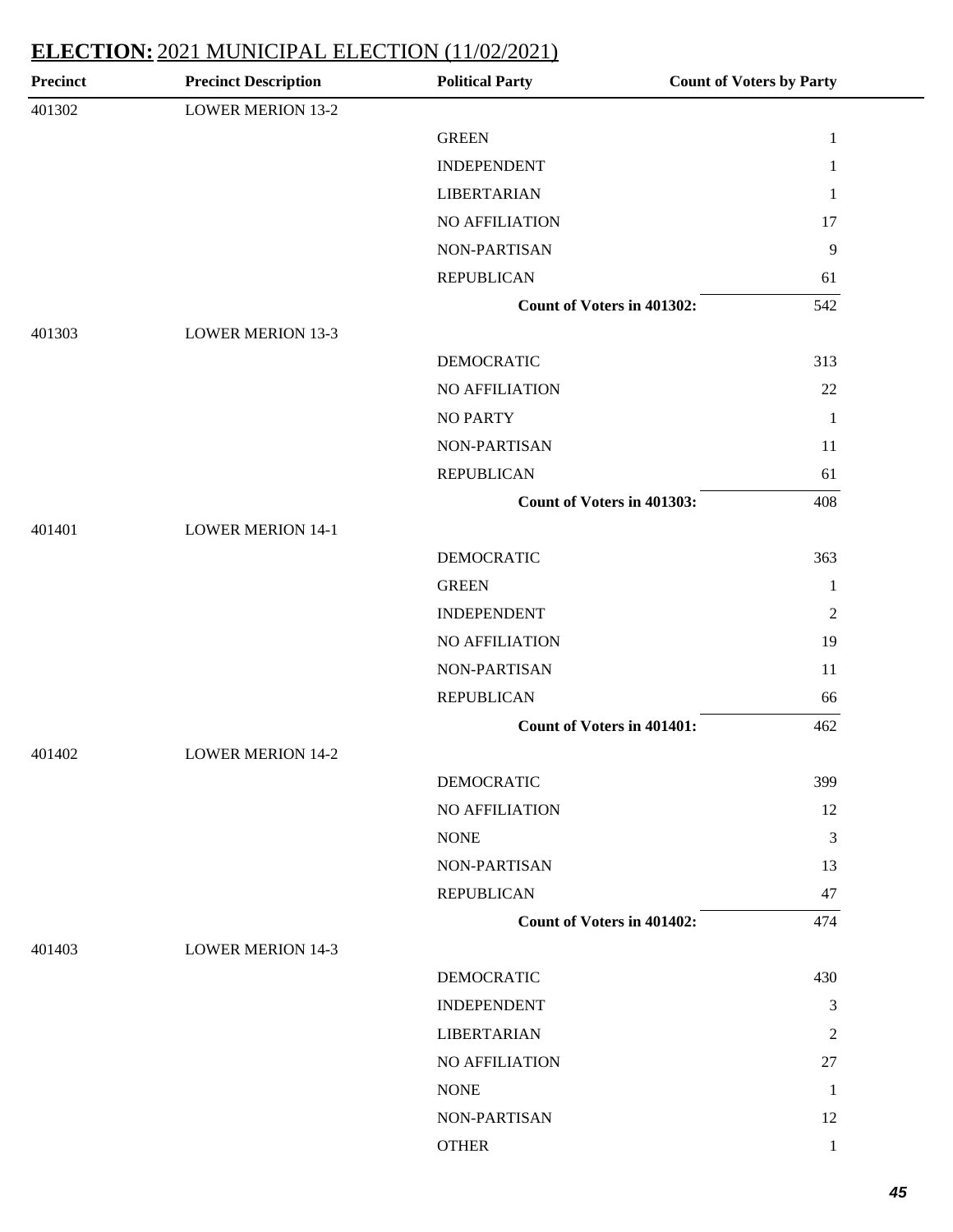| <b>Precinct</b> | <b>Precinct Description</b> | <b>Political Party</b>            | <b>Count of Voters by Party</b> |
|-----------------|-----------------------------|-----------------------------------|---------------------------------|
| 401302          | <b>LOWER MERION 13-2</b>    |                                   |                                 |
|                 |                             | <b>GREEN</b>                      | $\mathbf 1$                     |
|                 |                             | <b>INDEPENDENT</b>                | $\mathbf{1}$                    |
|                 |                             | <b>LIBERTARIAN</b>                | $\mathbf{1}$                    |
|                 |                             | NO AFFILIATION                    | 17                              |
|                 |                             | NON-PARTISAN                      | $\overline{9}$                  |
|                 |                             | <b>REPUBLICAN</b>                 | 61                              |
|                 |                             | Count of Voters in 401302:        | 542                             |
| 401303          | <b>LOWER MERION 13-3</b>    |                                   |                                 |
|                 |                             | <b>DEMOCRATIC</b>                 | 313                             |
|                 |                             | NO AFFILIATION                    | 22                              |
|                 |                             | <b>NO PARTY</b>                   | $\mathbf{1}$                    |
|                 |                             | NON-PARTISAN                      | 11                              |
|                 |                             | <b>REPUBLICAN</b>                 | 61                              |
|                 |                             | Count of Voters in 401303:        | 408                             |
| 401401          | <b>LOWER MERION 14-1</b>    |                                   |                                 |
|                 |                             | <b>DEMOCRATIC</b>                 | 363                             |
|                 |                             | <b>GREEN</b>                      | $\mathbf{1}$                    |
|                 |                             | <b>INDEPENDENT</b>                | $\overline{2}$                  |
|                 |                             | NO AFFILIATION                    | 19                              |
|                 |                             | NON-PARTISAN                      | 11                              |
|                 |                             | <b>REPUBLICAN</b>                 | 66                              |
|                 |                             | <b>Count of Voters in 401401:</b> | 462                             |
| 401402          | <b>LOWER MERION 14-2</b>    |                                   |                                 |
|                 |                             | <b>DEMOCRATIC</b>                 | 399                             |
|                 |                             | NO AFFILIATION                    | 12                              |
|                 |                             | <b>NONE</b>                       | $\mathfrak{Z}$                  |
|                 |                             | NON-PARTISAN                      | 13                              |
|                 |                             | <b>REPUBLICAN</b>                 | 47                              |
|                 |                             | <b>Count of Voters in 401402:</b> | 474                             |
| 401403          | <b>LOWER MERION 14-3</b>    |                                   |                                 |
|                 |                             | <b>DEMOCRATIC</b>                 | 430                             |
|                 |                             | <b>INDEPENDENT</b>                | $\mathfrak{Z}$                  |
|                 |                             | <b>LIBERTARIAN</b>                | $\overline{2}$                  |
|                 |                             | NO AFFILIATION                    | 27                              |
|                 |                             | <b>NONE</b>                       | $\mathbf{1}$                    |
|                 |                             | NON-PARTISAN                      | 12                              |
|                 |                             | <b>OTHER</b>                      | $\mathbf{1}$                    |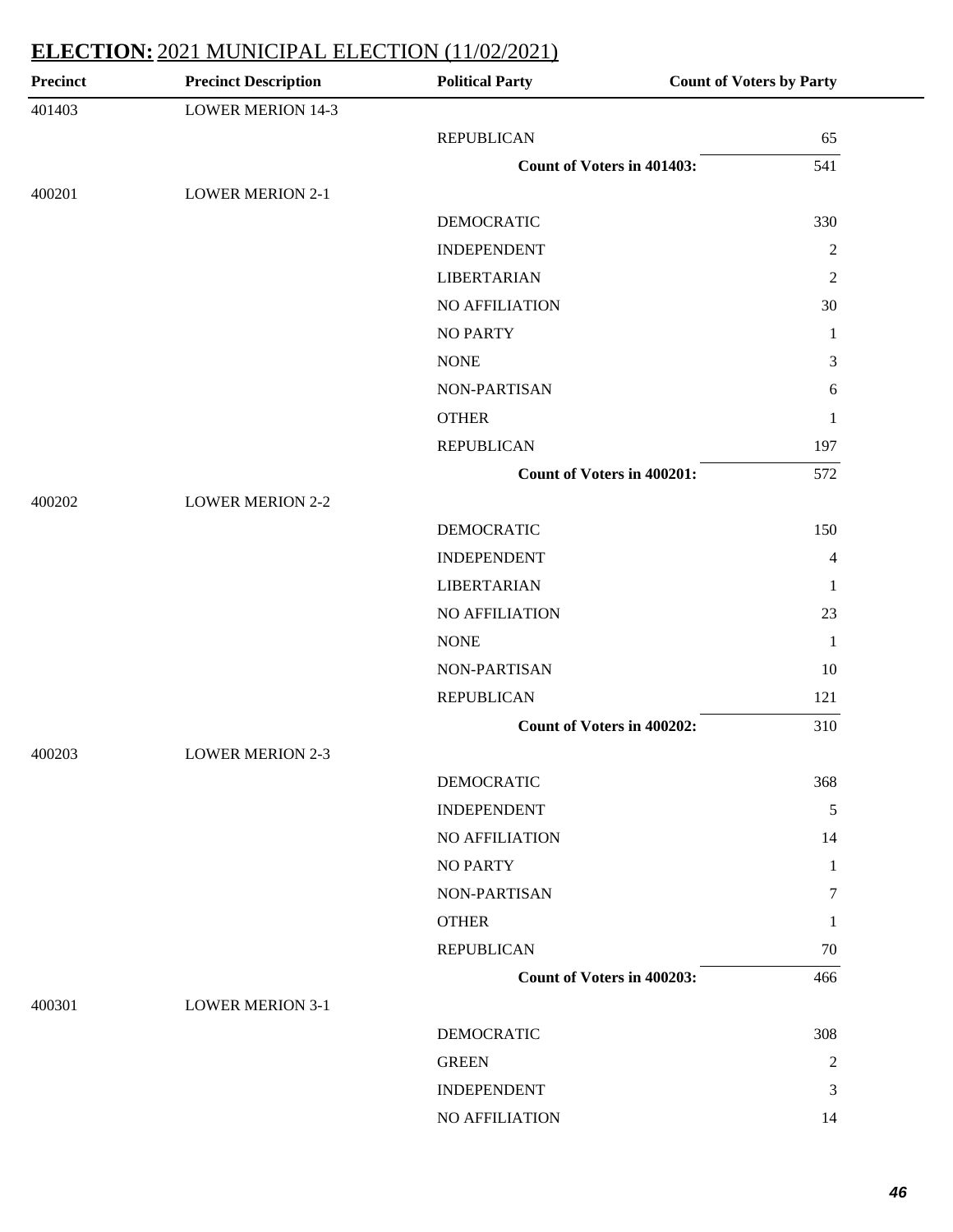| <b>Precinct</b> | <b>Precinct Description</b> | <b>Political Party</b>            | <b>Count of Voters by Party</b> |
|-----------------|-----------------------------|-----------------------------------|---------------------------------|
| 401403          | <b>LOWER MERION 14-3</b>    |                                   |                                 |
|                 |                             | <b>REPUBLICAN</b>                 | 65                              |
|                 |                             | Count of Voters in 401403:        | 541                             |
| 400201          | <b>LOWER MERION 2-1</b>     |                                   |                                 |
|                 |                             | <b>DEMOCRATIC</b>                 | 330                             |
|                 |                             | <b>INDEPENDENT</b>                | $\overline{2}$                  |
|                 |                             | <b>LIBERTARIAN</b>                | $\mathfrak{2}$                  |
|                 |                             | <b>NO AFFILIATION</b>             | 30                              |
|                 |                             | <b>NO PARTY</b>                   | 1                               |
|                 |                             | <b>NONE</b>                       | 3                               |
|                 |                             | NON-PARTISAN                      | 6                               |
|                 |                             | <b>OTHER</b>                      | 1                               |
|                 |                             | <b>REPUBLICAN</b>                 | 197                             |
|                 |                             | <b>Count of Voters in 400201:</b> | 572                             |
| 400202          | <b>LOWER MERION 2-2</b>     |                                   |                                 |
|                 |                             | <b>DEMOCRATIC</b>                 | 150                             |
|                 |                             | <b>INDEPENDENT</b>                | 4                               |
|                 |                             | <b>LIBERTARIAN</b>                | 1                               |
|                 |                             | NO AFFILIATION                    | 23                              |
|                 |                             | <b>NONE</b>                       | $\mathbf{1}$                    |
|                 |                             | NON-PARTISAN                      | 10                              |
|                 |                             | <b>REPUBLICAN</b>                 | 121                             |
|                 |                             | Count of Voters in 400202:        | 310                             |
| 400203          | <b>LOWER MERION 2-3</b>     |                                   |                                 |
|                 |                             | <b>DEMOCRATIC</b>                 | 368                             |
|                 |                             | <b>INDEPENDENT</b>                | 5                               |
|                 |                             | <b>NO AFFILIATION</b>             | 14                              |
|                 |                             | <b>NO PARTY</b>                   | 1                               |
|                 |                             | NON-PARTISAN                      | 7                               |
|                 |                             | <b>OTHER</b>                      | 1                               |
|                 |                             | <b>REPUBLICAN</b>                 | 70                              |
|                 |                             | Count of Voters in 400203:        | 466                             |
| 400301          | <b>LOWER MERION 3-1</b>     |                                   |                                 |
|                 |                             | <b>DEMOCRATIC</b>                 | 308                             |
|                 |                             | <b>GREEN</b>                      | $\mathfrak{2}$                  |
|                 |                             | <b>INDEPENDENT</b>                | 3                               |
|                 |                             | NO AFFILIATION                    | 14                              |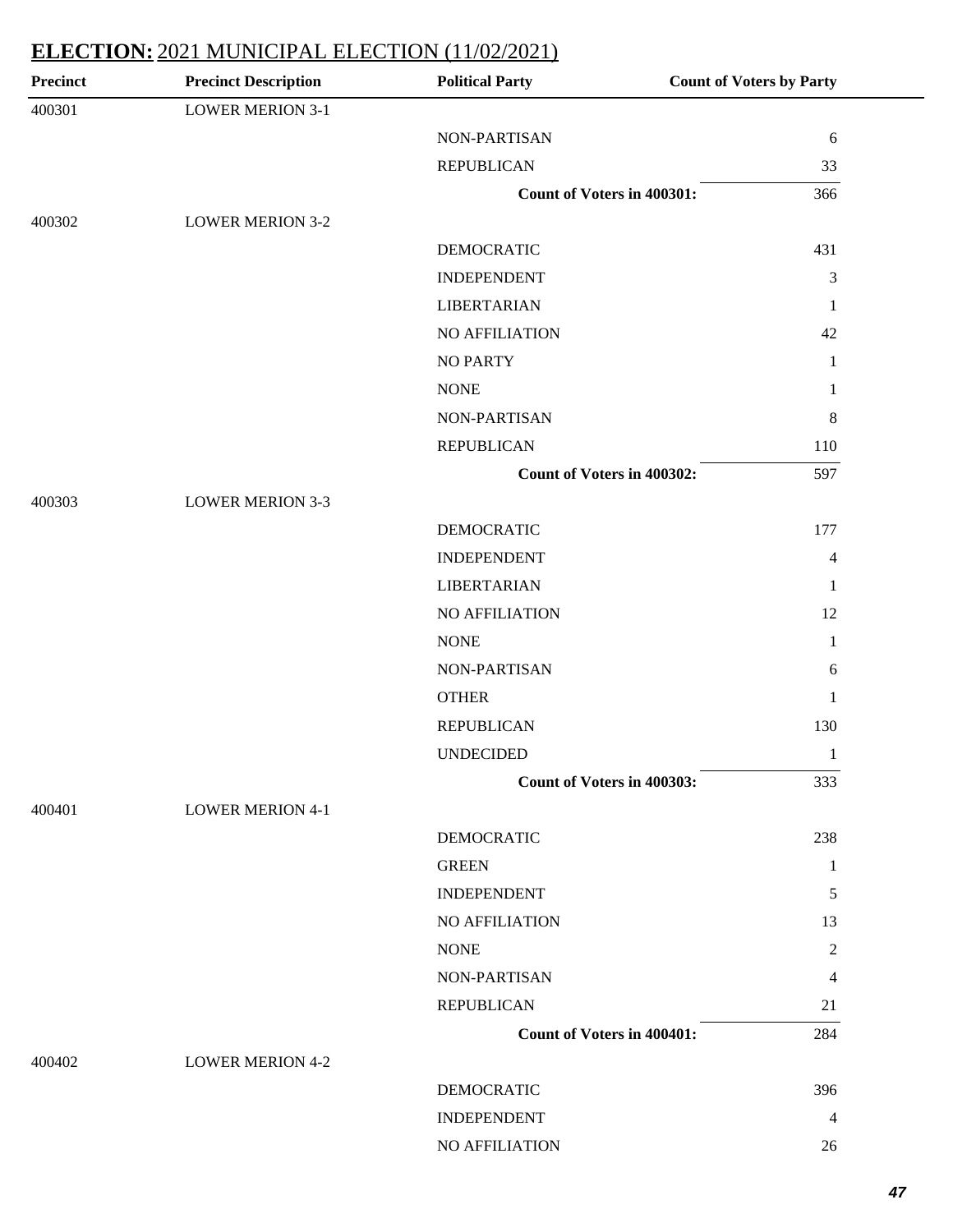| Precinct | <b>Precinct Description</b> | <b>Political Party</b>            | <b>Count of Voters by Party</b> |
|----------|-----------------------------|-----------------------------------|---------------------------------|
| 400301   | <b>LOWER MERION 3-1</b>     |                                   |                                 |
|          |                             | NON-PARTISAN                      | 6                               |
|          |                             | <b>REPUBLICAN</b>                 | 33                              |
|          |                             | <b>Count of Voters in 400301:</b> | 366                             |
| 400302   | <b>LOWER MERION 3-2</b>     |                                   |                                 |
|          |                             | <b>DEMOCRATIC</b>                 | 431                             |
|          |                             | <b>INDEPENDENT</b>                | 3                               |
|          |                             | <b>LIBERTARIAN</b>                | $\mathbf{1}$                    |
|          |                             | NO AFFILIATION                    | 42                              |
|          |                             | <b>NO PARTY</b>                   | $\mathbf{1}$                    |
|          |                             | <b>NONE</b>                       | 1                               |
|          |                             | NON-PARTISAN                      | 8                               |
|          |                             | <b>REPUBLICAN</b>                 | 110                             |
|          |                             | Count of Voters in 400302:        | 597                             |
| 400303   | <b>LOWER MERION 3-3</b>     |                                   |                                 |
|          |                             | <b>DEMOCRATIC</b>                 | 177                             |
|          |                             | <b>INDEPENDENT</b>                | 4                               |
|          |                             | <b>LIBERTARIAN</b>                | $\mathbf{1}$                    |
|          |                             | NO AFFILIATION                    | 12                              |
|          |                             | <b>NONE</b>                       | $\mathbf{1}$                    |
|          |                             | NON-PARTISAN                      | 6                               |
|          |                             | <b>OTHER</b>                      | $\mathbf{1}$                    |
|          |                             | <b>REPUBLICAN</b>                 | 130                             |
|          |                             | <b>UNDECIDED</b>                  | $\mathbf{1}$                    |
|          |                             | Count of Voters in 400303:        | 333                             |
| 400401   | <b>LOWER MERION 4-1</b>     |                                   |                                 |
|          |                             | <b>DEMOCRATIC</b>                 | 238                             |
|          |                             | <b>GREEN</b>                      | 1                               |
|          |                             | <b>INDEPENDENT</b>                | 5                               |
|          |                             | NO AFFILIATION                    | 13                              |
|          |                             | <b>NONE</b>                       | 2                               |
|          |                             | NON-PARTISAN                      | 4                               |
|          |                             | <b>REPUBLICAN</b>                 | 21                              |
|          |                             | <b>Count of Voters in 400401:</b> | 284                             |
| 400402   | <b>LOWER MERION 4-2</b>     |                                   |                                 |
|          |                             | DEMOCRATIC                        | 396                             |
|          |                             | <b>INDEPENDENT</b>                | $\overline{4}$                  |
|          |                             | NO AFFILIATION                    | 26                              |
|          |                             |                                   |                                 |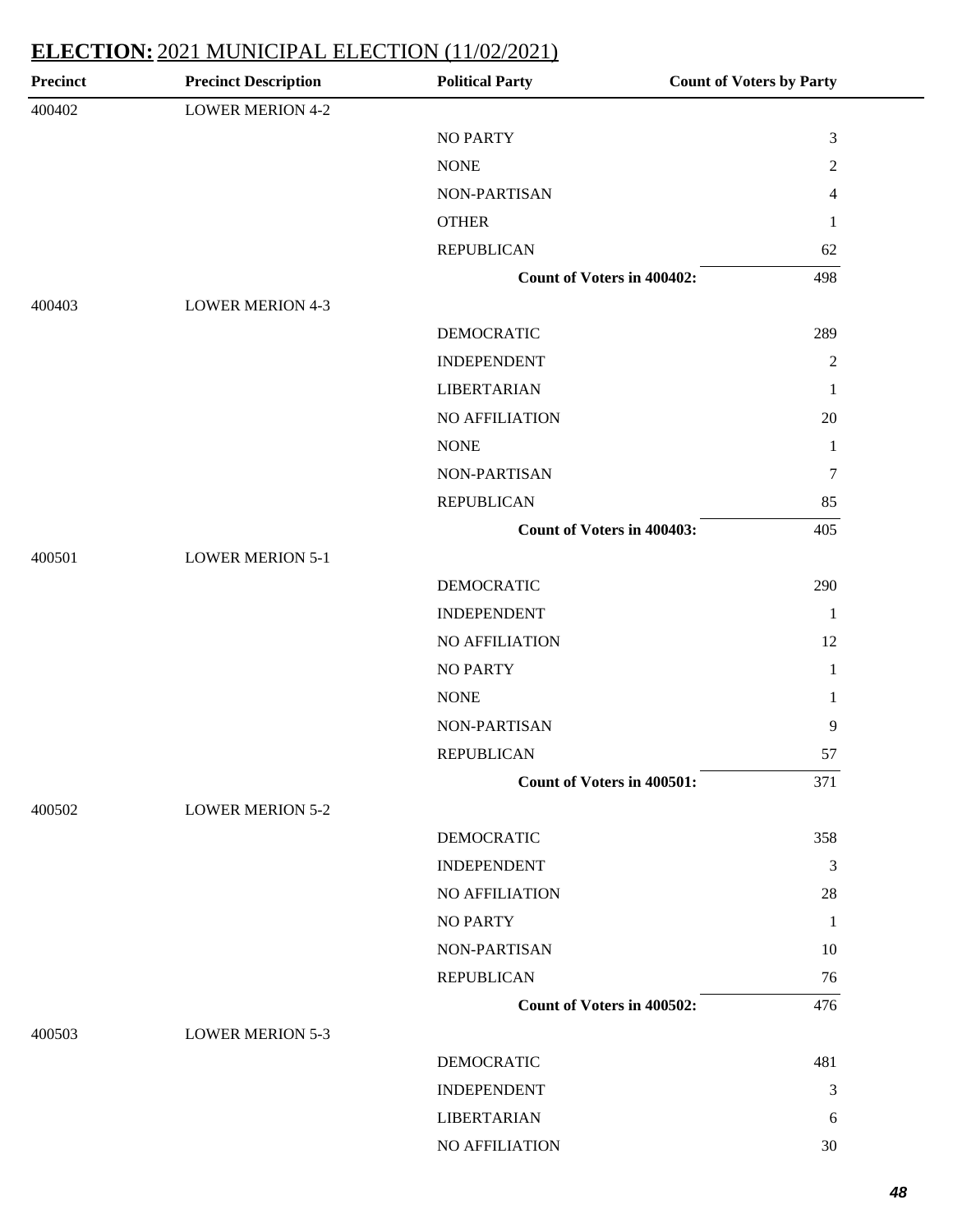| Precinct | <b>Precinct Description</b> | <b>Political Party</b>            | <b>Count of Voters by Party</b> |
|----------|-----------------------------|-----------------------------------|---------------------------------|
| 400402   | <b>LOWER MERION 4-2</b>     |                                   |                                 |
|          |                             | <b>NO PARTY</b>                   | 3                               |
|          |                             | <b>NONE</b>                       | $\overline{c}$                  |
|          |                             | NON-PARTISAN                      | 4                               |
|          |                             | <b>OTHER</b>                      | $\mathbf{1}$                    |
|          |                             | <b>REPUBLICAN</b>                 | 62                              |
|          |                             | <b>Count of Voters in 400402:</b> | 498                             |
| 400403   | <b>LOWER MERION 4-3</b>     |                                   |                                 |
|          |                             | <b>DEMOCRATIC</b>                 | 289                             |
|          |                             | <b>INDEPENDENT</b>                | $\mathfrak{2}$                  |
|          |                             | <b>LIBERTARIAN</b>                | $\mathbf{1}$                    |
|          |                             | NO AFFILIATION                    | 20                              |
|          |                             | <b>NONE</b>                       | $\mathbf{1}$                    |
|          |                             | <b>NON-PARTISAN</b>               | $\tau$                          |
|          |                             | <b>REPUBLICAN</b>                 | 85                              |
|          |                             | <b>Count of Voters in 400403:</b> | 405                             |
| 400501   | <b>LOWER MERION 5-1</b>     |                                   |                                 |
|          |                             | <b>DEMOCRATIC</b>                 | 290                             |
|          |                             | <b>INDEPENDENT</b>                | $\mathbf{1}$                    |
|          |                             | NO AFFILIATION                    | 12                              |
|          |                             | <b>NO PARTY</b>                   | $\mathbf{1}$                    |
|          |                             | <b>NONE</b>                       | $\mathbf{1}$                    |
|          |                             | NON-PARTISAN                      | 9                               |
|          |                             | <b>REPUBLICAN</b>                 | 57                              |
|          |                             | Count of Voters in 400501:        | 371                             |
| 400502   | <b>LOWER MERION 5-2</b>     |                                   |                                 |
|          |                             | <b>DEMOCRATIC</b>                 | 358                             |
|          |                             | <b>INDEPENDENT</b>                | 3                               |
|          |                             | NO AFFILIATION                    | $28\,$                          |
|          |                             | <b>NO PARTY</b>                   | $\mathbf{1}$                    |
|          |                             | NON-PARTISAN                      | 10                              |
|          |                             | <b>REPUBLICAN</b>                 | 76                              |
|          |                             | Count of Voters in 400502:        | 476                             |
| 400503   | <b>LOWER MERION 5-3</b>     |                                   |                                 |
|          |                             | <b>DEMOCRATIC</b>                 | 481                             |
|          |                             | <b>INDEPENDENT</b>                | 3                               |
|          |                             | <b>LIBERTARIAN</b>                | 6                               |
|          |                             | NO AFFILIATION                    | 30                              |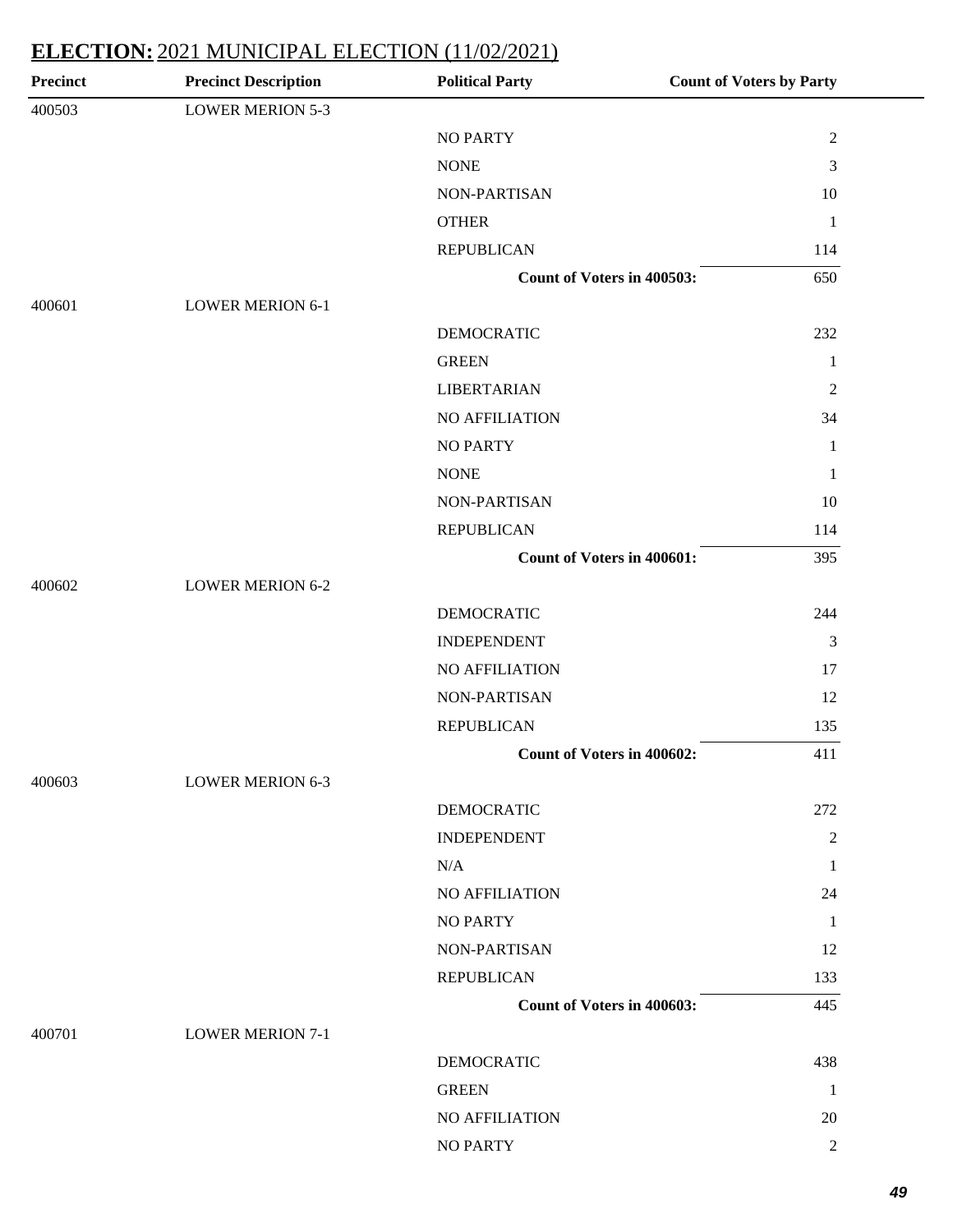| <b>Precinct</b> | <b>Precinct Description</b> | <b>Political Party</b>            | <b>Count of Voters by Party</b> |
|-----------------|-----------------------------|-----------------------------------|---------------------------------|
| 400503          | <b>LOWER MERION 5-3</b>     |                                   |                                 |
|                 |                             | <b>NO PARTY</b>                   | $\sqrt{2}$                      |
|                 |                             | <b>NONE</b>                       | 3                               |
|                 |                             | NON-PARTISAN                      | 10                              |
|                 |                             | <b>OTHER</b>                      | $\mathbf{1}$                    |
|                 |                             | <b>REPUBLICAN</b>                 | 114                             |
|                 |                             | Count of Voters in 400503:        | 650                             |
| 400601          | <b>LOWER MERION 6-1</b>     |                                   |                                 |
|                 |                             | <b>DEMOCRATIC</b>                 | 232                             |
|                 |                             | <b>GREEN</b>                      | 1                               |
|                 |                             | <b>LIBERTARIAN</b>                | $\overline{c}$                  |
|                 |                             | NO AFFILIATION                    | 34                              |
|                 |                             | <b>NO PARTY</b>                   | $\mathbf{1}$                    |
|                 |                             | <b>NONE</b>                       | $\mathbf{1}$                    |
|                 |                             | NON-PARTISAN                      | 10                              |
|                 |                             | <b>REPUBLICAN</b>                 | 114                             |
|                 |                             | <b>Count of Voters in 400601:</b> | 395                             |
| 400602          | <b>LOWER MERION 6-2</b>     |                                   |                                 |
|                 |                             | <b>DEMOCRATIC</b>                 | 244                             |
|                 |                             | <b>INDEPENDENT</b>                | 3                               |
|                 |                             | NO AFFILIATION                    | 17                              |
|                 |                             | NON-PARTISAN                      | 12                              |
|                 |                             | <b>REPUBLICAN</b>                 | 135                             |
|                 |                             | Count of Voters in 400602:        | 411                             |
| 400603          | <b>LOWER MERION 6-3</b>     |                                   |                                 |
|                 |                             | <b>DEMOCRATIC</b>                 | 272                             |
|                 |                             | <b>INDEPENDENT</b>                | $\overline{2}$                  |
|                 |                             | N/A                               | 1                               |
|                 |                             | NO AFFILIATION                    | 24                              |
|                 |                             | <b>NO PARTY</b>                   | $\mathbf{1}$                    |
|                 |                             | NON-PARTISAN                      | 12                              |
|                 |                             | <b>REPUBLICAN</b>                 | 133                             |
|                 |                             | Count of Voters in 400603:        | 445                             |
| 400701          | <b>LOWER MERION 7-1</b>     |                                   |                                 |
|                 |                             | <b>DEMOCRATIC</b>                 | 438                             |
|                 |                             | <b>GREEN</b>                      | 1                               |
|                 |                             | NO AFFILIATION                    | 20                              |
|                 |                             | <b>NO PARTY</b>                   | $\overline{c}$                  |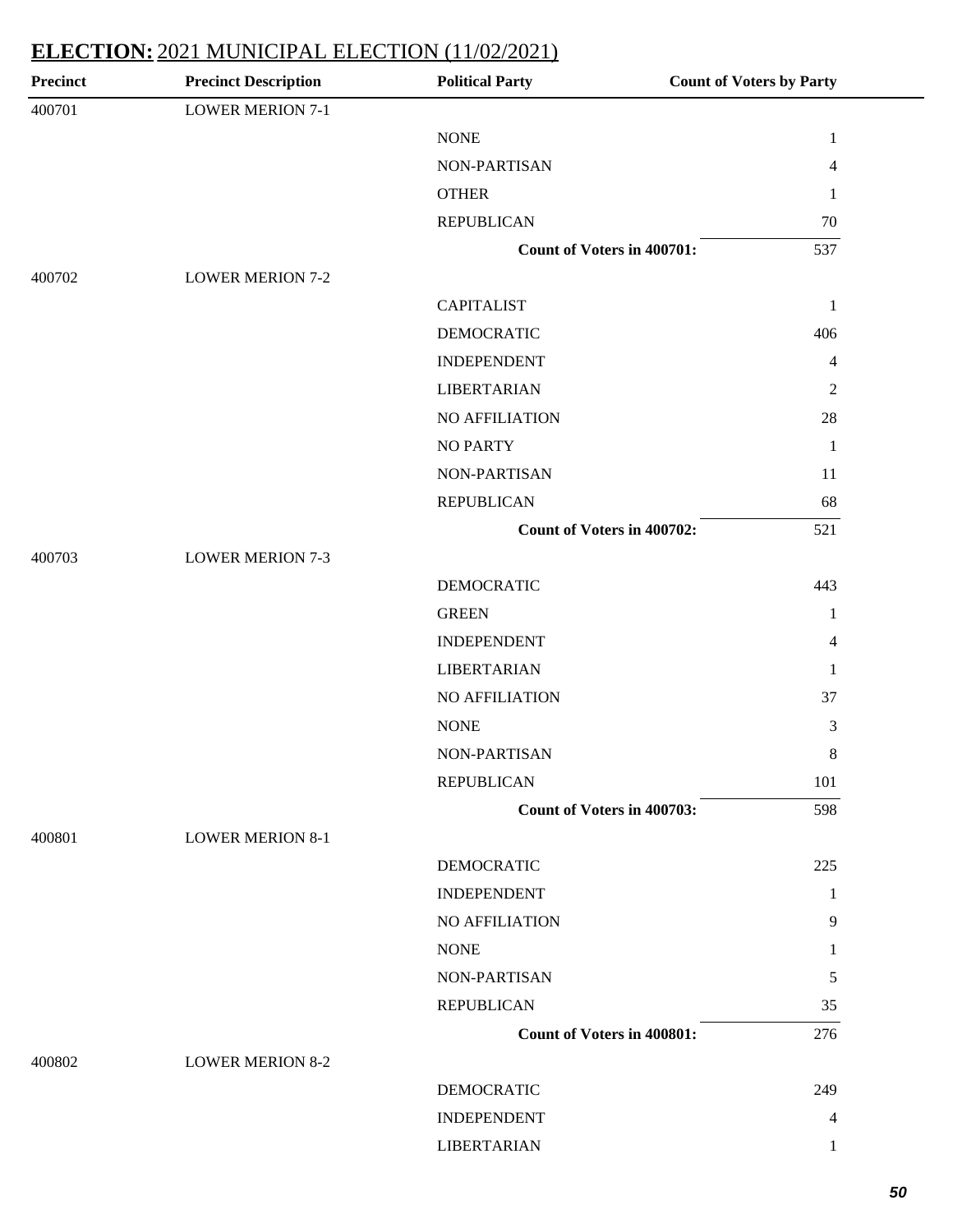| <b>Precinct Description</b> | <b>Political Party</b> | <b>Count of Voters by Party</b>                                                                                                    |
|-----------------------------|------------------------|------------------------------------------------------------------------------------------------------------------------------------|
| <b>LOWER MERION 7-1</b>     |                        |                                                                                                                                    |
|                             | <b>NONE</b>            | $\mathbf{1}$                                                                                                                       |
|                             | NON-PARTISAN           | 4                                                                                                                                  |
|                             | <b>OTHER</b>           | 1                                                                                                                                  |
|                             | <b>REPUBLICAN</b>      | $70\,$                                                                                                                             |
|                             |                        | 537                                                                                                                                |
| <b>LOWER MERION 7-2</b>     |                        |                                                                                                                                    |
|                             | <b>CAPITALIST</b>      | $\mathbf{1}$                                                                                                                       |
|                             | <b>DEMOCRATIC</b>      | 406                                                                                                                                |
|                             | <b>INDEPENDENT</b>     | 4                                                                                                                                  |
|                             | <b>LIBERTARIAN</b>     | $\overline{c}$                                                                                                                     |
|                             | NO AFFILIATION         | $28\,$                                                                                                                             |
|                             | <b>NO PARTY</b>        | $\mathbf{1}$                                                                                                                       |
|                             | NON-PARTISAN           | 11                                                                                                                                 |
|                             | <b>REPUBLICAN</b>      | 68                                                                                                                                 |
|                             |                        | 521                                                                                                                                |
| <b>LOWER MERION 7-3</b>     |                        |                                                                                                                                    |
|                             | <b>DEMOCRATIC</b>      | 443                                                                                                                                |
|                             | <b>GREEN</b>           | $\mathbf{1}$                                                                                                                       |
|                             | <b>INDEPENDENT</b>     | 4                                                                                                                                  |
|                             | <b>LIBERTARIAN</b>     | 1                                                                                                                                  |
|                             | NO AFFILIATION         | 37                                                                                                                                 |
|                             | <b>NONE</b>            | 3                                                                                                                                  |
|                             | NON-PARTISAN           | 8                                                                                                                                  |
|                             | <b>REPUBLICAN</b>      | 101                                                                                                                                |
|                             |                        | 598                                                                                                                                |
| <b>LOWER MERION 8-1</b>     |                        |                                                                                                                                    |
|                             | <b>DEMOCRATIC</b>      | 225                                                                                                                                |
|                             | <b>INDEPENDENT</b>     | 1                                                                                                                                  |
|                             | NO AFFILIATION         | 9                                                                                                                                  |
|                             | <b>NONE</b>            | 1                                                                                                                                  |
|                             | NON-PARTISAN           | 5                                                                                                                                  |
|                             | <b>REPUBLICAN</b>      | 35                                                                                                                                 |
|                             |                        | 276                                                                                                                                |
| <b>LOWER MERION 8-2</b>     |                        |                                                                                                                                    |
|                             | <b>DEMOCRATIC</b>      | 249                                                                                                                                |
|                             | <b>INDEPENDENT</b>     | 4                                                                                                                                  |
|                             | <b>LIBERTARIAN</b>     | 1                                                                                                                                  |
|                             |                        | <b>Count of Voters in 400701:</b><br>Count of Voters in 400702:<br>Count of Voters in 400703:<br><b>Count of Voters in 400801:</b> |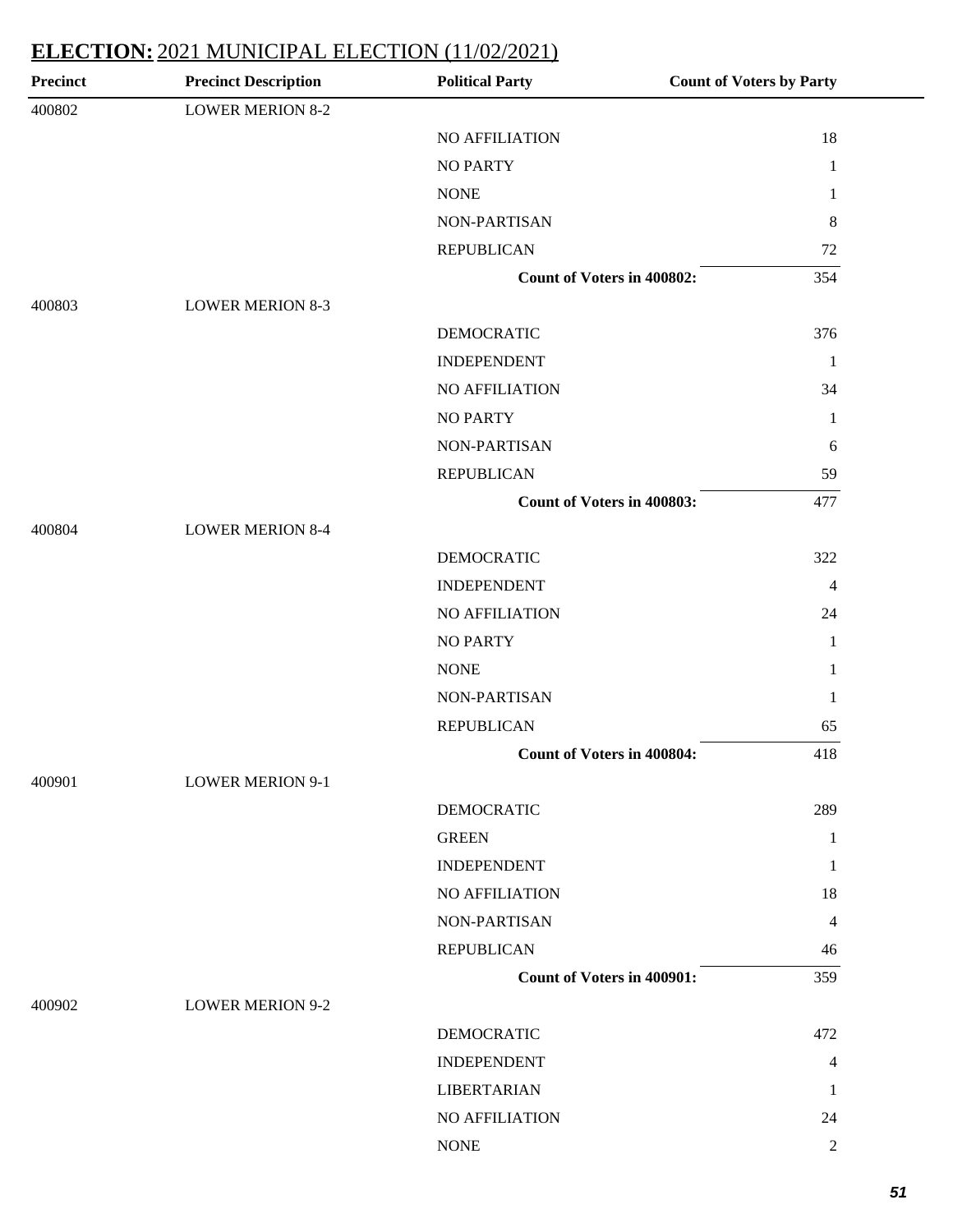| <b>Precinct</b> | <b>Precinct Description</b> | <b>Political Party</b>            | <b>Count of Voters by Party</b> |
|-----------------|-----------------------------|-----------------------------------|---------------------------------|
| 400802          | <b>LOWER MERION 8-2</b>     |                                   |                                 |
|                 |                             | NO AFFILIATION                    | 18                              |
|                 |                             | <b>NO PARTY</b>                   | $\mathbf{1}$                    |
|                 |                             | <b>NONE</b>                       | 1                               |
|                 |                             | NON-PARTISAN                      | 8                               |
|                 |                             | <b>REPUBLICAN</b>                 | 72                              |
|                 |                             | <b>Count of Voters in 400802:</b> | 354                             |
| 400803          | <b>LOWER MERION 8-3</b>     |                                   |                                 |
|                 |                             | <b>DEMOCRATIC</b>                 | 376                             |
|                 |                             | <b>INDEPENDENT</b>                | 1                               |
|                 |                             | NO AFFILIATION                    | 34                              |
|                 |                             | <b>NO PARTY</b>                   | 1                               |
|                 |                             | NON-PARTISAN                      | 6                               |
|                 |                             | <b>REPUBLICAN</b>                 | 59                              |
|                 |                             | <b>Count of Voters in 400803:</b> | 477                             |
| 400804          | <b>LOWER MERION 8-4</b>     |                                   |                                 |
|                 |                             | <b>DEMOCRATIC</b>                 | 322                             |
|                 |                             | <b>INDEPENDENT</b>                | $\overline{4}$                  |
|                 |                             | NO AFFILIATION                    | 24                              |
|                 |                             | <b>NO PARTY</b>                   | $\mathbf{1}$                    |
|                 |                             | <b>NONE</b>                       | 1                               |
|                 |                             | NON-PARTISAN                      | 1                               |
|                 |                             | <b>REPUBLICAN</b>                 | 65                              |
|                 |                             | <b>Count of Voters in 400804:</b> | 418                             |
| 400901          | <b>LOWER MERION 9-1</b>     |                                   |                                 |
|                 |                             | <b>DEMOCRATIC</b>                 | 289                             |
|                 |                             | <b>GREEN</b>                      | 1                               |
|                 |                             | <b>INDEPENDENT</b>                | 1                               |
|                 |                             | NO AFFILIATION                    | 18                              |
|                 |                             | NON-PARTISAN                      | 4                               |
|                 |                             | <b>REPUBLICAN</b>                 | 46                              |
|                 |                             | <b>Count of Voters in 400901:</b> | 359                             |
| 400902          | <b>LOWER MERION 9-2</b>     |                                   |                                 |
|                 |                             | <b>DEMOCRATIC</b>                 | 472                             |
|                 |                             | <b>INDEPENDENT</b>                | $\overline{4}$                  |
|                 |                             | <b>LIBERTARIAN</b>                | 1                               |
|                 |                             | NO AFFILIATION                    | 24                              |
|                 |                             | <b>NONE</b>                       | $\mathfrak{2}$                  |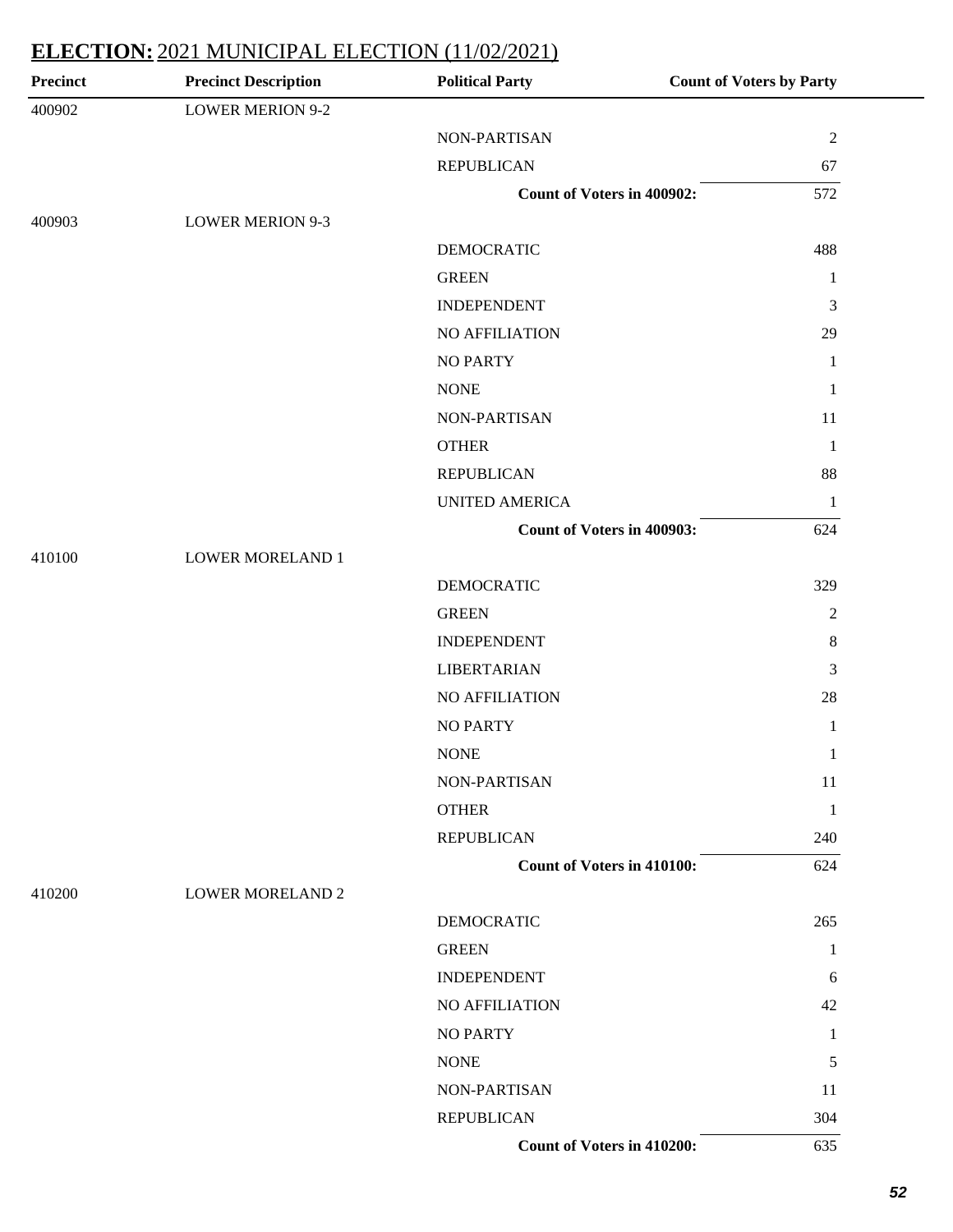| <b>Precinct</b> | <b>Precinct Description</b> | <b>Political Party</b>            | <b>Count of Voters by Party</b> |
|-----------------|-----------------------------|-----------------------------------|---------------------------------|
| 400902          | <b>LOWER MERION 9-2</b>     |                                   |                                 |
|                 |                             | NON-PARTISAN                      | $\overline{2}$                  |
|                 |                             | <b>REPUBLICAN</b>                 | 67                              |
|                 |                             | <b>Count of Voters in 400902:</b> | 572                             |
| 400903          | <b>LOWER MERION 9-3</b>     |                                   |                                 |
|                 |                             | <b>DEMOCRATIC</b>                 | 488                             |
|                 |                             | <b>GREEN</b>                      | 1                               |
|                 |                             | <b>INDEPENDENT</b>                | 3                               |
|                 |                             | NO AFFILIATION                    | 29                              |
|                 |                             | <b>NO PARTY</b>                   | $\mathbf{1}$                    |
|                 |                             | <b>NONE</b>                       | 1                               |
|                 |                             | NON-PARTISAN                      | 11                              |
|                 |                             | <b>OTHER</b>                      | $\mathbf{1}$                    |
|                 |                             | <b>REPUBLICAN</b>                 | 88                              |
|                 |                             | <b>UNITED AMERICA</b>             | $\mathbf{1}$                    |
|                 |                             | <b>Count of Voters in 400903:</b> | 624                             |
| 410100          | <b>LOWER MORELAND 1</b>     |                                   |                                 |
|                 |                             | <b>DEMOCRATIC</b>                 | 329                             |
|                 |                             | <b>GREEN</b>                      | $\overline{2}$                  |
|                 |                             | <b>INDEPENDENT</b>                | $\,8\,$                         |
|                 |                             | <b>LIBERTARIAN</b>                | 3                               |
|                 |                             | NO AFFILIATION                    | 28                              |
|                 |                             | <b>NO PARTY</b>                   | 1                               |
|                 |                             | <b>NONE</b>                       | $\mathbf{1}$                    |
|                 |                             | NON-PARTISAN                      | 11                              |
|                 |                             | <b>OTHER</b>                      | 1                               |
|                 |                             | <b>REPUBLICAN</b>                 | 240                             |
|                 |                             | <b>Count of Voters in 410100:</b> | 624                             |
| 410200          | <b>LOWER MORELAND 2</b>     |                                   |                                 |
|                 |                             | <b>DEMOCRATIC</b>                 | 265                             |
|                 |                             | <b>GREEN</b>                      | 1                               |
|                 |                             | <b>INDEPENDENT</b>                | 6                               |
|                 |                             | <b>NO AFFILIATION</b>             | 42                              |
|                 |                             | <b>NO PARTY</b>                   | 1                               |
|                 |                             | <b>NONE</b>                       | 5                               |
|                 |                             | NON-PARTISAN                      | 11                              |
|                 |                             | <b>REPUBLICAN</b>                 | 304                             |
|                 |                             | Count of Voters in 410200:        | 635                             |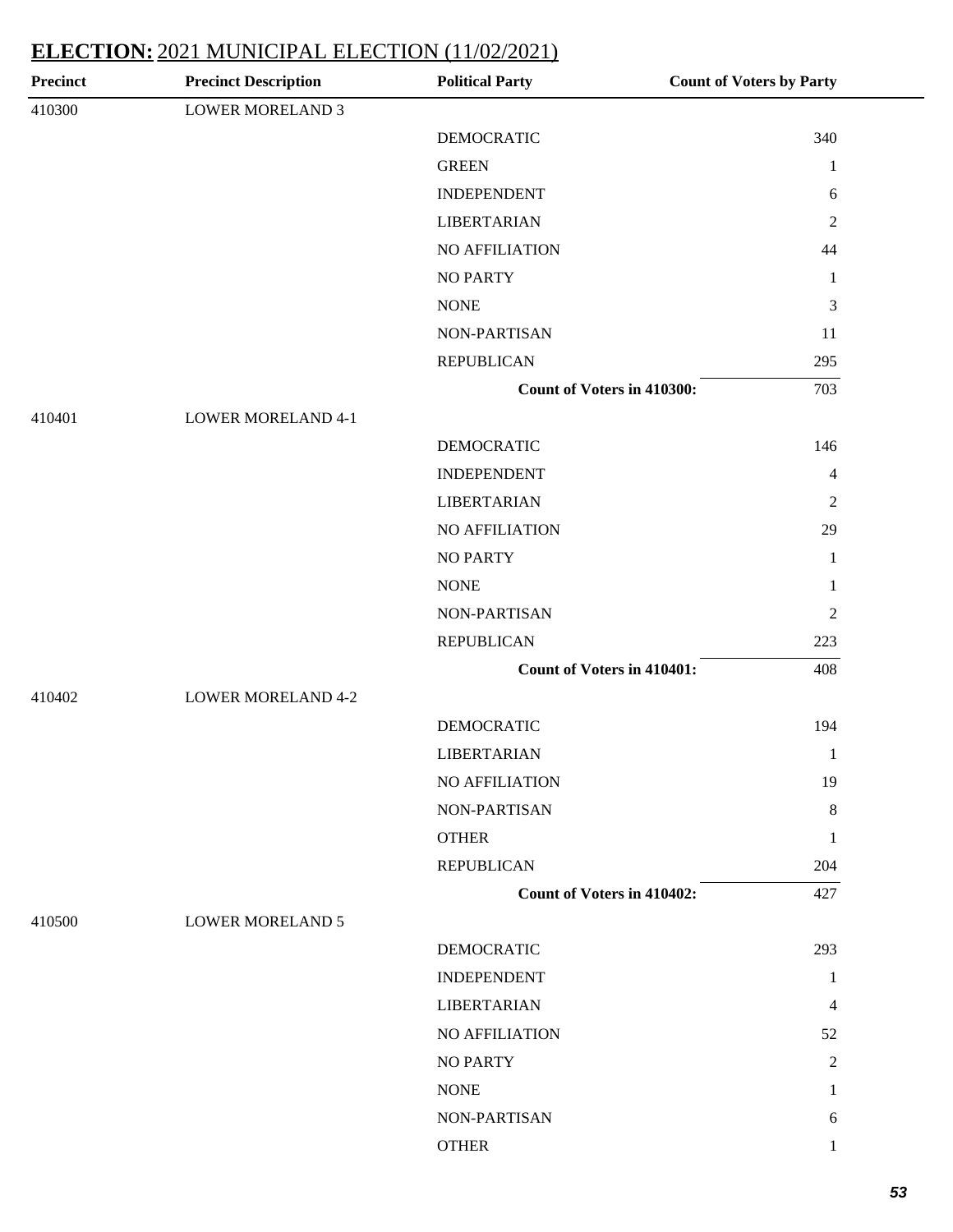| Precinct | <b>Precinct Description</b> | <b>Political Party</b>            | <b>Count of Voters by Party</b> |
|----------|-----------------------------|-----------------------------------|---------------------------------|
| 410300   | <b>LOWER MORELAND 3</b>     |                                   |                                 |
|          |                             | <b>DEMOCRATIC</b>                 | 340                             |
|          |                             | <b>GREEN</b>                      | $\mathbf{1}$                    |
|          |                             | <b>INDEPENDENT</b>                | 6                               |
|          |                             | <b>LIBERTARIAN</b>                | $\overline{2}$                  |
|          |                             | <b>NO AFFILIATION</b>             | 44                              |
|          |                             | <b>NO PARTY</b>                   | 1                               |
|          |                             | <b>NONE</b>                       | $\mathfrak{Z}$                  |
|          |                             | NON-PARTISAN                      | 11                              |
|          |                             | <b>REPUBLICAN</b>                 | 295                             |
|          |                             | Count of Voters in 410300:        | 703                             |
| 410401   | <b>LOWER MORELAND 4-1</b>   |                                   |                                 |
|          |                             | <b>DEMOCRATIC</b>                 | 146                             |
|          |                             | <b>INDEPENDENT</b>                | $\overline{4}$                  |
|          |                             | <b>LIBERTARIAN</b>                | $\overline{2}$                  |
|          |                             | NO AFFILIATION                    | 29                              |
|          |                             | <b>NO PARTY</b>                   | 1                               |
|          |                             | <b>NONE</b>                       | 1                               |
|          |                             | NON-PARTISAN                      | 2                               |
|          |                             | <b>REPUBLICAN</b>                 | 223                             |
|          |                             | <b>Count of Voters in 410401:</b> | 408                             |
| 410402   | <b>LOWER MORELAND 4-2</b>   |                                   |                                 |
|          |                             | <b>DEMOCRATIC</b>                 | 194                             |
|          |                             | <b>LIBERTARIAN</b>                | 1                               |
|          |                             | NO AFFILIATION                    | 19                              |
|          |                             | NON-PARTISAN                      | 8                               |
|          |                             | <b>OTHER</b>                      | 1                               |
|          |                             | <b>REPUBLICAN</b>                 | 204                             |
|          |                             | <b>Count of Voters in 410402:</b> | 427                             |
| 410500   | <b>LOWER MORELAND 5</b>     |                                   |                                 |
|          |                             | <b>DEMOCRATIC</b>                 | 293                             |
|          |                             | <b>INDEPENDENT</b>                | 1                               |
|          |                             | <b>LIBERTARIAN</b>                | 4                               |
|          |                             | NO AFFILIATION                    | 52                              |
|          |                             | <b>NO PARTY</b>                   | $\overline{2}$                  |
|          |                             | <b>NONE</b>                       | 1                               |
|          |                             | NON-PARTISAN                      | 6                               |
|          |                             | <b>OTHER</b>                      | 1                               |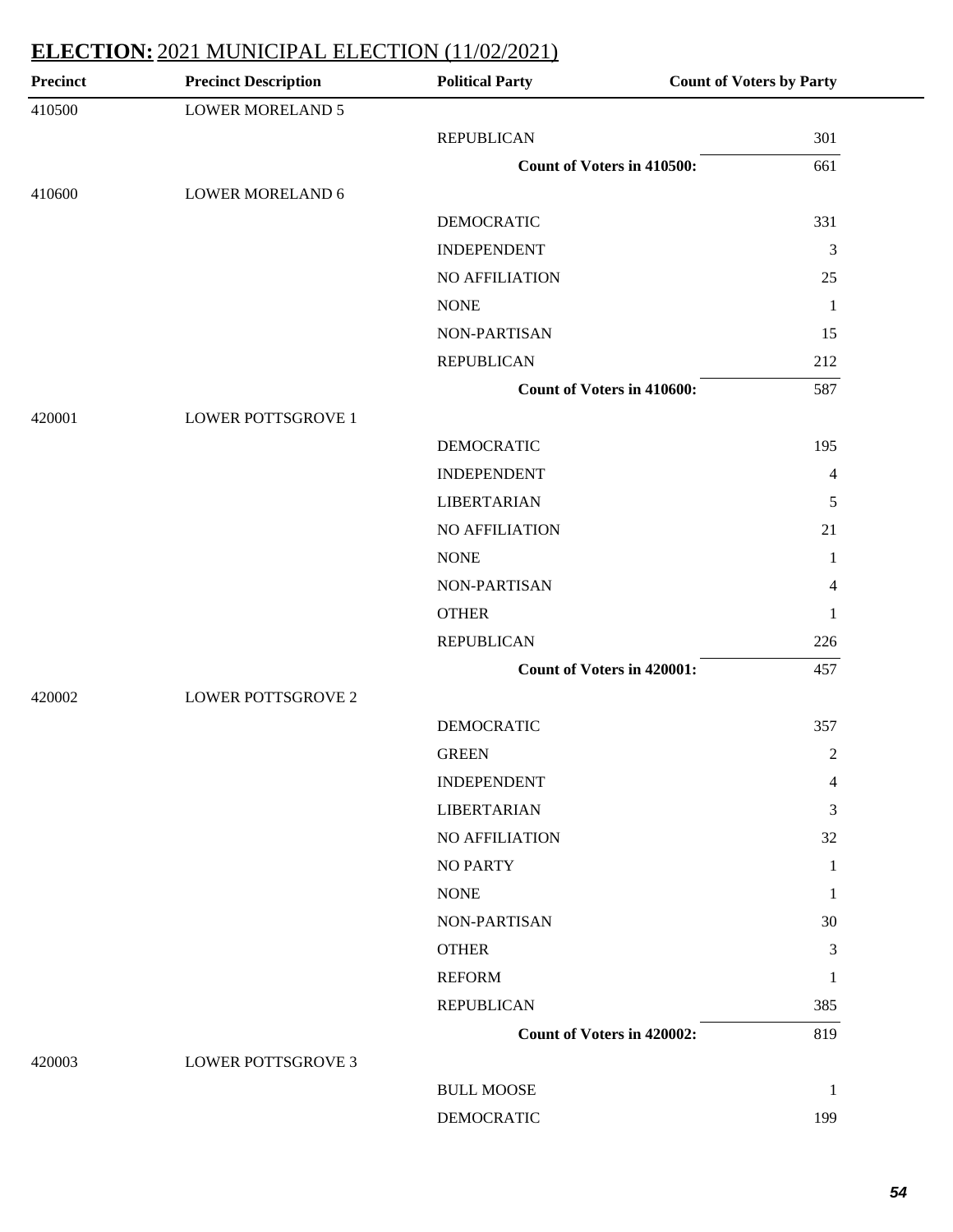| Precinct | <b>Precinct Description</b> | <b>Political Party</b>            | <b>Count of Voters by Party</b> |
|----------|-----------------------------|-----------------------------------|---------------------------------|
| 410500   | <b>LOWER MORELAND 5</b>     |                                   |                                 |
|          |                             | <b>REPUBLICAN</b>                 | 301                             |
|          |                             | Count of Voters in 410500:        | 661                             |
| 410600   | <b>LOWER MORELAND 6</b>     |                                   |                                 |
|          |                             | <b>DEMOCRATIC</b>                 | 331                             |
|          |                             | <b>INDEPENDENT</b>                | 3                               |
|          |                             | NO AFFILIATION                    | 25                              |
|          |                             | <b>NONE</b>                       | $\overline{1}$                  |
|          |                             | NON-PARTISAN                      | 15                              |
|          |                             | <b>REPUBLICAN</b>                 | 212                             |
|          |                             | <b>Count of Voters in 410600:</b> | 587                             |
| 420001   | <b>LOWER POTTSGROVE 1</b>   |                                   |                                 |
|          |                             | <b>DEMOCRATIC</b>                 | 195                             |
|          |                             | <b>INDEPENDENT</b>                | $\overline{4}$                  |
|          |                             | <b>LIBERTARIAN</b>                | 5                               |
|          |                             | NO AFFILIATION                    | 21                              |
|          |                             | <b>NONE</b>                       | 1                               |
|          |                             | NON-PARTISAN                      | $\overline{4}$                  |
|          |                             | <b>OTHER</b>                      | 1                               |
|          |                             | <b>REPUBLICAN</b>                 | 226                             |
|          |                             | <b>Count of Voters in 420001:</b> | 457                             |
| 420002   | <b>LOWER POTTSGROVE 2</b>   |                                   |                                 |
|          |                             | <b>DEMOCRATIC</b>                 | 357                             |
|          |                             | <b>GREEN</b>                      | $\mathfrak{2}$                  |
|          |                             | <b>INDEPENDENT</b>                | 4                               |
|          |                             | <b>LIBERTARIAN</b>                | 3                               |
|          |                             | <b>NO AFFILIATION</b>             | 32                              |
|          |                             | <b>NO PARTY</b>                   | 1                               |
|          |                             | <b>NONE</b>                       | -1                              |
|          |                             | NON-PARTISAN                      | 30                              |
|          |                             | <b>OTHER</b>                      | 3                               |
|          |                             | <b>REFORM</b>                     | 1                               |
|          |                             | <b>REPUBLICAN</b>                 | 385                             |
|          |                             | <b>Count of Voters in 420002:</b> | 819                             |
| 420003   | <b>LOWER POTTSGROVE 3</b>   |                                   |                                 |
|          |                             | <b>BULL MOOSE</b>                 | -1                              |
|          |                             | <b>DEMOCRATIC</b>                 | 199                             |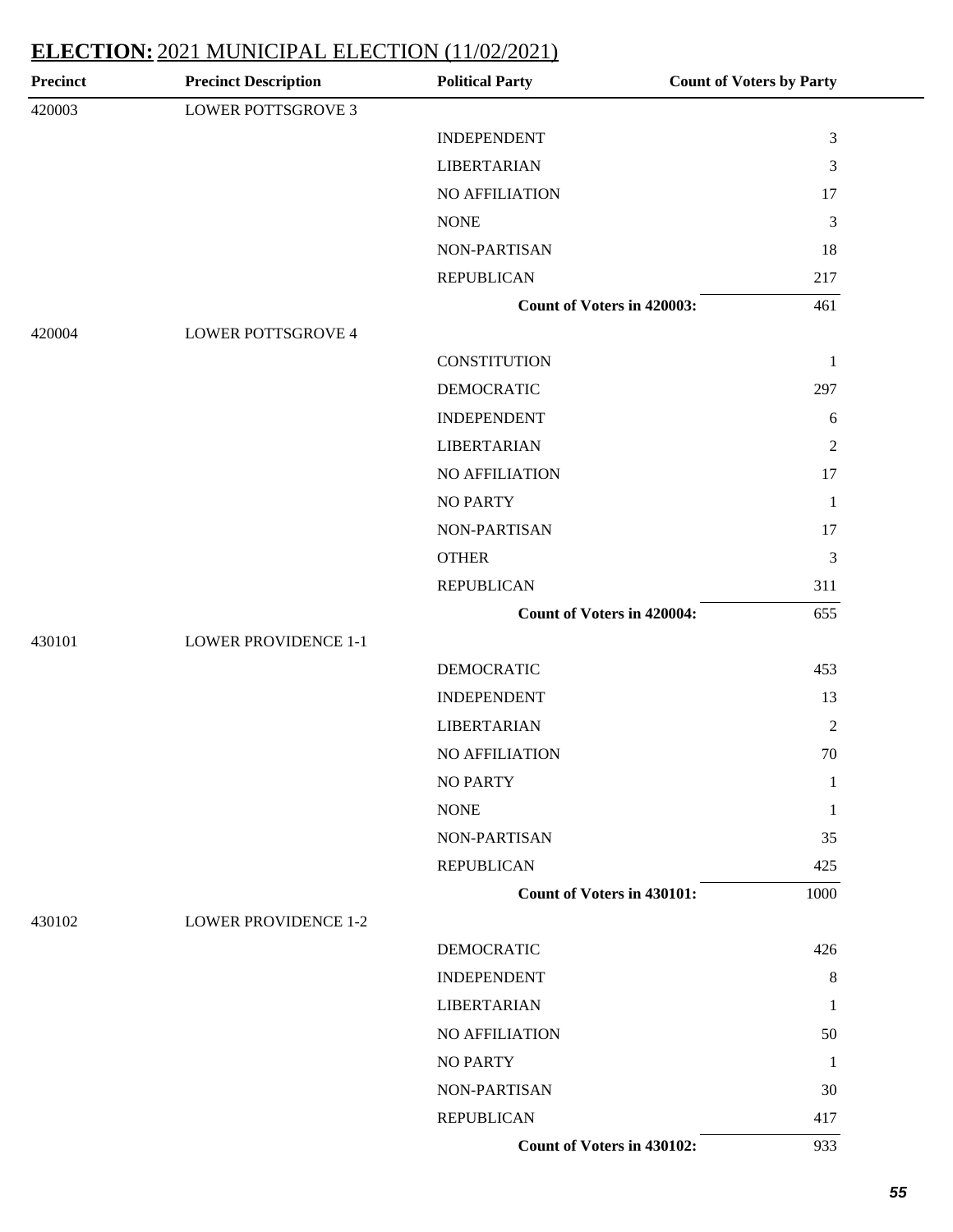| <b>Precinct</b> | <b>Precinct Description</b> | <b>Political Party</b>            | <b>Count of Voters by Party</b> |
|-----------------|-----------------------------|-----------------------------------|---------------------------------|
| 420003          | <b>LOWER POTTSGROVE 3</b>   |                                   |                                 |
|                 |                             | <b>INDEPENDENT</b>                | $\mathfrak{Z}$                  |
|                 |                             | <b>LIBERTARIAN</b>                | $\mathfrak{Z}$                  |
|                 |                             | NO AFFILIATION                    | 17                              |
|                 |                             | <b>NONE</b>                       | 3                               |
|                 |                             | NON-PARTISAN                      | 18                              |
|                 |                             | <b>REPUBLICAN</b>                 | 217                             |
|                 |                             | <b>Count of Voters in 420003:</b> | 461                             |
| 420004          | <b>LOWER POTTSGROVE 4</b>   |                                   |                                 |
|                 |                             | <b>CONSTITUTION</b>               | $\mathbf{1}$                    |
|                 |                             | <b>DEMOCRATIC</b>                 | 297                             |
|                 |                             | <b>INDEPENDENT</b>                | $\sqrt{6}$                      |
|                 |                             | <b>LIBERTARIAN</b>                | $\sqrt{2}$                      |
|                 |                             | NO AFFILIATION                    | 17                              |
|                 |                             | <b>NO PARTY</b>                   | $\mathbf{1}$                    |
|                 |                             | NON-PARTISAN                      | 17                              |
|                 |                             | <b>OTHER</b>                      | 3                               |
|                 |                             | <b>REPUBLICAN</b>                 | 311                             |
|                 |                             | <b>Count of Voters in 420004:</b> | 655                             |
| 430101          | <b>LOWER PROVIDENCE 1-1</b> |                                   |                                 |
|                 |                             | <b>DEMOCRATIC</b>                 | 453                             |
|                 |                             | <b>INDEPENDENT</b>                | 13                              |
|                 |                             | <b>LIBERTARIAN</b>                | $\mathbf{2}$                    |
|                 |                             | NO AFFILIATION                    | 70                              |
|                 |                             | <b>NO PARTY</b>                   | 1                               |
|                 |                             | <b>NONE</b>                       | 1                               |
|                 |                             | NON-PARTISAN                      | 35                              |
|                 |                             | <b>REPUBLICAN</b>                 | 425                             |
|                 |                             | <b>Count of Voters in 430101:</b> | 1000                            |
| 430102          | <b>LOWER PROVIDENCE 1-2</b> |                                   |                                 |
|                 |                             | <b>DEMOCRATIC</b>                 | 426                             |
|                 |                             | <b>INDEPENDENT</b>                | $\,8\,$                         |
|                 |                             | <b>LIBERTARIAN</b>                | 1                               |
|                 |                             | NO AFFILIATION                    | 50                              |
|                 |                             | <b>NO PARTY</b>                   | -1                              |
|                 |                             | NON-PARTISAN                      | 30                              |
|                 |                             | <b>REPUBLICAN</b>                 | 417                             |
|                 |                             | Count of Voters in 430102:        | 933                             |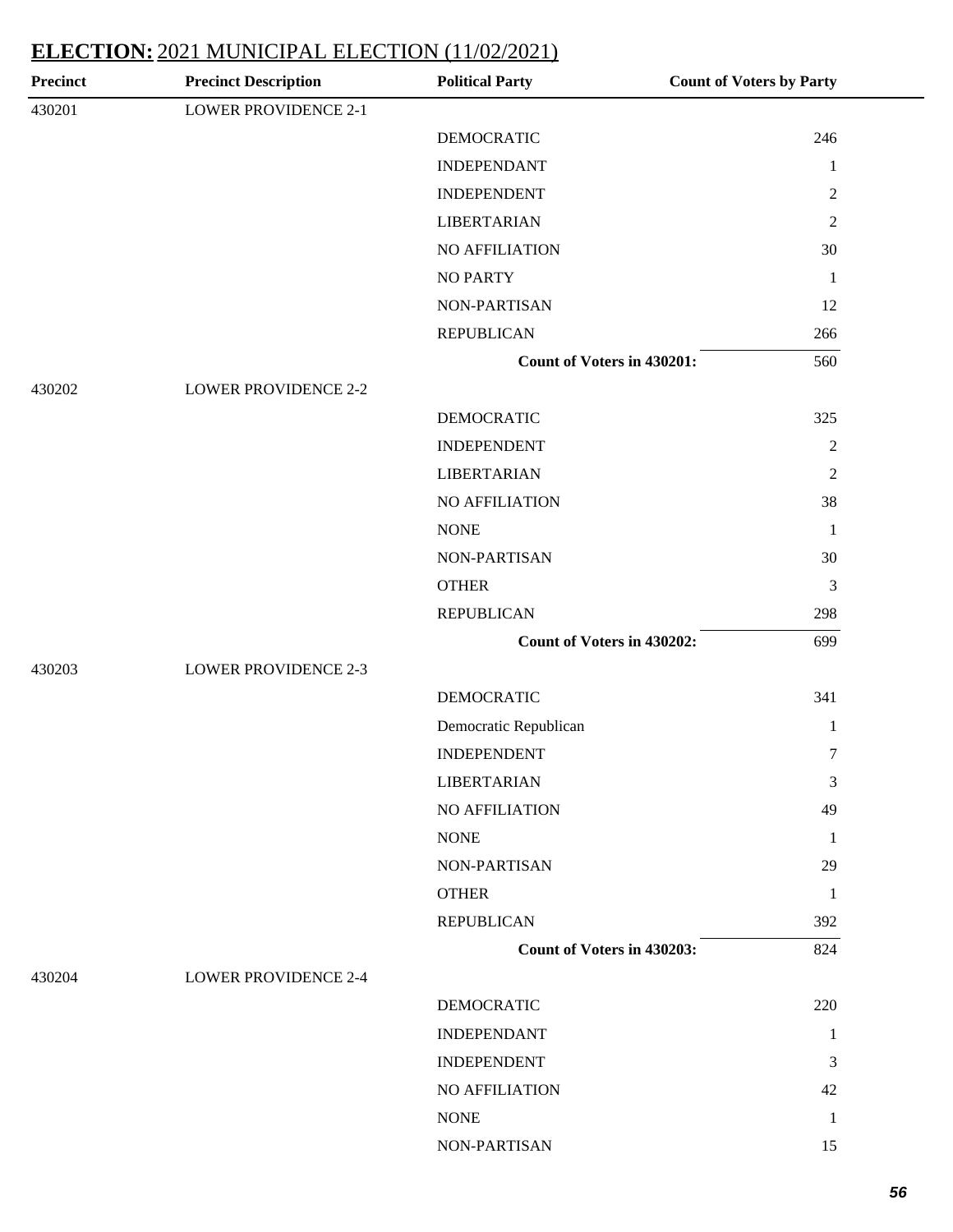| Precinct | <b>Precinct Description</b> | <b>Political Party</b>            | <b>Count of Voters by Party</b> |
|----------|-----------------------------|-----------------------------------|---------------------------------|
| 430201   | <b>LOWER PROVIDENCE 2-1</b> |                                   |                                 |
|          |                             | <b>DEMOCRATIC</b>                 | 246                             |
|          |                             | <b>INDEPENDANT</b>                | $\mathbf{1}$                    |
|          |                             | <b>INDEPENDENT</b>                | 2                               |
|          |                             | <b>LIBERTARIAN</b>                | 2                               |
|          |                             | NO AFFILIATION                    | 30                              |
|          |                             | <b>NO PARTY</b>                   | $\mathbf{1}$                    |
|          |                             | NON-PARTISAN                      | 12                              |
|          |                             | <b>REPUBLICAN</b>                 | 266                             |
|          |                             | <b>Count of Voters in 430201:</b> | 560                             |
| 430202   | <b>LOWER PROVIDENCE 2-2</b> |                                   |                                 |
|          |                             | <b>DEMOCRATIC</b>                 | 325                             |
|          |                             | <b>INDEPENDENT</b>                | $\sqrt{2}$                      |
|          |                             | <b>LIBERTARIAN</b>                | $\mathbf{2}$                    |
|          |                             | <b>NO AFFILIATION</b>             | 38                              |
|          |                             | <b>NONE</b>                       | $\mathbf{1}$                    |
|          |                             | NON-PARTISAN                      | 30                              |
|          |                             | <b>OTHER</b>                      | $\mathfrak{Z}$                  |
|          |                             | <b>REPUBLICAN</b>                 | 298                             |
|          |                             | Count of Voters in 430202:        | 699                             |
| 430203   | <b>LOWER PROVIDENCE 2-3</b> |                                   |                                 |
|          |                             | <b>DEMOCRATIC</b>                 | 341                             |
|          |                             | Democratic Republican             | $\mathbf{1}$                    |
|          |                             | <b>INDEPENDENT</b>                | $\tau$                          |
|          |                             | <b>LIBERTARIAN</b>                | 3                               |
|          |                             | <b>NO AFFILIATION</b>             | 49                              |
|          |                             | <b>NONE</b>                       | -1                              |
|          |                             | NON-PARTISAN                      | 29                              |
|          |                             | <b>OTHER</b>                      | $\mathbf{1}$                    |
|          |                             | <b>REPUBLICAN</b>                 | 392                             |
|          |                             | <b>Count of Voters in 430203:</b> | 824                             |
| 430204   | <b>LOWER PROVIDENCE 2-4</b> |                                   |                                 |
|          |                             | <b>DEMOCRATIC</b>                 | 220                             |
|          |                             | <b>INDEPENDANT</b>                | 1                               |
|          |                             | <b>INDEPENDENT</b>                | 3                               |
|          |                             | NO AFFILIATION                    | 42                              |
|          |                             | <b>NONE</b>                       | 1                               |
|          |                             | NON-PARTISAN                      | 15                              |
|          |                             |                                   |                                 |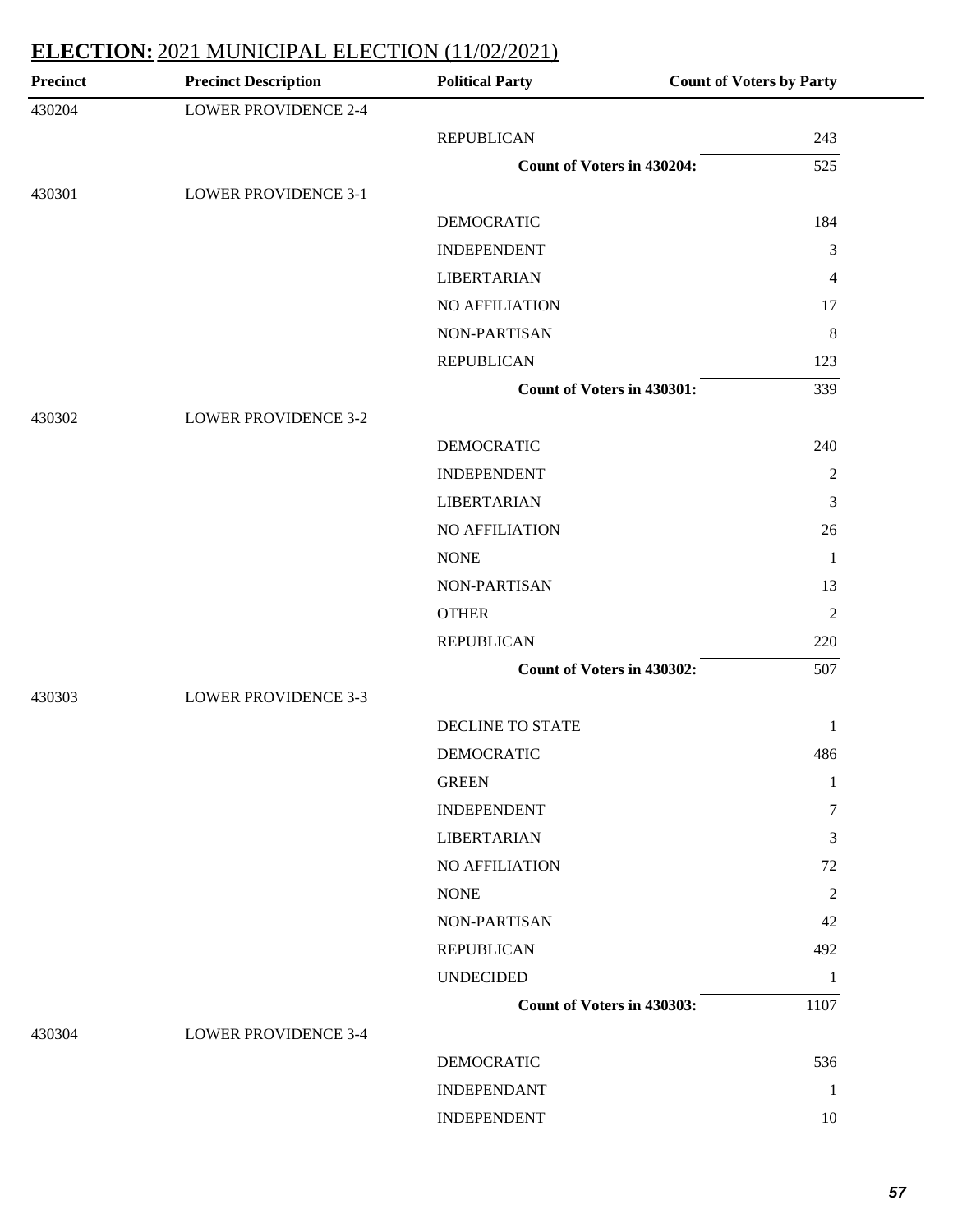| Precinct | <b>Precinct Description</b> | <b>Political Party</b>            | <b>Count of Voters by Party</b> |
|----------|-----------------------------|-----------------------------------|---------------------------------|
| 430204   | <b>LOWER PROVIDENCE 2-4</b> |                                   |                                 |
|          |                             | <b>REPUBLICAN</b>                 | 243                             |
|          |                             | <b>Count of Voters in 430204:</b> | 525                             |
| 430301   | <b>LOWER PROVIDENCE 3-1</b> |                                   |                                 |
|          |                             | <b>DEMOCRATIC</b>                 | 184                             |
|          |                             | <b>INDEPENDENT</b>                | $\mathfrak{Z}$                  |
|          |                             | <b>LIBERTARIAN</b>                | 4                               |
|          |                             | NO AFFILIATION                    | 17                              |
|          |                             | NON-PARTISAN                      | $8\phantom{1}$                  |
|          |                             | <b>REPUBLICAN</b>                 | 123                             |
|          |                             | Count of Voters in 430301:        | 339                             |
| 430302   | <b>LOWER PROVIDENCE 3-2</b> |                                   |                                 |
|          |                             | <b>DEMOCRATIC</b>                 | 240                             |
|          |                             | <b>INDEPENDENT</b>                | $\boldsymbol{2}$                |
|          |                             | <b>LIBERTARIAN</b>                | 3                               |
|          |                             | NO AFFILIATION                    | 26                              |
|          |                             | <b>NONE</b>                       | 1                               |
|          |                             | NON-PARTISAN                      | 13                              |
|          |                             | <b>OTHER</b>                      | $\sqrt{2}$                      |
|          |                             | <b>REPUBLICAN</b>                 | 220                             |
|          |                             | Count of Voters in 430302:        | 507                             |
| 430303   | <b>LOWER PROVIDENCE 3-3</b> |                                   |                                 |
|          |                             | DECLINE TO STATE                  | $\mathbf{1}$                    |
|          |                             | DEMOCRATIC                        | 486                             |
|          |                             | <b>GREEN</b>                      | 1                               |
|          |                             | <b>INDEPENDENT</b>                | 7                               |
|          |                             | <b>LIBERTARIAN</b>                | 3                               |
|          |                             | NO AFFILIATION                    | 72                              |
|          |                             | <b>NONE</b>                       | $\overline{c}$                  |
|          |                             | NON-PARTISAN                      | 42                              |
|          |                             | <b>REPUBLICAN</b>                 | 492                             |
|          |                             | <b>UNDECIDED</b>                  | 1                               |
|          |                             | Count of Voters in 430303:        | 1107                            |
| 430304   | <b>LOWER PROVIDENCE 3-4</b> |                                   |                                 |
|          |                             | <b>DEMOCRATIC</b>                 | 536                             |
|          |                             | <b>INDEPENDANT</b>                | 1                               |
|          |                             | <b>INDEPENDENT</b>                | 10                              |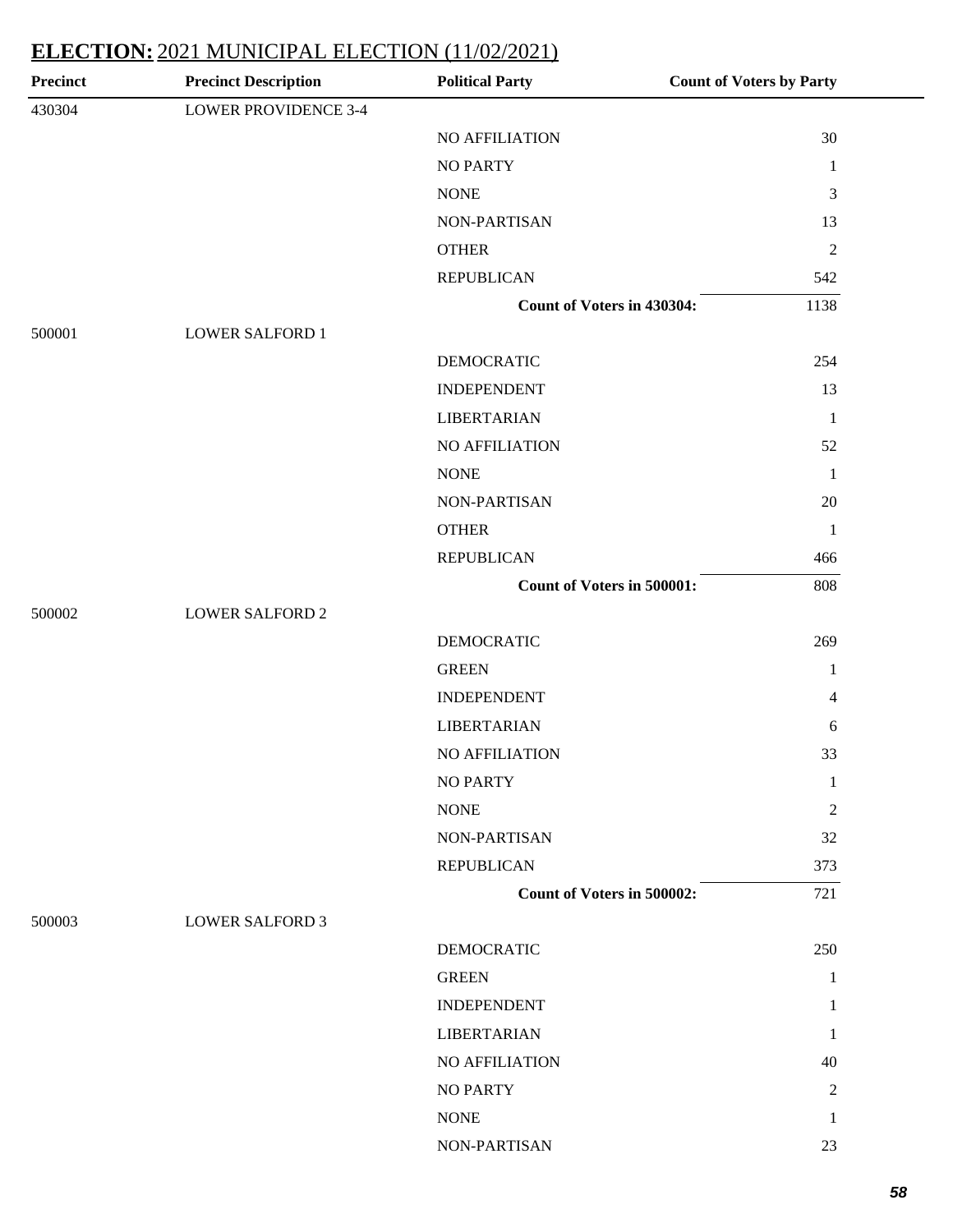| 30<br>$\mathbf{1}$<br>3<br>13<br>$\sqrt{2}$<br>542<br>1138<br>254<br>13<br>$\mathbf{1}$ |
|-----------------------------------------------------------------------------------------|
|                                                                                         |
|                                                                                         |
|                                                                                         |
|                                                                                         |
|                                                                                         |
|                                                                                         |
|                                                                                         |
|                                                                                         |
|                                                                                         |
|                                                                                         |
|                                                                                         |
|                                                                                         |
| 52                                                                                      |
| $\mathbf{1}$                                                                            |
| $20\,$                                                                                  |
| $\mathbf{1}$                                                                            |
| 466                                                                                     |
| 808                                                                                     |
|                                                                                         |
| 269                                                                                     |
| 1                                                                                       |
| 4                                                                                       |
| 6                                                                                       |
| 33                                                                                      |
| 1                                                                                       |
| $\overline{c}$                                                                          |
| 32                                                                                      |
| 373                                                                                     |
| 721                                                                                     |
|                                                                                         |
| 250                                                                                     |
| 1                                                                                       |
| 1                                                                                       |
| 1                                                                                       |
| 40                                                                                      |
| $\overline{c}$                                                                          |
| 1                                                                                       |
| 23                                                                                      |
|                                                                                         |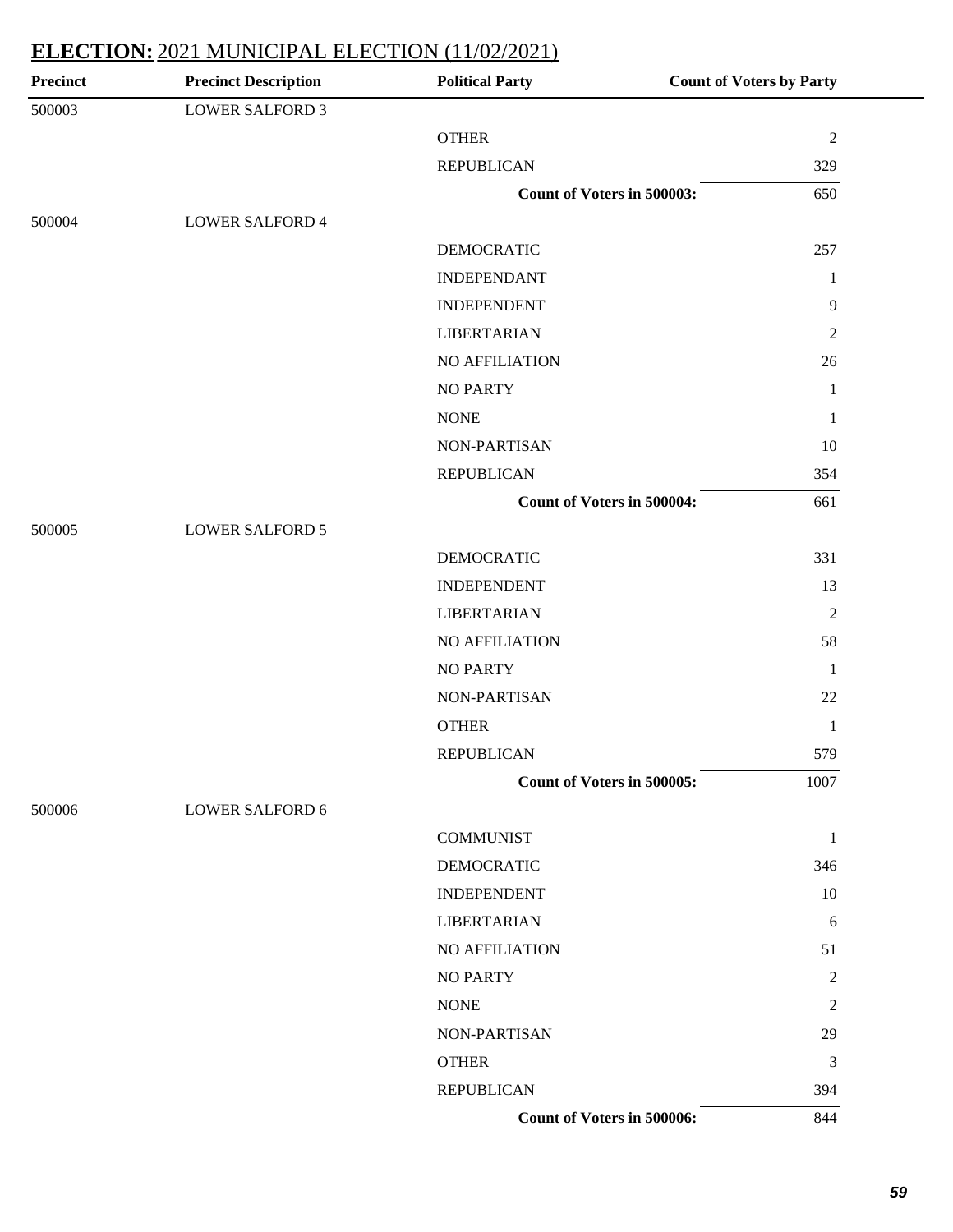| <b>Precinct</b> | <b>Precinct Description</b> | <b>Political Party</b>            | <b>Count of Voters by Party</b> |
|-----------------|-----------------------------|-----------------------------------|---------------------------------|
| 500003          | <b>LOWER SALFORD 3</b>      |                                   |                                 |
|                 |                             | <b>OTHER</b>                      | $\overline{2}$                  |
|                 |                             | <b>REPUBLICAN</b>                 | 329                             |
|                 |                             | Count of Voters in 500003:        | 650                             |
| 500004          | <b>LOWER SALFORD 4</b>      |                                   |                                 |
|                 |                             | <b>DEMOCRATIC</b>                 | 257                             |
|                 |                             | <b>INDEPENDANT</b>                | $\mathbf{1}$                    |
|                 |                             | <b>INDEPENDENT</b>                | $\overline{9}$                  |
|                 |                             | <b>LIBERTARIAN</b>                | $\overline{2}$                  |
|                 |                             | NO AFFILIATION                    | 26                              |
|                 |                             | <b>NO PARTY</b>                   | $\mathbf{1}$                    |
|                 |                             | <b>NONE</b>                       | $\mathbf{1}$                    |
|                 |                             | <b>NON-PARTISAN</b>               | 10                              |
|                 |                             | <b>REPUBLICAN</b>                 | 354                             |
|                 |                             | <b>Count of Voters in 500004:</b> | 661                             |
| 500005          | <b>LOWER SALFORD 5</b>      |                                   |                                 |
|                 |                             | <b>DEMOCRATIC</b>                 | 331                             |
|                 |                             | <b>INDEPENDENT</b>                | 13                              |
|                 |                             | <b>LIBERTARIAN</b>                | $\overline{2}$                  |
|                 |                             | NO AFFILIATION                    | 58                              |
|                 |                             | <b>NO PARTY</b>                   | $\mathbf{1}$                    |
|                 |                             | NON-PARTISAN                      | 22                              |
|                 |                             | <b>OTHER</b>                      | $\mathbf{1}$                    |
|                 |                             | <b>REPUBLICAN</b>                 | 579                             |
|                 |                             | <b>Count of Voters in 500005:</b> | 1007                            |
| 500006          | <b>LOWER SALFORD 6</b>      |                                   |                                 |
|                 |                             | <b>COMMUNIST</b>                  | $\mathbf{1}$                    |
|                 |                             | <b>DEMOCRATIC</b>                 | 346                             |
|                 |                             | <b>INDEPENDENT</b>                | 10                              |
|                 |                             | <b>LIBERTARIAN</b>                | 6                               |
|                 |                             | NO AFFILIATION                    | 51                              |
|                 |                             | <b>NO PARTY</b>                   | $\overline{c}$                  |
|                 |                             | <b>NONE</b>                       | $\overline{2}$                  |
|                 |                             | NON-PARTISAN                      | 29                              |
|                 |                             | <b>OTHER</b>                      | 3                               |
|                 |                             | <b>REPUBLICAN</b>                 | 394                             |
|                 |                             | <b>Count of Voters in 500006:</b> | 844                             |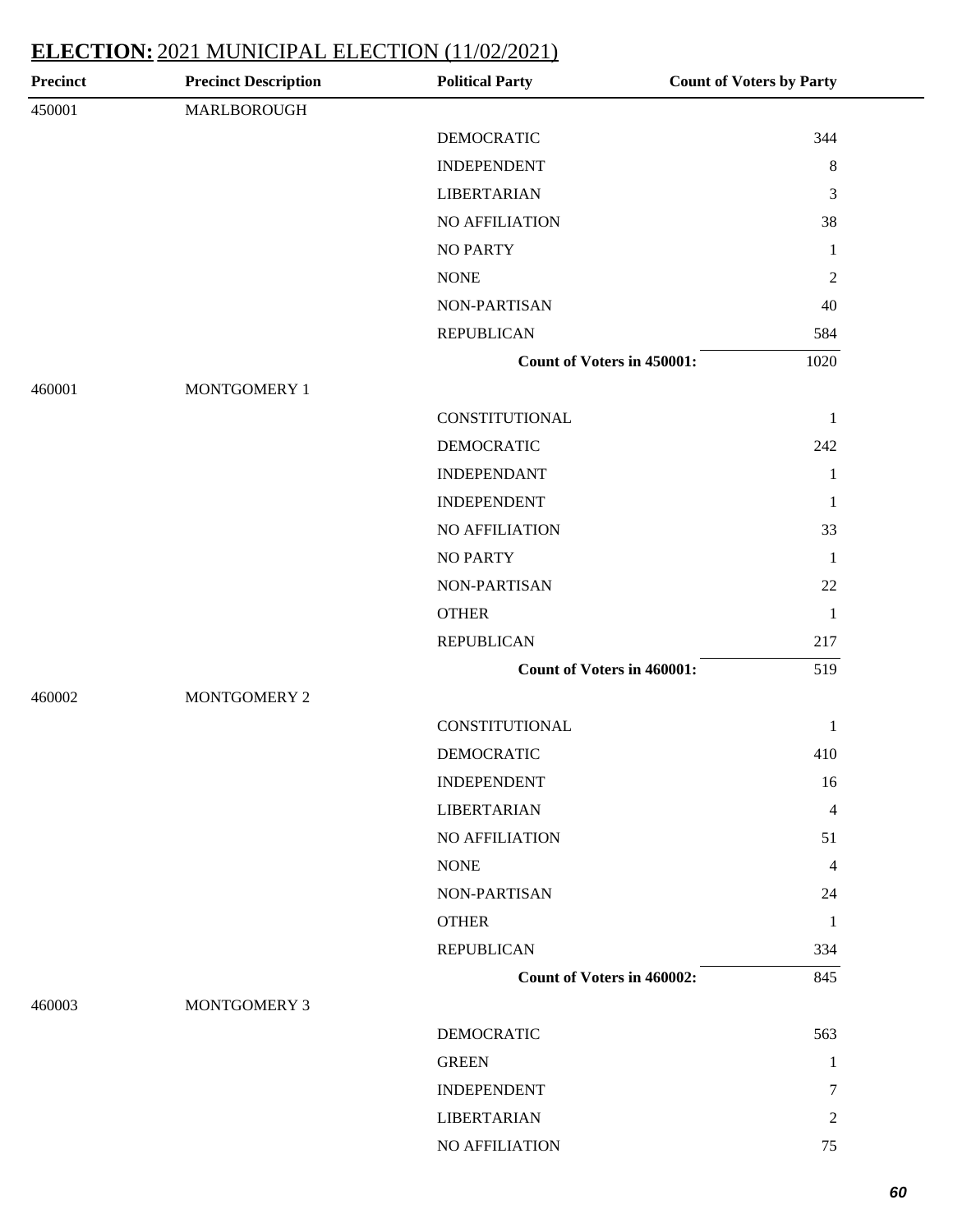| <b>Precinct</b> | <b>Precinct Description</b> | <b>Political Party</b>            | <b>Count of Voters by Party</b> |
|-----------------|-----------------------------|-----------------------------------|---------------------------------|
| 450001          | MARLBOROUGH                 |                                   |                                 |
|                 |                             | <b>DEMOCRATIC</b>                 | 344                             |
|                 |                             | <b>INDEPENDENT</b>                | $\,8\,$                         |
|                 |                             | <b>LIBERTARIAN</b>                | 3                               |
|                 |                             | NO AFFILIATION                    | 38                              |
|                 |                             | <b>NO PARTY</b>                   | $\mathbf{1}$                    |
|                 |                             | <b>NONE</b>                       | $\sqrt{2}$                      |
|                 |                             | NON-PARTISAN                      | 40                              |
|                 |                             | <b>REPUBLICAN</b>                 | 584                             |
|                 |                             | <b>Count of Voters in 450001:</b> | 1020                            |
| 460001          | MONTGOMERY 1                |                                   |                                 |
|                 |                             | CONSTITUTIONAL                    | $\mathbf{1}$                    |
|                 |                             | <b>DEMOCRATIC</b>                 | 242                             |
|                 |                             | <b>INDEPENDANT</b>                | $\mathbf{1}$                    |
|                 |                             | <b>INDEPENDENT</b>                | $\mathbf{1}$                    |
|                 |                             | NO AFFILIATION                    | 33                              |
|                 |                             | <b>NO PARTY</b>                   | $\mathbf{1}$                    |
|                 |                             | NON-PARTISAN                      | 22                              |
|                 |                             | <b>OTHER</b>                      | $\mathbf{1}$                    |
|                 |                             | <b>REPUBLICAN</b>                 | 217                             |
|                 |                             | <b>Count of Voters in 460001:</b> | 519                             |
| 460002          | MONTGOMERY 2                |                                   |                                 |
|                 |                             | CONSTITUTIONAL                    | 1                               |
|                 |                             | <b>DEMOCRATIC</b>                 | 410                             |
|                 |                             | <b>INDEPENDENT</b>                | 16                              |
|                 |                             | <b>LIBERTARIAN</b>                | 4                               |
|                 |                             | NO AFFILIATION                    | 51                              |
|                 |                             | <b>NONE</b>                       | 4                               |
|                 |                             | NON-PARTISAN                      | 24                              |
|                 |                             | <b>OTHER</b>                      | $\mathbf{1}$                    |
|                 |                             | <b>REPUBLICAN</b>                 | 334                             |
|                 |                             | <b>Count of Voters in 460002:</b> | 845                             |
| 460003          | MONTGOMERY 3                |                                   |                                 |
|                 |                             | <b>DEMOCRATIC</b>                 | 563                             |
|                 |                             | <b>GREEN</b>                      | $\mathbf{1}$                    |
|                 |                             | <b>INDEPENDENT</b>                | 7                               |
|                 |                             | <b>LIBERTARIAN</b>                | $\mathfrak{2}$                  |
|                 |                             | NO AFFILIATION                    | 75                              |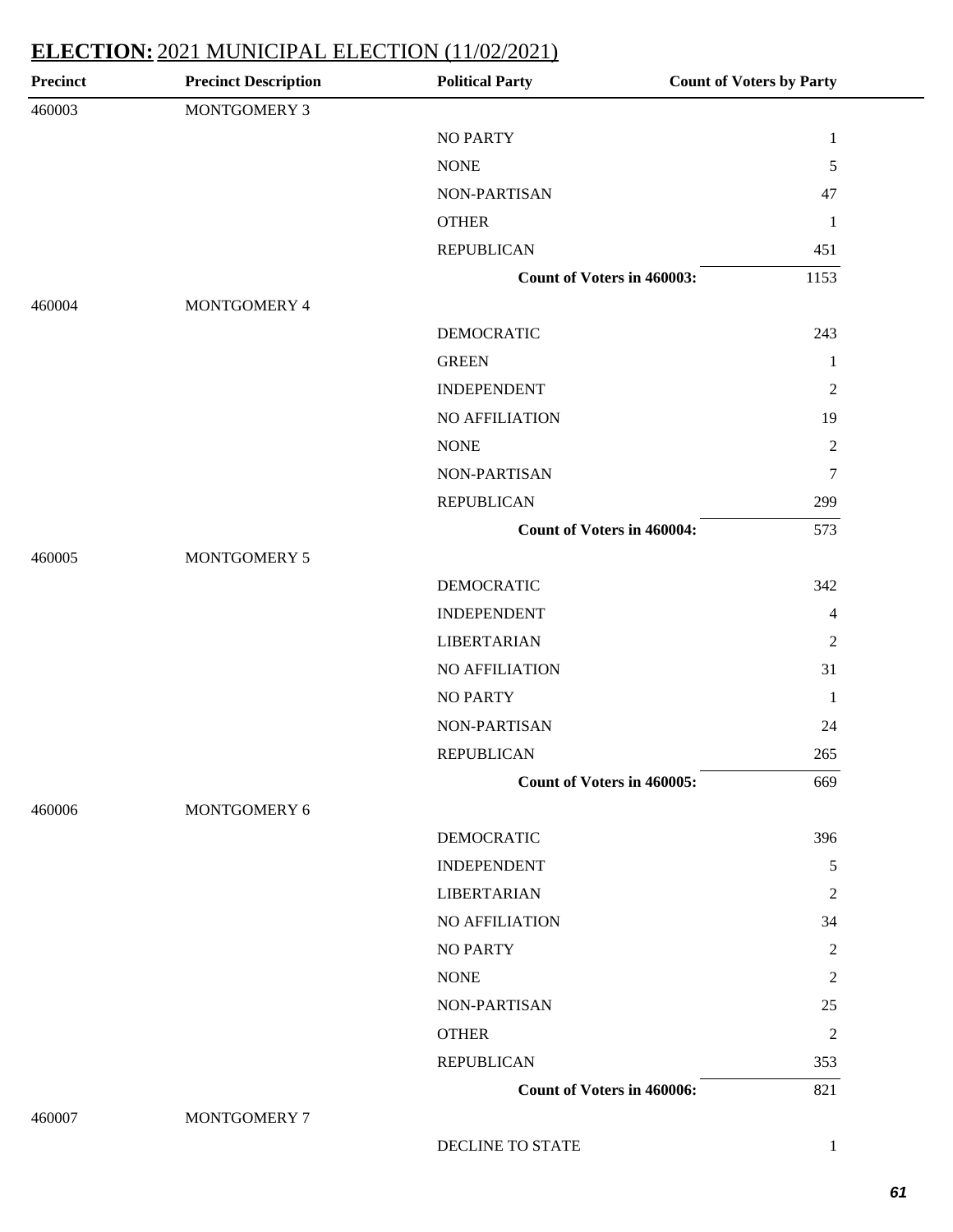| <b>Precinct</b> | <b>Precinct Description</b> | <b>Political Party</b>            | <b>Count of Voters by Party</b> |
|-----------------|-----------------------------|-----------------------------------|---------------------------------|
| 460003          | MONTGOMERY 3                |                                   |                                 |
|                 |                             | <b>NO PARTY</b>                   | $\mathbf{1}$                    |
|                 |                             | <b>NONE</b>                       | 5                               |
|                 |                             | NON-PARTISAN                      | 47                              |
|                 |                             | <b>OTHER</b>                      | $\mathbf{1}$                    |
|                 |                             | <b>REPUBLICAN</b>                 | 451                             |
|                 |                             | Count of Voters in 460003:        | 1153                            |
| 460004          | MONTGOMERY 4                |                                   |                                 |
|                 |                             | <b>DEMOCRATIC</b>                 | 243                             |
|                 |                             | <b>GREEN</b>                      | $\mathbf{1}$                    |
|                 |                             | <b>INDEPENDENT</b>                | $\mathfrak{2}$                  |
|                 |                             | <b>NO AFFILIATION</b>             | 19                              |
|                 |                             | <b>NONE</b>                       | $\boldsymbol{2}$                |
|                 |                             | NON-PARTISAN                      | $\tau$                          |
|                 |                             | <b>REPUBLICAN</b>                 | 299                             |
|                 |                             | <b>Count of Voters in 460004:</b> | 573                             |
| 460005          | MONTGOMERY 5                |                                   |                                 |
|                 |                             | <b>DEMOCRATIC</b>                 | 342                             |
|                 |                             | <b>INDEPENDENT</b>                | 4                               |
|                 |                             | <b>LIBERTARIAN</b>                | $\overline{2}$                  |
|                 |                             | NO AFFILIATION                    | 31                              |
|                 |                             | <b>NO PARTY</b>                   | $\mathbf{1}$                    |
|                 |                             | NON-PARTISAN                      | 24                              |
|                 |                             | <b>REPUBLICAN</b>                 | 265                             |
|                 |                             | Count of Voters in 460005:        | 669                             |
| 460006          | MONTGOMERY 6                |                                   |                                 |
|                 |                             | <b>DEMOCRATIC</b>                 | 396                             |
|                 |                             | <b>INDEPENDENT</b>                | 5                               |
|                 |                             | <b>LIBERTARIAN</b>                | $\overline{c}$                  |
|                 |                             | <b>NO AFFILIATION</b>             | 34                              |
|                 |                             | NO PARTY                          | 2                               |
|                 |                             | <b>NONE</b>                       | $\overline{c}$                  |
|                 |                             | NON-PARTISAN                      | 25                              |
|                 |                             | <b>OTHER</b>                      | $\overline{c}$                  |
|                 |                             | <b>REPUBLICAN</b>                 | 353                             |
|                 |                             | Count of Voters in 460006:        | 821                             |
| 460007          | MONTGOMERY 7                |                                   |                                 |
|                 |                             | DECLINE TO STATE                  | $\mathbf{1}$                    |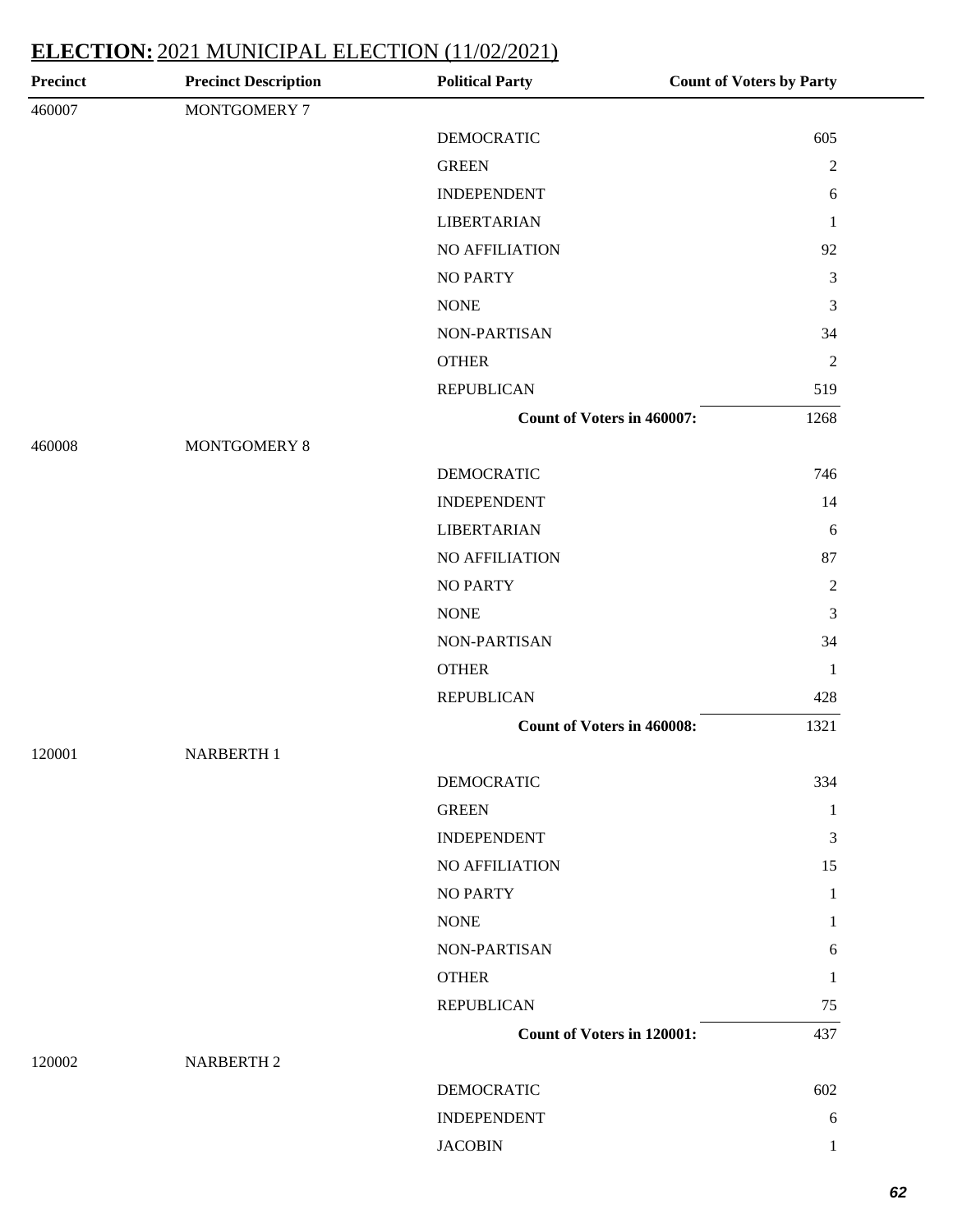| MONTGOMERY 7<br><b>DEMOCRATIC</b><br>605<br><b>GREEN</b><br>$\sqrt{2}$<br><b>INDEPENDENT</b><br>$6\,$<br><b>LIBERTARIAN</b><br>$\mathbf{1}$<br>NO AFFILIATION<br>92<br><b>NO PARTY</b><br>$\mathfrak{Z}$<br>$\mathfrak{Z}$<br><b>NONE</b><br>34<br>NON-PARTISAN<br>$\sqrt{2}$<br><b>OTHER</b><br><b>REPUBLICAN</b><br>519<br>Count of Voters in 460007:<br>1268<br>MONTGOMERY 8<br>746<br><b>DEMOCRATIC</b><br><b>INDEPENDENT</b><br>14<br><b>LIBERTARIAN</b><br>6<br>NO AFFILIATION<br>87<br>$\sqrt{2}$<br><b>NO PARTY</b><br>$\rm{NONE}$<br>$\mathfrak{Z}$<br>NON-PARTISAN<br>34<br><b>OTHER</b><br>$\mathbf{1}$<br><b>REPUBLICAN</b><br>428<br>1321<br><b>Count of Voters in 460008:</b><br><b>NARBERTH 1</b><br><b>DEMOCRATIC</b><br>334<br><b>GREEN</b><br>$\mathbf{1}$<br>3<br><b>INDEPENDENT</b><br>NO AFFILIATION<br>15<br><b>NO PARTY</b><br>$\mathbf{1}$<br><b>NONE</b><br>1<br>NON-PARTISAN<br>6<br><b>OTHER</b><br>1<br><b>REPUBLICAN</b><br>75<br><b>Count of Voters in 120001:</b><br>437<br><b>NARBERTH 2</b><br><b>DEMOCRATIC</b><br>602<br><b>INDEPENDENT</b><br>6<br>$\mathbf{1}$ | Precinct | <b>Precinct Description</b> | <b>Political Party</b> | <b>Count of Voters by Party</b> |
|-----------------------------------------------------------------------------------------------------------------------------------------------------------------------------------------------------------------------------------------------------------------------------------------------------------------------------------------------------------------------------------------------------------------------------------------------------------------------------------------------------------------------------------------------------------------------------------------------------------------------------------------------------------------------------------------------------------------------------------------------------------------------------------------------------------------------------------------------------------------------------------------------------------------------------------------------------------------------------------------------------------------------------------------------------------------------------------------------------|----------|-----------------------------|------------------------|---------------------------------|
|                                                                                                                                                                                                                                                                                                                                                                                                                                                                                                                                                                                                                                                                                                                                                                                                                                                                                                                                                                                                                                                                                                     | 460007   |                             |                        |                                 |
|                                                                                                                                                                                                                                                                                                                                                                                                                                                                                                                                                                                                                                                                                                                                                                                                                                                                                                                                                                                                                                                                                                     |          |                             |                        |                                 |
|                                                                                                                                                                                                                                                                                                                                                                                                                                                                                                                                                                                                                                                                                                                                                                                                                                                                                                                                                                                                                                                                                                     |          |                             |                        |                                 |
|                                                                                                                                                                                                                                                                                                                                                                                                                                                                                                                                                                                                                                                                                                                                                                                                                                                                                                                                                                                                                                                                                                     |          |                             |                        |                                 |
|                                                                                                                                                                                                                                                                                                                                                                                                                                                                                                                                                                                                                                                                                                                                                                                                                                                                                                                                                                                                                                                                                                     |          |                             |                        |                                 |
|                                                                                                                                                                                                                                                                                                                                                                                                                                                                                                                                                                                                                                                                                                                                                                                                                                                                                                                                                                                                                                                                                                     |          |                             |                        |                                 |
|                                                                                                                                                                                                                                                                                                                                                                                                                                                                                                                                                                                                                                                                                                                                                                                                                                                                                                                                                                                                                                                                                                     |          |                             |                        |                                 |
|                                                                                                                                                                                                                                                                                                                                                                                                                                                                                                                                                                                                                                                                                                                                                                                                                                                                                                                                                                                                                                                                                                     |          |                             |                        |                                 |
|                                                                                                                                                                                                                                                                                                                                                                                                                                                                                                                                                                                                                                                                                                                                                                                                                                                                                                                                                                                                                                                                                                     |          |                             |                        |                                 |
|                                                                                                                                                                                                                                                                                                                                                                                                                                                                                                                                                                                                                                                                                                                                                                                                                                                                                                                                                                                                                                                                                                     |          |                             |                        |                                 |
|                                                                                                                                                                                                                                                                                                                                                                                                                                                                                                                                                                                                                                                                                                                                                                                                                                                                                                                                                                                                                                                                                                     |          |                             |                        |                                 |
|                                                                                                                                                                                                                                                                                                                                                                                                                                                                                                                                                                                                                                                                                                                                                                                                                                                                                                                                                                                                                                                                                                     |          |                             |                        |                                 |
|                                                                                                                                                                                                                                                                                                                                                                                                                                                                                                                                                                                                                                                                                                                                                                                                                                                                                                                                                                                                                                                                                                     | 460008   |                             |                        |                                 |
|                                                                                                                                                                                                                                                                                                                                                                                                                                                                                                                                                                                                                                                                                                                                                                                                                                                                                                                                                                                                                                                                                                     |          |                             |                        |                                 |
|                                                                                                                                                                                                                                                                                                                                                                                                                                                                                                                                                                                                                                                                                                                                                                                                                                                                                                                                                                                                                                                                                                     |          |                             |                        |                                 |
|                                                                                                                                                                                                                                                                                                                                                                                                                                                                                                                                                                                                                                                                                                                                                                                                                                                                                                                                                                                                                                                                                                     |          |                             |                        |                                 |
|                                                                                                                                                                                                                                                                                                                                                                                                                                                                                                                                                                                                                                                                                                                                                                                                                                                                                                                                                                                                                                                                                                     |          |                             |                        |                                 |
|                                                                                                                                                                                                                                                                                                                                                                                                                                                                                                                                                                                                                                                                                                                                                                                                                                                                                                                                                                                                                                                                                                     |          |                             |                        |                                 |
|                                                                                                                                                                                                                                                                                                                                                                                                                                                                                                                                                                                                                                                                                                                                                                                                                                                                                                                                                                                                                                                                                                     |          |                             |                        |                                 |
|                                                                                                                                                                                                                                                                                                                                                                                                                                                                                                                                                                                                                                                                                                                                                                                                                                                                                                                                                                                                                                                                                                     |          |                             |                        |                                 |
|                                                                                                                                                                                                                                                                                                                                                                                                                                                                                                                                                                                                                                                                                                                                                                                                                                                                                                                                                                                                                                                                                                     |          |                             |                        |                                 |
|                                                                                                                                                                                                                                                                                                                                                                                                                                                                                                                                                                                                                                                                                                                                                                                                                                                                                                                                                                                                                                                                                                     |          |                             |                        |                                 |
|                                                                                                                                                                                                                                                                                                                                                                                                                                                                                                                                                                                                                                                                                                                                                                                                                                                                                                                                                                                                                                                                                                     |          |                             |                        |                                 |
|                                                                                                                                                                                                                                                                                                                                                                                                                                                                                                                                                                                                                                                                                                                                                                                                                                                                                                                                                                                                                                                                                                     | 120001   |                             |                        |                                 |
|                                                                                                                                                                                                                                                                                                                                                                                                                                                                                                                                                                                                                                                                                                                                                                                                                                                                                                                                                                                                                                                                                                     |          |                             |                        |                                 |
|                                                                                                                                                                                                                                                                                                                                                                                                                                                                                                                                                                                                                                                                                                                                                                                                                                                                                                                                                                                                                                                                                                     |          |                             |                        |                                 |
|                                                                                                                                                                                                                                                                                                                                                                                                                                                                                                                                                                                                                                                                                                                                                                                                                                                                                                                                                                                                                                                                                                     |          |                             |                        |                                 |
|                                                                                                                                                                                                                                                                                                                                                                                                                                                                                                                                                                                                                                                                                                                                                                                                                                                                                                                                                                                                                                                                                                     |          |                             |                        |                                 |
|                                                                                                                                                                                                                                                                                                                                                                                                                                                                                                                                                                                                                                                                                                                                                                                                                                                                                                                                                                                                                                                                                                     |          |                             |                        |                                 |
|                                                                                                                                                                                                                                                                                                                                                                                                                                                                                                                                                                                                                                                                                                                                                                                                                                                                                                                                                                                                                                                                                                     |          |                             |                        |                                 |
|                                                                                                                                                                                                                                                                                                                                                                                                                                                                                                                                                                                                                                                                                                                                                                                                                                                                                                                                                                                                                                                                                                     |          |                             |                        |                                 |
|                                                                                                                                                                                                                                                                                                                                                                                                                                                                                                                                                                                                                                                                                                                                                                                                                                                                                                                                                                                                                                                                                                     |          |                             |                        |                                 |
|                                                                                                                                                                                                                                                                                                                                                                                                                                                                                                                                                                                                                                                                                                                                                                                                                                                                                                                                                                                                                                                                                                     |          |                             |                        |                                 |
|                                                                                                                                                                                                                                                                                                                                                                                                                                                                                                                                                                                                                                                                                                                                                                                                                                                                                                                                                                                                                                                                                                     |          |                             |                        |                                 |
|                                                                                                                                                                                                                                                                                                                                                                                                                                                                                                                                                                                                                                                                                                                                                                                                                                                                                                                                                                                                                                                                                                     | 120002   |                             |                        |                                 |
|                                                                                                                                                                                                                                                                                                                                                                                                                                                                                                                                                                                                                                                                                                                                                                                                                                                                                                                                                                                                                                                                                                     |          |                             |                        |                                 |
|                                                                                                                                                                                                                                                                                                                                                                                                                                                                                                                                                                                                                                                                                                                                                                                                                                                                                                                                                                                                                                                                                                     |          |                             |                        |                                 |
|                                                                                                                                                                                                                                                                                                                                                                                                                                                                                                                                                                                                                                                                                                                                                                                                                                                                                                                                                                                                                                                                                                     |          |                             | <b>JACOBIN</b>         |                                 |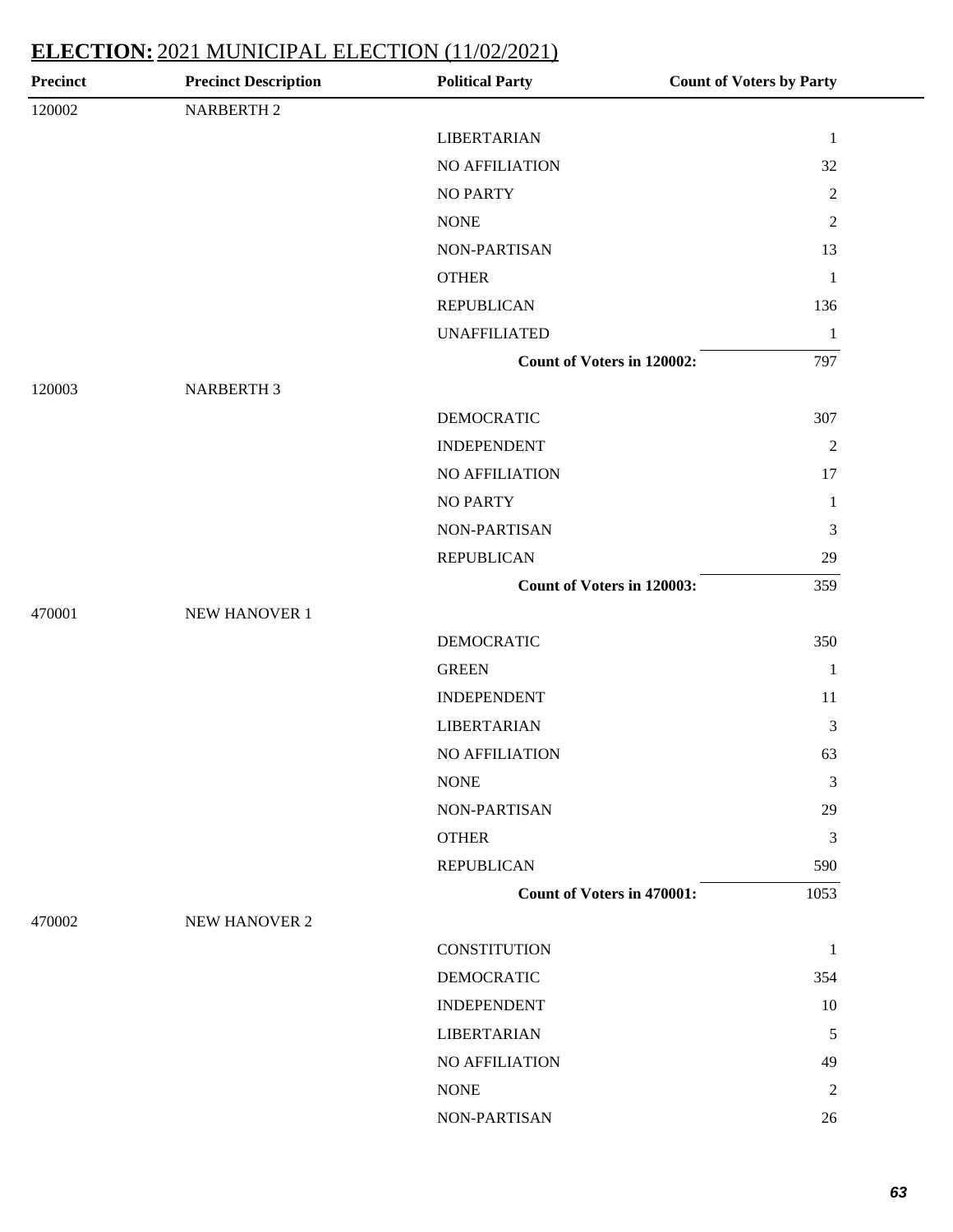| <b>Precinct</b> | <b>Precinct Description</b> | <b>Political Party</b>            | <b>Count of Voters by Party</b> |
|-----------------|-----------------------------|-----------------------------------|---------------------------------|
| 120002          | <b>NARBERTH 2</b>           |                                   |                                 |
|                 |                             | <b>LIBERTARIAN</b>                | $\mathbf{1}$                    |
|                 |                             | NO AFFILIATION                    | 32                              |
|                 |                             | <b>NO PARTY</b>                   | $\overline{2}$                  |
|                 |                             | <b>NONE</b>                       | $\mathbf{2}$                    |
|                 |                             | NON-PARTISAN                      | 13                              |
|                 |                             | <b>OTHER</b>                      | $\mathbf{1}$                    |
|                 |                             | <b>REPUBLICAN</b>                 | 136                             |
|                 |                             | <b>UNAFFILIATED</b>               | $\mathbf{1}$                    |
|                 |                             | Count of Voters in 120002:        | 797                             |
| 120003          | <b>NARBERTH 3</b>           |                                   |                                 |
|                 |                             | <b>DEMOCRATIC</b>                 | 307                             |
|                 |                             | <b>INDEPENDENT</b>                | $\overline{2}$                  |
|                 |                             | NO AFFILIATION                    | 17                              |
|                 |                             | <b>NO PARTY</b>                   | $\mathbf{1}$                    |
|                 |                             | NON-PARTISAN                      | 3                               |
|                 |                             | <b>REPUBLICAN</b>                 | $29\,$                          |
|                 |                             | Count of Voters in 120003:        | 359                             |
| 470001          | NEW HANOVER 1               |                                   |                                 |
|                 |                             | <b>DEMOCRATIC</b>                 | 350                             |
|                 |                             | <b>GREEN</b>                      | $\mathbf{1}$                    |
|                 |                             | <b>INDEPENDENT</b>                | 11                              |
|                 |                             | <b>LIBERTARIAN</b>                | 3                               |
|                 |                             | <b>NO AFFILIATION</b>             | 63                              |
|                 |                             | <b>NONE</b>                       | 3                               |
|                 |                             | NON-PARTISAN                      | 29                              |
|                 |                             | <b>OTHER</b>                      | $\mathfrak{Z}$                  |
|                 |                             | <b>REPUBLICAN</b>                 | 590                             |
|                 |                             | <b>Count of Voters in 470001:</b> | 1053                            |
| 470002          | NEW HANOVER 2               |                                   |                                 |
|                 |                             | <b>CONSTITUTION</b>               | $\mathbf{1}$                    |
|                 |                             | <b>DEMOCRATIC</b>                 | 354                             |
|                 |                             | <b>INDEPENDENT</b>                | 10                              |
|                 |                             | <b>LIBERTARIAN</b>                | 5                               |
|                 |                             | <b>NO AFFILIATION</b>             | 49                              |
|                 |                             | <b>NONE</b>                       | 2                               |
|                 |                             | NON-PARTISAN                      | 26                              |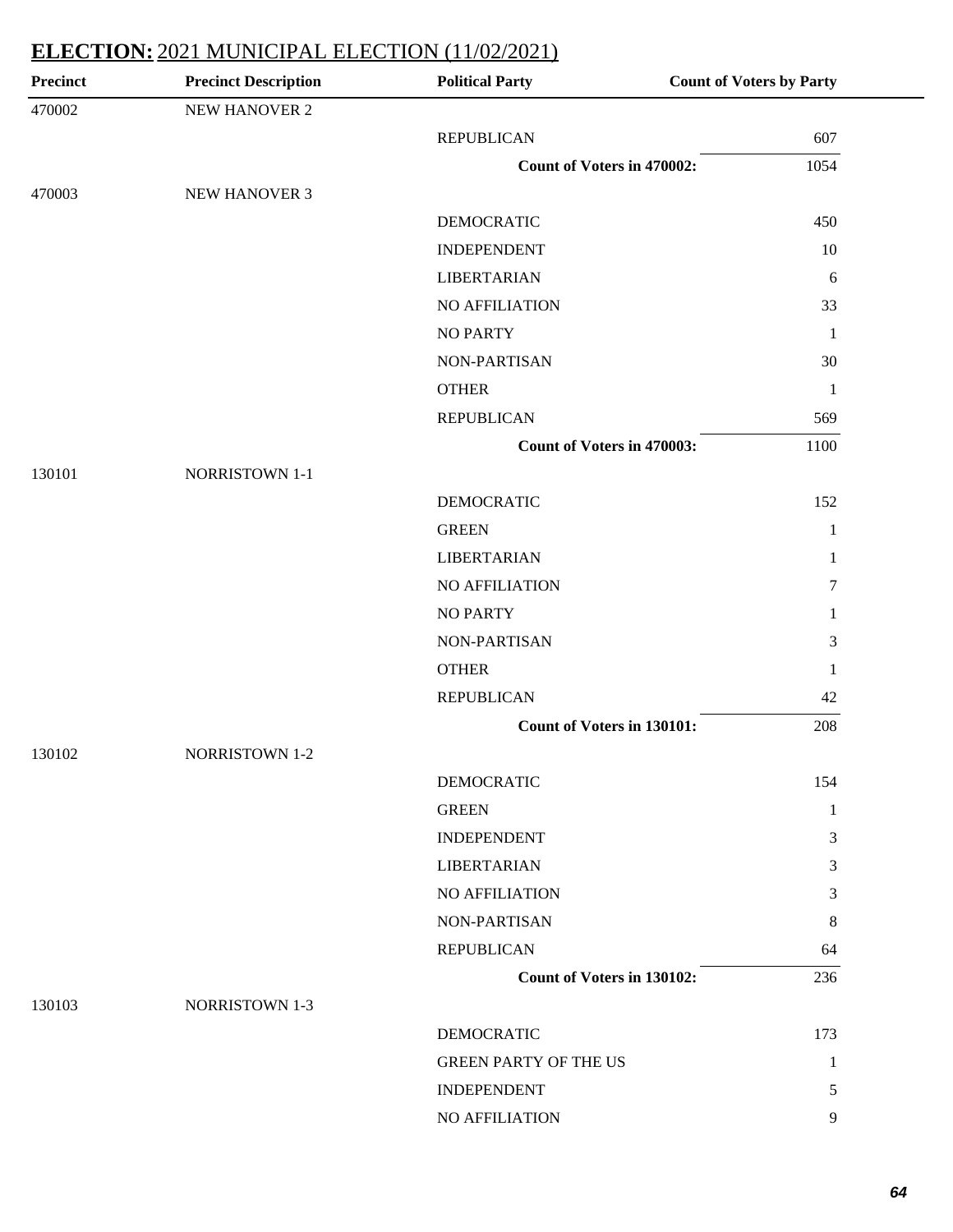| <b>Precinct</b> | <b>Precinct Description</b> | <b>Political Party</b>            | <b>Count of Voters by Party</b> |
|-----------------|-----------------------------|-----------------------------------|---------------------------------|
| 470002          | NEW HANOVER 2               |                                   |                                 |
|                 |                             | <b>REPUBLICAN</b>                 | 607                             |
|                 |                             | <b>Count of Voters in 470002:</b> | 1054                            |
| 470003          | NEW HANOVER 3               |                                   |                                 |
|                 |                             | <b>DEMOCRATIC</b>                 | 450                             |
|                 |                             | <b>INDEPENDENT</b>                | 10                              |
|                 |                             | <b>LIBERTARIAN</b>                | 6                               |
|                 |                             | NO AFFILIATION                    | 33                              |
|                 |                             | <b>NO PARTY</b>                   | $\mathbf{1}$                    |
|                 |                             | NON-PARTISAN                      | 30                              |
|                 |                             | <b>OTHER</b>                      | $\mathbf{1}$                    |
|                 |                             | <b>REPUBLICAN</b>                 | 569                             |
|                 |                             | <b>Count of Voters in 470003:</b> | 1100                            |
| 130101          | <b>NORRISTOWN 1-1</b>       |                                   |                                 |
|                 |                             | <b>DEMOCRATIC</b>                 | 152                             |
|                 |                             | <b>GREEN</b>                      | 1                               |
|                 |                             | <b>LIBERTARIAN</b>                | 1                               |
|                 |                             | NO AFFILIATION                    | 7                               |
|                 |                             | <b>NO PARTY</b>                   | 1                               |
|                 |                             | NON-PARTISAN                      | 3                               |
|                 |                             | <b>OTHER</b>                      | 1                               |
|                 |                             | <b>REPUBLICAN</b>                 | 42                              |
|                 |                             | Count of Voters in 130101:        | 208                             |
| 130102          | <b>NORRISTOWN 1-2</b>       |                                   |                                 |
|                 |                             | <b>DEMOCRATIC</b>                 | 154                             |
|                 |                             | <b>GREEN</b>                      | 1                               |
|                 |                             | <b>INDEPENDENT</b>                | 3                               |
|                 |                             | <b>LIBERTARIAN</b>                | 3                               |
|                 |                             | <b>NO AFFILIATION</b>             | 3                               |
|                 |                             | NON-PARTISAN                      | 8                               |
|                 |                             | <b>REPUBLICAN</b>                 | 64                              |
|                 |                             | Count of Voters in 130102:        | 236                             |
| 130103          | <b>NORRISTOWN 1-3</b>       |                                   |                                 |
|                 |                             | DEMOCRATIC                        | 173                             |
|                 |                             | <b>GREEN PARTY OF THE US</b>      | 1                               |
|                 |                             | <b>INDEPENDENT</b>                | 5                               |
|                 |                             | NO AFFILIATION                    | 9                               |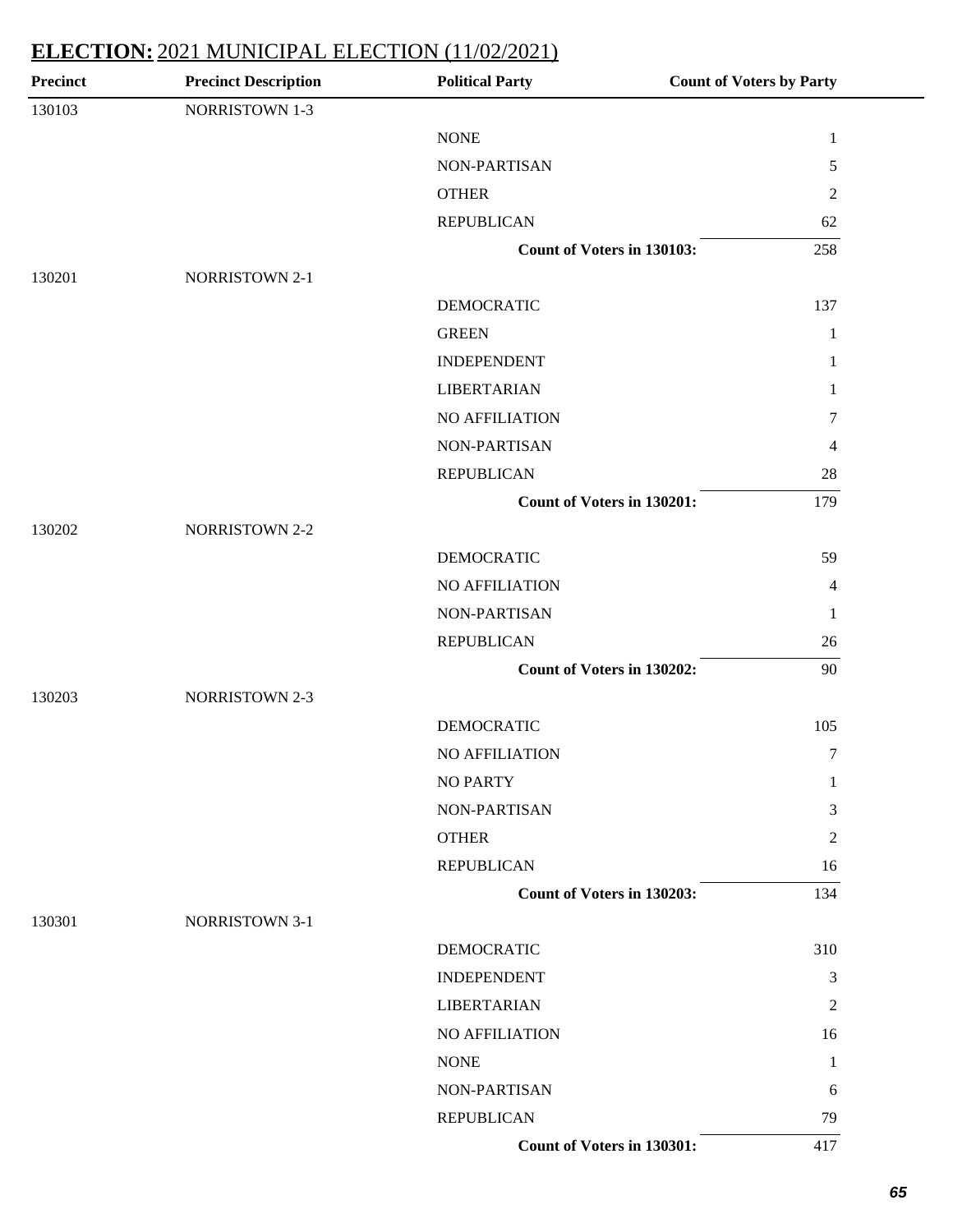| Precinct | <b>Precinct Description</b> | <b>Political Party</b>     | <b>Count of Voters by Party</b> |
|----------|-----------------------------|----------------------------|---------------------------------|
| 130103   | <b>NORRISTOWN 1-3</b>       |                            |                                 |
|          |                             | <b>NONE</b>                | $\mathbf{1}$                    |
|          |                             | NON-PARTISAN               | 5                               |
|          |                             | <b>OTHER</b>               | $\overline{c}$                  |
|          |                             | <b>REPUBLICAN</b>          | 62                              |
|          |                             | Count of Voters in 130103: | 258                             |
| 130201   | NORRISTOWN 2-1              |                            |                                 |
|          |                             | <b>DEMOCRATIC</b>          | 137                             |
|          |                             | <b>GREEN</b>               | $\mathbf{1}$                    |
|          |                             | <b>INDEPENDENT</b>         | 1                               |
|          |                             | <b>LIBERTARIAN</b>         | 1                               |
|          |                             | NO AFFILIATION             | 7                               |
|          |                             | NON-PARTISAN               | 4                               |
|          |                             | <b>REPUBLICAN</b>          | $28\,$                          |
|          |                             | Count of Voters in 130201: | 179                             |
| 130202   | <b>NORRISTOWN 2-2</b>       |                            |                                 |
|          |                             | <b>DEMOCRATIC</b>          | 59                              |
|          |                             | NO AFFILIATION             | 4                               |
|          |                             | NON-PARTISAN               | $\mathbf{1}$                    |
|          |                             | <b>REPUBLICAN</b>          | 26                              |
|          |                             | Count of Voters in 130202: | 90                              |
| 130203   | <b>NORRISTOWN 2-3</b>       |                            |                                 |
|          |                             | <b>DEMOCRATIC</b>          | 105                             |
|          |                             | NO AFFILIATION             | $\tau$                          |
|          |                             | <b>NO PARTY</b>            | 1                               |
|          |                             | NON-PARTISAN               | 3                               |
|          |                             | <b>OTHER</b>               | $\overline{c}$                  |
|          |                             | <b>REPUBLICAN</b>          | 16                              |
|          |                             | Count of Voters in 130203: | 134                             |
| 130301   | <b>NORRISTOWN 3-1</b>       |                            |                                 |
|          |                             | <b>DEMOCRATIC</b>          | 310                             |
|          |                             | <b>INDEPENDENT</b>         | 3                               |
|          |                             | <b>LIBERTARIAN</b>         | $\overline{c}$                  |
|          |                             | NO AFFILIATION             | 16                              |
|          |                             | <b>NONE</b>                | 1                               |
|          |                             | NON-PARTISAN               | 6                               |
|          |                             | <b>REPUBLICAN</b>          | 79                              |
|          |                             | Count of Voters in 130301: | 417                             |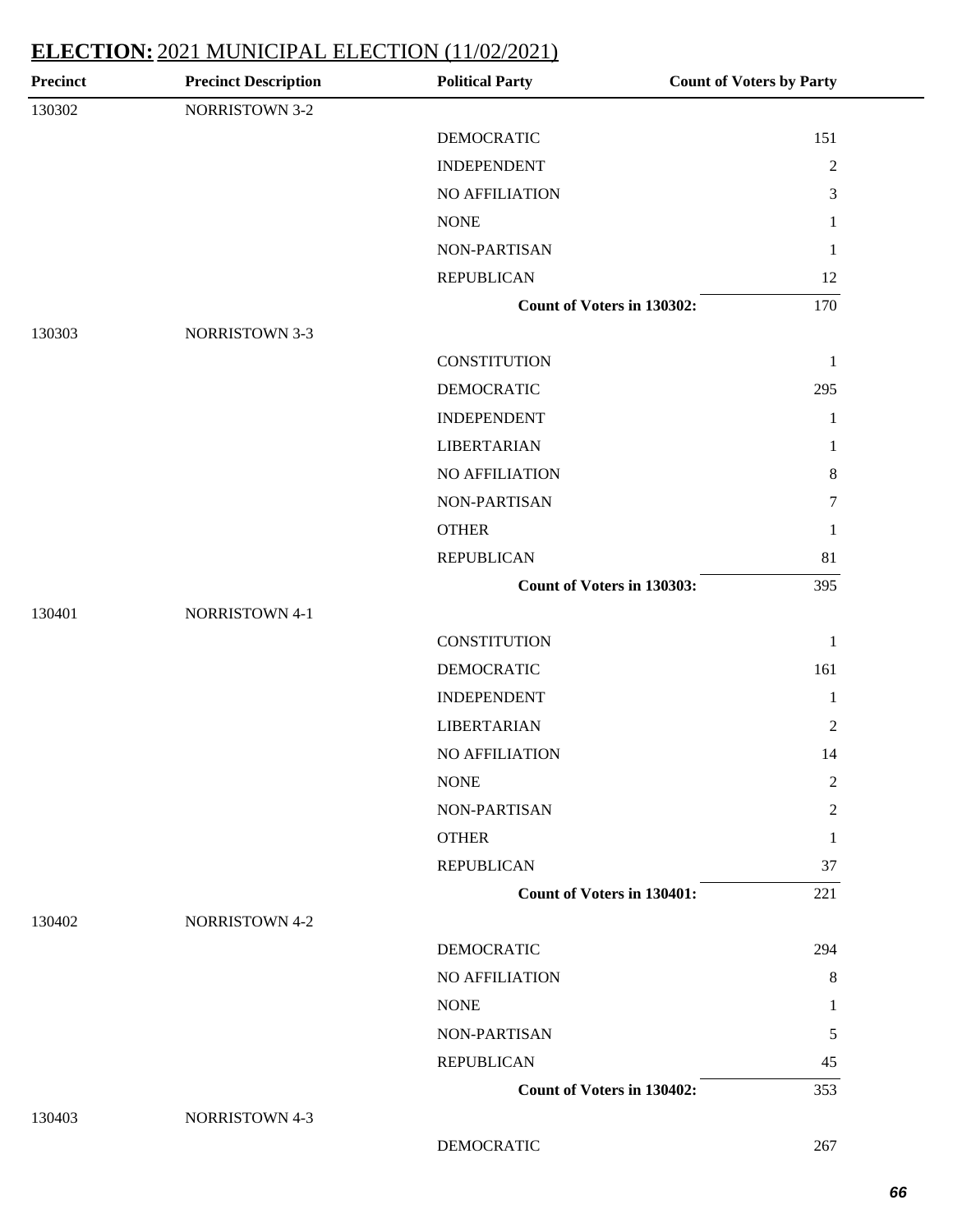| Precinct | <b>Precinct Description</b> | <b>Political Party</b>            | <b>Count of Voters by Party</b> |
|----------|-----------------------------|-----------------------------------|---------------------------------|
| 130302   | <b>NORRISTOWN 3-2</b>       |                                   |                                 |
|          |                             | <b>DEMOCRATIC</b>                 | 151                             |
|          |                             | <b>INDEPENDENT</b>                | $\sqrt{2}$                      |
|          |                             | NO AFFILIATION                    | $\mathfrak{Z}$                  |
|          |                             | <b>NONE</b>                       | 1                               |
|          |                             | <b>NON-PARTISAN</b>               | $\mathbf{1}$                    |
|          |                             | <b>REPUBLICAN</b>                 | 12                              |
|          |                             | Count of Voters in 130302:        | 170                             |
| 130303   | <b>NORRISTOWN 3-3</b>       |                                   |                                 |
|          |                             | <b>CONSTITUTION</b>               | $\mathbf{1}$                    |
|          |                             | <b>DEMOCRATIC</b>                 | 295                             |
|          |                             | <b>INDEPENDENT</b>                | $\mathbf{1}$                    |
|          |                             | <b>LIBERTARIAN</b>                | 1                               |
|          |                             | NO AFFILIATION                    | $8\,$                           |
|          |                             | NON-PARTISAN                      | 7                               |
|          |                             | <b>OTHER</b>                      | $\mathbf{1}$                    |
|          |                             | <b>REPUBLICAN</b>                 | 81                              |
|          |                             | Count of Voters in 130303:        | 395                             |
| 130401   | NORRISTOWN 4-1              |                                   |                                 |
|          |                             | <b>CONSTITUTION</b>               | $\mathbf{1}$                    |
|          |                             | <b>DEMOCRATIC</b>                 | 161                             |
|          |                             | <b>INDEPENDENT</b>                | $\mathbf{1}$                    |
|          |                             | <b>LIBERTARIAN</b>                | $\mathbf{2}$                    |
|          |                             | NO AFFILIATION                    | 14                              |
|          |                             | <b>NONE</b>                       | $\boldsymbol{2}$                |
|          |                             | NON-PARTISAN                      | $\overline{2}$                  |
|          |                             | <b>OTHER</b>                      | 1                               |
|          |                             | <b>REPUBLICAN</b>                 | 37                              |
|          |                             | <b>Count of Voters in 130401:</b> | 221                             |
| 130402   | <b>NORRISTOWN 4-2</b>       |                                   |                                 |
|          |                             | <b>DEMOCRATIC</b>                 | 294                             |
|          |                             | NO AFFILIATION                    | 8                               |
|          |                             | <b>NONE</b>                       | 1                               |
|          |                             | NON-PARTISAN                      | 5                               |
|          |                             | <b>REPUBLICAN</b>                 | 45                              |
|          |                             | <b>Count of Voters in 130402:</b> | 353                             |
| 130403   | NORRISTOWN 4-3              |                                   |                                 |

DEMOCRATIC 267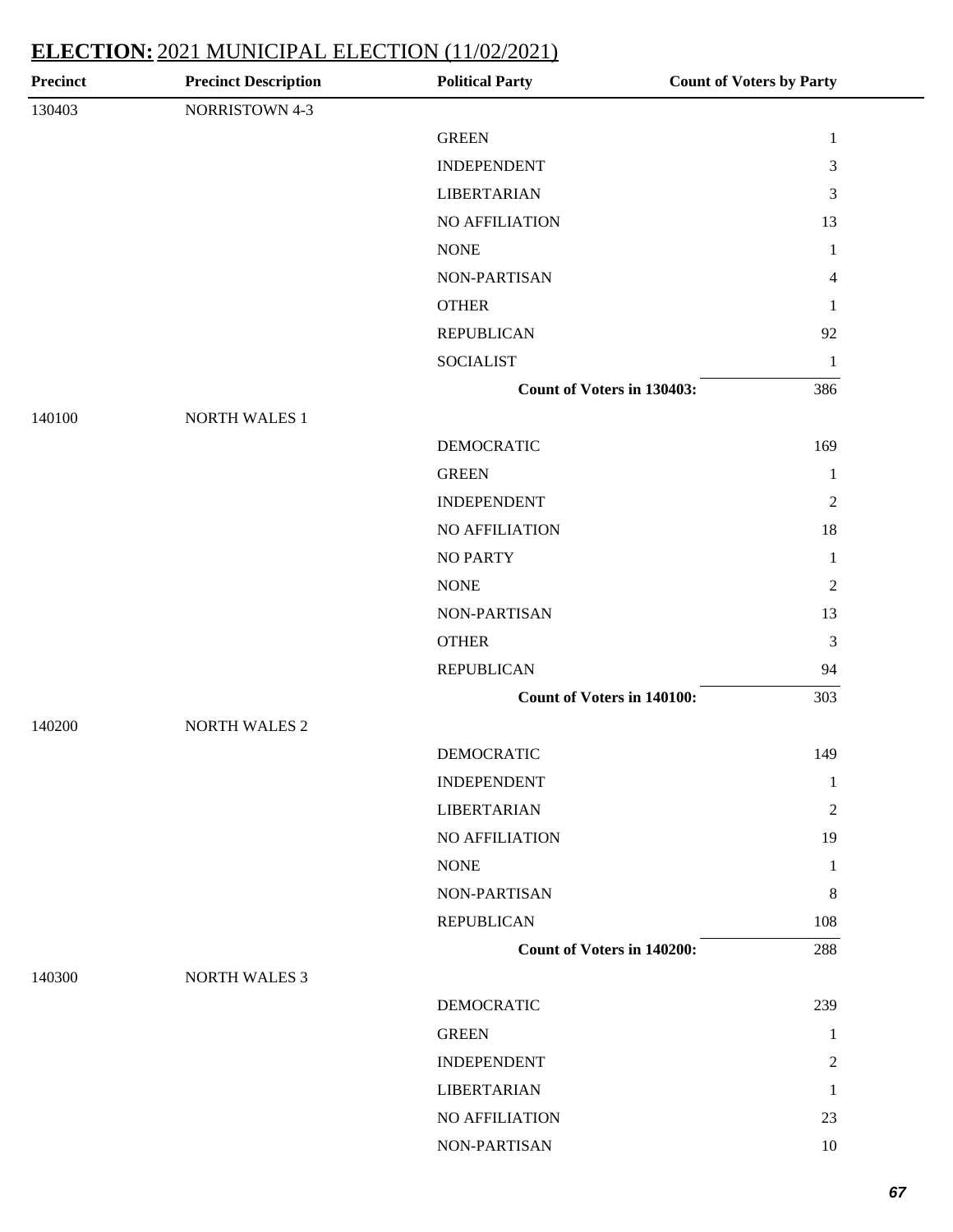| <b>Precinct Description</b> | <b>Political Party</b> | <b>Count of Voters by Party</b>                                                                      |
|-----------------------------|------------------------|------------------------------------------------------------------------------------------------------|
| NORRISTOWN 4-3              |                        |                                                                                                      |
|                             | <b>GREEN</b>           | $\mathbf{1}$                                                                                         |
|                             | <b>INDEPENDENT</b>     | 3                                                                                                    |
|                             | <b>LIBERTARIAN</b>     | 3                                                                                                    |
|                             | NO AFFILIATION         | 13                                                                                                   |
|                             | <b>NONE</b>            | $\mathbf{1}$                                                                                         |
|                             | NON-PARTISAN           | $\overline{4}$                                                                                       |
|                             | <b>OTHER</b>           | 1                                                                                                    |
|                             | <b>REPUBLICAN</b>      | 92                                                                                                   |
|                             | <b>SOCIALIST</b>       | $\mathbf{1}$                                                                                         |
|                             |                        | 386                                                                                                  |
| <b>NORTH WALES 1</b>        |                        |                                                                                                      |
|                             | <b>DEMOCRATIC</b>      | 169                                                                                                  |
|                             | <b>GREEN</b>           | 1                                                                                                    |
|                             | <b>INDEPENDENT</b>     | $\overline{2}$                                                                                       |
|                             | NO AFFILIATION         | 18                                                                                                   |
|                             | <b>NO PARTY</b>        | $\mathbf{1}$                                                                                         |
|                             | <b>NONE</b>            | $\sqrt{2}$                                                                                           |
|                             | NON-PARTISAN           | 13                                                                                                   |
|                             | <b>OTHER</b>           | $\mathfrak{Z}$                                                                                       |
|                             | <b>REPUBLICAN</b>      | 94                                                                                                   |
|                             |                        | 303                                                                                                  |
| <b>NORTH WALES 2</b>        |                        |                                                                                                      |
|                             | <b>DEMOCRATIC</b>      | 149                                                                                                  |
|                             | <b>INDEPENDENT</b>     | $\mathbf{1}$                                                                                         |
|                             | <b>LIBERTARIAN</b>     | $\overline{2}$                                                                                       |
|                             | <b>NO AFFILIATION</b>  | 19                                                                                                   |
|                             | <b>NONE</b>            | $\mathbf{1}$                                                                                         |
|                             | NON-PARTISAN           | 8                                                                                                    |
|                             | <b>REPUBLICAN</b>      | 108                                                                                                  |
|                             |                        | 288                                                                                                  |
| <b>NORTH WALES 3</b>        |                        |                                                                                                      |
|                             | <b>DEMOCRATIC</b>      | 239                                                                                                  |
|                             | <b>GREEN</b>           | 1                                                                                                    |
|                             | <b>INDEPENDENT</b>     | $\overline{2}$                                                                                       |
|                             | <b>LIBERTARIAN</b>     | 1                                                                                                    |
|                             | NO AFFILIATION         | 23                                                                                                   |
|                             | NON-PARTISAN           | 10                                                                                                   |
|                             |                        | <b>Count of Voters in 130403:</b><br><b>Count of Voters in 140100:</b><br>Count of Voters in 140200: |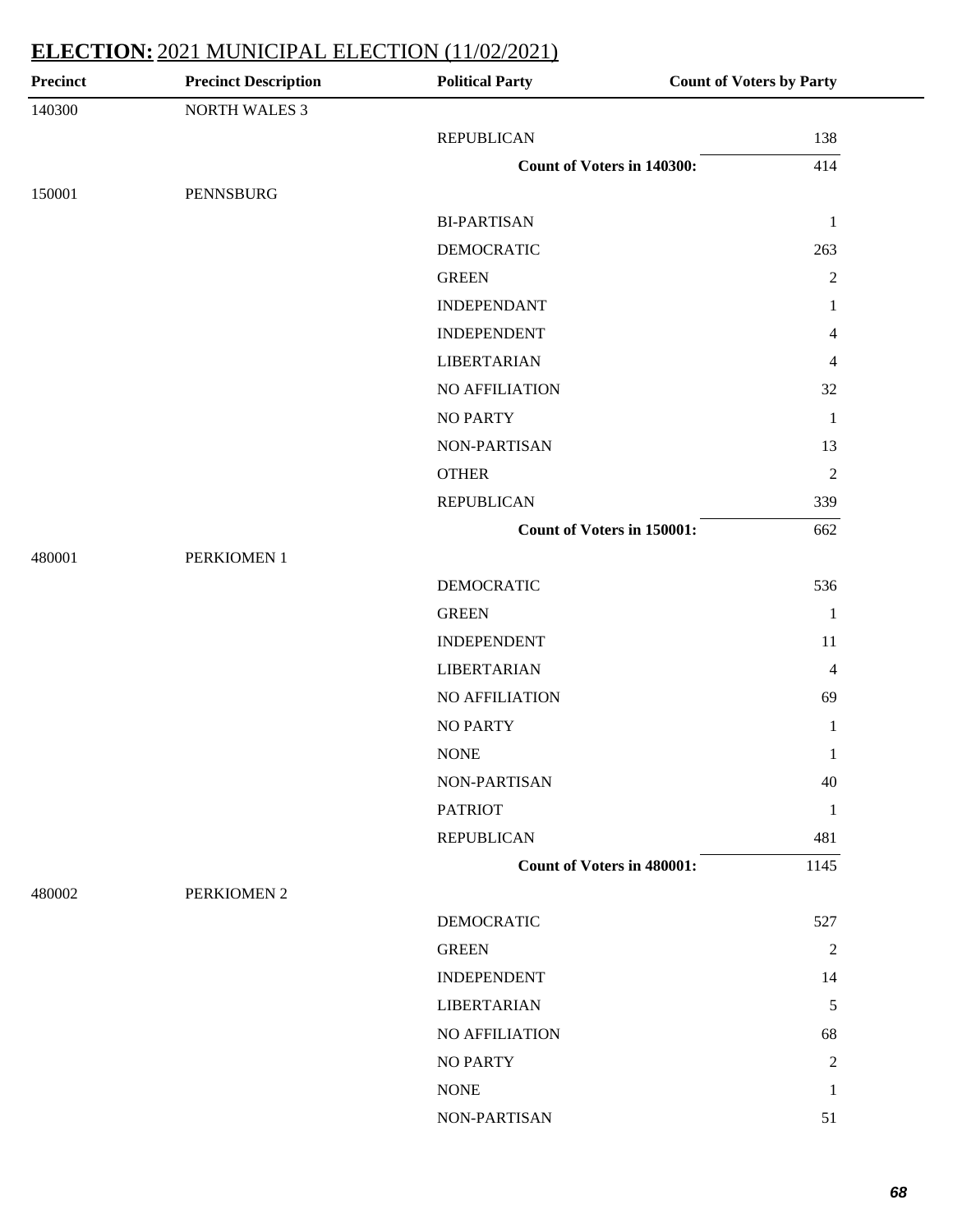| Precinct | <b>Precinct Description</b> | <b>Political Party</b>            | <b>Count of Voters by Party</b> |
|----------|-----------------------------|-----------------------------------|---------------------------------|
| 140300   | <b>NORTH WALES 3</b>        |                                   |                                 |
|          |                             | <b>REPUBLICAN</b>                 | 138                             |
|          |                             | Count of Voters in 140300:        | 414                             |
| 150001   | PENNSBURG                   |                                   |                                 |
|          |                             | <b>BI-PARTISAN</b>                | $\mathbf{1}$                    |
|          |                             | <b>DEMOCRATIC</b>                 | 263                             |
|          |                             | <b>GREEN</b>                      | $\boldsymbol{2}$                |
|          |                             | <b>INDEPENDANT</b>                | 1                               |
|          |                             | <b>INDEPENDENT</b>                | 4                               |
|          |                             | <b>LIBERTARIAN</b>                | $\overline{4}$                  |
|          |                             | <b>NO AFFILIATION</b>             | 32                              |
|          |                             | <b>NO PARTY</b>                   | $\mathbf{1}$                    |
|          |                             | NON-PARTISAN                      | 13                              |
|          |                             | <b>OTHER</b>                      | $\overline{2}$                  |
|          |                             | <b>REPUBLICAN</b>                 | 339                             |
|          |                             | <b>Count of Voters in 150001:</b> | 662                             |
| 480001   | PERKIOMEN 1                 |                                   |                                 |
|          |                             | <b>DEMOCRATIC</b>                 | 536                             |
|          |                             | <b>GREEN</b>                      | $\mathbf{1}$                    |
|          |                             | <b>INDEPENDENT</b>                | 11                              |
|          |                             | <b>LIBERTARIAN</b>                | $\overline{4}$                  |
|          |                             | NO AFFILIATION                    | 69                              |
|          |                             | <b>NO PARTY</b>                   | 1                               |
|          |                             | <b>NONE</b>                       | 1                               |
|          |                             | NON-PARTISAN                      | 40                              |
|          |                             | <b>PATRIOT</b>                    | 1                               |
|          |                             | <b>REPUBLICAN</b>                 | 481                             |
|          |                             | <b>Count of Voters in 480001:</b> | 1145                            |
| 480002   | PERKIOMEN 2                 |                                   |                                 |
|          |                             | <b>DEMOCRATIC</b>                 | 527                             |
|          |                             | <b>GREEN</b>                      | $\overline{2}$                  |
|          |                             | <b>INDEPENDENT</b>                | 14                              |
|          |                             | <b>LIBERTARIAN</b>                | 5                               |
|          |                             | NO AFFILIATION                    | 68                              |
|          |                             | <b>NO PARTY</b>                   | 2                               |
|          |                             | <b>NONE</b>                       | 1                               |
|          |                             | NON-PARTISAN                      | 51                              |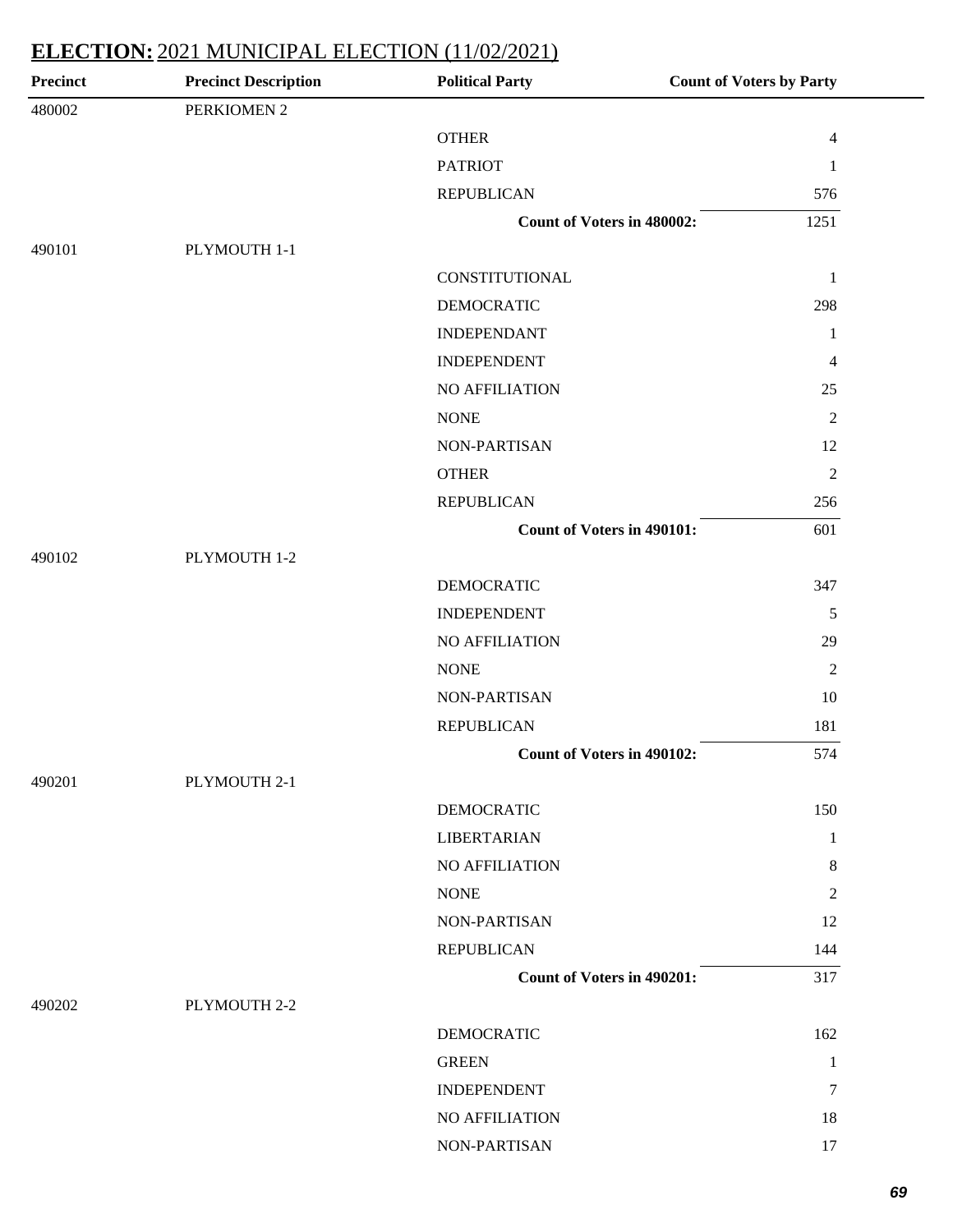| <b>Precinct</b> | <b>Precinct Description</b> | <b>Political Party</b>            | <b>Count of Voters by Party</b> |
|-----------------|-----------------------------|-----------------------------------|---------------------------------|
| 480002          | PERKIOMEN 2                 |                                   |                                 |
|                 |                             | <b>OTHER</b>                      | $\overline{4}$                  |
|                 |                             | <b>PATRIOT</b>                    | $\mathbf{1}$                    |
|                 |                             | <b>REPUBLICAN</b>                 | 576                             |
|                 |                             | <b>Count of Voters in 480002:</b> | 1251                            |
| 490101          | PLYMOUTH 1-1                |                                   |                                 |
|                 |                             | <b>CONSTITUTIONAL</b>             | $\mathbf{1}$                    |
|                 |                             | <b>DEMOCRATIC</b>                 | 298                             |
|                 |                             | <b>INDEPENDANT</b>                | 1                               |
|                 |                             | <b>INDEPENDENT</b>                | $\overline{4}$                  |
|                 |                             | NO AFFILIATION                    | 25                              |
|                 |                             | <b>NONE</b>                       | $\mathfrak{2}$                  |
|                 |                             | NON-PARTISAN                      | 12                              |
|                 |                             | <b>OTHER</b>                      | $\mathfrak{2}$                  |
|                 |                             | <b>REPUBLICAN</b>                 | 256                             |
|                 |                             | <b>Count of Voters in 490101:</b> | 601                             |
| 490102          | PLYMOUTH 1-2                |                                   |                                 |
|                 |                             | <b>DEMOCRATIC</b>                 | 347                             |
|                 |                             | <b>INDEPENDENT</b>                | 5                               |
|                 |                             | NO AFFILIATION                    | 29                              |
|                 |                             | <b>NONE</b>                       | $\overline{2}$                  |
|                 |                             | NON-PARTISAN                      | 10                              |
|                 |                             | <b>REPUBLICAN</b>                 | 181                             |
|                 |                             | <b>Count of Voters in 490102:</b> | 574                             |
| 490201          | PLYMOUTH 2-1                |                                   |                                 |
|                 |                             | <b>DEMOCRATIC</b>                 | 150                             |
|                 |                             | <b>LIBERTARIAN</b>                | 1                               |
|                 |                             | NO AFFILIATION                    | 8                               |
|                 |                             | <b>NONE</b>                       | $\overline{2}$                  |
|                 |                             | NON-PARTISAN                      | 12                              |
|                 |                             | <b>REPUBLICAN</b>                 | 144                             |
|                 |                             | <b>Count of Voters in 490201:</b> | 317                             |
| 490202          | PLYMOUTH 2-2                |                                   |                                 |
|                 |                             | <b>DEMOCRATIC</b>                 | 162                             |
|                 |                             | <b>GREEN</b>                      | $\mathbf{1}$                    |
|                 |                             | <b>INDEPENDENT</b>                | 7                               |
|                 |                             | NO AFFILIATION                    | 18                              |
|                 |                             | NON-PARTISAN                      | 17                              |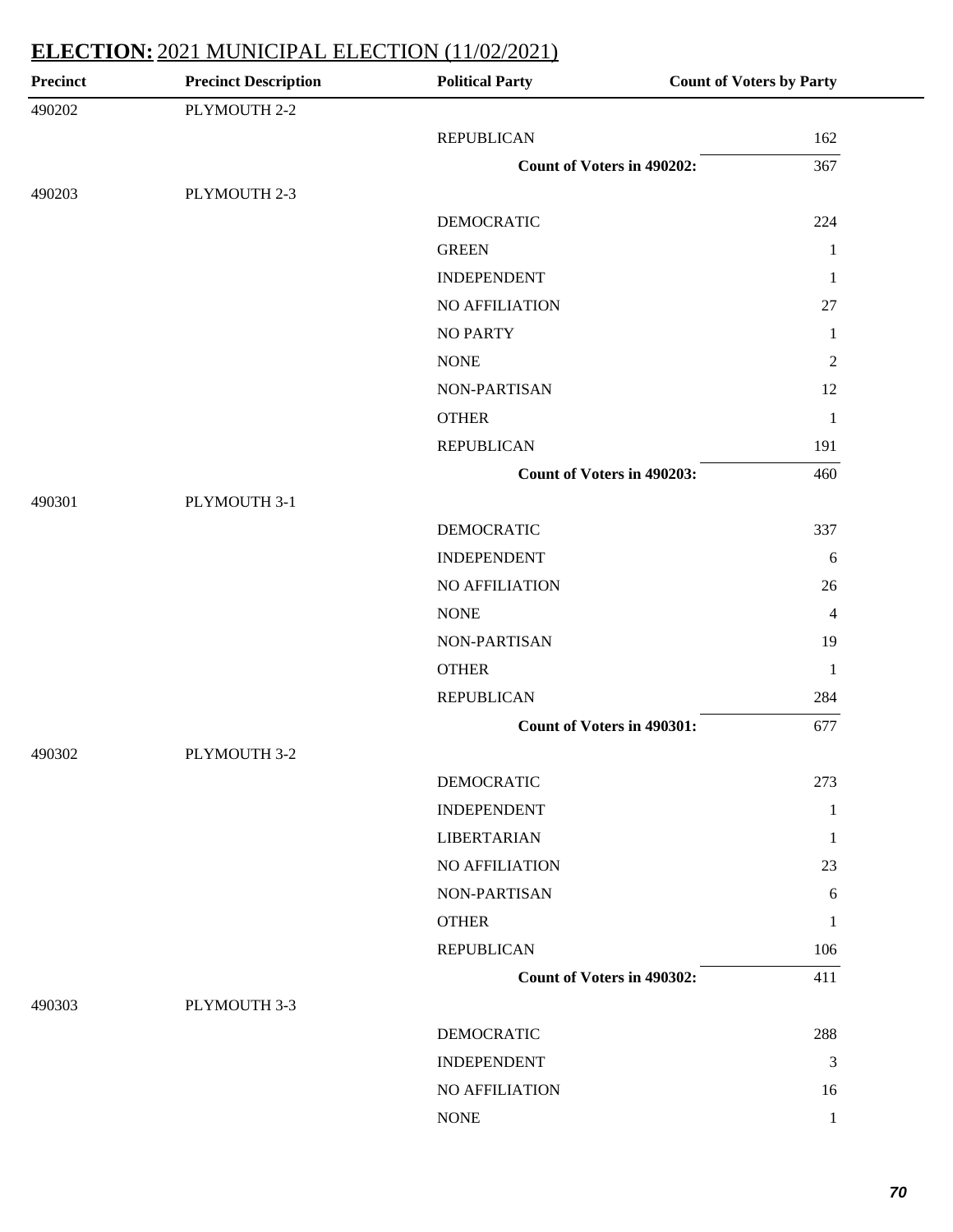| <b>Precinct</b> | <b>Precinct Description</b> | <b>Political Party</b>            | <b>Count of Voters by Party</b> |
|-----------------|-----------------------------|-----------------------------------|---------------------------------|
| 490202          | PLYMOUTH 2-2                |                                   |                                 |
|                 |                             | <b>REPUBLICAN</b>                 | 162                             |
|                 |                             | <b>Count of Voters in 490202:</b> | 367                             |
| 490203          | PLYMOUTH 2-3                |                                   |                                 |
|                 |                             | <b>DEMOCRATIC</b>                 | 224                             |
|                 |                             | <b>GREEN</b>                      | $\mathbf{1}$                    |
|                 |                             | <b>INDEPENDENT</b>                | 1                               |
|                 |                             | NO AFFILIATION                    | 27                              |
|                 |                             | <b>NO PARTY</b>                   | $\mathbf{1}$                    |
|                 |                             | <b>NONE</b>                       | $\mathfrak{2}$                  |
|                 |                             | NON-PARTISAN                      | 12                              |
|                 |                             | <b>OTHER</b>                      | $\mathbf{1}$                    |
|                 |                             | <b>REPUBLICAN</b>                 | 191                             |
|                 |                             | Count of Voters in 490203:        | 460                             |
| 490301          | PLYMOUTH 3-1                |                                   |                                 |
|                 |                             | <b>DEMOCRATIC</b>                 | 337                             |
|                 |                             | <b>INDEPENDENT</b>                | 6                               |
|                 |                             | NO AFFILIATION                    | 26                              |
|                 |                             | <b>NONE</b>                       | $\overline{4}$                  |
|                 |                             | NON-PARTISAN                      | 19                              |
|                 |                             | <b>OTHER</b>                      | $\mathbf{1}$                    |
|                 |                             | <b>REPUBLICAN</b>                 | 284                             |
|                 |                             | <b>Count of Voters in 490301:</b> | 677                             |
| 490302          | PLYMOUTH 3-2                |                                   |                                 |
|                 |                             | <b>DEMOCRATIC</b>                 | 273                             |
|                 |                             | <b>INDEPENDENT</b>                | $\mathbf{1}$                    |
|                 |                             | <b>LIBERTARIAN</b>                | 1                               |
|                 |                             | NO AFFILIATION                    | 23                              |
|                 |                             | NON-PARTISAN                      | 6                               |
|                 |                             | <b>OTHER</b>                      | 1                               |
|                 |                             | <b>REPUBLICAN</b>                 | 106                             |
|                 |                             | Count of Voters in 490302:        | 411                             |
| 490303          | PLYMOUTH 3-3                |                                   |                                 |
|                 |                             | <b>DEMOCRATIC</b>                 | 288                             |
|                 |                             | <b>INDEPENDENT</b>                | 3                               |
|                 |                             | NO AFFILIATION                    | 16                              |
|                 |                             | <b>NONE</b>                       | $\mathbf{1}$                    |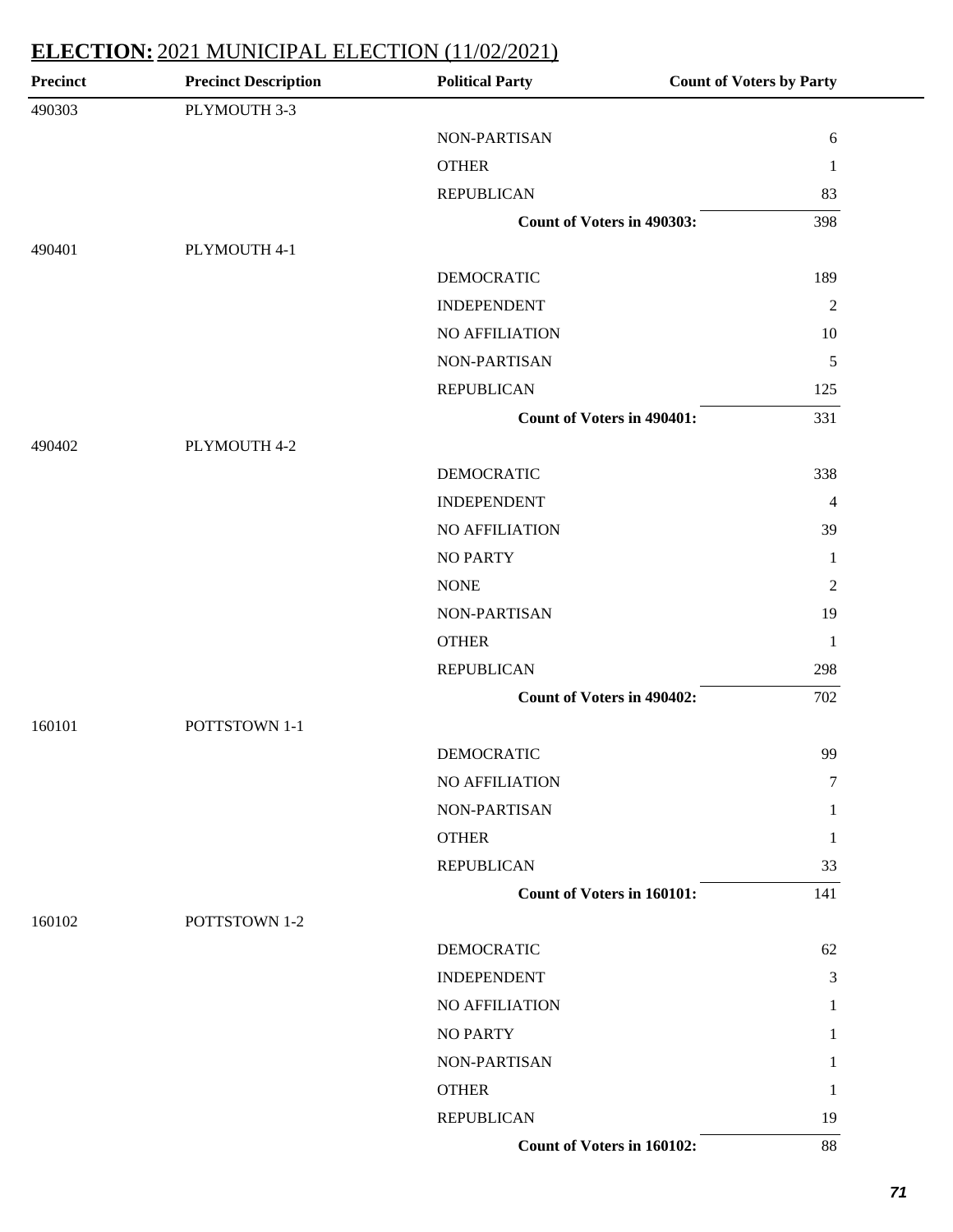| <b>Precinct</b> | <b>Precinct Description</b> | <b>Political Party</b>            | <b>Count of Voters by Party</b> |
|-----------------|-----------------------------|-----------------------------------|---------------------------------|
| 490303          | PLYMOUTH 3-3                |                                   |                                 |
|                 |                             | NON-PARTISAN                      | $\sqrt{6}$                      |
|                 |                             | <b>OTHER</b>                      | $\mathbf{1}$                    |
|                 |                             | <b>REPUBLICAN</b>                 | 83                              |
|                 |                             | Count of Voters in 490303:        | 398                             |
| 490401          | PLYMOUTH 4-1                |                                   |                                 |
|                 |                             | <b>DEMOCRATIC</b>                 | 189                             |
|                 |                             | <b>INDEPENDENT</b>                | $\mathfrak{2}$                  |
|                 |                             | NO AFFILIATION                    | 10                              |
|                 |                             | NON-PARTISAN                      | $\sqrt{5}$                      |
|                 |                             | <b>REPUBLICAN</b>                 | 125                             |
|                 |                             | Count of Voters in 490401:        | 331                             |
| 490402          | PLYMOUTH 4-2                |                                   |                                 |
|                 |                             | <b>DEMOCRATIC</b>                 | 338                             |
|                 |                             | <b>INDEPENDENT</b>                | $\overline{4}$                  |
|                 |                             | NO AFFILIATION                    | 39                              |
|                 |                             | <b>NO PARTY</b>                   | $\mathbf{1}$                    |
|                 |                             | <b>NONE</b>                       | $\overline{c}$                  |
|                 |                             | NON-PARTISAN                      | 19                              |
|                 |                             | <b>OTHER</b>                      | $\mathbf{1}$                    |
|                 |                             | <b>REPUBLICAN</b>                 | 298                             |
|                 |                             | Count of Voters in 490402:        | 702                             |
| 160101          | POTTSTOWN 1-1               |                                   |                                 |
|                 |                             | <b>DEMOCRATIC</b>                 | 99                              |
|                 |                             | NO AFFILIATION                    | $\tau$                          |
|                 |                             | NON-PARTISAN                      | 1                               |
|                 |                             | <b>OTHER</b>                      | -1                              |
|                 |                             | <b>REPUBLICAN</b>                 | 33                              |
|                 |                             | <b>Count of Voters in 160101:</b> | 141                             |
| 160102          | POTTSTOWN 1-2               |                                   |                                 |
|                 |                             | DEMOCRATIC                        | 62                              |
|                 |                             | <b>INDEPENDENT</b>                | 3                               |
|                 |                             | NO AFFILIATION                    | 1                               |
|                 |                             | <b>NO PARTY</b>                   |                                 |
|                 |                             | NON-PARTISAN                      | 1                               |
|                 |                             | <b>OTHER</b>                      | 1                               |
|                 |                             | <b>REPUBLICAN</b>                 | 19                              |
|                 |                             | Count of Voters in 160102:        | 88                              |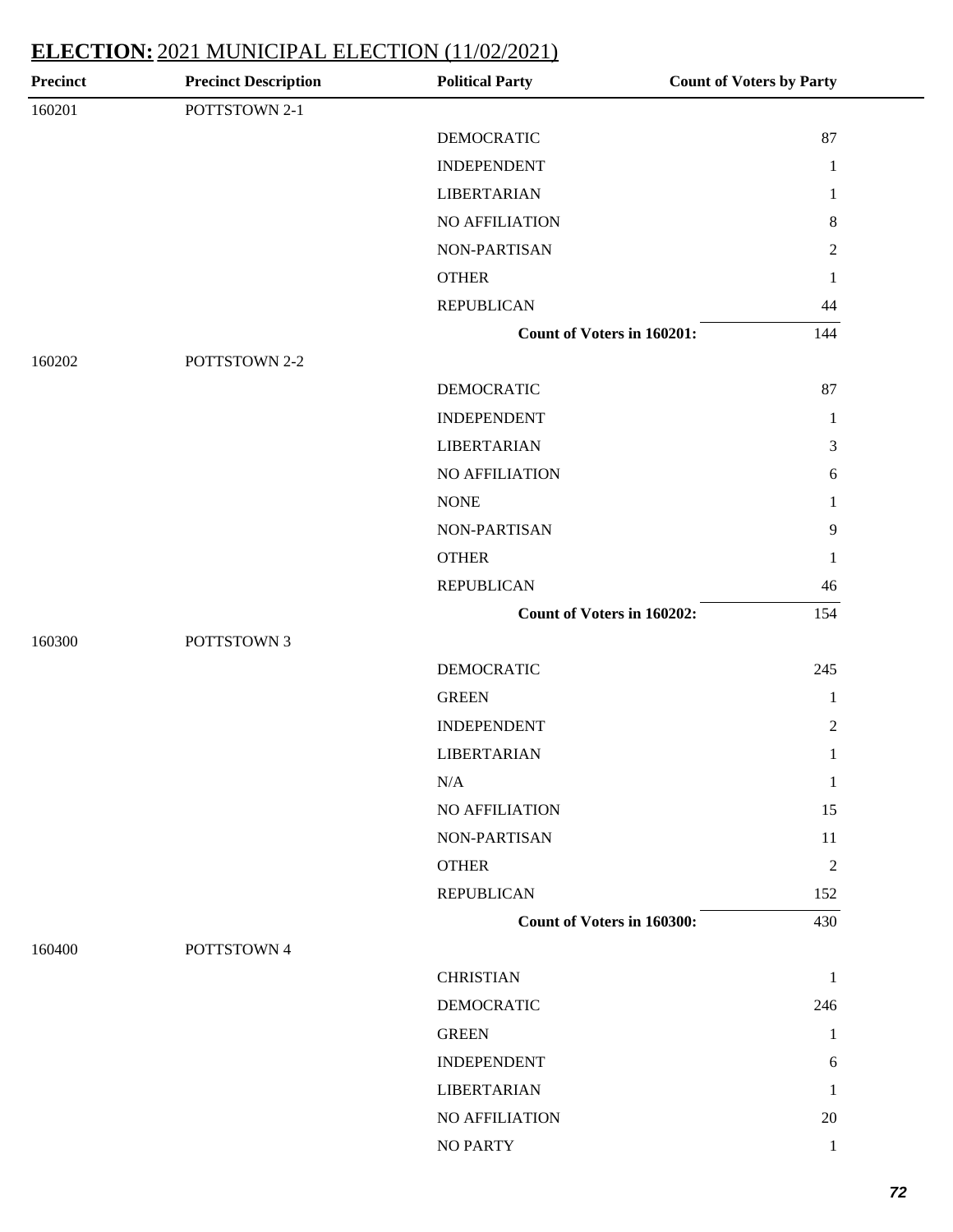| Precinct | <b>Precinct Description</b> | <b>Political Party</b>     | <b>Count of Voters by Party</b> |
|----------|-----------------------------|----------------------------|---------------------------------|
| 160201   | POTTSTOWN 2-1               |                            |                                 |
|          |                             | <b>DEMOCRATIC</b>          | 87                              |
|          |                             | <b>INDEPENDENT</b>         | $\mathbf{1}$                    |
|          |                             | <b>LIBERTARIAN</b>         | 1                               |
|          |                             | NO AFFILIATION             | $8\,$                           |
|          |                             | NON-PARTISAN               | $\overline{c}$                  |
|          |                             | <b>OTHER</b>               | 1                               |
|          |                             | <b>REPUBLICAN</b>          | $44$                            |
|          |                             | Count of Voters in 160201: | 144                             |
| 160202   | POTTSTOWN 2-2               |                            |                                 |
|          |                             | <b>DEMOCRATIC</b>          | 87                              |
|          |                             | <b>INDEPENDENT</b>         | $\mathbf{1}$                    |
|          |                             | <b>LIBERTARIAN</b>         | 3                               |
|          |                             | NO AFFILIATION             | $\sqrt{6}$                      |
|          |                             | <b>NONE</b>                | 1                               |
|          |                             | NON-PARTISAN               | $\overline{9}$                  |
|          |                             | <b>OTHER</b>               | 1                               |
|          |                             | <b>REPUBLICAN</b>          | 46                              |
|          |                             | Count of Voters in 160202: | 154                             |
| 160300   | POTTSTOWN 3                 |                            |                                 |
|          |                             | <b>DEMOCRATIC</b>          | 245                             |
|          |                             | <b>GREEN</b>               | $\mathbf{1}$                    |
|          |                             | <b>INDEPENDENT</b>         | $\mathfrak{2}$                  |
|          |                             | <b>LIBERTARIAN</b>         | $\mathbf{1}$                    |
|          |                             | $\rm N/A$                  | 1                               |
|          |                             | NO AFFILIATION             | 15                              |
|          |                             | NON-PARTISAN               | 11                              |
|          |                             | <b>OTHER</b>               | $\overline{2}$                  |
|          |                             | <b>REPUBLICAN</b>          | 152                             |
|          |                             | Count of Voters in 160300: | 430                             |
| 160400   | POTTSTOWN 4                 |                            |                                 |
|          |                             | <b>CHRISTIAN</b>           | 1                               |
|          |                             | <b>DEMOCRATIC</b>          | 246                             |
|          |                             | <b>GREEN</b>               | 1                               |
|          |                             | <b>INDEPENDENT</b>         | 6                               |
|          |                             | <b>LIBERTARIAN</b>         | 1                               |
|          |                             | NO AFFILIATION             | 20                              |
|          |                             | NO PARTY                   | $\mathbf{1}$                    |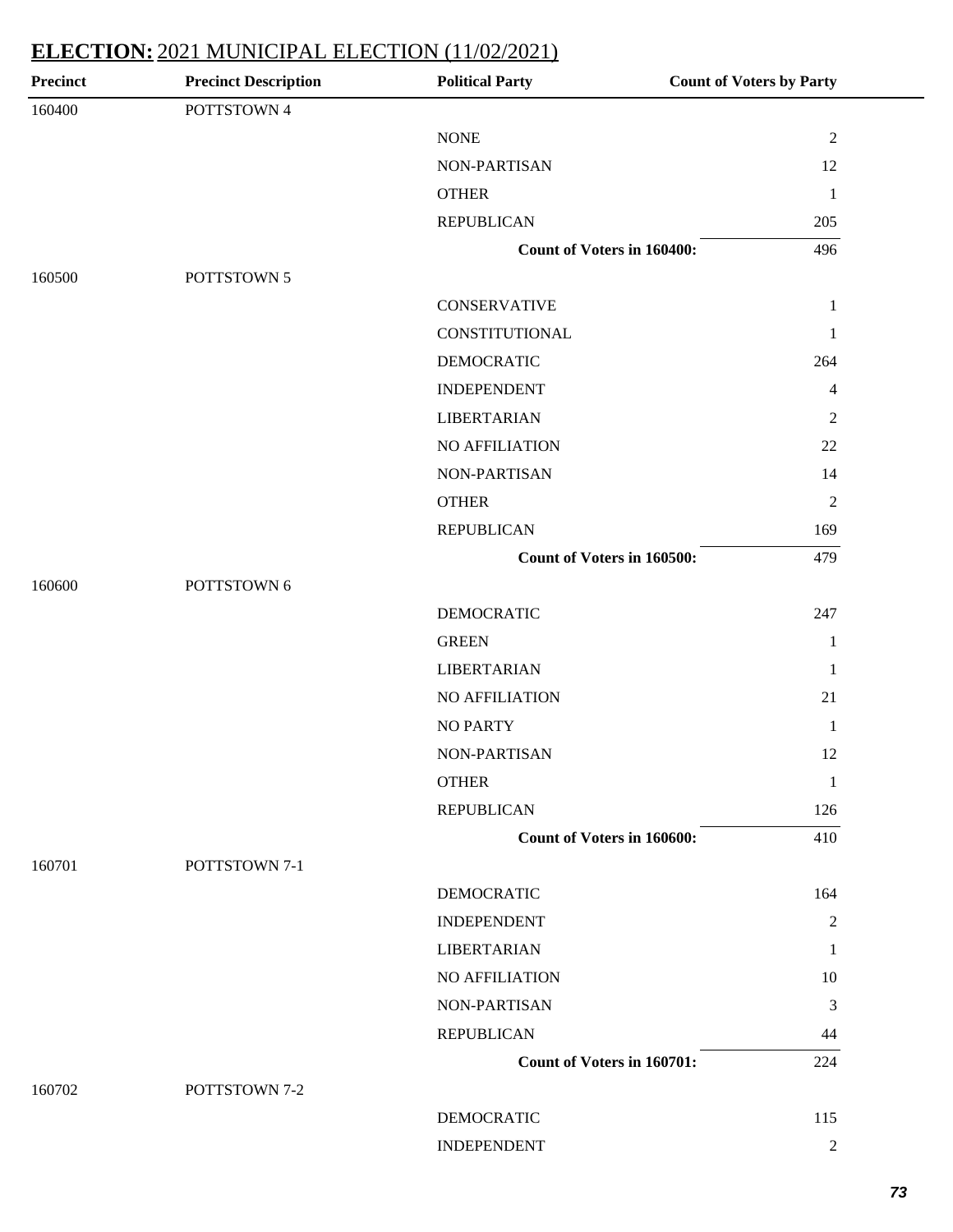| Precinct | <b>Precinct Description</b> | <b>Political Party</b>     | <b>Count of Voters by Party</b> |
|----------|-----------------------------|----------------------------|---------------------------------|
| 160400   | POTTSTOWN 4                 |                            |                                 |
|          |                             | <b>NONE</b>                | $\sqrt{2}$                      |
|          |                             | NON-PARTISAN               | 12                              |
|          |                             | <b>OTHER</b>               | 1                               |
|          |                             | <b>REPUBLICAN</b>          | 205                             |
|          |                             | Count of Voters in 160400: | 496                             |
| 160500   | POTTSTOWN 5                 |                            |                                 |
|          |                             | <b>CONSERVATIVE</b>        | $\mathbf{1}$                    |
|          |                             | CONSTITUTIONAL             | $\mathbf{1}$                    |
|          |                             | <b>DEMOCRATIC</b>          | 264                             |
|          |                             | <b>INDEPENDENT</b>         | 4                               |
|          |                             | <b>LIBERTARIAN</b>         | $\overline{c}$                  |
|          |                             | NO AFFILIATION             | 22                              |
|          |                             | NON-PARTISAN               | 14                              |
|          |                             | <b>OTHER</b>               | $\mathfrak{2}$                  |
|          |                             | <b>REPUBLICAN</b>          | 169                             |
|          |                             | Count of Voters in 160500: | 479                             |
| 160600   | POTTSTOWN 6                 |                            |                                 |
|          |                             | <b>DEMOCRATIC</b>          | 247                             |
|          |                             | <b>GREEN</b>               | $\mathbf{1}$                    |
|          |                             | LIBERTARIAN                | 1                               |
|          |                             | NO AFFILIATION             | 21                              |
|          |                             | <b>NO PARTY</b>            | 1                               |
|          |                             | NON-PARTISAN               | 12                              |
|          |                             | <b>OTHER</b>               | 1                               |
|          |                             | <b>REPUBLICAN</b>          | 126                             |
|          |                             | Count of Voters in 160600: | 410                             |
| 160701   | POTTSTOWN 7-1               |                            |                                 |
|          |                             | <b>DEMOCRATIC</b>          | 164                             |
|          |                             | <b>INDEPENDENT</b>         | $\overline{c}$                  |
|          |                             | <b>LIBERTARIAN</b>         | $\mathbf{1}$                    |
|          |                             | NO AFFILIATION             | 10                              |
|          |                             | NON-PARTISAN               | 3                               |
|          |                             | <b>REPUBLICAN</b>          | 44                              |
|          |                             | Count of Voters in 160701: | 224                             |
| 160702   | POTTSTOWN 7-2               |                            |                                 |
|          |                             | <b>DEMOCRATIC</b>          | 115                             |
|          |                             | <b>INDEPENDENT</b>         | $\overline{c}$                  |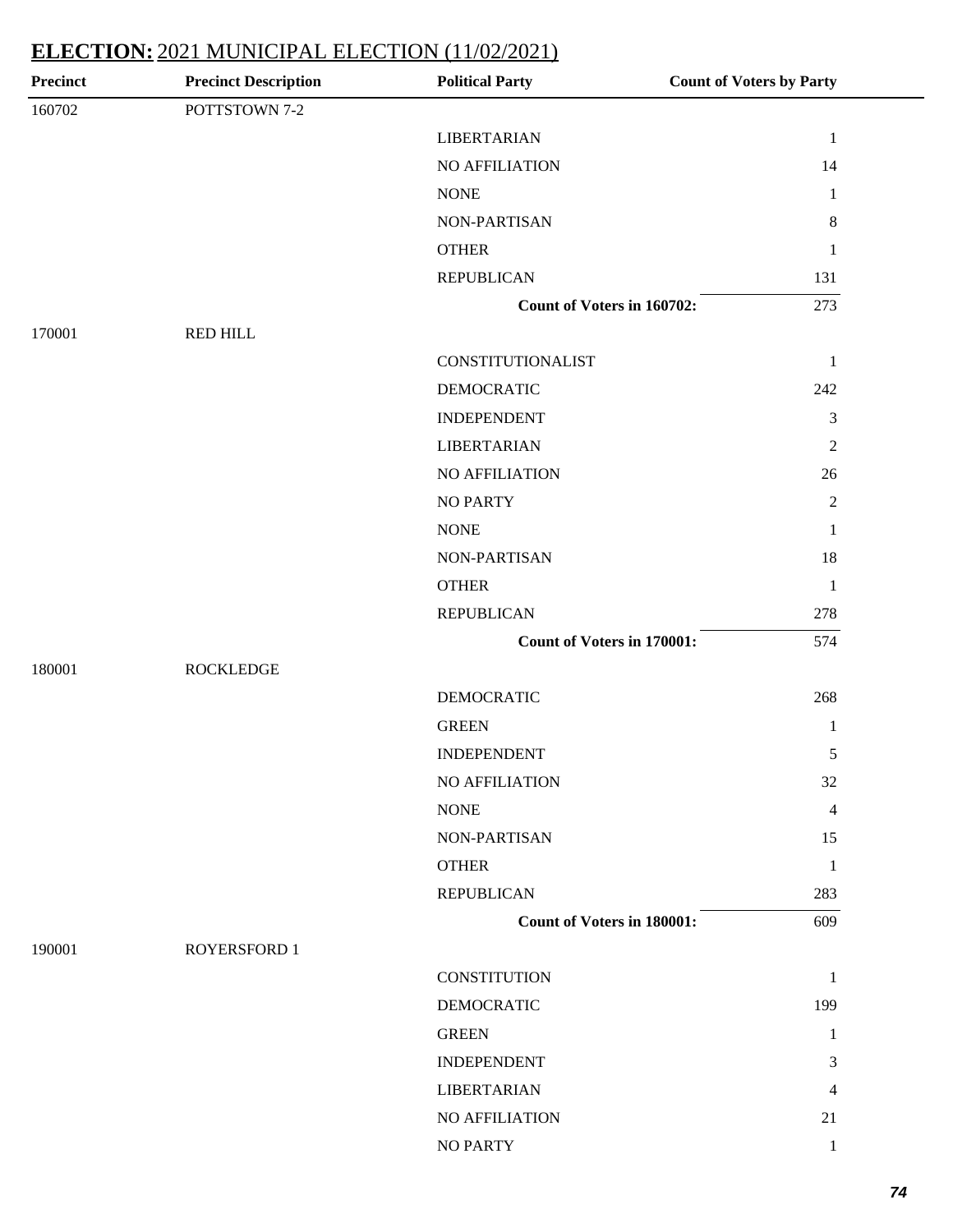| Precinct | <b>Precinct Description</b> | <b>Political Party</b>            | <b>Count of Voters by Party</b> |
|----------|-----------------------------|-----------------------------------|---------------------------------|
| 160702   | POTTSTOWN 7-2               |                                   |                                 |
|          |                             | <b>LIBERTARIAN</b>                | $\mathbf{1}$                    |
|          |                             | NO AFFILIATION                    | 14                              |
|          |                             | <b>NONE</b>                       | $\mathbf{1}$                    |
|          |                             | NON-PARTISAN                      | $8\,$                           |
|          |                             | <b>OTHER</b>                      | $\mathbf{1}$                    |
|          |                             | <b>REPUBLICAN</b>                 | 131                             |
|          |                             | Count of Voters in 160702:        | 273                             |
| 170001   | <b>RED HILL</b>             |                                   |                                 |
|          |                             | CONSTITUTIONALIST                 | $\mathbf{1}$                    |
|          |                             | <b>DEMOCRATIC</b>                 | 242                             |
|          |                             | <b>INDEPENDENT</b>                | 3                               |
|          |                             | <b>LIBERTARIAN</b>                | $\boldsymbol{2}$                |
|          |                             | NO AFFILIATION                    | 26                              |
|          |                             | <b>NO PARTY</b>                   | $\overline{c}$                  |
|          |                             | <b>NONE</b>                       | $\mathbf{1}$                    |
|          |                             | NON-PARTISAN                      | 18                              |
|          |                             | <b>OTHER</b>                      | $\mathbf{1}$                    |
|          |                             | <b>REPUBLICAN</b>                 | 278                             |
|          |                             | <b>Count of Voters in 170001:</b> | 574                             |
| 180001   | <b>ROCKLEDGE</b>            |                                   |                                 |
|          |                             | <b>DEMOCRATIC</b>                 | 268                             |
|          |                             | <b>GREEN</b>                      | $\mathbf{1}$                    |
|          |                             | <b>INDEPENDENT</b>                | 5                               |
|          |                             | <b>NO AFFILIATION</b>             | 32                              |
|          |                             | <b>NONE</b>                       | $\overline{4}$                  |
|          |                             | NON-PARTISAN                      | 15                              |
|          |                             | <b>OTHER</b>                      | $\mathbf{1}$                    |
|          |                             | <b>REPUBLICAN</b>                 | 283                             |
|          |                             | <b>Count of Voters in 180001:</b> | 609                             |
| 190001   | <b>ROYERSFORD 1</b>         |                                   |                                 |
|          |                             | <b>CONSTITUTION</b>               | $\mathbf{1}$                    |
|          |                             | <b>DEMOCRATIC</b>                 | 199                             |
|          |                             | <b>GREEN</b>                      | $\mathbf{1}$                    |
|          |                             | <b>INDEPENDENT</b>                | 3                               |
|          |                             | <b>LIBERTARIAN</b>                | 4                               |
|          |                             | NO AFFILIATION                    | 21                              |
|          |                             | <b>NO PARTY</b>                   | 1                               |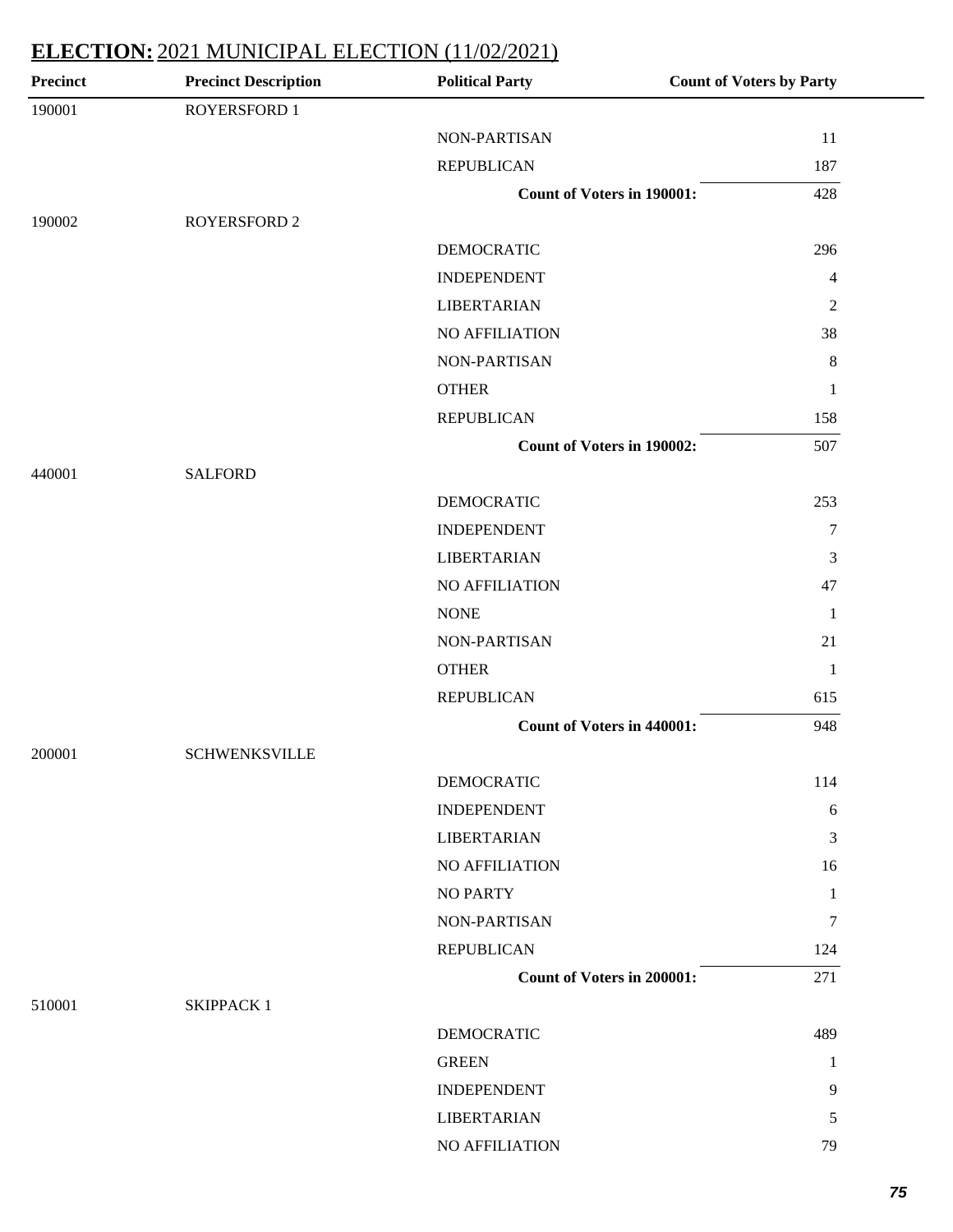| <b>Precinct</b> | <b>Precinct Description</b> | <b>Political Party</b>            | <b>Count of Voters by Party</b> |
|-----------------|-----------------------------|-----------------------------------|---------------------------------|
| 190001          | ROYERSFORD 1                |                                   |                                 |
|                 |                             | <b>NON-PARTISAN</b>               | 11                              |
|                 |                             | <b>REPUBLICAN</b>                 | 187                             |
|                 |                             | <b>Count of Voters in 190001:</b> | 428                             |
| 190002          | <b>ROYERSFORD 2</b>         |                                   |                                 |
|                 |                             | <b>DEMOCRATIC</b>                 | 296                             |
|                 |                             | <b>INDEPENDENT</b>                | $\overline{4}$                  |
|                 |                             | <b>LIBERTARIAN</b>                | $\overline{c}$                  |
|                 |                             | NO AFFILIATION                    | 38                              |
|                 |                             | <b>NON-PARTISAN</b>               | $\,8$                           |
|                 |                             | <b>OTHER</b>                      | $\mathbf{1}$                    |
|                 |                             | <b>REPUBLICAN</b>                 | 158                             |
|                 |                             | <b>Count of Voters in 190002:</b> | 507                             |
| 440001          | <b>SALFORD</b>              |                                   |                                 |
|                 |                             | <b>DEMOCRATIC</b>                 | 253                             |
|                 |                             | <b>INDEPENDENT</b>                | $\tau$                          |
|                 |                             | <b>LIBERTARIAN</b>                | 3                               |
|                 |                             | NO AFFILIATION                    | 47                              |
|                 |                             | <b>NONE</b>                       | $\mathbf{1}$                    |
|                 |                             | NON-PARTISAN                      | 21                              |
|                 |                             | <b>OTHER</b>                      | $\mathbf{1}$                    |
|                 |                             | <b>REPUBLICAN</b>                 | 615                             |
|                 |                             | <b>Count of Voters in 440001:</b> | 948                             |
| 200001          | <b>SCHWENKSVILLE</b>        |                                   |                                 |
|                 |                             | <b>DEMOCRATIC</b>                 | 114                             |
|                 |                             | <b>INDEPENDENT</b>                | 6                               |
|                 |                             | <b>LIBERTARIAN</b>                | 3                               |
|                 |                             | <b>NO AFFILIATION</b>             | 16                              |
|                 |                             | <b>NO PARTY</b>                   | 1                               |
|                 |                             | <b>NON-PARTISAN</b>               | 7                               |
|                 |                             | <b>REPUBLICAN</b>                 | 124                             |
|                 |                             | <b>Count of Voters in 200001:</b> | 271                             |
| 510001          | <b>SKIPPACK1</b>            |                                   |                                 |
|                 |                             | <b>DEMOCRATIC</b>                 | 489                             |
|                 |                             | <b>GREEN</b>                      | 1                               |
|                 |                             | <b>INDEPENDENT</b>                | 9                               |
|                 |                             | <b>LIBERTARIAN</b>                | 5                               |
|                 |                             | NO AFFILIATION                    | 79                              |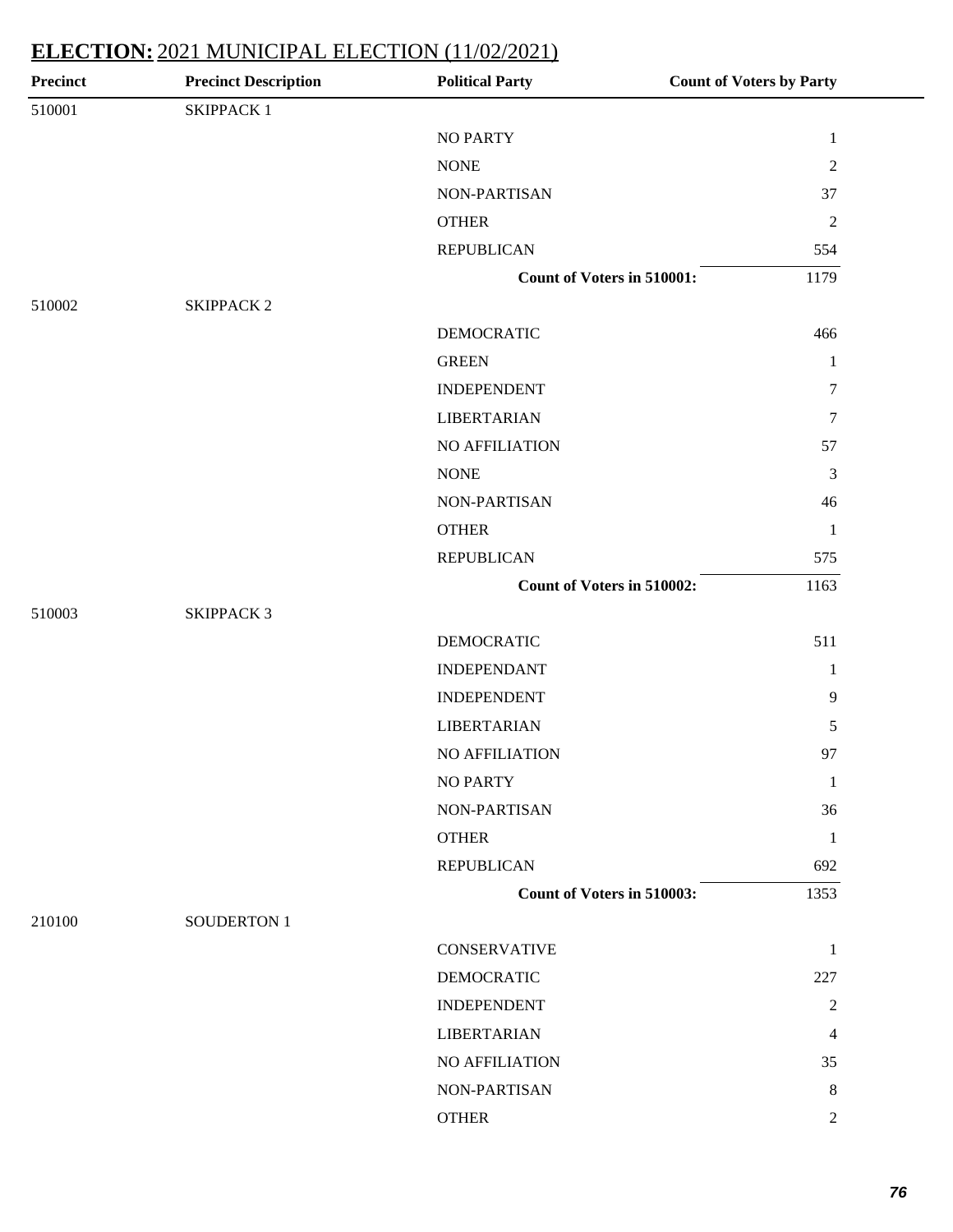| <b>Precinct</b> | <b>Precinct Description</b> | <b>Political Party</b>     | <b>Count of Voters by Party</b> |
|-----------------|-----------------------------|----------------------------|---------------------------------|
| 510001          | <b>SKIPPACK1</b>            |                            |                                 |
|                 |                             | <b>NO PARTY</b>            | $\mathbf{1}$                    |
|                 |                             | <b>NONE</b>                | $\sqrt{2}$                      |
|                 |                             | NON-PARTISAN               | 37                              |
|                 |                             | <b>OTHER</b>               | $\sqrt{2}$                      |
|                 |                             | <b>REPUBLICAN</b>          | 554                             |
|                 |                             | Count of Voters in 510001: | 1179                            |
| 510002          | <b>SKIPPACK 2</b>           |                            |                                 |
|                 |                             | <b>DEMOCRATIC</b>          | 466                             |
|                 |                             | <b>GREEN</b>               | $\mathbf{1}$                    |
|                 |                             | <b>INDEPENDENT</b>         | $\tau$                          |
|                 |                             | <b>LIBERTARIAN</b>         | $\tau$                          |
|                 |                             | NO AFFILIATION             | 57                              |
|                 |                             | <b>NONE</b>                | 3                               |
|                 |                             | NON-PARTISAN               | 46                              |
|                 |                             | <b>OTHER</b>               | $\mathbf{1}$                    |
|                 |                             | <b>REPUBLICAN</b>          | 575                             |
|                 |                             | Count of Voters in 510002: | 1163                            |
| 510003          | <b>SKIPPACK 3</b>           |                            |                                 |
|                 |                             | <b>DEMOCRATIC</b>          | 511                             |
|                 |                             | <b>INDEPENDANT</b>         | $\mathbf{1}$                    |
|                 |                             | <b>INDEPENDENT</b>         | 9                               |
|                 |                             | <b>LIBERTARIAN</b>         | 5                               |
|                 |                             | NO AFFILIATION             | 97                              |
|                 |                             | <b>NO PARTY</b>            | $\mathbf{1}$                    |
|                 |                             | NON-PARTISAN               | 36                              |
|                 |                             | <b>OTHER</b>               | 1                               |
|                 |                             | <b>REPUBLICAN</b>          | 692                             |
|                 |                             | Count of Voters in 510003: | 1353                            |
| 210100          | <b>SOUDERTON 1</b>          |                            |                                 |
|                 |                             | <b>CONSERVATIVE</b>        | $\mathbf{1}$                    |
|                 |                             | <b>DEMOCRATIC</b>          | 227                             |
|                 |                             | <b>INDEPENDENT</b>         | $\overline{c}$                  |
|                 |                             | <b>LIBERTARIAN</b>         | 4                               |
|                 |                             | NO AFFILIATION             | 35                              |
|                 |                             | NON-PARTISAN               | 8                               |
|                 |                             | <b>OTHER</b>               | $\overline{2}$                  |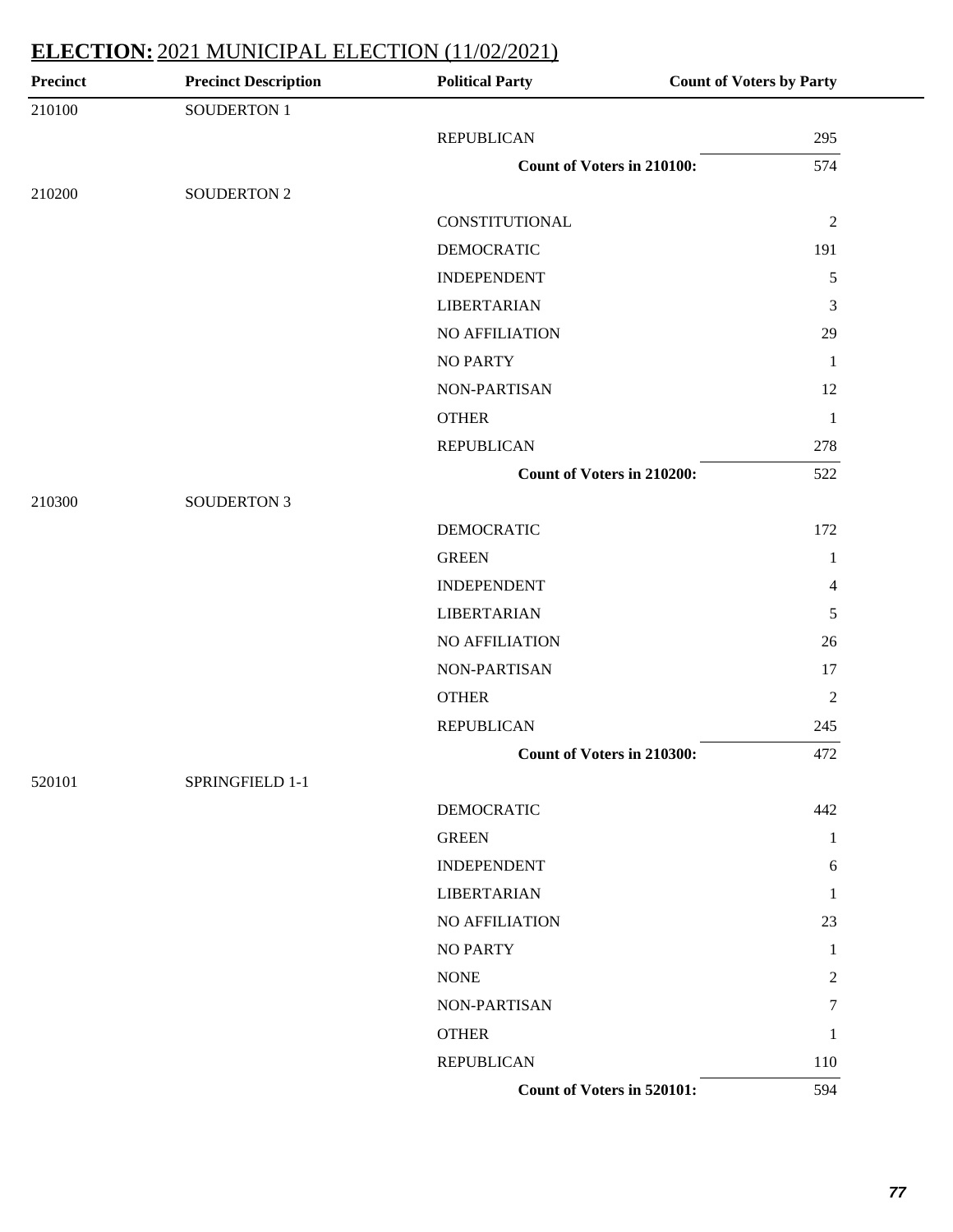| <b>Precinct</b> | <b>Precinct Description</b> | <b>Political Party</b>            | <b>Count of Voters by Party</b> |
|-----------------|-----------------------------|-----------------------------------|---------------------------------|
| 210100          | <b>SOUDERTON 1</b>          |                                   |                                 |
|                 |                             | <b>REPUBLICAN</b>                 | 295                             |
|                 |                             | <b>Count of Voters in 210100:</b> | 574                             |
| 210200          | <b>SOUDERTON 2</b>          |                                   |                                 |
|                 |                             | <b>CONSTITUTIONAL</b>             | $\overline{2}$                  |
|                 |                             | <b>DEMOCRATIC</b>                 | 191                             |
|                 |                             | <b>INDEPENDENT</b>                | $\sqrt{5}$                      |
|                 |                             | <b>LIBERTARIAN</b>                | 3                               |
|                 |                             | NO AFFILIATION                    | 29                              |
|                 |                             | <b>NO PARTY</b>                   | 1                               |
|                 |                             | NON-PARTISAN                      | 12                              |
|                 |                             | <b>OTHER</b>                      | $\mathbf{1}$                    |
|                 |                             | <b>REPUBLICAN</b>                 | 278                             |
|                 |                             | <b>Count of Voters in 210200:</b> | 522                             |
| 210300          | <b>SOUDERTON 3</b>          |                                   |                                 |
|                 |                             | <b>DEMOCRATIC</b>                 | 172                             |
|                 |                             | <b>GREEN</b>                      | 1                               |
|                 |                             | <b>INDEPENDENT</b>                | $\overline{4}$                  |
|                 |                             | <b>LIBERTARIAN</b>                | 5                               |
|                 |                             | NO AFFILIATION                    | 26                              |
|                 |                             | NON-PARTISAN                      | 17                              |
|                 |                             | <b>OTHER</b>                      | $\overline{2}$                  |
|                 |                             | <b>REPUBLICAN</b>                 | 245                             |
|                 |                             | <b>Count of Voters in 210300:</b> | 472                             |
| 520101          | SPRINGFIELD 1-1             |                                   |                                 |
|                 |                             | <b>DEMOCRATIC</b>                 | 442                             |
|                 |                             | <b>GREEN</b>                      | 1                               |
|                 |                             | <b>INDEPENDENT</b>                | 6                               |
|                 |                             | <b>LIBERTARIAN</b>                | 1                               |
|                 |                             | NO AFFILIATION                    | 23                              |
|                 |                             | <b>NO PARTY</b>                   | 1                               |
|                 |                             | <b>NONE</b>                       | $\mathfrak{2}$                  |
|                 |                             | NON-PARTISAN                      | 7                               |
|                 |                             | <b>OTHER</b>                      | 1                               |
|                 |                             | <b>REPUBLICAN</b>                 | 110                             |
|                 |                             | Count of Voters in 520101:        | 594                             |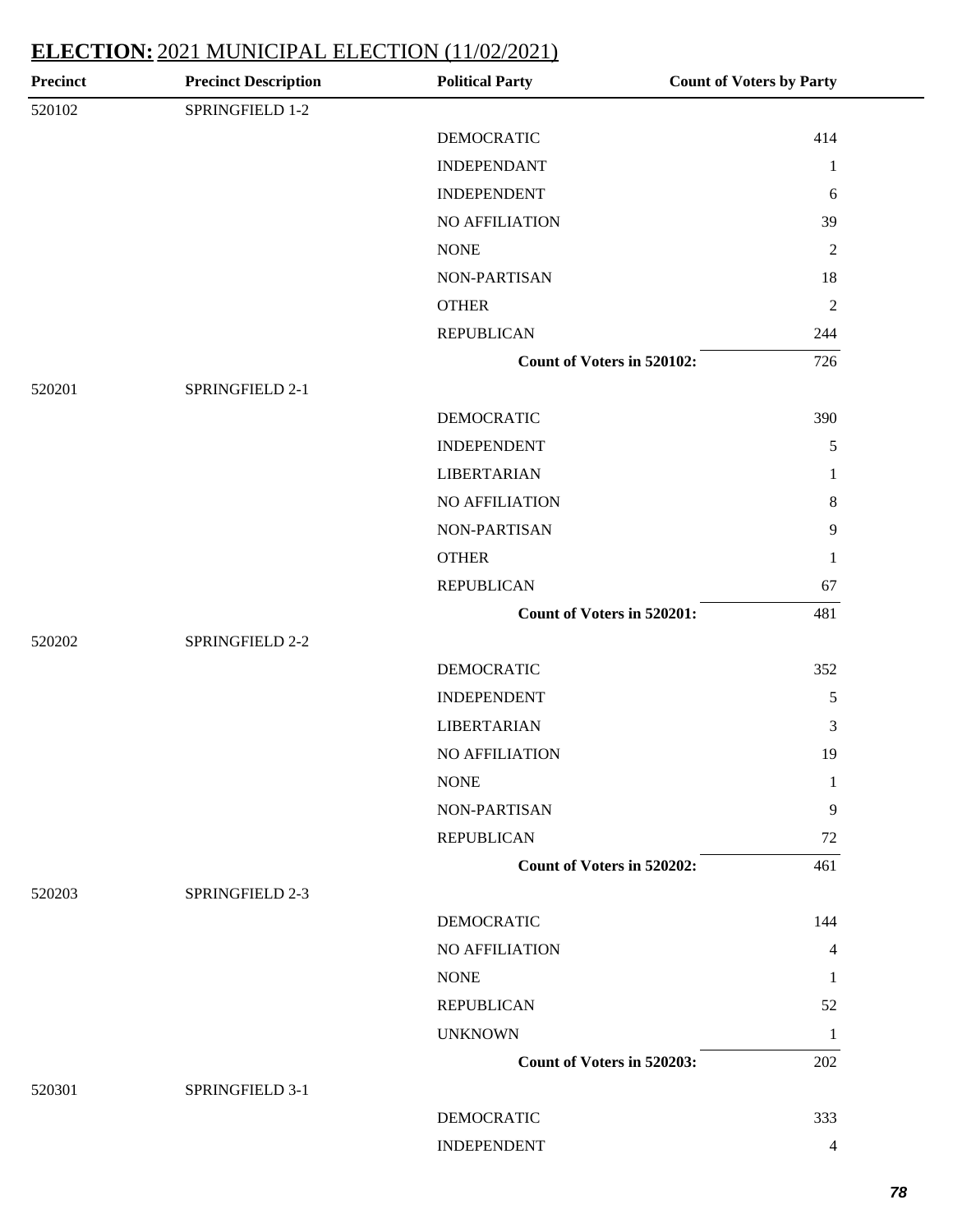| <b>Precinct</b> | <b>Precinct Description</b> | <b>Political Party</b>     | <b>Count of Voters by Party</b> |
|-----------------|-----------------------------|----------------------------|---------------------------------|
| 520102          | SPRINGFIELD 1-2             |                            |                                 |
|                 |                             | <b>DEMOCRATIC</b>          | 414                             |
|                 |                             | <b>INDEPENDANT</b>         | $\mathbf{1}$                    |
|                 |                             | <b>INDEPENDENT</b>         | 6                               |
|                 |                             | NO AFFILIATION             | 39                              |
|                 |                             | <b>NONE</b>                | $\sqrt{2}$                      |
|                 |                             | NON-PARTISAN               | 18                              |
|                 |                             | <b>OTHER</b>               | $\sqrt{2}$                      |
|                 |                             | <b>REPUBLICAN</b>          | 244                             |
|                 |                             | Count of Voters in 520102: | 726                             |
| 520201          | SPRINGFIELD 2-1             |                            |                                 |
|                 |                             | <b>DEMOCRATIC</b>          | 390                             |
|                 |                             | <b>INDEPENDENT</b>         | $\sqrt{5}$                      |
|                 |                             | <b>LIBERTARIAN</b>         | $\mathbf{1}$                    |
|                 |                             | NO AFFILIATION             | $\,8\,$                         |
|                 |                             | NON-PARTISAN               | $\overline{9}$                  |
|                 |                             | <b>OTHER</b>               | 1                               |
|                 |                             | <b>REPUBLICAN</b>          | 67                              |
|                 |                             | Count of Voters in 520201: | 481                             |
| 520202          | SPRINGFIELD 2-2             |                            |                                 |
|                 |                             | <b>DEMOCRATIC</b>          | 352                             |
|                 |                             | <b>INDEPENDENT</b>         | $\sqrt{5}$                      |
|                 |                             | <b>LIBERTARIAN</b>         | $\mathfrak{Z}$                  |
|                 |                             | <b>NO AFFILIATION</b>      | 19                              |
|                 |                             | <b>NONE</b>                | 1                               |
|                 |                             | NON-PARTISAN               | 9                               |
|                 |                             | <b>REPUBLICAN</b>          | 72                              |
|                 |                             | Count of Voters in 520202: | 461                             |
| 520203          | SPRINGFIELD 2-3             |                            |                                 |
|                 |                             | <b>DEMOCRATIC</b>          | 144                             |
|                 |                             | NO AFFILIATION             | $\overline{4}$                  |
|                 |                             | <b>NONE</b>                | 1                               |
|                 |                             | <b>REPUBLICAN</b>          | 52                              |
|                 |                             | <b>UNKNOWN</b>             | 1                               |
|                 |                             | Count of Voters in 520203: | 202                             |
| 520301          | SPRINGFIELD 3-1             |                            |                                 |
|                 |                             | <b>DEMOCRATIC</b>          | 333                             |
|                 |                             | <b>INDEPENDENT</b>         | $\overline{4}$                  |
|                 |                             |                            |                                 |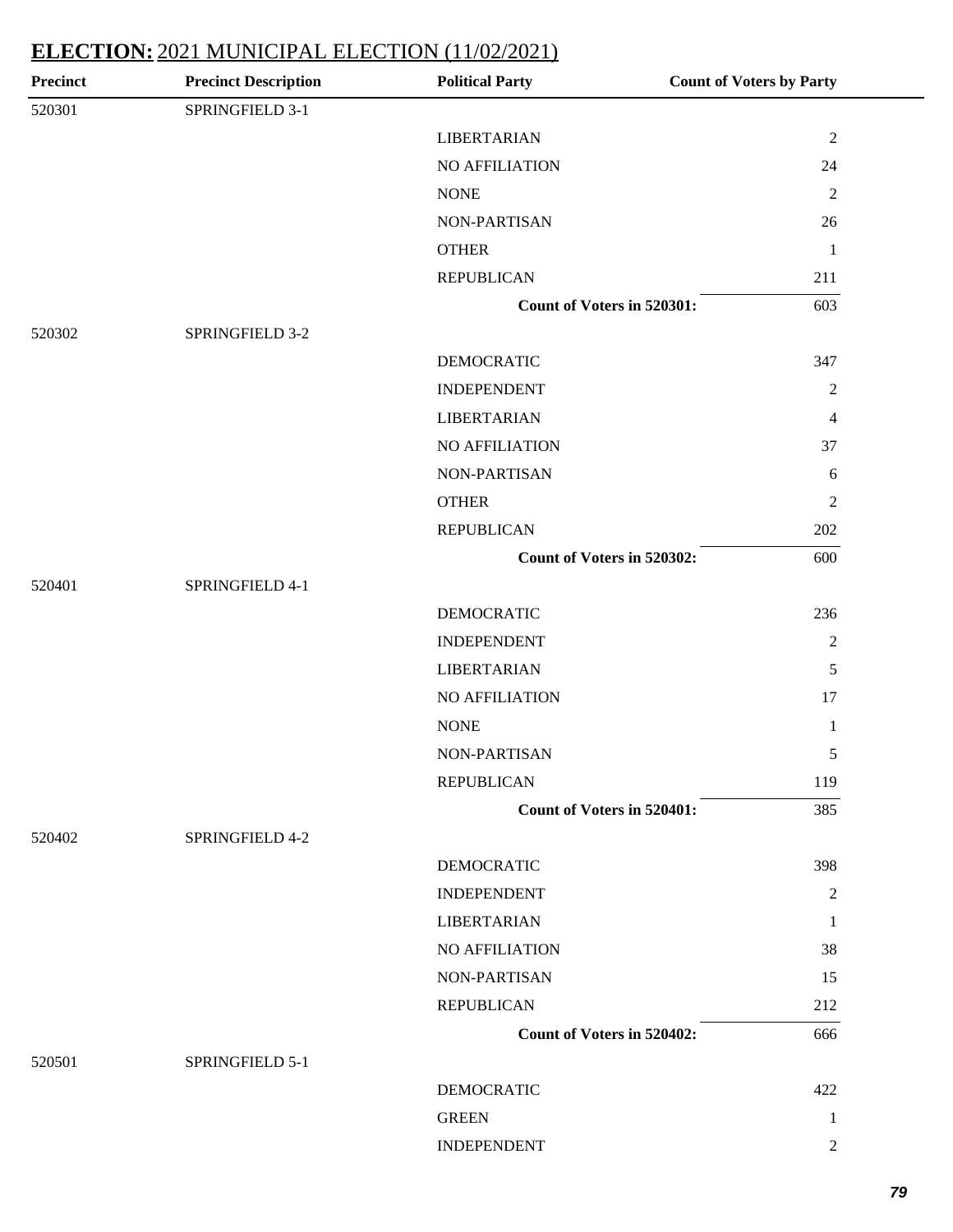| <b>Precinct Description</b> | <b>Political Party</b> | <b>Count of Voters by Party</b>                                                                                             |
|-----------------------------|------------------------|-----------------------------------------------------------------------------------------------------------------------------|
| SPRINGFIELD 3-1             |                        |                                                                                                                             |
|                             | <b>LIBERTARIAN</b>     | $\sqrt{2}$                                                                                                                  |
|                             | NO AFFILIATION         | 24                                                                                                                          |
|                             | <b>NONE</b>            | $\boldsymbol{2}$                                                                                                            |
|                             | NON-PARTISAN           | 26                                                                                                                          |
|                             | <b>OTHER</b>           | $\mathbf{1}$                                                                                                                |
|                             | <b>REPUBLICAN</b>      | 211                                                                                                                         |
|                             |                        | 603                                                                                                                         |
| SPRINGFIELD 3-2             |                        |                                                                                                                             |
|                             | <b>DEMOCRATIC</b>      | 347                                                                                                                         |
|                             | <b>INDEPENDENT</b>     | $\mathbf{2}$                                                                                                                |
|                             | <b>LIBERTARIAN</b>     | $\overline{4}$                                                                                                              |
|                             | <b>NO AFFILIATION</b>  | 37                                                                                                                          |
|                             | NON-PARTISAN           | $\sqrt{6}$                                                                                                                  |
|                             | <b>OTHER</b>           | $\boldsymbol{2}$                                                                                                            |
|                             | <b>REPUBLICAN</b>      | 202                                                                                                                         |
|                             |                        | 600                                                                                                                         |
| SPRINGFIELD 4-1             |                        |                                                                                                                             |
|                             | <b>DEMOCRATIC</b>      | 236                                                                                                                         |
|                             | <b>INDEPENDENT</b>     | $\mathbf{2}$                                                                                                                |
|                             | <b>LIBERTARIAN</b>     | 5                                                                                                                           |
|                             | <b>NO AFFILIATION</b>  | 17                                                                                                                          |
|                             | <b>NONE</b>            | $\mathbf{1}$                                                                                                                |
|                             | NON-PARTISAN           | 5                                                                                                                           |
|                             | <b>REPUBLICAN</b>      | 119                                                                                                                         |
|                             |                        | 385                                                                                                                         |
| SPRINGFIELD 4-2             |                        |                                                                                                                             |
|                             | <b>DEMOCRATIC</b>      | 398                                                                                                                         |
|                             | <b>INDEPENDENT</b>     | 2                                                                                                                           |
|                             | <b>LIBERTARIAN</b>     | $\mathbf{1}$                                                                                                                |
|                             | NO AFFILIATION         | 38                                                                                                                          |
|                             | NON-PARTISAN           | 15                                                                                                                          |
|                             | <b>REPUBLICAN</b>      | 212                                                                                                                         |
|                             |                        | 666                                                                                                                         |
| SPRINGFIELD 5-1             |                        |                                                                                                                             |
|                             | <b>DEMOCRATIC</b>      | 422                                                                                                                         |
|                             | <b>GREEN</b>           | 1                                                                                                                           |
|                             | <b>INDEPENDENT</b>     | 2                                                                                                                           |
|                             |                        | Count of Voters in 520301:<br>Count of Voters in 520302:<br><b>Count of Voters in 520401:</b><br>Count of Voters in 520402: |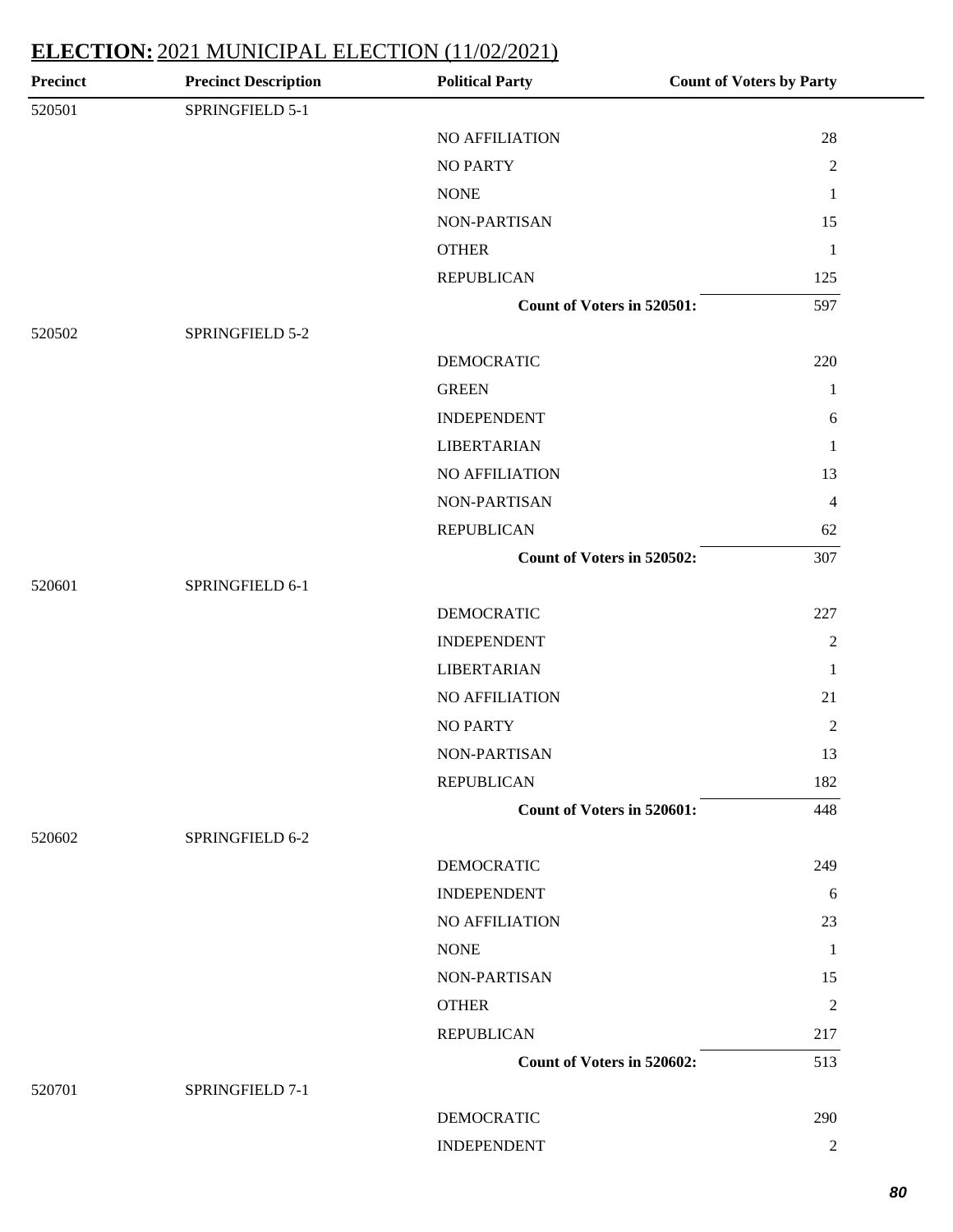| Precinct | <b>Precinct Description</b> | <b>Political Party</b>     | <b>Count of Voters by Party</b> |
|----------|-----------------------------|----------------------------|---------------------------------|
| 520501   | SPRINGFIELD 5-1             |                            |                                 |
|          |                             | NO AFFILIATION             | 28                              |
|          |                             | <b>NO PARTY</b>            | $\sqrt{2}$                      |
|          |                             | $\rm{NONE}$                | $\mathbf{1}$                    |
|          |                             | NON-PARTISAN               | 15                              |
|          |                             | <b>OTHER</b>               | $\mathbf{1}$                    |
|          |                             | <b>REPUBLICAN</b>          | 125                             |
|          |                             | Count of Voters in 520501: | 597                             |
| 520502   | SPRINGFIELD 5-2             |                            |                                 |
|          |                             | <b>DEMOCRATIC</b>          | 220                             |
|          |                             | <b>GREEN</b>               | $\mathbf{1}$                    |
|          |                             | <b>INDEPENDENT</b>         | 6                               |
|          |                             | <b>LIBERTARIAN</b>         | $\mathbf{1}$                    |
|          |                             | NO AFFILIATION             | 13                              |
|          |                             | NON-PARTISAN               | $\overline{4}$                  |
|          |                             | <b>REPUBLICAN</b>          | 62                              |
|          |                             | Count of Voters in 520502: | 307                             |
| 520601   | SPRINGFIELD 6-1             |                            |                                 |
|          |                             | <b>DEMOCRATIC</b>          | 227                             |
|          |                             | <b>INDEPENDENT</b>         | $\sqrt{2}$                      |
|          |                             | <b>LIBERTARIAN</b>         | $\mathbf{1}$                    |
|          |                             | NO AFFILIATION             | 21                              |
|          |                             | <b>NO PARTY</b>            | $\sqrt{2}$                      |
|          |                             | NON-PARTISAN               | 13                              |
|          |                             | <b>REPUBLICAN</b>          | 182                             |
|          |                             | Count of Voters in 520601: | 448                             |
| 520602   | SPRINGFIELD 6-2             |                            |                                 |
|          |                             | <b>DEMOCRATIC</b>          | 249                             |
|          |                             | <b>INDEPENDENT</b>         | 6                               |
|          |                             | NO AFFILIATION             | 23                              |
|          |                             | <b>NONE</b>                | 1                               |
|          |                             | NON-PARTISAN               | 15                              |
|          |                             | <b>OTHER</b>               | $\overline{2}$                  |
|          |                             | <b>REPUBLICAN</b>          | 217                             |
|          |                             | Count of Voters in 520602: | 513                             |
| 520701   | SPRINGFIELD 7-1             |                            |                                 |
|          |                             | <b>DEMOCRATIC</b>          | 290                             |
|          |                             | <b>INDEPENDENT</b>         | $\overline{2}$                  |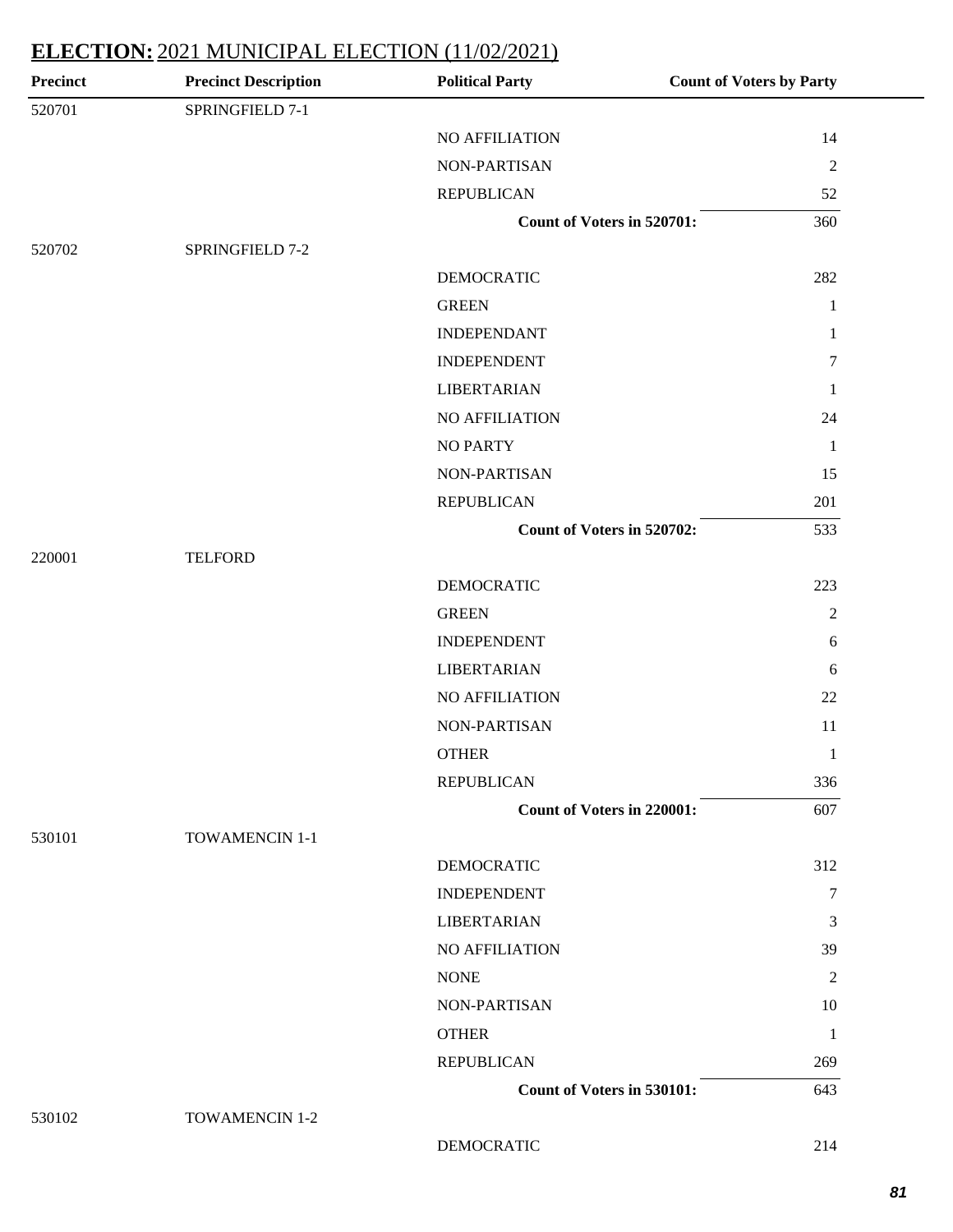| <b>Precinct</b> | <b>Precinct Description</b> | <b>Political Party</b>            | <b>Count of Voters by Party</b> |
|-----------------|-----------------------------|-----------------------------------|---------------------------------|
| 520701          | SPRINGFIELD 7-1             |                                   |                                 |
|                 |                             | NO AFFILIATION                    | 14                              |
|                 |                             | NON-PARTISAN                      | $\overline{2}$                  |
|                 |                             | <b>REPUBLICAN</b>                 | 52                              |
|                 |                             | Count of Voters in 520701:        | 360                             |
| 520702          | SPRINGFIELD 7-2             |                                   |                                 |
|                 |                             | <b>DEMOCRATIC</b>                 | 282                             |
|                 |                             | <b>GREEN</b>                      | $\mathbf{1}$                    |
|                 |                             | <b>INDEPENDANT</b>                | 1                               |
|                 |                             | <b>INDEPENDENT</b>                | $\tau$                          |
|                 |                             | <b>LIBERTARIAN</b>                | 1                               |
|                 |                             | NO AFFILIATION                    | 24                              |
|                 |                             | <b>NO PARTY</b>                   | $\mathbf{1}$                    |
|                 |                             | NON-PARTISAN                      | 15                              |
|                 |                             | <b>REPUBLICAN</b>                 | 201                             |
|                 |                             | Count of Voters in 520702:        | 533                             |
| 220001          | <b>TELFORD</b>              |                                   |                                 |
|                 |                             | <b>DEMOCRATIC</b>                 | 223                             |
|                 |                             | <b>GREEN</b>                      | $\mathfrak{2}$                  |
|                 |                             | <b>INDEPENDENT</b>                | $\sqrt{6}$                      |
|                 |                             | <b>LIBERTARIAN</b>                | 6                               |
|                 |                             | NO AFFILIATION                    | 22                              |
|                 |                             | NON-PARTISAN                      | 11                              |
|                 |                             | <b>OTHER</b>                      | $\mathbf{1}$                    |
|                 |                             | <b>REPUBLICAN</b>                 | 336                             |
|                 |                             | <b>Count of Voters in 220001:</b> | 607                             |
| 530101          | TOWAMENCIN 1-1              |                                   |                                 |
|                 |                             | <b>DEMOCRATIC</b>                 | 312                             |
|                 |                             | <b>INDEPENDENT</b>                | $\tau$                          |
|                 |                             | <b>LIBERTARIAN</b>                | 3                               |
|                 |                             | NO AFFILIATION                    | 39                              |
|                 |                             | <b>NONE</b>                       | 2                               |
|                 |                             | NON-PARTISAN                      | 10                              |
|                 |                             | <b>OTHER</b>                      | 1                               |
|                 |                             | <b>REPUBLICAN</b>                 | 269                             |
|                 |                             | Count of Voters in 530101:        | 643                             |
| 530102          | TOWAMENCIN 1-2              |                                   |                                 |
|                 |                             | <b>DEMOCRATIC</b>                 | 214                             |

**81**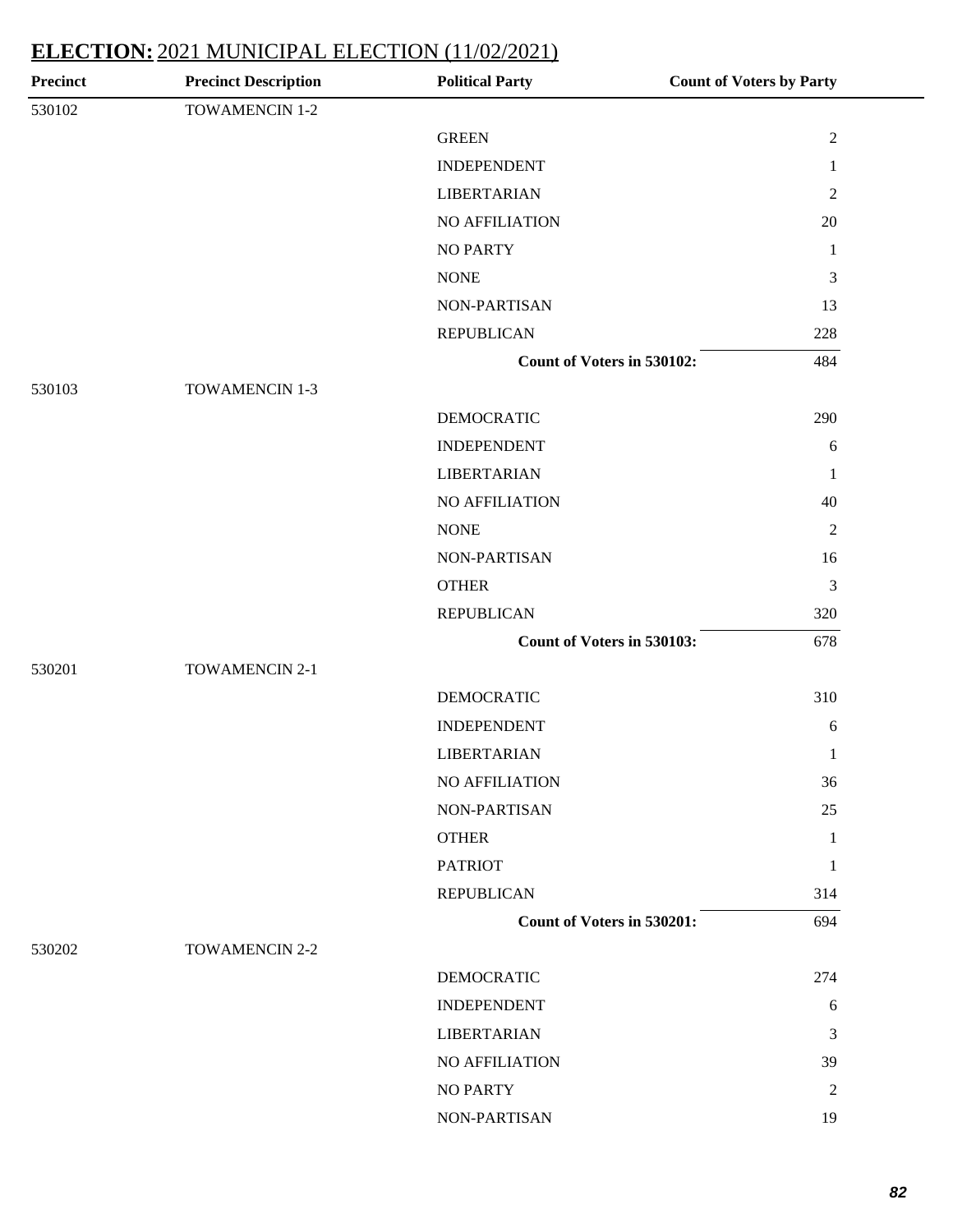| <b>Precinct</b> | <b>Precinct Description</b> | <b>Political Party</b>            | <b>Count of Voters by Party</b> |
|-----------------|-----------------------------|-----------------------------------|---------------------------------|
| 530102          | TOWAMENCIN 1-2              |                                   |                                 |
|                 |                             | <b>GREEN</b>                      | $\sqrt{2}$                      |
|                 |                             | <b>INDEPENDENT</b>                | $\mathbf{1}$                    |
|                 |                             | <b>LIBERTARIAN</b>                | $\mathfrak{2}$                  |
|                 |                             | NO AFFILIATION                    | 20                              |
|                 |                             | <b>NO PARTY</b>                   | $\mathbf{1}$                    |
|                 |                             | <b>NONE</b>                       | 3                               |
|                 |                             | NON-PARTISAN                      | 13                              |
|                 |                             | <b>REPUBLICAN</b>                 | 228                             |
|                 |                             | Count of Voters in 530102:        | 484                             |
| 530103          | <b>TOWAMENCIN 1-3</b>       |                                   |                                 |
|                 |                             | <b>DEMOCRATIC</b>                 | 290                             |
|                 |                             | <b>INDEPENDENT</b>                | $6\,$                           |
|                 |                             | <b>LIBERTARIAN</b>                | $\mathbf{1}$                    |
|                 |                             | <b>NO AFFILIATION</b>             | 40                              |
|                 |                             | <b>NONE</b>                       | $\overline{2}$                  |
|                 |                             | NON-PARTISAN                      | 16                              |
|                 |                             | <b>OTHER</b>                      | 3                               |
|                 |                             | <b>REPUBLICAN</b>                 | 320                             |
|                 |                             | Count of Voters in 530103:        | 678                             |
| 530201          | <b>TOWAMENCIN 2-1</b>       |                                   |                                 |
|                 |                             | <b>DEMOCRATIC</b>                 | 310                             |
|                 |                             | <b>INDEPENDENT</b>                | 6                               |
|                 |                             | <b>LIBERTARIAN</b>                | $\mathbf{1}$                    |
|                 |                             | NO AFFILIATION                    | 36                              |
|                 |                             | NON-PARTISAN                      | 25                              |
|                 |                             | <b>OTHER</b>                      | $\mathbf{1}$                    |
|                 |                             | <b>PATRIOT</b>                    | $\mathbf{1}$                    |
|                 |                             | <b>REPUBLICAN</b>                 | 314                             |
|                 |                             | <b>Count of Voters in 530201:</b> | 694                             |
| 530202          | TOWAMENCIN 2-2              |                                   |                                 |
|                 |                             | <b>DEMOCRATIC</b>                 | 274                             |
|                 |                             | <b>INDEPENDENT</b>                | 6                               |
|                 |                             | <b>LIBERTARIAN</b>                | 3                               |
|                 |                             | NO AFFILIATION                    | 39                              |
|                 |                             | NO PARTY                          | $\overline{c}$                  |
|                 |                             | NON-PARTISAN                      | 19                              |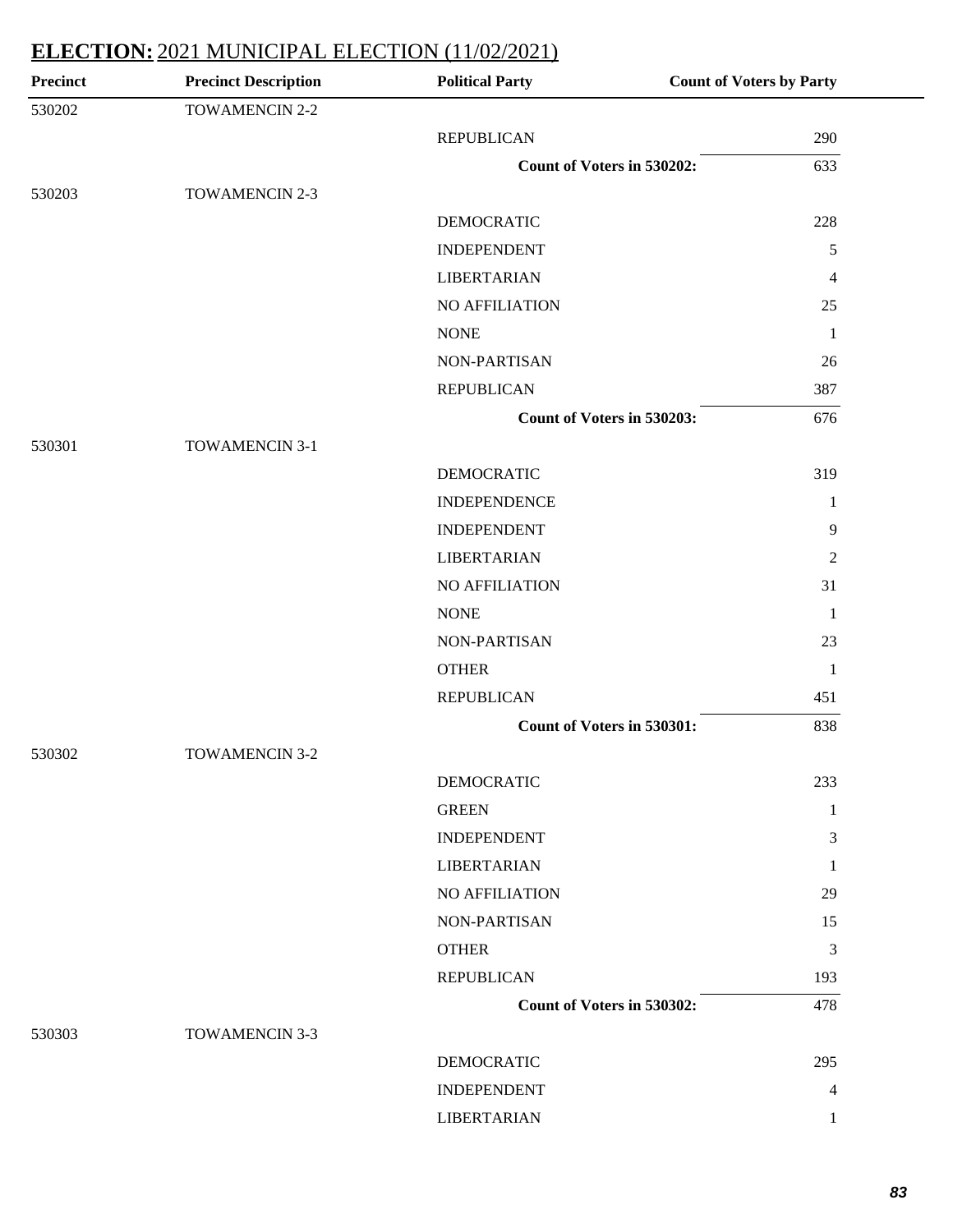| Precinct | <b>Precinct Description</b> | <b>Political Party</b>     | <b>Count of Voters by Party</b> |
|----------|-----------------------------|----------------------------|---------------------------------|
| 530202   | TOWAMENCIN 2-2              |                            |                                 |
|          |                             | <b>REPUBLICAN</b>          | 290                             |
|          |                             | Count of Voters in 530202: | 633                             |
| 530203   | <b>TOWAMENCIN 2-3</b>       |                            |                                 |
|          |                             | <b>DEMOCRATIC</b>          | 228                             |
|          |                             | <b>INDEPENDENT</b>         | 5                               |
|          |                             | <b>LIBERTARIAN</b>         | 4                               |
|          |                             | <b>NO AFFILIATION</b>      | 25                              |
|          |                             | <b>NONE</b>                | 1                               |
|          |                             | NON-PARTISAN               | 26                              |
|          |                             | <b>REPUBLICAN</b>          | 387                             |
|          |                             | Count of Voters in 530203: | 676                             |
| 530301   | TOWAMENCIN 3-1              |                            |                                 |
|          |                             | <b>DEMOCRATIC</b>          | 319                             |
|          |                             | <b>INDEPENDENCE</b>        | 1                               |
|          |                             | <b>INDEPENDENT</b>         | 9                               |
|          |                             | <b>LIBERTARIAN</b>         | $\overline{2}$                  |
|          |                             | NO AFFILIATION             | 31                              |
|          |                             | <b>NONE</b>                | -1                              |
|          |                             | NON-PARTISAN               | 23                              |
|          |                             | <b>OTHER</b>               | 1                               |
|          |                             | <b>REPUBLICAN</b>          | 451                             |
|          |                             | Count of Voters in 530301: | 838                             |
| 530302   | <b>TOWAMENCIN 3-2</b>       |                            |                                 |
|          |                             | <b>DEMOCRATIC</b>          | 233                             |
|          |                             | <b>GREEN</b>               | 1                               |
|          |                             | <b>INDEPENDENT</b>         | 3                               |
|          |                             | <b>LIBERTARIAN</b>         | 1                               |
|          |                             | <b>NO AFFILIATION</b>      | 29                              |
|          |                             | NON-PARTISAN               | 15                              |
|          |                             | <b>OTHER</b>               | 3                               |
|          |                             | <b>REPUBLICAN</b>          | 193                             |
|          |                             | Count of Voters in 530302: | 478                             |
| 530303   | <b>TOWAMENCIN 3-3</b>       |                            |                                 |
|          |                             | <b>DEMOCRATIC</b>          | 295                             |
|          |                             | <b>INDEPENDENT</b>         | 4                               |
|          |                             | <b>LIBERTARIAN</b>         | 1                               |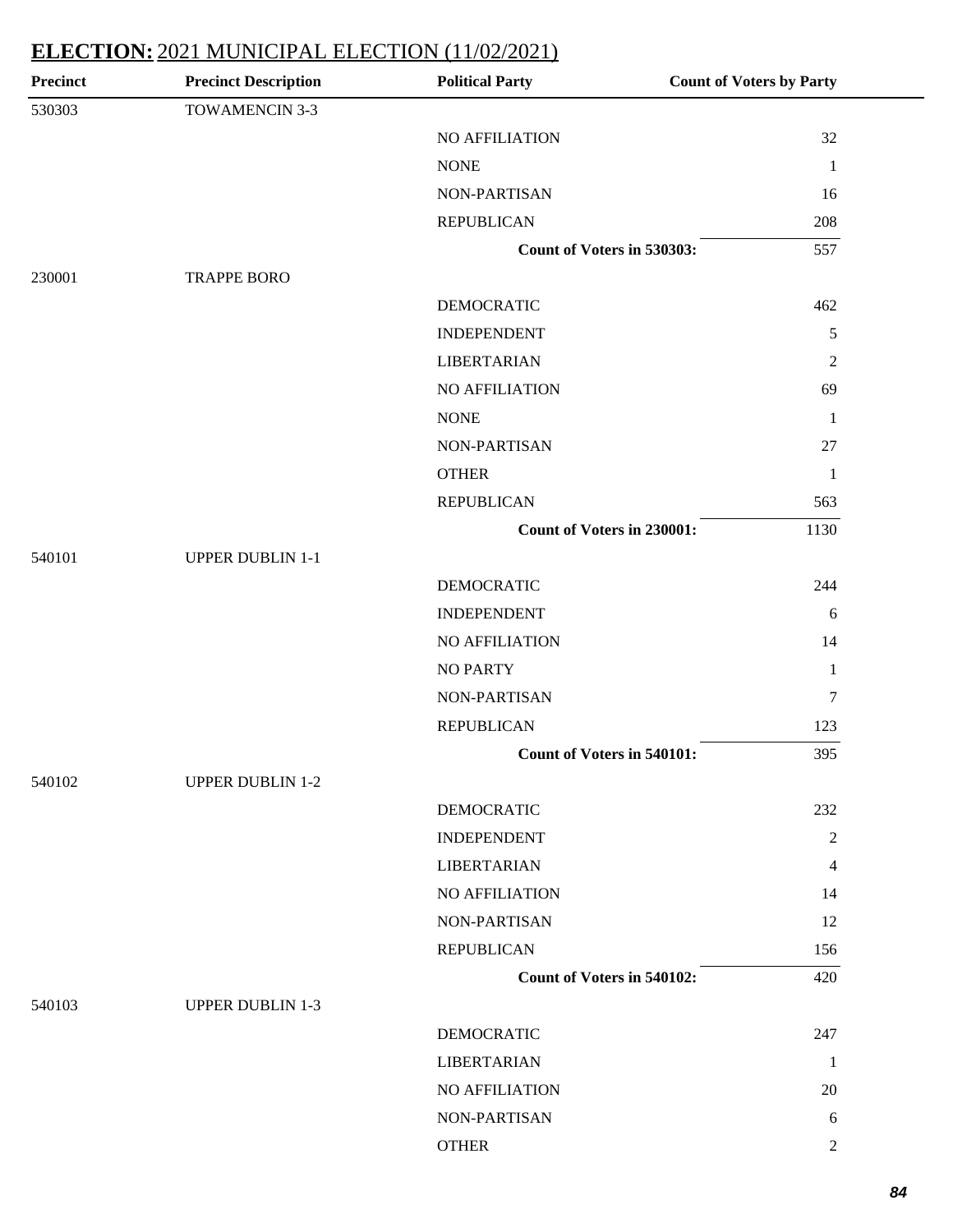| <b>Precinct Description</b> | <b>Political Party</b> | <b>Count of Voters by Party</b>                                                                                                    |
|-----------------------------|------------------------|------------------------------------------------------------------------------------------------------------------------------------|
| TOWAMENCIN 3-3              |                        |                                                                                                                                    |
|                             | NO AFFILIATION         | 32                                                                                                                                 |
|                             | <b>NONE</b>            | $\mathbf{1}$                                                                                                                       |
|                             | NON-PARTISAN           | 16                                                                                                                                 |
|                             | <b>REPUBLICAN</b>      | 208                                                                                                                                |
|                             |                        | 557                                                                                                                                |
| <b>TRAPPE BORO</b>          |                        |                                                                                                                                    |
|                             | <b>DEMOCRATIC</b>      | 462                                                                                                                                |
|                             | <b>INDEPENDENT</b>     | $\mathfrak{S}$                                                                                                                     |
|                             | <b>LIBERTARIAN</b>     | $\overline{2}$                                                                                                                     |
|                             | NO AFFILIATION         | 69                                                                                                                                 |
|                             | <b>NONE</b>            | -1                                                                                                                                 |
|                             | NON-PARTISAN           | 27                                                                                                                                 |
|                             | <b>OTHER</b>           | 1                                                                                                                                  |
|                             | <b>REPUBLICAN</b>      | 563                                                                                                                                |
|                             |                        | 1130                                                                                                                               |
| <b>UPPER DUBLIN 1-1</b>     |                        |                                                                                                                                    |
|                             | <b>DEMOCRATIC</b>      | 244                                                                                                                                |
|                             | <b>INDEPENDENT</b>     | 6                                                                                                                                  |
|                             | NO AFFILIATION         | 14                                                                                                                                 |
|                             | <b>NO PARTY</b>        | $\mathbf{1}$                                                                                                                       |
|                             | NON-PARTISAN           | $\tau$                                                                                                                             |
|                             | <b>REPUBLICAN</b>      | 123                                                                                                                                |
|                             |                        | 395                                                                                                                                |
| <b>UPPER DUBLIN 1-2</b>     |                        |                                                                                                                                    |
|                             | <b>DEMOCRATIC</b>      | 232                                                                                                                                |
|                             | <b>INDEPENDENT</b>     | $\overline{2}$                                                                                                                     |
|                             | <b>LIBERTARIAN</b>     | 4                                                                                                                                  |
|                             | NO AFFILIATION         | 14                                                                                                                                 |
|                             | NON-PARTISAN           | 12                                                                                                                                 |
|                             | <b>REPUBLICAN</b>      | 156                                                                                                                                |
|                             |                        | 420                                                                                                                                |
| <b>UPPER DUBLIN 1-3</b>     |                        |                                                                                                                                    |
|                             | <b>DEMOCRATIC</b>      | 247                                                                                                                                |
|                             | <b>LIBERTARIAN</b>     | -1                                                                                                                                 |
|                             | NO AFFILIATION         | 20                                                                                                                                 |
|                             | NON-PARTISAN           | 6                                                                                                                                  |
|                             | <b>OTHER</b>           | 2                                                                                                                                  |
|                             |                        | Count of Voters in 530303:<br><b>Count of Voters in 230001:</b><br><b>Count of Voters in 540101:</b><br>Count of Voters in 540102: |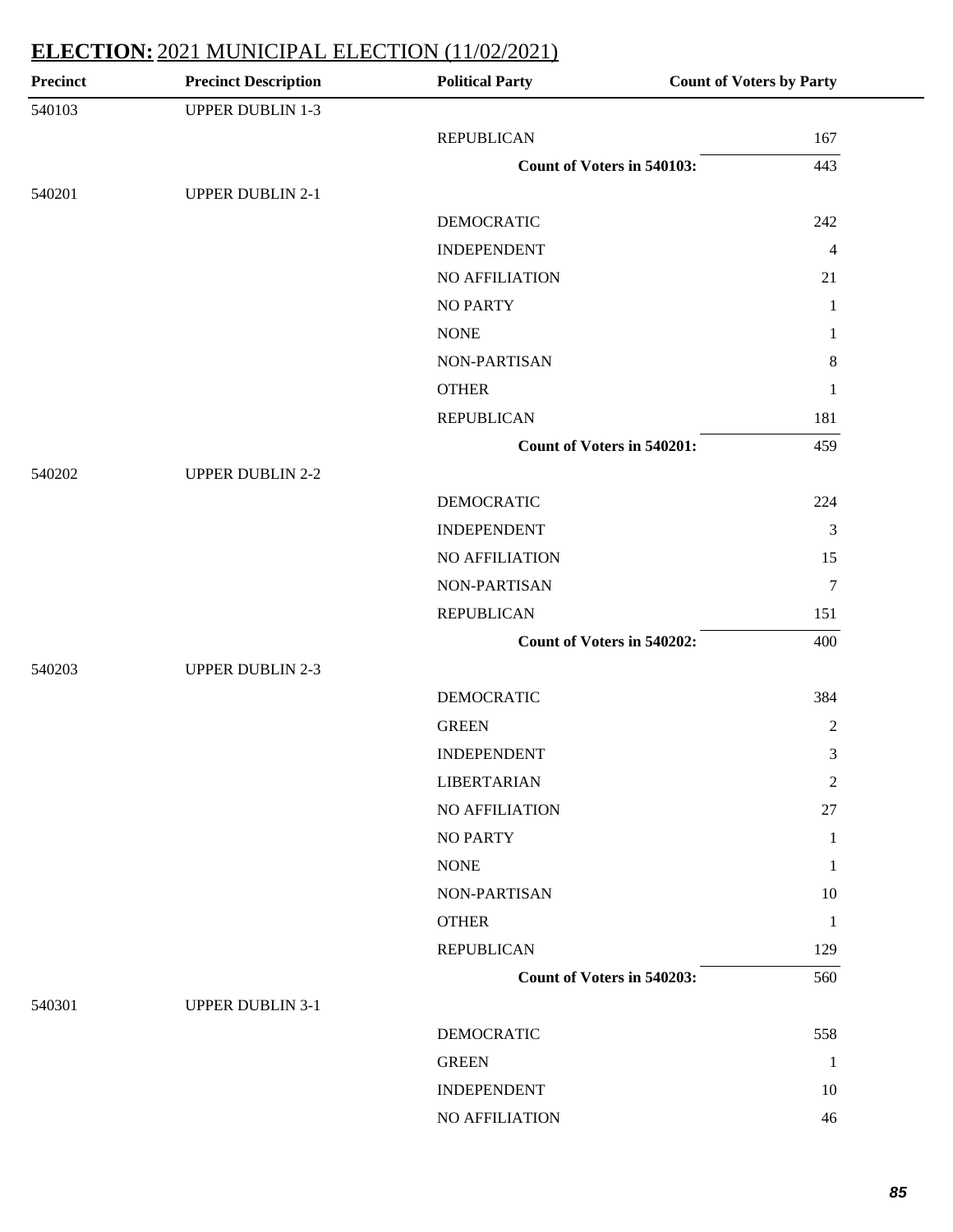| <b>Precinct</b> | <b>Precinct Description</b> | <b>Political Party</b>     | <b>Count of Voters by Party</b> |
|-----------------|-----------------------------|----------------------------|---------------------------------|
| 540103          | <b>UPPER DUBLIN 1-3</b>     |                            |                                 |
|                 |                             | <b>REPUBLICAN</b>          | 167                             |
|                 |                             | Count of Voters in 540103: | 443                             |
| 540201          | <b>UPPER DUBLIN 2-1</b>     |                            |                                 |
|                 |                             | <b>DEMOCRATIC</b>          | 242                             |
|                 |                             | <b>INDEPENDENT</b>         | $\overline{4}$                  |
|                 |                             | <b>NO AFFILIATION</b>      | 21                              |
|                 |                             | <b>NO PARTY</b>            | $\mathbf{1}$                    |
|                 |                             | <b>NONE</b>                | 1                               |
|                 |                             | NON-PARTISAN               | $\,8\,$                         |
|                 |                             | <b>OTHER</b>               | $\mathbf{1}$                    |
|                 |                             | <b>REPUBLICAN</b>          | 181                             |
|                 |                             | Count of Voters in 540201: | 459                             |
| 540202          | <b>UPPER DUBLIN 2-2</b>     |                            |                                 |
|                 |                             | <b>DEMOCRATIC</b>          | 224                             |
|                 |                             | <b>INDEPENDENT</b>         | 3                               |
|                 |                             | NO AFFILIATION             | 15                              |
|                 |                             | NON-PARTISAN               | $\tau$                          |
|                 |                             | <b>REPUBLICAN</b>          | 151                             |
|                 |                             | Count of Voters in 540202: | 400                             |
| 540203          | <b>UPPER DUBLIN 2-3</b>     |                            |                                 |
|                 |                             | <b>DEMOCRATIC</b>          | 384                             |
|                 |                             | <b>GREEN</b>               | $\overline{2}$                  |
|                 |                             | <b>INDEPENDENT</b>         | 3                               |
|                 |                             | <b>LIBERTARIAN</b>         | 2                               |
|                 |                             | NO AFFILIATION             | 27                              |
|                 |                             | <b>NO PARTY</b>            | 1                               |
|                 |                             | <b>NONE</b>                | -1                              |
|                 |                             | NON-PARTISAN               | 10                              |
|                 |                             | <b>OTHER</b>               | $\mathbf{1}$                    |
|                 |                             | <b>REPUBLICAN</b>          | 129                             |
|                 |                             | Count of Voters in 540203: | 560                             |
| 540301          | <b>UPPER DUBLIN 3-1</b>     |                            |                                 |
|                 |                             | <b>DEMOCRATIC</b>          | 558                             |
|                 |                             | <b>GREEN</b>               | -1                              |
|                 |                             | <b>INDEPENDENT</b>         | 10                              |
|                 |                             | NO AFFILIATION             | 46                              |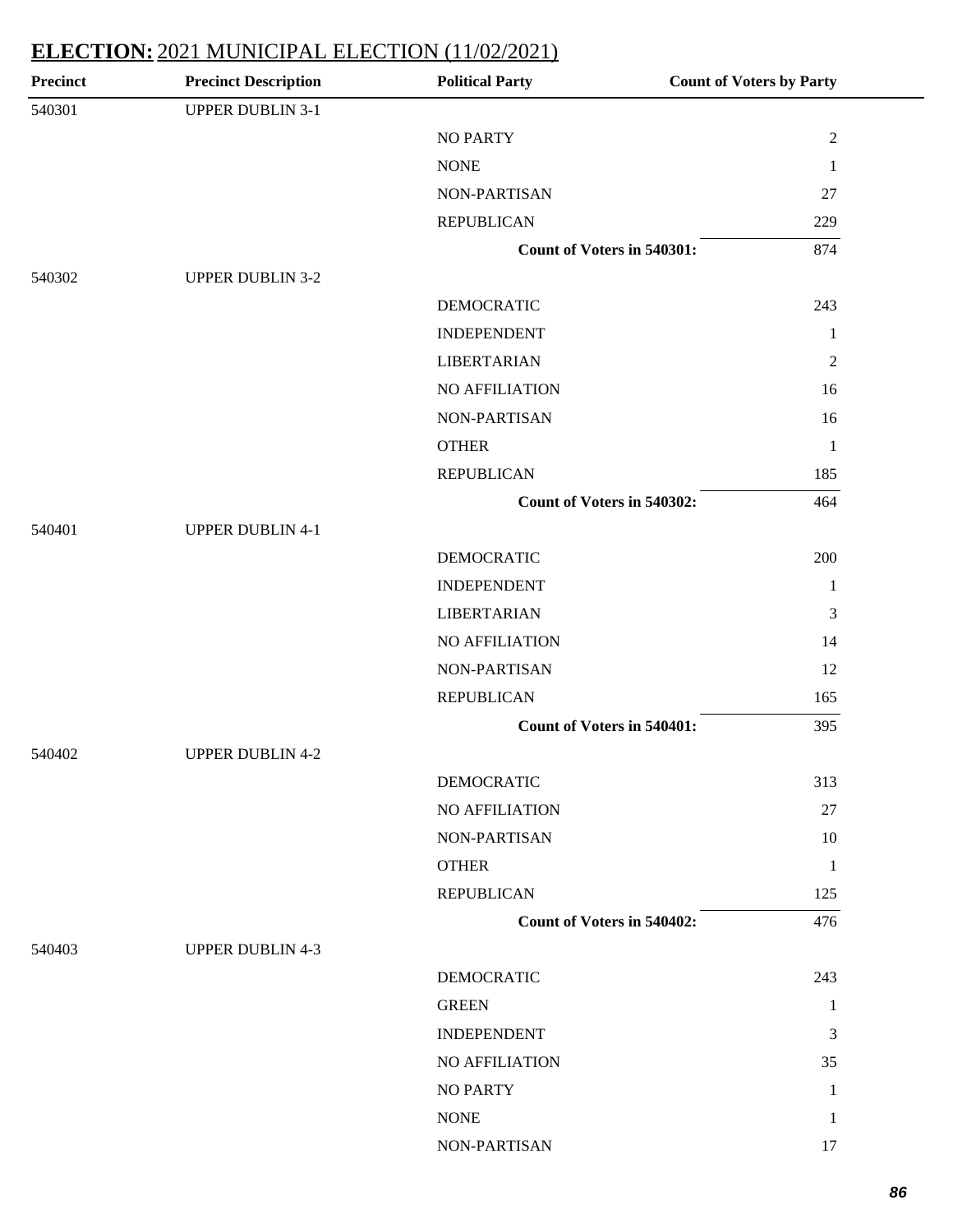| <b>Precinct</b> | <b>Precinct Description</b> | <b>Political Party</b>            | <b>Count of Voters by Party</b> |
|-----------------|-----------------------------|-----------------------------------|---------------------------------|
| 540301          | <b>UPPER DUBLIN 3-1</b>     |                                   |                                 |
|                 |                             | <b>NO PARTY</b>                   | $\sqrt{2}$                      |
|                 |                             | <b>NONE</b>                       | $\mathbf{1}$                    |
|                 |                             | NON-PARTISAN                      | 27                              |
|                 |                             | <b>REPUBLICAN</b>                 | 229                             |
|                 |                             | <b>Count of Voters in 540301:</b> | 874                             |
| 540302          | <b>UPPER DUBLIN 3-2</b>     |                                   |                                 |
|                 |                             | <b>DEMOCRATIC</b>                 | 243                             |
|                 |                             | <b>INDEPENDENT</b>                | $\mathbf{1}$                    |
|                 |                             | <b>LIBERTARIAN</b>                | $\overline{c}$                  |
|                 |                             | NO AFFILIATION                    | 16                              |
|                 |                             | NON-PARTISAN                      | 16                              |
|                 |                             | <b>OTHER</b>                      | $\mathbf{1}$                    |
|                 |                             | <b>REPUBLICAN</b>                 | 185                             |
|                 |                             | <b>Count of Voters in 540302:</b> | 464                             |
| 540401          | <b>UPPER DUBLIN 4-1</b>     |                                   |                                 |
|                 |                             | <b>DEMOCRATIC</b>                 | 200                             |
|                 |                             | <b>INDEPENDENT</b>                | $\mathbf{1}$                    |
|                 |                             | <b>LIBERTARIAN</b>                | 3                               |
|                 |                             | NO AFFILIATION                    | 14                              |
|                 |                             | NON-PARTISAN                      | 12                              |
|                 |                             | <b>REPUBLICAN</b>                 | 165                             |
|                 |                             | Count of Voters in 540401:        | 395                             |
| 540402          | <b>UPPER DUBLIN 4-2</b>     |                                   |                                 |
|                 |                             | <b>DEMOCRATIC</b>                 | 313                             |
|                 |                             | NO AFFILIATION                    | 27                              |
|                 |                             | NON-PARTISAN                      | 10                              |
|                 |                             | <b>OTHER</b>                      | $\mathbf{1}$                    |
|                 |                             | <b>REPUBLICAN</b>                 | 125                             |
|                 |                             | Count of Voters in 540402:        | 476                             |
| 540403          | <b>UPPER DUBLIN 4-3</b>     |                                   |                                 |
|                 |                             | <b>DEMOCRATIC</b>                 | 243                             |
|                 |                             | <b>GREEN</b>                      | 1                               |
|                 |                             | <b>INDEPENDENT</b>                | 3                               |
|                 |                             | NO AFFILIATION                    | 35                              |
|                 |                             | <b>NO PARTY</b>                   | $\mathbf{1}$                    |
|                 |                             | <b>NONE</b>                       | $\mathbf{1}$                    |
|                 |                             | NON-PARTISAN                      | 17                              |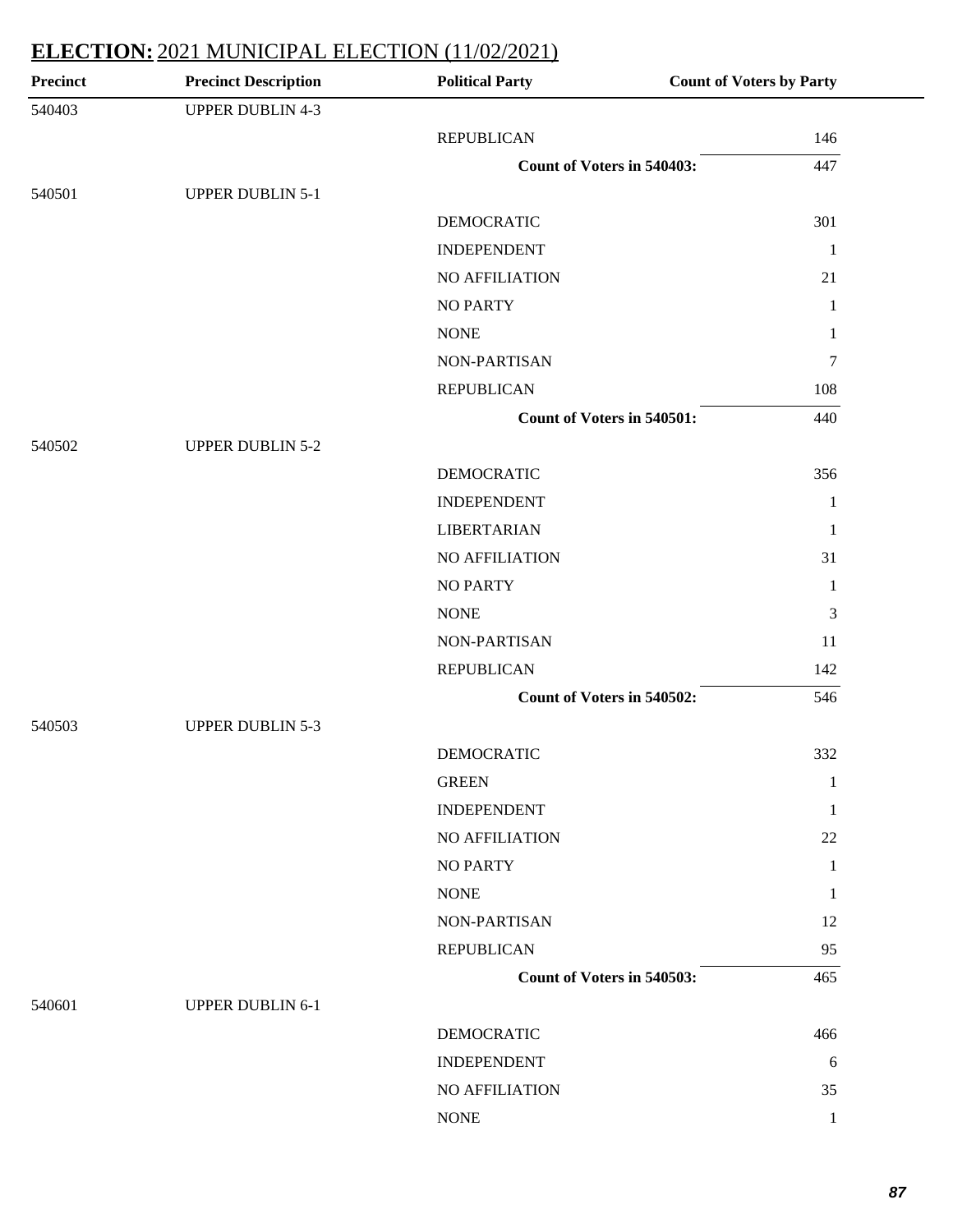| <b>Precinct</b> | <b>Precinct Description</b> | <b>Political Party</b>            | <b>Count of Voters by Party</b> |
|-----------------|-----------------------------|-----------------------------------|---------------------------------|
| 540403          | <b>UPPER DUBLIN 4-3</b>     |                                   |                                 |
|                 |                             | <b>REPUBLICAN</b>                 | 146                             |
|                 |                             | Count of Voters in 540403:        | 447                             |
| 540501          | <b>UPPER DUBLIN 5-1</b>     |                                   |                                 |
|                 |                             | <b>DEMOCRATIC</b>                 | 301                             |
|                 |                             | <b>INDEPENDENT</b>                | $\mathbf{1}$                    |
|                 |                             | NO AFFILIATION                    | 21                              |
|                 |                             | <b>NO PARTY</b>                   | $\mathbf{1}$                    |
|                 |                             | <b>NONE</b>                       | 1                               |
|                 |                             | NON-PARTISAN                      | $\tau$                          |
|                 |                             | <b>REPUBLICAN</b>                 | 108                             |
|                 |                             | <b>Count of Voters in 540501:</b> | 440                             |
| 540502          | <b>UPPER DUBLIN 5-2</b>     |                                   |                                 |
|                 |                             | <b>DEMOCRATIC</b>                 | 356                             |
|                 |                             | <b>INDEPENDENT</b>                | 1                               |
|                 |                             | <b>LIBERTARIAN</b>                | 1                               |
|                 |                             | NO AFFILIATION                    | 31                              |
|                 |                             | <b>NO PARTY</b>                   | 1                               |
|                 |                             | <b>NONE</b>                       | 3                               |
|                 |                             | NON-PARTISAN                      | 11                              |
|                 |                             | <b>REPUBLICAN</b>                 | 142                             |
|                 |                             | Count of Voters in 540502:        | 546                             |
| 540503          | <b>UPPER DUBLIN 5-3</b>     |                                   |                                 |
|                 |                             | <b>DEMOCRATIC</b>                 | 332                             |
|                 |                             | <b>GREEN</b>                      | 1                               |
|                 |                             | <b>INDEPENDENT</b>                | 1                               |
|                 |                             | <b>NO AFFILIATION</b>             | 22                              |
|                 |                             | <b>NO PARTY</b>                   | 1                               |
|                 |                             | <b>NONE</b>                       | 1                               |
|                 |                             | NON-PARTISAN                      | 12                              |
|                 |                             | <b>REPUBLICAN</b>                 | 95                              |
|                 |                             | Count of Voters in 540503:        | 465                             |
| 540601          | <b>UPPER DUBLIN 6-1</b>     |                                   |                                 |
|                 |                             | <b>DEMOCRATIC</b>                 | 466                             |
|                 |                             | <b>INDEPENDENT</b>                | 6                               |
|                 |                             | NO AFFILIATION                    | 35                              |
|                 |                             | <b>NONE</b>                       | 1                               |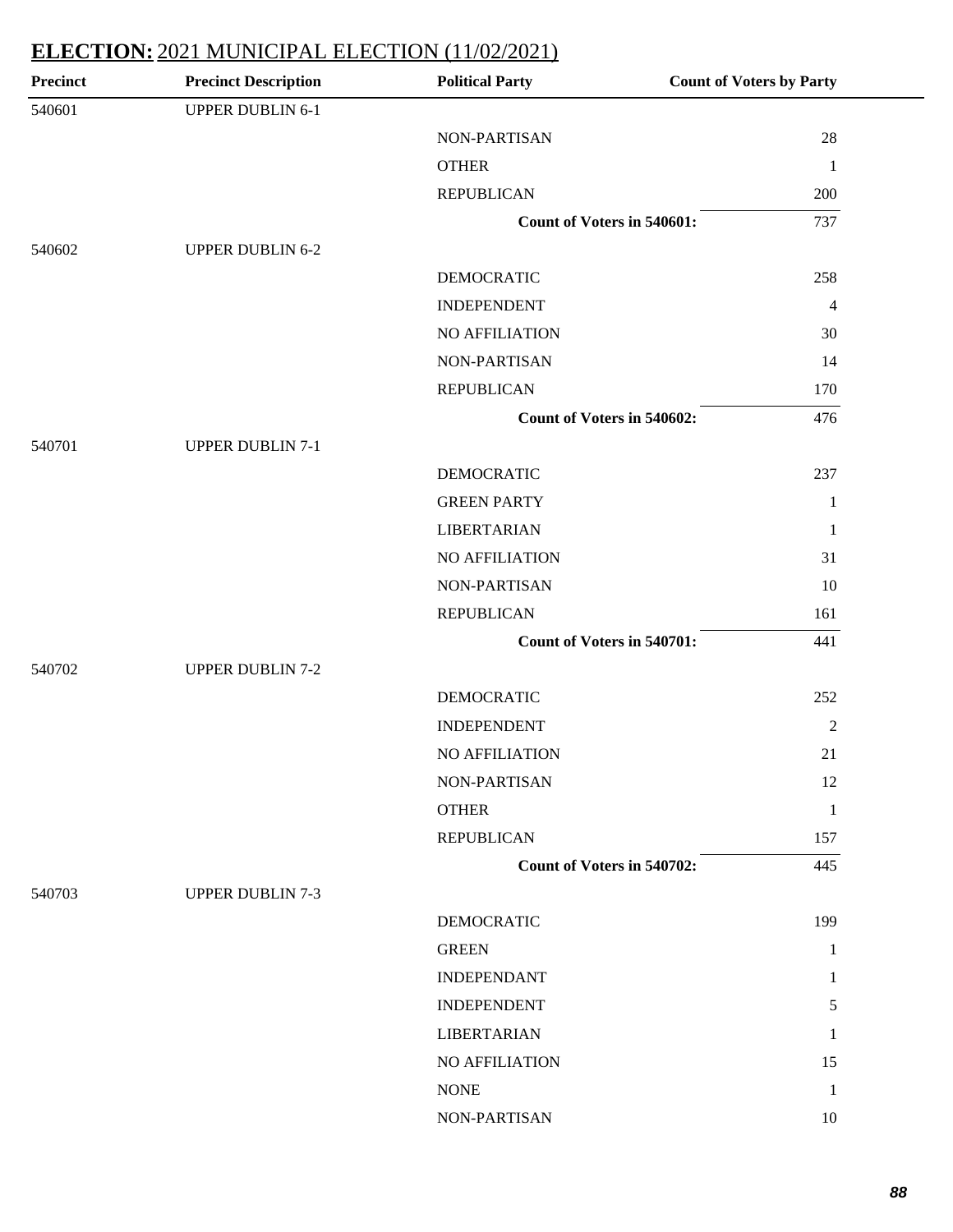| <b>Precinct</b> | <b>Precinct Description</b> | <b>Political Party</b>            | <b>Count of Voters by Party</b> |
|-----------------|-----------------------------|-----------------------------------|---------------------------------|
| 540601          | <b>UPPER DUBLIN 6-1</b>     |                                   |                                 |
|                 |                             | NON-PARTISAN                      | 28                              |
|                 |                             | <b>OTHER</b>                      | $\mathbf{1}$                    |
|                 |                             | <b>REPUBLICAN</b>                 | 200                             |
|                 |                             | Count of Voters in 540601:        | 737                             |
| 540602          | <b>UPPER DUBLIN 6-2</b>     |                                   |                                 |
|                 |                             | <b>DEMOCRATIC</b>                 | 258                             |
|                 |                             | <b>INDEPENDENT</b>                | $\overline{4}$                  |
|                 |                             | NO AFFILIATION                    | 30                              |
|                 |                             | NON-PARTISAN                      | 14                              |
|                 |                             | <b>REPUBLICAN</b>                 | 170                             |
|                 |                             | <b>Count of Voters in 540602:</b> | 476                             |
| 540701          | <b>UPPER DUBLIN 7-1</b>     |                                   |                                 |
|                 |                             | <b>DEMOCRATIC</b>                 | 237                             |
|                 |                             | <b>GREEN PARTY</b>                | $\mathbf{1}$                    |
|                 |                             | <b>LIBERTARIAN</b>                | $\mathbf{1}$                    |
|                 |                             | NO AFFILIATION                    | 31                              |
|                 |                             | NON-PARTISAN                      | 10                              |
|                 |                             | <b>REPUBLICAN</b>                 | 161                             |
|                 |                             | <b>Count of Voters in 540701:</b> | 441                             |
| 540702          | <b>UPPER DUBLIN 7-2</b>     |                                   |                                 |
|                 |                             | <b>DEMOCRATIC</b>                 | 252                             |
|                 |                             | <b>INDEPENDENT</b>                | $\overline{2}$                  |
|                 |                             | <b>NO AFFILIATION</b>             | 21                              |
|                 |                             | NON-PARTISAN                      | 12                              |
|                 |                             | <b>OTHER</b>                      | $\mathbf{1}$                    |
|                 |                             | <b>REPUBLICAN</b>                 | 157                             |
|                 |                             | Count of Voters in 540702:        | 445                             |
| 540703          | <b>UPPER DUBLIN 7-3</b>     |                                   |                                 |
|                 |                             | <b>DEMOCRATIC</b>                 | 199                             |
|                 |                             | <b>GREEN</b>                      | $\mathbf{1}$                    |
|                 |                             | <b>INDEPENDANT</b>                | $\mathbf{1}$                    |
|                 |                             | <b>INDEPENDENT</b>                | $5\overline{)}$                 |
|                 |                             | <b>LIBERTARIAN</b>                | 1                               |
|                 |                             | NO AFFILIATION                    | 15                              |
|                 |                             | <b>NONE</b>                       | $\mathbf{1}$                    |
|                 |                             | NON-PARTISAN                      | 10                              |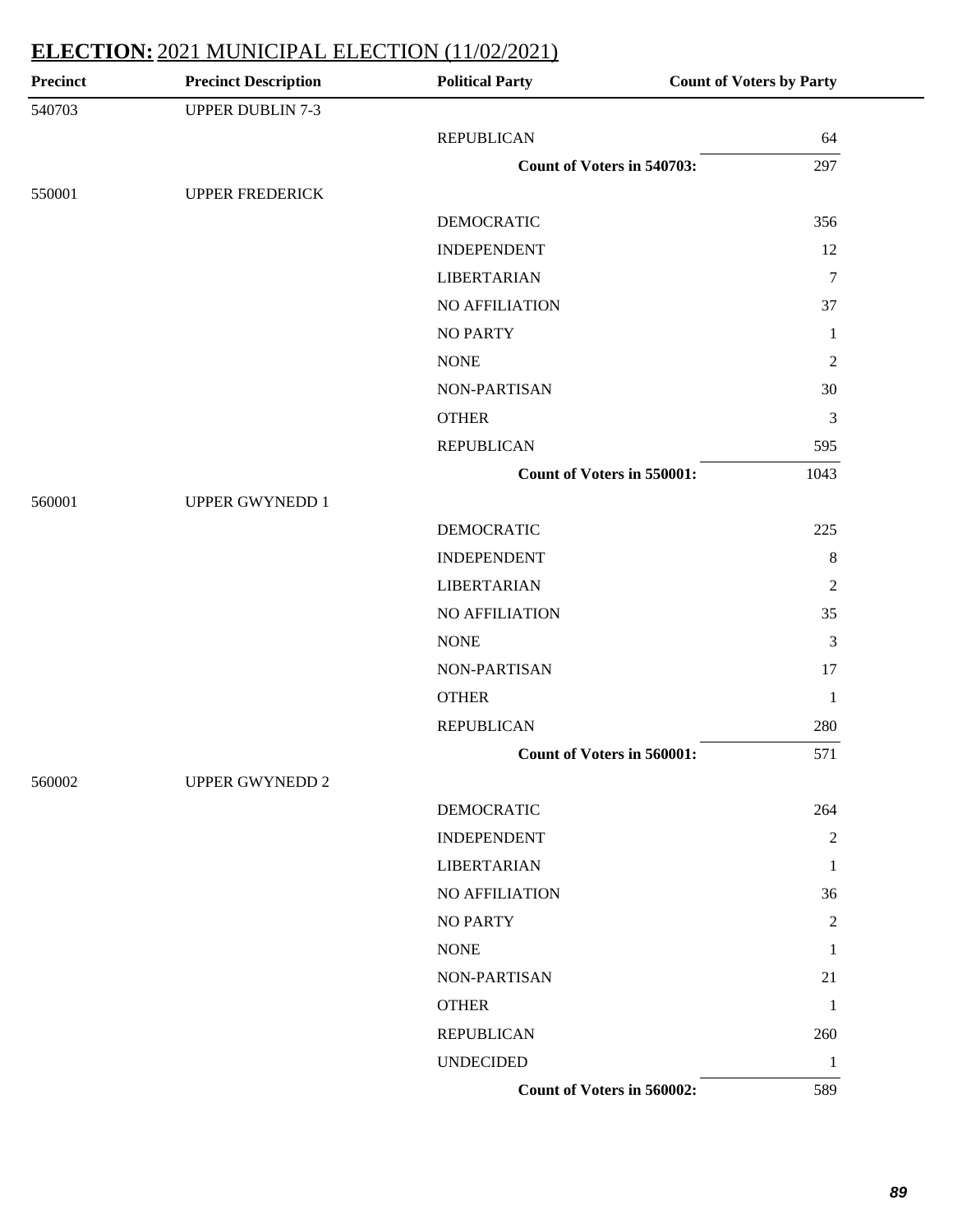| <b>Precinct</b> | <b>Precinct Description</b> | <b>Political Party</b>            | <b>Count of Voters by Party</b> |
|-----------------|-----------------------------|-----------------------------------|---------------------------------|
| 540703          | <b>UPPER DUBLIN 7-3</b>     |                                   |                                 |
|                 |                             | <b>REPUBLICAN</b>                 | 64                              |
|                 |                             | <b>Count of Voters in 540703:</b> | 297                             |
| 550001          | <b>UPPER FREDERICK</b>      |                                   |                                 |
|                 |                             | <b>DEMOCRATIC</b>                 | 356                             |
|                 |                             | <b>INDEPENDENT</b>                | 12                              |
|                 |                             | <b>LIBERTARIAN</b>                | $\overline{7}$                  |
|                 |                             | NO AFFILIATION                    | 37                              |
|                 |                             | <b>NO PARTY</b>                   | $\mathbf{1}$                    |
|                 |                             | <b>NONE</b>                       | $\mathfrak{2}$                  |
|                 |                             | NON-PARTISAN                      | 30                              |
|                 |                             | <b>OTHER</b>                      | 3                               |
|                 |                             | <b>REPUBLICAN</b>                 | 595                             |
|                 |                             | Count of Voters in 550001:        | 1043                            |
| 560001          | <b>UPPER GWYNEDD 1</b>      |                                   |                                 |
|                 |                             | <b>DEMOCRATIC</b>                 | 225                             |
|                 |                             | <b>INDEPENDENT</b>                | $8\,$                           |
|                 |                             | <b>LIBERTARIAN</b>                | $\overline{2}$                  |
|                 |                             | NO AFFILIATION                    | 35                              |
|                 |                             | <b>NONE</b>                       | 3                               |
|                 |                             | NON-PARTISAN                      | 17                              |
|                 |                             | <b>OTHER</b>                      | $\mathbf{1}$                    |
|                 |                             | <b>REPUBLICAN</b>                 | 280                             |
|                 |                             | <b>Count of Voters in 560001:</b> | 571                             |
| 560002          | <b>UPPER GWYNEDD 2</b>      |                                   |                                 |
|                 |                             | <b>DEMOCRATIC</b>                 | 264                             |
|                 |                             | <b>INDEPENDENT</b>                | $\overline{2}$                  |
|                 |                             | <b>LIBERTARIAN</b>                | 1                               |
|                 |                             | NO AFFILIATION                    | 36                              |
|                 |                             | <b>NO PARTY</b>                   | $\overline{2}$                  |
|                 |                             | <b>NONE</b>                       | 1                               |
|                 |                             | NON-PARTISAN                      | 21                              |
|                 |                             | <b>OTHER</b>                      | 1                               |
|                 |                             | <b>REPUBLICAN</b>                 | 260                             |
|                 |                             | <b>UNDECIDED</b>                  | 1                               |
|                 |                             | Count of Voters in 560002:        | 589                             |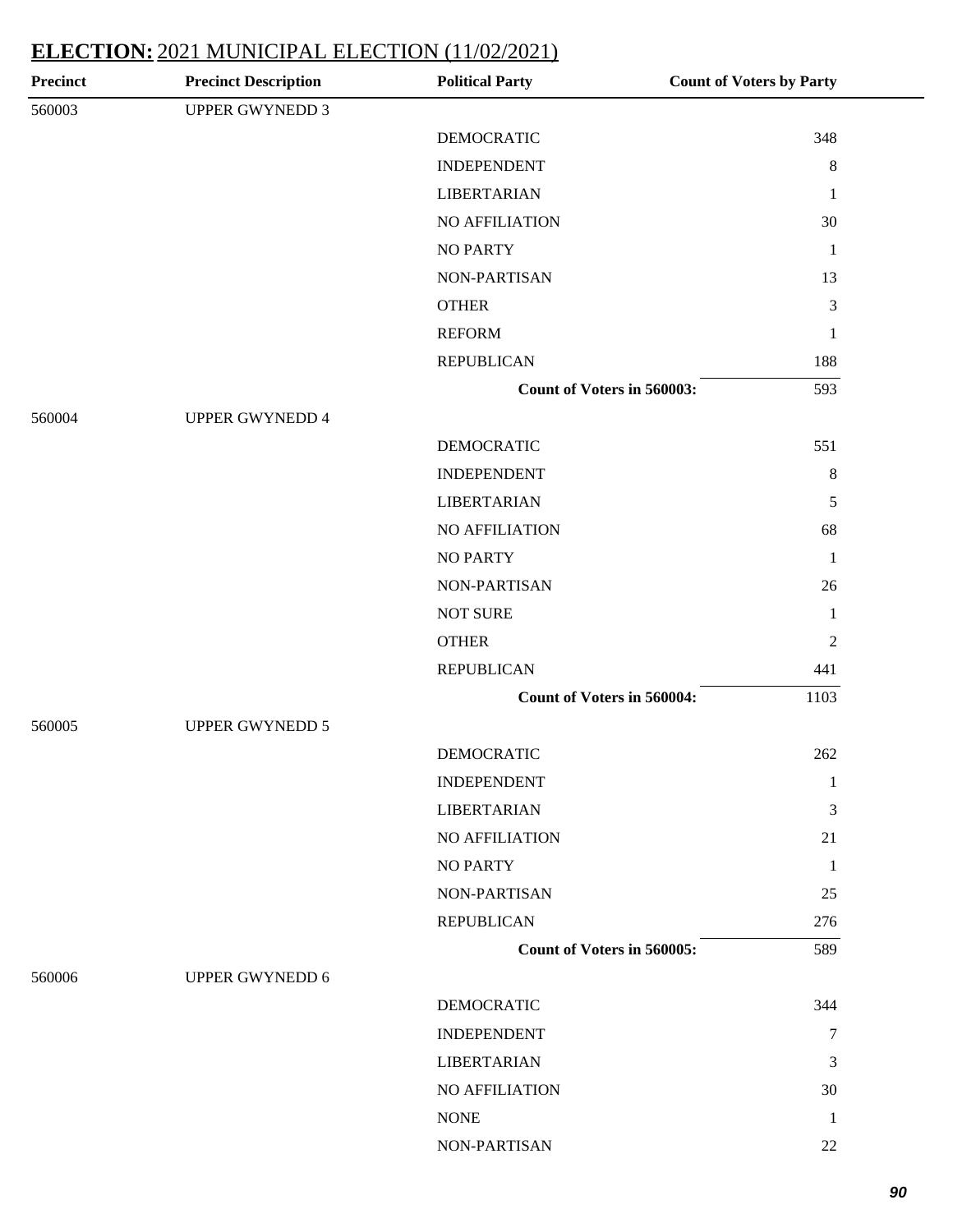| <b>Precinct</b> | <b>Precinct Description</b> | <b>Political Party</b>            | <b>Count of Voters by Party</b> |
|-----------------|-----------------------------|-----------------------------------|---------------------------------|
| 560003          | <b>UPPER GWYNEDD 3</b>      |                                   |                                 |
|                 |                             | <b>DEMOCRATIC</b>                 | 348                             |
|                 |                             | <b>INDEPENDENT</b>                | $\,8\,$                         |
|                 |                             | <b>LIBERTARIAN</b>                | $\mathbf{1}$                    |
|                 |                             | NO AFFILIATION                    | 30                              |
|                 |                             | <b>NO PARTY</b>                   | $\mathbf{1}$                    |
|                 |                             | NON-PARTISAN                      | 13                              |
|                 |                             | <b>OTHER</b>                      | 3                               |
|                 |                             | <b>REFORM</b>                     | $\mathbf{1}$                    |
|                 |                             | <b>REPUBLICAN</b>                 | 188                             |
|                 |                             | <b>Count of Voters in 560003:</b> | 593                             |
| 560004          | <b>UPPER GWYNEDD 4</b>      |                                   |                                 |
|                 |                             | <b>DEMOCRATIC</b>                 | 551                             |
|                 |                             | <b>INDEPENDENT</b>                | $\,8\,$                         |
|                 |                             | <b>LIBERTARIAN</b>                | 5                               |
|                 |                             | NO AFFILIATION                    | 68                              |
|                 |                             | <b>NO PARTY</b>                   | $\mathbf{1}$                    |
|                 |                             | NON-PARTISAN                      | 26                              |
|                 |                             | <b>NOT SURE</b>                   | $\mathbf{1}$                    |
|                 |                             | <b>OTHER</b>                      | $\overline{2}$                  |
|                 |                             | <b>REPUBLICAN</b>                 | 441                             |
|                 |                             | <b>Count of Voters in 560004:</b> | 1103                            |
| 560005          | <b>UPPER GWYNEDD 5</b>      |                                   |                                 |
|                 |                             | <b>DEMOCRATIC</b>                 | 262                             |
|                 |                             | <b>INDEPENDENT</b>                | $\mathbf{1}$                    |
|                 |                             | <b>LIBERTARIAN</b>                | 3                               |
|                 |                             | NO AFFILIATION                    | 21                              |
|                 |                             | <b>NO PARTY</b>                   | 1                               |
|                 |                             | NON-PARTISAN                      | 25                              |
|                 |                             | <b>REPUBLICAN</b>                 | 276                             |
|                 |                             | Count of Voters in 560005:        | 589                             |
| 560006          | <b>UPPER GWYNEDD 6</b>      |                                   |                                 |
|                 |                             | <b>DEMOCRATIC</b>                 | 344                             |
|                 |                             | <b>INDEPENDENT</b>                | $\tau$                          |
|                 |                             | <b>LIBERTARIAN</b>                | 3                               |
|                 |                             | NO AFFILIATION                    | 30                              |
|                 |                             | <b>NONE</b>                       | 1                               |
|                 |                             | NON-PARTISAN                      | 22                              |
|                 |                             |                                   |                                 |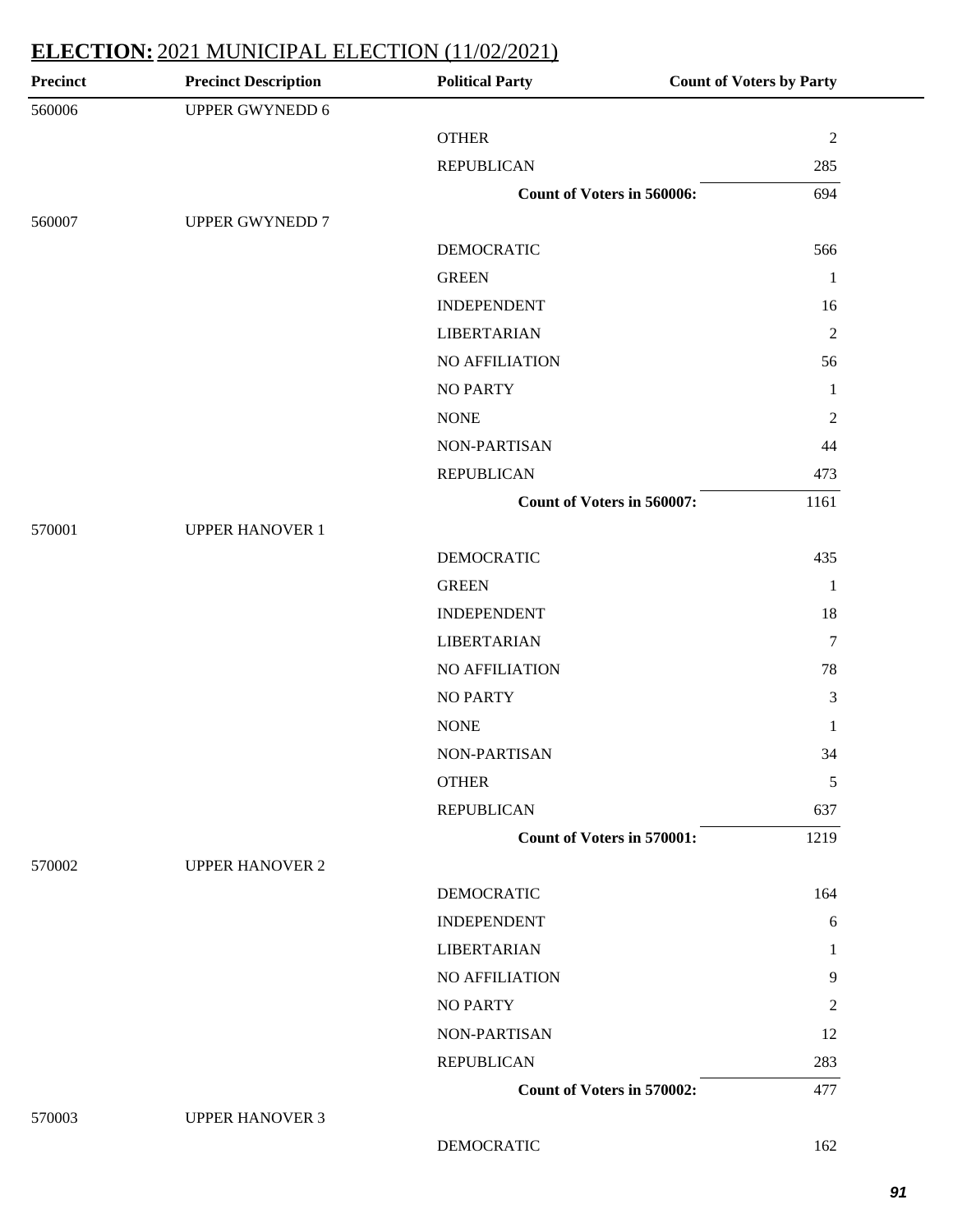| Precinct | <b>Precinct Description</b> | <b>Political Party</b>            | <b>Count of Voters by Party</b> |
|----------|-----------------------------|-----------------------------------|---------------------------------|
| 560006   | <b>UPPER GWYNEDD 6</b>      |                                   |                                 |
|          |                             | <b>OTHER</b>                      | $\sqrt{2}$                      |
|          |                             | <b>REPUBLICAN</b>                 | 285                             |
|          |                             | Count of Voters in 560006:        | 694                             |
| 560007   | <b>UPPER GWYNEDD 7</b>      |                                   |                                 |
|          |                             | <b>DEMOCRATIC</b>                 | 566                             |
|          |                             | <b>GREEN</b>                      | 1                               |
|          |                             | <b>INDEPENDENT</b>                | 16                              |
|          |                             | <b>LIBERTARIAN</b>                | $\overline{2}$                  |
|          |                             | NO AFFILIATION                    | 56                              |
|          |                             | <b>NO PARTY</b>                   | 1                               |
|          |                             | <b>NONE</b>                       | $\overline{c}$                  |
|          |                             | NON-PARTISAN                      | 44                              |
|          |                             | <b>REPUBLICAN</b>                 | 473                             |
|          |                             | Count of Voters in 560007:        | 1161                            |
| 570001   | <b>UPPER HANOVER 1</b>      |                                   |                                 |
|          |                             | <b>DEMOCRATIC</b>                 | 435                             |
|          |                             | <b>GREEN</b>                      | $\mathbf{1}$                    |
|          |                             | <b>INDEPENDENT</b>                | 18                              |
|          |                             | <b>LIBERTARIAN</b>                | $\tau$                          |
|          |                             | NO AFFILIATION                    | 78                              |
|          |                             | <b>NO PARTY</b>                   | 3                               |
|          |                             | <b>NONE</b>                       | 1                               |
|          |                             | NON-PARTISAN                      | 34                              |
|          |                             | <b>OTHER</b>                      | 5                               |
|          |                             | <b>REPUBLICAN</b>                 | 637                             |
|          |                             | <b>Count of Voters in 570001:</b> | 1219                            |
| 570002   | <b>UPPER HANOVER 2</b>      |                                   |                                 |
|          |                             | <b>DEMOCRATIC</b>                 | 164                             |
|          |                             | <b>INDEPENDENT</b>                | 6                               |
|          |                             | <b>LIBERTARIAN</b>                | 1                               |
|          |                             | <b>NO AFFILIATION</b>             | 9                               |
|          |                             | <b>NO PARTY</b>                   | 2                               |
|          |                             | NON-PARTISAN                      | 12                              |
|          |                             | <b>REPUBLICAN</b>                 | 283                             |
|          |                             | <b>Count of Voters in 570002:</b> | 477                             |
| 570003   | <b>UPPER HANOVER 3</b>      |                                   |                                 |
|          |                             | <b>DEMOCRATIC</b>                 | 162                             |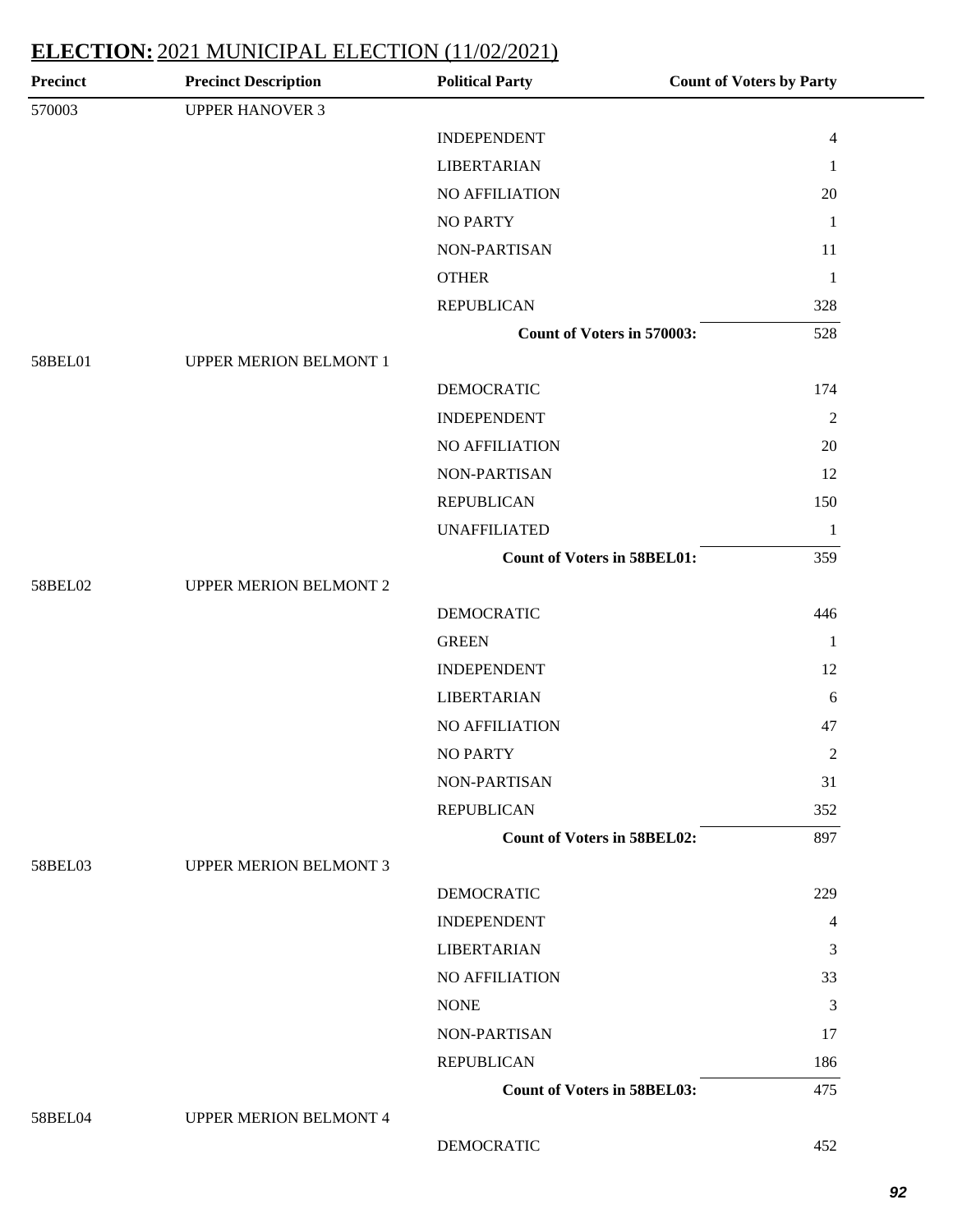| <b>Precinct</b> | <b>Precinct Description</b>   | <b>Political Party</b>             | <b>Count of Voters by Party</b> |
|-----------------|-------------------------------|------------------------------------|---------------------------------|
| 570003          | <b>UPPER HANOVER 3</b>        |                                    |                                 |
|                 |                               | <b>INDEPENDENT</b>                 | $\overline{4}$                  |
|                 |                               | <b>LIBERTARIAN</b>                 | 1                               |
|                 |                               | NO AFFILIATION                     | 20                              |
|                 |                               | <b>NO PARTY</b>                    | $\mathbf{1}$                    |
|                 |                               | NON-PARTISAN                       | 11                              |
|                 |                               | <b>OTHER</b>                       | $\mathbf{1}$                    |
|                 |                               | <b>REPUBLICAN</b>                  | 328                             |
|                 |                               | Count of Voters in 570003:         | 528                             |
| 58BEL01         | <b>UPPER MERION BELMONT 1</b> |                                    |                                 |
|                 |                               | <b>DEMOCRATIC</b>                  | 174                             |
|                 |                               | <b>INDEPENDENT</b>                 | $\sqrt{2}$                      |
|                 |                               | NO AFFILIATION                     | 20                              |
|                 |                               | NON-PARTISAN                       | 12                              |
|                 |                               | <b>REPUBLICAN</b>                  | 150                             |
|                 |                               | <b>UNAFFILIATED</b>                | $\mathbf{1}$                    |
|                 |                               | <b>Count of Voters in 58BEL01:</b> | 359                             |
| 58BEL02         | <b>UPPER MERION BELMONT 2</b> |                                    |                                 |
|                 |                               | <b>DEMOCRATIC</b>                  | 446                             |
|                 |                               | <b>GREEN</b>                       | $\mathbf{1}$                    |
|                 |                               | <b>INDEPENDENT</b>                 | 12                              |
|                 |                               | <b>LIBERTARIAN</b>                 | 6                               |
|                 |                               | NO AFFILIATION                     | 47                              |
|                 |                               | <b>NO PARTY</b>                    | $\mathfrak 2$                   |
|                 |                               | NON-PARTISAN                       | 31                              |
|                 |                               | <b>REPUBLICAN</b>                  | 352                             |
|                 |                               | <b>Count of Voters in 58BEL02:</b> | 897                             |
| 58BEL03         | <b>UPPER MERION BELMONT 3</b> |                                    |                                 |
|                 |                               | <b>DEMOCRATIC</b>                  | 229                             |
|                 |                               | <b>INDEPENDENT</b>                 | $\overline{4}$                  |
|                 |                               | <b>LIBERTARIAN</b>                 | 3                               |
|                 |                               | NO AFFILIATION                     | 33                              |
|                 |                               | <b>NONE</b>                        | $\mathfrak{Z}$                  |
|                 |                               | NON-PARTISAN                       | 17                              |
|                 |                               | <b>REPUBLICAN</b>                  | 186                             |
|                 |                               | <b>Count of Voters in 58BEL03:</b> | 475                             |
| 58BEL04         | <b>UPPER MERION BELMONT 4</b> |                                    |                                 |
|                 |                               | <b>DEMOCRATIC</b>                  | 452                             |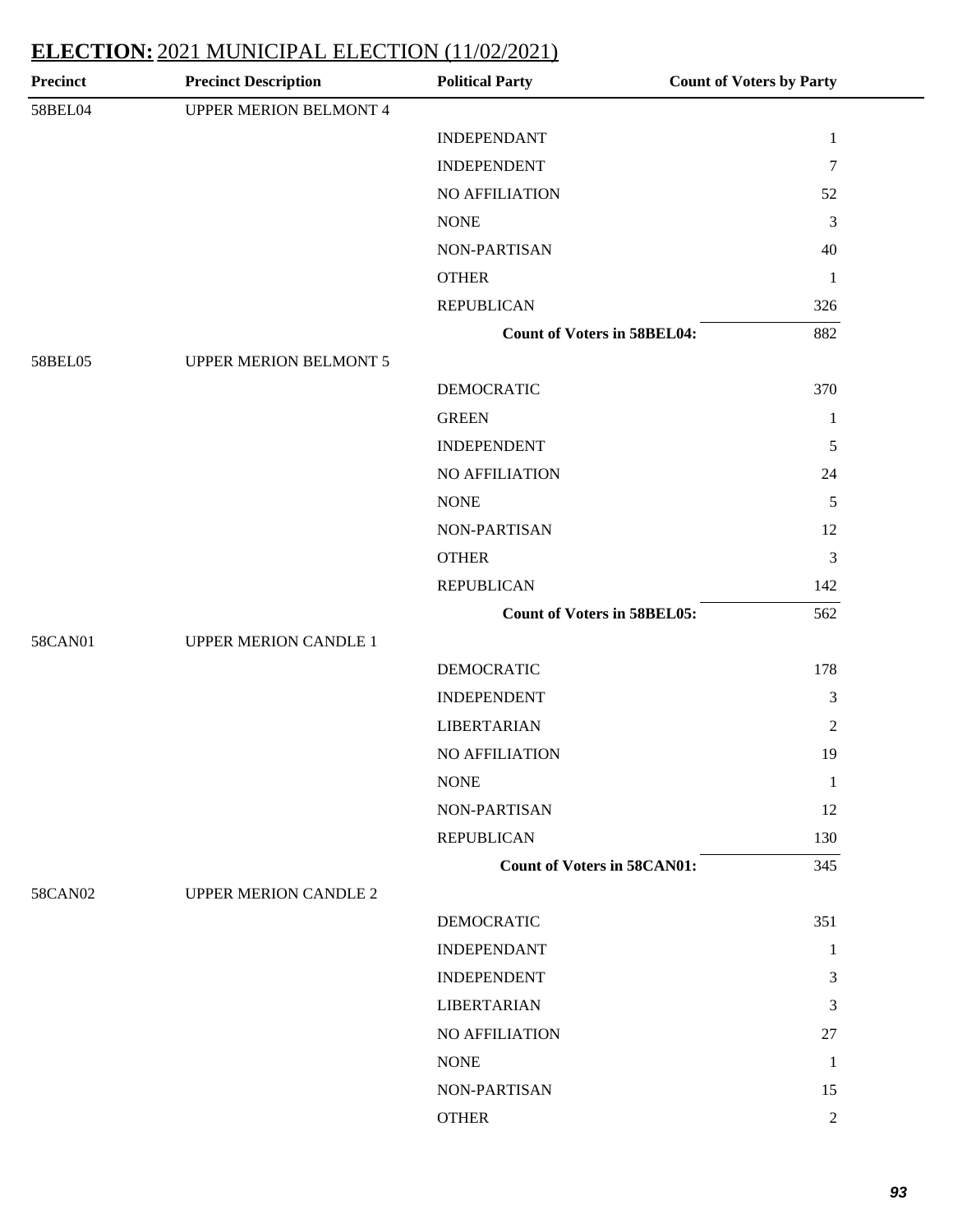| <b>Precinct</b> | <b>Precinct Description</b>   | <b>Political Party</b>             | <b>Count of Voters by Party</b> |
|-----------------|-------------------------------|------------------------------------|---------------------------------|
| 58BEL04         | <b>UPPER MERION BELMONT 4</b> |                                    |                                 |
|                 |                               | <b>INDEPENDANT</b>                 | $\mathbf{1}$                    |
|                 |                               | <b>INDEPENDENT</b>                 | $\overline{7}$                  |
|                 |                               | NO AFFILIATION                     | 52                              |
|                 |                               | <b>NONE</b>                        | $\mathfrak{Z}$                  |
|                 |                               | NON-PARTISAN                       | 40                              |
|                 |                               | <b>OTHER</b>                       | $\mathbf{1}$                    |
|                 |                               | <b>REPUBLICAN</b>                  | 326                             |
|                 |                               | <b>Count of Voters in 58BEL04:</b> | 882                             |
| 58BEL05         | <b>UPPER MERION BELMONT 5</b> |                                    |                                 |
|                 |                               | <b>DEMOCRATIC</b>                  | 370                             |
|                 |                               | <b>GREEN</b>                       | $\mathbf{1}$                    |
|                 |                               | <b>INDEPENDENT</b>                 | 5                               |
|                 |                               | NO AFFILIATION                     | 24                              |
|                 |                               | <b>NONE</b>                        | 5                               |
|                 |                               | NON-PARTISAN                       | 12                              |
|                 |                               | <b>OTHER</b>                       | $\mathfrak{Z}$                  |
|                 |                               | <b>REPUBLICAN</b>                  | 142                             |
|                 |                               | <b>Count of Voters in 58BEL05:</b> | 562                             |
| 58CAN01         | <b>UPPER MERION CANDLE 1</b>  |                                    |                                 |
|                 |                               | <b>DEMOCRATIC</b>                  | 178                             |
|                 |                               | <b>INDEPENDENT</b>                 | 3                               |
|                 |                               | <b>LIBERTARIAN</b>                 | $\overline{2}$                  |
|                 |                               | <b>NO AFFILIATION</b>              | 19                              |
|                 |                               | <b>NONE</b>                        | $\mathbf{1}$                    |
|                 |                               | NON-PARTISAN                       | 12                              |
|                 |                               | <b>REPUBLICAN</b>                  | 130                             |
|                 |                               | <b>Count of Voters in 58CAN01:</b> | 345                             |
| 58CAN02         | <b>UPPER MERION CANDLE 2</b>  |                                    |                                 |
|                 |                               | <b>DEMOCRATIC</b>                  | 351                             |
|                 |                               | <b>INDEPENDANT</b>                 | $\mathbf{1}$                    |
|                 |                               | <b>INDEPENDENT</b>                 | 3                               |
|                 |                               | <b>LIBERTARIAN</b>                 | 3                               |
|                 |                               | NO AFFILIATION                     | 27                              |
|                 |                               | <b>NONE</b>                        | $\mathbf{1}$                    |
|                 |                               | NON-PARTISAN                       | 15                              |
|                 |                               | <b>OTHER</b>                       | $\overline{2}$                  |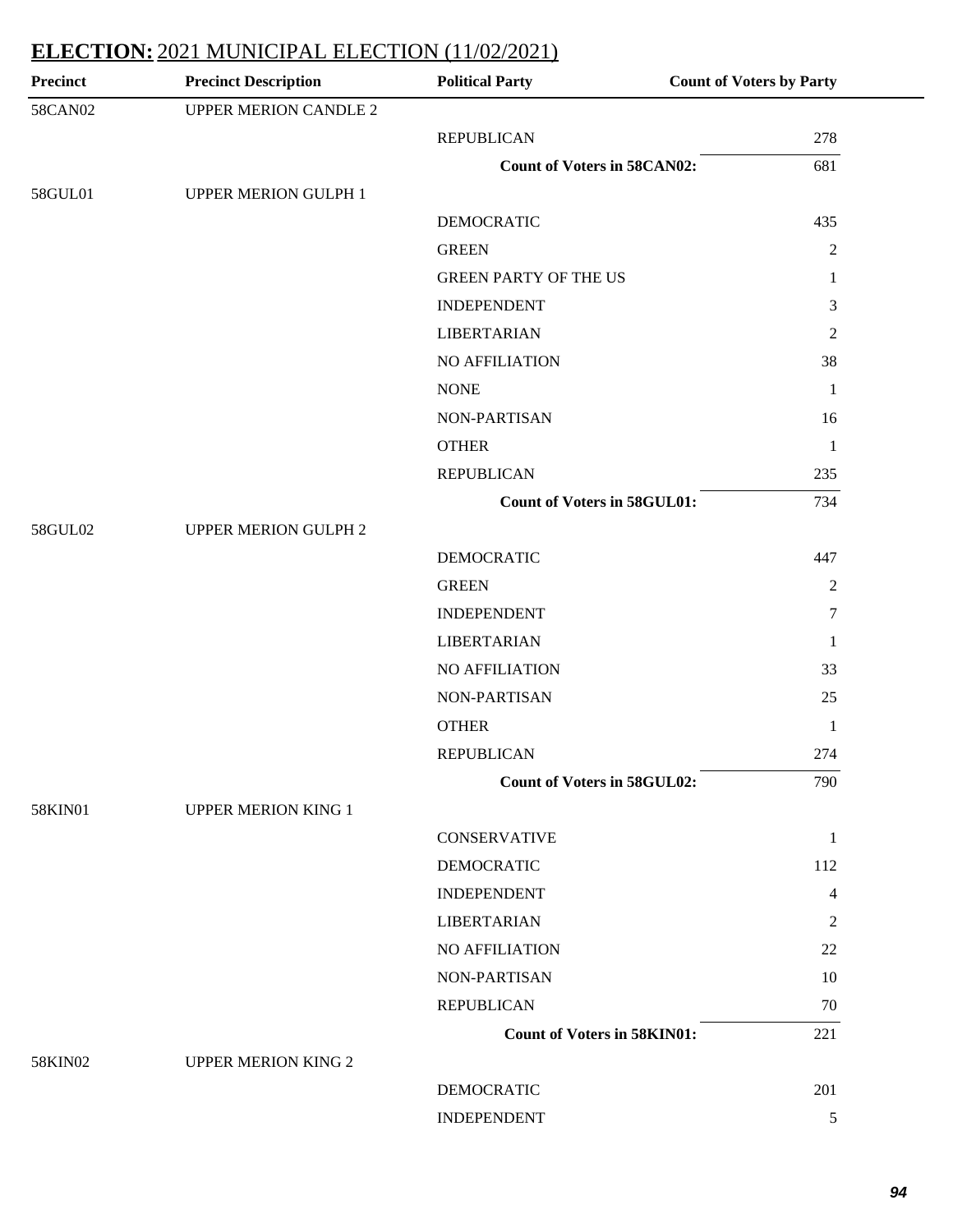| <b>Precinct</b> | <b>Precinct Description</b>  | <b>Political Party</b>             | <b>Count of Voters by Party</b> |
|-----------------|------------------------------|------------------------------------|---------------------------------|
| 58CAN02         | <b>UPPER MERION CANDLE 2</b> |                                    |                                 |
|                 |                              | <b>REPUBLICAN</b>                  | 278                             |
|                 |                              | <b>Count of Voters in 58CAN02:</b> | 681                             |
| 58GUL01         | <b>UPPER MERION GULPH 1</b>  |                                    |                                 |
|                 |                              | <b>DEMOCRATIC</b>                  | 435                             |
|                 |                              | <b>GREEN</b>                       | $\overline{2}$                  |
|                 |                              | <b>GREEN PARTY OF THE US</b>       | 1                               |
|                 |                              | <b>INDEPENDENT</b>                 | $\mathfrak{Z}$                  |
|                 |                              | <b>LIBERTARIAN</b>                 | $\mathfrak{2}$                  |
|                 |                              | NO AFFILIATION                     | 38                              |
|                 |                              | <b>NONE</b>                        | $\mathbf{1}$                    |
|                 |                              | NON-PARTISAN                       | 16                              |
|                 |                              | <b>OTHER</b>                       | $\mathbf{1}$                    |
|                 |                              | <b>REPUBLICAN</b>                  | 235                             |
|                 |                              | <b>Count of Voters in 58GUL01:</b> | 734                             |
| 58GUL02         | <b>UPPER MERION GULPH 2</b>  |                                    |                                 |
|                 |                              | <b>DEMOCRATIC</b>                  | 447                             |
|                 |                              | <b>GREEN</b>                       | $\overline{2}$                  |
|                 |                              | <b>INDEPENDENT</b>                 | $\tau$                          |
|                 |                              | <b>LIBERTARIAN</b>                 | $\mathbf{1}$                    |
|                 |                              | <b>NO AFFILIATION</b>              | 33                              |
|                 |                              | NON-PARTISAN                       | 25                              |
|                 |                              | <b>OTHER</b>                       | $\mathbf{1}$                    |
|                 |                              | <b>REPUBLICAN</b>                  | 274                             |
|                 |                              | <b>Count of Voters in 58GUL02:</b> | 790                             |
| 58KIN01         | <b>UPPER MERION KING 1</b>   |                                    |                                 |
|                 |                              | <b>CONSERVATIVE</b>                | $\mathbf{1}$                    |
|                 |                              | <b>DEMOCRATIC</b>                  | 112                             |
|                 |                              | <b>INDEPENDENT</b>                 | 4                               |
|                 |                              | <b>LIBERTARIAN</b>                 | 2                               |
|                 |                              | NO AFFILIATION                     | 22                              |
|                 |                              | NON-PARTISAN                       | 10                              |
|                 |                              | <b>REPUBLICAN</b>                  | 70                              |
|                 |                              | <b>Count of Voters in 58KIN01:</b> | 221                             |
| 58KIN02         | <b>UPPER MERION KING 2</b>   |                                    |                                 |
|                 |                              | <b>DEMOCRATIC</b>                  | 201                             |
|                 |                              |                                    |                                 |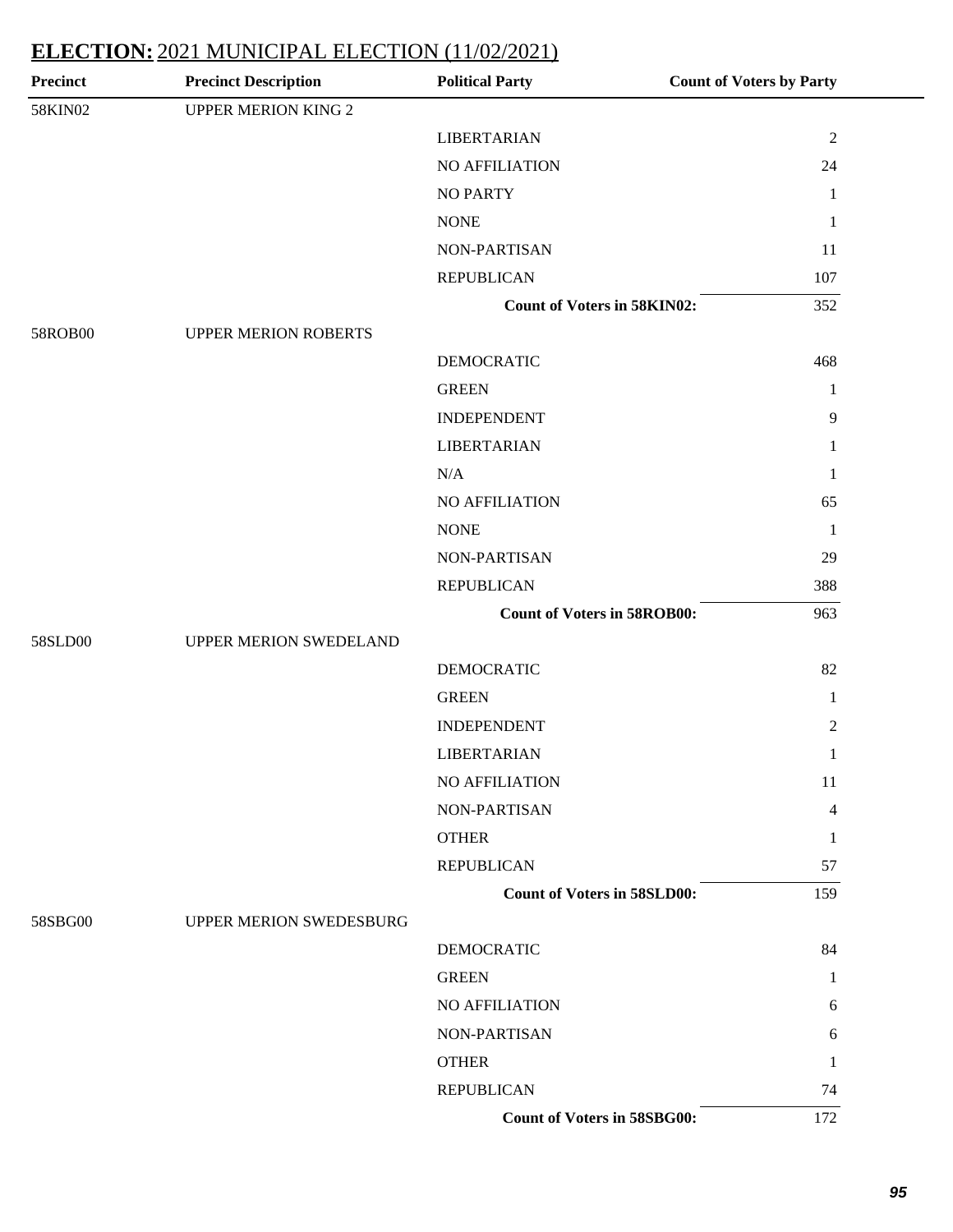| <b>Precinct</b> | <b>Precinct Description</b> | <b>Political Party</b>             | <b>Count of Voters by Party</b> |
|-----------------|-----------------------------|------------------------------------|---------------------------------|
| 58KIN02         | <b>UPPER MERION KING 2</b>  |                                    |                                 |
|                 |                             | <b>LIBERTARIAN</b>                 | $\sqrt{2}$                      |
|                 |                             | <b>NO AFFILIATION</b>              | 24                              |
|                 |                             | <b>NO PARTY</b>                    | $\mathbf{1}$                    |
|                 |                             | <b>NONE</b>                        | $\mathbf{1}$                    |
|                 |                             | NON-PARTISAN                       | 11                              |
|                 |                             | <b>REPUBLICAN</b>                  | 107                             |
|                 |                             | <b>Count of Voters in 58KIN02:</b> | 352                             |
| 58ROB00         | <b>UPPER MERION ROBERTS</b> |                                    |                                 |
|                 |                             | <b>DEMOCRATIC</b>                  | 468                             |
|                 |                             | <b>GREEN</b>                       | $\mathbf{1}$                    |
|                 |                             | <b>INDEPENDENT</b>                 | $\overline{9}$                  |
|                 |                             | <b>LIBERTARIAN</b>                 | 1                               |
|                 |                             | N/A                                | 1                               |
|                 |                             | NO AFFILIATION                     | 65                              |
|                 |                             | <b>NONE</b>                        | $\mathbf{1}$                    |
|                 |                             | NON-PARTISAN                       | 29                              |
|                 |                             | <b>REPUBLICAN</b>                  | 388                             |
|                 |                             | <b>Count of Voters in 58ROB00:</b> | 963                             |
| 58SLD00         | UPPER MERION SWEDELAND      |                                    |                                 |
|                 |                             | <b>DEMOCRATIC</b>                  | 82                              |
|                 |                             | <b>GREEN</b>                       | $\mathbf{1}$                    |
|                 |                             | <b>INDEPENDENT</b>                 | $\sqrt{2}$                      |
|                 |                             | <b>LIBERTARIAN</b>                 | $\mathbf{1}$                    |
|                 |                             | NO AFFILIATION                     | 11                              |
|                 |                             | NON-PARTISAN                       | 4                               |
|                 |                             | <b>OTHER</b>                       | 1                               |
|                 |                             | <b>REPUBLICAN</b>                  | 57                              |
|                 |                             | <b>Count of Voters in 58SLD00:</b> | 159                             |
| 58SBG00         | UPPER MERION SWEDESBURG     |                                    |                                 |
|                 |                             | <b>DEMOCRATIC</b>                  | 84                              |
|                 |                             | <b>GREEN</b>                       | 1                               |
|                 |                             | NO AFFILIATION                     | 6                               |
|                 |                             | NON-PARTISAN                       | 6                               |
|                 |                             | <b>OTHER</b>                       | 1                               |
|                 |                             | <b>REPUBLICAN</b>                  | 74                              |
|                 |                             | Count of Voters in 58SBG00:        | 172                             |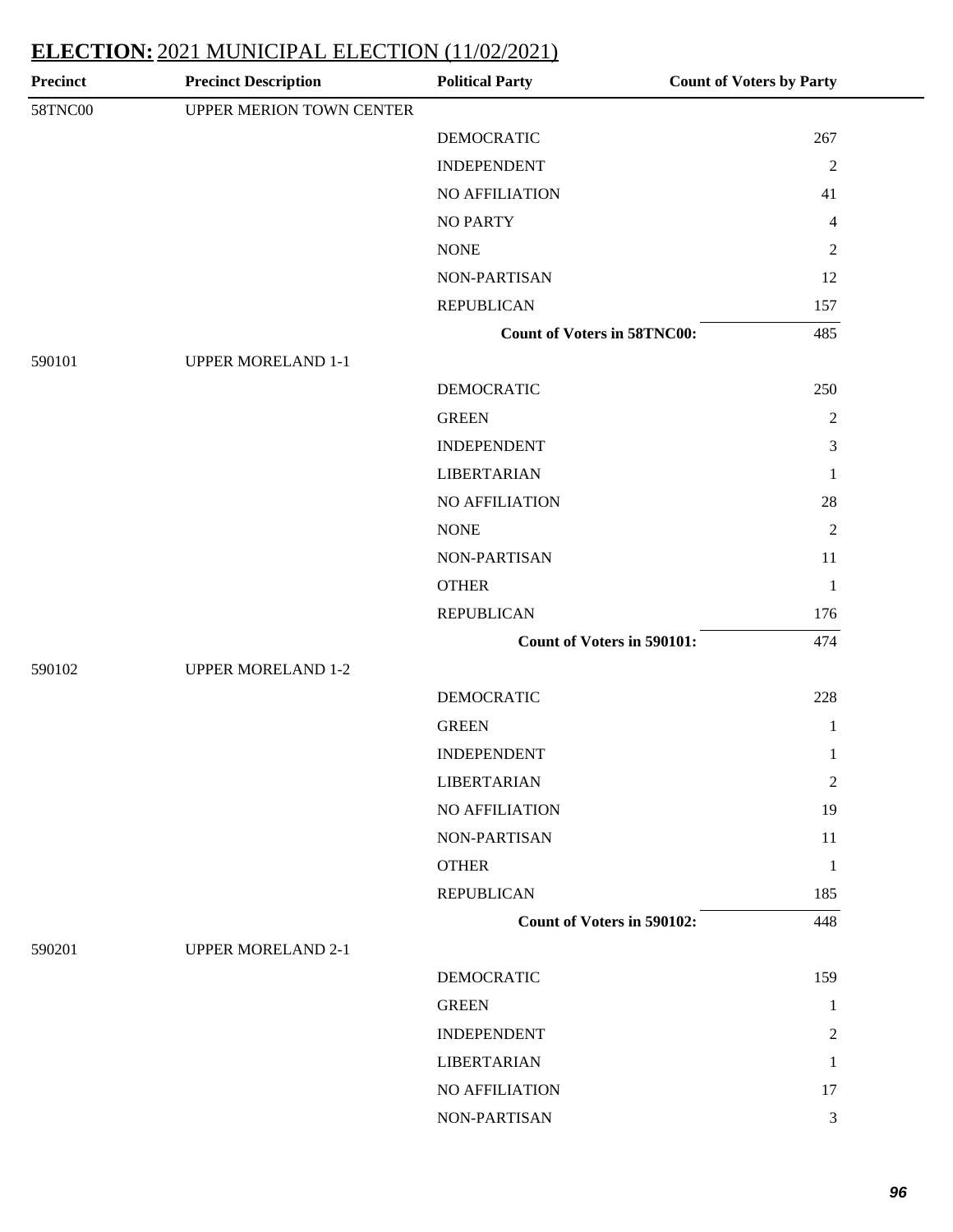| <b>Precinct</b> | <b>Precinct Description</b> | <b>Political Party</b>             | <b>Count of Voters by Party</b> |
|-----------------|-----------------------------|------------------------------------|---------------------------------|
| 58TNC00         | UPPER MERION TOWN CENTER    |                                    |                                 |
|                 |                             | <b>DEMOCRATIC</b>                  | 267                             |
|                 |                             | <b>INDEPENDENT</b>                 | $\sqrt{2}$                      |
|                 |                             | NO AFFILIATION                     | 41                              |
|                 |                             | <b>NO PARTY</b>                    | $\overline{4}$                  |
|                 |                             | <b>NONE</b>                        | $\mathbf{2}$                    |
|                 |                             | NON-PARTISAN                       | 12                              |
|                 |                             | <b>REPUBLICAN</b>                  | 157                             |
|                 |                             | <b>Count of Voters in 58TNC00:</b> | 485                             |
| 590101          | <b>UPPER MORELAND 1-1</b>   |                                    |                                 |
|                 |                             | <b>DEMOCRATIC</b>                  | 250                             |
|                 |                             | <b>GREEN</b>                       | $\overline{2}$                  |
|                 |                             | <b>INDEPENDENT</b>                 | $\mathfrak{Z}$                  |
|                 |                             | <b>LIBERTARIAN</b>                 | $\mathbf{1}$                    |
|                 |                             | NO AFFILIATION                     | 28                              |
|                 |                             | <b>NONE</b>                        | $\sqrt{2}$                      |
|                 |                             | NON-PARTISAN                       | 11                              |
|                 |                             | <b>OTHER</b>                       | $\mathbf{1}$                    |
|                 |                             | <b>REPUBLICAN</b>                  | 176                             |
|                 |                             | Count of Voters in 590101:         | 474                             |
| 590102          | <b>UPPER MORELAND 1-2</b>   |                                    |                                 |
|                 |                             | <b>DEMOCRATIC</b>                  | 228                             |
|                 |                             | <b>GREEN</b>                       | $\mathbf{1}$                    |
|                 |                             | <b>INDEPENDENT</b>                 | $\mathbf{1}$                    |
|                 |                             | <b>LIBERTARIAN</b>                 | $\mathbf{2}$                    |
|                 |                             | NO AFFILIATION                     | 19                              |
|                 |                             | NON-PARTISAN                       | 11                              |
|                 |                             | <b>OTHER</b>                       | $\mathbf{1}$                    |
|                 |                             | <b>REPUBLICAN</b>                  | 185                             |
|                 |                             | <b>Count of Voters in 590102:</b>  | 448                             |
| 590201          | <b>UPPER MORELAND 2-1</b>   |                                    |                                 |
|                 |                             | <b>DEMOCRATIC</b>                  | 159                             |
|                 |                             | <b>GREEN</b>                       | $\mathbf{1}$                    |
|                 |                             | <b>INDEPENDENT</b>                 | $\boldsymbol{2}$                |
|                 |                             | <b>LIBERTARIAN</b>                 | 1                               |
|                 |                             | NO AFFILIATION                     | 17                              |
|                 |                             | NON-PARTISAN                       | $\mathfrak{Z}$                  |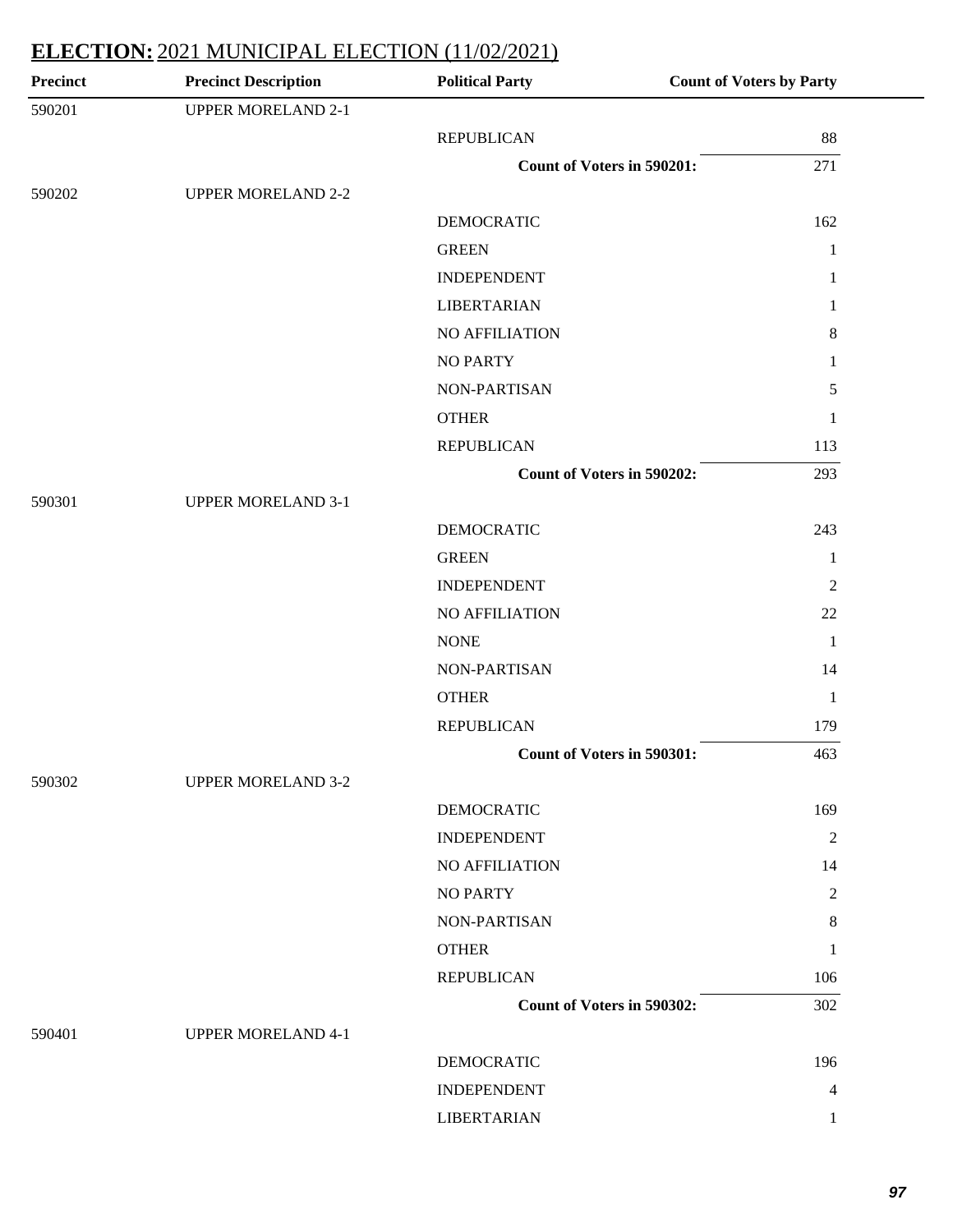| <b>Precinct</b> | <b>Precinct Description</b> | <b>Political Party</b>            | <b>Count of Voters by Party</b> |
|-----------------|-----------------------------|-----------------------------------|---------------------------------|
| 590201          | <b>UPPER MORELAND 2-1</b>   |                                   |                                 |
|                 |                             | <b>REPUBLICAN</b>                 | 88                              |
|                 |                             | <b>Count of Voters in 590201:</b> | 271                             |
| 590202          | <b>UPPER MORELAND 2-2</b>   |                                   |                                 |
|                 |                             | <b>DEMOCRATIC</b>                 | 162                             |
|                 |                             | <b>GREEN</b>                      | 1                               |
|                 |                             | <b>INDEPENDENT</b>                | 1                               |
|                 |                             | <b>LIBERTARIAN</b>                | 1                               |
|                 |                             | NO AFFILIATION                    | 8                               |
|                 |                             | <b>NO PARTY</b>                   | 1                               |
|                 |                             | NON-PARTISAN                      | $\sqrt{5}$                      |
|                 |                             | <b>OTHER</b>                      | 1                               |
|                 |                             | <b>REPUBLICAN</b>                 | 113                             |
|                 |                             | <b>Count of Voters in 590202:</b> | 293                             |
| 590301          | <b>UPPER MORELAND 3-1</b>   |                                   |                                 |
|                 |                             | <b>DEMOCRATIC</b>                 | 243                             |
|                 |                             | <b>GREEN</b>                      | 1                               |
|                 |                             | <b>INDEPENDENT</b>                | $\overline{2}$                  |
|                 |                             | NO AFFILIATION                    | 22                              |
|                 |                             | <b>NONE</b>                       | $\mathbf{1}$                    |
|                 |                             | <b>NON-PARTISAN</b>               | 14                              |
|                 |                             | <b>OTHER</b>                      | $\mathbf{1}$                    |
|                 |                             | <b>REPUBLICAN</b>                 | 179                             |
|                 |                             | <b>Count of Voters in 590301:</b> | 463                             |
| 590302          | <b>UPPER MORELAND 3-2</b>   |                                   |                                 |
|                 |                             | <b>DEMOCRATIC</b>                 | 169                             |
|                 |                             | <b>INDEPENDENT</b>                | $\overline{2}$                  |
|                 |                             | NO AFFILIATION                    | 14                              |
|                 |                             | <b>NO PARTY</b>                   | $\overline{2}$                  |
|                 |                             | NON-PARTISAN                      | 8                               |
|                 |                             | <b>OTHER</b>                      | 1                               |
|                 |                             | <b>REPUBLICAN</b>                 | 106                             |
|                 |                             | <b>Count of Voters in 590302:</b> | 302                             |
| 590401          | <b>UPPER MORELAND 4-1</b>   |                                   |                                 |
|                 |                             | <b>DEMOCRATIC</b>                 | 196                             |
|                 |                             | <b>INDEPENDENT</b>                | 4                               |
|                 |                             | <b>LIBERTARIAN</b>                | 1                               |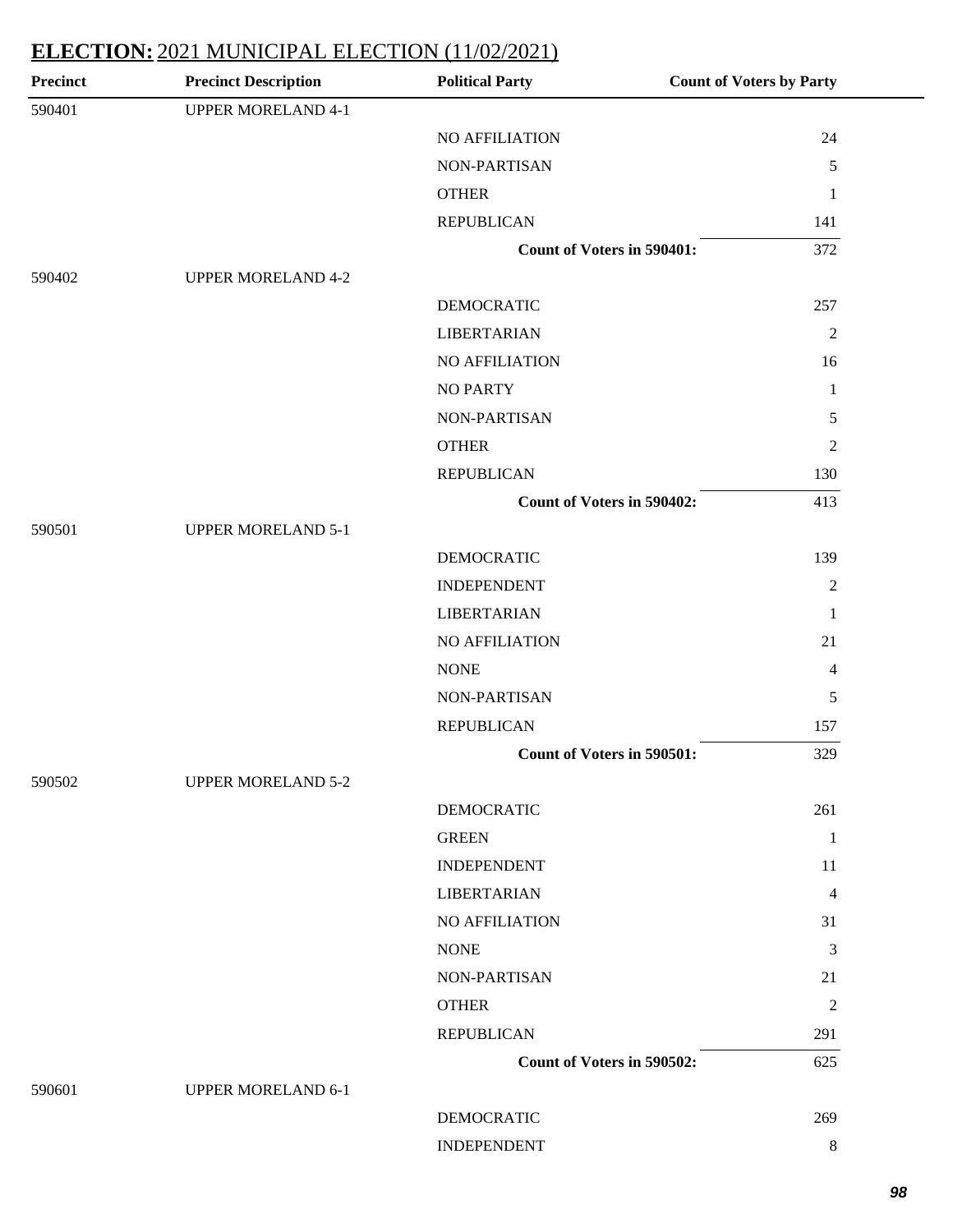| <b>Precinct</b> | <b>Precinct Description</b> | <b>Political Party</b>            | <b>Count of Voters by Party</b> |
|-----------------|-----------------------------|-----------------------------------|---------------------------------|
| 590401          | <b>UPPER MORELAND 4-1</b>   |                                   |                                 |
|                 |                             | NO AFFILIATION                    | 24                              |
|                 |                             | NON-PARTISAN                      | 5                               |
|                 |                             | <b>OTHER</b>                      | $\mathbf{1}$                    |
|                 |                             | <b>REPUBLICAN</b>                 | 141                             |
|                 |                             | <b>Count of Voters in 590401:</b> | 372                             |
| 590402          | <b>UPPER MORELAND 4-2</b>   |                                   |                                 |
|                 |                             | <b>DEMOCRATIC</b>                 | 257                             |
|                 |                             | <b>LIBERTARIAN</b>                | $\overline{2}$                  |
|                 |                             | NO AFFILIATION                    | 16                              |
|                 |                             | <b>NO PARTY</b>                   | $\mathbf{1}$                    |
|                 |                             | NON-PARTISAN                      | 5                               |
|                 |                             | <b>OTHER</b>                      | $\boldsymbol{2}$                |
|                 |                             | <b>REPUBLICAN</b>                 | 130                             |
|                 |                             | <b>Count of Voters in 590402:</b> | 413                             |
| 590501          | <b>UPPER MORELAND 5-1</b>   |                                   |                                 |
|                 |                             | <b>DEMOCRATIC</b>                 | 139                             |
|                 |                             | <b>INDEPENDENT</b>                | $\mathbf{2}$                    |
|                 |                             | <b>LIBERTARIAN</b>                | 1                               |
|                 |                             | NO AFFILIATION                    | 21                              |
|                 |                             | <b>NONE</b>                       | 4                               |
|                 |                             | NON-PARTISAN                      | $\mathfrak s$                   |
|                 |                             | <b>REPUBLICAN</b>                 | 157                             |
|                 |                             | Count of Voters in 590501:        | 329                             |
| 590502          | <b>UPPER MORELAND 5-2</b>   |                                   |                                 |
|                 |                             | <b>DEMOCRATIC</b>                 | 261                             |
|                 |                             | <b>GREEN</b>                      | $\mathbf{1}$                    |
|                 |                             | <b>INDEPENDENT</b>                | 11                              |
|                 |                             | <b>LIBERTARIAN</b>                | 4                               |
|                 |                             | <b>NO AFFILIATION</b>             | 31                              |
|                 |                             | <b>NONE</b>                       | $\mathfrak{Z}$                  |
|                 |                             | NON-PARTISAN                      | 21                              |
|                 |                             | <b>OTHER</b>                      | $\overline{c}$                  |
|                 |                             | <b>REPUBLICAN</b>                 | 291                             |
|                 |                             | Count of Voters in 590502:        | 625                             |
| 590601          | <b>UPPER MORELAND 6-1</b>   |                                   |                                 |
|                 |                             | <b>DEMOCRATIC</b>                 | 269                             |
|                 |                             | <b>INDEPENDENT</b>                | $\,8\,$                         |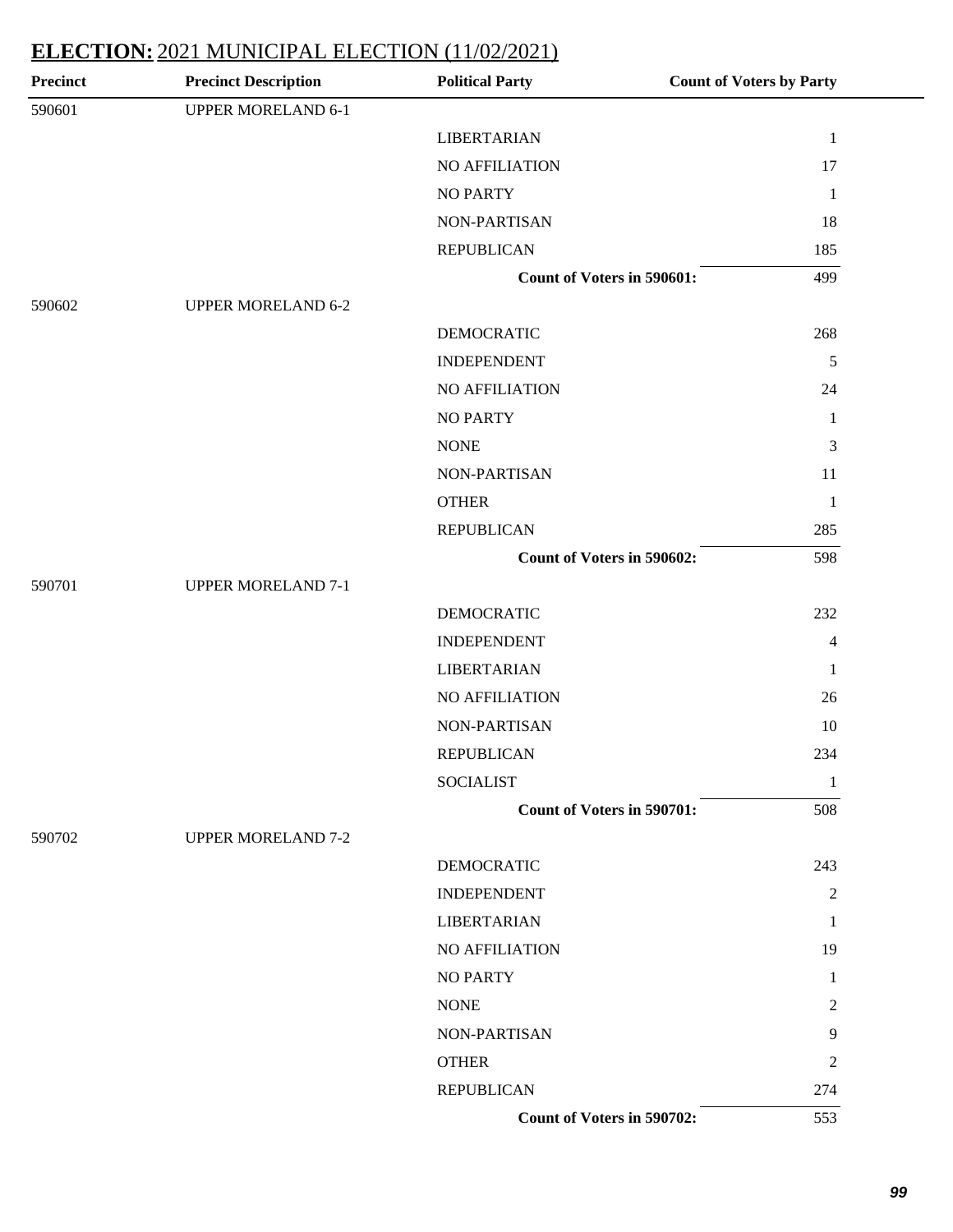| <b>Precinct</b> | <b>Precinct Description</b> | <b>Political Party</b>            | <b>Count of Voters by Party</b> |
|-----------------|-----------------------------|-----------------------------------|---------------------------------|
| 590601          | <b>UPPER MORELAND 6-1</b>   |                                   |                                 |
|                 |                             | <b>LIBERTARIAN</b>                | $\mathbf{1}$                    |
|                 |                             | NO AFFILIATION                    | 17                              |
|                 |                             | <b>NO PARTY</b>                   | $\mathbf{1}$                    |
|                 |                             | NON-PARTISAN                      | 18                              |
|                 |                             | <b>REPUBLICAN</b>                 | 185                             |
|                 |                             | Count of Voters in 590601:        | 499                             |
| 590602          | <b>UPPER MORELAND 6-2</b>   |                                   |                                 |
|                 |                             | <b>DEMOCRATIC</b>                 | 268                             |
|                 |                             | <b>INDEPENDENT</b>                | $\sqrt{5}$                      |
|                 |                             | NO AFFILIATION                    | 24                              |
|                 |                             | <b>NO PARTY</b>                   | $\mathbf{1}$                    |
|                 |                             | <b>NONE</b>                       | 3                               |
|                 |                             | NON-PARTISAN                      | 11                              |
|                 |                             | <b>OTHER</b>                      | $\mathbf{1}$                    |
|                 |                             | <b>REPUBLICAN</b>                 | 285                             |
|                 |                             | Count of Voters in 590602:        | 598                             |
| 590701          | <b>UPPER MORELAND 7-1</b>   |                                   |                                 |
|                 |                             | <b>DEMOCRATIC</b>                 | 232                             |
|                 |                             | <b>INDEPENDENT</b>                | $\overline{4}$                  |
|                 |                             | <b>LIBERTARIAN</b>                | $\mathbf{1}$                    |
|                 |                             | NO AFFILIATION                    | 26                              |
|                 |                             | NON-PARTISAN                      | 10                              |
|                 |                             | <b>REPUBLICAN</b>                 | 234                             |
|                 |                             | <b>SOCIALIST</b>                  | 1                               |
|                 |                             | <b>Count of Voters in 590701:</b> | 508                             |
| 590702          | <b>UPPER MORELAND 7-2</b>   |                                   |                                 |
|                 |                             | <b>DEMOCRATIC</b>                 | 243                             |
|                 |                             | <b>INDEPENDENT</b>                | $\mathfrak{2}$                  |
|                 |                             | <b>LIBERTARIAN</b>                | 1                               |
|                 |                             | NO AFFILIATION                    | 19                              |
|                 |                             | <b>NO PARTY</b>                   | 1                               |
|                 |                             | <b>NONE</b>                       | 2                               |
|                 |                             | NON-PARTISAN                      | 9                               |
|                 |                             | <b>OTHER</b>                      | $\overline{c}$                  |
|                 |                             | <b>REPUBLICAN</b>                 | 274                             |
|                 |                             | Count of Voters in 590702:        | 553                             |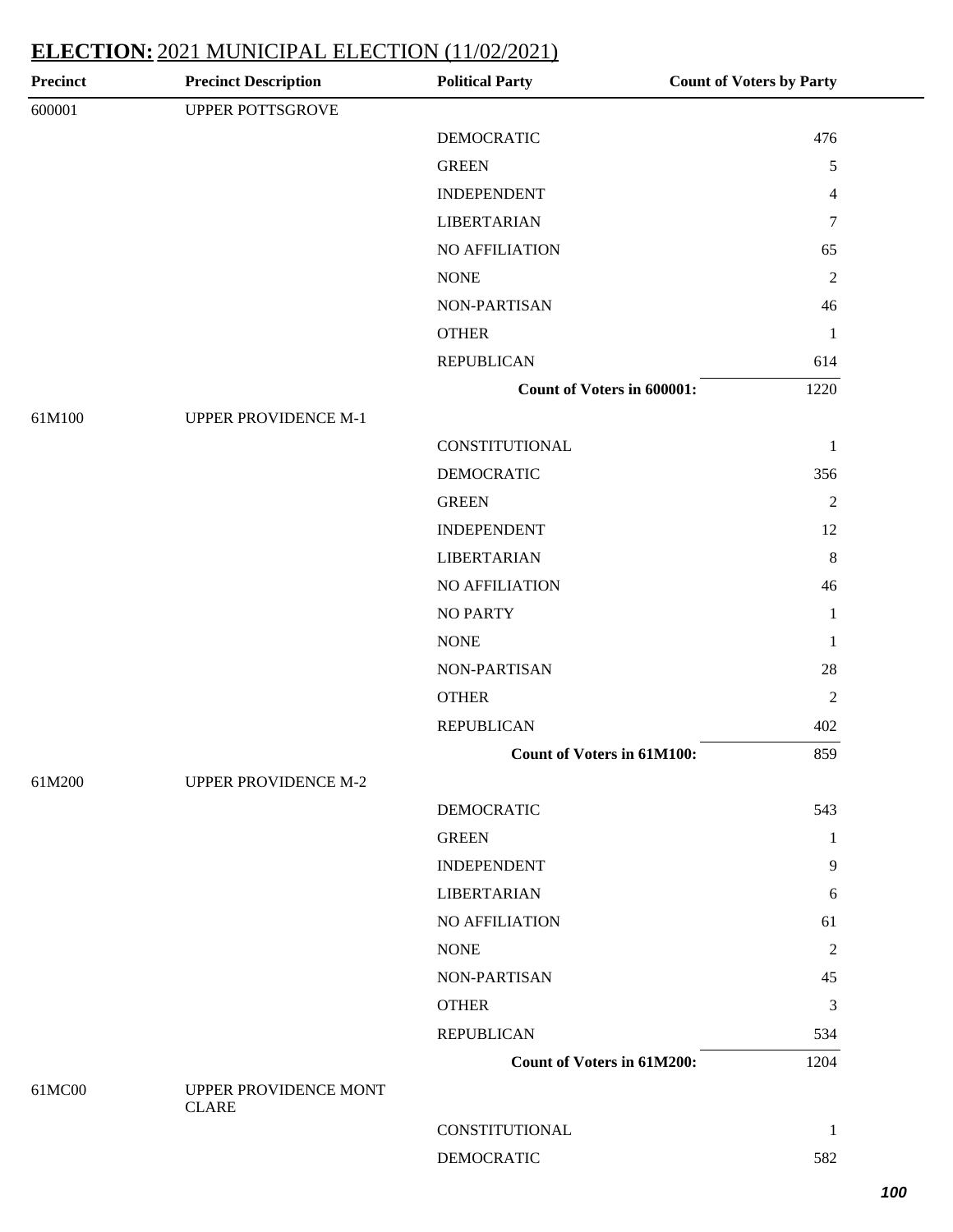| <b>Precinct</b> | <b>Precinct Description</b> | <b>Political Party</b>            | <b>Count of Voters by Party</b> |
|-----------------|-----------------------------|-----------------------------------|---------------------------------|
| 600001          | UPPER POTTSGROVE            |                                   |                                 |
|                 |                             | <b>DEMOCRATIC</b>                 | 476                             |
|                 |                             | <b>GREEN</b>                      | 5                               |
|                 |                             | <b>INDEPENDENT</b>                | $\overline{4}$                  |
|                 |                             | <b>LIBERTARIAN</b>                | 7                               |
|                 |                             | NO AFFILIATION                    | 65                              |
|                 |                             | <b>NONE</b>                       | $\overline{2}$                  |
|                 |                             | NON-PARTISAN                      | 46                              |
|                 |                             | <b>OTHER</b>                      | $\mathbf{1}$                    |
|                 |                             | <b>REPUBLICAN</b>                 | 614                             |
|                 |                             | <b>Count of Voters in 600001:</b> | 1220                            |
| 61M100          | <b>UPPER PROVIDENCE M-1</b> |                                   |                                 |
|                 |                             | CONSTITUTIONAL                    | $\mathbf{1}$                    |
|                 |                             | <b>DEMOCRATIC</b>                 | 356                             |
|                 |                             | <b>GREEN</b>                      | $\overline{2}$                  |
|                 |                             | <b>INDEPENDENT</b>                | 12                              |
|                 |                             | <b>LIBERTARIAN</b>                | 8                               |
|                 |                             | NO AFFILIATION                    | 46                              |
|                 |                             | <b>NO PARTY</b>                   | $\mathbf{1}$                    |
|                 |                             | <b>NONE</b>                       | $\mathbf{1}$                    |
|                 |                             | NON-PARTISAN                      | 28                              |
|                 |                             | <b>OTHER</b>                      | $\mathbf{2}$                    |
|                 |                             | <b>REPUBLICAN</b>                 | 402                             |
|                 |                             | <b>Count of Voters in 61M100:</b> | 859                             |
| 61M200          | <b>UPPER PROVIDENCE M-2</b> |                                   |                                 |
|                 |                             | <b>DEMOCRATIC</b>                 | 543                             |
|                 |                             | <b>GREEN</b>                      | $\mathbf{1}$                    |
|                 |                             | <b>INDEPENDENT</b>                | 9                               |
|                 |                             | <b>LIBERTARIAN</b>                | 6                               |
|                 |                             | NO AFFILIATION                    | 61                              |
|                 |                             | <b>NONE</b>                       | $\mathbf{2}$                    |
|                 |                             | NON-PARTISAN                      | 45                              |
|                 |                             | <b>OTHER</b>                      | 3                               |
|                 |                             | <b>REPUBLICAN</b>                 | 534                             |
|                 |                             | <b>Count of Voters in 61M200:</b> | 1204                            |
| 61MC00          | UPPER PROVIDENCE MONT       |                                   |                                 |
|                 | <b>CLARE</b>                | CONSTITUTIONAL                    | 1                               |
|                 |                             | <b>DEMOCRATIC</b>                 |                                 |
|                 |                             |                                   | 582                             |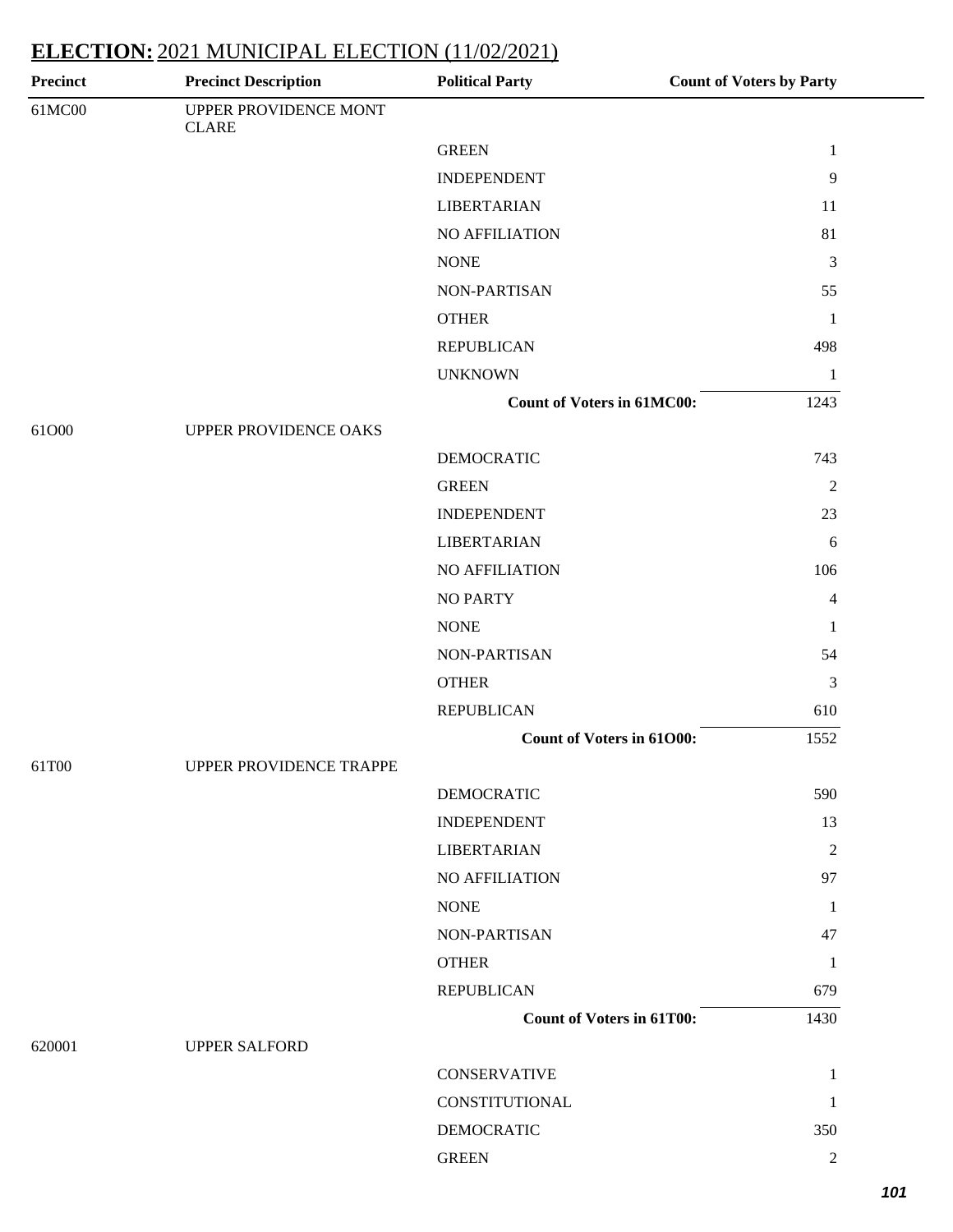| <b>Precinct</b> | <b>Precinct Description</b>           | <b>Political Party</b>            | <b>Count of Voters by Party</b> |
|-----------------|---------------------------------------|-----------------------------------|---------------------------------|
| 61MC00          | UPPER PROVIDENCE MONT<br><b>CLARE</b> |                                   |                                 |
|                 |                                       | <b>GREEN</b>                      | $\mathbf{1}$                    |
|                 |                                       | <b>INDEPENDENT</b>                | 9                               |
|                 |                                       | <b>LIBERTARIAN</b>                | 11                              |
|                 |                                       | NO AFFILIATION                    | 81                              |
|                 |                                       | <b>NONE</b>                       | 3                               |
|                 |                                       | NON-PARTISAN                      | 55                              |
|                 |                                       | <b>OTHER</b>                      | $\mathbf{1}$                    |
|                 |                                       | <b>REPUBLICAN</b>                 | 498                             |
|                 |                                       | <b>UNKNOWN</b>                    | $\mathbf{1}$                    |
|                 |                                       | <b>Count of Voters in 61MC00:</b> | 1243                            |
| 61O00           | UPPER PROVIDENCE OAKS                 |                                   |                                 |
|                 |                                       | <b>DEMOCRATIC</b>                 | 743                             |
|                 |                                       | <b>GREEN</b>                      | $\mathfrak{2}$                  |
|                 |                                       | <b>INDEPENDENT</b>                | 23                              |
|                 |                                       | <b>LIBERTARIAN</b>                | 6                               |
|                 |                                       | NO AFFILIATION                    | 106                             |
|                 |                                       | <b>NO PARTY</b>                   | 4                               |
|                 |                                       | <b>NONE</b>                       | $\mathbf{1}$                    |
|                 |                                       | NON-PARTISAN                      | 54                              |
|                 |                                       | <b>OTHER</b>                      | $\mathfrak{Z}$                  |
|                 |                                       | <b>REPUBLICAN</b>                 | 610                             |
|                 |                                       | Count of Voters in 61000:         | 1552                            |
| 61T00           | UPPER PROVIDENCE TRAPPE               |                                   |                                 |
|                 |                                       | <b>DEMOCRATIC</b>                 | 590                             |
|                 |                                       | <b>INDEPENDENT</b>                | 13                              |
|                 |                                       | <b>LIBERTARIAN</b>                | $\mathfrak{2}$                  |
|                 |                                       | NO AFFILIATION                    | 97                              |
|                 |                                       | <b>NONE</b>                       | $\mathbf{1}$                    |
|                 |                                       | NON-PARTISAN                      | 47                              |
|                 |                                       | <b>OTHER</b>                      | $\mathbf{1}$                    |
|                 |                                       | <b>REPUBLICAN</b>                 | 679                             |
|                 |                                       | <b>Count of Voters in 61T00:</b>  | 1430                            |
| 620001          | <b>UPPER SALFORD</b>                  |                                   |                                 |
|                 |                                       | <b>CONSERVATIVE</b>               | $\mathbf{1}$                    |
|                 |                                       | <b>CONSTITUTIONAL</b>             | $\mathbf{1}$                    |
|                 |                                       | <b>DEMOCRATIC</b>                 | 350                             |
|                 |                                       | <b>GREEN</b>                      | $\sqrt{2}$                      |
|                 |                                       |                                   |                                 |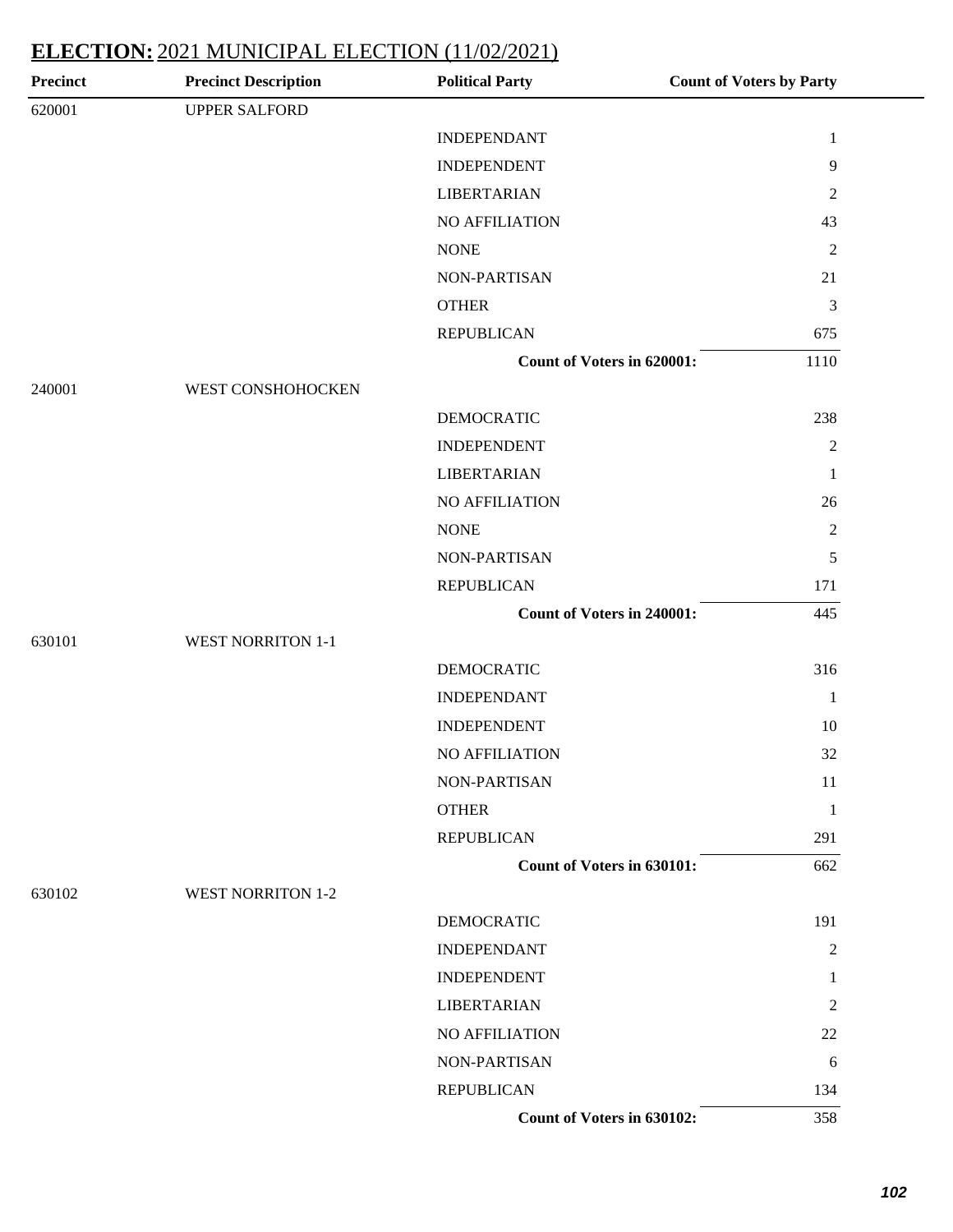| <b>Precinct</b> | <b>Precinct Description</b> | <b>Political Party</b>            | <b>Count of Voters by Party</b> |
|-----------------|-----------------------------|-----------------------------------|---------------------------------|
| 620001          | <b>UPPER SALFORD</b>        |                                   |                                 |
|                 |                             | <b>INDEPENDANT</b>                | $\mathbf{1}$                    |
|                 |                             | <b>INDEPENDENT</b>                | 9                               |
|                 |                             | <b>LIBERTARIAN</b>                | $\overline{c}$                  |
|                 |                             | NO AFFILIATION                    | 43                              |
|                 |                             | <b>NONE</b>                       | $\overline{2}$                  |
|                 |                             | NON-PARTISAN                      | 21                              |
|                 |                             | <b>OTHER</b>                      | $\mathfrak{Z}$                  |
|                 |                             | <b>REPUBLICAN</b>                 | 675                             |
|                 |                             | <b>Count of Voters in 620001:</b> | 1110                            |
| 240001          | WEST CONSHOHOCKEN           |                                   |                                 |
|                 |                             | <b>DEMOCRATIC</b>                 | 238                             |
|                 |                             | <b>INDEPENDENT</b>                | $\overline{2}$                  |
|                 |                             | <b>LIBERTARIAN</b>                | $\mathbf{1}$                    |
|                 |                             | NO AFFILIATION                    | 26                              |
|                 |                             | <b>NONE</b>                       | $\sqrt{2}$                      |
|                 |                             | NON-PARTISAN                      | $\sqrt{5}$                      |
|                 |                             | <b>REPUBLICAN</b>                 | 171                             |
|                 |                             | Count of Voters in 240001:        | 445                             |
| 630101          | <b>WEST NORRITON 1-1</b>    |                                   |                                 |
|                 |                             | <b>DEMOCRATIC</b>                 | 316                             |
|                 |                             | <b>INDEPENDANT</b>                | $\mathbf{1}$                    |
|                 |                             | <b>INDEPENDENT</b>                | 10                              |
|                 |                             | <b>NO AFFILIATION</b>             | 32                              |
|                 |                             | NON-PARTISAN                      | 11                              |
|                 |                             | <b>OTHER</b>                      | $\mathbf{1}$                    |
|                 |                             | <b>REPUBLICAN</b>                 | 291                             |
|                 |                             | <b>Count of Voters in 630101:</b> | 662                             |
| 630102          | <b>WEST NORRITON 1-2</b>    |                                   |                                 |
|                 |                             | <b>DEMOCRATIC</b>                 | 191                             |
|                 |                             | <b>INDEPENDANT</b>                | $\overline{2}$                  |
|                 |                             | <b>INDEPENDENT</b>                | 1                               |
|                 |                             | <b>LIBERTARIAN</b>                | $\overline{2}$                  |
|                 |                             | NO AFFILIATION                    | 22                              |
|                 |                             | NON-PARTISAN                      | 6                               |
|                 |                             | <b>REPUBLICAN</b>                 | 134                             |
|                 |                             | Count of Voters in 630102:        | 358                             |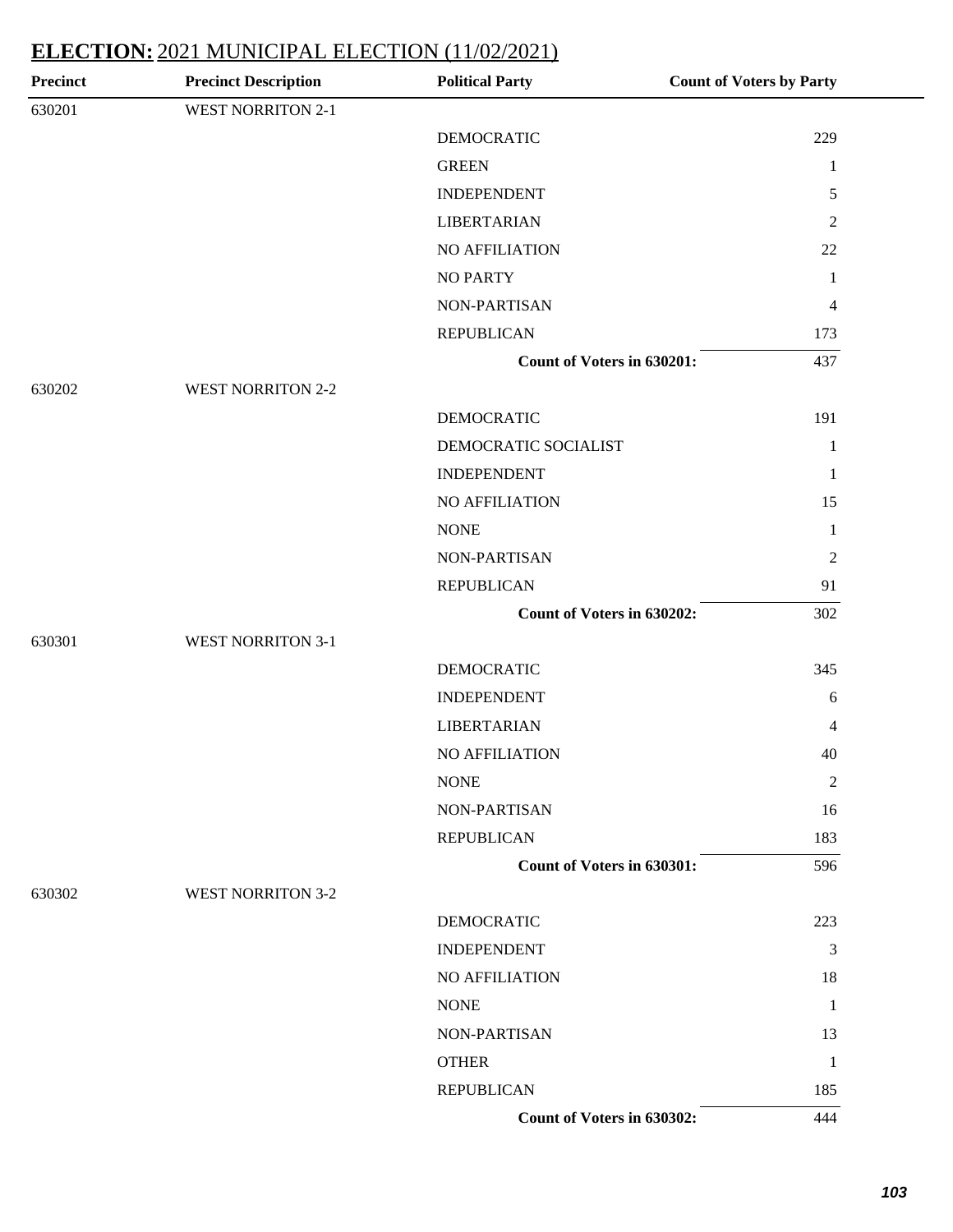| <b>Precinct</b> | <b>Precinct Description</b> | <b>Political Party</b>     | <b>Count of Voters by Party</b> |
|-----------------|-----------------------------|----------------------------|---------------------------------|
| 630201          | <b>WEST NORRITON 2-1</b>    |                            |                                 |
|                 |                             | <b>DEMOCRATIC</b>          | 229                             |
|                 |                             | <b>GREEN</b>               | $\mathbf{1}$                    |
|                 |                             | <b>INDEPENDENT</b>         | 5                               |
|                 |                             | <b>LIBERTARIAN</b>         | $\overline{2}$                  |
|                 |                             | NO AFFILIATION             | 22                              |
|                 |                             | <b>NO PARTY</b>            | $\mathbf{1}$                    |
|                 |                             | NON-PARTISAN               | $\overline{4}$                  |
|                 |                             | <b>REPUBLICAN</b>          | 173                             |
|                 |                             | Count of Voters in 630201: | 437                             |
| 630202          | <b>WEST NORRITON 2-2</b>    |                            |                                 |
|                 |                             | <b>DEMOCRATIC</b>          | 191                             |
|                 |                             | DEMOCRATIC SOCIALIST       | $\mathbf{1}$                    |
|                 |                             | <b>INDEPENDENT</b>         | $\mathbf{1}$                    |
|                 |                             | <b>NO AFFILIATION</b>      | 15                              |
|                 |                             | <b>NONE</b>                | $\mathbf{1}$                    |
|                 |                             | NON-PARTISAN               | $\overline{2}$                  |
|                 |                             | <b>REPUBLICAN</b>          | 91                              |
|                 |                             | Count of Voters in 630202: | 302                             |
| 630301          | <b>WEST NORRITON 3-1</b>    |                            |                                 |
|                 |                             | <b>DEMOCRATIC</b>          | 345                             |
|                 |                             | <b>INDEPENDENT</b>         | 6                               |
|                 |                             | <b>LIBERTARIAN</b>         | 4                               |
|                 |                             | <b>NO AFFILIATION</b>      | 40                              |
|                 |                             | <b>NONE</b>                | $\overline{2}$                  |
|                 |                             | NON-PARTISAN               | 16                              |
|                 |                             | <b>REPUBLICAN</b>          | 183                             |
|                 |                             | Count of Voters in 630301: | 596                             |
| 630302          | <b>WEST NORRITON 3-2</b>    |                            |                                 |
|                 |                             | <b>DEMOCRATIC</b>          | 223                             |
|                 |                             | <b>INDEPENDENT</b>         | $\mathfrak{Z}$                  |
|                 |                             | NO AFFILIATION             | 18                              |
|                 |                             | <b>NONE</b>                | $\mathbf{1}$                    |
|                 |                             | NON-PARTISAN               | 13                              |
|                 |                             | <b>OTHER</b>               | $\mathbf{1}$                    |
|                 |                             | <b>REPUBLICAN</b>          | 185                             |
|                 |                             | Count of Voters in 630302: | 444                             |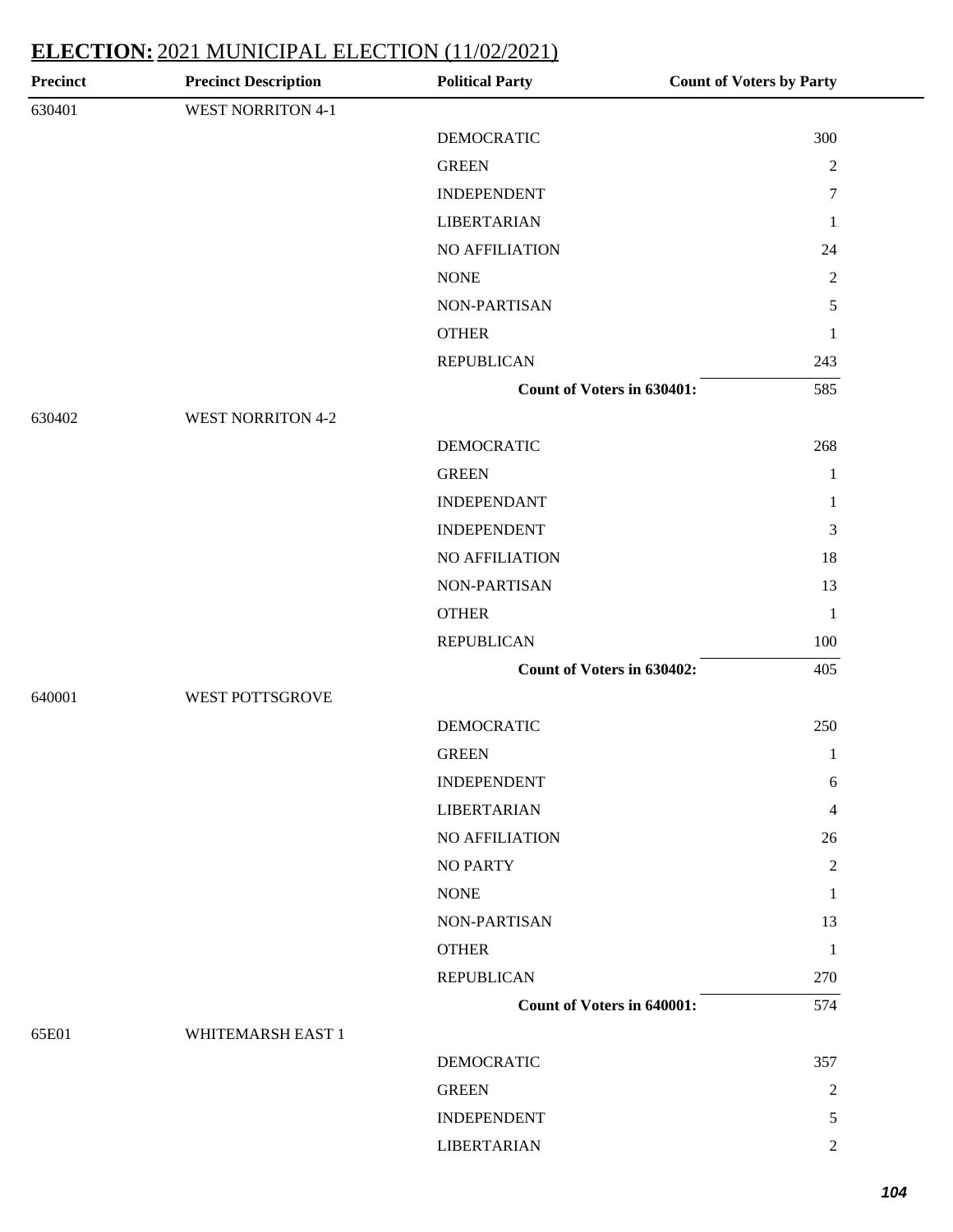| <b>Precinct</b> | <b>Precinct Description</b> | <b>Political Party</b>            | <b>Count of Voters by Party</b> |
|-----------------|-----------------------------|-----------------------------------|---------------------------------|
| 630401          | <b>WEST NORRITON 4-1</b>    |                                   |                                 |
|                 |                             | <b>DEMOCRATIC</b>                 | 300                             |
|                 |                             | <b>GREEN</b>                      | $\sqrt{2}$                      |
|                 |                             | <b>INDEPENDENT</b>                | $\tau$                          |
|                 |                             | <b>LIBERTARIAN</b>                | $\mathbf{1}$                    |
|                 |                             | <b>NO AFFILIATION</b>             | 24                              |
|                 |                             | <b>NONE</b>                       | $\sqrt{2}$                      |
|                 |                             | NON-PARTISAN                      | 5                               |
|                 |                             | <b>OTHER</b>                      | $\mathbf{1}$                    |
|                 |                             | <b>REPUBLICAN</b>                 | 243                             |
|                 |                             | Count of Voters in 630401:        | 585                             |
| 630402          | <b>WEST NORRITON 4-2</b>    |                                   |                                 |
|                 |                             | <b>DEMOCRATIC</b>                 | 268                             |
|                 |                             | <b>GREEN</b>                      | $\mathbf{1}$                    |
|                 |                             | <b>INDEPENDANT</b>                | $\mathbf{1}$                    |
|                 |                             | <b>INDEPENDENT</b>                | 3                               |
|                 |                             | NO AFFILIATION                    | 18                              |
|                 |                             | NON-PARTISAN                      | 13                              |
|                 |                             | <b>OTHER</b>                      | $\mathbf{1}$                    |
|                 |                             | <b>REPUBLICAN</b>                 | 100                             |
|                 |                             | Count of Voters in 630402:        | 405                             |
| 640001          | WEST POTTSGROVE             |                                   |                                 |
|                 |                             | <b>DEMOCRATIC</b>                 | 250                             |
|                 |                             | <b>GREEN</b>                      | $\mathbf{1}$                    |
|                 |                             | <b>INDEPENDENT</b>                | 6                               |
|                 |                             | <b>LIBERTARIAN</b>                | 4                               |
|                 |                             | NO AFFILIATION                    | 26                              |
|                 |                             | <b>NO PARTY</b>                   | 2                               |
|                 |                             | <b>NONE</b>                       | $\mathbf{1}$                    |
|                 |                             | NON-PARTISAN                      | 13                              |
|                 |                             | <b>OTHER</b>                      | $\mathbf{1}$                    |
|                 |                             | <b>REPUBLICAN</b>                 | 270                             |
|                 |                             | <b>Count of Voters in 640001:</b> | 574                             |
| 65E01           | WHITEMARSH EAST 1           |                                   |                                 |
|                 |                             | <b>DEMOCRATIC</b>                 | 357                             |
|                 |                             | <b>GREEN</b>                      | $\overline{c}$                  |
|                 |                             | <b>INDEPENDENT</b>                | 5                               |
|                 |                             | <b>LIBERTARIAN</b>                | $\overline{2}$                  |
|                 |                             |                                   |                                 |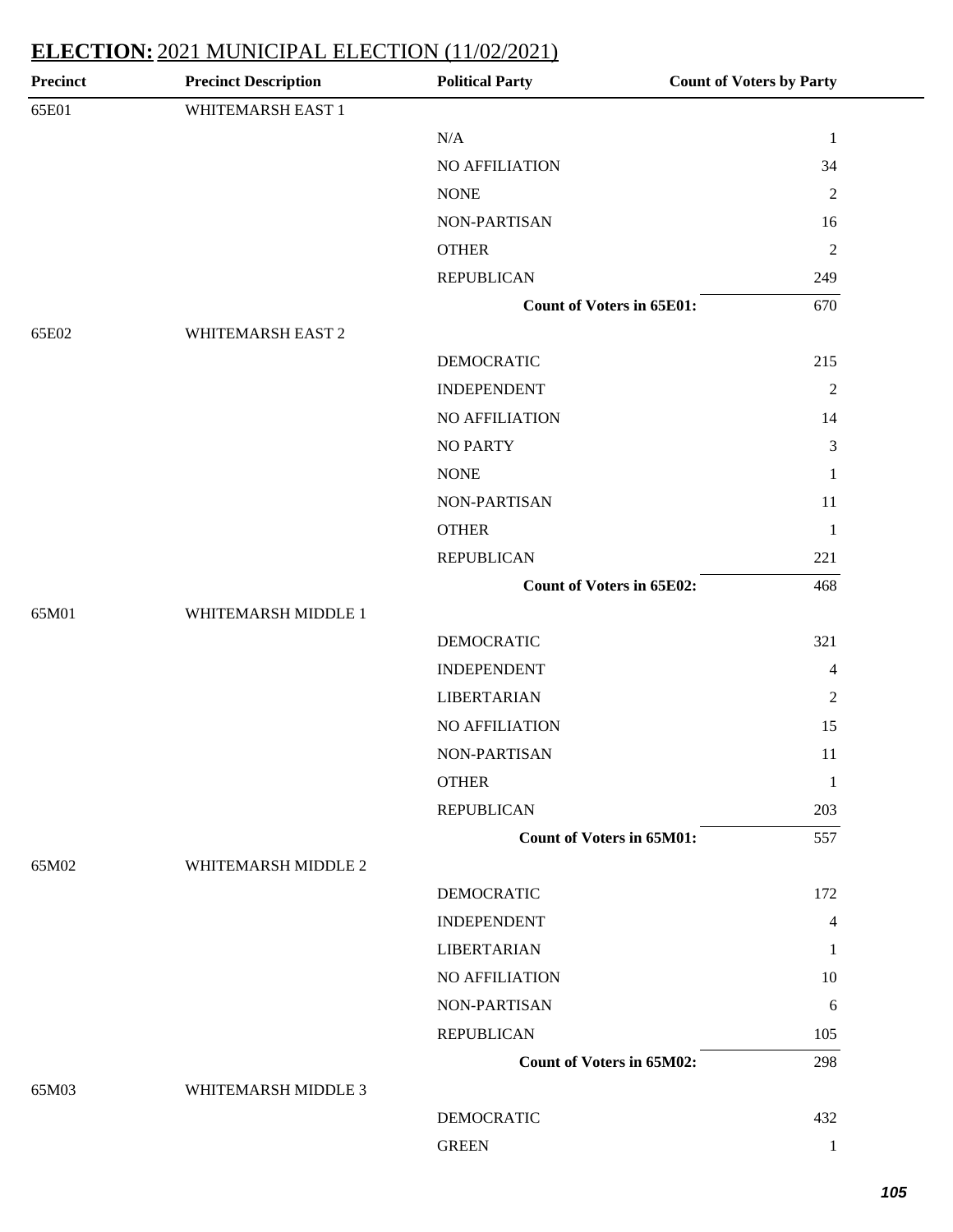| <b>Precinct</b> | <b>Precinct Description</b> | <b>Political Party</b>           | <b>Count of Voters by Party</b> |
|-----------------|-----------------------------|----------------------------------|---------------------------------|
| 65E01           | WHITEMARSH EAST 1           |                                  |                                 |
|                 |                             | $\rm N/A$                        | $\mathbf{1}$                    |
|                 |                             | NO AFFILIATION                   | 34                              |
|                 |                             | <b>NONE</b>                      | $\sqrt{2}$                      |
|                 |                             | NON-PARTISAN                     | 16                              |
|                 |                             | <b>OTHER</b>                     | $\sqrt{2}$                      |
|                 |                             | <b>REPUBLICAN</b>                | 249                             |
|                 |                             | <b>Count of Voters in 65E01:</b> | 670                             |
| 65E02           | WHITEMARSH EAST 2           |                                  |                                 |
|                 |                             | <b>DEMOCRATIC</b>                | 215                             |
|                 |                             | <b>INDEPENDENT</b>               | $\overline{2}$                  |
|                 |                             | NO AFFILIATION                   | 14                              |
|                 |                             | <b>NO PARTY</b>                  | 3                               |
|                 |                             | <b>NONE</b>                      | $\mathbf{1}$                    |
|                 |                             | NON-PARTISAN                     | 11                              |
|                 |                             | <b>OTHER</b>                     | $\mathbf{1}$                    |
|                 |                             | <b>REPUBLICAN</b>                | 221                             |
|                 |                             | <b>Count of Voters in 65E02:</b> | 468                             |
| 65M01           | WHITEMARSH MIDDLE 1         |                                  |                                 |
|                 |                             | <b>DEMOCRATIC</b>                | 321                             |
|                 |                             | <b>INDEPENDENT</b>               | $\overline{\mathcal{A}}$        |
|                 |                             | <b>LIBERTARIAN</b>               | $\sqrt{2}$                      |
|                 |                             | NO AFFILIATION                   | 15                              |
|                 |                             | NON-PARTISAN                     | 11                              |
|                 |                             | <b>OTHER</b>                     | $\mathbf{1}$                    |
|                 |                             | <b>REPUBLICAN</b>                | 203                             |
|                 |                             | <b>Count of Voters in 65M01:</b> | 557                             |
| 65M02           | WHITEMARSH MIDDLE 2         |                                  |                                 |
|                 |                             | DEMOCRATIC                       | 172                             |
|                 |                             | <b>INDEPENDENT</b>               | 4                               |
|                 |                             | <b>LIBERTARIAN</b>               | 1                               |
|                 |                             | NO AFFILIATION                   | 10                              |
|                 |                             | NON-PARTISAN                     | 6                               |
|                 |                             | <b>REPUBLICAN</b>                | 105                             |
|                 |                             | <b>Count of Voters in 65M02:</b> | 298                             |
| 65M03           | WHITEMARSH MIDDLE 3         |                                  |                                 |
|                 |                             | <b>DEMOCRATIC</b>                | 432                             |
|                 |                             | <b>GREEN</b>                     | $\mathbf{1}$                    |
|                 |                             |                                  |                                 |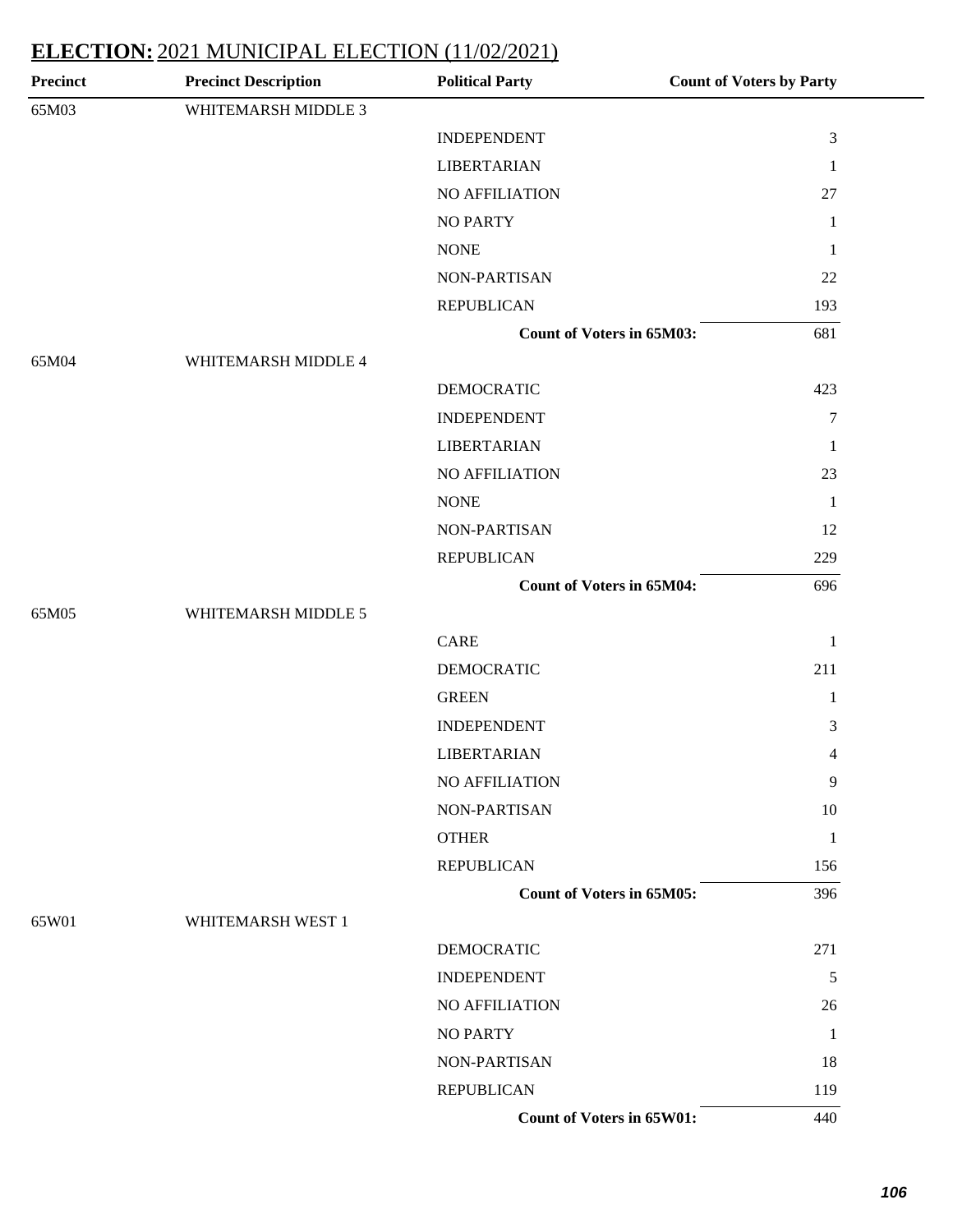| <b>Precinct</b> | <b>Precinct Description</b> | <b>Political Party</b>           | <b>Count of Voters by Party</b> |
|-----------------|-----------------------------|----------------------------------|---------------------------------|
| 65M03           | WHITEMARSH MIDDLE 3         |                                  |                                 |
|                 |                             | <b>INDEPENDENT</b>               | $\ensuremath{\mathfrak{Z}}$     |
|                 |                             | <b>LIBERTARIAN</b>               | $\mathbf{1}$                    |
|                 |                             | NO AFFILIATION                   | 27                              |
|                 |                             | <b>NO PARTY</b>                  | $\mathbf{1}$                    |
|                 |                             | <b>NONE</b>                      | $\mathbf{1}$                    |
|                 |                             | NON-PARTISAN                     | 22                              |
|                 |                             | <b>REPUBLICAN</b>                | 193                             |
|                 |                             | <b>Count of Voters in 65M03:</b> | 681                             |
| 65M04           | WHITEMARSH MIDDLE 4         |                                  |                                 |
|                 |                             | <b>DEMOCRATIC</b>                | 423                             |
|                 |                             | <b>INDEPENDENT</b>               | $\boldsymbol{7}$                |
|                 |                             | <b>LIBERTARIAN</b>               | $\mathbf{1}$                    |
|                 |                             | NO AFFILIATION                   | 23                              |
|                 |                             | <b>NONE</b>                      | $\mathbf{1}$                    |
|                 |                             | NON-PARTISAN                     | 12                              |
|                 |                             | <b>REPUBLICAN</b>                | 229                             |
|                 |                             | <b>Count of Voters in 65M04:</b> | 696                             |
| 65M05           | WHITEMARSH MIDDLE 5         |                                  |                                 |
|                 |                             | CARE                             | $\mathbf{1}$                    |
|                 |                             | <b>DEMOCRATIC</b>                | 211                             |
|                 |                             | <b>GREEN</b>                     | $\mathbf{1}$                    |
|                 |                             | <b>INDEPENDENT</b>               | 3                               |
|                 |                             | <b>LIBERTARIAN</b>               | 4                               |
|                 |                             | <b>NO AFFILIATION</b>            | 9                               |
|                 |                             | NON-PARTISAN                     | 10                              |
|                 |                             | <b>OTHER</b>                     | $\mathbf{1}$                    |
|                 |                             | <b>REPUBLICAN</b>                | 156                             |
|                 |                             | <b>Count of Voters in 65M05:</b> | 396                             |
| 65W01           | WHITEMARSH WEST 1           |                                  |                                 |
|                 |                             | <b>DEMOCRATIC</b>                | 271                             |
|                 |                             | <b>INDEPENDENT</b>               | $\sqrt{5}$                      |
|                 |                             | NO AFFILIATION                   | 26                              |
|                 |                             | <b>NO PARTY</b>                  | 1                               |
|                 |                             | NON-PARTISAN                     | 18                              |
|                 |                             | <b>REPUBLICAN</b>                | 119                             |
|                 |                             | Count of Voters in 65W01:        | 440                             |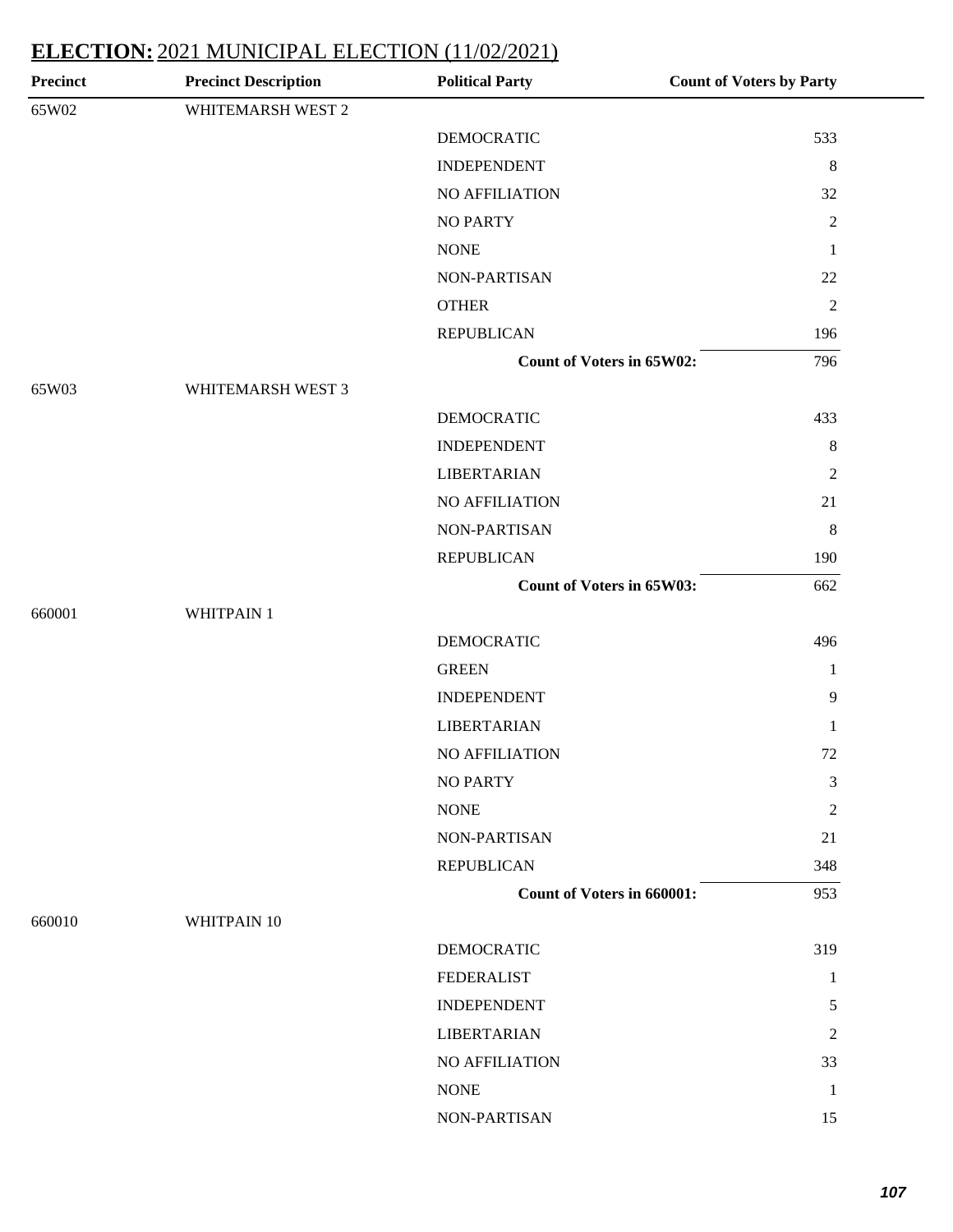| <b>Precinct</b> | <b>Precinct Description</b> | <b>Political Party</b>           | <b>Count of Voters by Party</b> |
|-----------------|-----------------------------|----------------------------------|---------------------------------|
| 65W02           | WHITEMARSH WEST 2           |                                  |                                 |
|                 |                             | <b>DEMOCRATIC</b>                | 533                             |
|                 |                             | <b>INDEPENDENT</b>               | $\,8\,$                         |
|                 |                             | NO AFFILIATION                   | 32                              |
|                 |                             | <b>NO PARTY</b>                  | $\sqrt{2}$                      |
|                 |                             | <b>NONE</b>                      | $\mathbf{1}$                    |
|                 |                             | NON-PARTISAN                     | 22                              |
|                 |                             | <b>OTHER</b>                     | $\sqrt{2}$                      |
|                 |                             | <b>REPUBLICAN</b>                | 196                             |
|                 |                             | <b>Count of Voters in 65W02:</b> | 796                             |
| 65W03           | WHITEMARSH WEST 3           |                                  |                                 |
|                 |                             | <b>DEMOCRATIC</b>                | 433                             |
|                 |                             | <b>INDEPENDENT</b>               | $\,8\,$                         |
|                 |                             | <b>LIBERTARIAN</b>               | $\overline{2}$                  |
|                 |                             | NO AFFILIATION                   | 21                              |
|                 |                             | NON-PARTISAN                     | $\,8\,$                         |
|                 |                             | <b>REPUBLICAN</b>                | 190                             |
|                 |                             | Count of Voters in 65W03:        | 662                             |
| 660001          | WHITPAIN 1                  |                                  |                                 |
|                 |                             | <b>DEMOCRATIC</b>                | 496                             |
|                 |                             | <b>GREEN</b>                     | 1                               |
|                 |                             | <b>INDEPENDENT</b>               | $\mathbf{9}$                    |
|                 |                             | <b>LIBERTARIAN</b>               | 1                               |
|                 |                             | NO AFFILIATION                   | 72                              |
|                 |                             | <b>NO PARTY</b>                  | $\mathfrak{Z}$                  |
|                 |                             | <b>NONE</b>                      | $\overline{2}$                  |
|                 |                             | NON-PARTISAN                     | 21                              |
|                 |                             | <b>REPUBLICAN</b>                | 348                             |
|                 |                             | Count of Voters in 660001:       | 953                             |
| 660010          | WHITPAIN 10                 |                                  |                                 |
|                 |                             | <b>DEMOCRATIC</b>                | 319                             |
|                 |                             | <b>FEDERALIST</b>                | 1                               |
|                 |                             | <b>INDEPENDENT</b>               | 5                               |
|                 |                             | <b>LIBERTARIAN</b>               | 2                               |
|                 |                             | NO AFFILIATION                   | 33                              |
|                 |                             | <b>NONE</b>                      | -1                              |
|                 |                             | NON-PARTISAN                     | 15                              |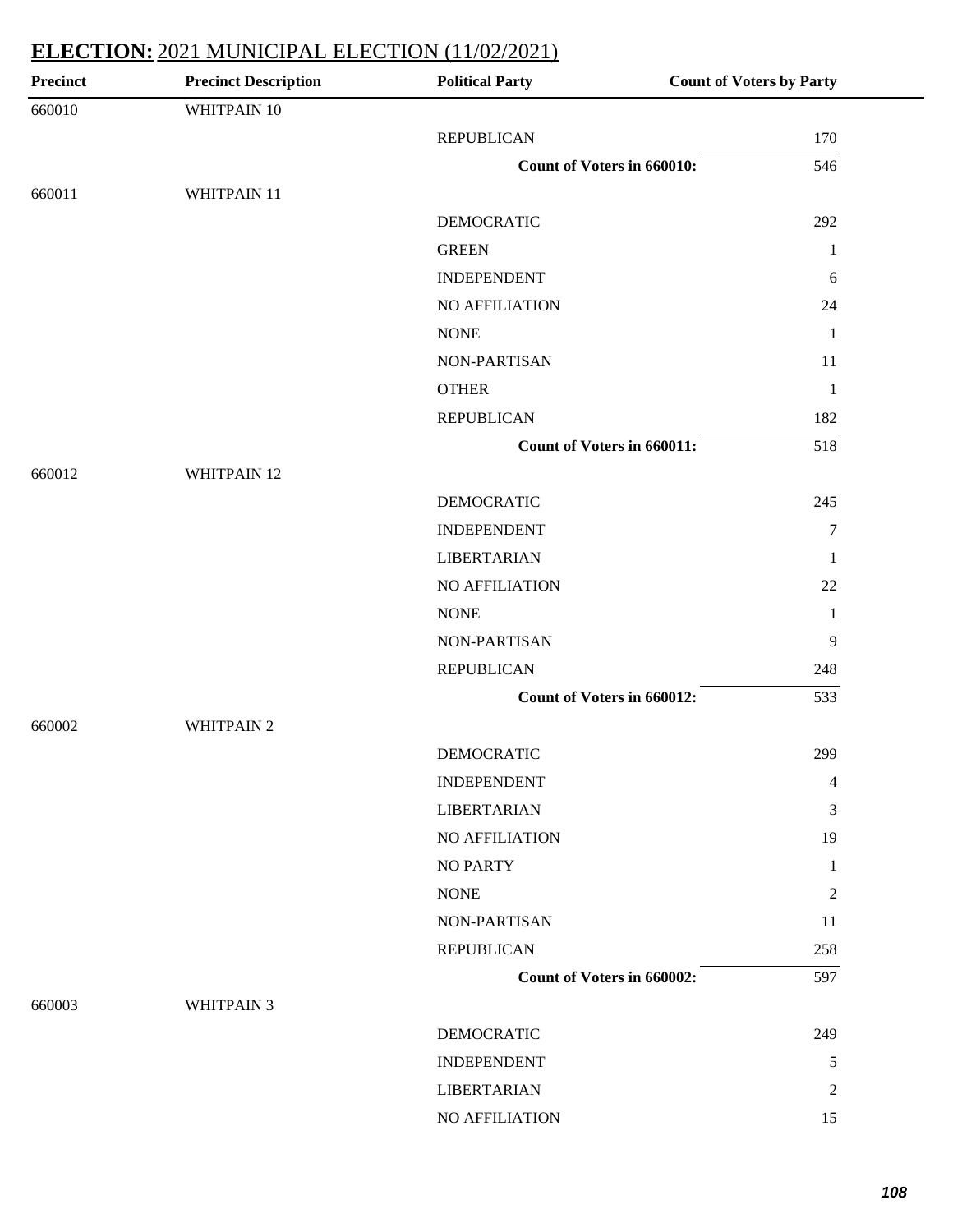| <b>Precinct</b> | <b>Precinct Description</b> | <b>Political Party</b>     | <b>Count of Voters by Party</b> |
|-----------------|-----------------------------|----------------------------|---------------------------------|
| 660010          | WHITPAIN 10                 |                            |                                 |
|                 |                             | <b>REPUBLICAN</b>          | 170                             |
|                 |                             | Count of Voters in 660010: | 546                             |
| 660011          | WHITPAIN 11                 |                            |                                 |
|                 |                             | <b>DEMOCRATIC</b>          | 292                             |
|                 |                             | <b>GREEN</b>               | $\mathbf{1}$                    |
|                 |                             | <b>INDEPENDENT</b>         | 6                               |
|                 |                             | NO AFFILIATION             | 24                              |
|                 |                             | <b>NONE</b>                | $\mathbf{1}$                    |
|                 |                             | NON-PARTISAN               | 11                              |
|                 |                             | <b>OTHER</b>               | $\mathbf{1}$                    |
|                 |                             | <b>REPUBLICAN</b>          | 182                             |
|                 |                             | Count of Voters in 660011: | 518                             |
| 660012          | WHITPAIN 12                 |                            |                                 |
|                 |                             | <b>DEMOCRATIC</b>          | 245                             |
|                 |                             | <b>INDEPENDENT</b>         | $\tau$                          |
|                 |                             | <b>LIBERTARIAN</b>         | 1                               |
|                 |                             | NO AFFILIATION             | 22                              |
|                 |                             | <b>NONE</b>                | $\mathbf{1}$                    |
|                 |                             | NON-PARTISAN               | 9                               |
|                 |                             | <b>REPUBLICAN</b>          | 248                             |
|                 |                             | Count of Voters in 660012: | 533                             |
| 660002          | <b>WHITPAIN 2</b>           |                            |                                 |
|                 |                             | <b>DEMOCRATIC</b>          | 299                             |
|                 |                             | <b>INDEPENDENT</b>         | 4                               |
|                 |                             | <b>LIBERTARIAN</b>         | 3                               |
|                 |                             | <b>NO AFFILIATION</b>      | 19                              |
|                 |                             | <b>NO PARTY</b>            | 1                               |
|                 |                             | <b>NONE</b>                | 2                               |
|                 |                             | NON-PARTISAN               | 11                              |
|                 |                             | <b>REPUBLICAN</b>          | 258                             |
|                 |                             | Count of Voters in 660002: | 597                             |
| 660003          | <b>WHITPAIN 3</b>           |                            |                                 |
|                 |                             | <b>DEMOCRATIC</b>          | 249                             |
|                 |                             | <b>INDEPENDENT</b>         | 5                               |
|                 |                             | <b>LIBERTARIAN</b>         | $\overline{c}$                  |
|                 |                             | NO AFFILIATION             | 15                              |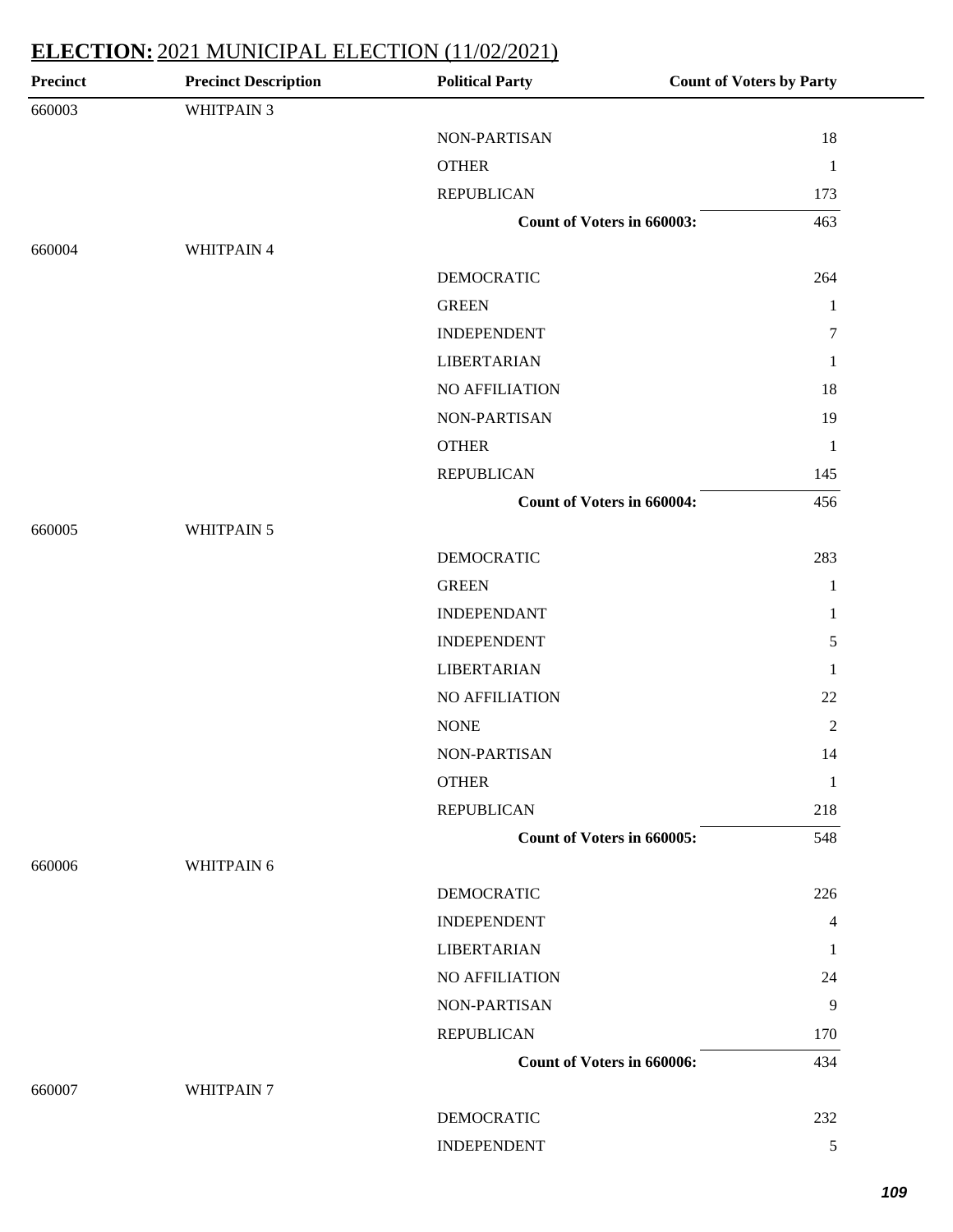| <b>Precinct</b> | <b>Precinct Description</b> | <b>Political Party</b>            | <b>Count of Voters by Party</b> |
|-----------------|-----------------------------|-----------------------------------|---------------------------------|
| 660003          | WHITPAIN 3                  |                                   |                                 |
|                 |                             | NON-PARTISAN                      | 18                              |
|                 |                             | <b>OTHER</b>                      | $\mathbf{1}$                    |
|                 |                             | <b>REPUBLICAN</b>                 | 173                             |
|                 |                             | Count of Voters in 660003:        | 463                             |
| 660004          | WHITPAIN 4                  |                                   |                                 |
|                 |                             | <b>DEMOCRATIC</b>                 | 264                             |
|                 |                             | <b>GREEN</b>                      | $\mathbf{1}$                    |
|                 |                             | <b>INDEPENDENT</b>                | 7                               |
|                 |                             | <b>LIBERTARIAN</b>                | 1                               |
|                 |                             | NO AFFILIATION                    | 18                              |
|                 |                             | NON-PARTISAN                      | 19                              |
|                 |                             | <b>OTHER</b>                      | $\mathbf{1}$                    |
|                 |                             | <b>REPUBLICAN</b>                 | 145                             |
|                 |                             | <b>Count of Voters in 660004:</b> | 456                             |
| 660005          | WHITPAIN 5                  |                                   |                                 |
|                 |                             | <b>DEMOCRATIC</b>                 | 283                             |
|                 |                             | <b>GREEN</b>                      | $\mathbf{1}$                    |
|                 |                             | <b>INDEPENDANT</b>                | $\mathbf{1}$                    |
|                 |                             | <b>INDEPENDENT</b>                | 5                               |
|                 |                             | <b>LIBERTARIAN</b>                | $\mathbf{1}$                    |
|                 |                             | NO AFFILIATION                    | 22                              |
|                 |                             | <b>NONE</b>                       | $\sqrt{2}$                      |
|                 |                             | NON-PARTISAN                      | 14                              |
|                 |                             | <b>OTHER</b>                      | $\mathbf{1}$                    |
|                 |                             | <b>REPUBLICAN</b>                 | 218                             |
|                 |                             | Count of Voters in 660005:        | 548                             |
| 660006          | WHITPAIN 6                  |                                   |                                 |
|                 |                             | <b>DEMOCRATIC</b>                 | 226                             |
|                 |                             | <b>INDEPENDENT</b>                | 4                               |
|                 |                             | <b>LIBERTARIAN</b>                | 1                               |
|                 |                             | NO AFFILIATION                    | 24                              |
|                 |                             | NON-PARTISAN                      | 9                               |
|                 |                             | <b>REPUBLICAN</b>                 | 170                             |
|                 |                             | Count of Voters in 660006:        | 434                             |
| 660007          | WHITPAIN 7                  |                                   |                                 |
|                 |                             | <b>DEMOCRATIC</b>                 | 232                             |
|                 |                             | <b>INDEPENDENT</b>                | 5                               |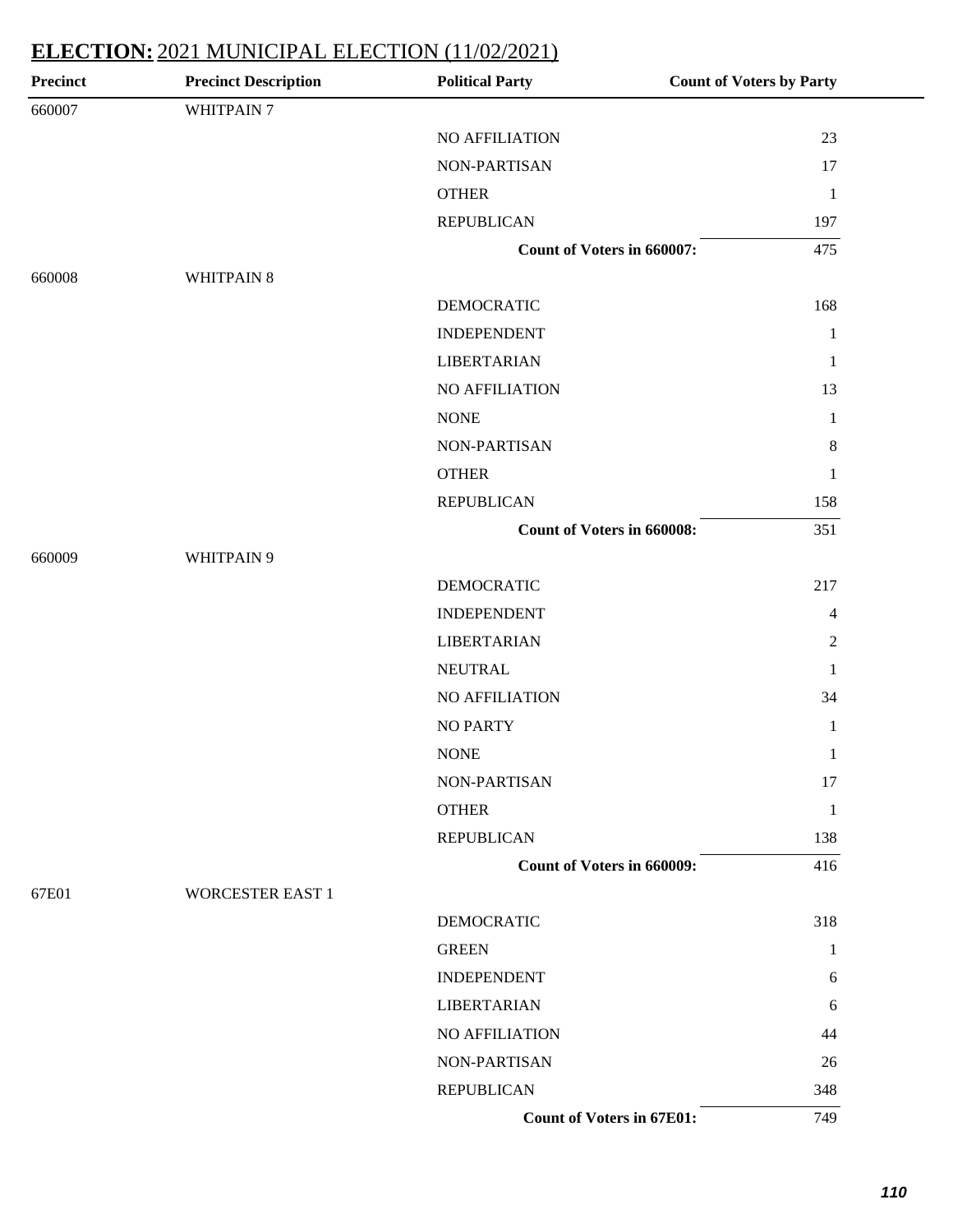| <b>Precinct</b> | <b>Precinct Description</b> | <b>Political Party</b>           | <b>Count of Voters by Party</b> |
|-----------------|-----------------------------|----------------------------------|---------------------------------|
| 660007          | WHITPAIN 7                  |                                  |                                 |
|                 |                             | NO AFFILIATION                   | 23                              |
|                 |                             | <b>NON-PARTISAN</b>              | 17                              |
|                 |                             | <b>OTHER</b>                     | $\mathbf{1}$                    |
|                 |                             | <b>REPUBLICAN</b>                | 197                             |
|                 |                             | Count of Voters in 660007:       | 475                             |
| 660008          | WHITPAIN 8                  |                                  |                                 |
|                 |                             | <b>DEMOCRATIC</b>                | 168                             |
|                 |                             | <b>INDEPENDENT</b>               | $\mathbf{1}$                    |
|                 |                             | <b>LIBERTARIAN</b>               | $\mathbf{1}$                    |
|                 |                             | NO AFFILIATION                   | 13                              |
|                 |                             | <b>NONE</b>                      | $\mathbf{1}$                    |
|                 |                             | NON-PARTISAN                     | $\,8\,$                         |
|                 |                             | <b>OTHER</b>                     | $\mathbf{1}$                    |
|                 |                             | <b>REPUBLICAN</b>                | 158                             |
|                 |                             | Count of Voters in 660008:       | 351                             |
| 660009          | WHITPAIN 9                  |                                  |                                 |
|                 |                             | <b>DEMOCRATIC</b>                | 217                             |
|                 |                             | <b>INDEPENDENT</b>               | $\overline{4}$                  |
|                 |                             | <b>LIBERTARIAN</b>               | $\overline{2}$                  |
|                 |                             | <b>NEUTRAL</b>                   | 1                               |
|                 |                             | NO AFFILIATION                   | 34                              |
|                 |                             | <b>NO PARTY</b>                  | $\mathbf{1}$                    |
|                 |                             | <b>NONE</b>                      | $\mathbf{1}$                    |
|                 |                             | NON-PARTISAN                     | 17                              |
|                 |                             | <b>OTHER</b>                     | $\mathbf{1}$                    |
|                 |                             | <b>REPUBLICAN</b>                | 138                             |
|                 |                             | Count of Voters in 660009:       | 416                             |
| 67E01           | <b>WORCESTER EAST 1</b>     |                                  |                                 |
|                 |                             | <b>DEMOCRATIC</b>                | 318                             |
|                 |                             | <b>GREEN</b>                     | $\mathbf{1}$                    |
|                 |                             | <b>INDEPENDENT</b>               | 6                               |
|                 |                             | <b>LIBERTARIAN</b>               | 6                               |
|                 |                             | NO AFFILIATION                   | 44                              |
|                 |                             | NON-PARTISAN                     | 26                              |
|                 |                             | <b>REPUBLICAN</b>                | 348                             |
|                 |                             | <b>Count of Voters in 67E01:</b> | 749                             |